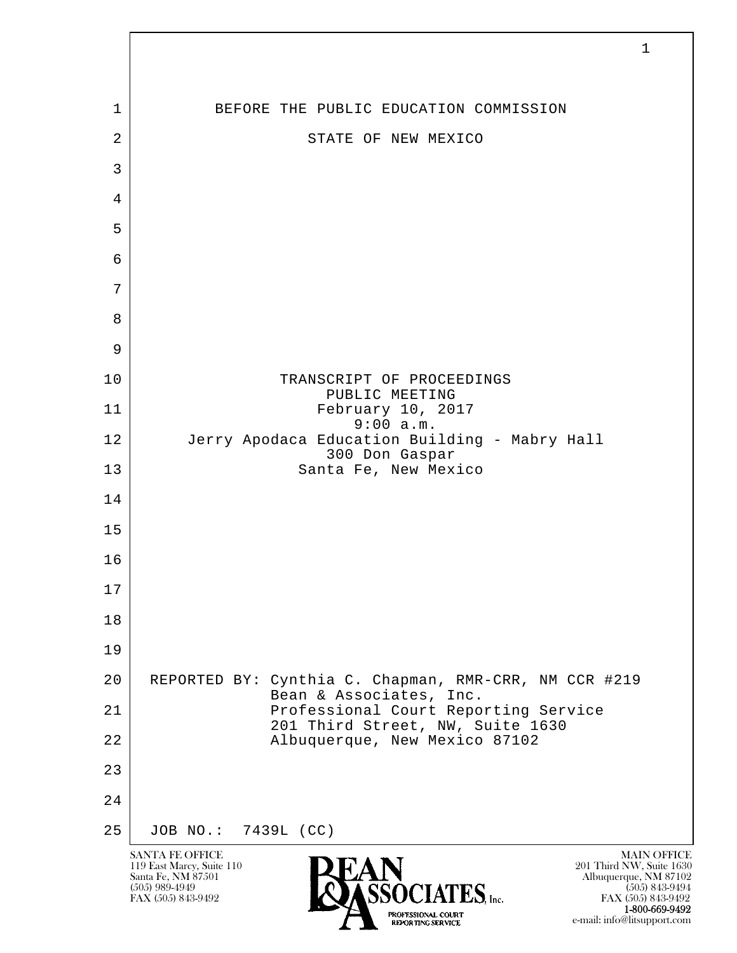

FAX (505) 843-9492 1-800-669-9492 e-mail: info@litsupport.com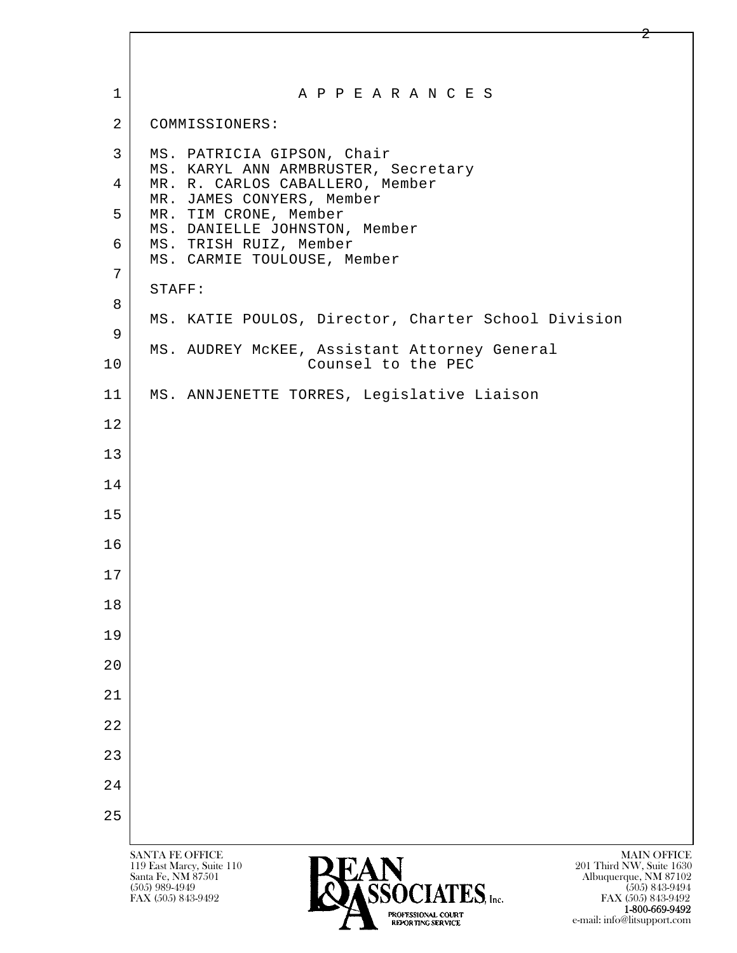| $\mathbf 1$    | A P P E A R A N C E S                                                                                                                                                                                            |
|----------------|------------------------------------------------------------------------------------------------------------------------------------------------------------------------------------------------------------------|
| $\overline{2}$ | COMMISSIONERS:                                                                                                                                                                                                   |
| 3              | MS. PATRICIA GIPSON, Chair<br>MS. KARYL ANN ARMBRUSTER, Secretary                                                                                                                                                |
| 4              | MR. R. CARLOS CABALLERO, Member<br>MR. JAMES CONYERS, Member                                                                                                                                                     |
| 5              | MR. TIM CRONE, Member<br>MS. DANIELLE JOHNSTON, Member                                                                                                                                                           |
| 6              | MS. TRISH RUIZ, Member<br>MS. CARMIE TOULOUSE, Member                                                                                                                                                            |
| 7              | STAFF:                                                                                                                                                                                                           |
| 8              | MS. KATIE POULOS, Director, Charter School Division                                                                                                                                                              |
| 9              | MS. AUDREY MCKEE, Assistant Attorney General                                                                                                                                                                     |
| 10             | Counsel to the PEC                                                                                                                                                                                               |
| 11             | MS. ANNJENETTE TORRES, Legislative Liaison                                                                                                                                                                       |
| 12             |                                                                                                                                                                                                                  |
| 13             |                                                                                                                                                                                                                  |
| 14             |                                                                                                                                                                                                                  |
| 15             |                                                                                                                                                                                                                  |
| 16             |                                                                                                                                                                                                                  |
| 17             |                                                                                                                                                                                                                  |
| 18             |                                                                                                                                                                                                                  |
| 19             |                                                                                                                                                                                                                  |
| 20             |                                                                                                                                                                                                                  |
| 21             |                                                                                                                                                                                                                  |
| 22             |                                                                                                                                                                                                                  |
| 23             |                                                                                                                                                                                                                  |
| 24             |                                                                                                                                                                                                                  |
| 25             |                                                                                                                                                                                                                  |
|                | <b>SANTA FE OFFICE</b><br><b>MAIN OFFICE</b><br>201 Third NW, Suite 1630<br>119 East Marcy, Suite 110<br>Santa Fe, NM 87501<br>Albuquerque, NM 87102<br><b>ECACIATEC</b><br>$(505)$ 989-4949<br>$(505)$ 843-9494 |

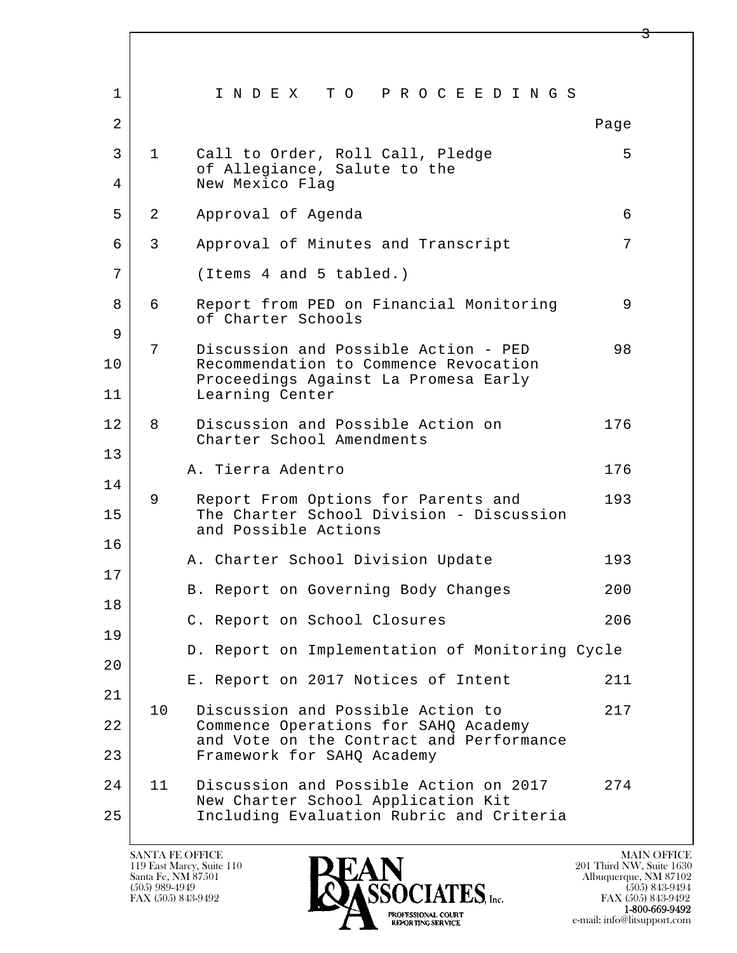| $\mathbf 1$    |              | INDEX TO PROCEEDINGS                                                                                                     |      |
|----------------|--------------|--------------------------------------------------------------------------------------------------------------------------|------|
| $\overline{a}$ |              |                                                                                                                          | Page |
| 3<br>4         | $\mathbf{1}$ | Call to Order, Roll Call, Pledge<br>of Allegiance, Salute to the<br>New Mexico Flag                                      | 5    |
| 5              | 2            | Approval of Agenda                                                                                                       | 6    |
| 6              | 3            | Approval of Minutes and Transcript                                                                                       | 7    |
| 7              |              | (Items 4 and 5 tabled.)                                                                                                  |      |
| 8              | 6            | Report from PED on Financial Monitoring<br>of Charter Schools                                                            | 9    |
| 9<br>10        | 7            | Discussion and Possible Action - PED<br>Recommendation to Commence Revocation<br>Proceedings Against La Promesa Early    | 98   |
| 11             |              | Learning Center                                                                                                          |      |
| 12             | 8            | Discussion and Possible Action on<br>Charter School Amendments                                                           | 176  |
| 13             |              | A. Tierra Adentro                                                                                                        | 176  |
| 14             | 9            |                                                                                                                          | 193  |
| 15             |              | Report From Options for Parents and<br>The Charter School Division - Discussion<br>and Possible Actions                  |      |
| 16             |              | A. Charter School Division Update                                                                                        | 193  |
| 17             |              | B. Report on Governing Body Changes                                                                                      | 200  |
| 18             |              | C. Report on School Closures                                                                                             | 206  |
| 19             |              | D. Report on Implementation of Monitoring Cycle                                                                          |      |
| 20             |              |                                                                                                                          |      |
| 21             |              | E. Report on 2017 Notices of Intent                                                                                      | 211  |
| 22             | 10           | Discussion and Possible Action to<br>Commence Operations for SAHQ Academy<br>and Vote on the Contract and Performance    | 217  |
| 23             |              | Framework for SAHQ Academy                                                                                               |      |
| 24<br>25       | 11           | Discussion and Possible Action on 2017<br>New Charter School Application Kit<br>Including Evaluation Rubric and Criteria | 274  |
|                |              |                                                                                                                          |      |

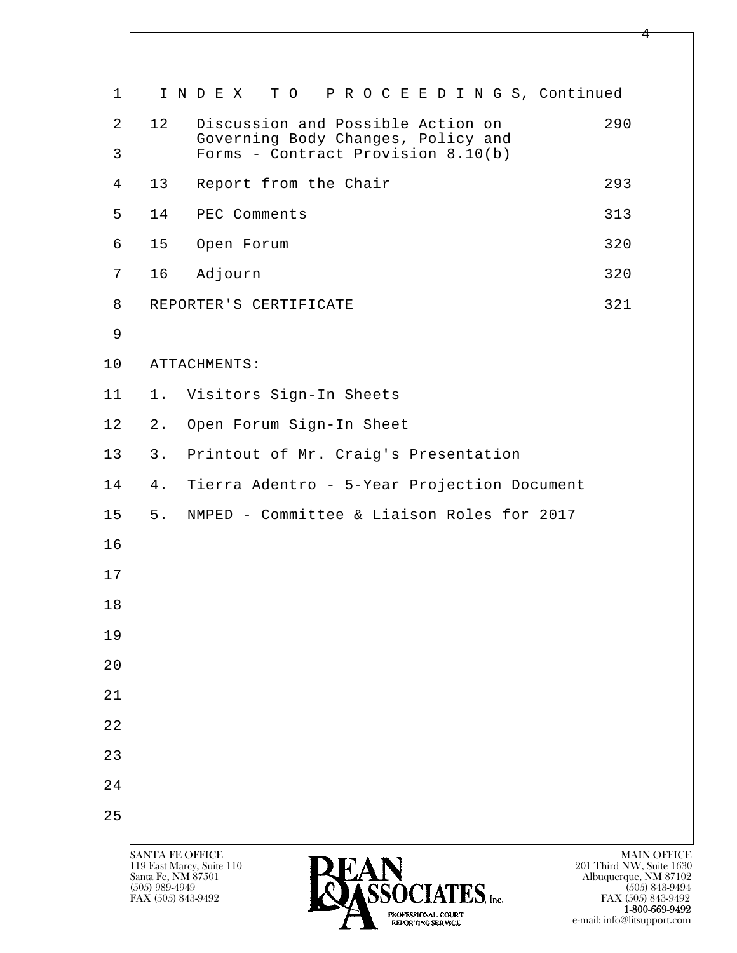| $\mathbf 1$         | INDEX TO PROCEEDINGS, Continued                                                                                                                                                                                                                                                                                                                                                  |
|---------------------|----------------------------------------------------------------------------------------------------------------------------------------------------------------------------------------------------------------------------------------------------------------------------------------------------------------------------------------------------------------------------------|
| $\overline{2}$<br>3 | Discussion and Possible Action on<br>290<br>12<br>Governing Body Changes, Policy and<br>Forms - Contract Provision 8.10(b)                                                                                                                                                                                                                                                       |
| 4                   | 13<br>Report from the Chair<br>293                                                                                                                                                                                                                                                                                                                                               |
| 5                   | PEC Comments<br>313<br>14                                                                                                                                                                                                                                                                                                                                                        |
| 6                   | 320<br>15<br>Open Forum                                                                                                                                                                                                                                                                                                                                                          |
| 7                   | 16<br>Adjourn<br>320                                                                                                                                                                                                                                                                                                                                                             |
| 8                   | 321<br>REPORTER'S CERTIFICATE                                                                                                                                                                                                                                                                                                                                                    |
| 9                   |                                                                                                                                                                                                                                                                                                                                                                                  |
| 10                  | ATTACHMENTS:                                                                                                                                                                                                                                                                                                                                                                     |
| 11                  | Visitors Sign-In Sheets<br>$1$ .                                                                                                                                                                                                                                                                                                                                                 |
| 12                  | 2.<br>Open Forum Sign-In Sheet                                                                                                                                                                                                                                                                                                                                                   |
| 13                  | Printout of Mr. Craig's Presentation<br>3.                                                                                                                                                                                                                                                                                                                                       |
| 14                  | Tierra Adentro - 5-Year Projection Document<br>4.                                                                                                                                                                                                                                                                                                                                |
| 15                  | NMPED - Committee & Liaison Roles for 2017<br>5.                                                                                                                                                                                                                                                                                                                                 |
| 16                  |                                                                                                                                                                                                                                                                                                                                                                                  |
| 17                  |                                                                                                                                                                                                                                                                                                                                                                                  |
| 18                  |                                                                                                                                                                                                                                                                                                                                                                                  |
| 19                  |                                                                                                                                                                                                                                                                                                                                                                                  |
| 20                  |                                                                                                                                                                                                                                                                                                                                                                                  |
| 21                  |                                                                                                                                                                                                                                                                                                                                                                                  |
| 22                  |                                                                                                                                                                                                                                                                                                                                                                                  |
| 23                  |                                                                                                                                                                                                                                                                                                                                                                                  |
| 24                  |                                                                                                                                                                                                                                                                                                                                                                                  |
| 25                  |                                                                                                                                                                                                                                                                                                                                                                                  |
|                     | <b>SANTA FE OFFICE</b><br><b>MAIN OFFICE</b><br>201 Third NW, Suite 1630<br>119 East Marcy, Suite 110<br>Santa Fe, NM 87501<br>Albuquerque, NM 87102<br>$(505)$ 989-4949<br>$(505)$ 843-9494<br>$\mathbf{SOCIATES}_{\text{inc.}}$<br>FAX (505) 843-9492<br>FAX (505) 843-9492<br>1-800-669-9492<br>PROFESSIONAL COURT<br>e-mail: info@litsupport.com<br><b>REPORTING SERVICE</b> |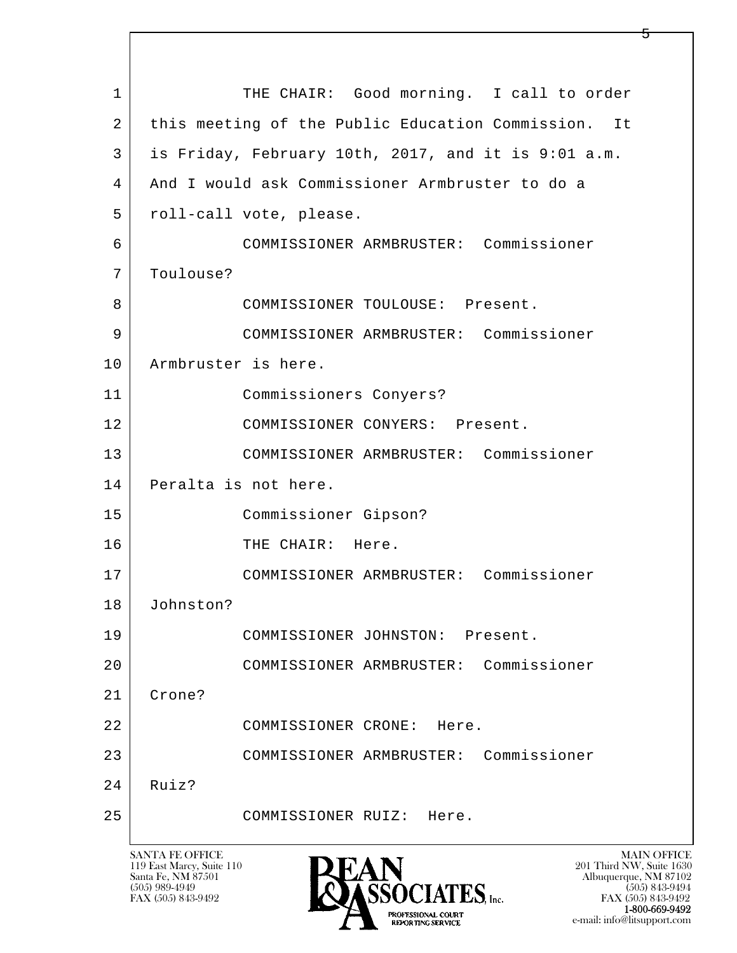l  $\overline{\phantom{a}}$ 1 THE CHAIR: Good morning. I call to order 2 | this meeting of the Public Education Commission. It 3 is Friday, February 10th, 2017, and it is 9:01 a.m. 4 And I would ask Commissioner Armbruster to do a 5 | roll-call vote, please. 6 COMMISSIONER ARMBRUSTER: Commissioner 7 Toulouse? 8 COMMISSIONER TOULOUSE: Present. 9 COMMISSIONER ARMBRUSTER: Commissioner 10 Armbruster is here. 11 Commissioners Conyers? 12 COMMISSIONER CONYERS: Present. 13 COMMISSIONER ARMBRUSTER: Commissioner 14 Peralta is not here. 15 Commissioner Gipson? 16 THE CHAIR: Here. 17 COMMISSIONER ARMBRUSTER: Commissioner 18 Johnston? 19 COMMISSIONER JOHNSTON: Present. 20 COMMISSIONER ARMBRUSTER: Commissioner 21 Crone? 22 COMMISSIONER CRONE: Here. 23 COMMISSIONER ARMBRUSTER: Commissioner  $24$  Ruiz? 25 COMMISSIONER RUIZ: Here.

119 East Marcy, Suite 110<br>Santa Fe, NM 87501



FAX (505) 843-9492 FAX (505) 843-9492 e-mail: info@litsupport.com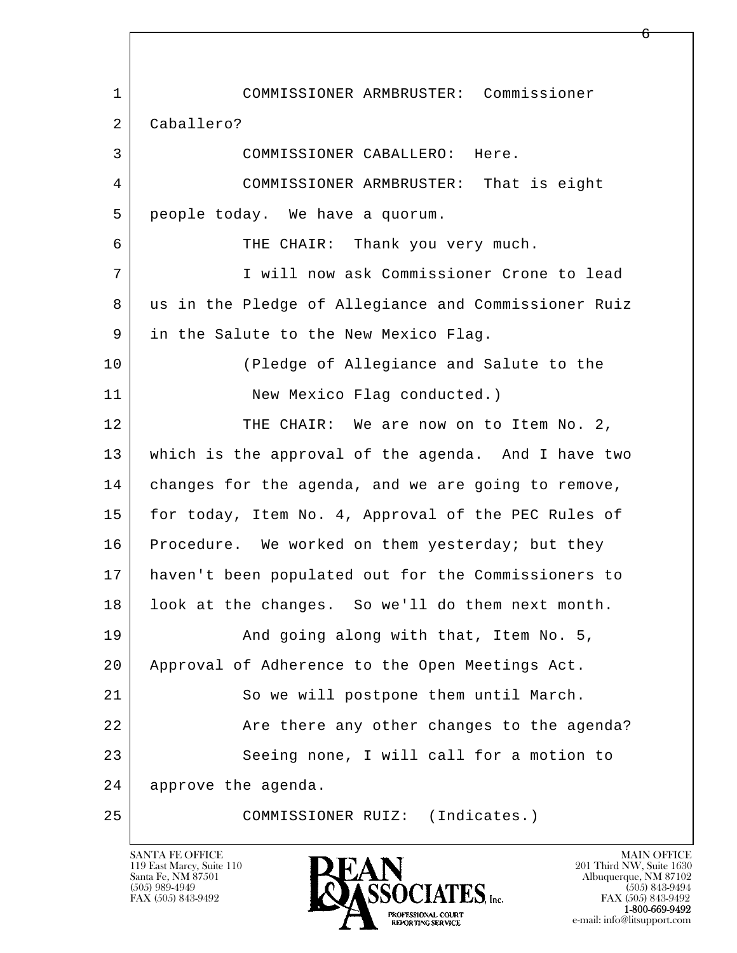l  $\overline{\phantom{a}}$  1 COMMISSIONER ARMBRUSTER: Commissioner 2 Caballero? 3 COMMISSIONER CABALLERO: Here. 4 COMMISSIONER ARMBRUSTER: That is eight 5 people today. We have a quorum. 6 THE CHAIR: Thank you very much. 7 I will now ask Commissioner Crone to lead 8 us in the Pledge of Allegiance and Commissioner Ruiz 9 in the Salute to the New Mexico Flag. 10 (Pledge of Allegiance and Salute to the 11 New Mexico Flag conducted.) 12 THE CHAIR: We are now on to Item No. 2, 13 which is the approval of the agenda. And I have two 14 changes for the agenda, and we are going to remove, 15 | for today, Item No. 4, Approval of the PEC Rules of 16 Procedure. We worked on them yesterday; but they 17 haven't been populated out for the Commissioners to 18 | look at the changes. So we'll do them next month. 19 | And going along with that, Item No. 5, 20 Approval of Adherence to the Open Meetings Act. 21 So we will postpone them until March. 22 **Are there any other changes to the agenda?** 23 Seeing none, I will call for a motion to 24 approve the agenda. 25 COMMISSIONER RUIZ: (Indicates.)

119 East Marcy, Suite 110<br>Santa Fe, NM 87501

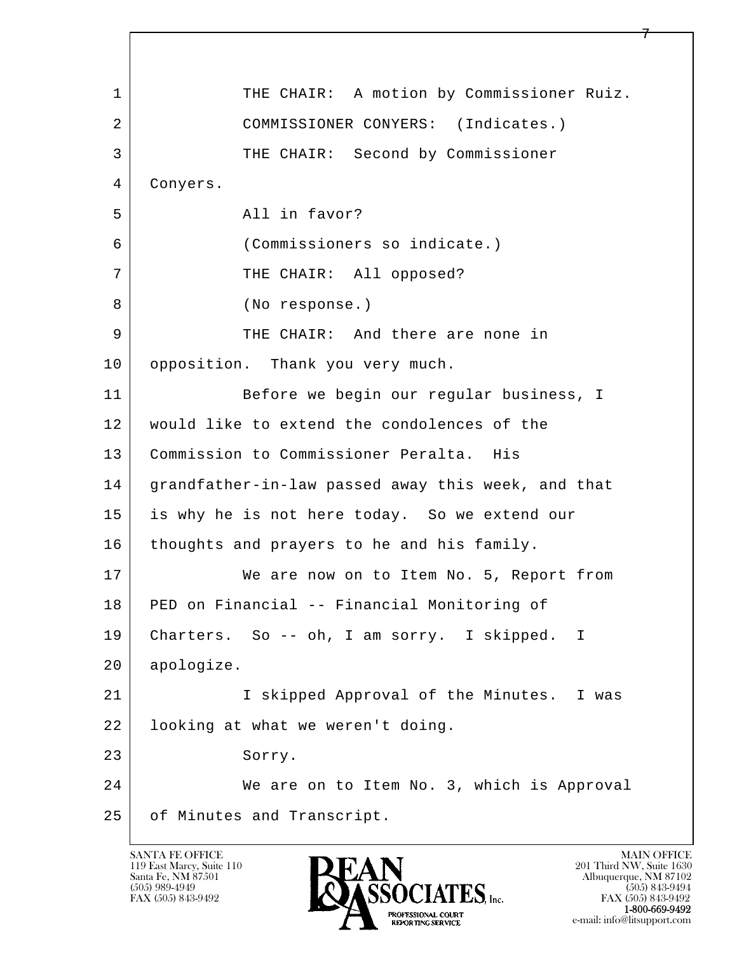l  $\overline{\phantom{a}}$ 1 | THE CHAIR: A motion by Commissioner Ruiz. 2 COMMISSIONER CONYERS: (Indicates.) 3 THE CHAIR: Second by Commissioner 4 Conyers. 5 All in favor? 6 (Commissioners so indicate.) 7 | THE CHAIR: All opposed? 8 (No response.) 9 THE CHAIR: And there are none in 10 | opposition. Thank you very much. 11 Before we begin our regular business, I 12 would like to extend the condolences of the 13 Commission to Commissioner Peralta. His 14 grandfather-in-law passed away this week, and that 15 is why he is not here today. So we extend our 16 thoughts and prayers to he and his family. 17 We are now on to Item No. 5, Report from 18 PED on Financial -- Financial Monitoring of 19 Charters. So -- oh, I am sorry. I skipped. I 20 apologize. 21 I skipped Approval of the Minutes. I was 22 looking at what we weren't doing. 23 Sorry. 24 We are on to Item No. 3, which is Approval 25 of Minutes and Transcript.

119 East Marcy, Suite 110<br>Santa Fe, NM 87501

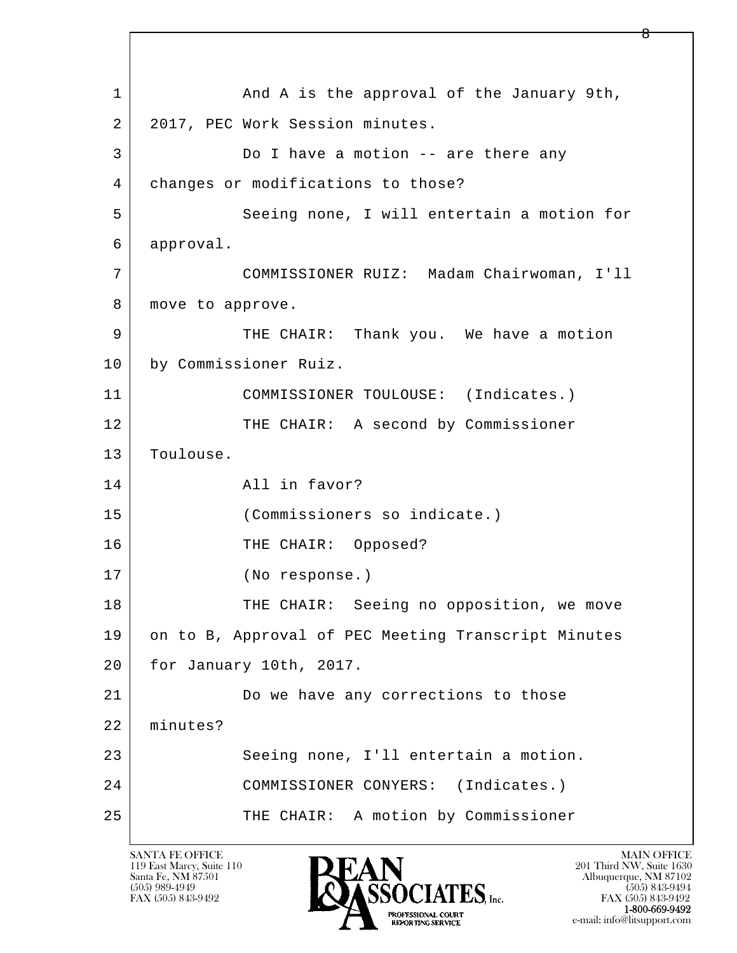l  $\overline{\phantom{a}}$ 1 and A is the approval of the January 9th, 2 2017, PEC Work Session minutes. 3 Do I have a motion -- are there any 4 | changes or modifications to those? 5 Seeing none, I will entertain a motion for 6 approval. 7 COMMISSIONER RUIZ: Madam Chairwoman, I'll 8 | move to approve. 9 THE CHAIR: Thank you. We have a motion 10 by Commissioner Ruiz. 11 | COMMISSIONER TOULOUSE: (Indicates.) 12 THE CHAIR: A second by Commissioner 13 Toulouse. 14 All in favor? 15 (Commissioners so indicate.) 16 THE CHAIR: Opposed? 17 (No response.) 18 THE CHAIR: Seeing no opposition, we move 19 on to B, Approval of PEC Meeting Transcript Minutes 20 for January 10th, 2017. 21 Do we have any corrections to those 22 minutes? 23 Seeing none, I'll entertain a motion. 24 COMMISSIONER CONYERS: (Indicates.) 25 | THE CHAIR: A motion by Commissioner

119 East Marcy, Suite 110<br>Santa Fe, NM 87501

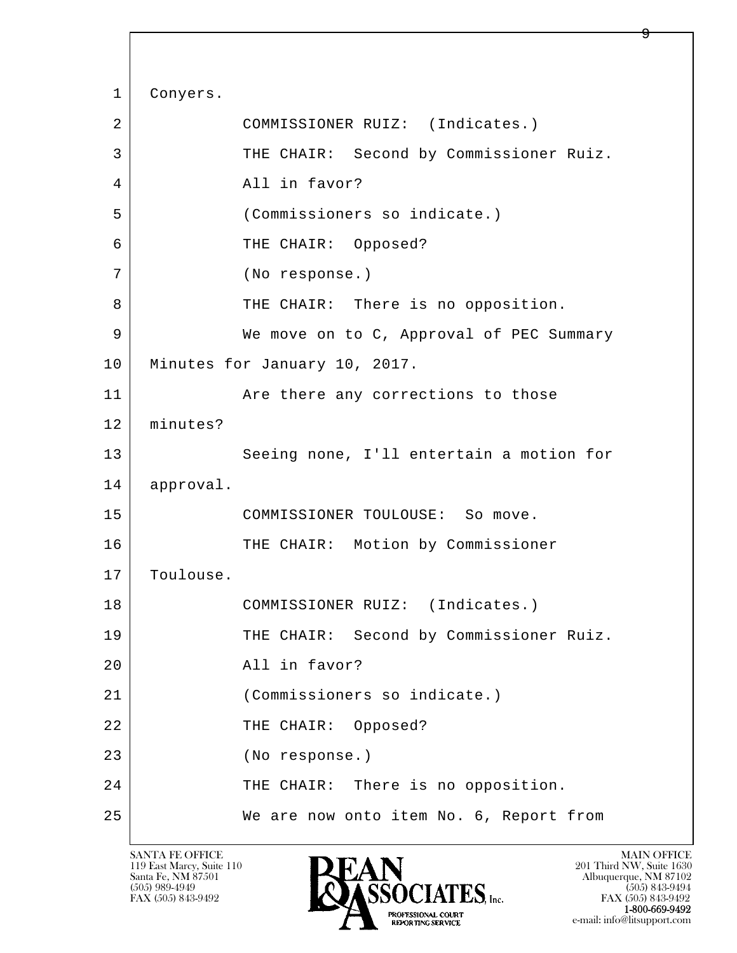l  $\overline{\phantom{a}}$ 1 Conyers. 2 COMMISSIONER RUIZ: (Indicates.) 3 THE CHAIR: Second by Commissioner Ruiz. 4 All in favor? 5 (Commissioners so indicate.) 6 THE CHAIR: Opposed? 7 (No response.) 8 THE CHAIR: There is no opposition. 9 We move on to C, Approval of PEC Summary 10 Minutes for January 10, 2017. 11 | The There any corrections to those 12 minutes? 13 Seeing none, I'll entertain a motion for 14 approval. 15 COMMISSIONER TOULOUSE: So move. 16 THE CHAIR: Motion by Commissioner 17 Toulouse. 18 | COMMISSIONER RUIZ: (Indicates.) 19 THE CHAIR: Second by Commissioner Ruiz. 20 All in favor? 21 (Commissioners so indicate.) 22 THE CHAIR: Opposed? 23 (No response.) 24 THE CHAIR: There is no opposition. 25 | We are now onto item No. 6, Report from

119 East Marcy, Suite 110<br>Santa Fe, NM 87501

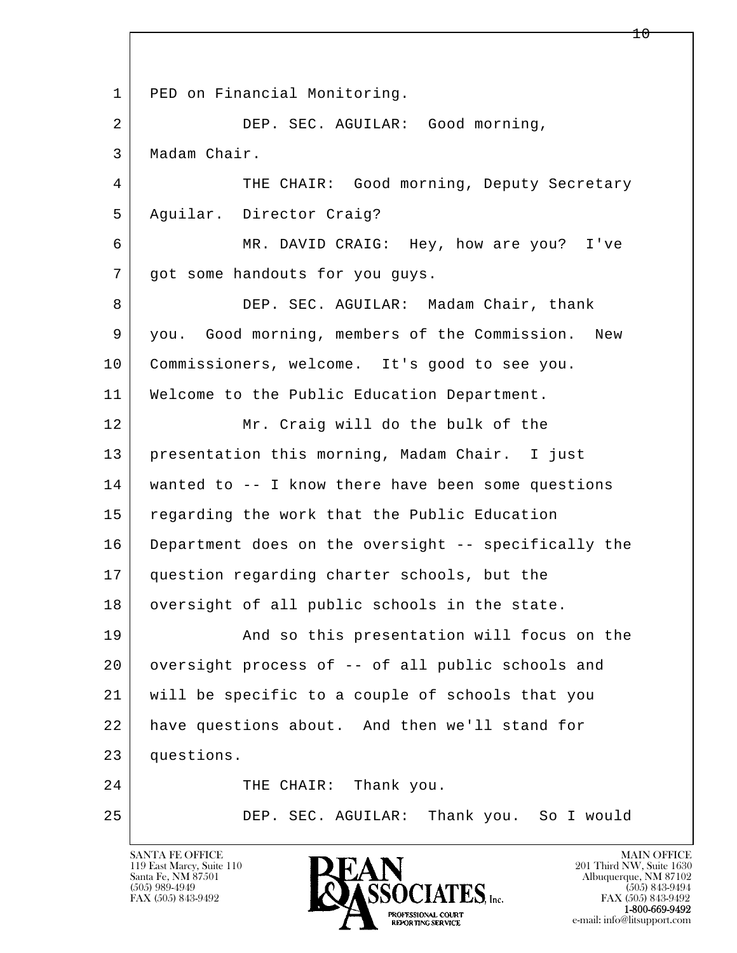l  $\overline{\phantom{a}}$  1 PED on Financial Monitoring. 2 DEP. SEC. AGUILAR: Good morning, 3 Madam Chair. 4 THE CHAIR: Good morning, Deputy Secretary 5 Aguilar. Director Craig? 6 MR. DAVID CRAIG: Hey, how are you? I've 7 | got some handouts for you guys. 8 DEP. SEC. AGUILAR: Madam Chair, thank 9 you. Good morning, members of the Commission. New 10 Commissioners, welcome. It's good to see you. 11 | Welcome to the Public Education Department. 12 Mr. Craig will do the bulk of the 13 presentation this morning, Madam Chair. I just 14 wanted to -- I know there have been some questions 15 regarding the work that the Public Education 16 Department does on the oversight -- specifically the 17 question regarding charter schools, but the 18 oversight of all public schools in the state. 19 | And so this presentation will focus on the 20 oversight process of -- of all public schools and 21 will be specific to a couple of schools that you 22 have questions about. And then we'll stand for 23 questions. 24 THE CHAIR: Thank you. 25 DEP. SEC. AGUILAR: Thank you. So I would

119 East Marcy, Suite 110<br>Santa Fe, NM 87501



 $10 \,$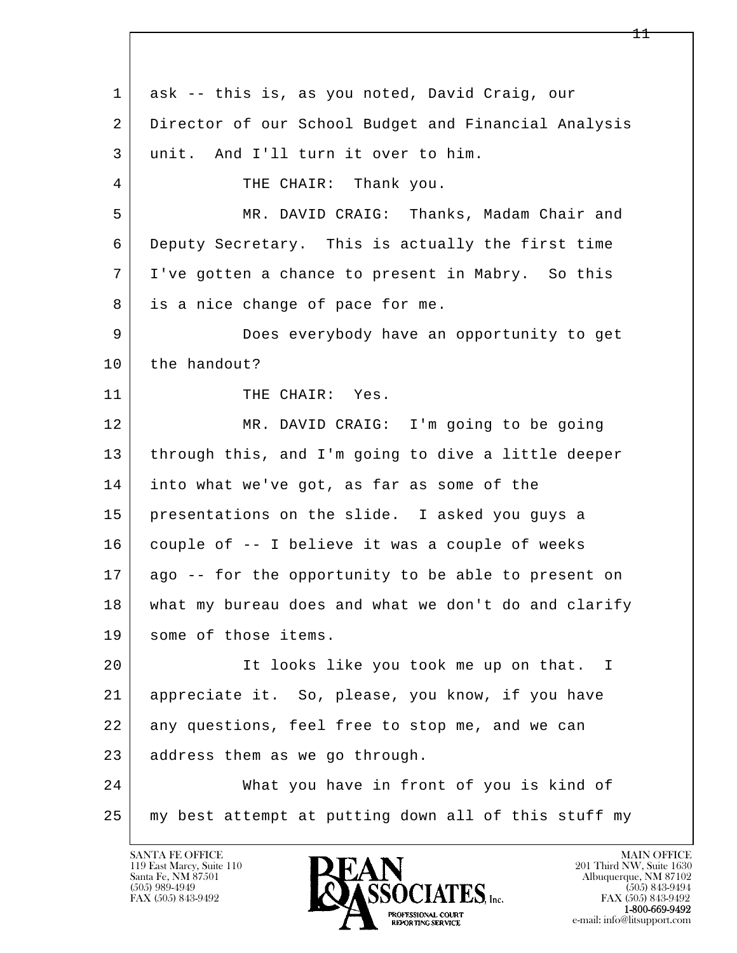l  $\overline{\phantom{a}}$  1 ask -- this is, as you noted, David Craig, our 2 Director of our School Budget and Financial Analysis 3 unit. And I'll turn it over to him. 4 | THE CHAIR: Thank you. 5 MR. DAVID CRAIG: Thanks, Madam Chair and 6 Deputy Secretary. This is actually the first time 7 I've gotten a chance to present in Mabry. So this 8 is a nice change of pace for me. 9 Does everybody have an opportunity to get 10 the handout? 11 THE CHAIR: Yes. 12 MR. DAVID CRAIG: I'm going to be going 13 through this, and I'm going to dive a little deeper 14 into what we've got, as far as some of the 15 presentations on the slide. I asked you guys a  $16$  couple of  $-$ - I believe it was a couple of weeks 17 ago -- for the opportunity to be able to present on 18 what my bureau does and what we don't do and clarify 19 some of those items. 20 | The looks like you took me up on that. I 21 appreciate it. So, please, you know, if you have 22 any questions, feel free to stop me, and we can 23 address them as we go through. 24 What you have in front of you is kind of 25 my best attempt at putting down all of this stuff my

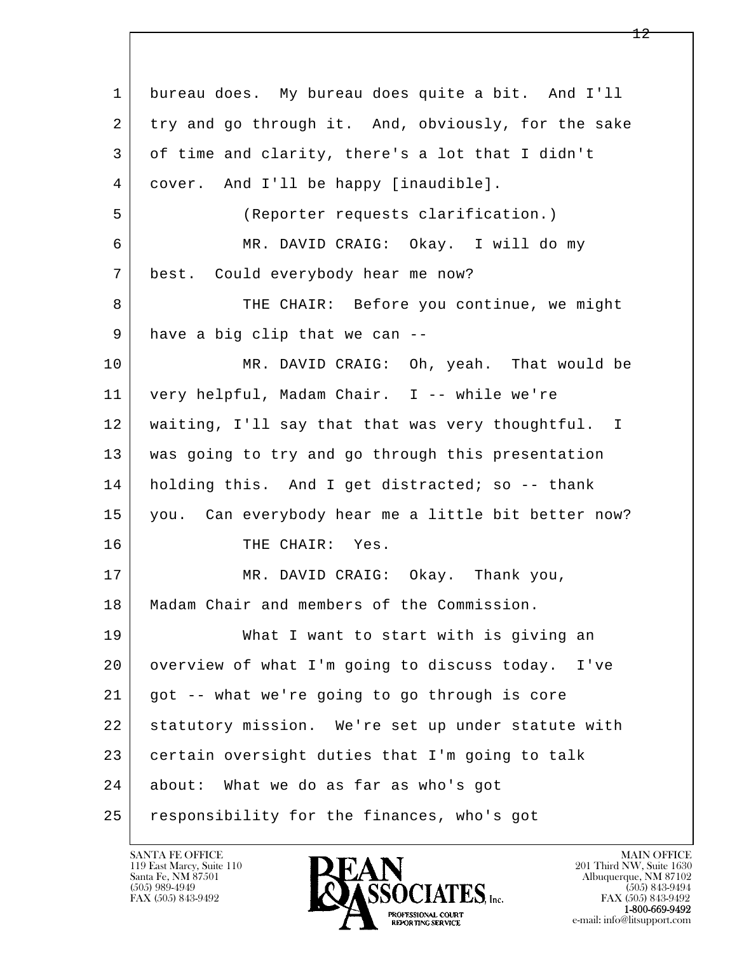l  $\overline{\phantom{a}}$  1 bureau does. My bureau does quite a bit. And I'll 2 try and go through it. And, obviously, for the sake 3 of time and clarity, there's a lot that I didn't 4 cover. And I'll be happy [inaudible]. 5 (Reporter requests clarification.) 6 MR. DAVID CRAIG: Okay. I will do my 7 best. Could everybody hear me now? 8 THE CHAIR: Before you continue, we might 9 have a big clip that we can --10 | MR. DAVID CRAIG: Oh, yeah. That would be 11 very helpful, Madam Chair. I -- while we're 12 waiting, I'll say that that was very thoughtful. I 13 was going to try and go through this presentation 14 | holding this. And I get distracted; so -- thank 15 you. Can everybody hear me a little bit better now? 16 THE CHAIR: Yes. 17 MR. DAVID CRAIG: Okay. Thank you, 18 | Madam Chair and members of the Commission. 19 What I want to start with is giving an 20 overview of what I'm going to discuss today. I've 21 got -- what we're going to go through is core 22 statutory mission. We're set up under statute with 23 certain oversight duties that I'm going to talk 24 about: What we do as far as who's got 25 | responsibility for the finances, who's got

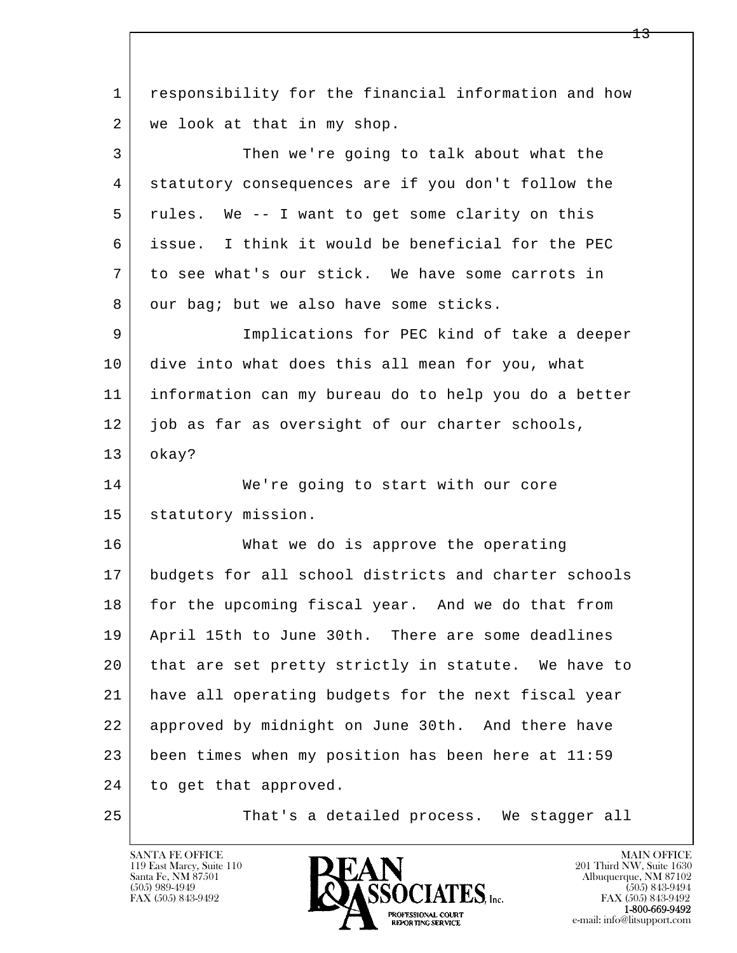l  $\overline{\phantom{a}}$  1 responsibility for the financial information and how 2 | we look at that in my shop. 3 Then we're going to talk about what the 4 statutory consequences are if you don't follow the 5 rules. We -- I want to get some clarity on this 6 issue. I think it would be beneficial for the PEC 7 to see what's our stick. We have some carrots in 8 our bag; but we also have some sticks. 9 Implications for PEC kind of take a deeper 10 dive into what does this all mean for you, what 11 information can my bureau do to help you do a better 12 job as far as oversight of our charter schools, 13 okay? 14 We're going to start with our core 15 | statutory mission. 16 What we do is approve the operating 17 budgets for all school districts and charter schools 18 for the upcoming fiscal year. And we do that from 19 April 15th to June 30th. There are some deadlines 20 that are set pretty strictly in statute. We have to 21 have all operating budgets for the next fiscal year 22 approved by midnight on June 30th. And there have 23 been times when my position has been here at 11:59 24 to get that approved. 25 That's a detailed process. We stagger all

119 East Marcy, Suite 110<br>Santa Fe, NM 87501

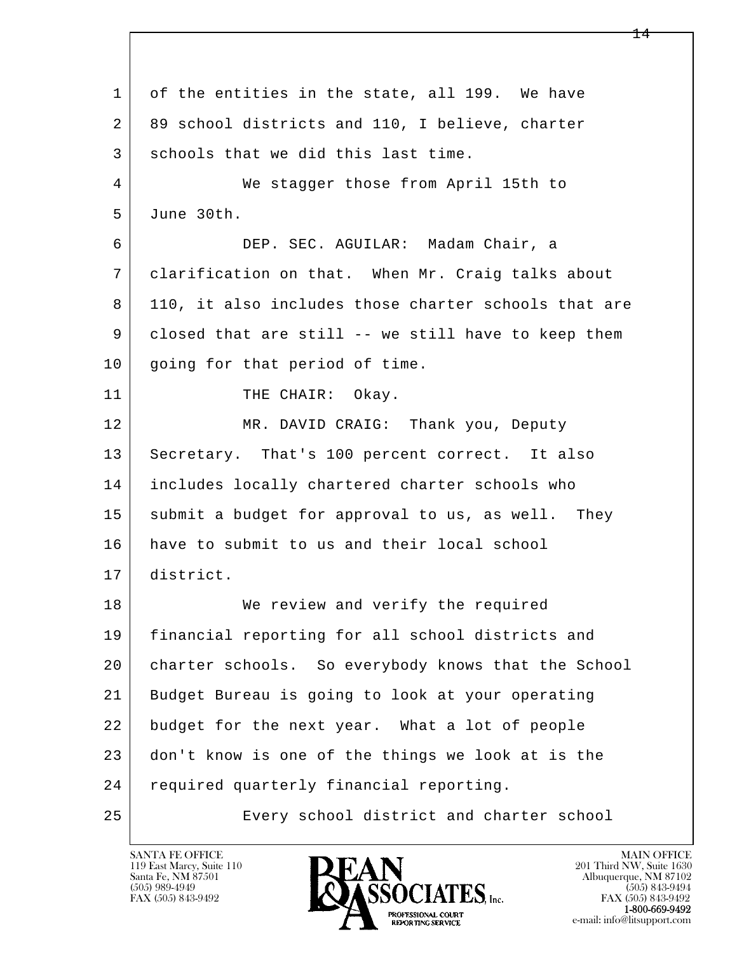l  $\overline{\phantom{a}}$ 1 of the entities in the state, all 199. We have 2 89 school districts and 110, I believe, charter 3 schools that we did this last time. 4 We stagger those from April 15th to 5 June 30th. 6 DEP. SEC. AGUILAR: Madam Chair, a 7 clarification on that. When Mr. Craig talks about 8 110, it also includes those charter schools that are 9 closed that are still -- we still have to keep them 10 | going for that period of time. 11 THE CHAIR: Okay. 12 MR. DAVID CRAIG: Thank you, Deputy 13 Secretary. That's 100 percent correct. It also 14 includes locally chartered charter schools who 15 submit a budget for approval to us, as well. They 16 have to submit to us and their local school 17 district. 18 We review and verify the required 19 financial reporting for all school districts and 20 charter schools. So everybody knows that the School 21 Budget Bureau is going to look at your operating 22 budget for the next year. What a lot of people 23 don't know is one of the things we look at is the 24 required quarterly financial reporting. 25 Every school district and charter school

119 East Marcy, Suite 110<br>Santa Fe, NM 87501

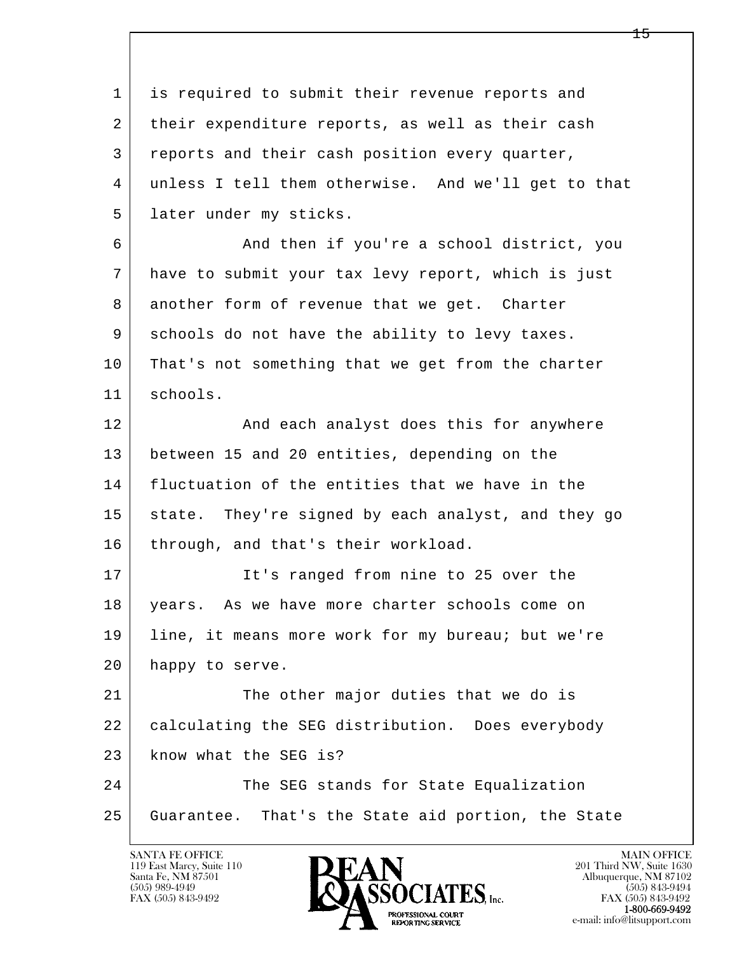l  $\overline{\phantom{a}}$  1 is required to submit their revenue reports and 2 | their expenditure reports, as well as their cash 3 reports and their cash position every quarter, 4 unless I tell them otherwise. And we'll get to that 5 | later under my sticks. 6 And then if you're a school district, you 7 have to submit your tax levy report, which is just 8 another form of revenue that we get. Charter 9 schools do not have the ability to levy taxes. 10 That's not something that we get from the charter 11 schools. 12 And each analyst does this for anywhere 13 between 15 and 20 entities, depending on the 14 fluctuation of the entities that we have in the 15 state. They're signed by each analyst, and they go 16 through, and that's their workload. 17 It's ranged from nine to 25 over the 18 | years. As we have more charter schools come on 19 line, it means more work for my bureau; but we're 20 happy to serve. 21 The other major duties that we do is 22 calculating the SEG distribution. Does everybody 23 | know what the SEG is? 24 The SEG stands for State Equalization 25 Guarantee. That's the State aid portion, the State

119 East Marcy, Suite 110<br>Santa Fe, NM 87501



FAX (505) 843-9492<br>1-800-669-9492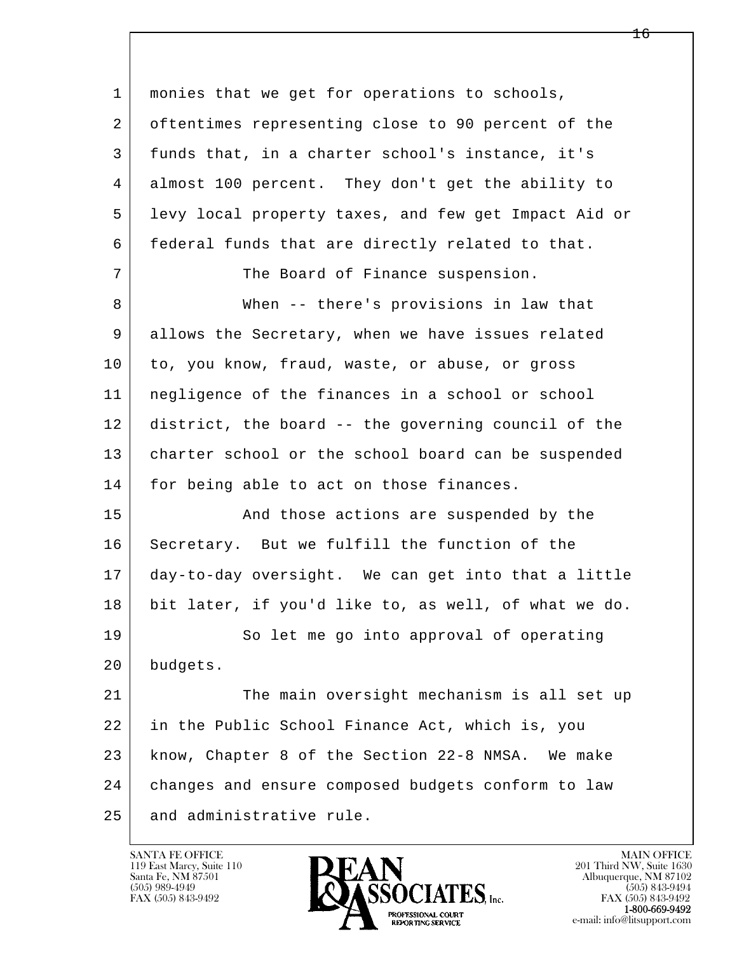l  $\overline{\phantom{a}}$  1 monies that we get for operations to schools, 2 oftentimes representing close to 90 percent of the 3 funds that, in a charter school's instance, it's 4 almost 100 percent. They don't get the ability to 5 levy local property taxes, and few get Impact Aid or 6 | federal funds that are directly related to that. 7 The Board of Finance suspension. 8 When -- there's provisions in law that 9 allows the Secretary, when we have issues related 10 to, you know, fraud, waste, or abuse, or gross 11 negligence of the finances in a school or school 12 district, the board -- the governing council of the 13 | charter school or the school board can be suspended 14 for being able to act on those finances. 15 | The Sand those actions are suspended by the 16 Secretary. But we fulfill the function of the 17 day-to-day oversight. We can get into that a little 18 bit later, if you'd like to, as well, of what we do. 19 So let me go into approval of operating 20 budgets. 21 The main oversight mechanism is all set up 22 in the Public School Finance Act, which is, you 23 know, Chapter 8 of the Section 22-8 NMSA. We make 24 changes and ensure composed budgets conform to law 25 and administrative rule.

119 East Marcy, Suite 110<br>Santa Fe, NM 87501

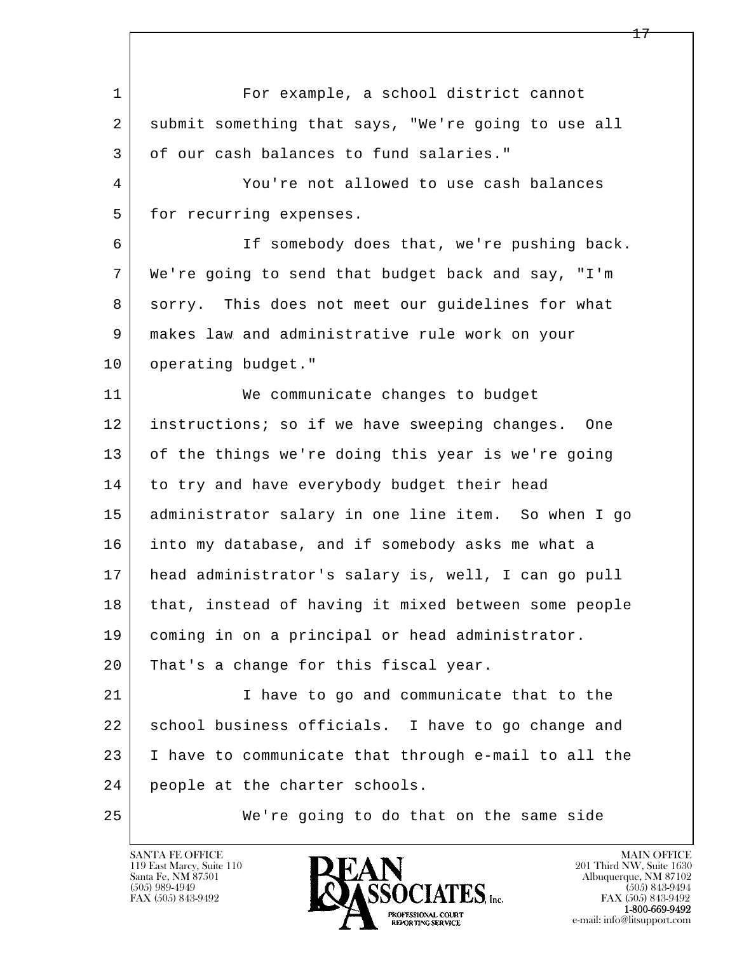l  $\overline{\phantom{a}}$ 1 For example, a school district cannot 2 submit something that says, "We're going to use all 3 of our cash balances to fund salaries." 4 You're not allowed to use cash balances 5 for recurring expenses. 6 | The somebody does that, we're pushing back. 7 We're going to send that budget back and say, "I'm 8 sorry. This does not meet our guidelines for what 9 makes law and administrative rule work on your 10 | operating budget." 11 | We communicate changes to budget 12 instructions; so if we have sweeping changes. One 13 of the things we're doing this year is we're going 14 to try and have everybody budget their head 15 administrator salary in one line item. So when I go 16 into my database, and if somebody asks me what a 17 head administrator's salary is, well, I can go pull 18 that, instead of having it mixed between some people 19 coming in on a principal or head administrator. 20 That's a change for this fiscal year. 21 I have to go and communicate that to the 22 school business officials. I have to go change and 23 I have to communicate that through e-mail to all the 24 people at the charter schools. 25 We're going to do that on the same side

119 East Marcy, Suite 110<br>Santa Fe, NM 87501

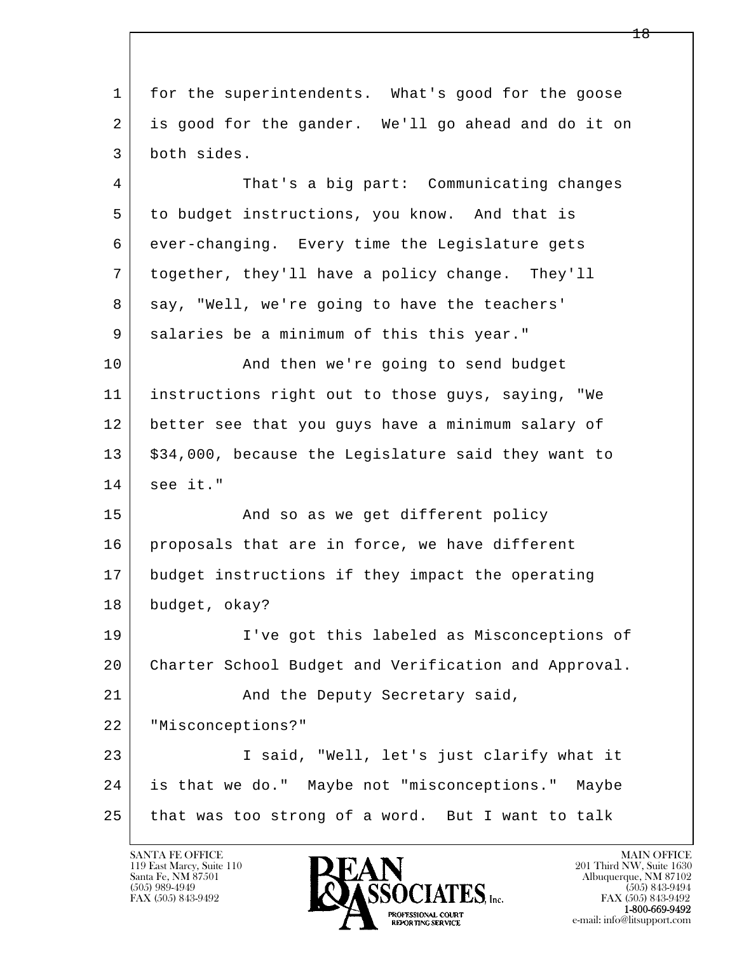l  $\overline{\phantom{a}}$  1 for the superintendents. What's good for the goose 2 is good for the gander. We'll go ahead and do it on 3 both sides. 4 That's a big part: Communicating changes 5 to budget instructions, you know. And that is 6 ever-changing. Every time the Legislature gets 7 together, they'll have a policy change. They'll 8 say, "Well, we're going to have the teachers' 9 | salaries be a minimum of this this year." 10 | And then we're going to send budget 11 instructions right out to those guys, saying, "We 12 better see that you guys have a minimum salary of 13 | \$34,000, because the Legislature said they want to 14 see it." 15 | The Sand so as we get different policy 16 proposals that are in force, we have different 17 budget instructions if they impact the operating 18 budget, okay? 19 I've got this labeled as Misconceptions of 20 Charter School Budget and Verification and Approval. 21 | Rind the Deputy Secretary said, 22 "Misconceptions?" 23 I said, "Well, let's just clarify what it 24 is that we do." Maybe not "misconceptions." Maybe 25 that was too strong of a word. But I want to talk

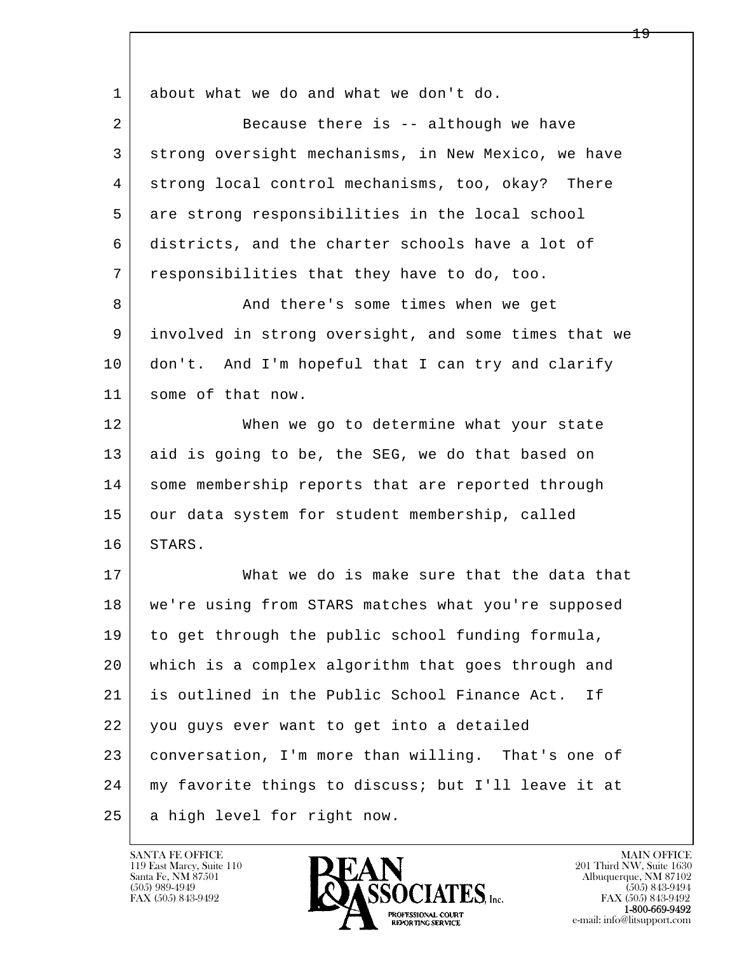| 1              | about what we do and what we don't do.               |
|----------------|------------------------------------------------------|
| $\overline{2}$ | Because there is -- although we have                 |
| 3              | strong oversight mechanisms, in New Mexico, we have  |
| 4              | strong local control mechanisms, too, okay? There    |
| 5              | are strong responsibilities in the local school      |
| 6              | districts, and the charter schools have a lot of     |
| 7              | responsibilities that they have to do, too.          |
| 8              | And there's some times when we get                   |
| 9              | involved in strong oversight, and some times that we |
| 10             | don't. And I'm hopeful that I can try and clarify    |
| 11             | some of that now.                                    |
| 12             | When we go to determine what your state              |
| 13             | aid is going to be, the SEG, we do that based on     |
| 14             | some membership reports that are reported through    |
| 15             | our data system for student membership, called       |
| 16             | STARS.                                               |
| 17             | What we do is make sure that the data that           |
| 18             | we're using from STARS matches what you're supposed  |
| 19             | to get through the public school funding formula,    |
| 20             | which is a complex algorithm that goes through and   |
| 21             | is outlined in the Public School Finance Act.<br>Ιf  |
| 22             | you guys ever want to get into a detailed            |
| 23             | conversation, I'm more than willing. That's one of   |
| 24             | my favorite things to discuss; but I'll leave it at  |
| 25             | a high level for right now.                          |

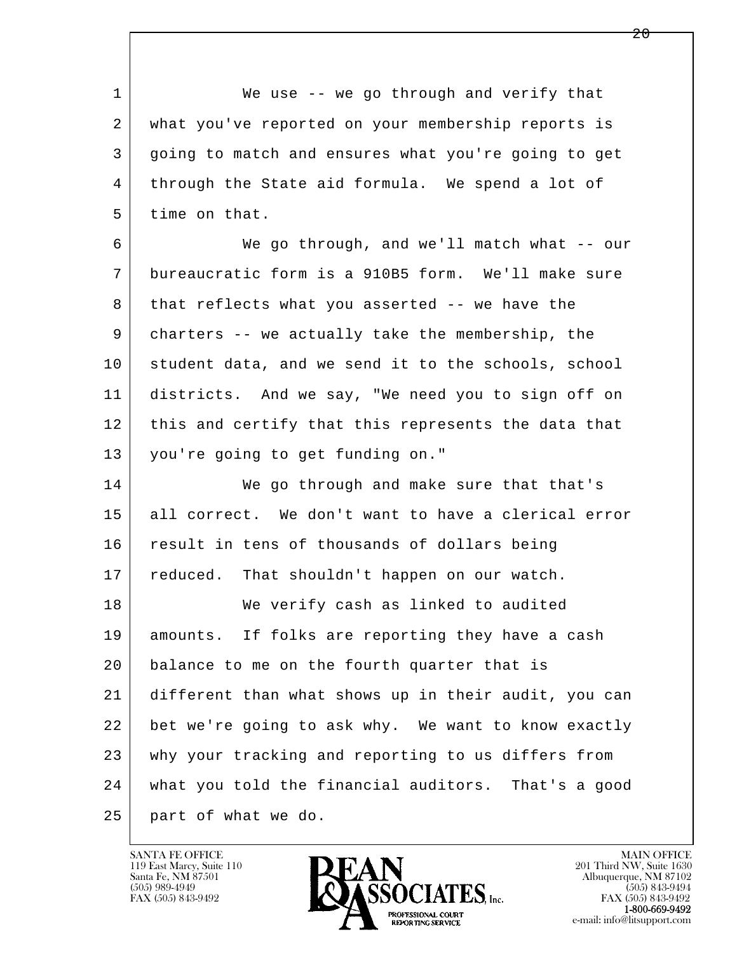1 We use -- we go through and verify that 2 what you've reported on your membership reports is 3 going to match and ensures what you're going to get 4 through the State aid formula. We spend a lot of 5 time on that.

 6 We go through, and we'll match what -- our 7 bureaucratic form is a 910B5 form. We'll make sure 8 that reflects what you asserted -- we have the 9 charters -- we actually take the membership, the 10 student data, and we send it to the schools, school 11 districts. And we say, "We need you to sign off on 12 this and certify that this represents the data that 13 you're going to get funding on."

l  $\overline{\phantom{a}}$ 14 We go through and make sure that that's 15 all correct. We don't want to have a clerical error 16 result in tens of thousands of dollars being 17 | reduced. That shouldn't happen on our watch. 18 We verify cash as linked to audited 19 amounts. If folks are reporting they have a cash 20 | balance to me on the fourth quarter that is 21 different than what shows up in their audit, you can 22 bet we're going to ask why. We want to know exactly 23 why your tracking and reporting to us differs from 24 what you told the financial auditors. That's a good 25 part of what we do.

119 East Marcy, Suite 110<br>Santa Fe, NM 87501

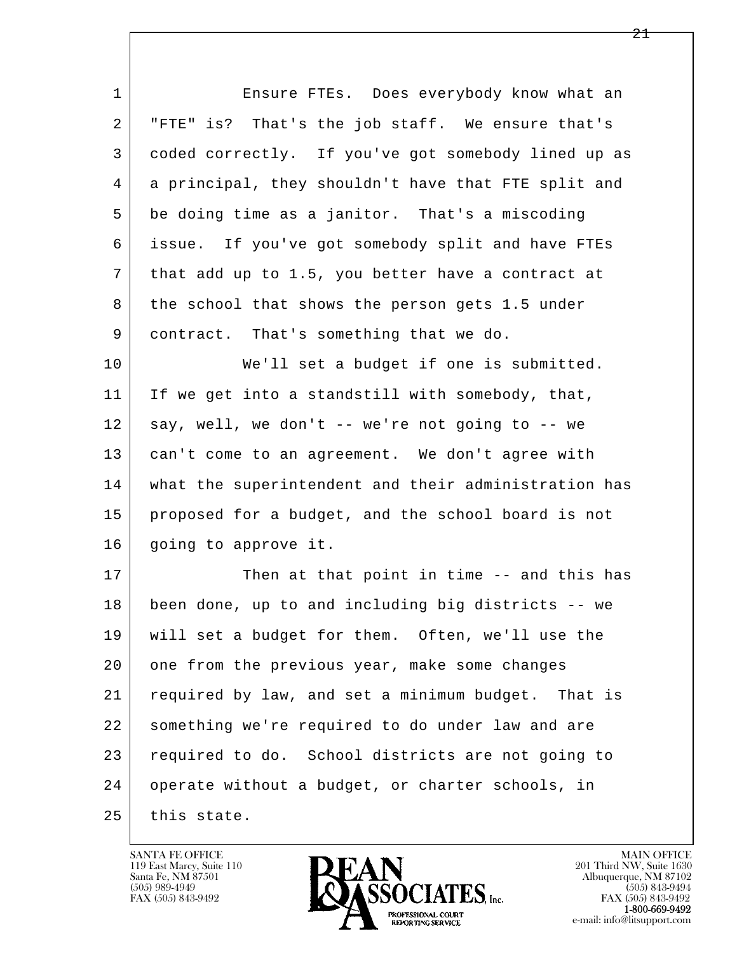| $\mathbf{1}$   | Ensure FTEs. Does everybody know what an             |
|----------------|------------------------------------------------------|
| 2              | "FTE" is? That's the job staff. We ensure that's     |
| 3              | coded correctly. If you've got somebody lined up as  |
| $\overline{4}$ | a principal, they shouldn't have that FTE split and  |
| 5              | be doing time as a janitor. That's a miscoding       |
| 6              | issue. If you've got somebody split and have FTEs    |
| 7              | that add up to 1.5, you better have a contract at    |
| 8              | the school that shows the person gets 1.5 under      |
| 9              | contract. That's something that we do.               |
| 10             | We'll set a budget if one is submitted.              |
| 11             | If we get into a standstill with somebody, that,     |
| 12             | say, well, we don't -- we're not going to -- we      |
| 13             | can't come to an agreement. We don't agree with      |
| 14             | what the superintendent and their administration has |
| 15             | proposed for a budget, and the school board is not   |
| 16             | going to approve it.                                 |
| 17             | Then at that point in time -- and this has           |
| 18             | been done, up to and including big districts -- we   |
| 19             | will set a budget for them. Often, we'll use the     |
| 20             | one from the previous year, make some changes        |
| 21             | required by law, and set a minimum budget. That is   |
| 22             | something we're required to do under law and are     |
| 23             | required to do. School districts are not going to    |
| 24             | operate without a budget, or charter schools, in     |
| 25             | this state.                                          |

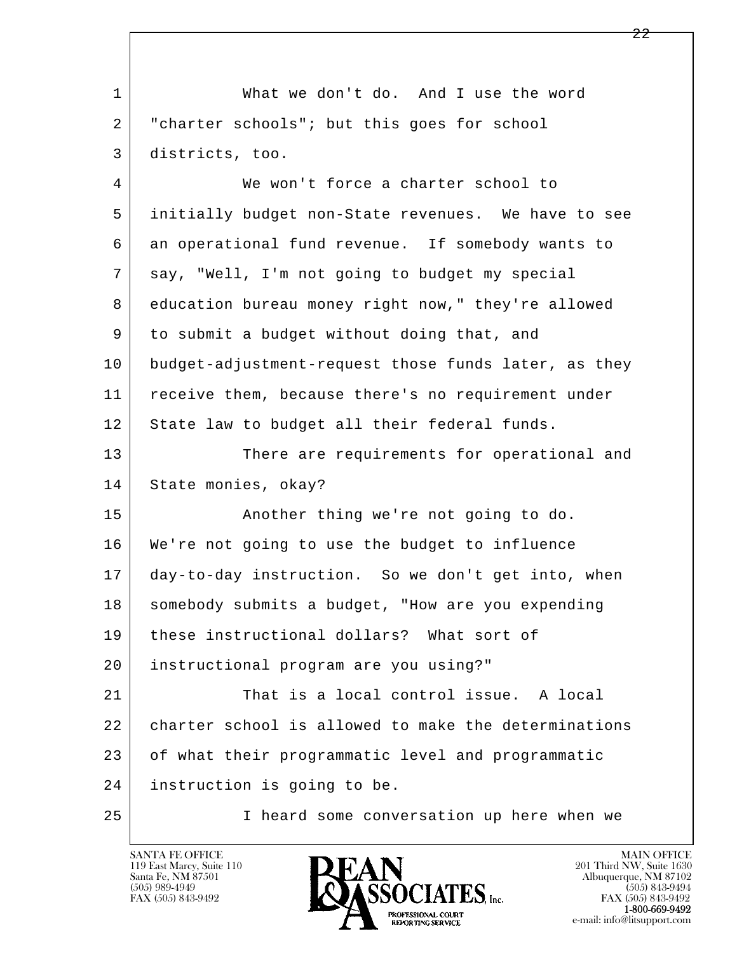| $\mathbf{1}$ | What we don't do. And I use the word                 |
|--------------|------------------------------------------------------|
| 2            | "charter schools"; but this goes for school          |
| 3            | districts, too.                                      |
| 4            | We won't force a charter school to                   |
| 5            | initially budget non-State revenues. We have to see  |
| 6            | an operational fund revenue. If somebody wants to    |
| 7            | say, "Well, I'm not going to budget my special       |
| 8            | education bureau money right now," they're allowed   |
| 9            | to submit a budget without doing that, and           |
| 10           | budget-adjustment-request those funds later, as they |
| 11           | receive them, because there's no requirement under   |
| 12           | State law to budget all their federal funds.         |
| 13           | There are requirements for operational and           |
| 14           | State monies, okay?                                  |
| 15           | Another thing we're not going to do.                 |
| 16           | We're not going to use the budget to influence       |
| 17           | day-to-day instruction. So we don't get into, when   |
| 18           | somebody submits a budget, "How are you expending    |
| 19           | these instructional dollars? What sort of            |
| 20           | instructional program are you using?"                |
| 21           | That is a local control issue. A local               |
| 22           | charter school is allowed to make the determinations |
| 23           | of what their programmatic level and programmatic    |
| 24           | instruction is going to be.                          |
| 25           | I heard some conversation up here when we            |

 $\lceil$ 

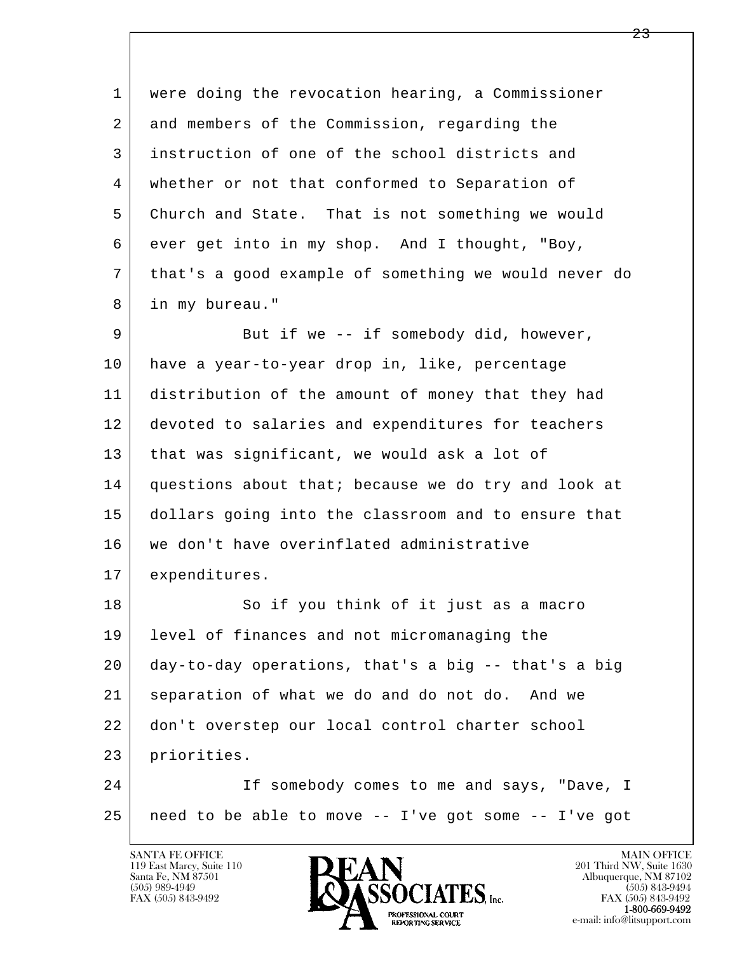l  $\overline{\phantom{a}}$  1 were doing the revocation hearing, a Commissioner 2 and members of the Commission, regarding the 3 instruction of one of the school districts and 4 whether or not that conformed to Separation of 5 Church and State. That is not something we would 6 ever get into in my shop. And I thought, "Boy, 7 that's a good example of something we would never do 8 in my bureau." 9 But if we -- if somebody did, however, 10 have a year-to-year drop in, like, percentage 11 distribution of the amount of money that they had 12 devoted to salaries and expenditures for teachers 13 | that was significant, we would ask a lot of 14 questions about that; because we do try and look at 15 dollars going into the classroom and to ensure that 16 we don't have overinflated administrative 17 | expenditures. 18 So if you think of it just as a macro 19 level of finances and not micromanaging the 20 day-to-day operations, that's a big -- that's a big 21 separation of what we do and do not do. And we 22 don't overstep our local control charter school 23 priorities. 24 | Tf somebody comes to me and says, "Dave, I 25 need to be able to move -- I've got some -- I've got

119 East Marcy, Suite 110<br>Santa Fe, NM 87501

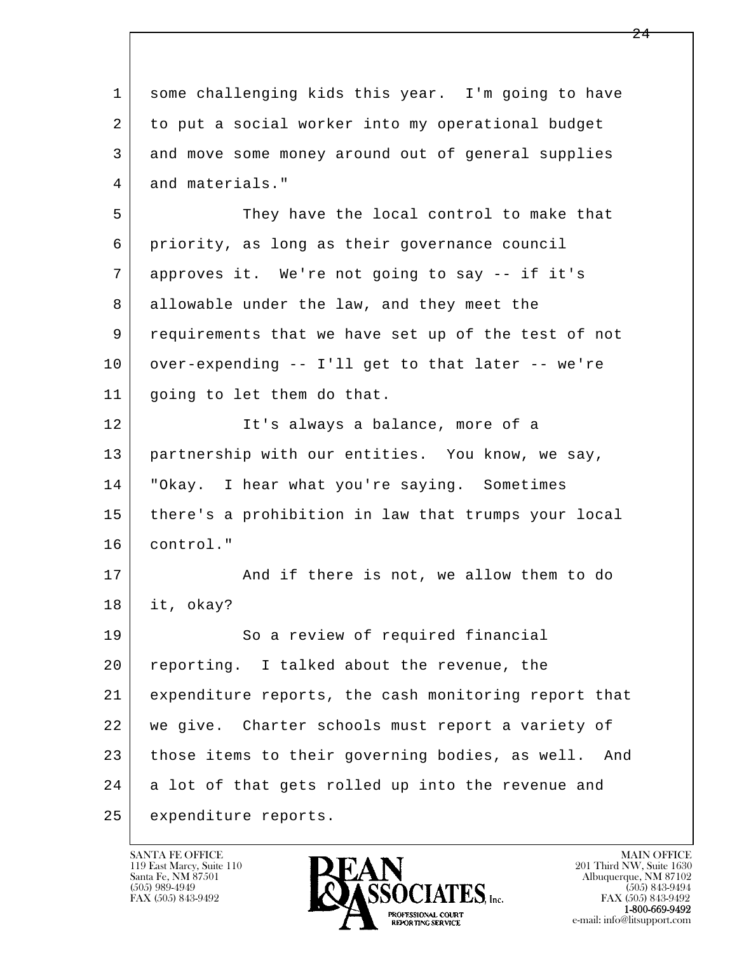| $\mathbf 1$ | some challenging kids this year. I'm going to have     |
|-------------|--------------------------------------------------------|
| 2           | to put a social worker into my operational budget      |
| 3           | and move some money around out of general supplies     |
| 4           | and materials."                                        |
| 5           | They have the local control to make that               |
| 6           | priority, as long as their governance council          |
| 7           | approves it. We're not going to say -- if it's         |
| 8           | allowable under the law, and they meet the             |
| 9           | requirements that we have set up of the test of not    |
| 10          | over-expending -- I'll get to that later -- we're      |
| 11          | going to let them do that.                             |
| 12          | It's always a balance, more of a                       |
| 13          | partnership with our entities. You know, we say,       |
| 14          | "Okay. I hear what you're saying. Sometimes            |
| 15          | there's a prohibition in law that trumps your local    |
| 16          | control."                                              |
| 17          | And if there is not, we allow them to do               |
| 18          | it, okay?                                              |
| 19          | So a review of required financial                      |
| 20          | reporting. I talked about the revenue, the             |
| 21          | expenditure reports, the cash monitoring report that   |
| 22          | we give. Charter schools must report a variety of      |
| 23          | those items to their governing bodies, as well.<br>And |
| 24          | a lot of that gets rolled up into the revenue and      |
| 25          | expenditure reports.                                   |

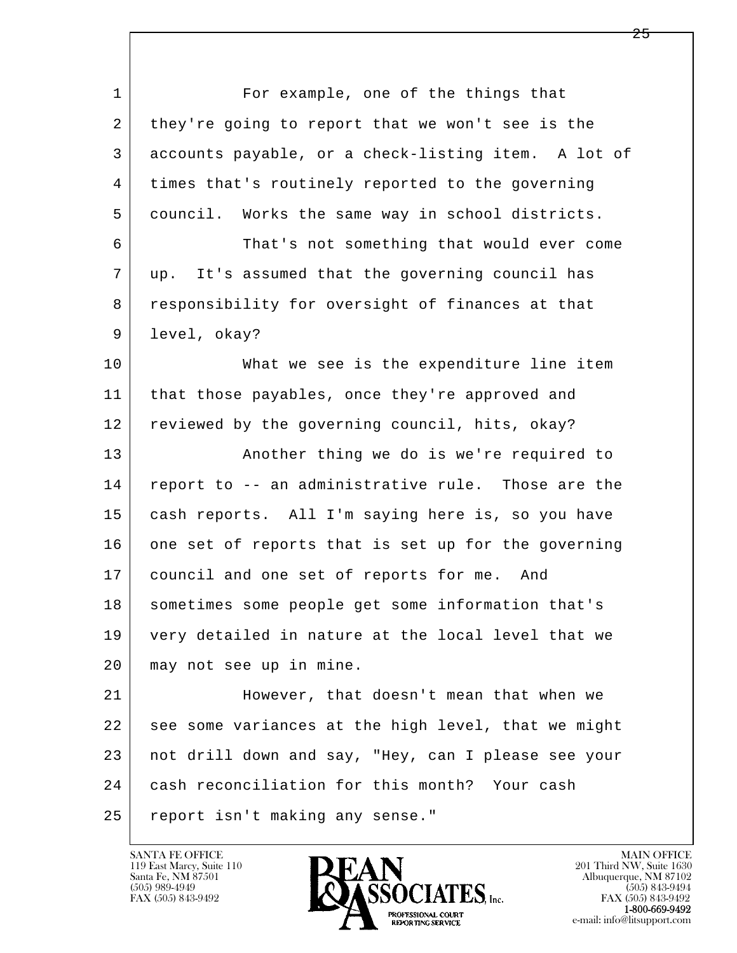l  $\overline{\phantom{a}}$ 1 For example, one of the things that 2 they're going to report that we won't see is the 3 accounts payable, or a check-listing item. A lot of 4 times that's routinely reported to the governing 5 council. Works the same way in school districts. 6 That's not something that would ever come 7 up. It's assumed that the governing council has 8 responsibility for oversight of finances at that 9 level, okay? 10 What we see is the expenditure line item 11 | that those payables, once they're approved and 12 reviewed by the governing council, hits, okay? 13 | Another thing we do is we're required to 14 report to -- an administrative rule. Those are the 15 cash reports. All I'm saying here is, so you have 16 one set of reports that is set up for the governing 17 | council and one set of reports for me. And 18 sometimes some people get some information that's 19 very detailed in nature at the local level that we 20 may not see up in mine. 21 However, that doesn't mean that when we 22 see some variances at the high level, that we might 23 not drill down and say, "Hey, can I please see your 24 cash reconciliation for this month? Your cash 25 report isn't making any sense."

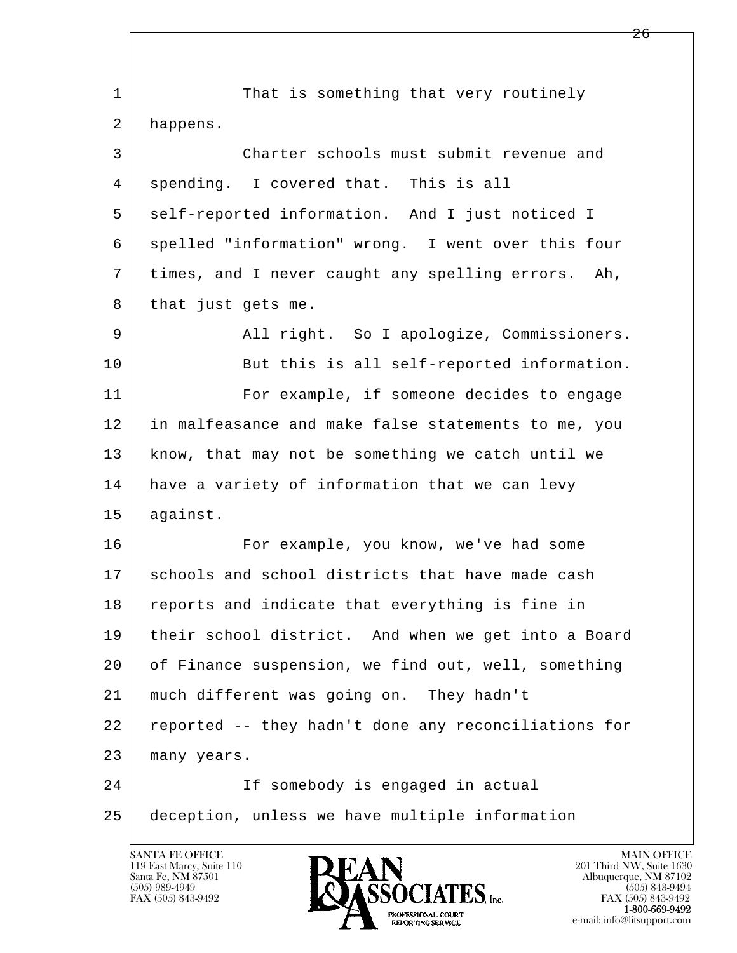| $\mathbf 1$ | That is something that very routinely                |
|-------------|------------------------------------------------------|
| 2           | happens.                                             |
| 3           | Charter schools must submit revenue and              |
| 4           | spending. I covered that. This is all                |
| 5           | self-reported information. And I just noticed I      |
| 6           | spelled "information" wrong. I went over this four   |
| 7           | times, and I never caught any spelling errors. Ah,   |
| 8           | that just gets me.                                   |
| 9           | All right. So I apologize, Commissioners.            |
| 10          | But this is all self-reported information.           |
| 11          | For example, if someone decides to engage            |
| 12          | in malfeasance and make false statements to me, you  |
| 13          | know, that may not be something we catch until we    |
| 14          | have a variety of information that we can levy       |
| 15          | against.                                             |
| 16          | For example, you know, we've had some                |
| 17          | schools and school districts that have made cash     |
| 18          | reports and indicate that everything is fine in      |
| 19          | their school district. And when we get into a Board  |
| 20          | of Finance suspension, we find out, well, something  |
| 21          | much different was going on. They hadn't             |
| 22          | reported -- they hadn't done any reconciliations for |
| 23          | many years.                                          |
| 24          | If somebody is engaged in actual                     |
| 25          | deception, unless we have multiple information       |
|             |                                                      |

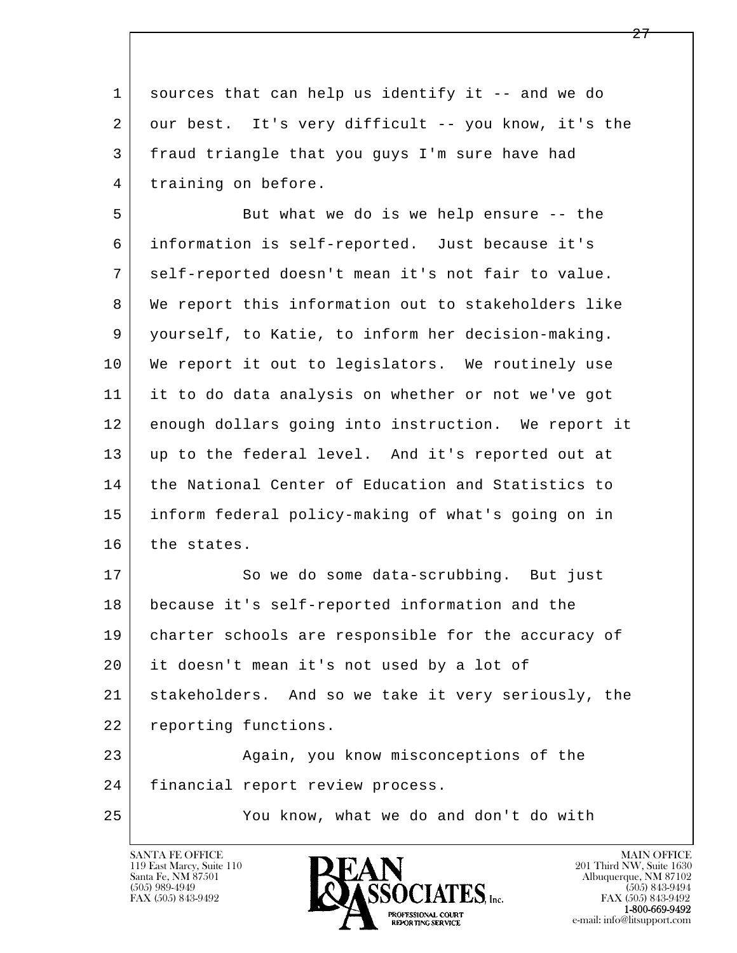1 sources that can help us identify it -- and we do 2 our best. It's very difficult -- you know, it's the 3 fraud triangle that you guys I'm sure have had 4 | training on before.

5 But what we do is we help ensure -- the 6 information is self-reported. Just because it's 7 self-reported doesn't mean it's not fair to value. 8 We report this information out to stakeholders like 9 yourself, to Katie, to inform her decision-making. 10 We report it out to legislators. We routinely use 11 it to do data analysis on whether or not we've got 12 enough dollars going into instruction. We report it 13 up to the federal level. And it's reported out at 14 the National Center of Education and Statistics to 15 inform federal policy-making of what's going on in 16 the states.

l 17 So we do some data-scrubbing. But just 18 because it's self-reported information and the 19 charter schools are responsible for the accuracy of 20 it doesn't mean it's not used by a lot of 21 stakeholders. And so we take it very seriously, the 22 reporting functions. 23 | Again, you know misconceptions of the

 $\overline{\phantom{a}}$ 24 | financial report review process.

25 You know, what we do and don't do with

119 East Marcy, Suite 110<br>Santa Fe, NM 87501

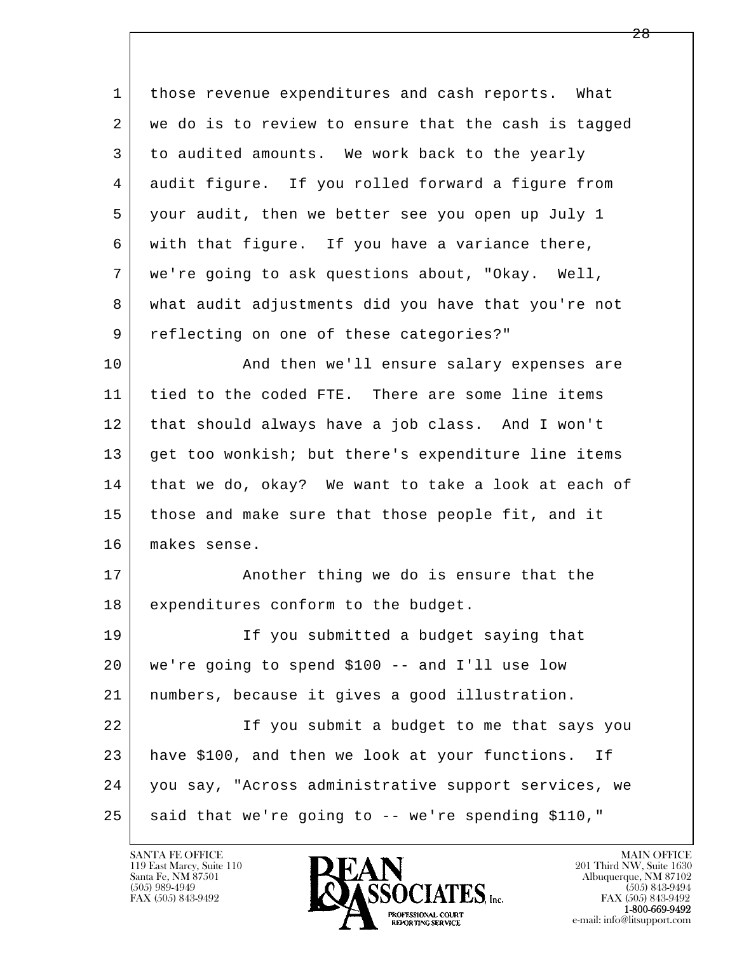| $\mathbf 1$ | those revenue expenditures and cash reports. What    |
|-------------|------------------------------------------------------|
| 2           | we do is to review to ensure that the cash is tagged |
| 3           | to audited amounts. We work back to the yearly       |
| 4           | audit figure. If you rolled forward a figure from    |
| 5           | your audit, then we better see you open up July 1    |
| 6           | with that figure. If you have a variance there,      |
| 7           | we're going to ask questions about, "Okay. Well,     |
| 8           | what audit adjustments did you have that you're not  |
| 9           | reflecting on one of these categories?"              |
| 10          | And then we'll ensure salary expenses are            |
| 11          | tied to the coded FTE. There are some line items     |
| 12          | that should always have a job class. And I won't     |
| 13          | get too wonkish; but there's expenditure line items  |
| 14          | that we do, okay? We want to take a look at each of  |
| 15          | those and make sure that those people fit, and it    |
| 16          | makes sense.                                         |
| 17          | Another thing we do is ensure that the               |
| 18          | expenditures conform to the budget.                  |
| 19          | If you submitted a budget saying that                |
| 20          | we're going to spend \$100 -- and I'll use low       |
| 21          | numbers, because it gives a good illustration.       |
| 22          | If you submit a budget to me that says you           |
| 23          | have \$100, and then we look at your functions. If   |
| 24          | you say, "Across administrative support services, we |
| 25          | said that we're going to -- we're spending \$110,"   |

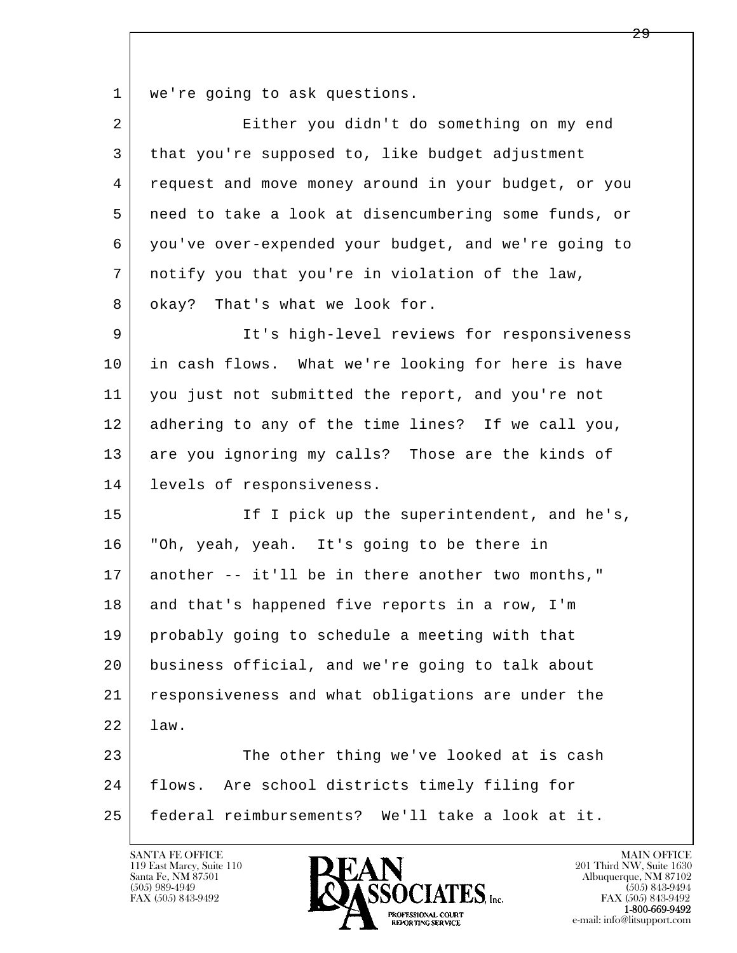1 | we're going to ask questions.

| $\overline{a}$ | Either you didn't do something on my end             |
|----------------|------------------------------------------------------|
| 3              | that you're supposed to, like budget adjustment      |
| 4              | request and move money around in your budget, or you |
| 5              | need to take a look at disencumbering some funds, or |
| 6              | you've over-expended your budget, and we're going to |
| 7              | notify you that you're in violation of the law,      |
| 8              | okay? That's what we look for.                       |
| 9              | It's high-level reviews for responsiveness           |
| 10             | in cash flows. What we're looking for here is have   |
| 11             | you just not submitted the report, and you're not    |
| 12             | adhering to any of the time lines? If we call you,   |
| 13             | are you ignoring my calls? Those are the kinds of    |
| 14             | levels of responsiveness.                            |
| 15             | If I pick up the superintendent, and he's,           |
| 16             | "Oh, yeah, yeah. It's going to be there in           |
| 17             | another -- it'll be in there another two months,"    |
| 18             | and that's happened five reports in a row, I'm       |
| 19             | probably going to schedule a meeting with that       |
| 20             | business official, and we're going to talk about     |
| 21             | responsiveness and what obligations are under the    |
| 22             | law.                                                 |
| 23             | The other thing we've looked at is cash              |
| 24             | flows.<br>Are school districts timely filing for     |
| 25             | federal reimbursements? We'll take a look at it.     |
|                |                                                      |

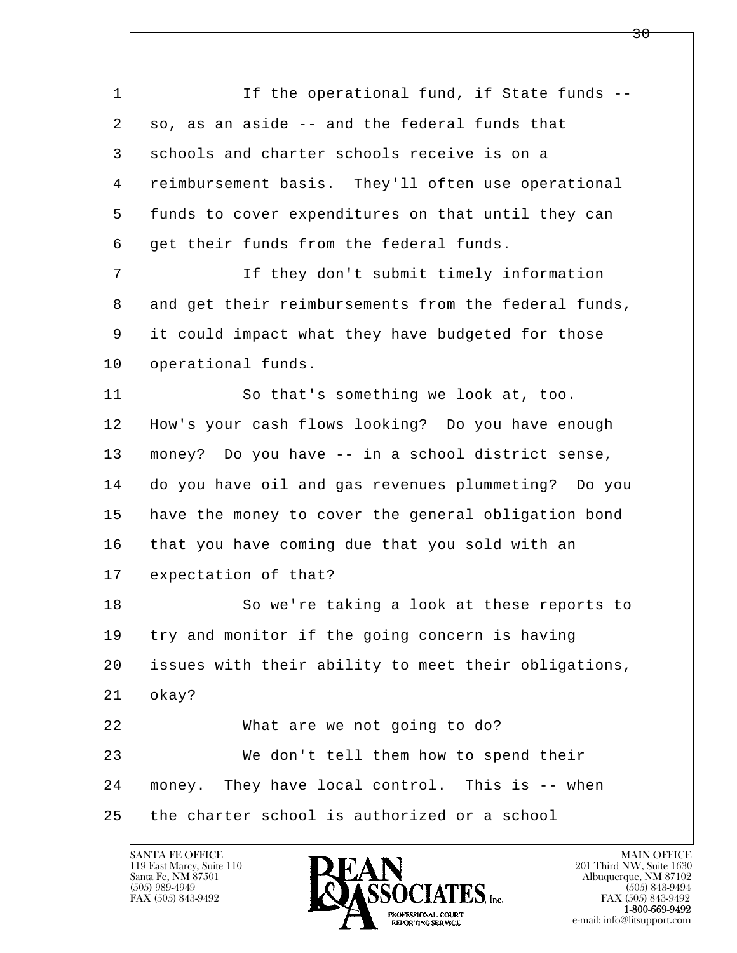l  $\overline{\phantom{a}}$ 1 If the operational fund, if State funds -- $2 \mid$  so, as an aside  $-$  and the federal funds that 3 schools and charter schools receive is on a 4 reimbursement basis. They'll often use operational 5 funds to cover expenditures on that until they can 6 get their funds from the federal funds. 7 If they don't submit timely information 8 and get their reimbursements from the federal funds, 9 it could impact what they have budgeted for those 10 | operational funds. 11 So that's something we look at, too. 12 How's your cash flows looking? Do you have enough 13 money? Do you have -- in a school district sense, 14 do you have oil and gas revenues plummeting? Do you 15 have the money to cover the general obligation bond 16 that you have coming due that you sold with an 17 expectation of that? 18 So we're taking a look at these reports to 19 try and monitor if the going concern is having 20 issues with their ability to meet their obligations, 21 okay? 22 What are we not going to do? 23 We don't tell them how to spend their 24 money. They have local control. This is -- when 25 the charter school is authorized or a school

119 East Marcy, Suite 110<br>Santa Fe, NM 87501

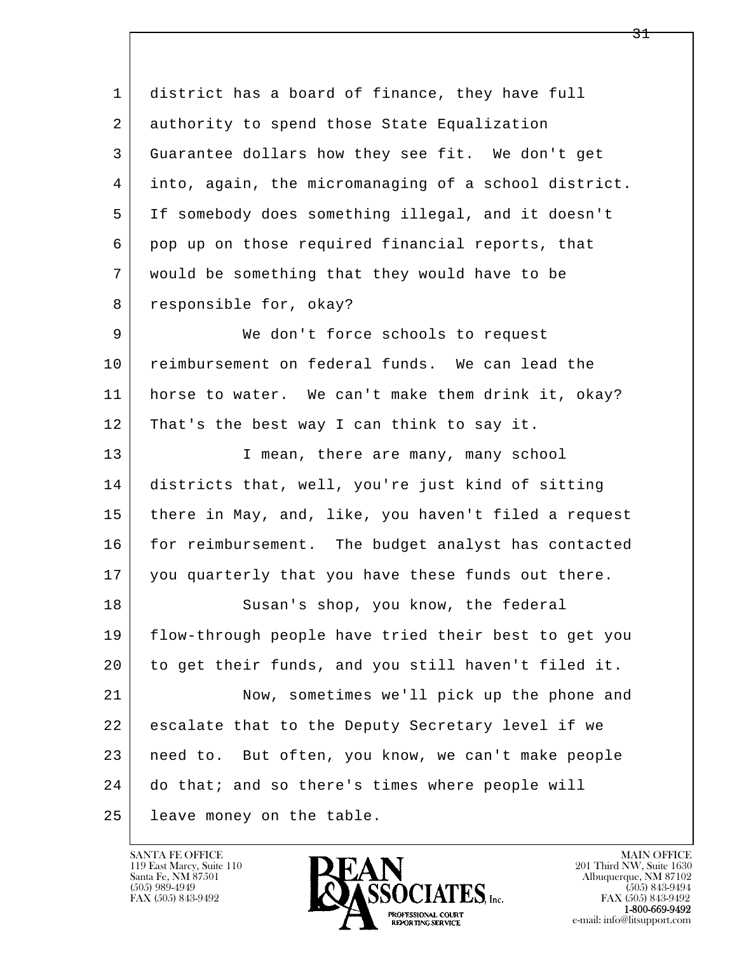l  $\overline{\phantom{a}}$  1 district has a board of finance, they have full 2 authority to spend those State Equalization 3 Guarantee dollars how they see fit. We don't get 4 into, again, the micromanaging of a school district. 5 If somebody does something illegal, and it doesn't 6 pop up on those required financial reports, that 7 would be something that they would have to be 8 | responsible for, okay? 9 We don't force schools to request 10 reimbursement on federal funds. We can lead the 11 horse to water. We can't make them drink it, okay? 12 That's the best way I can think to say it. 13 I mean, there are many, many school 14 districts that, well, you're just kind of sitting 15 there in May, and, like, you haven't filed a request 16 for reimbursement. The budget analyst has contacted 17 you quarterly that you have these funds out there. 18 Susan's shop, you know, the federal 19 flow-through people have tried their best to get you 20 to get their funds, and you still haven't filed it. 21 Now, sometimes we'll pick up the phone and 22 escalate that to the Deputy Secretary level if we 23 need to. But often, you know, we can't make people 24 do that; and so there's times where people will 25 leave money on the table.

119 East Marcy, Suite 110<br>Santa Fe, NM 87501

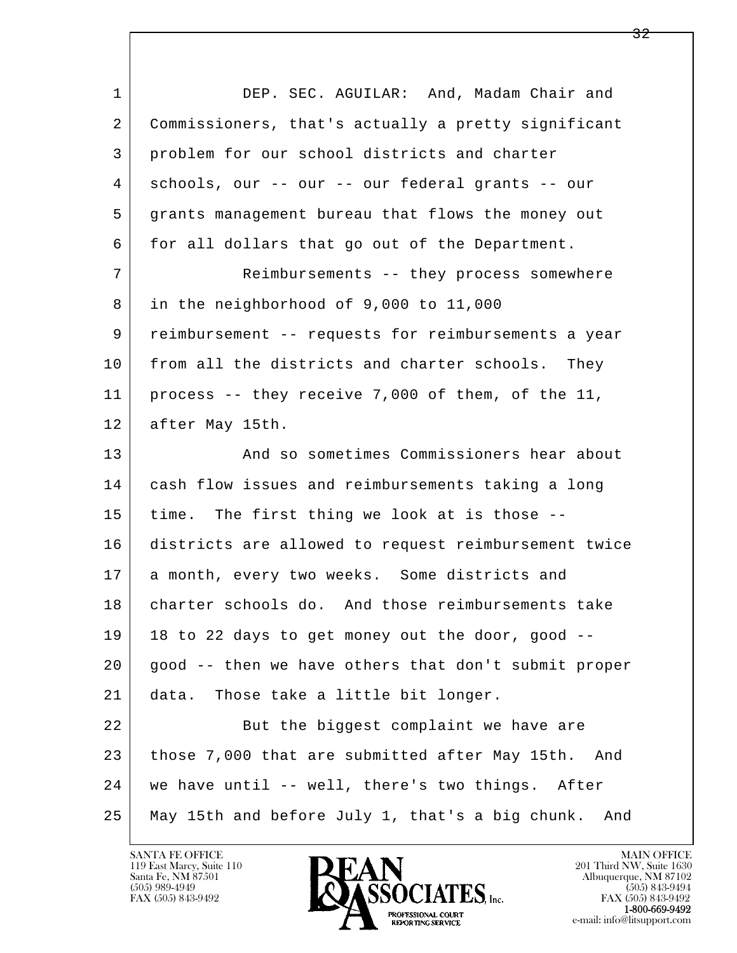| $\mathbf{1}$ | DEP. SEC. AGUILAR: And, Madam Chair and                |
|--------------|--------------------------------------------------------|
| 2            | Commissioners, that's actually a pretty significant    |
| 3            | problem for our school districts and charter           |
| 4            | schools, our -- our -- our federal grants -- our       |
| 5            | grants management bureau that flows the money out      |
| 6            | for all dollars that go out of the Department.         |
| 7            | Reimbursements -- they process somewhere               |
| 8            | in the neighborhood of 9,000 to 11,000                 |
| 9            | reimbursement -- requests for reimbursements a year    |
| 10           | from all the districts and charter schools. They       |
| 11           | process -- they receive 7,000 of them, of the 11,      |
| 12           | after May 15th.                                        |
| 13           | And so sometimes Commissioners hear about              |
| 14           | cash flow issues and reimbursements taking a long      |
| 15           | time. The first thing we look at is those --           |
| 16           | districts are allowed to request reimbursement twice   |
| 17           | a month, every two weeks. Some districts and           |
| 18           | charter schools do. And those reimbursements take      |
| 19           | 18 to 22 days to get money out the door, good --       |
| 20           | good -- then we have others that don't submit proper   |
| 21           | Those take a little bit longer.<br>data.               |
| 22           | But the biggest complaint we have are                  |
| 23           | those 7,000 that are submitted after May 15th.<br>And  |
| 24           | we have until -- well, there's two things. After       |
| 25           | May 15th and before July 1, that's a big chunk.<br>And |

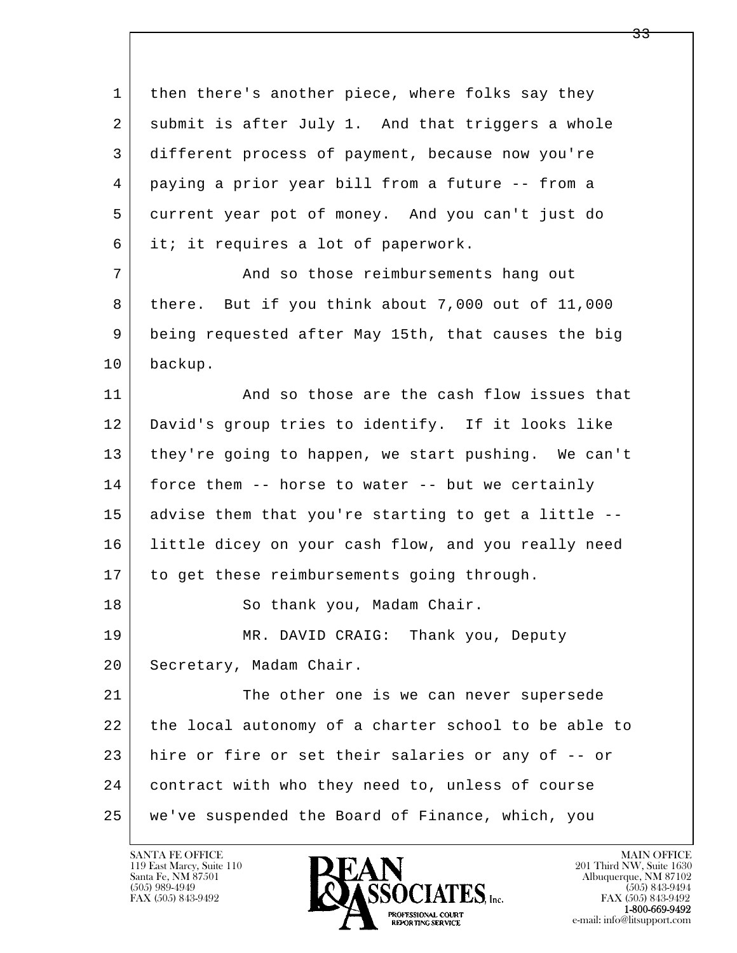l  $\overline{\phantom{a}}$ 1 then there's another piece, where folks say they 2 submit is after July 1. And that triggers a whole 3 different process of payment, because now you're 4 paying a prior year bill from a future -- from a 5 current year pot of money. And you can't just do 6 it; it requires a lot of paperwork. 7 And so those reimbursements hang out 8 there. But if you think about 7,000 out of 11,000 9 being requested after May 15th, that causes the big 10 backup. 11 and so those are the cash flow issues that 12 David's group tries to identify. If it looks like 13 they're going to happen, we start pushing. We can't 14 force them -- horse to water -- but we certainly 15 advise them that you're starting to get a little -- 16 little dicey on your cash flow, and you really need 17 to get these reimbursements going through. 18 | So thank you, Madam Chair. 19 MR. DAVID CRAIG: Thank you, Deputy 20 | Secretary, Madam Chair. 21 The other one is we can never supersede 22 the local autonomy of a charter school to be able to 23 hire or fire or set their salaries or any of -- or 24 contract with who they need to, unless of course 25 we've suspended the Board of Finance, which, you

119 East Marcy, Suite 110<br>Santa Fe, NM 87501

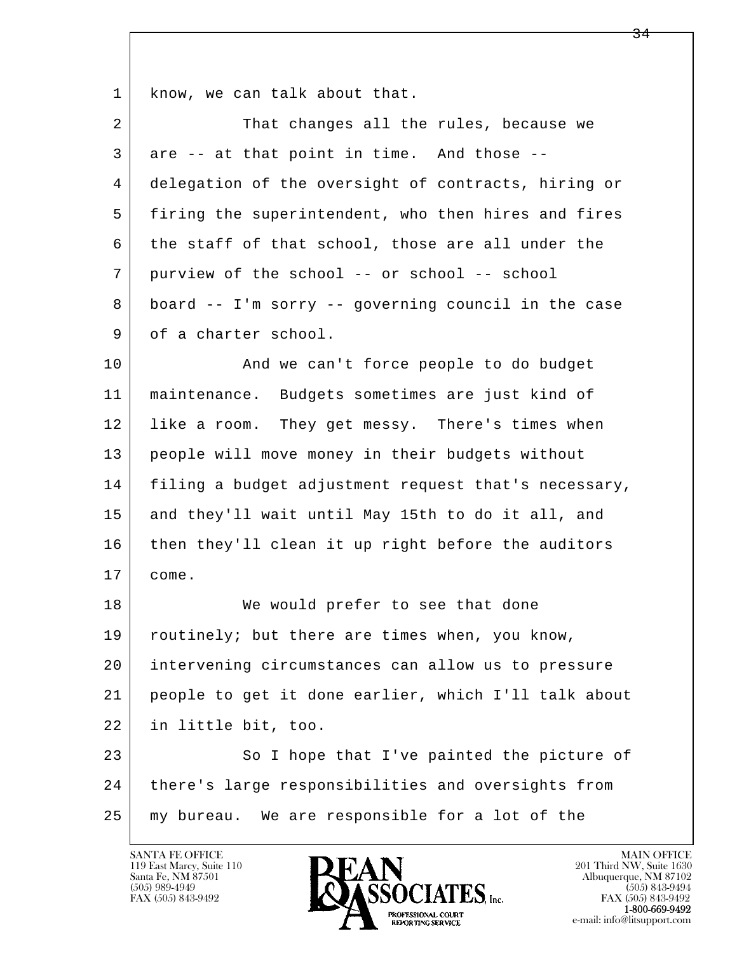1 know, we can talk about that.

| 2  | That changes all the rules, because we               |
|----|------------------------------------------------------|
| 3  | are -- at that point in time. And those --           |
| 4  | delegation of the oversight of contracts, hiring or  |
| 5  | firing the superintendent, who then hires and fires  |
| 6  | the staff of that school, those are all under the    |
| 7  | purview of the school -- or school -- school         |
| 8  | board -- I'm sorry -- governing council in the case  |
| 9  | of a charter school.                                 |
| 10 | And we can't force people to do budget               |
| 11 | maintenance. Budgets sometimes are just kind of      |
| 12 | like a room. They get messy. There's times when      |
| 13 | people will move money in their budgets without      |
| 14 | filing a budget adjustment request that's necessary, |
| 15 | and they'll wait until May 15th to do it all, and    |
| 16 | then they'll clean it up right before the auditors   |
| 17 | come.                                                |
| 18 | We would prefer to see that done                     |
| 19 | routinely; but there are times when, you know,       |
| 20 | intervening circumstances can allow us to pressure   |
| 21 | people to get it done earlier, which I'll talk about |
| 22 | in little bit, too.                                  |
| 23 | So I hope that I've painted the picture of           |

l  $\overline{\phantom{a}}$ 24 there's large responsibilities and oversights from 25 | my bureau. We are responsible for a lot of the



e-mail: info@litsupport.com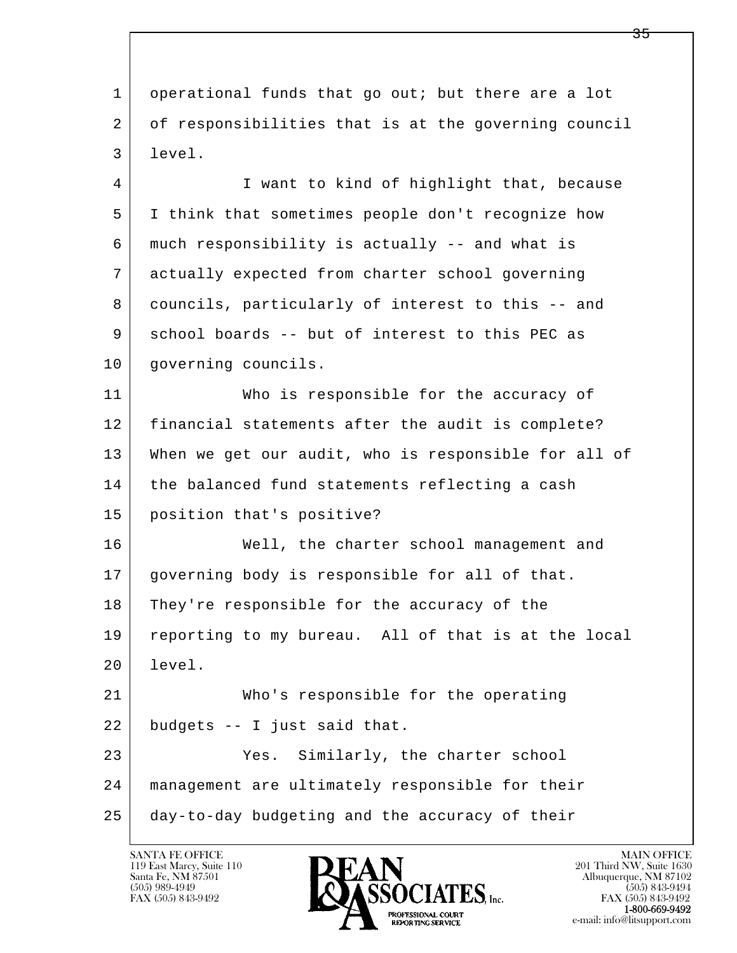l  $\overline{\phantom{a}}$  1 operational funds that go out; but there are a lot 2 of responsibilities that is at the governing council 3 level. 4 I want to kind of highlight that, because 5 I think that sometimes people don't recognize how 6 much responsibility is actually -- and what is 7 actually expected from charter school governing 8 councils, particularly of interest to this -- and 9 school boards -- but of interest to this PEC as 10 | governing councils. 11 Who is responsible for the accuracy of 12 financial statements after the audit is complete? 13 When we get our audit, who is responsible for all of 14 the balanced fund statements reflecting a cash 15 position that's positive? 16 | Well, the charter school management and 17 governing body is responsible for all of that. 18 They're responsible for the accuracy of the 19 reporting to my bureau. All of that is at the local 20 level. 21 Who's responsible for the operating 22 budgets -- I just said that. 23 Yes. Similarly, the charter school 24 management are ultimately responsible for their 25 day-to-day budgeting and the accuracy of their

119 East Marcy, Suite 110<br>Santa Fe, NM 87501

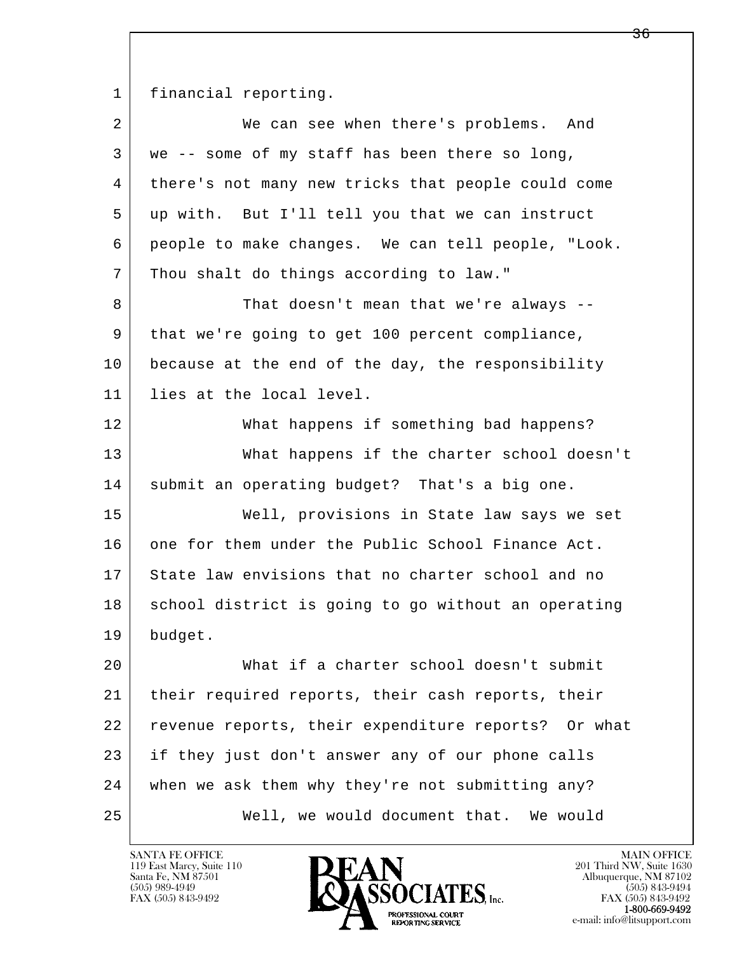1 financial reporting.

| $\overline{2}$ | We can see when there's problems. And               |
|----------------|-----------------------------------------------------|
| 3              | we -- some of my staff has been there so long,      |
| 4              | there's not many new tricks that people could come  |
| 5              | up with. But I'll tell you that we can instruct     |
| 6              | people to make changes. We can tell people, "Look.  |
| 7              | Thou shalt do things according to law."             |
| 8              | That doesn't mean that we're always --              |
| 9              | that we're going to get 100 percent compliance,     |
| 10             | because at the end of the day, the responsibility   |
| 11             | lies at the local level.                            |
| 12             | What happens if something bad happens?              |
| 13             | What happens if the charter school doesn't          |
| 14             | submit an operating budget? That's a big one.       |
| 15             | Well, provisions in State law says we set           |
| 16             | one for them under the Public School Finance Act.   |
| 17             | State law envisions that no charter school and no   |
| 18             | school district is going to go without an operating |
| 19             | budget.                                             |
| 20             | What if a charter school doesn't submit             |
| 21             | their required reports, their cash reports, their   |
| 22             | revenue reports, their expenditure reports? Or what |
| 23             | if they just don't answer any of our phone calls    |
| 24             | when we ask them why they're not submitting any?    |
| 25             | Well, we would document that. We would              |

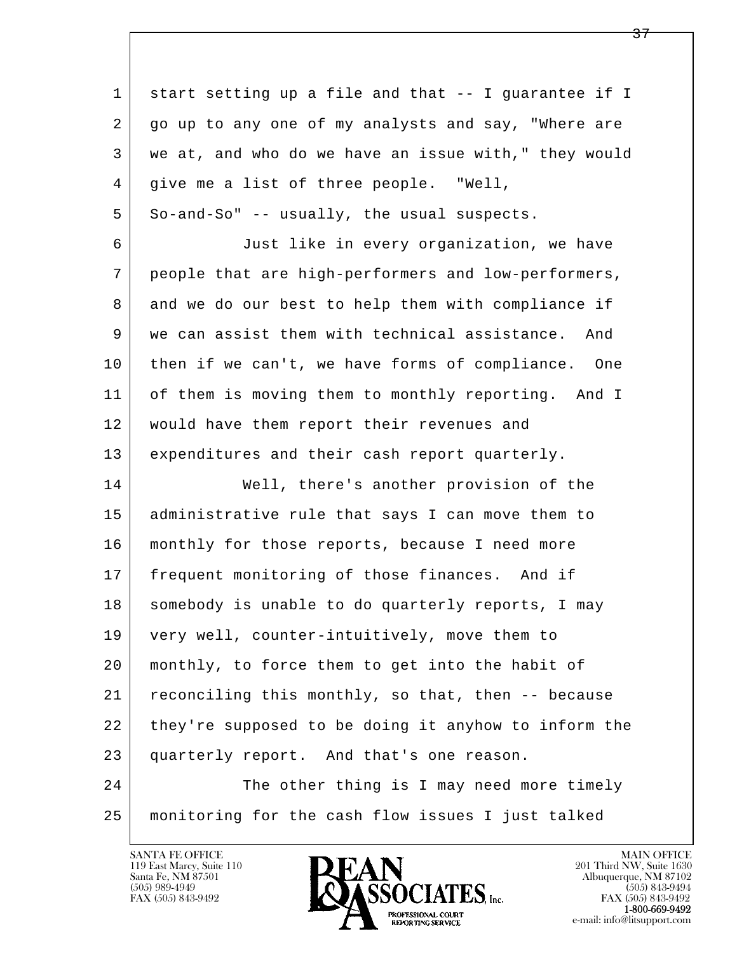l  $\overline{\phantom{a}}$  1 start setting up a file and that -- I guarantee if I 2 go up to any one of my analysts and say, "Where are 3 we at, and who do we have an issue with," they would 4 give me a list of three people. "Well,  $5$  So-and-So" -- usually, the usual suspects. 6 Just like in every organization, we have 7 people that are high-performers and low-performers, 8 and we do our best to help them with compliance if 9 we can assist them with technical assistance. And 10 then if we can't, we have forms of compliance. One 11 of them is moving them to monthly reporting. And I 12 | would have them report their revenues and 13 expenditures and their cash report quarterly. 14 Well, there's another provision of the 15 administrative rule that says I can move them to 16 | monthly for those reports, because I need more 17 frequent monitoring of those finances. And if 18 somebody is unable to do quarterly reports, I may 19 very well, counter-intuitively, move them to 20 monthly, to force them to get into the habit of 21 reconciling this monthly, so that, then -- because 22 they're supposed to be doing it anyhow to inform the 23 quarterly report. And that's one reason. 24 The other thing is I may need more timely 25 monitoring for the cash flow issues I just talked



FAX (505) 843-9492<br>**1-800-669-9492**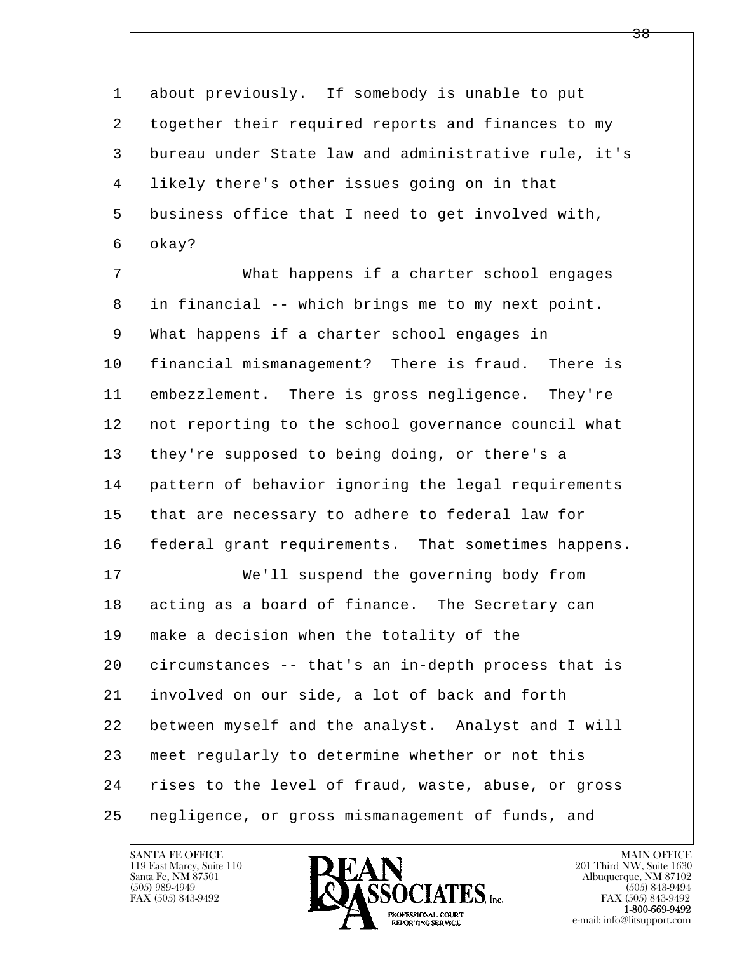1 about previously. If somebody is unable to put 2 together their required reports and finances to my 3 bureau under State law and administrative rule, it's 4 likely there's other issues going on in that 5 business office that I need to get involved with, 6 okay? 7 What happens if a charter school engages

 8 in financial -- which brings me to my next point. 9 What happens if a charter school engages in 10 financial mismanagement? There is fraud. There is 11 embezzlement. There is gross negligence. They're 12 not reporting to the school governance council what 13 they're supposed to being doing, or there's a 14 pattern of behavior ignoring the legal requirements 15 that are necessary to adhere to federal law for 16 federal grant requirements. That sometimes happens. 17 | We'll suspend the governing body from 18 acting as a board of finance. The Secretary can 19 make a decision when the totality of the

l  $\overline{\phantom{a}}$  20 circumstances -- that's an in-depth process that is 21 involved on our side, a lot of back and forth 22 between myself and the analyst. Analyst and I will 23 meet regularly to determine whether or not this 24 | rises to the level of fraud, waste, abuse, or gross 25 negligence, or gross mismanagement of funds, and

119 East Marcy, Suite 110<br>Santa Fe, NM 87501



FAX (505) 843-9492<br>**1-800-669-9492**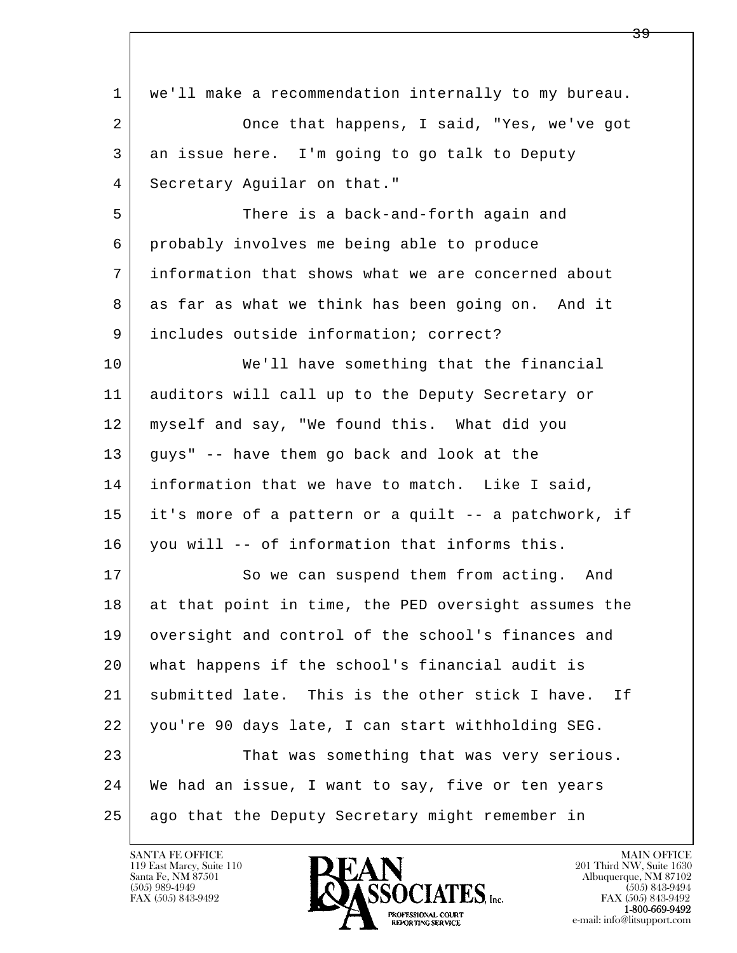| 1  | we'll make a recommendation internally to my bureau.  |
|----|-------------------------------------------------------|
| 2  | Once that happens, I said, "Yes, we've got            |
| 3  | an issue here. I'm going to go talk to Deputy         |
| 4  | Secretary Aguilar on that."                           |
| 5  | There is a back-and-forth again and                   |
| 6  | probably involves me being able to produce            |
| 7  | information that shows what we are concerned about    |
| 8  | as far as what we think has been going on. And it     |
| 9  | includes outside information; correct?                |
| 10 | We'll have something that the financial               |
| 11 | auditors will call up to the Deputy Secretary or      |
| 12 | myself and say, "We found this. What did you          |
| 13 | guys" -- have them go back and look at the            |
| 14 | information that we have to match. Like I said,       |
| 15 | it's more of a pattern or a quilt -- a patchwork, if  |
| 16 | you will -- of information that informs this.         |
| 17 | So we can suspend them from acting. And               |
| 18 | at that point in time, the PED oversight assumes the  |
| 19 | oversight and control of the school's finances and    |
| 20 | what happens if the school's financial audit is       |
| 21 | submitted late. This is the other stick I have.<br>If |
| 22 | you're 90 days late, I can start withholding SEG.     |
| 23 | That was something that was very serious.             |
| 24 | We had an issue, I want to say, five or ten years     |
| 25 | ago that the Deputy Secretary might remember in       |

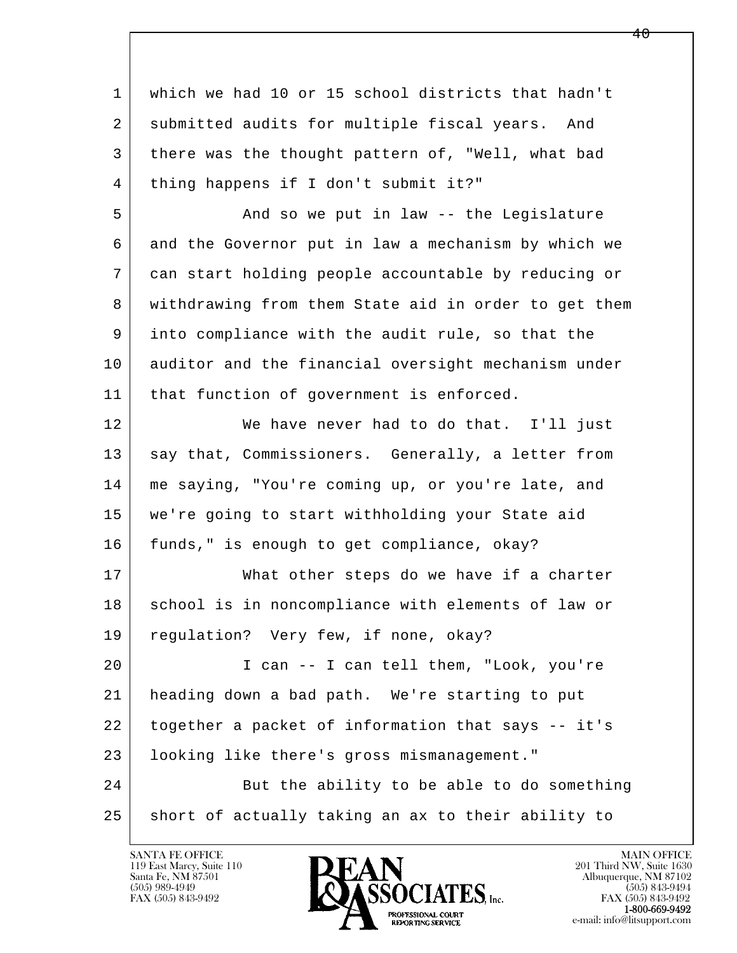l  $\overline{\phantom{a}}$  1 which we had 10 or 15 school districts that hadn't 2 | submitted audits for multiple fiscal years. And 3 there was the thought pattern of, "Well, what bad 4 thing happens if I don't submit it?" 5 And so we put in law -- the Legislature 6 and the Governor put in law a mechanism by which we 7 can start holding people accountable by reducing or 8 withdrawing from them State aid in order to get them 9 into compliance with the audit rule, so that the 10 auditor and the financial oversight mechanism under 11 | that function of government is enforced. 12 We have never had to do that. I'll just 13 | say that, Commissioners. Generally, a letter from 14 me saying, "You're coming up, or you're late, and 15 we're going to start withholding your State aid 16 | funds," is enough to get compliance, okay? 17 What other steps do we have if a charter 18 | school is in noncompliance with elements of law or 19 | regulation? Very few, if none, okay? 20 I can -- I can tell them, "Look, you're 21 heading down a bad path. We're starting to put 22 together a packet of information that says -- it's 23 looking like there's gross mismanagement." 24 But the ability to be able to do something 25 short of actually taking an ax to their ability to

119 East Marcy, Suite 110<br>Santa Fe, NM 87501

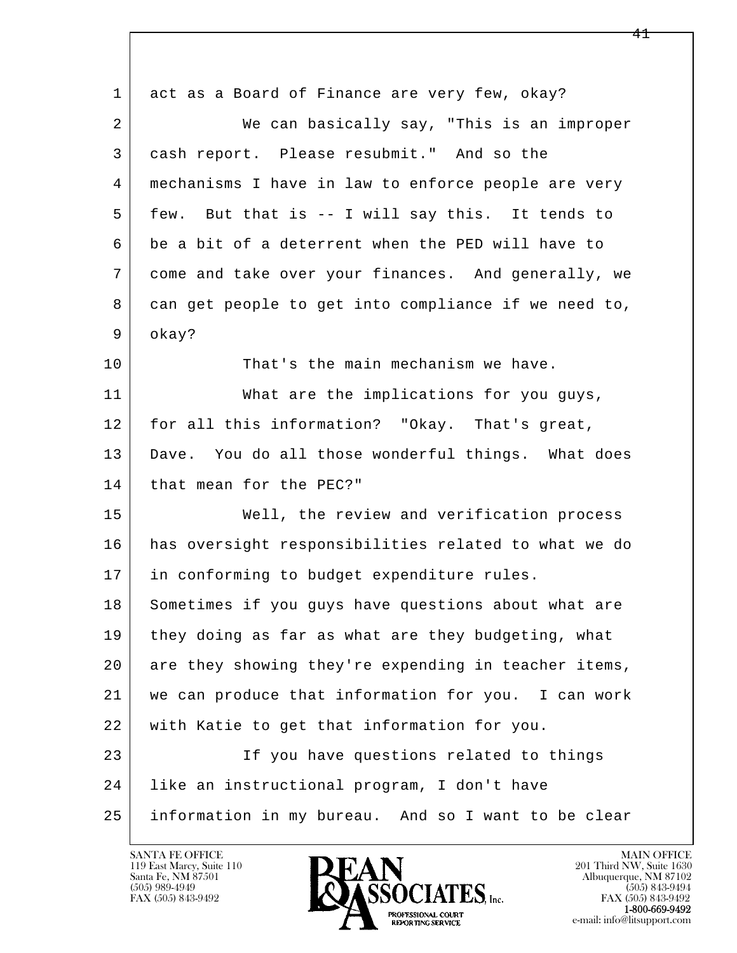l  $\overline{\phantom{a}}$ 1 act as a Board of Finance are very few, okay? 2 We can basically say, "This is an improper 3 cash report. Please resubmit." And so the 4 mechanisms I have in law to enforce people are very 5 few. But that is -- I will say this. It tends to 6 be a bit of a deterrent when the PED will have to 7 come and take over your finances. And generally, we 8 can get people to get into compliance if we need to, 9 okay? 10 That's the main mechanism we have. 11 What are the implications for you guys, 12 for all this information? "Okay. That's great, 13 Dave. You do all those wonderful things. What does 14 that mean for the PEC?" 15 | Well, the review and verification process 16 has oversight responsibilities related to what we do 17 | in conforming to budget expenditure rules. 18 Sometimes if you guys have questions about what are 19 they doing as far as what are they budgeting, what 20 are they showing they're expending in teacher items, 21 we can produce that information for you. I can work 22 with Katie to get that information for you. 23 If you have questions related to things 24 like an instructional program, I don't have 25 information in my bureau. And so I want to be clear

119 East Marcy, Suite 110<br>Santa Fe, NM 87501



FAX (505) 843-9492<br>1-800-669-9492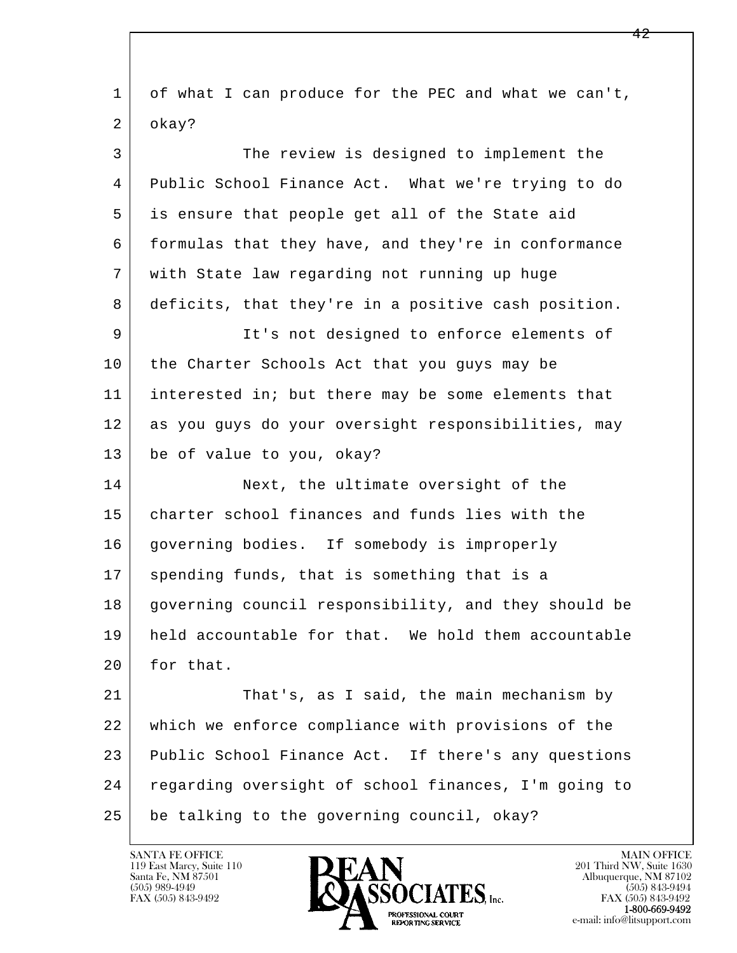l  $\overline{\phantom{a}}$  1 of what I can produce for the PEC and what we can't, 2 okay? 3 The review is designed to implement the 4 Public School Finance Act. What we're trying to do 5 is ensure that people get all of the State aid 6 | formulas that they have, and they're in conformance 7 with State law regarding not running up huge 8 deficits, that they're in a positive cash position. 9 It's not designed to enforce elements of 10 the Charter Schools Act that you guys may be 11 interested in; but there may be some elements that 12 as you guys do your oversight responsibilities, may 13 be of value to you, okay? 14 Next, the ultimate oversight of the 15 charter school finances and funds lies with the 16 | governing bodies. If somebody is improperly 17 spending funds, that is something that is a 18 governing council responsibility, and they should be 19 held accountable for that. We hold them accountable 20 for that. 21 That's, as I said, the main mechanism by 22 which we enforce compliance with provisions of the 23 Public School Finance Act. If there's any questions 24 regarding oversight of school finances, I'm going to 25 be talking to the governing council, okay?

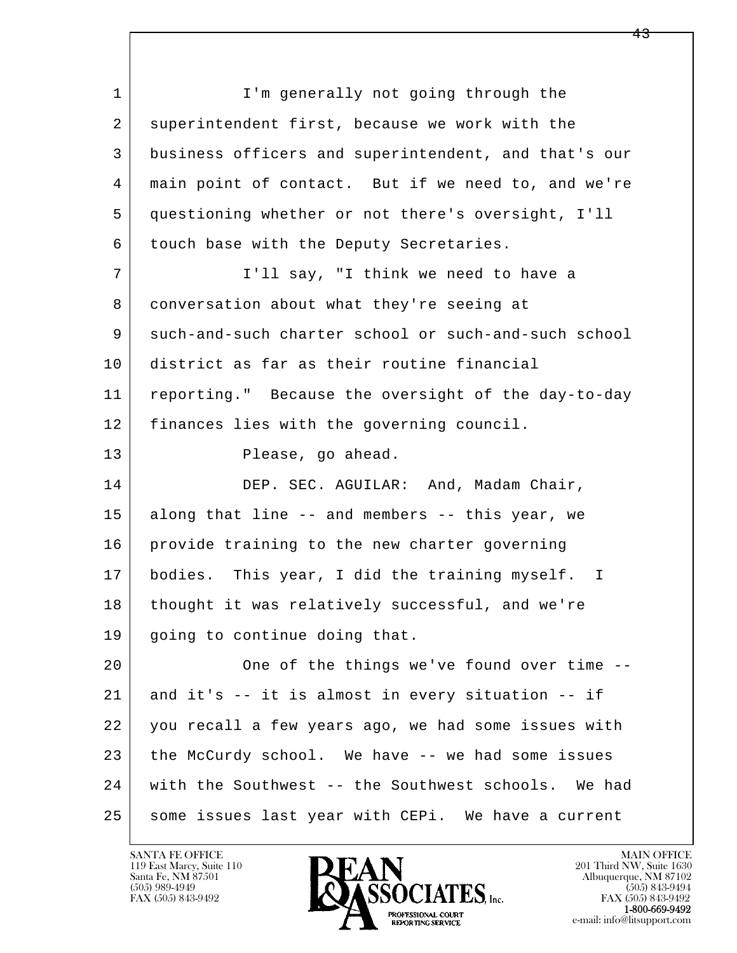l  $\overline{\phantom{a}}$ 1 I'm generally not going through the 2 superintendent first, because we work with the 3 business officers and superintendent, and that's our 4 main point of contact. But if we need to, and we're 5 questioning whether or not there's oversight, I'll 6 touch base with the Deputy Secretaries. 7 | T'll say, "I think we need to have a 8 conversation about what they're seeing at 9 such-and-such charter school or such-and-such school 10 district as far as their routine financial 11 reporting." Because the oversight of the day-to-day 12 finances lies with the governing council. 13 Please, go ahead. 14 DEP. SEC. AGUILAR: And, Madam Chair, 15 along that line -- and members -- this year, we 16 | provide training to the new charter governing 17 | bodies. This year, I did the training myself. I 18 thought it was relatively successful, and we're 19 going to continue doing that. 20 One of the things we've found over time -- 21 and it's -- it is almost in every situation -- if 22 you recall a few years ago, we had some issues with 23 the McCurdy school. We have -- we had some issues 24 with the Southwest -- the Southwest schools. We had 25 | some issues last year with CEPi. We have a current

119 East Marcy, Suite 110<br>Santa Fe, NM 87501

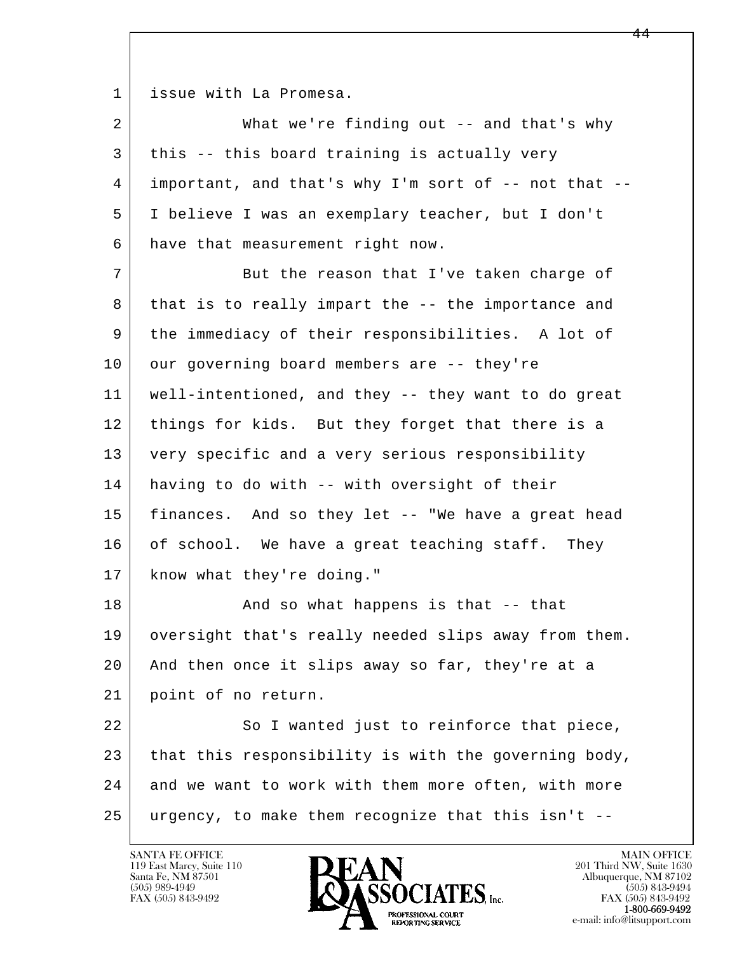1 issue with La Promesa.

| 2  | What we're finding out $--$ and that's why           |
|----|------------------------------------------------------|
| 3  | this -- this board training is actually very         |
| 4  | important, and that's why I'm sort of -- not that -- |
| 5  | I believe I was an exemplary teacher, but I don't    |
| 6  | have that measurement right now.                     |
| 7  | But the reason that I've taken charge of             |
| 8  | that is to really impart the -- the importance and   |
| 9  | the immediacy of their responsibilities. A lot of    |
| 10 | our governing board members are -- they're           |
| 11 | well-intentioned, and they -- they want to do great  |
| 12 | things for kids. But they forget that there is a     |
| 13 | very specific and a very serious responsibility      |
| 14 | having to do with -- with oversight of their         |
| 15 | finances. And so they let -- "We have a great head   |
| 16 | of school. We have a great teaching staff. They      |
| 17 | know what they're doing."                            |
| 18 | And so what happens is that -- that                  |
| 19 | oversight that's really needed slips away from them. |
| 20 | And then once it slips away so far, they're at a     |
| 21 | point of no return.                                  |
| 22 | So I wanted just to reinforce that piece,            |
| 23 | that this responsibility is with the governing body, |
| 24 | and we want to work with them more often, with more  |
| 25 | urgency, to make them recognize that this isn't --   |

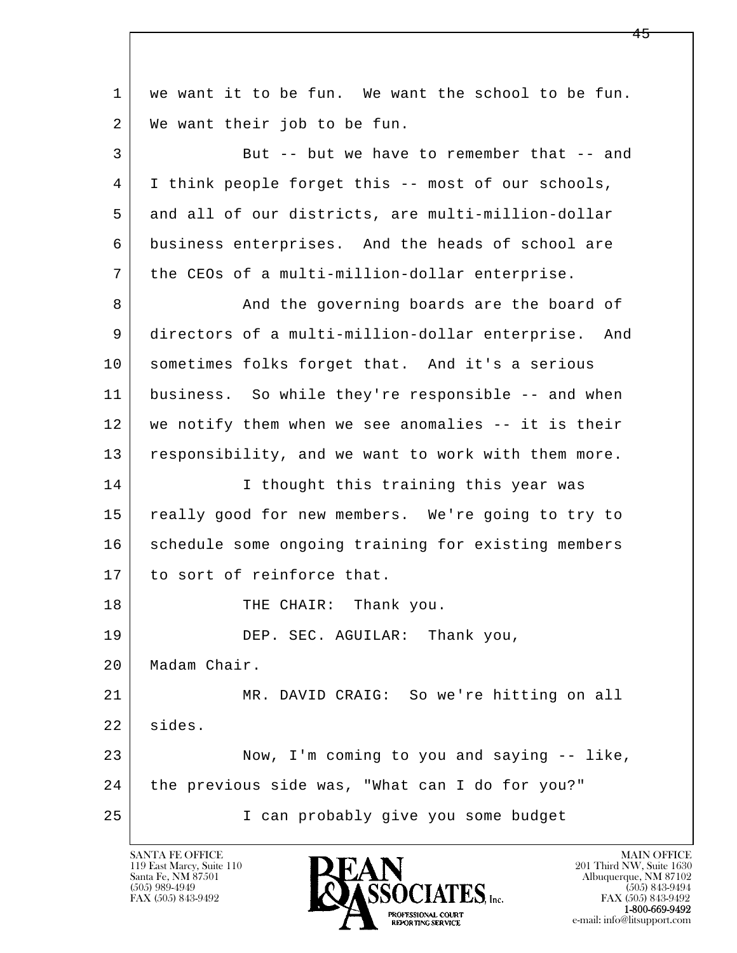l  $\overline{\phantom{a}}$  1 we want it to be fun. We want the school to be fun. 2 | We want their job to be fun. 3 But -- but we have to remember that -- and 4 I think people forget this -- most of our schools, 5 and all of our districts, are multi-million-dollar 6 business enterprises. And the heads of school are 7 the CEOs of a multi-million-dollar enterprise. 8 And the governing boards are the board of 9 directors of a multi-million-dollar enterprise. And 10 sometimes folks forget that. And it's a serious 11 business. So while they're responsible -- and when 12 we notify them when we see anomalies -- it is their 13 responsibility, and we want to work with them more. 14 I thought this training this year was 15 really good for new members. We're going to try to 16 schedule some ongoing training for existing members 17 to sort of reinforce that. 18 | THE CHAIR: Thank you. 19 DEP. SEC. AGUILAR: Thank you, 20 Madam Chair. 21 MR. DAVID CRAIG: So we're hitting on all 22 sides. 23 Now, I'm coming to you and saying -- like, 24 the previous side was, "What can I do for you?" 25 I can probably give you some budget

119 East Marcy, Suite 110<br>Santa Fe, NM 87501

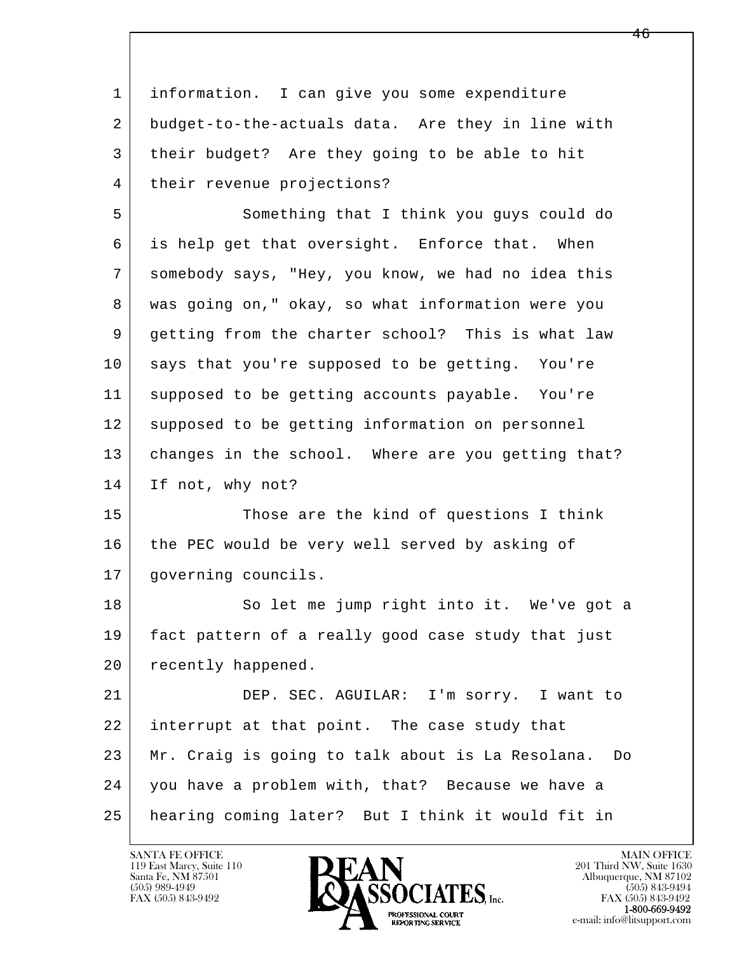| 1  | information. I can give you some expenditure           |
|----|--------------------------------------------------------|
| 2  | budget-to-the-actuals data. Are they in line with      |
| 3  | their budget? Are they going to be able to hit         |
| 4  | their revenue projections?                             |
| 5  | Something that I think you guys could do               |
| 6  | is help get that oversight. Enforce that. When         |
| 7  | somebody says, "Hey, you know, we had no idea this     |
| 8  | was going on," okay, so what information were you      |
| 9  | getting from the charter school? This is what law      |
| 10 | says that you're supposed to be getting. You're        |
| 11 | supposed to be getting accounts payable. You're        |
| 12 | supposed to be getting information on personnel        |
| 13 | changes in the school. Where are you getting that?     |
| 14 | If not, why not?                                       |
| 15 | Those are the kind of questions I think                |
| 16 | the PEC would be very well served by asking of         |
| 17 | governing councils.                                    |
| 18 | So let me jump right into it. We've got a              |
| 19 | fact pattern of a really good case study that just     |
| 20 | recently happened.                                     |
| 21 | DEP. SEC. AGUILAR: I'm sorry. I want to                |
| 22 | interrupt at that point. The case study that           |
| 23 | Mr. Craig is going to talk about is La Resolana.<br>Do |
| 24 | you have a problem with, that? Because we have a       |
| 25 | hearing coming later? But I think it would fit in      |

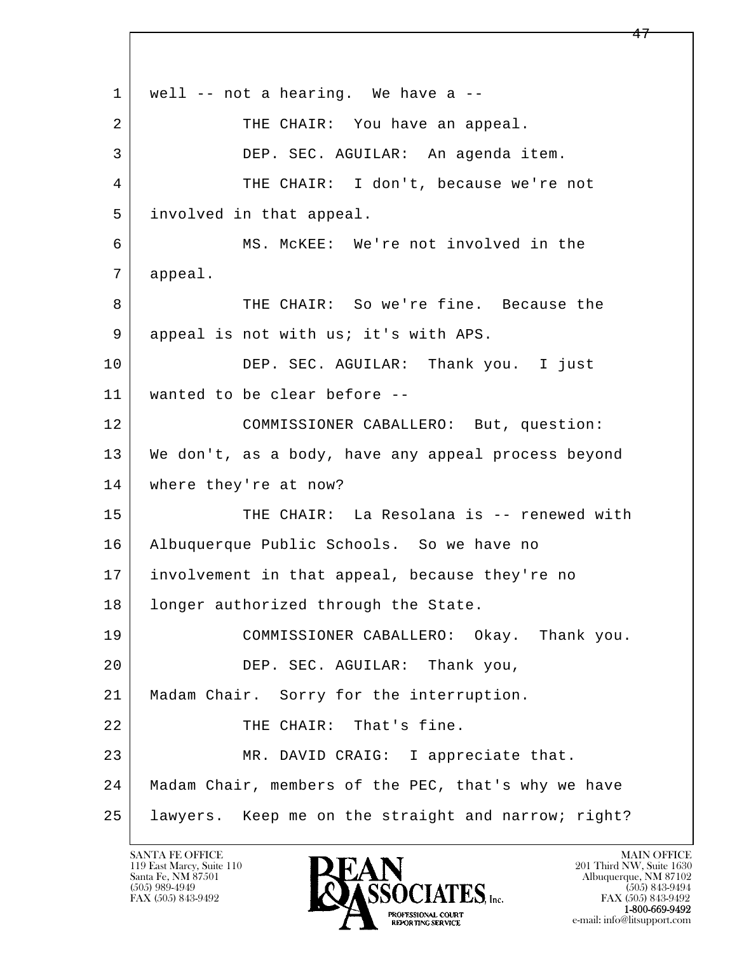l  $\overline{\phantom{a}}$  $1$  well -- not a hearing. We have a --2 THE CHAIR: You have an appeal. 3 DEP. SEC. AGUILAR: An agenda item. 4 THE CHAIR: I don't, because we're not 5 involved in that appeal. 6 MS. McKEE: We're not involved in the 7 appeal. 8 THE CHAIR: So we're fine. Because the 9 appeal is not with us; it's with APS. 10 DEP. SEC. AGUILAR: Thank you. I just 11 wanted to be clear before -- 12 COMMISSIONER CABALLERO: But, question: 13 We don't, as a body, have any appeal process beyond 14 where they're at now? 15 THE CHAIR: La Resolana is -- renewed with 16 Albuquerque Public Schools. So we have no 17 involvement in that appeal, because they're no 18 | longer authorized through the State. 19 COMMISSIONER CABALLERO: Okay. Thank you. 20 | DEP. SEC. AGUILAR: Thank you, 21 | Madam Chair. Sorry for the interruption. 22 THE CHAIR: That's fine. 23 MR. DAVID CRAIG: I appreciate that. 24 Madam Chair, members of the PEC, that's why we have 25 lawyers. Keep me on the straight and narrow; right?

119 East Marcy, Suite 110<br>Santa Fe, NM 87501

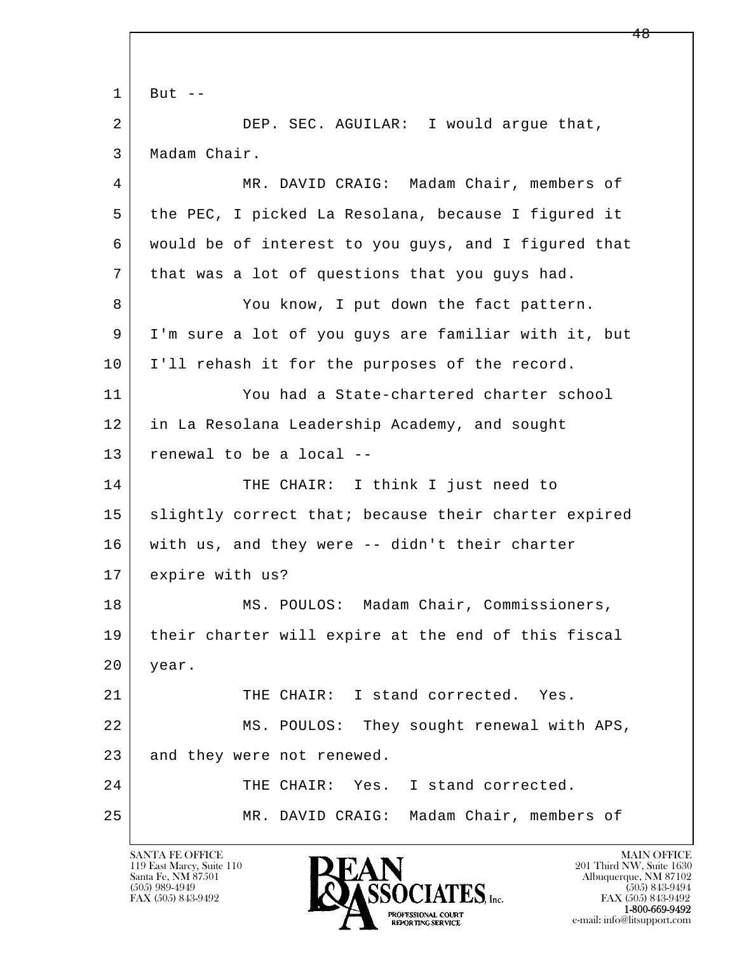l  $\overline{\phantom{a}}$  $1$  But  $-$  2 DEP. SEC. AGUILAR: I would argue that, 3 Madam Chair. 4 MR. DAVID CRAIG: Madam Chair, members of 5 the PEC, I picked La Resolana, because I figured it 6 would be of interest to you guys, and I figured that 7 that was a lot of questions that you guys had. 8 You know, I put down the fact pattern. 9 I'm sure a lot of you guys are familiar with it, but 10 I'll rehash it for the purposes of the record. 11 You had a State-chartered charter school 12 in La Resolana Leadership Academy, and sought 13 renewal to be a local -- 14 THE CHAIR: I think I just need to 15 | slightly correct that; because their charter expired 16 with us, and they were -- didn't their charter 17 expire with us? 18 | MS. POULOS: Madam Chair, Commissioners, 19 their charter will expire at the end of this fiscal 20 year. 21 THE CHAIR: I stand corrected. Yes. 22 MS. POULOS: They sought renewal with APS, 23 and they were not renewed. 24 THE CHAIR: Yes. I stand corrected. 25 MR. DAVID CRAIG: Madam Chair, members of

119 East Marcy, Suite 110<br>Santa Fe, NM 87501

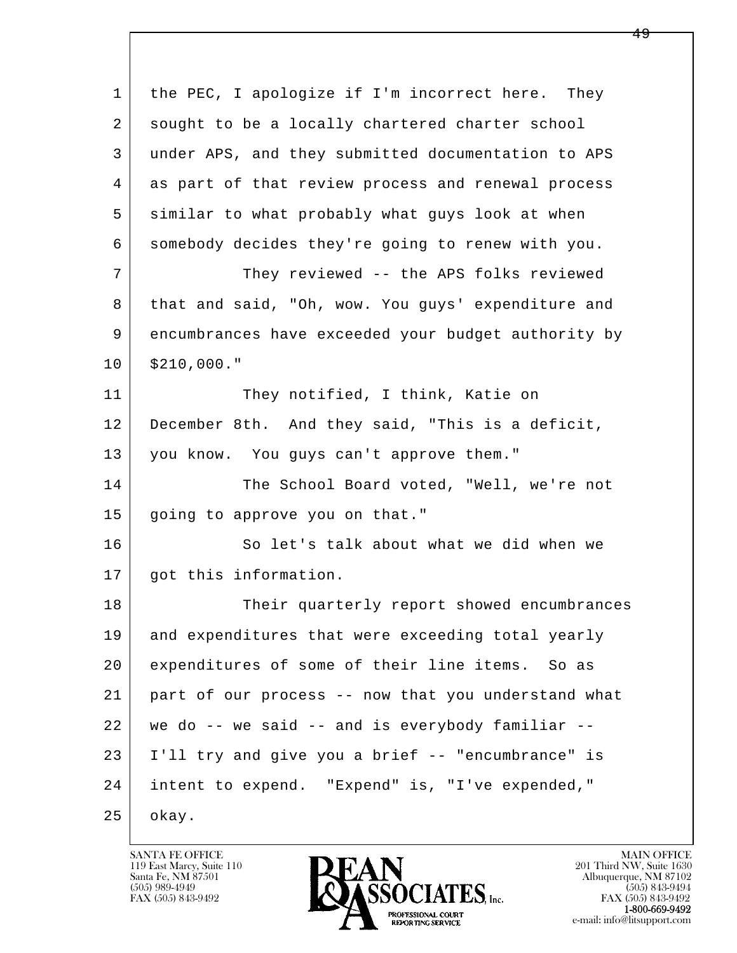| 1  | the PEC, I apologize if I'm incorrect here. They    |
|----|-----------------------------------------------------|
| 2  | sought to be a locally chartered charter school     |
| 3  | under APS, and they submitted documentation to APS  |
| 4  | as part of that review process and renewal process  |
| 5  | similar to what probably what guys look at when     |
| 6  | somebody decides they're going to renew with you.   |
| 7  | They reviewed -- the APS folks reviewed             |
| 8  | that and said, "Oh, wow. You guys' expenditure and  |
| 9  | encumbrances have exceeded your budget authority by |
| 10 | \$210,000."                                         |
| 11 | They notified, I think, Katie on                    |
| 12 | December 8th. And they said, "This is a deficit,    |
| 13 | you know. You guys can't approve them."             |
| 14 | The School Board voted, "Well, we're not            |
| 15 | going to approve you on that."                      |
| 16 | So let's talk about what we did when we             |
| 17 | got this information.                               |
| 18 | Their quarterly report showed encumbrances          |
| 19 | and expenditures that were exceeding total yearly   |
| 20 | expenditures of some of their line items. So as     |
| 21 | part of our process -- now that you understand what |
| 22 | we do -- we said -- and is everybody familiar --    |
| 23 | I'll try and give you a brief -- "encumbrance" is   |
| 24 | intent to expend. "Expend" is, "I've expended,"     |
| 25 | okay.                                               |

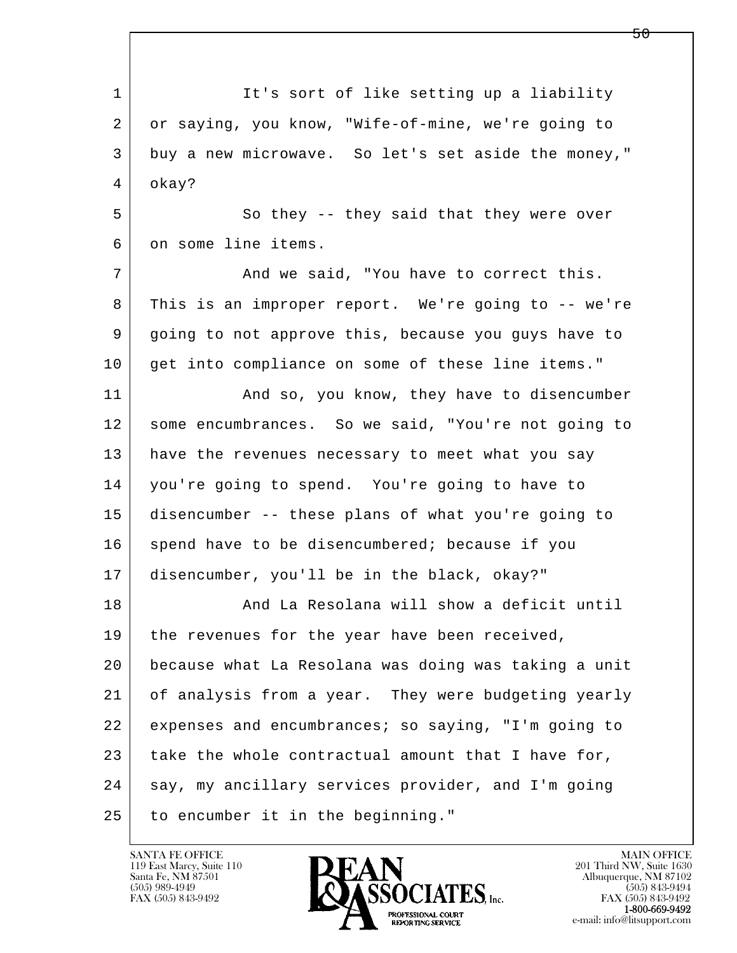l  $\overline{\phantom{a}}$ 1 It's sort of like setting up a liability 2 or saying, you know, "Wife-of-mine, we're going to 3 buy a new microwave. So let's set aside the money," 4 okay? 5 So they -- they said that they were over 6 on some line items. 7 And we said, "You have to correct this. 8 This is an improper report. We're going to -- we're 9 going to not approve this, because you guys have to 10 get into compliance on some of these line items." 11 | And so, you know, they have to disencumber 12 some encumbrances. So we said, "You're not going to 13 have the revenues necessary to meet what you say 14 you're going to spend. You're going to have to 15 disencumber -- these plans of what you're going to 16 spend have to be disencumbered; because if you 17 disencumber, you'll be in the black, okay?" 18 And La Resolana will show a deficit until 19 | the revenues for the year have been received, 20 because what La Resolana was doing was taking a unit 21 of analysis from a year. They were budgeting yearly 22 expenses and encumbrances; so saying, "I'm going to 23 take the whole contractual amount that I have for, 24 say, my ancillary services provider, and I'm going 25 to encumber it in the beginning."

119 East Marcy, Suite 110<br>Santa Fe, NM 87501

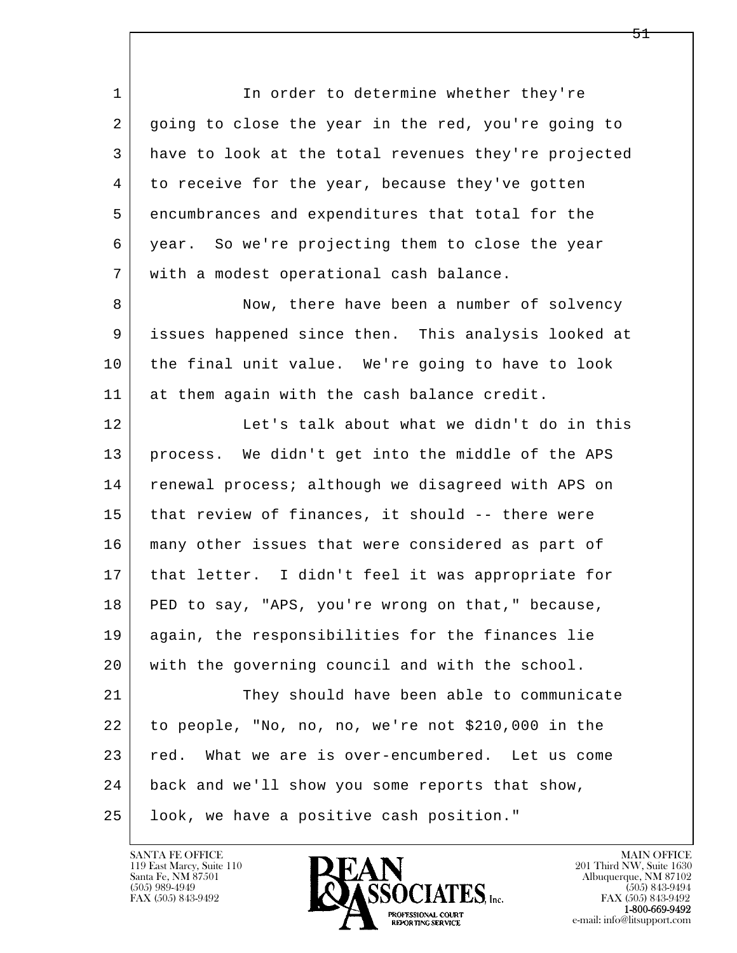l  $\overline{\phantom{a}}$ 1 In order to determine whether they're 2 going to close the year in the red, you're going to 3 have to look at the total revenues they're projected 4 to receive for the year, because they've gotten 5 encumbrances and expenditures that total for the 6 year. So we're projecting them to close the year 7 with a modest operational cash balance. 8 Now, there have been a number of solvency 9 issues happened since then. This analysis looked at 10 the final unit value. We're going to have to look 11 at them again with the cash balance credit. 12 Let's talk about what we didn't do in this 13 process. We didn't get into the middle of the APS 14 | renewal process; although we disagreed with APS on 15 that review of finances, it should -- there were 16 many other issues that were considered as part of 17 that letter. I didn't feel it was appropriate for 18 PED to say, "APS, you're wrong on that," because, 19 again, the responsibilities for the finances lie 20 with the governing council and with the school. 21 They should have been able to communicate 22 to people, "No, no, no, we're not \$210,000 in the 23 red. What we are is over-encumbered. Let us come 24 back and we'll show you some reports that show, 25 look, we have a positive cash position."

119 East Marcy, Suite 110<br>Santa Fe, NM 87501

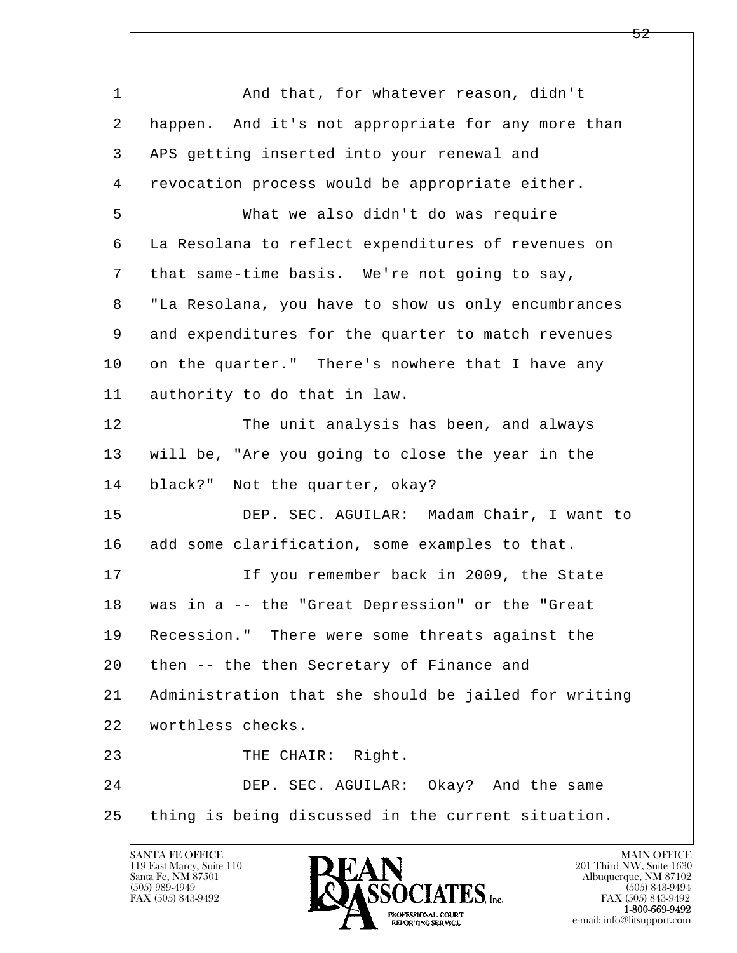| $\mathbf 1$ | And that, for whatever reason, didn't                |
|-------------|------------------------------------------------------|
| 2           | happen. And it's not appropriate for any more than   |
| 3           | APS getting inserted into your renewal and           |
| 4           | revocation process would be appropriate either.      |
| 5           | What we also didn't do was require                   |
| 6           | La Resolana to reflect expenditures of revenues on   |
| 7           | that same-time basis. We're not going to say,        |
| 8           | "La Resolana, you have to show us only encumbrances  |
| 9           | and expenditures for the quarter to match revenues   |
| 10          | on the quarter." There's nowhere that I have any     |
| 11          | authority to do that in law.                         |
| 12          | The unit analysis has been, and always               |
| 13          | will be, "Are you going to close the year in the     |
| 14          | black?" Not the quarter, okay?                       |
| 15          | DEP. SEC. AGUILAR: Madam Chair, I want to            |
| 16          | add some clarification, some examples to that.       |
| 17          | If you remember back in 2009, the State              |
| 18          | was in a -- the "Great Depression" or the "Great     |
| 19          | Recession." There were some threats against the      |
| 20          | then -- the then Secretary of Finance and            |
| 21          | Administration that she should be jailed for writing |
| 22          | worthless checks.                                    |
| 23          | THE CHAIR: Right.                                    |
| 24          | DEP. SEC. AGUILAR: Okay? And the same                |
| 25          | thing is being discussed in the current situation.   |

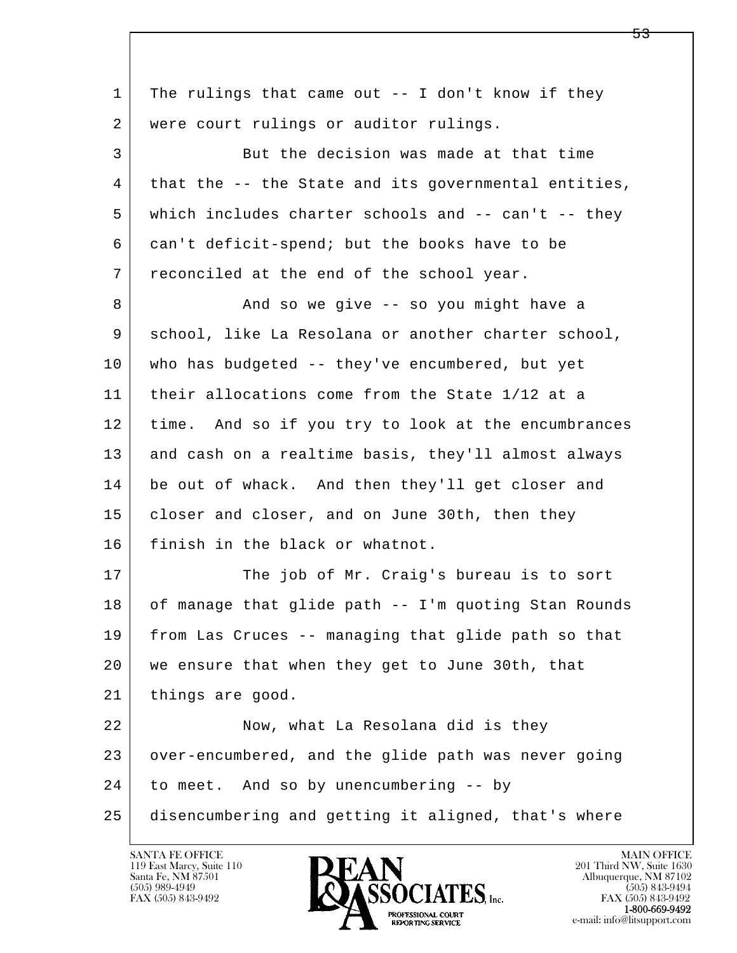l  $\overline{\phantom{a}}$  1 The rulings that came out -- I don't know if they 2 were court rulings or auditor rulings. 3 But the decision was made at that time 4 that the -- the State and its governmental entities, 5 which includes charter schools and -- can't -- they 6 can't deficit-spend; but the books have to be 7 reconciled at the end of the school year. 8 And so we give -- so you might have a 9 school, like La Resolana or another charter school, 10 who has budgeted -- they've encumbered, but yet 11 their allocations come from the State 1/12 at a 12 time. And so if you try to look at the encumbrances 13 and cash on a realtime basis, they'll almost always 14 be out of whack. And then they'll get closer and 15 | closer and closer, and on June 30th, then they 16 finish in the black or whatnot. 17 The job of Mr. Craig's bureau is to sort 18 of manage that glide path -- I'm quoting Stan Rounds 19 from Las Cruces -- managing that glide path so that 20 we ensure that when they get to June 30th, that 21 | things are good. 22 Now, what La Resolana did is they 23 over-encumbered, and the glide path was never going 24 to meet. And so by unencumbering -- by 25 disencumbering and getting it aligned, that's where

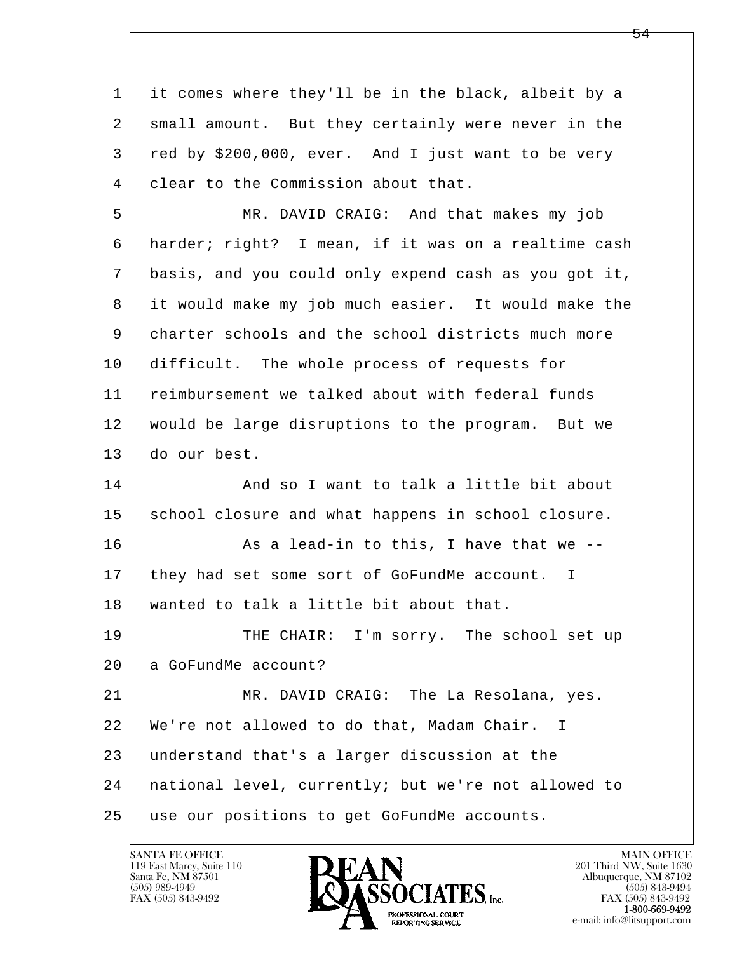l  $\overline{\phantom{a}}$  1 it comes where they'll be in the black, albeit by a 2 small amount. But they certainly were never in the 3 red by \$200,000, ever. And I just want to be very 4 clear to the Commission about that. 5 MR. DAVID CRAIG: And that makes my job 6 harder; right? I mean, if it was on a realtime cash 7 basis, and you could only expend cash as you got it, 8 it would make my job much easier. It would make the 9 charter schools and the school districts much more 10 difficult. The whole process of requests for 11 reimbursement we talked about with federal funds 12 would be large disruptions to the program. But we 13 do our best. 14 And so I want to talk a little bit about 15 | school closure and what happens in school closure. 16 As a lead-in to this, I have that we --17 | they had set some sort of GoFundMe account. I 18 wanted to talk a little bit about that. 19 THE CHAIR: I'm sorry. The school set up 20 a GoFundMe account? 21 MR. DAVID CRAIG: The La Resolana, yes. 22 We're not allowed to do that, Madam Chair. I 23 understand that's a larger discussion at the 24 national level, currently; but we're not allowed to 25 use our positions to get GoFundMe accounts.

119 East Marcy, Suite 110<br>Santa Fe, NM 87501

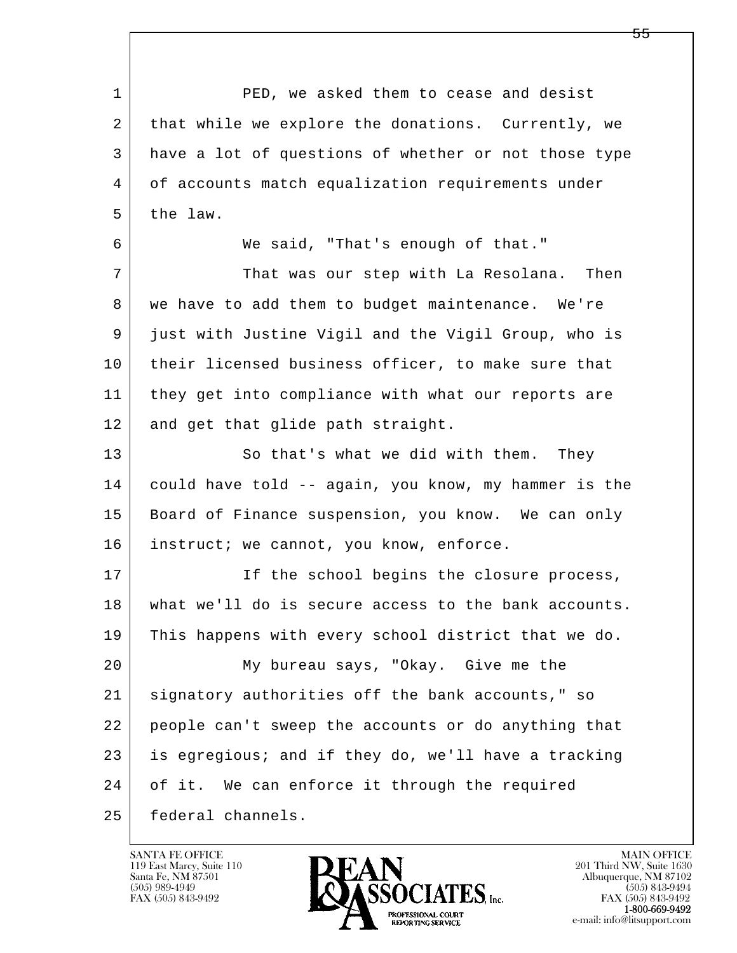l  $\overline{\phantom{a}}$  1 PED, we asked them to cease and desist 2 that while we explore the donations. Currently, we 3 have a lot of questions of whether or not those type 4 of accounts match equalization requirements under  $5$  the law. 6 We said, "That's enough of that." 7 That was our step with La Resolana. Then 8 | we have to add them to budget maintenance. We're 9 just with Justine Vigil and the Vigil Group, who is 10 their licensed business officer, to make sure that 11 they get into compliance with what our reports are 12 and get that glide path straight. 13 So that's what we did with them. They 14 could have told -- again, you know, my hammer is the 15 | Board of Finance suspension, you know. We can only 16 instruct; we cannot, you know, enforce. 17 If the school begins the closure process, 18 what we'll do is secure access to the bank accounts. 19 This happens with every school district that we do. 20 My bureau says, "Okay. Give me the 21 signatory authorities off the bank accounts," so 22 people can't sweep the accounts or do anything that 23 is egregious; and if they do, we'll have a tracking 24 of it. We can enforce it through the required 25 federal channels.

119 East Marcy, Suite 110<br>Santa Fe, NM 87501



FAX (505) 843-9492<br>**1-800-669-9492**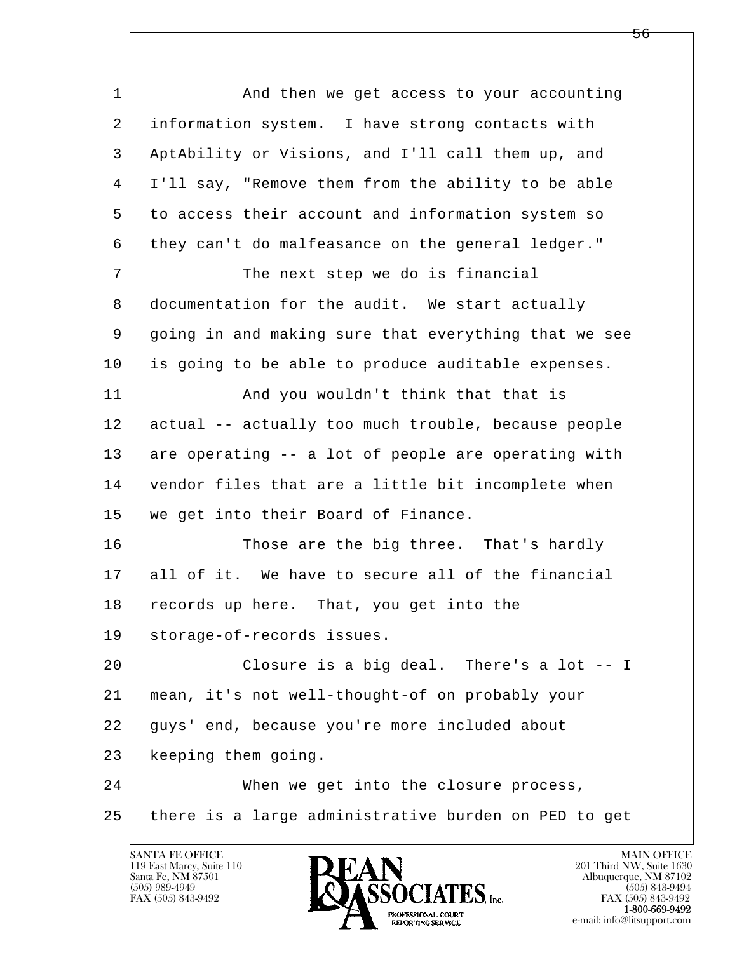| $\mathbf{1}$ | And then we get access to your accounting            |
|--------------|------------------------------------------------------|
| 2            | information system. I have strong contacts with      |
| 3            | AptAbility or Visions, and I'll call them up, and    |
| 4            | I'll say, "Remove them from the ability to be able   |
| 5            | to access their account and information system so    |
| 6            | they can't do malfeasance on the general ledger."    |
| 7            | The next step we do is financial                     |
| 8            | documentation for the audit. We start actually       |
| 9            | going in and making sure that everything that we see |
| 10           | is going to be able to produce auditable expenses.   |
| 11           | And you wouldn't think that that is                  |
| 12           | actual -- actually too much trouble, because people  |
| 13           | are operating -- a lot of people are operating with  |
| 14           | vendor files that are a little bit incomplete when   |
| 15           | we get into their Board of Finance.                  |
| 16           | Those are the big three. That's hardly               |
| 17           | all of it. We have to secure all of the financial    |
| 18           | records up here. That, you get into the              |
| 19           | storage-of-records issues.                           |
| 20           | Closure is a big deal. There's a lot -- I            |
| 21           | mean, it's not well-thought-of on probably your      |
| 22           | guys' end, because you're more included about        |
| 23           | keeping them going.                                  |
| 24           | When we get into the closure process,                |
| 25           | there is a large administrative burden on PED to get |
|              |                                                      |

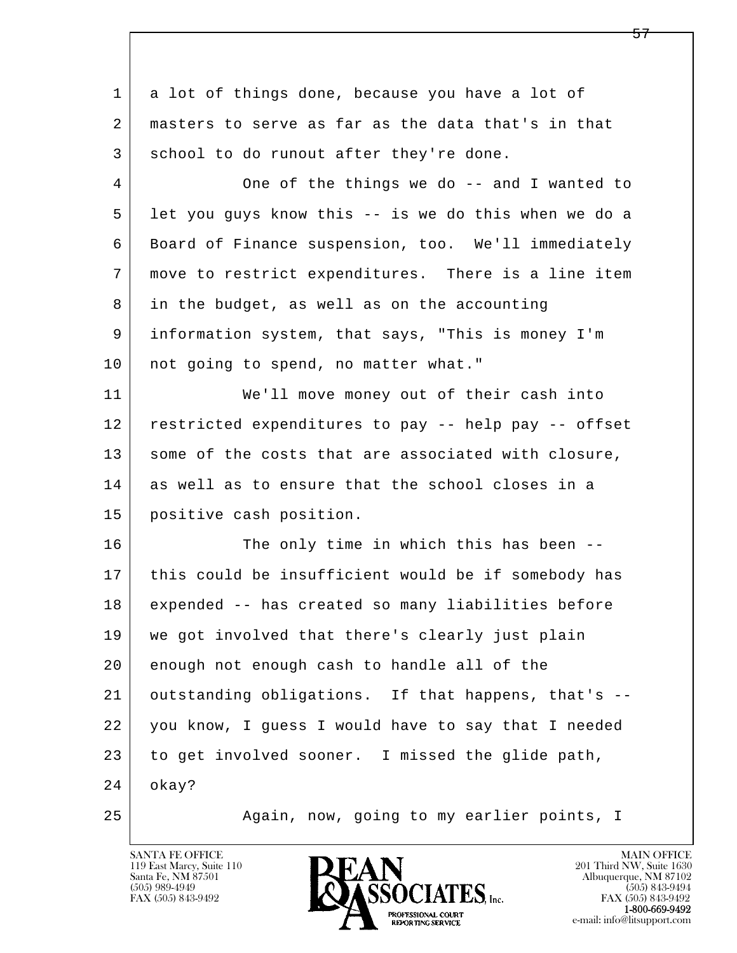| 1              | a lot of things done, because you have a lot of      |
|----------------|------------------------------------------------------|
| 2              | masters to serve as far as the data that's in that   |
| 3              | school to do runout after they're done.              |
| $\overline{4}$ | One of the things we do -- and I wanted to           |
| 5              | let you guys know this -- is we do this when we do a |
| 6              | Board of Finance suspension, too. We'll immediately  |
| 7              | move to restrict expenditures. There is a line item  |
| 8              | in the budget, as well as on the accounting          |
| 9              | information system, that says, "This is money I'm    |
| 10             | not going to spend, no matter what."                 |
| 11             | We'll move money out of their cash into              |
| 12             | restricted expenditures to pay -- help pay -- offset |
| 13             | some of the costs that are associated with closure,  |
| 14             | as well as to ensure that the school closes in a     |
| 15             | positive cash position.                              |
| 16             | The only time in which this has been --              |
| 17             | this could be insufficient would be if somebody has  |
| 18             | expended -- has created so many liabilities before   |
| 19             | we got involved that there's clearly just plain      |
| 20             | enough not enough cash to handle all of the          |
| 21             | outstanding obligations. If that happens, that's --  |
| 22             | you know, I guess I would have to say that I needed  |
| 23             | to get involved sooner. I missed the glide path,     |
| 24             | okay?                                                |
| 25             | Again, now, going to my earlier points, I            |

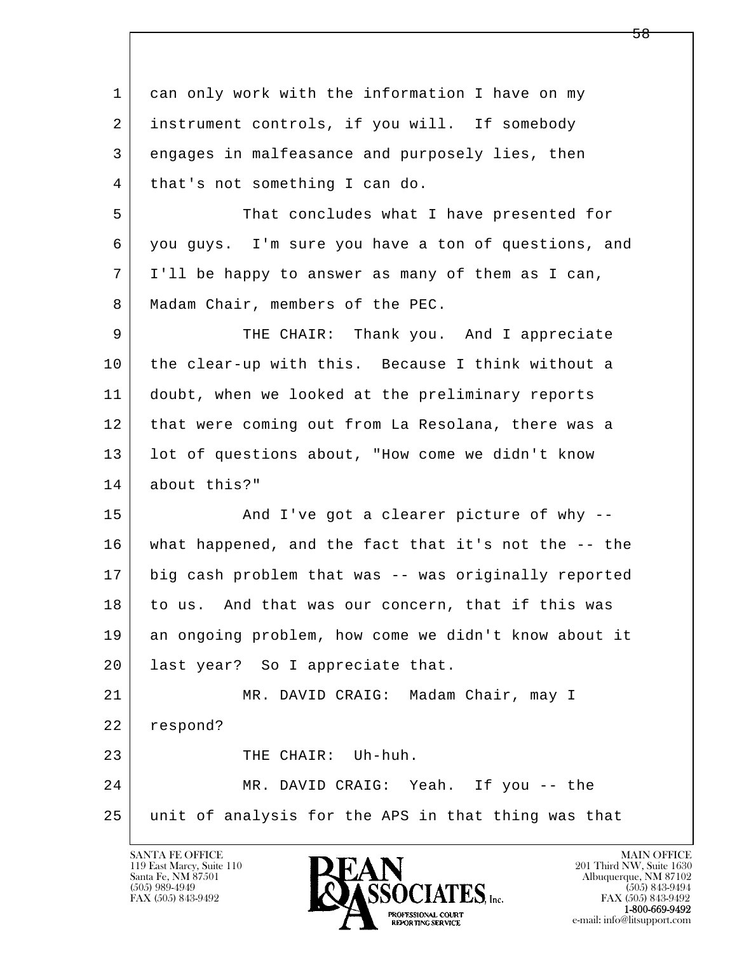| 1  | can only work with the information I have on my      |
|----|------------------------------------------------------|
| 2  | instrument controls, if you will. If somebody        |
| 3  | engages in malfeasance and purposely lies, then      |
| 4  | that's not something I can do.                       |
| 5  | That concludes what I have presented for             |
| 6  | you guys. I'm sure you have a ton of questions, and  |
| 7  | I'll be happy to answer as many of them as I can,    |
| 8  | Madam Chair, members of the PEC.                     |
| 9  | THE CHAIR: Thank you. And I appreciate               |
| 10 | the clear-up with this. Because I think without a    |
| 11 | doubt, when we looked at the preliminary reports     |
| 12 | that were coming out from La Resolana, there was a   |
| 13 | lot of questions about, "How come we didn't know     |
| 14 | about this?"                                         |
| 15 | And I've got a clearer picture of why --             |
| 16 | what happened, and the fact that it's not the -- the |
| 17 | big cash problem that was -- was originally reported |
| 18 | to us. And that was our concern, that if this was    |
| 19 | an ongoing problem, how come we didn't know about it |
| 20 | last year? So I appreciate that.                     |
| 21 | MR. DAVID CRAIG: Madam Chair, may I                  |
| 22 | respond?                                             |
| 23 | THE CHAIR: Uh-huh.                                   |
| 24 | MR. DAVID CRAIG: Yeah. If you -- the                 |
| 25 | unit of analysis for the APS in that thing was that  |
|    |                                                      |

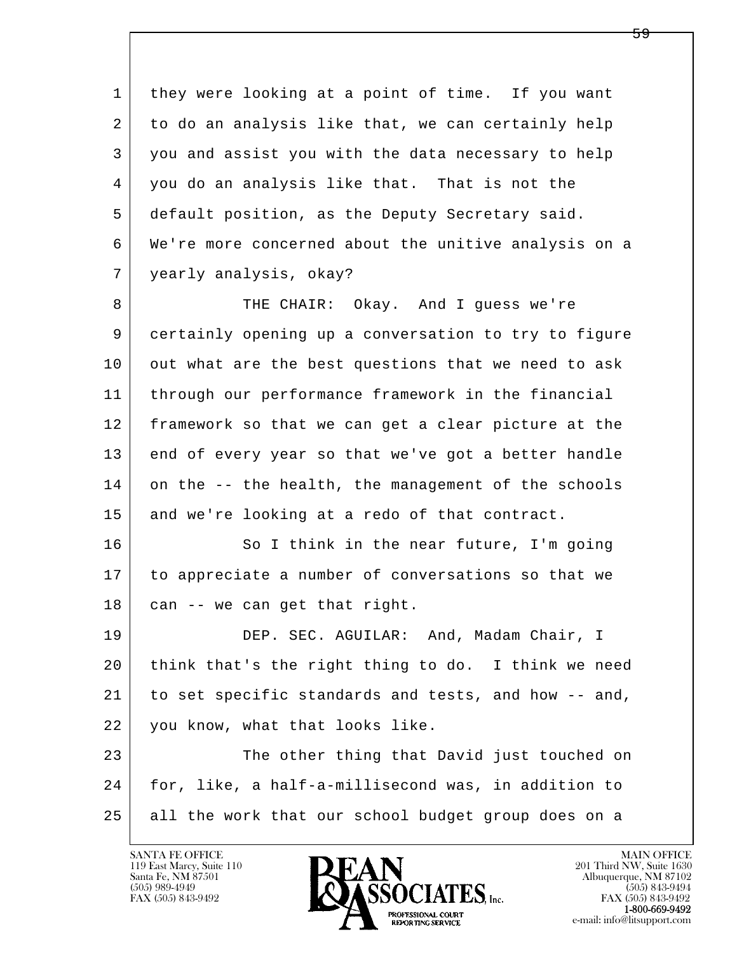1 they were looking at a point of time. If you want 2 to do an analysis like that, we can certainly help 3 you and assist you with the data necessary to help 4 you do an analysis like that. That is not the 5 default position, as the Deputy Secretary said. 6 We're more concerned about the unitive analysis on a 7 yearly analysis, okay?

8 THE CHAIR: Okay. And I guess we're 9 certainly opening up a conversation to try to figure 10 out what are the best questions that we need to ask 11 through our performance framework in the financial 12 framework so that we can get a clear picture at the 13 end of every year so that we've got a better handle 14 on the -- the health, the management of the schools 15 | and we're looking at a redo of that contract.

16 So I think in the near future, I'm going 17 to appreciate a number of conversations so that we  $18$  can  $-$  we can get that right.

19 | DEP. SEC. AGUILAR: And, Madam Chair, I 20 think that's the right thing to do. I think we need 21 to set specific standards and tests, and how -- and, 22 you know, what that looks like.

l  $\overline{\phantom{a}}$ 23 The other thing that David just touched on 24 for, like, a half-a-millisecond was, in addition to 25 all the work that our school budget group does on a

119 East Marcy, Suite 110<br>Santa Fe, NM 87501

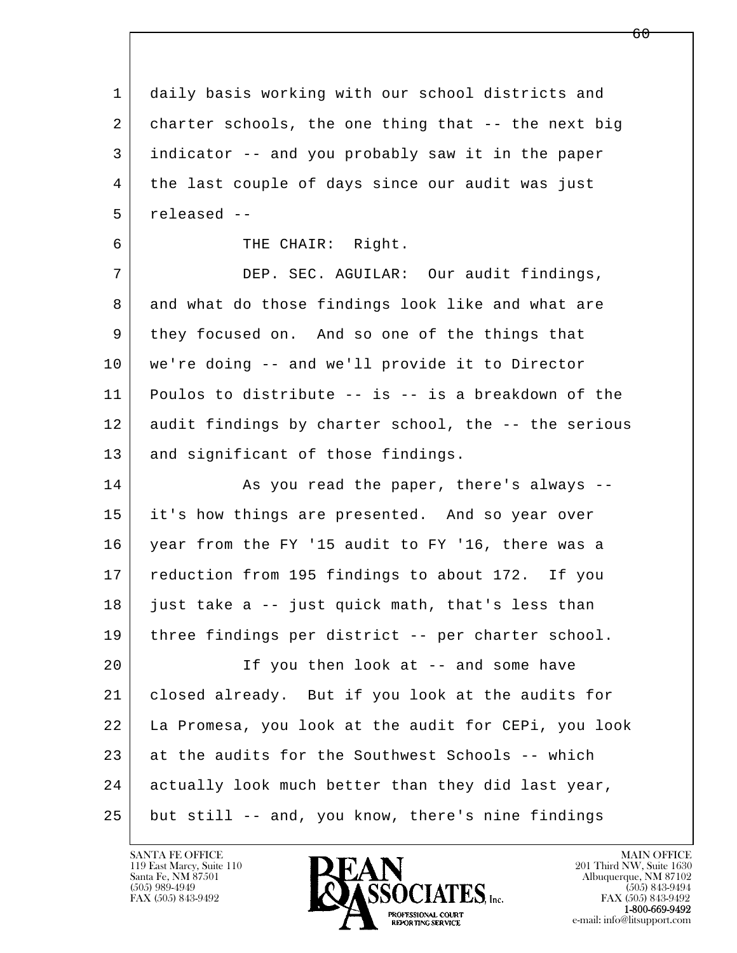l  $\overline{\phantom{a}}$  1 daily basis working with our school districts and 2 charter schools, the one thing that -- the next big 3 indicator -- and you probably saw it in the paper 4 the last couple of days since our audit was just 5 released -- 6 THE CHAIR: Right. 7 DEP. SEC. AGUILAR: Our audit findings, 8 and what do those findings look like and what are 9 they focused on. And so one of the things that 10 we're doing -- and we'll provide it to Director 11 Poulos to distribute -- is -- is a breakdown of the 12 audit findings by charter school, the -- the serious 13 and significant of those findings. 14 As you read the paper, there's always --15 it's how things are presented. And so year over 16 year from the FY '15 audit to FY '16, there was a 17 reduction from 195 findings to about 172. If you  $18$  just take a  $-$  just quick math, that's less than 19 three findings per district -- per charter school. 20 | Tf you then look at -- and some have 21 closed already. But if you look at the audits for 22 La Promesa, you look at the audit for CEPi, you look 23 at the audits for the Southwest Schools -- which 24 actually look much better than they did last year, 25 but still -- and, you know, there's nine findings

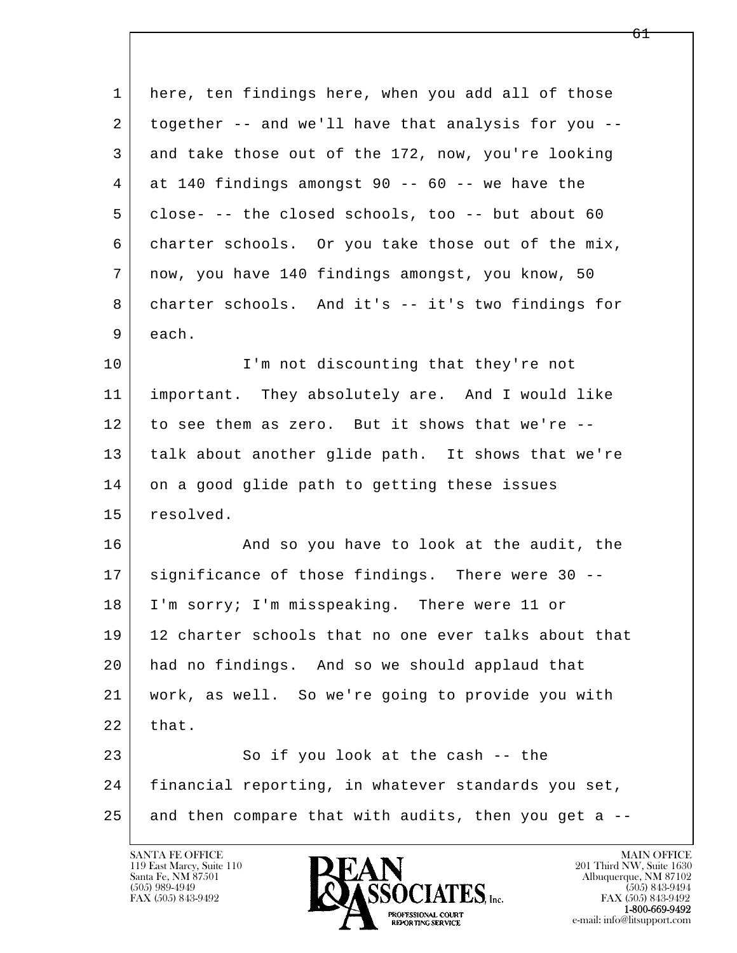| 1  | here, ten findings here, when you add all of those   |
|----|------------------------------------------------------|
| 2  | together -- and we'll have that analysis for you --  |
| 3  | and take those out of the 172, now, you're looking   |
| 4  | at 140 findings amongst 90 -- 60 -- we have the      |
| 5  | close- -- the closed schools, too -- but about 60    |
| 6  | charter schools. Or you take those out of the mix,   |
| 7  | now, you have 140 findings amongst, you know, 50     |
| 8  | charter schools. And it's -- it's two findings for   |
| 9  | each.                                                |
| 10 | I'm not discounting that they're not                 |
| 11 | important. They absolutely are. And I would like     |
| 12 | to see them as zero. But it shows that we're --      |
| 13 | talk about another glide path. It shows that we're   |
| 14 | on a good glide path to getting these issues         |
| 15 | resolved.                                            |
| 16 | And so you have to look at the audit, the            |
| 17 | significance of those findings. There were 30 --     |
| 18 | I'm sorry; I'm misspeaking. There were 11 or         |
| 19 | 12 charter schools that no one ever talks about that |
| 20 | had no findings. And so we should applaud that       |
| 21 | work, as well. So we're going to provide you with    |
| 22 | that.                                                |
| 23 | So if you look at the cash -- the                    |
| 24 | financial reporting, in whatever standards you set,  |
| 25 | and then compare that with audits, then you get a -- |

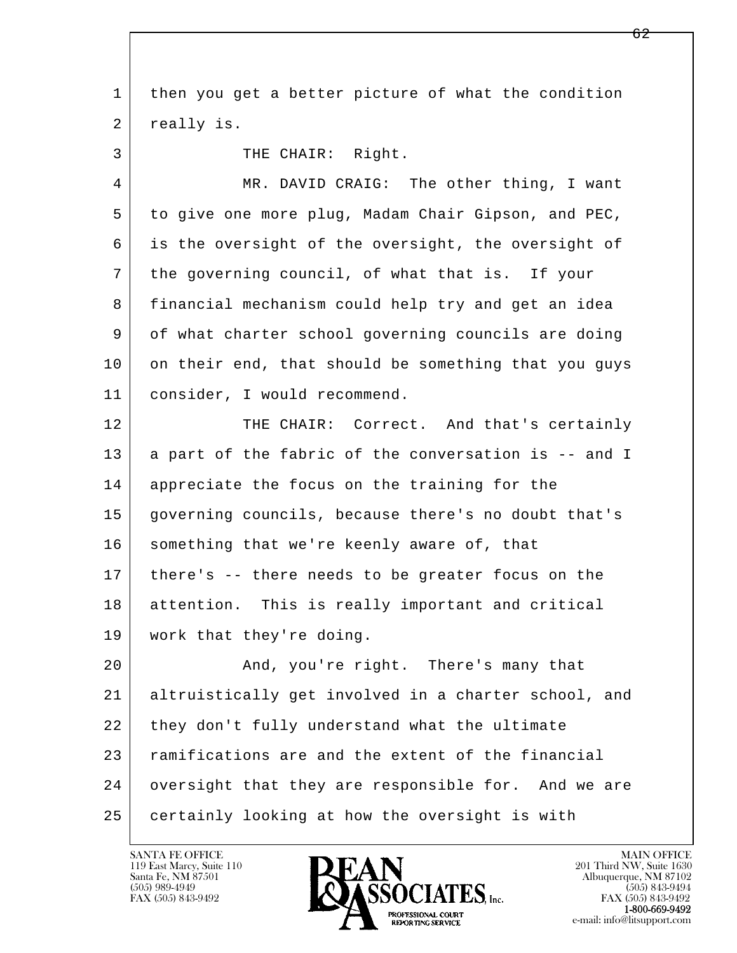| $\mathbf 1$ | then you get a better picture of what the condition  |
|-------------|------------------------------------------------------|
| 2           | really is.                                           |
| 3           | THE CHAIR: Right.                                    |
| 4           | MR. DAVID CRAIG: The other thing, I want             |
| 5           | to give one more plug, Madam Chair Gipson, and PEC,  |
| 6           | is the oversight of the oversight, the oversight of  |
| 7           | the governing council, of what that is. If your      |
| 8           | financial mechanism could help try and get an idea   |
| 9           | of what charter school governing councils are doing  |
| 10          | on their end, that should be something that you guys |
| 11          | consider, I would recommend.                         |
| 12          | THE CHAIR: Correct. And that's certainly             |
| 13          | a part of the fabric of the conversation is -- and I |
| 14          | appreciate the focus on the training for the         |
| 15          | governing councils, because there's no doubt that's  |
| 16          | something that we're keenly aware of, that           |
| 17          | there's -- there needs to be greater focus on the    |
| 18          | attention. This is really important and critical     |
| 19          | work that they're doing.                             |
| 20          | And, you're right. There's many that                 |
| 21          | altruistically get involved in a charter school, and |
| 22          | they don't fully understand what the ultimate        |
| 23          | ramifications are and the extent of the financial    |
| 24          | oversight that they are responsible for. And we are  |
| 25          | certainly looking at how the oversight is with       |

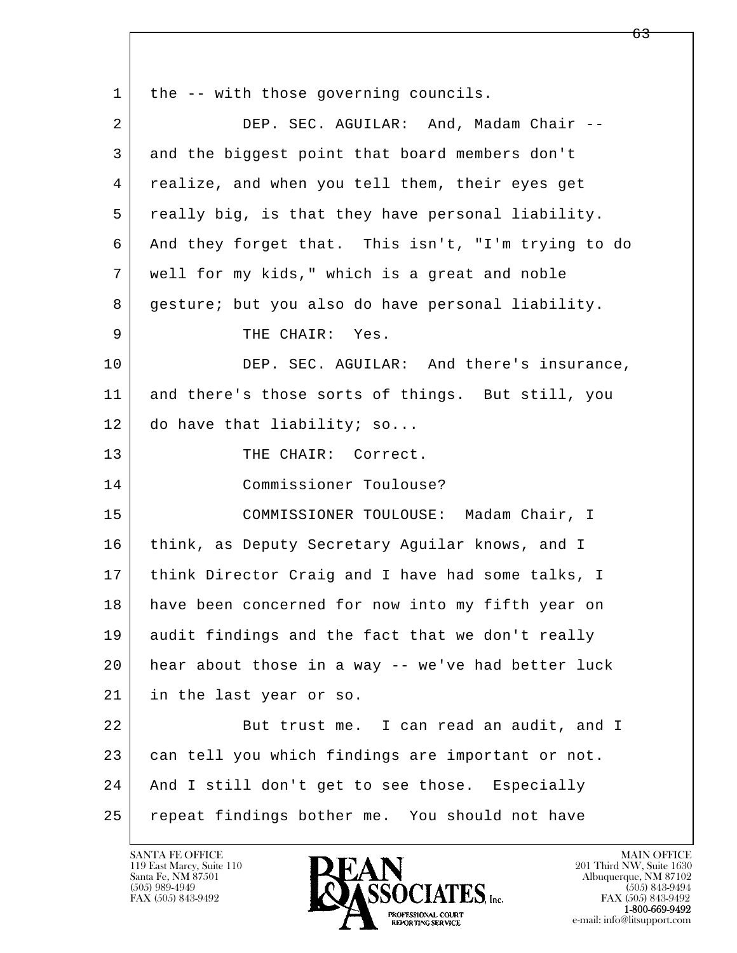l  $\overline{\phantom{a}}$ 1 | the -- with those governing councils. 2 DEP. SEC. AGUILAR: And, Madam Chair -- 3 and the biggest point that board members don't 4 realize, and when you tell them, their eyes get 5 really big, is that they have personal liability. 6 And they forget that. This isn't, "I'm trying to do 7 well for my kids," which is a great and noble 8 gesture; but you also do have personal liability. 9 THE CHAIR: Yes. 10 DEP. SEC. AGUILAR: And there's insurance, 11 and there's those sorts of things. But still, you 12 do have that liability; so... 13 THE CHAIR: Correct. 14 Commissioner Toulouse? 15 COMMISSIONER TOULOUSE: Madam Chair, I 16 think, as Deputy Secretary Aguilar knows, and I 17 think Director Craig and I have had some talks, I 18 have been concerned for now into my fifth year on 19 audit findings and the fact that we don't really 20 hear about those in a way -- we've had better luck 21 in the last year or so. 22 But trust me. I can read an audit, and I 23 can tell you which findings are important or not. 24 | And I still don't get to see those. Especially 25 repeat findings bother me. You should not have

119 East Marcy, Suite 110<br>Santa Fe, NM 87501

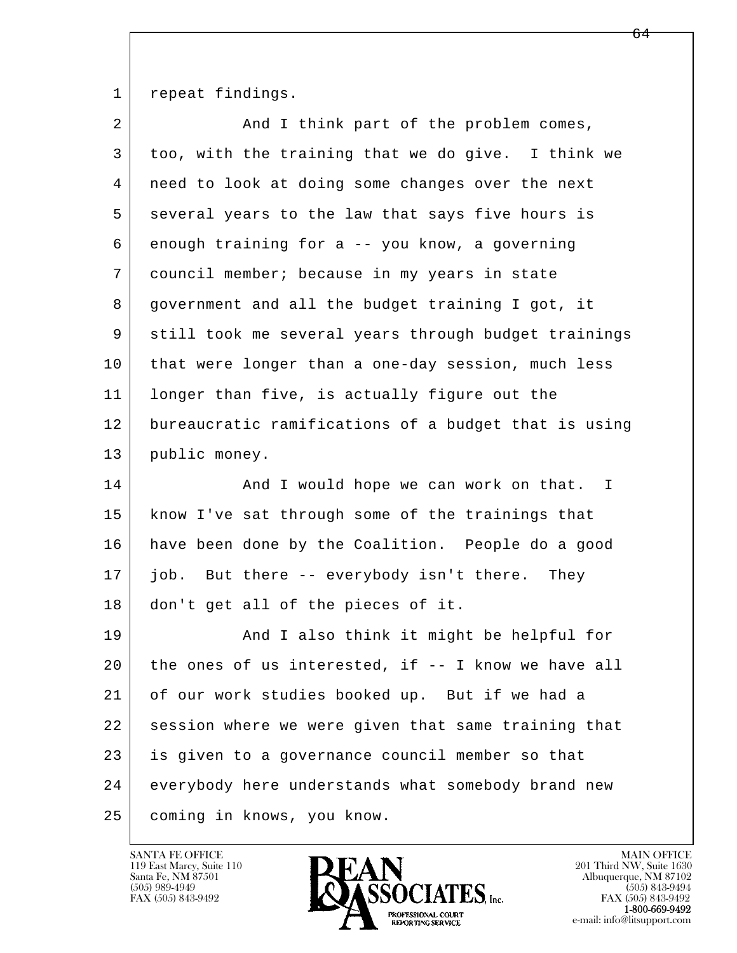1 repeat findings.

| $\overline{2}$ | And I think part of the problem comes,               |
|----------------|------------------------------------------------------|
| 3              | too, with the training that we do give. I think we   |
| 4              | need to look at doing some changes over the next     |
| 5              | several years to the law that says five hours is     |
| 6              | enough training for a -- you know, a governing       |
| 7              | council member; because in my years in state         |
| 8              | government and all the budget training I got, it     |
| 9              | still took me several years through budget trainings |
| 10             | that were longer than a one-day session, much less   |
| 11             | longer than five, is actually figure out the         |
| 12             | bureaucratic ramifications of a budget that is using |
| 13             | public money.                                        |
| 14             | And I would hope we can work on that. I              |
| 15             | know I've sat through some of the trainings that     |
| 16             | have been done by the Coalition. People do a good    |
| 17             | job. But there -- everybody isn't there. They        |
| 18             | don't get all of the pieces of it.                   |
| 19             | And I also think it might be helpful for             |
| 20             | the ones of us interested, if -- I know we have all  |
| 21             | of our work studies booked up. But if we had a       |
| 22             | session where we were given that same training that  |
| 23             | is given to a governance council member so that      |
| 24             | everybody here understands what somebody brand new   |
| 25             | coming in knows, you know.                           |

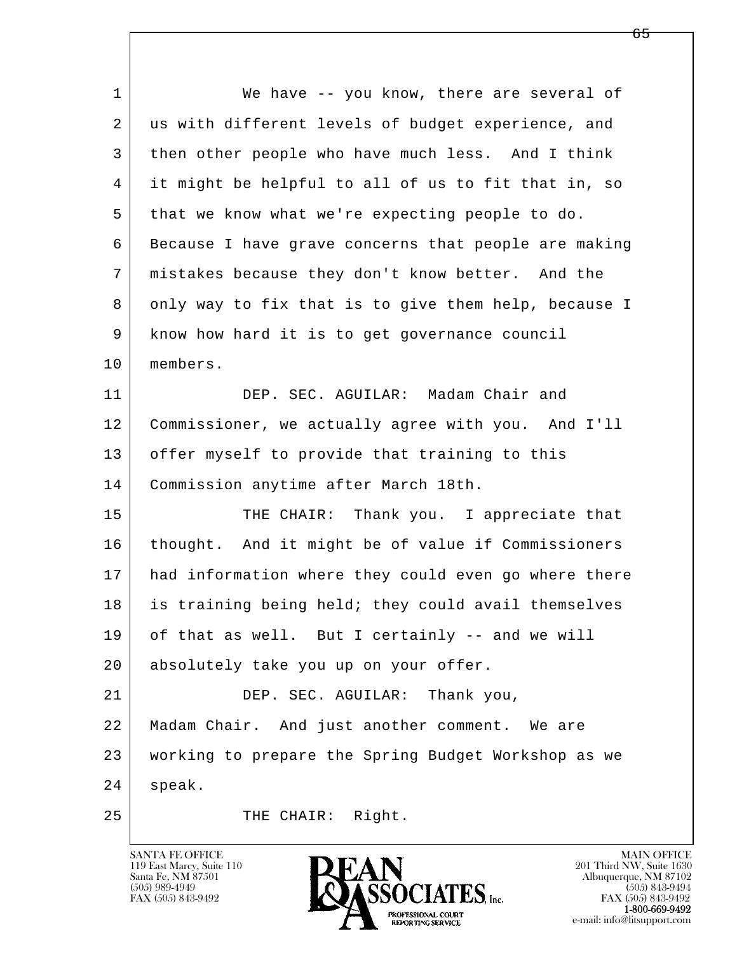l  $\overline{\phantom{a}}$ 1 We have -- you know, there are several of 2 us with different levels of budget experience, and 3 then other people who have much less. And I think 4 it might be helpful to all of us to fit that in, so 5 that we know what we're expecting people to do. 6 Because I have grave concerns that people are making 7 mistakes because they don't know better. And the 8 only way to fix that is to give them help, because I 9 know how hard it is to get governance council 10 members. 11 DEP. SEC. AGUILAR: Madam Chair and 12 Commissioner, we actually agree with you. And I'll 13 offer myself to provide that training to this 14 Commission anytime after March 18th. 15 THE CHAIR: Thank you. I appreciate that 16 thought. And it might be of value if Commissioners 17 had information where they could even go where there 18 is training being held; they could avail themselves 19 of that as well. But I certainly -- and we will 20 absolutely take you up on your offer. 21 | DEP. SEC. AGUILAR: Thank you, 22 Madam Chair. And just another comment. We are 23 working to prepare the Spring Budget Workshop as we 24 speak. 25 THE CHAIR: Right.

119 East Marcy, Suite 110<br>Santa Fe, NM 87501



FAX (505) 843-9492<br>1-800-669-9492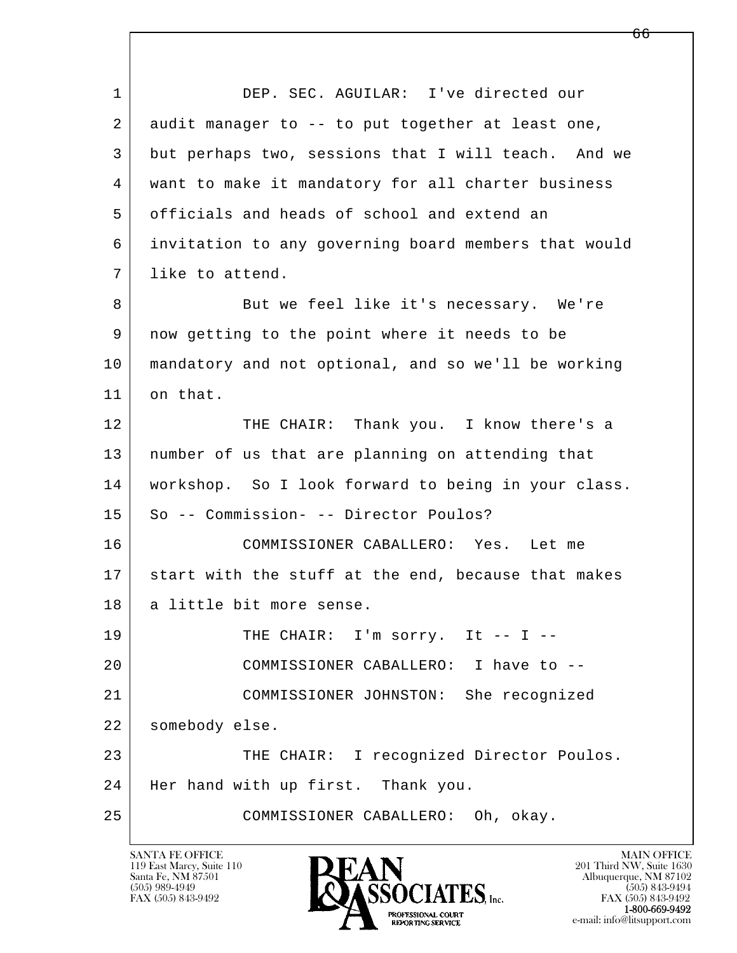l  $\overline{\phantom{a}}$  1 DEP. SEC. AGUILAR: I've directed our 2 audit manager to -- to put together at least one, 3 but perhaps two, sessions that I will teach. And we 4 want to make it mandatory for all charter business 5 officials and heads of school and extend an 6 invitation to any governing board members that would 7 l like to attend. 8 But we feel like it's necessary. We're 9 now getting to the point where it needs to be 10 mandatory and not optional, and so we'll be working 11 on that. 12 THE CHAIR: Thank you. I know there's a 13 number of us that are planning on attending that 14 workshop. So I look forward to being in your class. 15 So -- Commission- -- Director Poulos? 16 COMMISSIONER CABALLERO: Yes. Let me 17 start with the stuff at the end, because that makes 18 a little bit more sense. 19 THE CHAIR: I'm sorry. It -- I -- 20 COMMISSIONER CABALLERO: I have to -- 21 COMMISSIONER JOHNSTON: She recognized 22 somebody else. 23 THE CHAIR: I recognized Director Poulos. 24 Her hand with up first. Thank you. 25 COMMISSIONER CABALLERO: Oh, okay.

119 East Marcy, Suite 110<br>Santa Fe, NM 87501

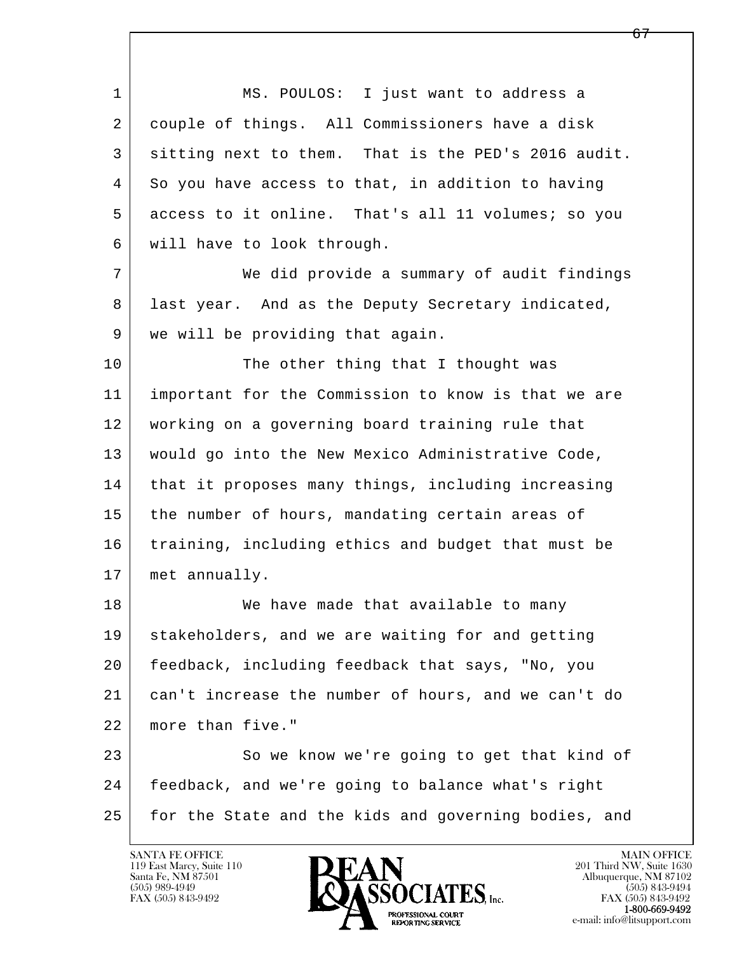l  $\overline{\phantom{a}}$ 1 MS. POULOS: I just want to address a 2 couple of things. All Commissioners have a disk 3 sitting next to them. That is the PED's 2016 audit. 4 So you have access to that, in addition to having 5 access to it online. That's all 11 volumes; so you 6 will have to look through. 7 | We did provide a summary of audit findings 8 | last year. And as the Deputy Secretary indicated, 9 we will be providing that again. 10 The other thing that I thought was 11 important for the Commission to know is that we are 12 working on a governing board training rule that 13 would go into the New Mexico Administrative Code, 14 | that it proposes many things, including increasing 15 | the number of hours, mandating certain areas of 16 training, including ethics and budget that must be 17 met annually. 18 We have made that available to many 19 stakeholders, and we are waiting for and getting 20 feedback, including feedback that says, "No, you 21 can't increase the number of hours, and we can't do 22 more than five." 23 So we know we're going to get that kind of 24 feedback, and we're going to balance what's right 25 for the State and the kids and governing bodies, and

119 East Marcy, Suite 110<br>Santa Fe, NM 87501

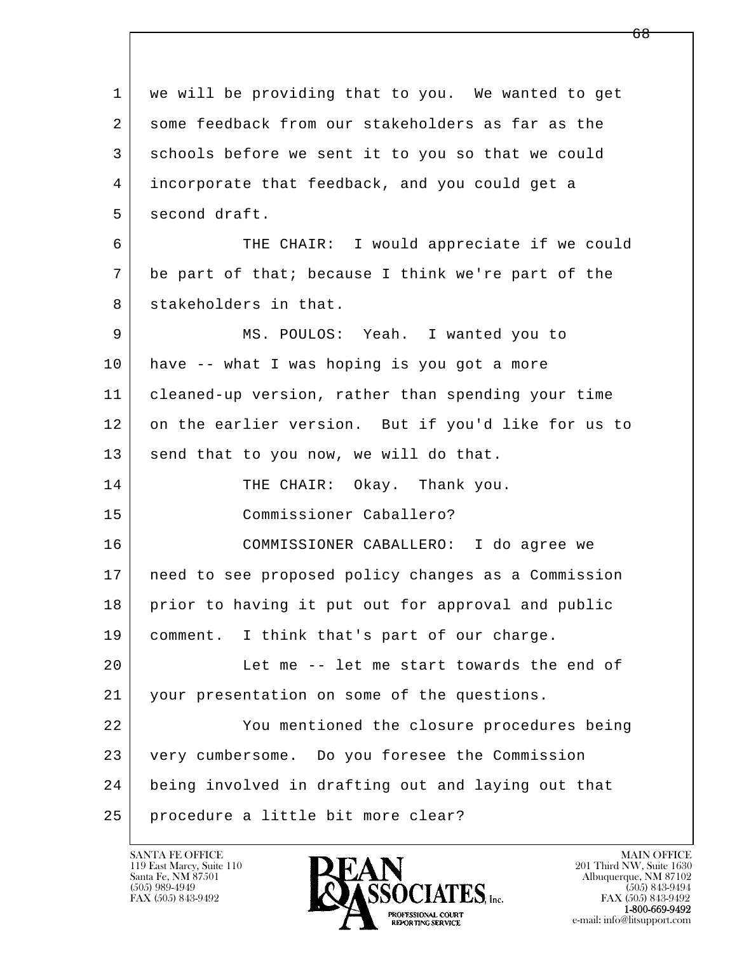l  $\overline{\phantom{a}}$  1 we will be providing that to you. We wanted to get 2 some feedback from our stakeholders as far as the 3 schools before we sent it to you so that we could 4 incorporate that feedback, and you could get a 5 second draft. 6 THE CHAIR: I would appreciate if we could 7 be part of that; because I think we're part of the 8 stakeholders in that. 9 MS. POULOS: Yeah. I wanted you to 10 have -- what I was hoping is you got a more 11 cleaned-up version, rather than spending your time 12 on the earlier version. But if you'd like for us to 13 send that to you now, we will do that. 14 THE CHAIR: Okay. Thank you. 15 Commissioner Caballero? 16 COMMISSIONER CABALLERO: I do agree we 17 need to see proposed policy changes as a Commission 18 prior to having it put out for approval and public 19 comment. I think that's part of our charge. 20 Let me -- let me start towards the end of 21 your presentation on some of the questions. 22 You mentioned the closure procedures being 23 very cumbersome. Do you foresee the Commission 24 being involved in drafting out and laying out that 25 procedure a little bit more clear?

119 East Marcy, Suite 110<br>Santa Fe, NM 87501

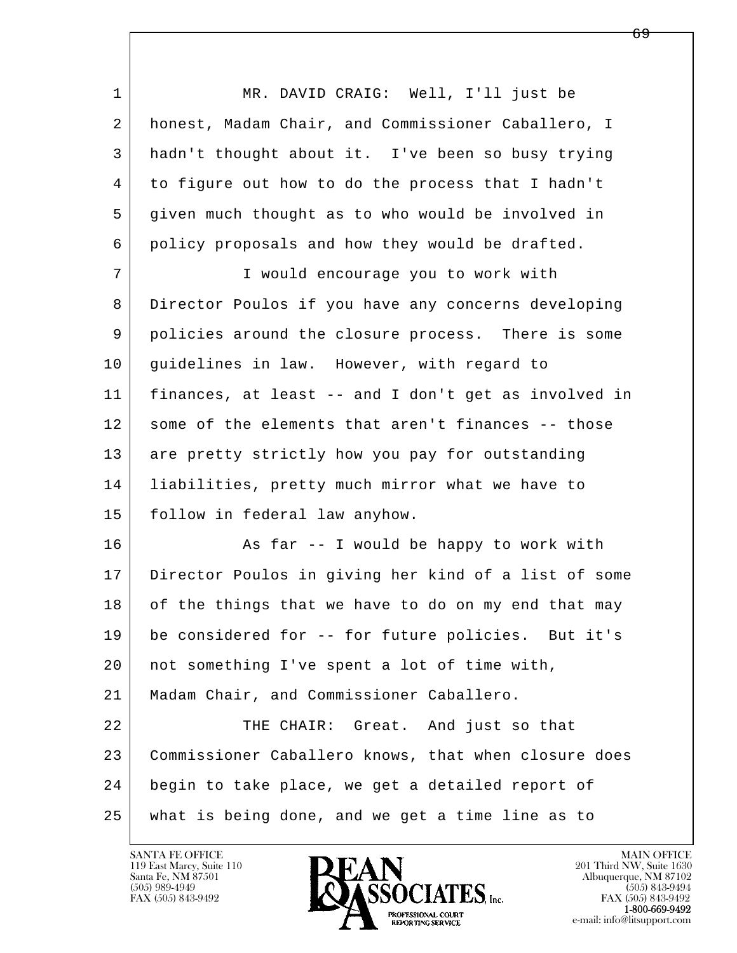l  $\overline{\phantom{a}}$  1 MR. DAVID CRAIG: Well, I'll just be 2 honest, Madam Chair, and Commissioner Caballero, I 3 hadn't thought about it. I've been so busy trying 4 to figure out how to do the process that I hadn't 5 given much thought as to who would be involved in 6 policy proposals and how they would be drafted. 7 I would encourage you to work with 8 Director Poulos if you have any concerns developing 9 policies around the closure process. There is some 10 quidelines in law. However, with regard to 11 finances, at least -- and I don't get as involved in 12 some of the elements that aren't finances -- those 13 are pretty strictly how you pay for outstanding 14 liabilities, pretty much mirror what we have to 15 follow in federal law anyhow. 16 As far -- I would be happy to work with 17 Director Poulos in giving her kind of a list of some 18 of the things that we have to do on my end that may 19 be considered for -- for future policies. But it's 20 not something I've spent a lot of time with, 21 Madam Chair, and Commissioner Caballero. 22 THE CHAIR: Great. And just so that 23 Commissioner Caballero knows, that when closure does 24 begin to take place, we get a detailed report of 25 what is being done, and we get a time line as to

119 East Marcy, Suite 110<br>Santa Fe, NM 87501

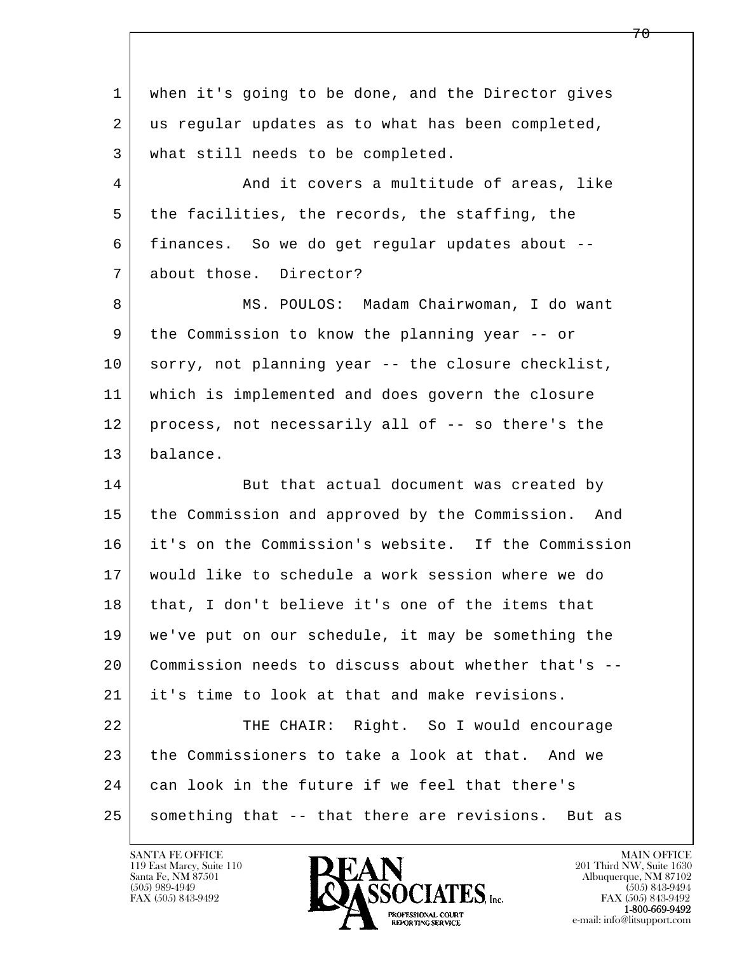l  $\overline{\phantom{a}}$  1 when it's going to be done, and the Director gives 2 us regular updates as to what has been completed, 3 what still needs to be completed. 4 And it covers a multitude of areas, like 5 the facilities, the records, the staffing, the 6 finances. So we do get regular updates about -- 7 about those. Director? 8 MS. POULOS: Madam Chairwoman, I do want 9 the Commission to know the planning year -- or 10 sorry, not planning year -- the closure checklist, 11 which is implemented and does govern the closure 12 process, not necessarily all of -- so there's the 13 balance. 14 But that actual document was created by 15 the Commission and approved by the Commission. And 16 it's on the Commission's website. If the Commission 17 would like to schedule a work session where we do 18 | that, I don't believe it's one of the items that 19 we've put on our schedule, it may be something the 20 Commission needs to discuss about whether that's -- 21 it's time to look at that and make revisions. 22 THE CHAIR: Right. So I would encourage 23 the Commissioners to take a look at that. And we 24 can look in the future if we feel that there's 25 something that -- that there are revisions. But as

119 East Marcy, Suite 110<br>Santa Fe, NM 87501

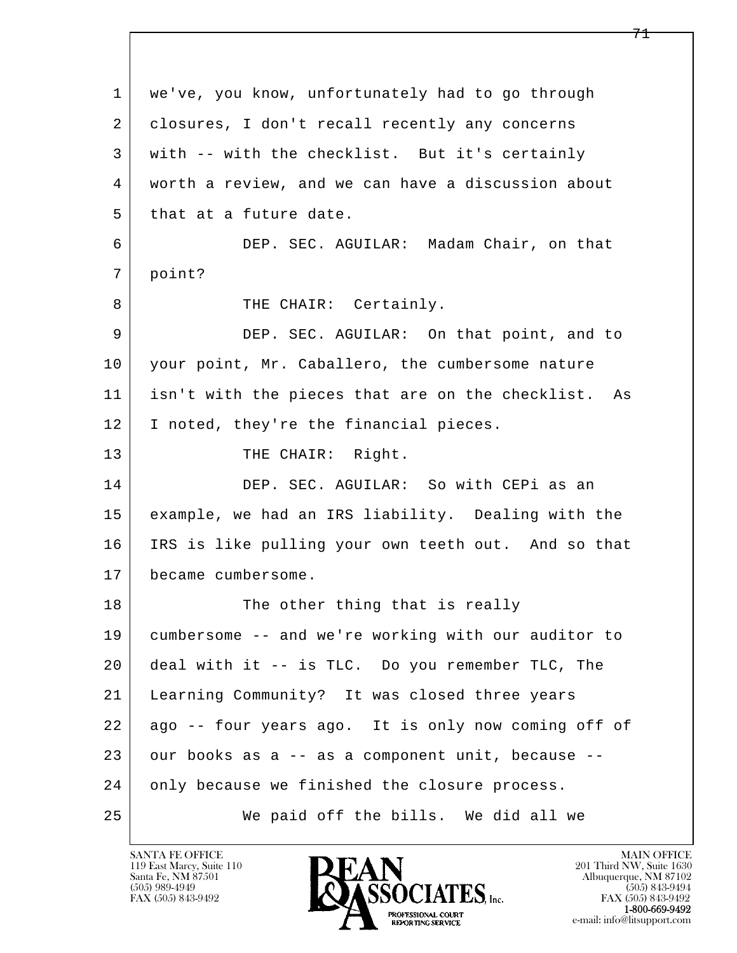l  $\overline{\phantom{a}}$  1 we've, you know, unfortunately had to go through 2 | closures, I don't recall recently any concerns 3 with -- with the checklist. But it's certainly 4 worth a review, and we can have a discussion about 5 that at a future date. 6 DEP. SEC. AGUILAR: Madam Chair, on that 7 point? 8 | THE CHAIR: Certainly. 9 DEP. SEC. AGUILAR: On that point, and to 10 your point, Mr. Caballero, the cumbersome nature 11 isn't with the pieces that are on the checklist. As 12 I noted, they're the financial pieces. 13 THE CHAIR: Right. 14 DEP. SEC. AGUILAR: So with CEPi as an 15 example, we had an IRS liability. Dealing with the 16 IRS is like pulling your own teeth out. And so that 17 became cumbersome. 18 The other thing that is really 19 cumbersome -- and we're working with our auditor to 20 deal with it -- is TLC. Do you remember TLC, The 21 Learning Community? It was closed three years 22 ago -- four years ago. It is only now coming off of  $23$  our books as a  $-$  as a component unit, because  $-$ 24 only because we finished the closure process. 25 We paid off the bills. We did all we

119 East Marcy, Suite 110<br>Santa Fe, NM 87501

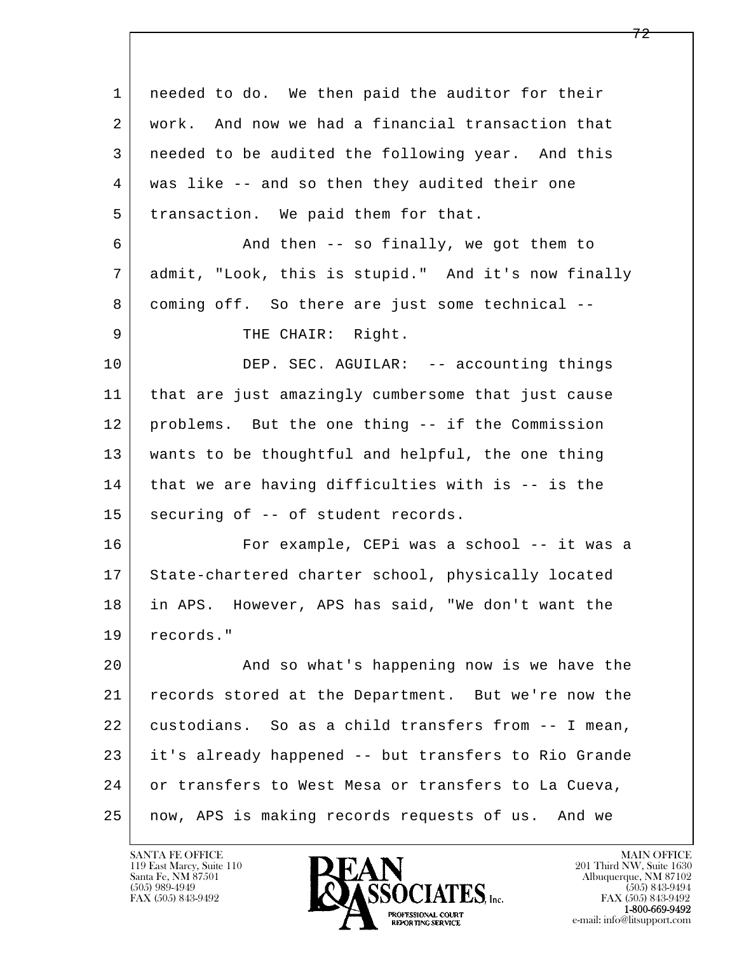l  $\overline{\phantom{a}}$  1 needed to do. We then paid the auditor for their 2 work. And now we had a financial transaction that 3 needed to be audited the following year. And this 4 was like -- and so then they audited their one 5 transaction. We paid them for that. 6 And then -- so finally, we got them to 7 admit, "Look, this is stupid." And it's now finally 8 coming off. So there are just some technical --9 | THE CHAIR: Right. 10 DEP. SEC. AGUILAR: -- accounting things 11 that are just amazingly cumbersome that just cause 12 problems. But the one thing -- if the Commission 13 wants to be thoughtful and helpful, the one thing 14 that we are having difficulties with is -- is the 15 | securing of -- of student records. 16 For example, CEPi was a school -- it was a 17 State-chartered charter school, physically located 18 in APS. However, APS has said, "We don't want the 19 records." 20 | And so what's happening now is we have the 21 records stored at the Department. But we're now the 22 custodians. So as a child transfers from -- I mean, 23 it's already happened -- but transfers to Rio Grande 24 or transfers to West Mesa or transfers to La Cueva, 25 now, APS is making records requests of us. And we

119 East Marcy, Suite 110<br>Santa Fe, NM 87501



FAX (505) 843-9492<br>**1-800-669-9492**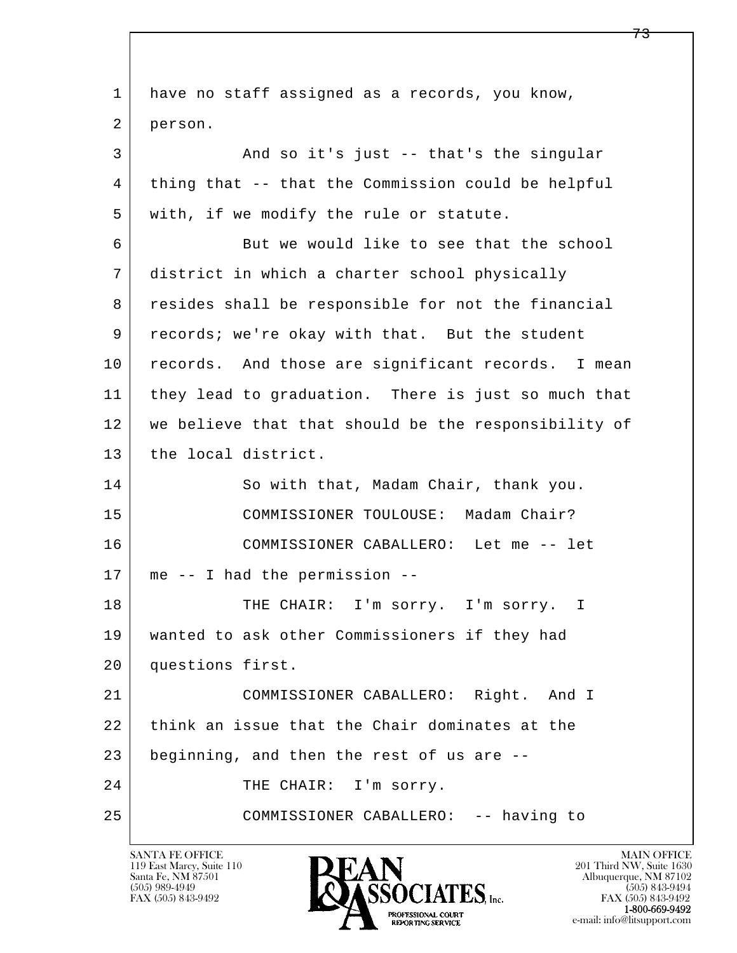l  $\overline{\phantom{a}}$ 1 have no staff assigned as a records, you know, 2 person. 3 And so it's just -- that's the singular 4 thing that -- that the Commission could be helpful 5 | with, if we modify the rule or statute. 6 But we would like to see that the school 7 district in which a charter school physically 8 resides shall be responsible for not the financial 9 records; we're okay with that. But the student 10 records. And those are significant records. I mean 11 they lead to graduation. There is just so much that 12 we believe that that should be the responsibility of 13 the local district. 14 So with that, Madam Chair, thank you. 15 COMMISSIONER TOULOUSE: Madam Chair? 16 COMMISSIONER CABALLERO: Let me -- let 17 me -- I had the permission -- 18 | THE CHAIR: I'm sorry. I'm sorry. I 19 wanted to ask other Commissioners if they had 20 questions first. 21 COMMISSIONER CABALLERO: Right. And I 22 think an issue that the Chair dominates at the 23 beginning, and then the rest of us are --24 THE CHAIR: I'm sorry. 25 COMMISSIONER CABALLERO: -- having to

119 East Marcy, Suite 110<br>Santa Fe, NM 87501

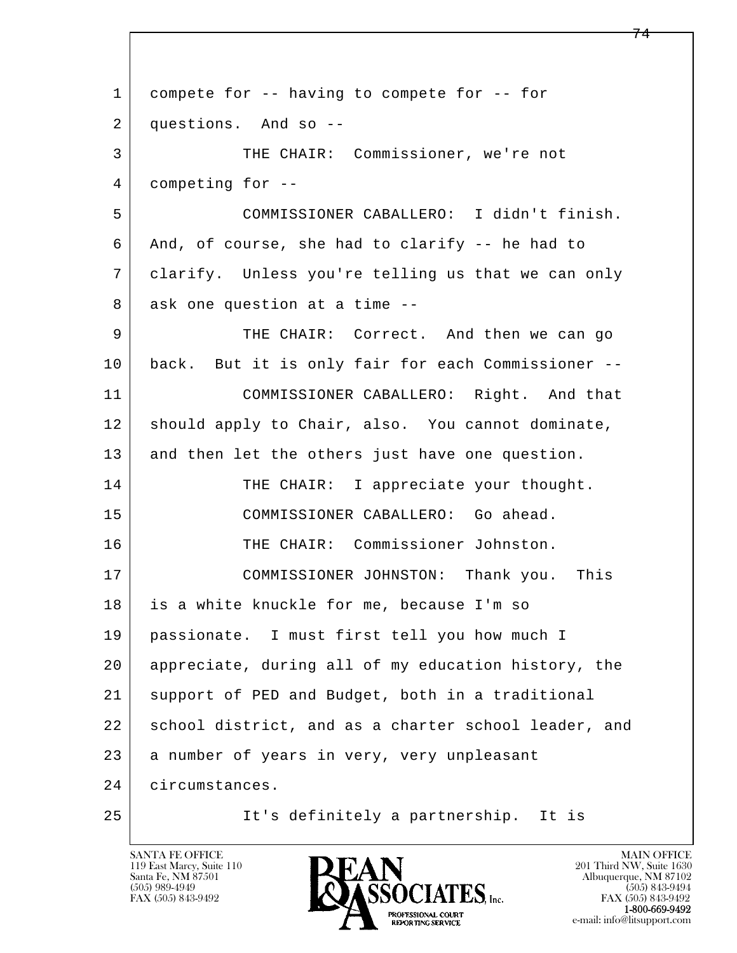l  $\overline{\phantom{a}}$ 1 compete for -- having to compete for -- for 2 questions. And so -- 3 THE CHAIR: Commissioner, we're not 4 competing for -- 5 COMMISSIONER CABALLERO: I didn't finish. 6 And, of course, she had to clarify -- he had to 7 clarify. Unless you're telling us that we can only 8 ask one question at a time --9 THE CHAIR: Correct. And then we can go 10 | back. But it is only fair for each Commissioner -- 11 COMMISSIONER CABALLERO: Right. And that 12 | should apply to Chair, also. You cannot dominate, 13 and then let the others just have one question. 14 THE CHAIR: I appreciate your thought. 15 COMMISSIONER CABALLERO: Go ahead. 16 THE CHAIR: Commissioner Johnston. 17 COMMISSIONER JOHNSTON: Thank you. This 18 is a white knuckle for me, because I'm so 19 passionate. I must first tell you how much I 20 appreciate, during all of my education history, the 21 support of PED and Budget, both in a traditional 22 school district, and as a charter school leader, and 23 a number of years in very, very unpleasant 24 circumstances. 25 It's definitely a partnership. It is

119 East Marcy, Suite 110<br>Santa Fe, NM 87501

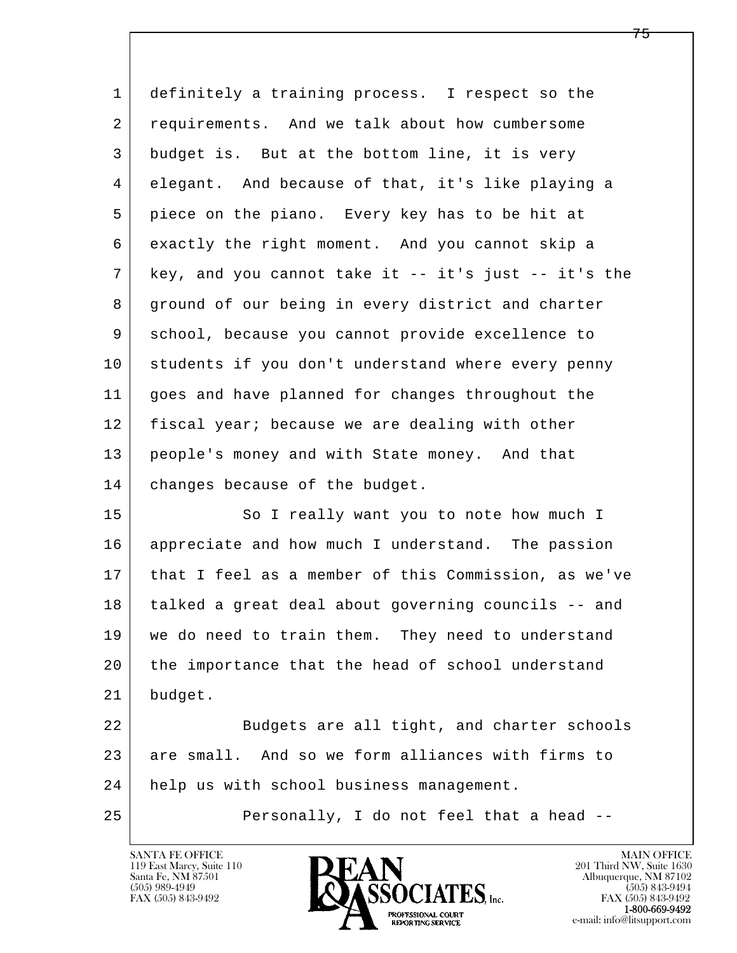| $\mathbf{1}$   | definitely a training process. I respect so the        |
|----------------|--------------------------------------------------------|
| 2              | requirements. And we talk about how cumbersome         |
| 3              | budget is. But at the bottom line, it is very          |
| $\overline{4}$ | elegant. And because of that, it's like playing a      |
| 5              | piece on the piano. Every key has to be hit at         |
| 6              | exactly the right moment. And you cannot skip a        |
| 7              | key, and you cannot take it $-$ it's just $-$ it's the |
| 8              | ground of our being in every district and charter      |
| 9              | school, because you cannot provide excellence to       |
| 10             | students if you don't understand where every penny     |
| 11             | goes and have planned for changes throughout the       |
| 12             | fiscal year; because we are dealing with other         |
| 13             | people's money and with State money. And that          |
| 14             | changes because of the budget.                         |
| 15             | So I really want you to note how much I                |
| 16             | appreciate and how much I understand. The passion      |
| 17             | that I feel as a member of this Commission, as we've   |
| 18             | talked a great deal about governing councils -- and    |
| 19             | we do need to train them. They need to understand      |
| 20             | the importance that the head of school understand      |
| 21             | budget.                                                |
| 22             | Budgets are all tight, and charter schools             |

l  $\overline{\phantom{a}}$ 23 are small. And so we form alliances with firms to 24 help us with school business management.

25 Personally, I do not feel that a head --

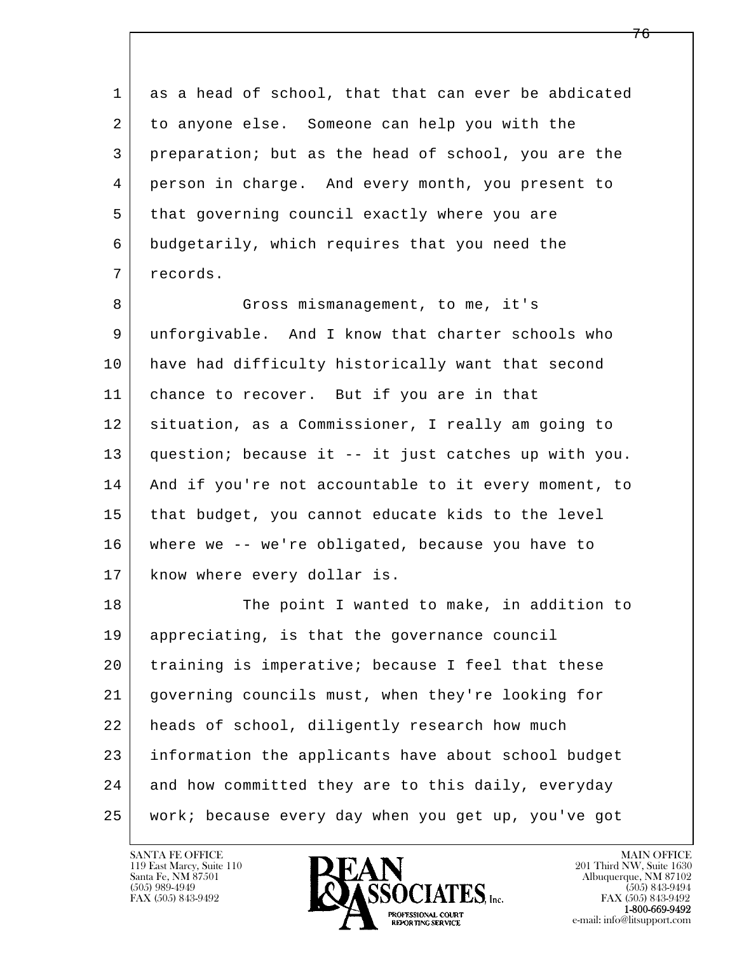l  $\overline{\phantom{a}}$  1 as a head of school, that that can ever be abdicated 2 to anyone else. Someone can help you with the 3 preparation; but as the head of school, you are the 4 person in charge. And every month, you present to 5 that governing council exactly where you are 6 budgetarily, which requires that you need the 7 records. 8 Gross mismanagement, to me, it's 9 unforgivable. And I know that charter schools who 10 have had difficulty historically want that second 11 chance to recover. But if you are in that 12 situation, as a Commissioner, I really am going to 13 question; because it -- it just catches up with you. 14 | And if you're not accountable to it every moment, to 15 | that budget, you cannot educate kids to the level 16 where we -- we're obligated, because you have to 17 | know where every dollar is. 18 The point I wanted to make, in addition to 19 appreciating, is that the governance council 20 training is imperative; because I feel that these 21 governing councils must, when they're looking for 22 heads of school, diligently research how much 23 information the applicants have about school budget 24 and how committed they are to this daily, everyday 25 work; because every day when you get up, you've got

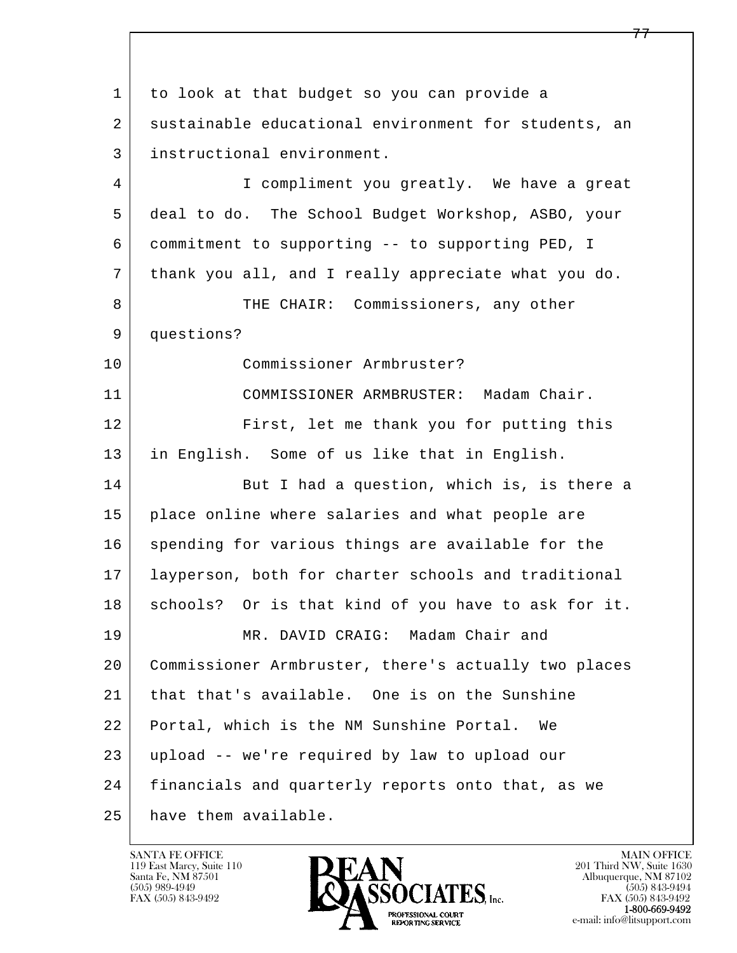l  $\overline{\phantom{a}}$  1 to look at that budget so you can provide a 2 sustainable educational environment for students, an 3 instructional environment. 4 I compliment you greatly. We have a great 5 deal to do. The School Budget Workshop, ASBO, your 6 commitment to supporting -- to supporting PED, I 7 thank you all, and I really appreciate what you do. 8 THE CHAIR: Commissioners, any other 9 questions? 10 Commissioner Armbruster? 11 COMMISSIONER ARMBRUSTER: Madam Chair. 12 First, let me thank you for putting this 13 in English. Some of us like that in English. 14 But I had a question, which is, is there a 15 place online where salaries and what people are 16 spending for various things are available for the 17 layperson, both for charter schools and traditional 18 | schools? Or is that kind of you have to ask for it. 19 MR. DAVID CRAIG: Madam Chair and 20 Commissioner Armbruster, there's actually two places 21 that that's available. One is on the Sunshine 22 Portal, which is the NM Sunshine Portal. We 23 upload -- we're required by law to upload our 24 financials and quarterly reports onto that, as we 25 have them available.

119 East Marcy, Suite 110<br>Santa Fe, NM 87501

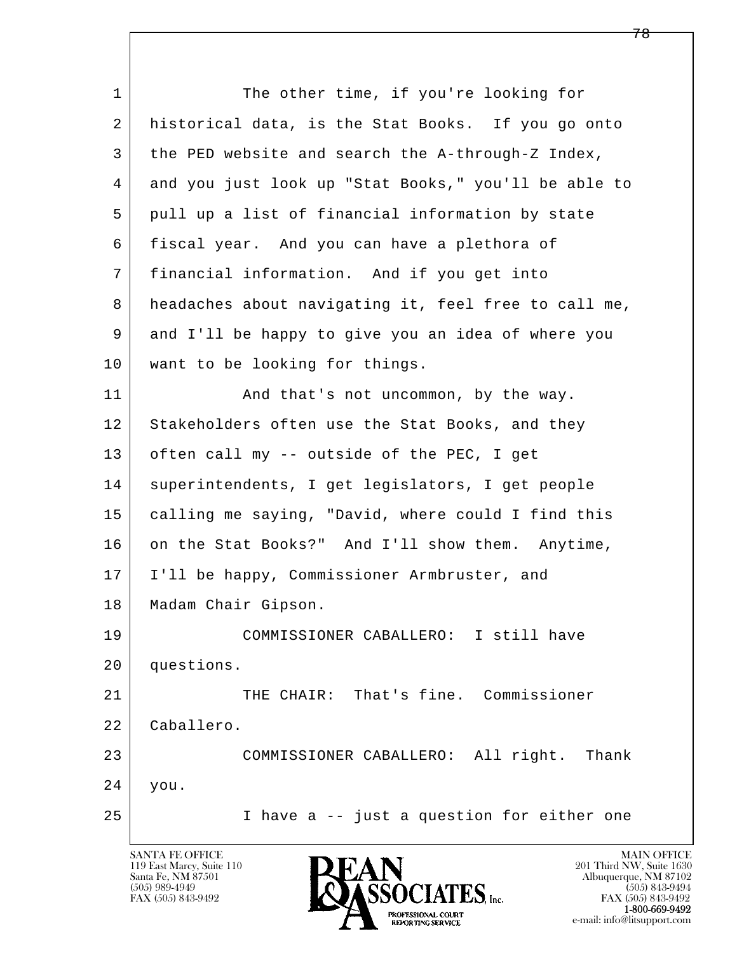l  $\overline{\phantom{a}}$ 1 The other time, if you're looking for 2 | historical data, is the Stat Books. If you go onto 3 the PED website and search the A-through-Z Index, 4 and you just look up "Stat Books," you'll be able to 5 pull up a list of financial information by state 6 fiscal year. And you can have a plethora of 7 financial information. And if you get into 8 headaches about navigating it, feel free to call me, 9 and I'll be happy to give you an idea of where you 10 | want to be looking for things. 11 | And that's not uncommon, by the way. 12 Stakeholders often use the Stat Books, and they 13 | often call my -- outside of the PEC, I get 14 superintendents, I get legislators, I get people 15 calling me saying, "David, where could I find this 16 on the Stat Books?" And I'll show them. Anytime, 17 | I'll be happy, Commissioner Armbruster, and 18 | Madam Chair Gipson. 19 COMMISSIONER CABALLERO: I still have 20 questions. 21 THE CHAIR: That's fine. Commissioner 22 Caballero. 23 COMMISSIONER CABALLERO: All right. Thank 24 you. 25 I have a -- just a question for either one

119 East Marcy, Suite 110<br>Santa Fe, NM 87501

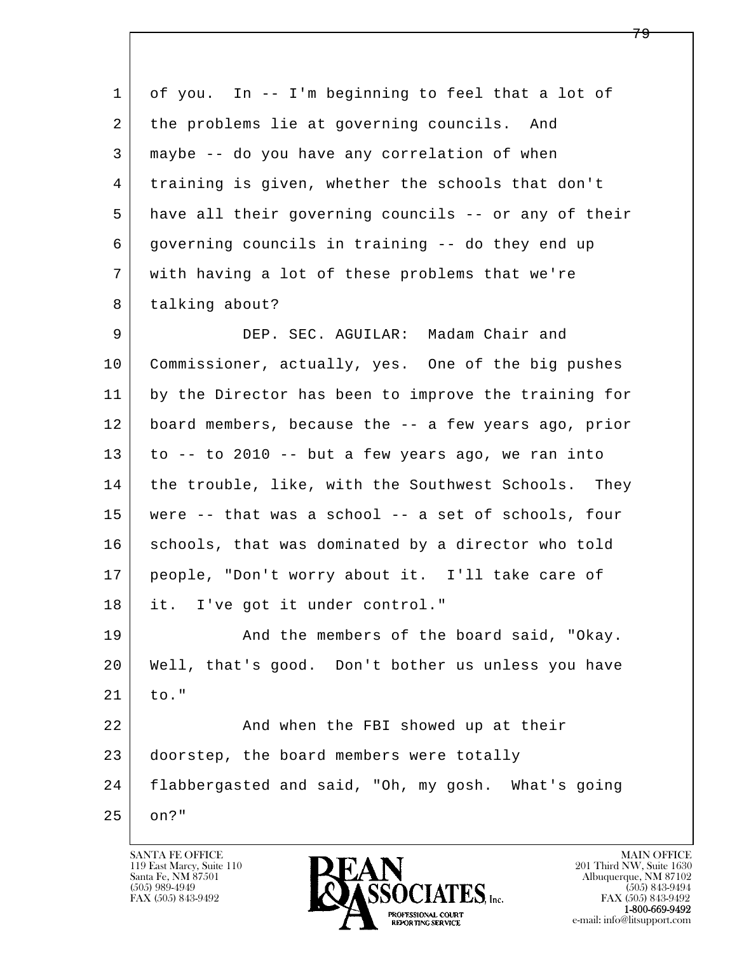| 1  | of you. In -- I'm beginning to feel that a lot of    |
|----|------------------------------------------------------|
| 2  | the problems lie at governing councils. And          |
| 3  | maybe -- do you have any correlation of when         |
| 4  | training is given, whether the schools that don't    |
| 5  | have all their governing councils -- or any of their |
| 6  | governing councils in training -- do they end up     |
| 7  | with having a lot of these problems that we're       |
| 8  | talking about?                                       |
| 9  | DEP. SEC. AGUILAR: Madam Chair and                   |
| 10 | Commissioner, actually, yes. One of the big pushes   |
| 11 | by the Director has been to improve the training for |
| 12 | board members, because the -- a few years ago, prior |
| 13 | to -- to 2010 -- but a few years ago, we ran into    |
| 14 | the trouble, like, with the Southwest Schools. They  |
| 15 | were -- that was a school -- a set of schools, four  |
| 16 | schools, that was dominated by a director who told   |
| 17 | people, "Don't worry about it. I'll take care of     |
| 18 | it. I've got it under control."                      |
| 19 | And the members of the board said, "Okay.            |
| 20 | Well, that's good. Don't bother us unless you have   |
| 21 | to."                                                 |
| 22 | And when the FBI showed up at their                  |
| 23 | doorstep, the board members were totally             |
| 24 | flabbergasted and said, "Oh, my gosh. What's going   |
| 25 | on?"                                                 |

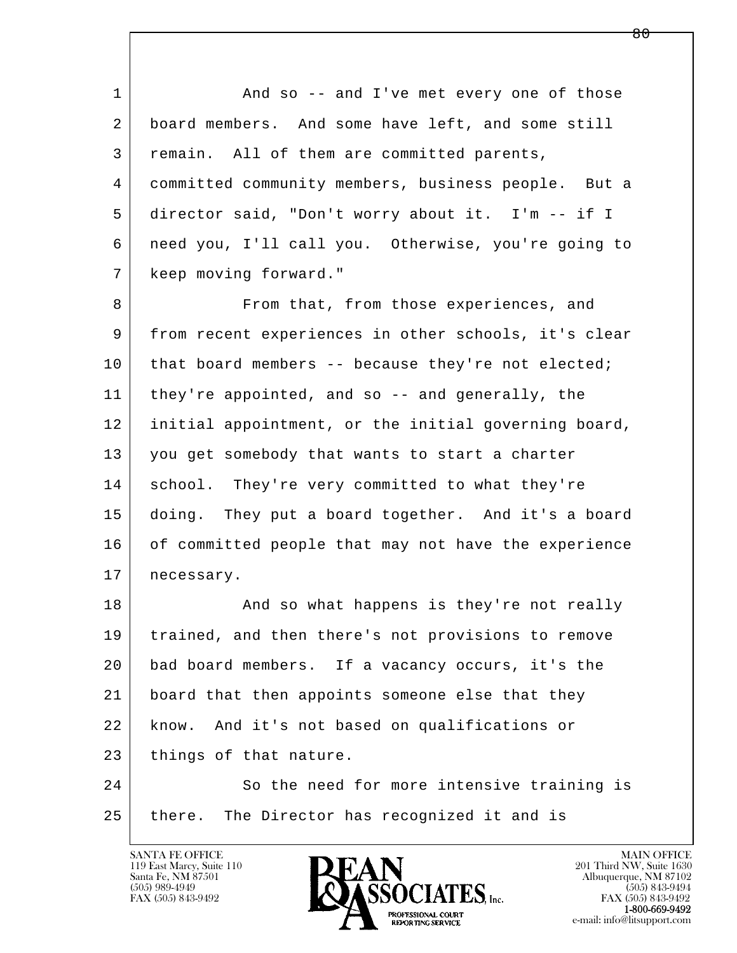1 and so -- and I've met every one of those 2 board members. And some have left, and some still 3 remain. All of them are committed parents, 4 committed community members, business people. But a 5 director said, "Don't worry about it. I'm -- if I 6 need you, I'll call you. Otherwise, you're going to 7 keep moving forward."

8 **From that, from those experiences, and**  9 from recent experiences in other schools, it's clear 10 | that board members -- because they're not elected; 11 they're appointed, and so -- and generally, the 12 initial appointment, or the initial governing board, 13 you get somebody that wants to start a charter 14 school. They're very committed to what they're 15 doing. They put a board together. And it's a board 16 of committed people that may not have the experience 17 | necessary.

18 | The Sand so what happens is they're not really 19 trained, and then there's not provisions to remove 20 bad board members. If a vacancy occurs, it's the 21 board that then appoints someone else that they 22 know. And it's not based on qualifications or 23 things of that nature.

l  $\overline{\phantom{a}}$ 24 So the need for more intensive training is 25 there. The Director has recognized it and is

119 East Marcy, Suite 110<br>Santa Fe, NM 87501



FAX (505) 843-9492<br>1-800-669-9492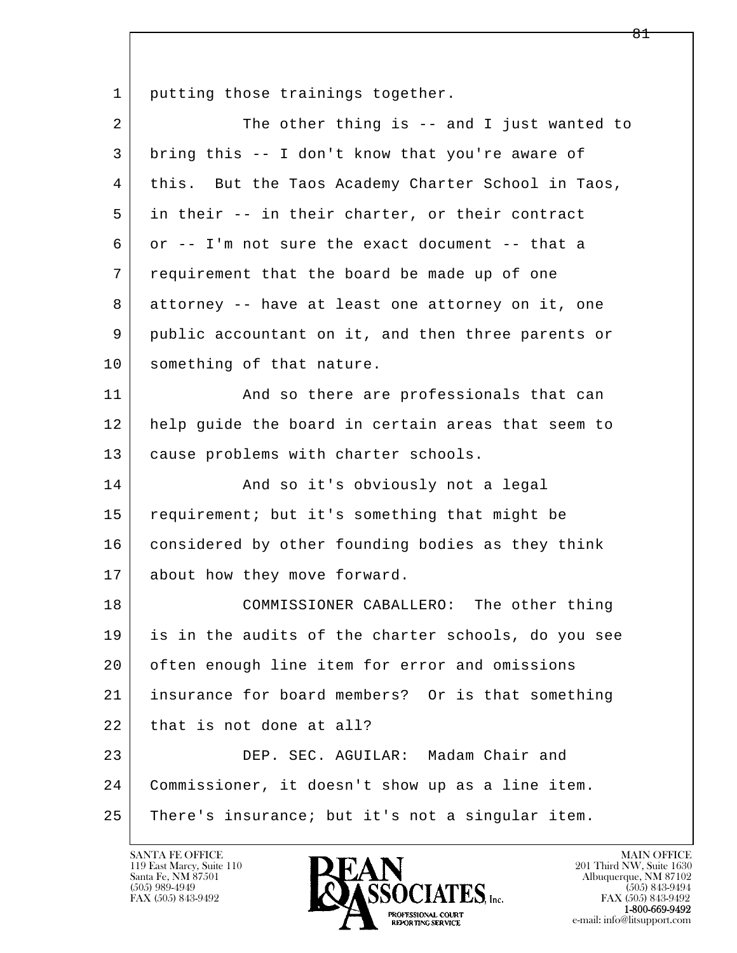1 putting those trainings together.

| $\overline{a}$ | The other thing is -- and I just wanted to          |
|----------------|-----------------------------------------------------|
| 3              | bring this -- I don't know that you're aware of     |
| 4              | this. But the Taos Academy Charter School in Taos,  |
| 5              | in their -- in their charter, or their contract     |
| 6              | or -- I'm not sure the exact document -- that a     |
| 7              | requirement that the board be made up of one        |
| 8              | attorney -- have at least one attorney on it, one   |
| 9              | public accountant on it, and then three parents or  |
| 10             | something of that nature.                           |
| 11             | And so there are professionals that can             |
| 12             | help quide the board in certain areas that seem to  |
| 13             | cause problems with charter schools.                |
| 14             | And so it's obviously not a legal                   |
| 15             | requirement; but it's something that might be       |
| 16             | considered by other founding bodies as they think   |
| 17             | about how they move forward.                        |
| 18             | COMMISSIONER CABALLERO: The other thing             |
| 19             | is in the audits of the charter schools, do you see |
| 20             | often enough line item for error and omissions      |
| 21             | insurance for board members? Or is that something   |
| 22             | that is not done at all?                            |
| 23             | DEP. SEC. AGUILAR: Madam Chair and                  |
| 24             | Commissioner, it doesn't show up as a line item.    |
| 25             | There's insurance; but it's not a singular item.    |

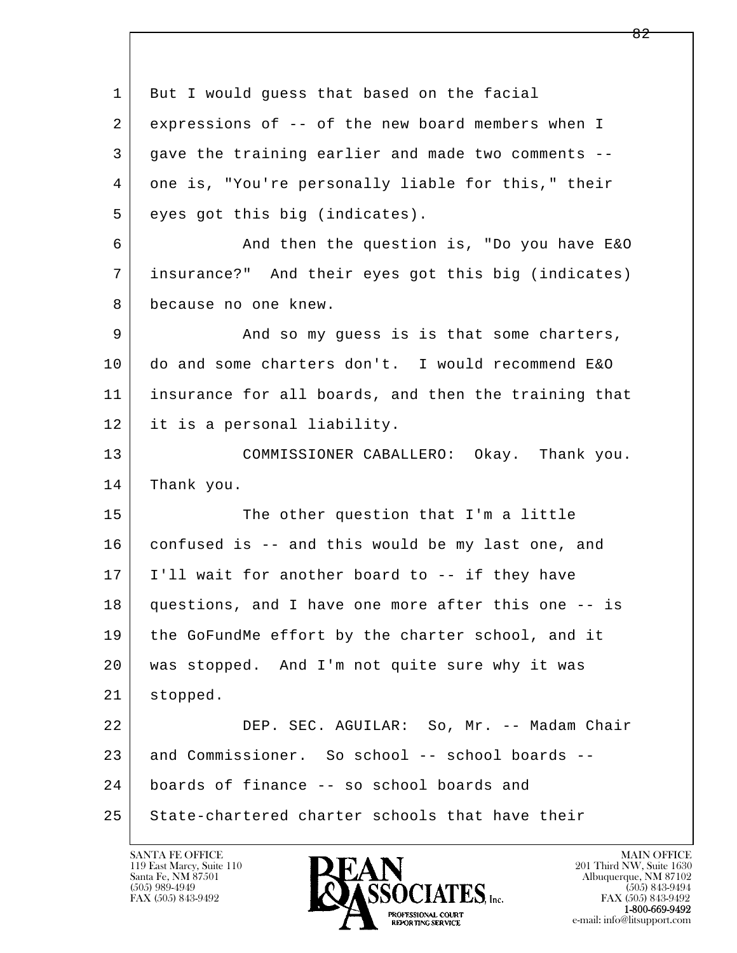l  $\overline{\phantom{a}}$ 1 But I would quess that based on the facial 2 expressions of -- of the new board members when I 3 gave the training earlier and made two comments -- 4 one is, "You're personally liable for this," their 5 eyes got this big (indicates). 6 And then the question is, "Do you have E&O 7 insurance?" And their eyes got this big (indicates) 8 because no one knew. 9 And so my guess is is that some charters, 10 do and some charters don't. I would recommend E&O 11 insurance for all boards, and then the training that 12 it is a personal liability. 13 COMMISSIONER CABALLERO: Okay. Thank you. 14 Thank you. 15 The other question that I'm a little 16 confused is -- and this would be my last one, and 17 I'll wait for another board to -- if they have 18 questions, and I have one more after this one -- is 19 the GoFundMe effort by the charter school, and it 20 was stopped. And I'm not quite sure why it was 21 stopped. 22 DEP. SEC. AGUILAR: So, Mr. -- Madam Chair 23 and Commissioner. So school -- school boards -- 24 boards of finance -- so school boards and 25 State-chartered charter schools that have their

119 East Marcy, Suite 110<br>Santa Fe, NM 87501

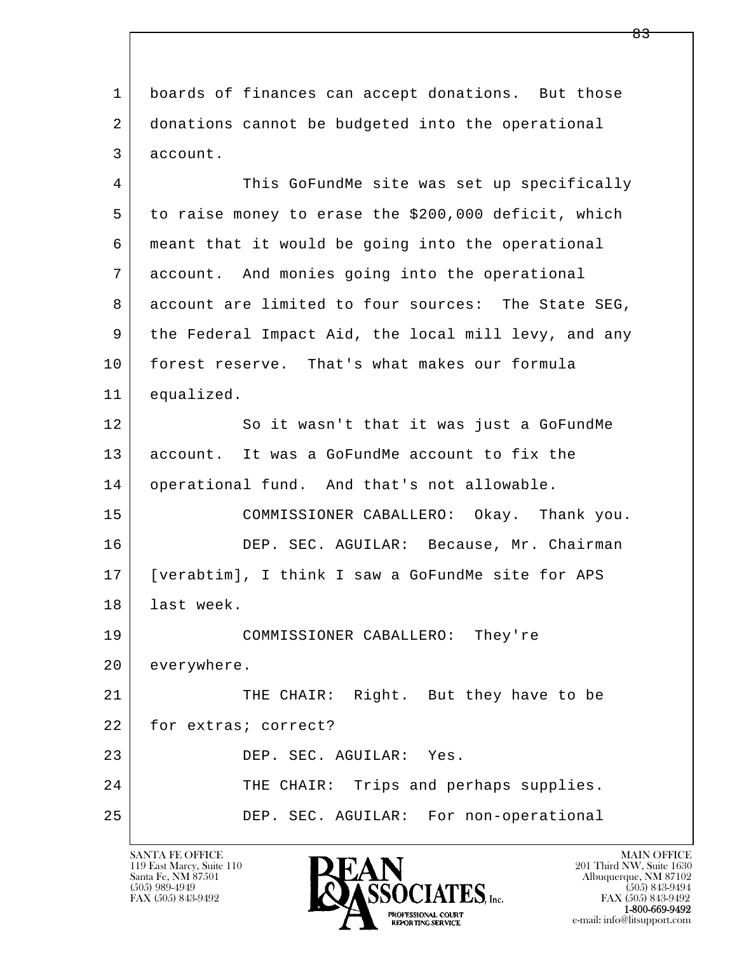1 boards of finances can accept donations. But those 2 donations cannot be budgeted into the operational 3 account. 4 This GoFundMe site was set up specifically

 5 to raise money to erase the \$200,000 deficit, which 6 meant that it would be going into the operational 7 account. And monies going into the operational 8 account are limited to four sources: The State SEG, 9 the Federal Impact Aid, the local mill levy, and any 10 forest reserve. That's what makes our formula 11 equalized.

12 So it wasn't that it was just a GoFundMe 13 account. It was a GoFundMe account to fix the 14 operational fund. And that's not allowable.

 15 COMMISSIONER CABALLERO: Okay. Thank you. 16 DEP. SEC. AGUILAR: Because, Mr. Chairman 17 [verabtim], I think I saw a GoFundMe site for APS 18 last week.

 19 COMMISSIONER CABALLERO: They're 20 everywhere.

l  $\overline{\phantom{a}}$ 21 THE CHAIR: Right. But they have to be 22 for extras; correct? 23 DEP. SEC. AGUILAR: Yes. 24 THE CHAIR: Trips and perhaps supplies. 25 DEP. SEC. AGUILAR: For non-operational

119 East Marcy, Suite 110<br>Santa Fe, NM 87501



FAX (505) 843-9492 FAX (505) 843-9492 e-mail: info@litsupport.com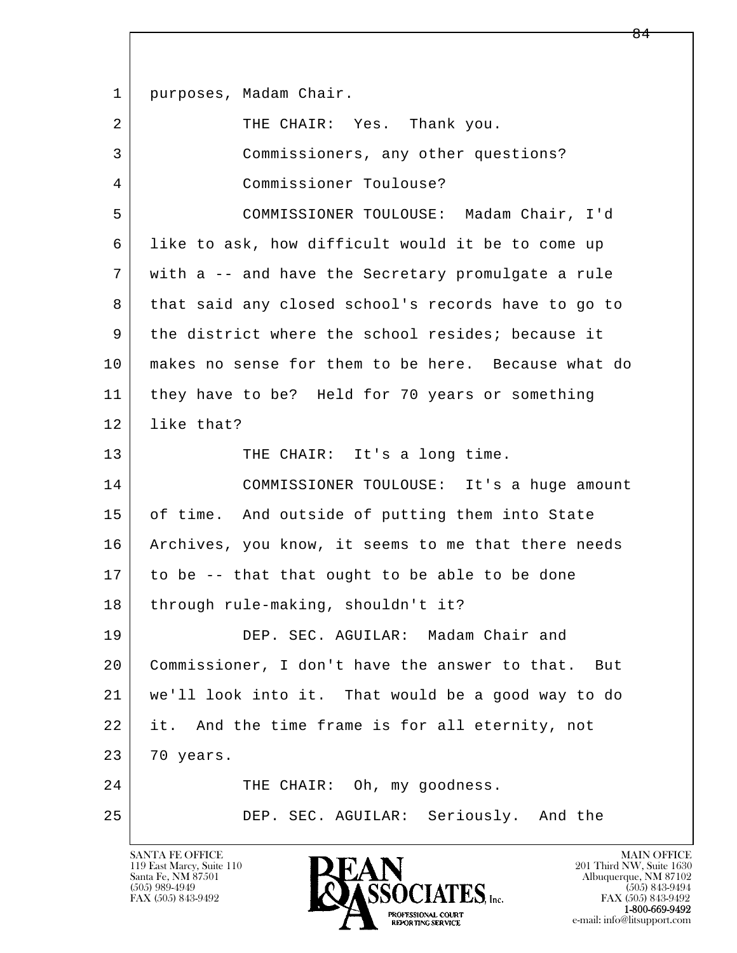l  $\overline{\phantom{a}}$ 1 | purposes, Madam Chair. 2 | THE CHAIR: Yes. Thank you. 3 Commissioners, any other questions? 4 Commissioner Toulouse? 5 COMMISSIONER TOULOUSE: Madam Chair, I'd 6 like to ask, how difficult would it be to come up 7 with a -- and have the Secretary promulgate a rule 8 that said any closed school's records have to go to 9 the district where the school resides; because it 10 makes no sense for them to be here. Because what do 11 they have to be? Held for 70 years or something 12 | like that? 13 THE CHAIR: It's a long time. 14 COMMISSIONER TOULOUSE: It's a huge amount 15 of time. And outside of putting them into State 16 | Archives, you know, it seems to me that there needs 17 to be -- that that ought to be able to be done 18 through rule-making, shouldn't it? 19 DEP. SEC. AGUILAR: Madam Chair and 20 Commissioner, I don't have the answer to that. But 21 we'll look into it. That would be a good way to do 22 it. And the time frame is for all eternity, not 23 70 years. 24 THE CHAIR: Oh, my goodness. 25 DEP. SEC. AGUILAR: Seriously. And the

119 East Marcy, Suite 110<br>Santa Fe, NM 87501



FAX (505) 843-9492<br>1-800-669-9492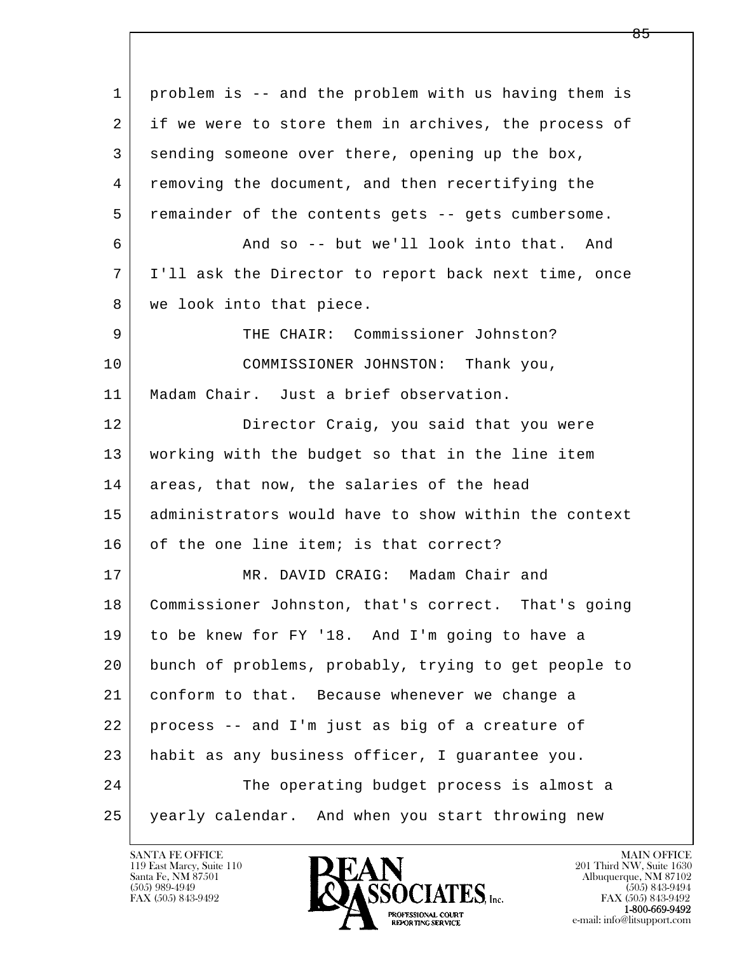| $\mathbf{1}$ | problem is -- and the problem with us having them is |
|--------------|------------------------------------------------------|
| 2            | if we were to store them in archives, the process of |
| 3            | sending someone over there, opening up the box,      |
| 4            | removing the document, and then recertifying the     |
| 5            | remainder of the contents gets -- gets cumbersome.   |
| 6            | And so -- but we'll look into that. And              |
| 7            | I'll ask the Director to report back next time, once |
| 8            | we look into that piece.                             |
| 9            | THE CHAIR: Commissioner Johnston?                    |
| 10           | COMMISSIONER JOHNSTON: Thank you,                    |
| 11           | Madam Chair. Just a brief observation.               |
| 12           | Director Craig, you said that you were               |
| 13           | working with the budget so that in the line item     |
| 14           | areas, that now, the salaries of the head            |
| 15           | administrators would have to show within the context |
| 16           | of the one line item; is that correct?               |
| 17           | MR. DAVID CRAIG: Madam Chair and                     |
| 18           | Commissioner Johnston, that's correct. That's going  |
| 19           | to be knew for FY '18. And I'm going to have a       |
| 20           | bunch of problems, probably, trying to get people to |
| 21           | conform to that. Because whenever we change a        |
| 22           | process -- and I'm just as big of a creature of      |
| 23           | habit as any business officer, I guarantee you.      |
| 24           | The operating budget process is almost a             |
| 25           | yearly calendar. And when you start throwing new     |

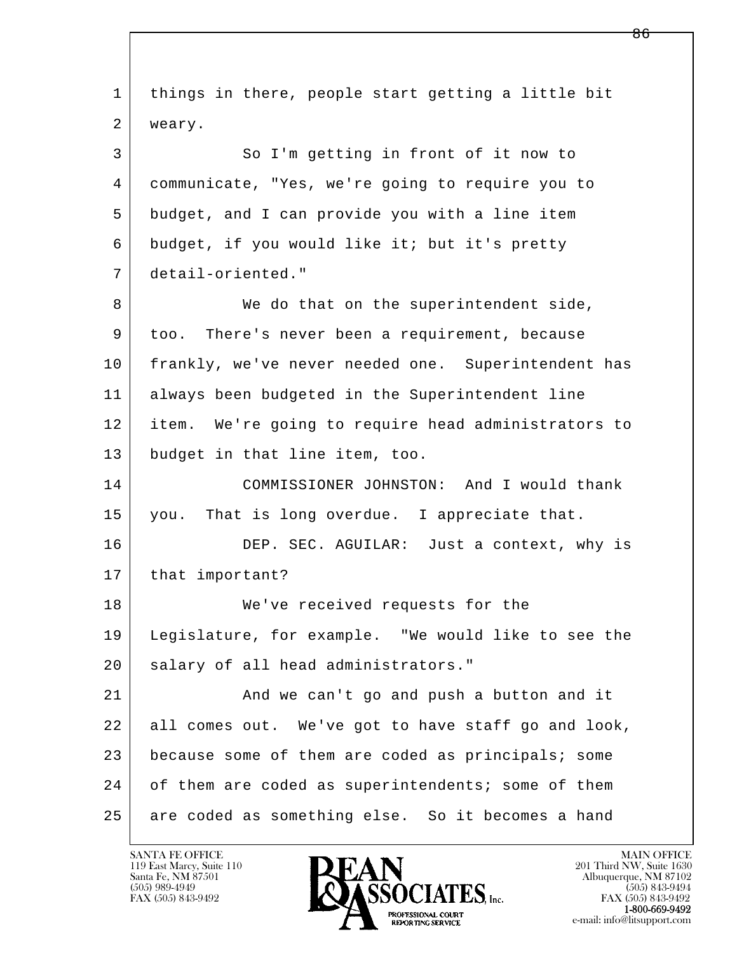| $\mathbf 1$ | things in there, people start getting a little bit  |
|-------------|-----------------------------------------------------|
| 2           | weary.                                              |
| 3           | So I'm getting in front of it now to                |
| 4           | communicate, "Yes, we're going to require you to    |
| 5           | budget, and I can provide you with a line item      |
| 6           | budget, if you would like it; but it's pretty       |
| 7           | detail-oriented."                                   |
| 8           | We do that on the superintendent side,              |
| 9           | too. There's never been a requirement, because      |
| 10          | frankly, we've never needed one. Superintendent has |
| 11          | always been budgeted in the Superintendent line     |
| 12          | item. We're going to require head administrators to |
| 13          | budget in that line item, too.                      |
| 14          | COMMISSIONER JOHNSTON: And I would thank            |
| 15          | That is long overdue. I appreciate that.<br>you.    |
| 16          | DEP. SEC. AGUILAR: Just a context, why is           |
| 17          | that important?                                     |
| 18          | We've received requests for the                     |
| 19          | Legislature, for example. "We would like to see the |
| 20          | salary of all head administrators."                 |
| 21          | And we can't go and push a button and it            |
| 22          | all comes out. We've got to have staff go and look, |
| 23          | because some of them are coded as principals; some  |
| 24          | of them are coded as superintendents; some of them  |
| 25          | are coded as something else. So it becomes a hand   |

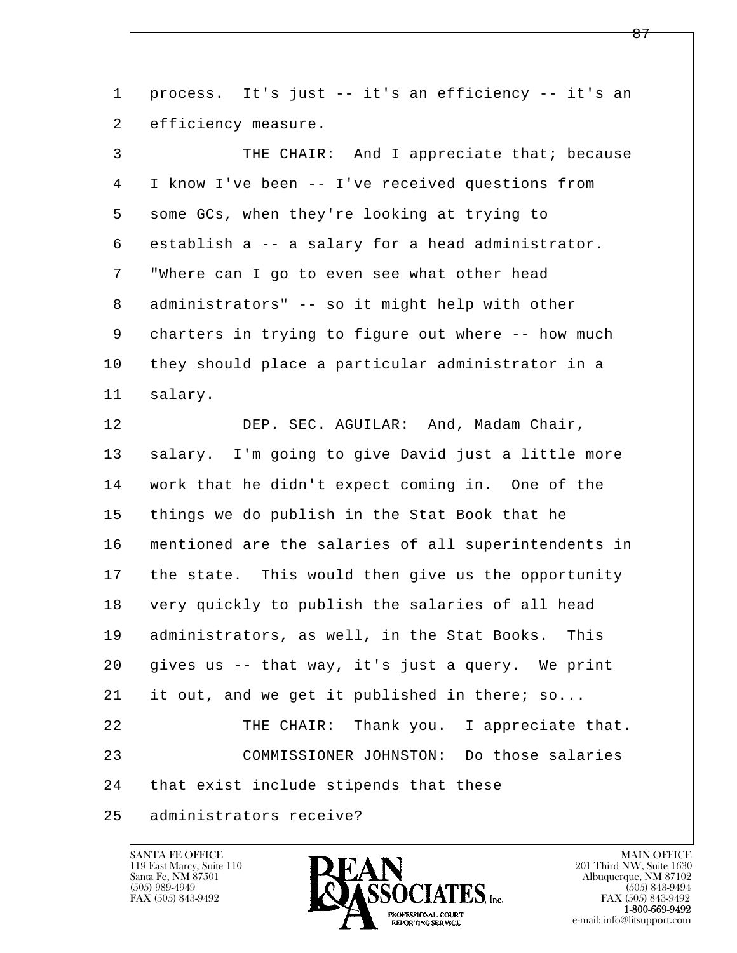| $\mathbf{1}$ | process. It's just -- it's an efficiency -- it's an  |
|--------------|------------------------------------------------------|
| 2            | efficiency measure.                                  |
| 3            | THE CHAIR: And I appreciate that; because            |
| 4            | I know I've been -- I've received questions from     |
| 5            | some GCs, when they're looking at trying to          |
| 6            | establish a -- a salary for a head administrator.    |
| 7            | "Where can I go to even see what other head          |
| 8            | administrators" -- so it might help with other       |
| 9            | charters in trying to figure out where -- how much   |
| 10           | they should place a particular administrator in a    |
| 11           | salary.                                              |
| 12           | DEP. SEC. AGUILAR: And, Madam Chair,                 |
| 13           | salary. I'm going to give David just a little more   |
| 14           | work that he didn't expect coming in. One of the     |
| 15           | things we do publish in the Stat Book that he        |
| 16           | mentioned are the salaries of all superintendents in |
| 17           | the state. This would then give us the opportunity   |
| 18           | very quickly to publish the salaries of all head     |
| 19           | administrators, as well, in the Stat Books.<br>This  |
| 20           | gives us -- that way, it's just a query. We print    |
| 21           | it out, and we get it published in there; so         |
| 22           | THE CHAIR: Thank you.<br>I appreciate that.          |
| 23           | COMMISSIONER JOHNSTON: Do those salaries             |
| 24           | that exist include stipends that these               |
| 25           | administrators receive?                              |

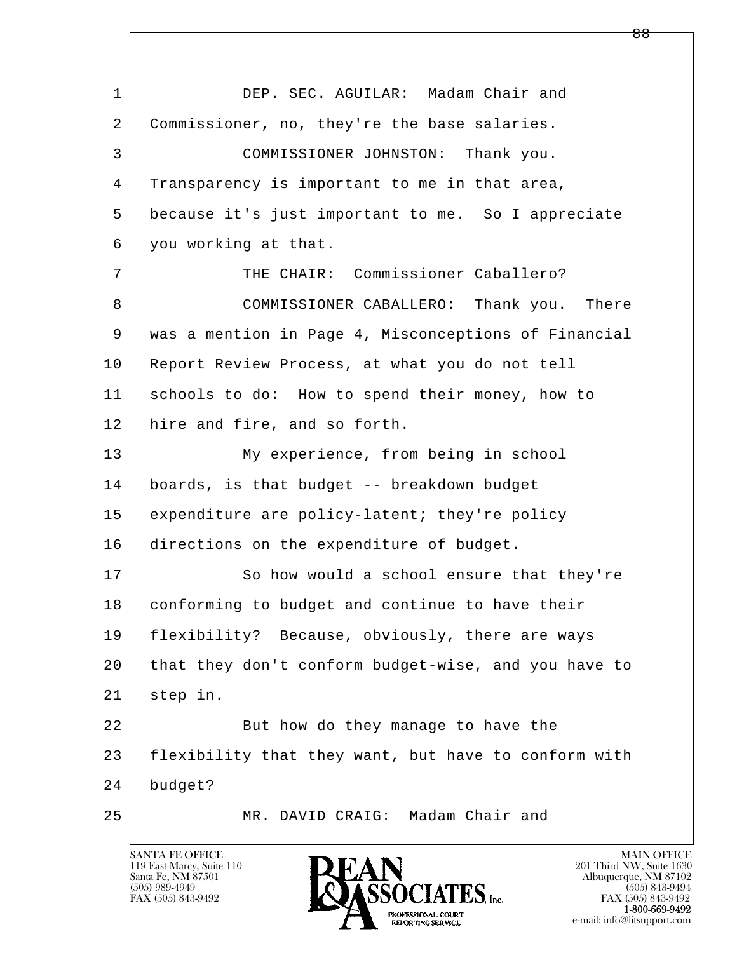l  $\overline{\phantom{a}}$ 1 DEP. SEC. AGUILAR: Madam Chair and 2 | Commissioner, no, they're the base salaries. 3 COMMISSIONER JOHNSTON: Thank you. 4 Transparency is important to me in that area, 5 because it's just important to me. So I appreciate 6 you working at that. 7 THE CHAIR: Commissioner Caballero? 8 COMMISSIONER CABALLERO: Thank you. There 9 was a mention in Page 4, Misconceptions of Financial 10 | Report Review Process, at what you do not tell 11 schools to do: How to spend their money, how to 12 hire and fire, and so forth. 13 My experience, from being in school 14 boards, is that budget -- breakdown budget 15 expenditure are policy-latent; they're policy 16 directions on the expenditure of budget. 17 So how would a school ensure that they're 18 | conforming to budget and continue to have their 19 flexibility? Because, obviously, there are ways 20 that they don't conform budget-wise, and you have to 21 step in. 22 But how do they manage to have the 23 flexibility that they want, but have to conform with 24 budget? 25 MR. DAVID CRAIG: Madam Chair and

119 East Marcy, Suite 110<br>Santa Fe, NM 87501

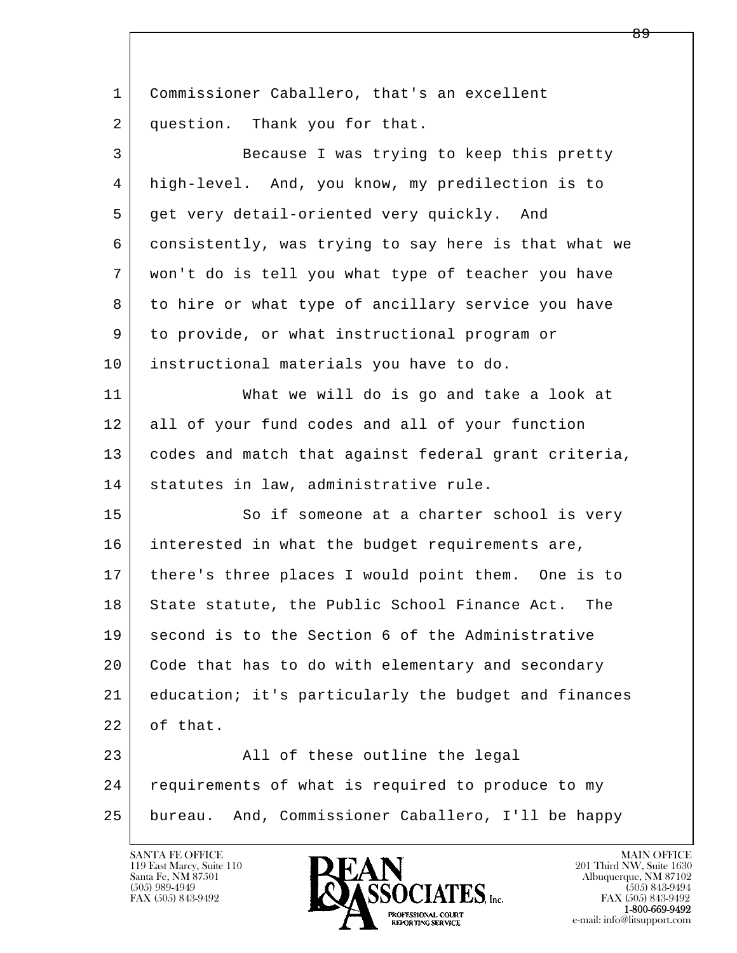l  $\overline{\phantom{a}}$ 1 Commissioner Caballero, that's an excellent 2 question. Thank you for that. 3 Because I was trying to keep this pretty 4 high-level. And, you know, my predilection is to 5 get very detail-oriented very quickly. And 6 consistently, was trying to say here is that what we 7 won't do is tell you what type of teacher you have 8 to hire or what type of ancillary service you have 9 to provide, or what instructional program or 10 instructional materials you have to do. 11 What we will do is go and take a look at 12 all of your fund codes and all of your function 13 codes and match that against federal grant criteria, 14 | statutes in law, administrative rule. 15 So if someone at a charter school is very 16 interested in what the budget requirements are, 17 there's three places I would point them. One is to 18 State statute, the Public School Finance Act. The 19 second is to the Section 6 of the Administrative 20 Code that has to do with elementary and secondary 21 education; it's particularly the budget and finances 22 of that. 23 all of these outline the legal 24 requirements of what is required to produce to my 25 bureau. And, Commissioner Caballero, I'll be happy

119 East Marcy, Suite 110<br>Santa Fe, NM 87501



FAX (505) 843-9492<br>**1-800-669-9492**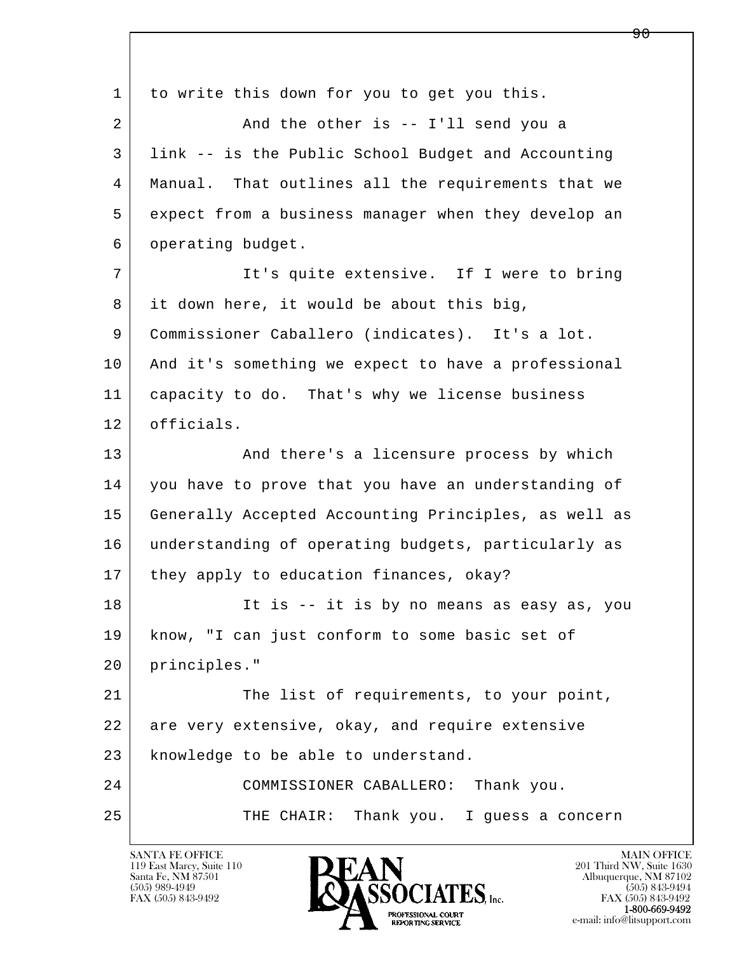l  $\overline{\phantom{a}}$ 1 to write this down for you to get you this. 2 And the other is -- I'll send you a 3 link -- is the Public School Budget and Accounting 4 Manual. That outlines all the requirements that we 5 expect from a business manager when they develop an 6 operating budget. 7 It's quite extensive. If I were to bring 8 it down here, it would be about this big, 9 Commissioner Caballero (indicates). It's a lot. 10 | And it's something we expect to have a professional 11 capacity to do. That's why we license business 12 officials. 13 And there's a licensure process by which 14 you have to prove that you have an understanding of 15 Generally Accepted Accounting Principles, as well as 16 understanding of operating budgets, particularly as 17 | they apply to education finances, okay? 18 It is -- it is by no means as easy as, you 19 know, "I can just conform to some basic set of 20 principles." 21 The list of requirements, to your point, 22 are very extensive, okay, and require extensive 23 knowledge to be able to understand. 24 COMMISSIONER CABALLERO: Thank you. 25 THE CHAIR: Thank you. I guess a concern

119 East Marcy, Suite 110<br>Santa Fe, NM 87501



ዓ A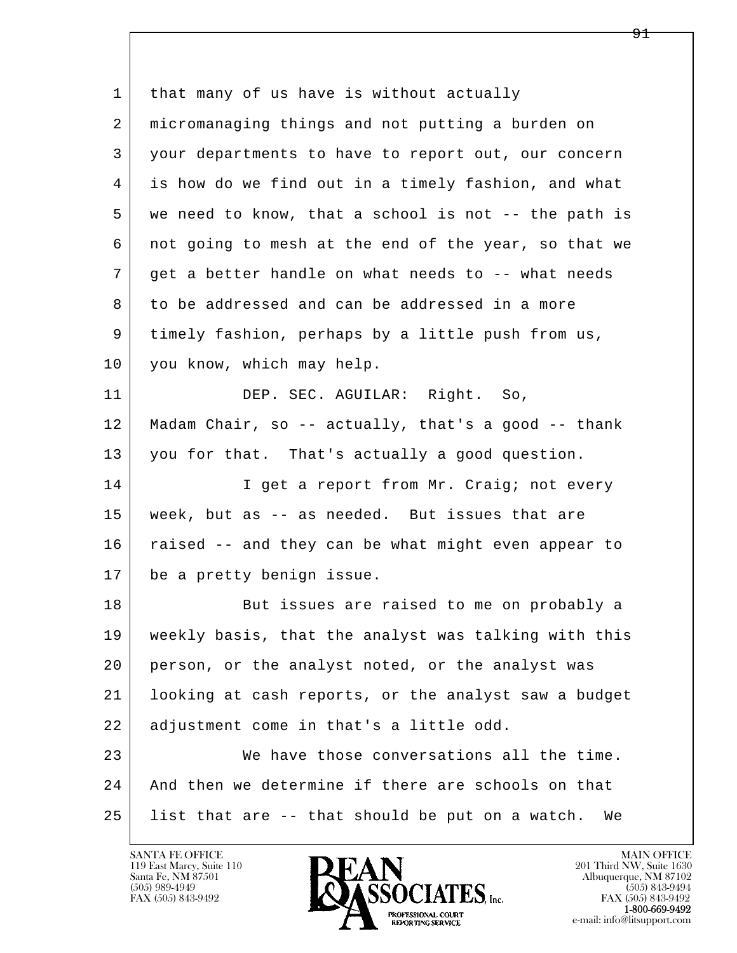l  $\overline{\phantom{a}}$ 1 | that many of us have is without actually 2 micromanaging things and not putting a burden on 3 your departments to have to report out, our concern 4 is how do we find out in a timely fashion, and what 5 we need to know, that a school is not -- the path is 6 not going to mesh at the end of the year, so that we 7 get a better handle on what needs to -- what needs 8 to be addressed and can be addressed in a more 9 timely fashion, perhaps by a little push from us, 10 you know, which may help. 11 DEP. SEC. AGUILAR: Right. So, 12 Madam Chair, so -- actually, that's a good -- thank 13 you for that. That's actually a good question. 14 I get a report from Mr. Craig; not every 15 week, but as -- as needed. But issues that are 16 | raised -- and they can be what might even appear to 17 be a pretty benign issue. 18 But issues are raised to me on probably a 19 weekly basis, that the analyst was talking with this 20 person, or the analyst noted, or the analyst was 21 looking at cash reports, or the analyst saw a budget 22 | adjustment come in that's a little odd. 23 We have those conversations all the time. 24 And then we determine if there are schools on that 25 list that are -- that should be put on a watch. We

119 East Marcy, Suite 110<br>Santa Fe, NM 87501

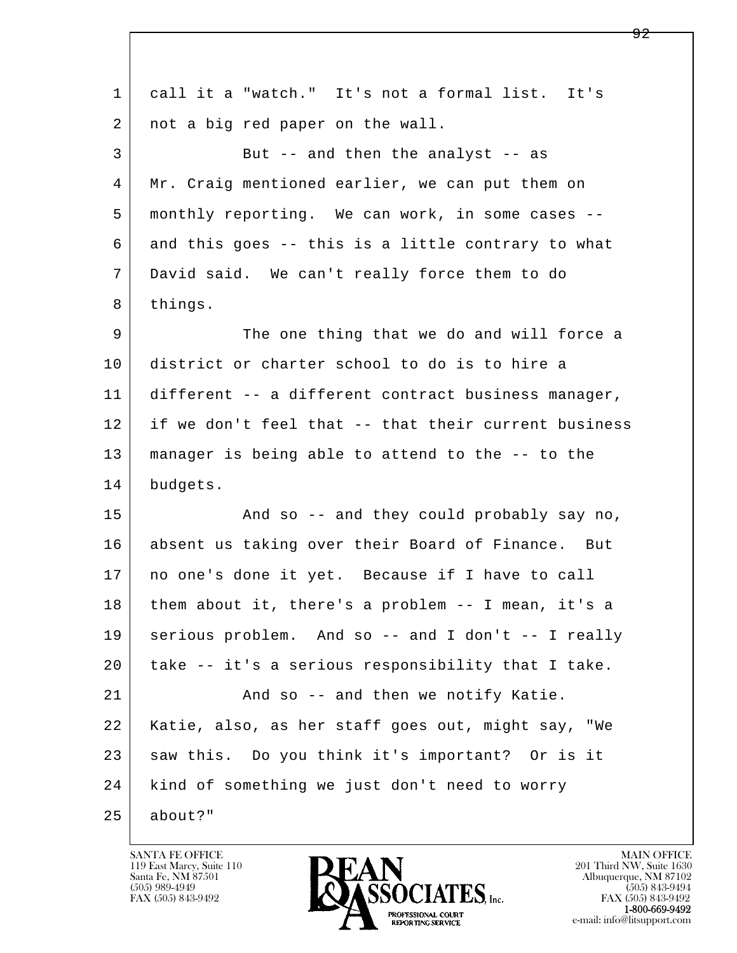| 1  | call it a "watch." It's not a formal list. It's      |
|----|------------------------------------------------------|
| 2  | not a big red paper on the wall.                     |
| 3  | But -- and then the analyst -- as                    |
| 4  | Mr. Craig mentioned earlier, we can put them on      |
| 5  | monthly reporting. We can work, in some cases --     |
| 6  | and this goes -- this is a little contrary to what   |
| 7  | David said. We can't really force them to do         |
| 8  | things.                                              |
| 9  | The one thing that we do and will force a            |
| 10 | district or charter school to do is to hire a        |
| 11 | different -- a different contract business manager,  |
| 12 | if we don't feel that -- that their current business |
| 13 | manager is being able to attend to the -- to the     |
| 14 | budgets.                                             |
| 15 | And so -- and they could probably say no,            |
| 16 | absent us taking over their Board of Finance. But    |
| 17 | no one's done it yet. Because if I have to call      |
| 18 | them about it, there's a problem -- I mean, it's a   |
| 19 | serious problem. And so -- and I don't -- I really   |
| 20 | take -- it's a serious responsibility that I take.   |
| 21 | And so -- and then we notify Katie.                  |
| 22 | Katie, also, as her staff goes out, might say, "We   |
| 23 | saw this. Do you think it's important? Or is it      |
| 24 | kind of something we just don't need to worry        |
| 25 | about?"                                              |

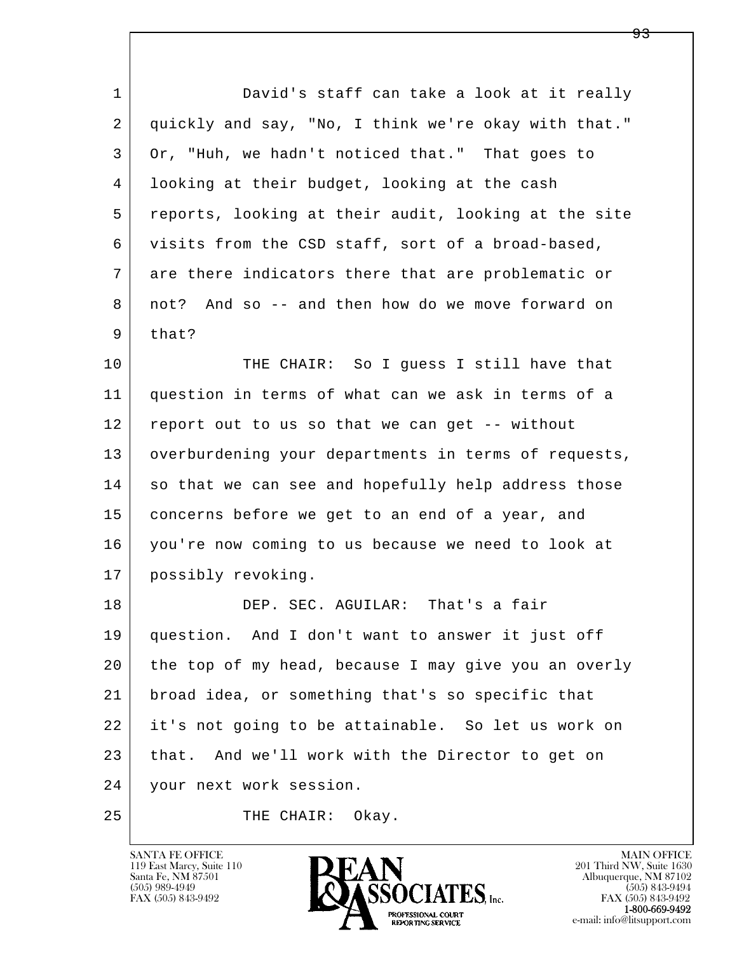| $\mathbf{1}$ | David's staff can take a look at it really           |
|--------------|------------------------------------------------------|
| 2            | quickly and say, "No, I think we're okay with that." |
| 3            | Or, "Huh, we hadn't noticed that." That goes to      |
| 4            | looking at their budget, looking at the cash         |
| 5            | reports, looking at their audit, looking at the site |
| 6            | visits from the CSD staff, sort of a broad-based,    |
| 7            | are there indicators there that are problematic or   |
| 8            | not? And so -- and then how do we move forward on    |
| 9            | that?                                                |
| 10           | THE CHAIR: So I guess I still have that              |
| 11           | question in terms of what can we ask in terms of a   |
| 12           | report out to us so that we can get -- without       |
| 13           | overburdening your departments in terms of requests, |
| 14           | so that we can see and hopefully help address those  |
| 15           | concerns before we get to an end of a year, and      |
| 16           | you're now coming to us because we need to look at   |
| 17           | possibly revoking.                                   |
| 18           | DEP. SEC. AGUILAR: That's a fair                     |
| 19           | question. And I don't want to answer it just off     |
| 20           | the top of my head, because I may give you an overly |
| 21           | broad idea, or something that's so specific that     |
| 22           | it's not going to be attainable. So let us work on   |
| 23           | that. And we'll work with the Director to get on     |
| 24           | your next work session.                              |
| 25           | THE CHAIR:<br>Okay.                                  |

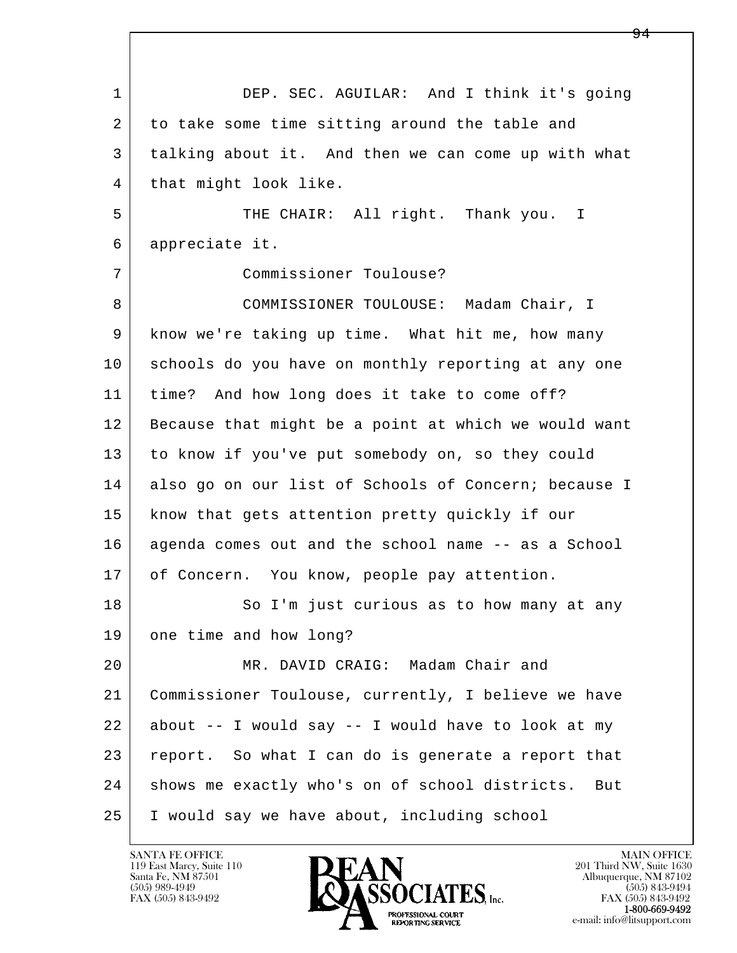l  $\overline{\phantom{a}}$  1 DEP. SEC. AGUILAR: And I think it's going 2 to take some time sitting around the table and 3 talking about it. And then we can come up with what 4 that might look like. 5 THE CHAIR: All right. Thank you. I 6 appreciate it. 7 Commissioner Toulouse? 8 COMMISSIONER TOULOUSE: Madam Chair, I 9 know we're taking up time. What hit me, how many 10 schools do you have on monthly reporting at any one 11 time? And how long does it take to come off? 12 Because that might be a point at which we would want 13 to know if you've put somebody on, so they could 14 also go on our list of Schools of Concern; because I 15 | know that gets attention pretty quickly if our 16 agenda comes out and the school name -- as a School 17 of Concern. You know, people pay attention. 18 | So I'm just curious as to how many at any 19 one time and how long? 20 MR. DAVID CRAIG: Madam Chair and 21 Commissioner Toulouse, currently, I believe we have  $22$  about  $-$  I would say  $-$  I would have to look at my 23 report. So what I can do is generate a report that 24 | shows me exactly who's on of school districts. But 25 I would say we have about, including school

119 East Marcy, Suite 110<br>Santa Fe, NM 87501

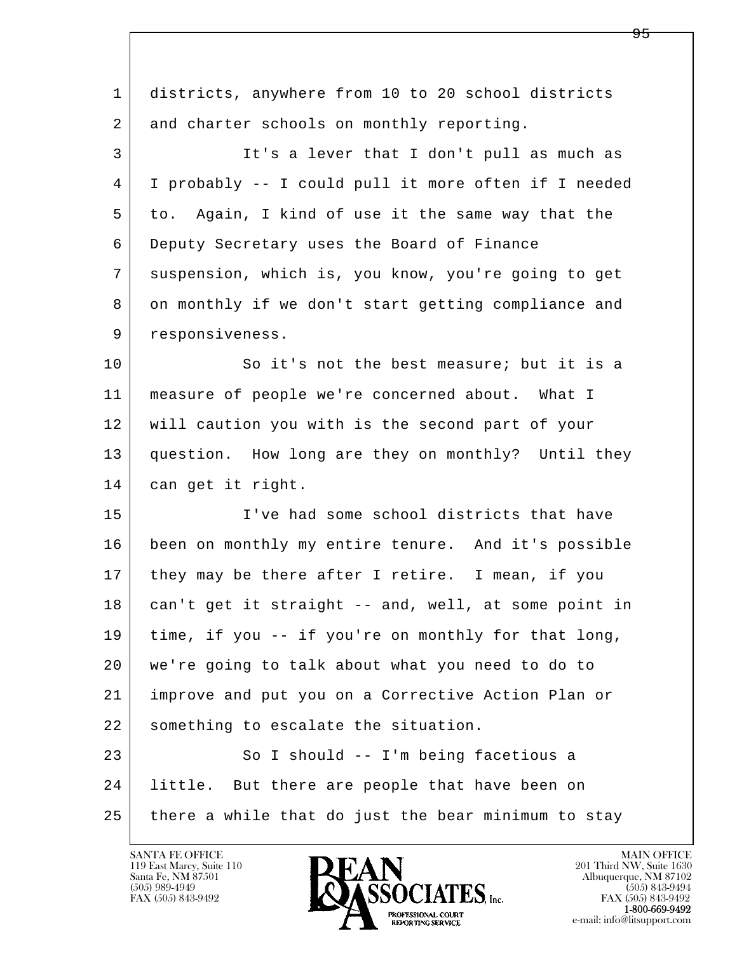| 1  | districts, anywhere from 10 to 20 school districts   |
|----|------------------------------------------------------|
| 2  | and charter schools on monthly reporting.            |
| 3  | It's a lever that I don't pull as much as            |
| 4  | I probably -- I could pull it more often if I needed |
| 5  | to. Again, I kind of use it the same way that the    |
| 6  | Deputy Secretary uses the Board of Finance           |
| 7  | suspension, which is, you know, you're going to get  |
| 8  | on monthly if we don't start getting compliance and  |
| 9  | responsiveness.                                      |
| 10 | So it's not the best measure; but it is a            |
| 11 | measure of people we're concerned about. What I      |
| 12 | will caution you with is the second part of your     |
| 13 | question. How long are they on monthly? Until they   |
| 14 | can get it right.                                    |
| 15 | I've had some school districts that have             |
| 16 | been on monthly my entire tenure. And it's possible  |
| 17 | they may be there after I retire. I mean, if you     |
| 18 | can't get it straight -- and, well, at some point in |
| 19 | time, if you -- if you're on monthly for that long,  |
| 20 | we're going to talk about what you need to do to     |
| 21 | improve and put you on a Corrective Action Plan or   |
| 22 | something to escalate the situation.                 |
| 23 | So I should -- I'm being facetious a                 |
| 24 | little. But there are people that have been on       |
| 25 | there a while that do just the bear minimum to stay  |
|    |                                                      |

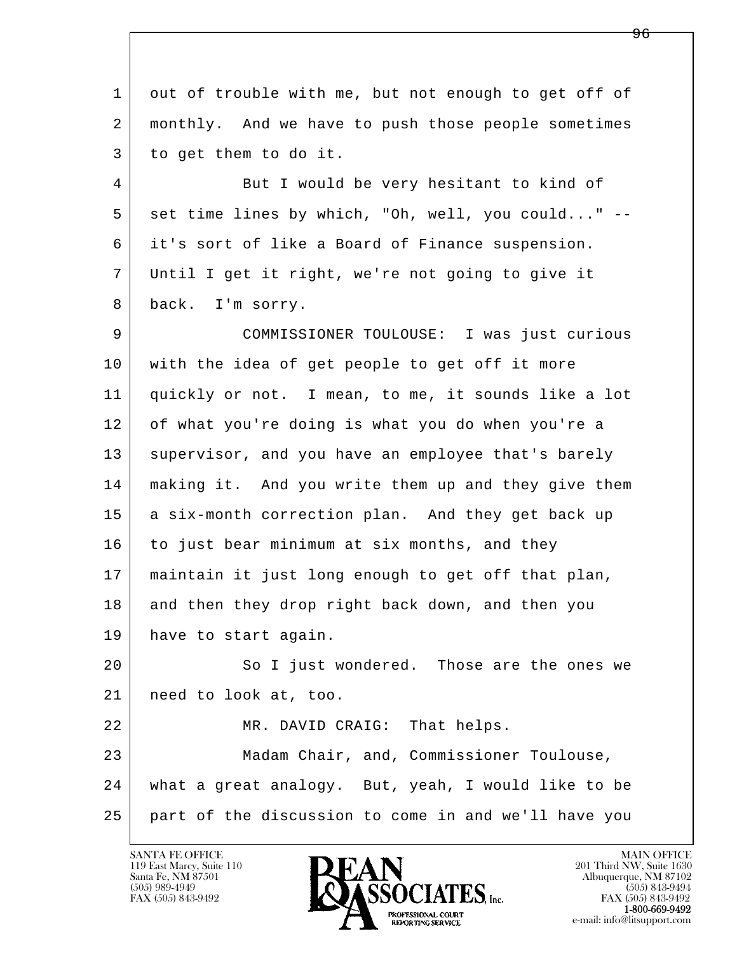l  $\overline{\phantom{a}}$  1 out of trouble with me, but not enough to get off of 2 monthly. And we have to push those people sometimes 3 to get them to do it. 4 But I would be very hesitant to kind of  $5$  set time lines by which, "Oh, well, you could..." 6 it's sort of like a Board of Finance suspension. 7 Until I get it right, we're not going to give it 8 back. I'm sorry. 9 COMMISSIONER TOULOUSE: I was just curious 10 with the idea of get people to get off it more 11 quickly or not. I mean, to me, it sounds like a lot 12 of what you're doing is what you do when you're a 13 supervisor, and you have an employee that's barely 14 making it. And you write them up and they give them 15 | a six-month correction plan. And they get back up 16 to just bear minimum at six months, and they 17 maintain it just long enough to get off that plan, 18 and then they drop right back down, and then you 19 have to start again. 20 So I just wondered. Those are the ones we 21 need to look at, too. 22 MR. DAVID CRAIG: That helps. 23 Madam Chair, and, Commissioner Toulouse, 24 what a great analogy. But, yeah, I would like to be 25 part of the discussion to come in and we'll have you

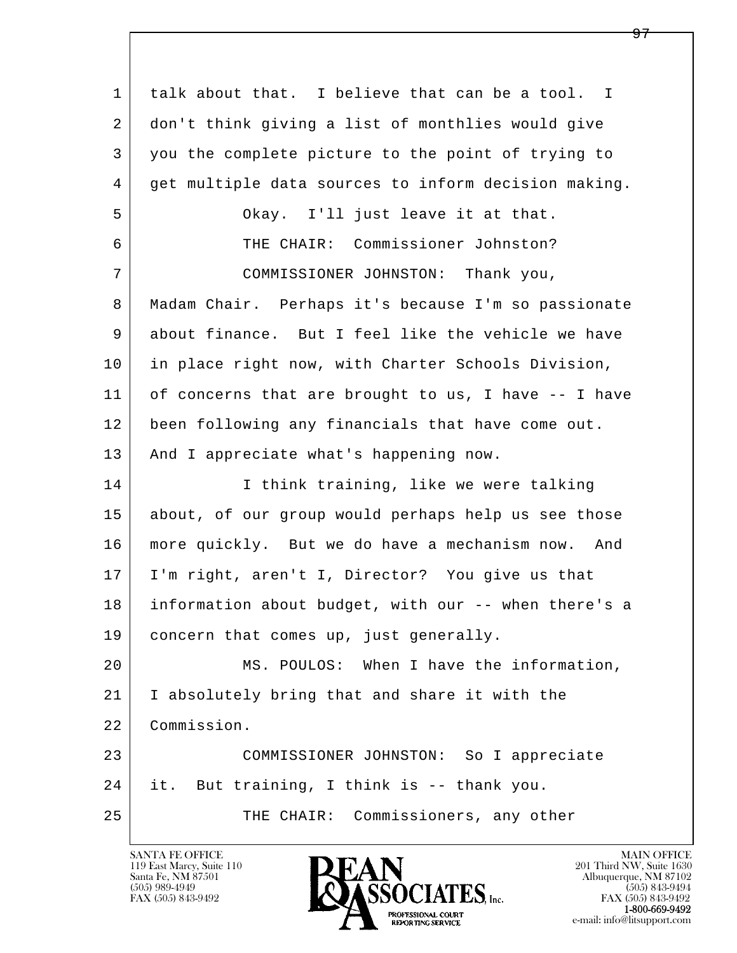l  $\overline{\phantom{a}}$  1 talk about that. I believe that can be a tool. I 2 don't think giving a list of monthlies would give 3 you the complete picture to the point of trying to 4 get multiple data sources to inform decision making. 5 Okay. I'll just leave it at that. 6 THE CHAIR: Commissioner Johnston? 7 COMMISSIONER JOHNSTON: Thank you, 8 Madam Chair. Perhaps it's because I'm so passionate 9 about finance. But I feel like the vehicle we have 10 in place right now, with Charter Schools Division, 11 of concerns that are brought to us, I have -- I have 12 been following any financials that have come out. 13 | And I appreciate what's happening now. 14 I think training, like we were talking 15 about, of our group would perhaps help us see those 16 more quickly. But we do have a mechanism now. And 17 I'm right, aren't I, Director? You give us that 18 information about budget, with our -- when there's a 19 | concern that comes up, just generally. 20 MS. POULOS: When I have the information, 21 I absolutely bring that and share it with the 22 Commission. 23 COMMISSIONER JOHNSTON: So I appreciate 24 it. But training, I think is -- thank you. 25 THE CHAIR: Commissioners, any other

119 East Marcy, Suite 110<br>Santa Fe, NM 87501



FAX (505) 843-9492<br>1-800-669-9492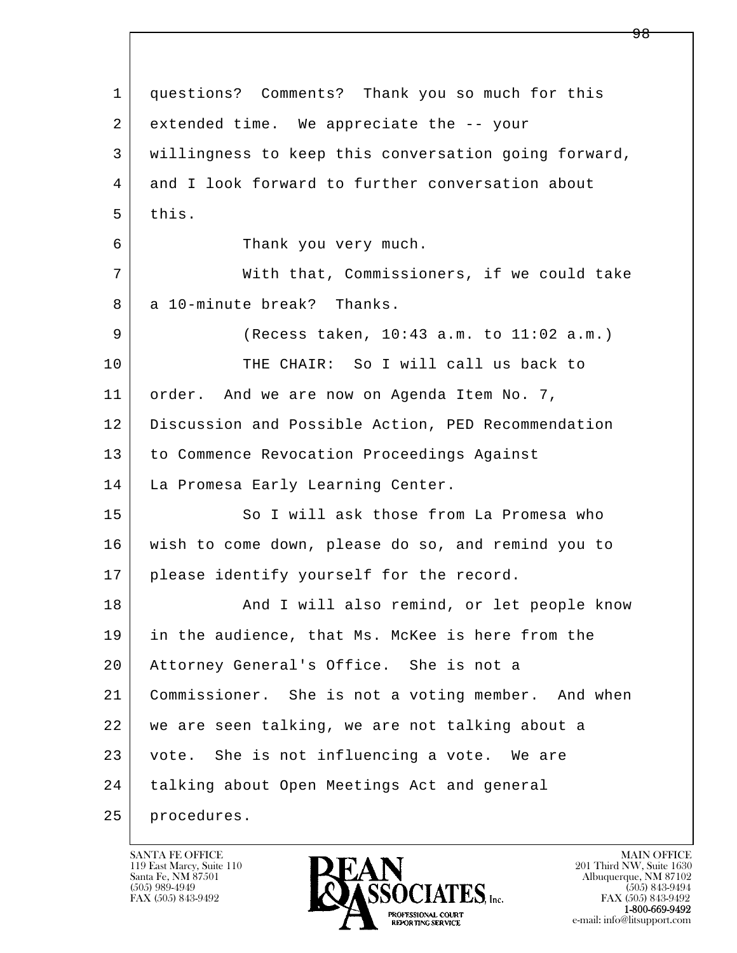l  $\overline{\phantom{a}}$  1 questions? Comments? Thank you so much for this 2 extended time. We appreciate the -- your 3 willingness to keep this conversation going forward, 4 and I look forward to further conversation about  $5$  this. 6 Thank you very much. 7 With that, Commissioners, if we could take 8 a 10-minute break? Thanks. 9 (Recess taken, 10:43 a.m. to 11:02 a.m.) 10 THE CHAIR: So I will call us back to 11 order. And we are now on Agenda Item No. 7, 12 Discussion and Possible Action, PED Recommendation 13 to Commence Revocation Proceedings Against 14 | La Promesa Early Learning Center. 15 So I will ask those from La Promesa who 16 wish to come down, please do so, and remind you to 17 | please identify yourself for the record. 18 | The Rand I will also remind, or let people know 19 in the audience, that Ms. McKee is here from the 20 Attorney General's Office. She is not a 21 Commissioner. She is not a voting member. And when 22 we are seen talking, we are not talking about a 23 vote. She is not influencing a vote. We are 24 | talking about Open Meetings Act and general 25 procedures.

119 East Marcy, Suite 110<br>Santa Fe, NM 87501



FAX (505) 843-9492<br>1-800-669-9492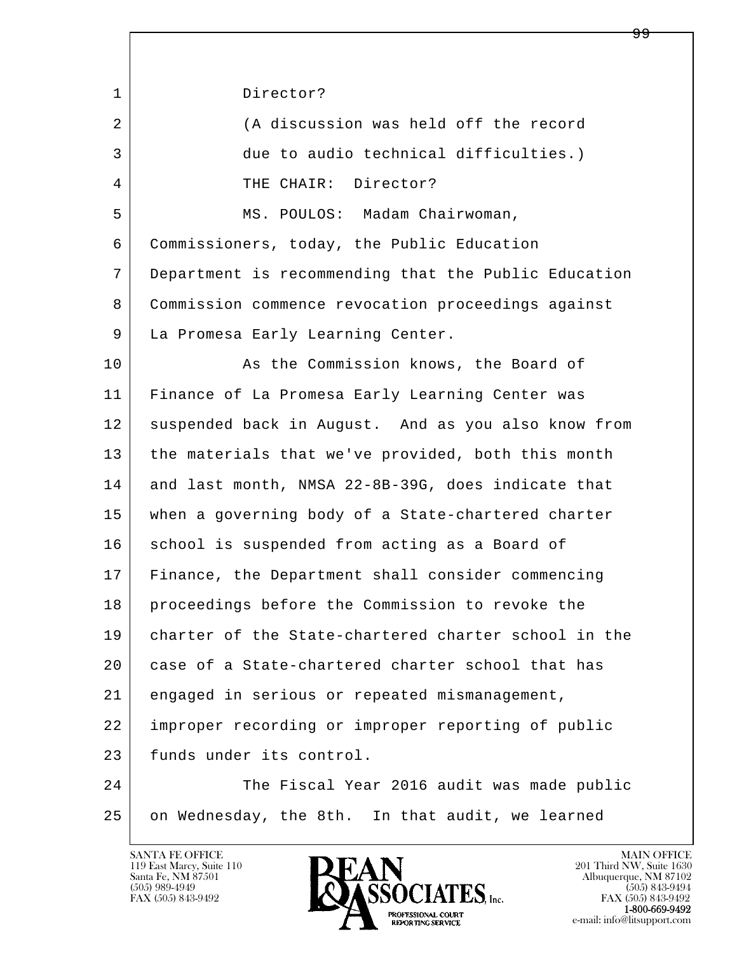l  $\overline{\phantom{a}}$ 1 Director? 2 (A discussion was held off the record 3 due to audio technical difficulties.) 4 THE CHAIR: Director? 5 | MS. POULOS: Madam Chairwoman, 6 Commissioners, today, the Public Education 7 Department is recommending that the Public Education 8 Commission commence revocation proceedings against 9 | La Promesa Early Learning Center. 10 As the Commission knows, the Board of 11 Finance of La Promesa Early Learning Center was 12 suspended back in August. And as you also know from 13 the materials that we've provided, both this month 14 and last month, NMSA 22-8B-39G, does indicate that 15 when a governing body of a State-chartered charter 16 school is suspended from acting as a Board of 17 Finance, the Department shall consider commencing 18 proceedings before the Commission to revoke the 19 charter of the State-chartered charter school in the 20 case of a State-chartered charter school that has 21 engaged in serious or repeated mismanagement, 22 improper recording or improper reporting of public 23 funds under its control. 24 The Fiscal Year 2016 audit was made public 25 on Wednesday, the 8th. In that audit, we learned



FAX (505) 843-9492<br>1-800-669-9492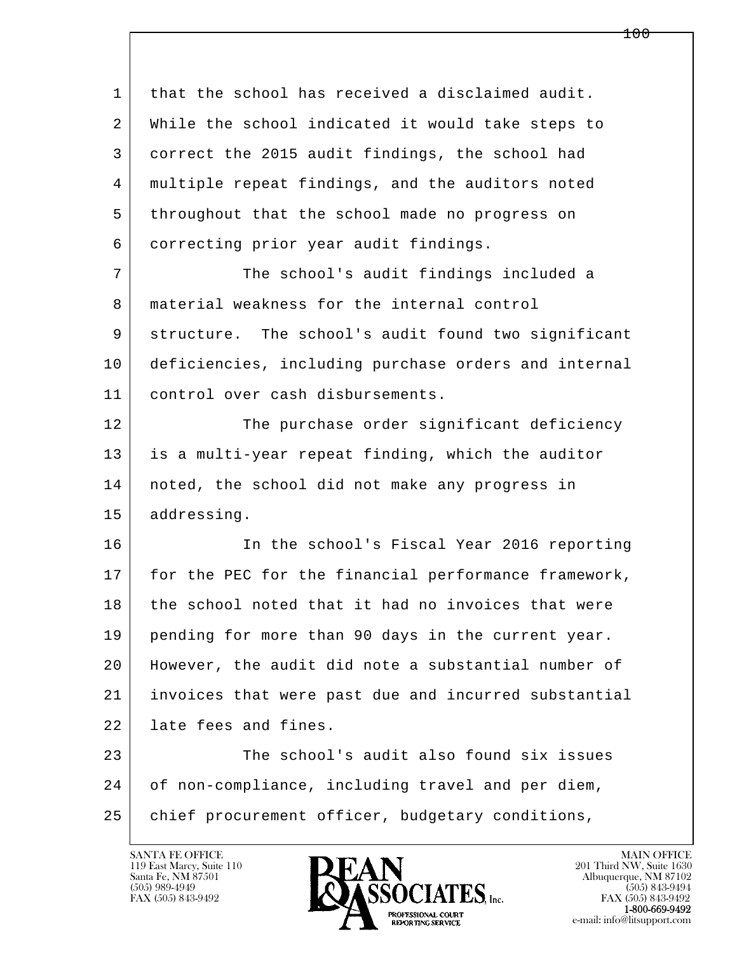l  $\overline{\phantom{a}}$  1 that the school has received a disclaimed audit. 2 While the school indicated it would take steps to 3 correct the 2015 audit findings, the school had 4 | multiple repeat findings, and the auditors noted 5 throughout that the school made no progress on 6 correcting prior year audit findings. 7 The school's audit findings included a 8 material weakness for the internal control 9 structure. The school's audit found two significant 10 deficiencies, including purchase orders and internal 11 control over cash disbursements. 12 The purchase order significant deficiency 13 is a multi-year repeat finding, which the auditor 14 noted, the school did not make any progress in 15 addressing. 16 In the school's Fiscal Year 2016 reporting 17 for the PEC for the financial performance framework, 18 the school noted that it had no invoices that were 19 pending for more than 90 days in the current year. 20 However, the audit did note a substantial number of 21 invoices that were past due and incurred substantial 22 late fees and fines. 23 The school's audit also found six issues 24 of non-compliance, including travel and per diem, 25 | chief procurement officer, budgetary conditions,

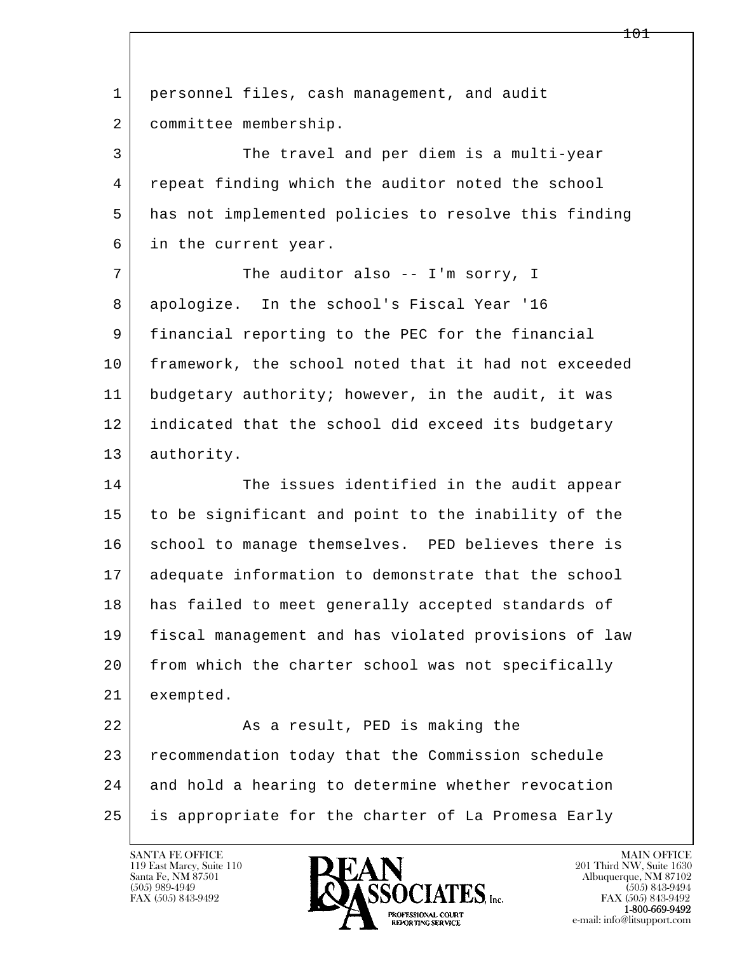| $\mathbf{1}$ | personnel files, cash management, and audit          |
|--------------|------------------------------------------------------|
| 2            | committee membership.                                |
| 3            | The travel and per diem is a multi-year              |
| 4            | repeat finding which the auditor noted the school    |
| 5            | has not implemented policies to resolve this finding |
| 6            | in the current year.                                 |
| 7            | The auditor also -- I'm sorry, I                     |
| 8            | apologize. In the school's Fiscal Year '16           |
| 9            | financial reporting to the PEC for the financial     |
| 10           | framework, the school noted that it had not exceeded |
| 11           | budgetary authority; however, in the audit, it was   |
| 12           | indicated that the school did exceed its budgetary   |
| 13           | authority.                                           |
| 14           | The issues identified in the audit appear            |
| 15           | to be significant and point to the inability of the  |
| 16           | school to manage themselves. PED believes there is   |
| 17           | adequate information to demonstrate that the school  |
| 18           | has failed to meet generally accepted standards of   |
| 19           | fiscal management and has violated provisions of law |
| 20           | from which the charter school was not specifically   |
| 21           | exempted.                                            |
| 22           | As a result, PED is making the                       |
|              |                                                      |
| 23           | recommendation today that the Commission schedule    |
| 24           | and hold a hearing to determine whether revocation   |

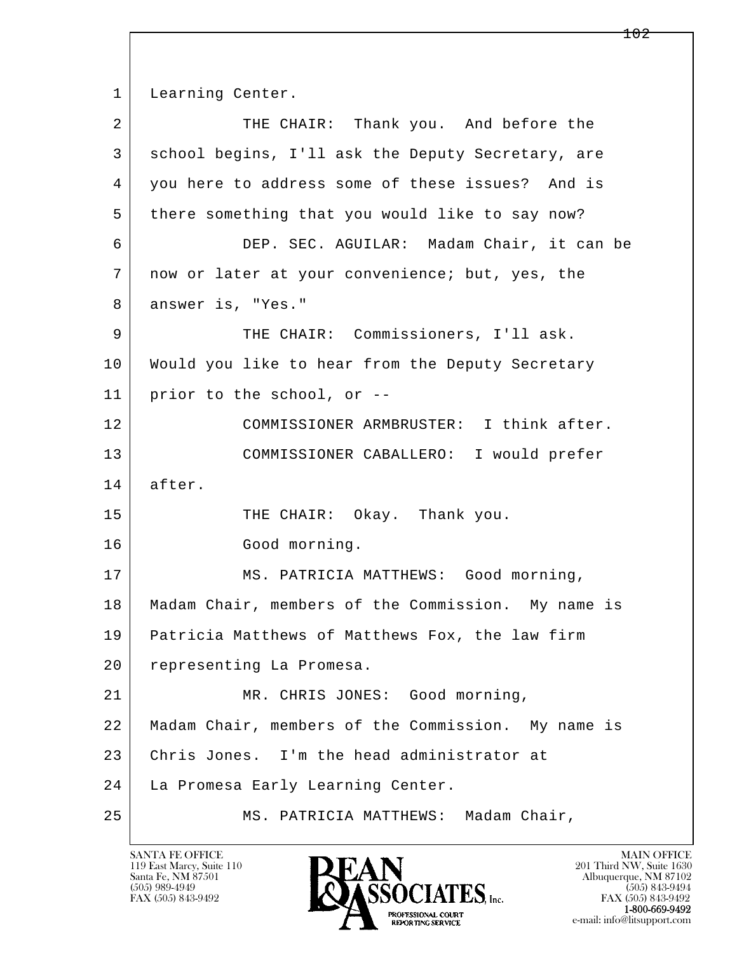1 Learning Center.

| $\overline{a}$ | THE CHAIR: Thank you. And before the                  |
|----------------|-------------------------------------------------------|
| 3              | school begins, I'll ask the Deputy Secretary, are     |
| 4              | you here to address some of these issues? And is      |
| 5              | there something that you would like to say now?       |
| 6              | DEP. SEC. AGUILAR: Madam Chair, it can be             |
| 7              | now or later at your convenience; but, yes, the       |
| 8              | answer is, "Yes."                                     |
| 9              | THE CHAIR: Commissioners, I'll ask.                   |
| 10             | Would you like to hear from the Deputy Secretary      |
| 11             | prior to the school, or --                            |
| 12             | COMMISSIONER ARMBRUSTER: I think after.               |
| 13             | COMMISSIONER CABALLERO: I would prefer                |
|                |                                                       |
| 14             | after.                                                |
| 15             | THE CHAIR: Okay. Thank you.                           |
| 16             | Good morning.                                         |
| 17             | MS. PATRICIA MATTHEWS: Good morning,                  |
| 18             | Madam Chair, members of the Commission. My name is    |
| 19             | Patricia Matthews of Matthews Fox, the law firm       |
| 20             | representing La Promesa.                              |
| 21             | MR. CHRIS JONES: Good morning,                        |
| 22             | Madam Chair, members of the Commission.<br>My name is |
| 23             | Chris Jones. I'm the head administrator at            |
| 24             | La Promesa Early Learning Center.                     |

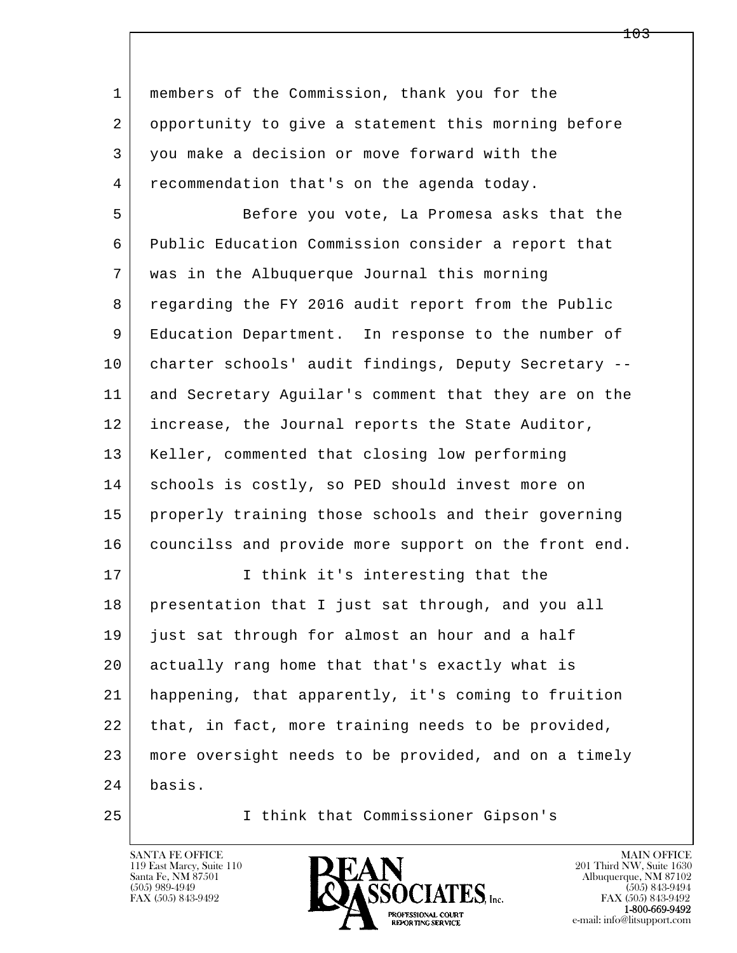| 1  | members of the Commission, thank you for the         |
|----|------------------------------------------------------|
| 2  | opportunity to give a statement this morning before  |
| 3  | you make a decision or move forward with the         |
| 4  | recommendation that's on the agenda today.           |
| 5  | Before you vote, La Promesa asks that the            |
| 6  | Public Education Commission consider a report that   |
| 7  | was in the Albuquerque Journal this morning          |
| 8  | regarding the FY 2016 audit report from the Public   |
| 9  | Education Department. In response to the number of   |
| 10 | charter schools' audit findings, Deputy Secretary -- |
| 11 | and Secretary Aguilar's comment that they are on the |
| 12 | increase, the Journal reports the State Auditor,     |
| 13 | Keller, commented that closing low performing        |
| 14 | schools is costly, so PED should invest more on      |
| 15 | properly training those schools and their governing  |
| 16 | councilss and provide more support on the front end. |
| 17 | I think it's interesting that the                    |
| 18 | presentation that I just sat through, and you all    |
| 19 | just sat through for almost an hour and a half       |
| 20 | actually rang home that that's exactly what is       |
| 21 | happening, that apparently, it's coming to fruition  |
| 22 | that, in fact, more training needs to be provided,   |
| 23 | more oversight needs to be provided, and on a timely |
| 24 | basis.                                               |
| 25 | I think that Commissioner Gipson's                   |

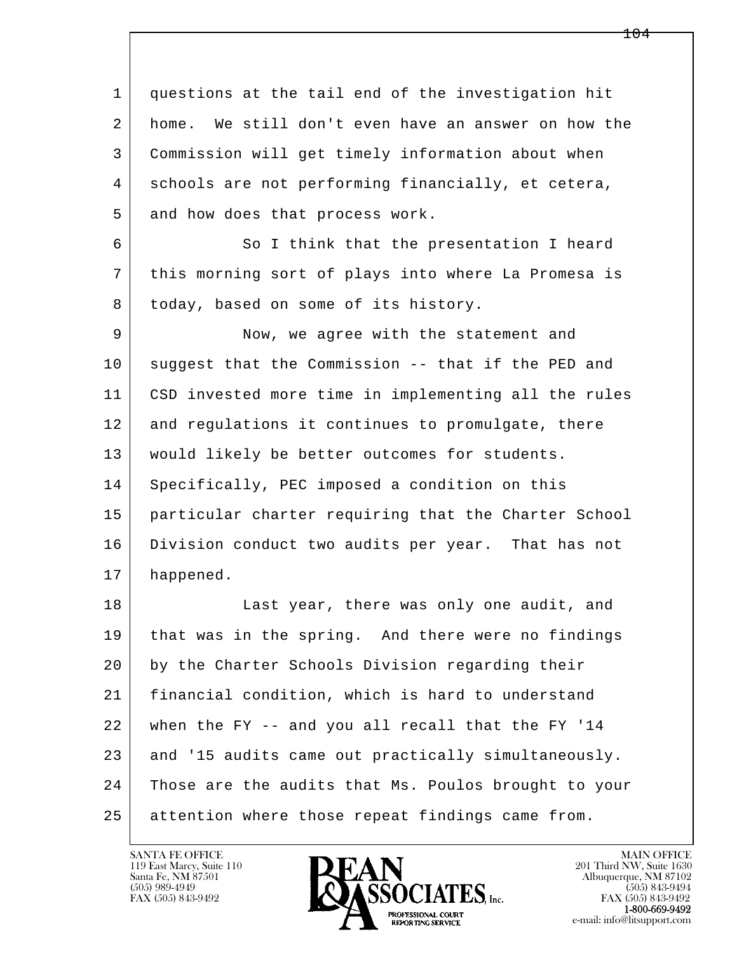l  $\overline{\phantom{a}}$  1 questions at the tail end of the investigation hit 2 home. We still don't even have an answer on how the 3 Commission will get timely information about when 4 schools are not performing financially, et cetera, 5 and how does that process work. 6 | So I think that the presentation I heard 7 this morning sort of plays into where La Promesa is 8 today, based on some of its history. 9 Now, we agree with the statement and 10 suggest that the Commission -- that if the PED and 11 CSD invested more time in implementing all the rules 12 and regulations it continues to promulgate, there 13 would likely be better outcomes for students. 14 | Specifically, PEC imposed a condition on this 15 particular charter requiring that the Charter School 16 Division conduct two audits per year. That has not 17 happened. 18 | Last year, there was only one audit, and 19 that was in the spring. And there were no findings 20 by the Charter Schools Division regarding their 21 financial condition, which is hard to understand  $22$  when the FY  $-$  and you all recall that the FY '14 23 and '15 audits came out practically simultaneously. 24 Those are the audits that Ms. Poulos brought to your

25 attention where those repeat findings came from.

119 East Marcy, Suite 110<br>Santa Fe, NM 87501



FAX (505) 843-9492<br>**1-800-669-9492**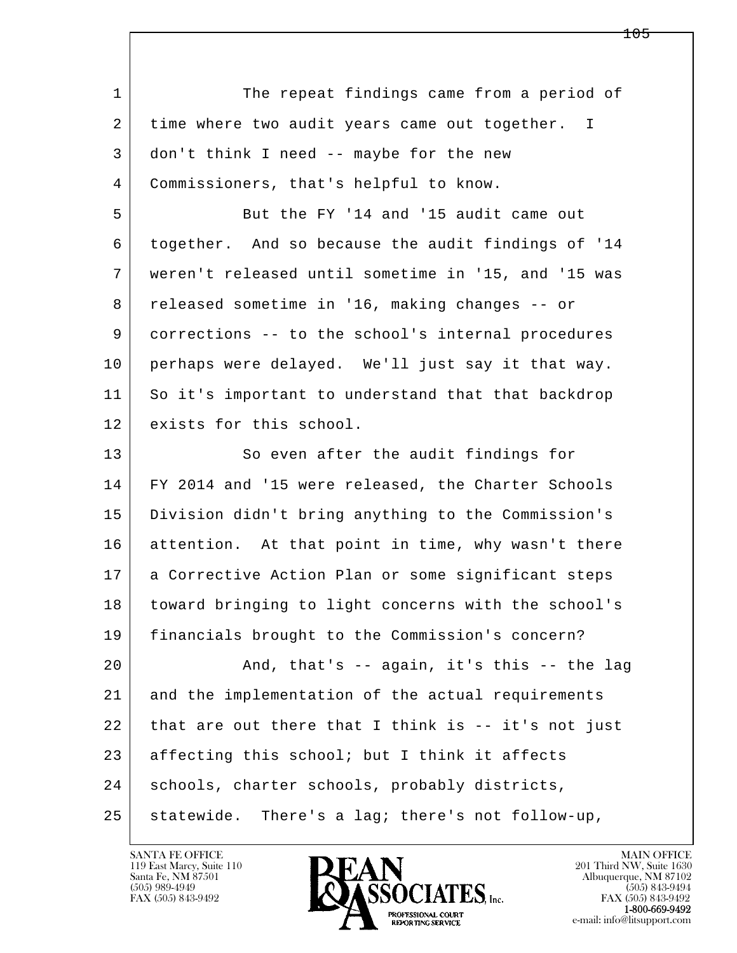l  $\overline{\phantom{a}}$ 1 The repeat findings came from a period of 2 time where two audit years came out together. I 3 don't think I need -- maybe for the new 4 Commissioners, that's helpful to know. 5 But the FY '14 and '15 audit came out 6 together. And so because the audit findings of '14 7 weren't released until sometime in '15, and '15 was 8 | released sometime in '16, making changes -- or 9 corrections -- to the school's internal procedures 10 perhaps were delayed. We'll just say it that way. 11 So it's important to understand that that backdrop 12 exists for this school. 13 So even after the audit findings for 14 FY 2014 and '15 were released, the Charter Schools 15 Division didn't bring anything to the Commission's 16 attention. At that point in time, why wasn't there 17 | a Corrective Action Plan or some significant steps 18 toward bringing to light concerns with the school's 19 financials brought to the Commission's concern? 20 | The Rand, that's -- again, it's this -- the lag 21 and the implementation of the actual requirements  $22$  that are out there that I think is  $-$  it's not just 23 affecting this school; but I think it affects 24 | schools, charter schools, probably districts, 25 statewide. There's a lag; there's not follow-up,

119 East Marcy, Suite 110<br>Santa Fe, NM 87501

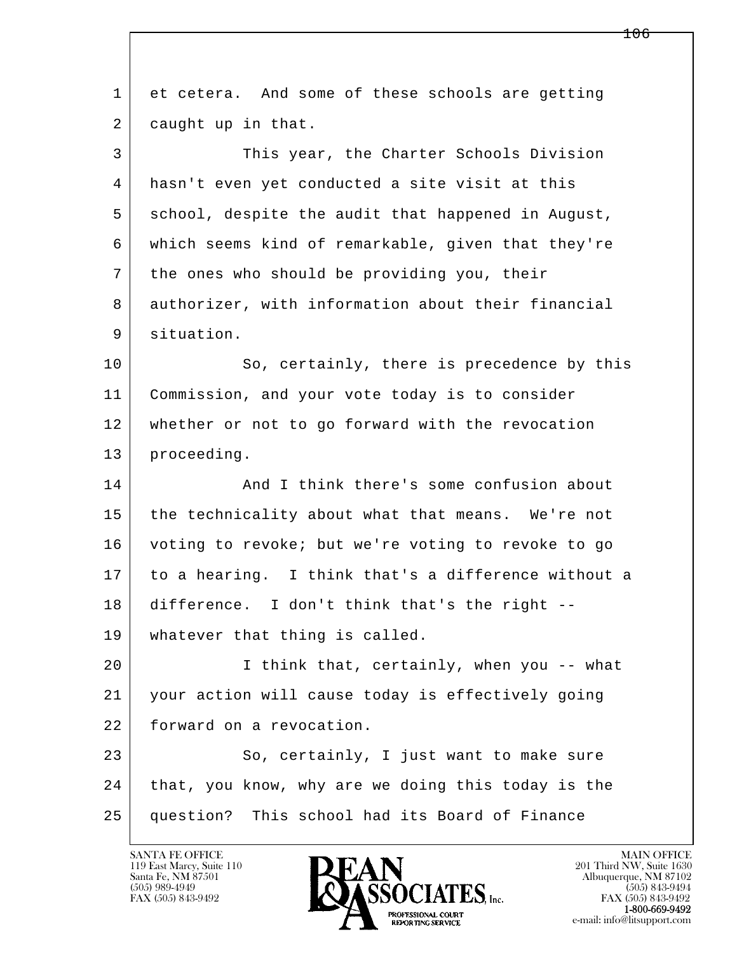| $\mathbf{1}$ | et cetera. And some of these schools are getting    |
|--------------|-----------------------------------------------------|
| 2            | caught up in that.                                  |
| 3            | This year, the Charter Schools Division             |
| 4            | hasn't even yet conducted a site visit at this      |
| 5            | school, despite the audit that happened in August,  |
| 6            | which seems kind of remarkable, given that they're  |
| 7            | the ones who should be providing you, their         |
| 8            | authorizer, with information about their financial  |
| 9            | situation.                                          |
| 10           | So, certainly, there is precedence by this          |
| 11           | Commission, and your vote today is to consider      |
| 12           | whether or not to go forward with the revocation    |
| 13           | proceeding.                                         |
| 14           | And I think there's some confusion about            |
| 15           | the technicality about what that means. We're not   |
| 16           | voting to revoke; but we're voting to revoke to go  |
| 17           | to a hearing. I think that's a difference without a |
| 18           | difference. I don't think that's the right --       |
| 19           | whatever that thing is called.                      |
| 20           | I think that, certainly, when you -- what           |
| 21           | your action will cause today is effectively going   |
| 22           | forward on a revocation.                            |
| 23           | So, certainly, I just want to make sure             |
| 24           | that, you know, why are we doing this today is the  |
| 25           | question? This school had its Board of Finance      |
|              |                                                     |

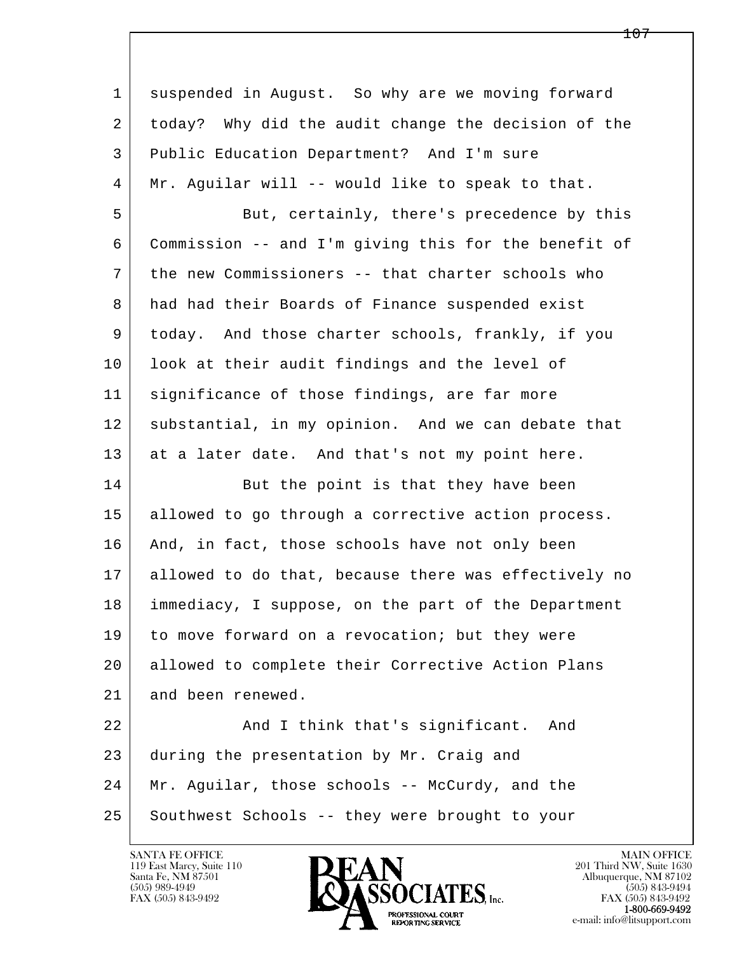| $\mathbf{1}$ | suspended in August. So why are we moving forward    |
|--------------|------------------------------------------------------|
| 2            | today? Why did the audit change the decision of the  |
| 3            | Public Education Department? And I'm sure            |
| 4            | Mr. Aguilar will -- would like to speak to that.     |
| 5            | But, certainly, there's precedence by this           |
| 6            | Commission -- and I'm giving this for the benefit of |
| 7            | the new Commissioners -- that charter schools who    |
| 8            | had had their Boards of Finance suspended exist      |
| 9            | today. And those charter schools, frankly, if you    |
| 10           | look at their audit findings and the level of        |
| 11           | significance of those findings, are far more         |
| 12           | substantial, in my opinion. And we can debate that   |
| 13           | at a later date. And that's not my point here.       |
| 14           | But the point is that they have been                 |
| 15           | allowed to go through a corrective action process.   |
| 16           | And, in fact, those schools have not only been       |
| 17           | allowed to do that, because there was effectively no |
| 18           | immediacy, I suppose, on the part of the Department  |
| 19           | to move forward on a revocation; but they were       |
| 20           | allowed to complete their Corrective Action Plans    |
| 21           | and been renewed.                                    |
| 22           | And I think that's significant.<br>And               |
| 23           | during the presentation by Mr. Craig and             |
| 24           | Mr. Aguilar, those schools -- McCurdy, and the       |
| 25           | Southwest Schools -- they were brought to your       |

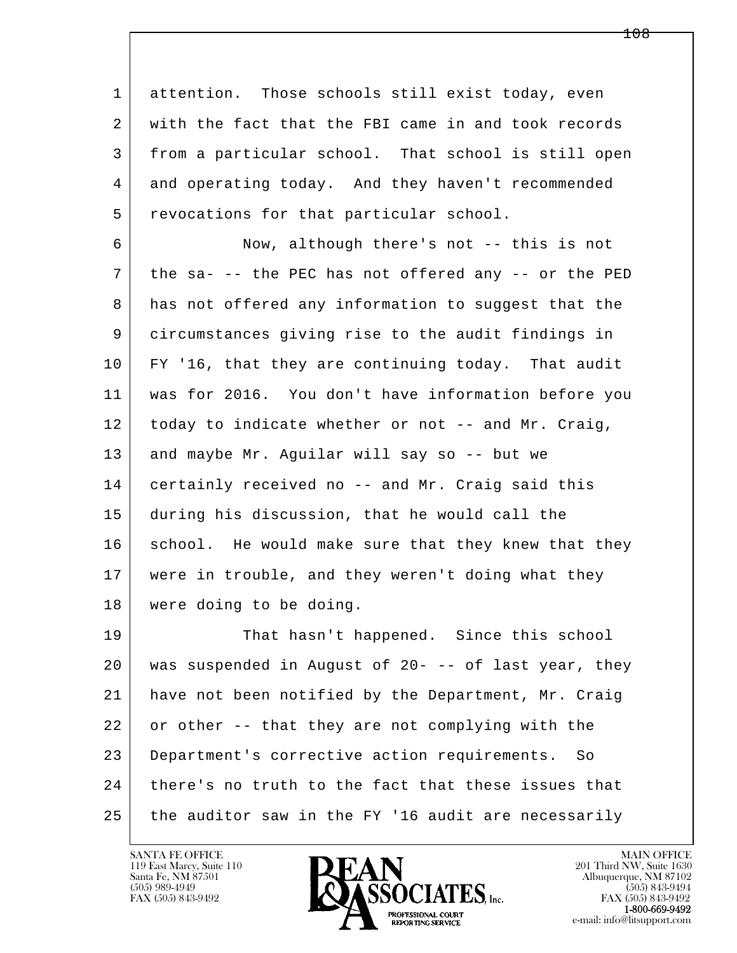1 attention. Those schools still exist today, even 2 with the fact that the FBI came in and took records 3 from a particular school. That school is still open 4 and operating today. And they haven't recommended 5 | revocations for that particular school.

 6 Now, although there's not -- this is not 7 the sa- -- the PEC has not offered any -- or the PED 8 has not offered any information to suggest that the 9 circumstances giving rise to the audit findings in 10 FY '16, that they are continuing today. That audit 11 was for 2016. You don't have information before you 12 today to indicate whether or not -- and Mr. Craig, 13 and maybe Mr. Aguilar will say so -- but we 14 certainly received no -- and Mr. Craig said this 15 during his discussion, that he would call the 16 school. He would make sure that they knew that they 17 were in trouble, and they weren't doing what they 18 were doing to be doing.

l  $\overline{\phantom{a}}$ 19 That hasn't happened. Since this school 20 was suspended in August of 20- -- of last year, they 21 have not been notified by the Department, Mr. Craig 22 or other -- that they are not complying with the 23 Department's corrective action requirements. So 24 there's no truth to the fact that these issues that 25 the auditor saw in the FY '16 audit are necessarily

119 East Marcy, Suite 110<br>Santa Fe, NM 87501

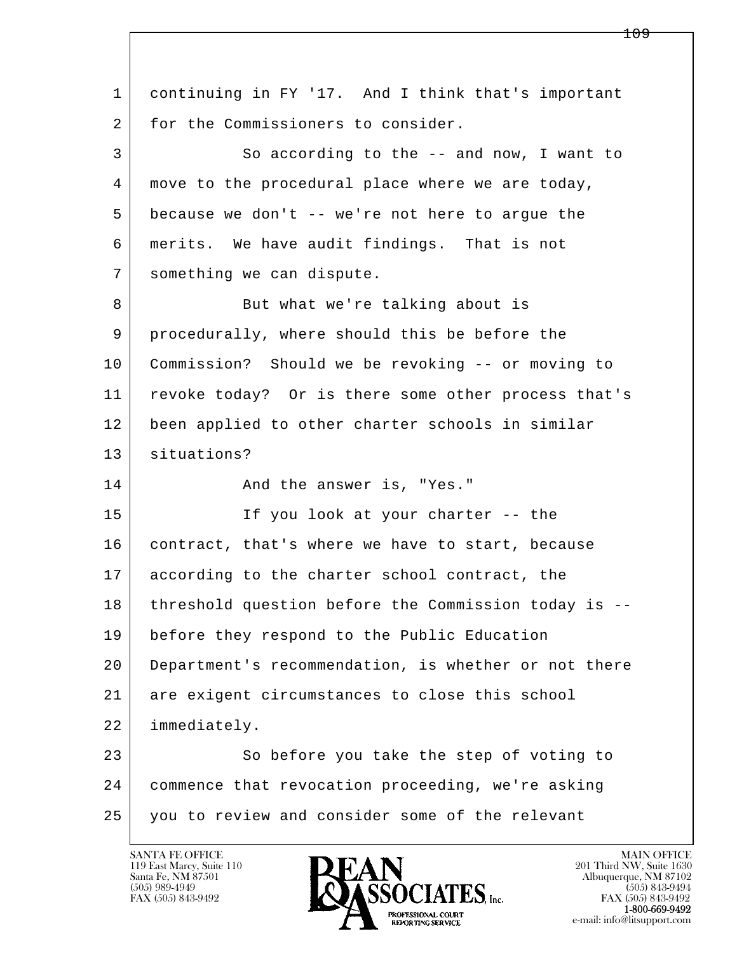l  $\overline{\phantom{a}}$  1 continuing in FY '17. And I think that's important 2 for the Commissioners to consider. 3 So according to the -- and now, I want to 4 move to the procedural place where we are today, 5 because we don't -- we're not here to argue the 6 merits. We have audit findings. That is not 7 something we can dispute. 8 | But what we're talking about is 9 procedurally, where should this be before the 10 Commission? Should we be revoking -- or moving to 11 revoke today? Or is there some other process that's 12 been applied to other charter schools in similar 13 situations? 14 And the answer is, "Yes." 15 If you look at your charter -- the 16 contract, that's where we have to start, because 17 according to the charter school contract, the 18 threshold question before the Commission today is -- 19 before they respond to the Public Education 20 Department's recommendation, is whether or not there 21 are exigent circumstances to close this school 22 immediately. 23 So before you take the step of voting to 24 commence that revocation proceeding, we're asking 25 you to review and consider some of the relevant

119 East Marcy, Suite 110<br>Santa Fe, NM 87501



FAX (505) 843-9492<br>1-800-669-9492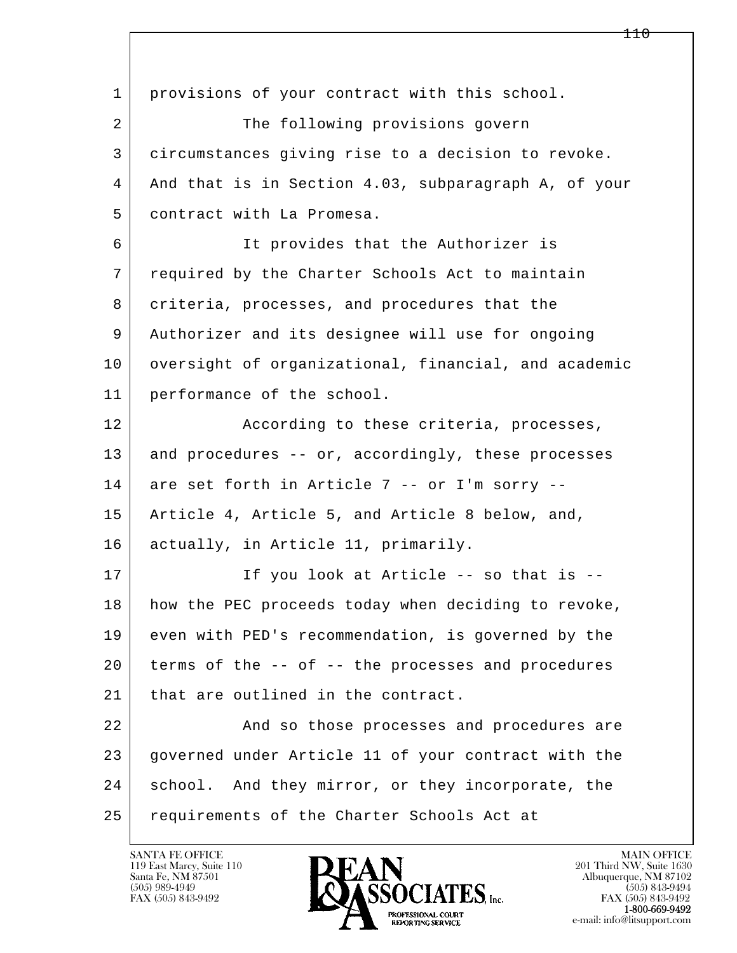| $\mathbf{1}$ | provisions of your contract with this school.        |
|--------------|------------------------------------------------------|
| 2            | The following provisions govern                      |
| 3            | circumstances giving rise to a decision to revoke.   |
| 4            | And that is in Section 4.03, subparagraph A, of your |
| 5            | contract with La Promesa.                            |
| 6            | It provides that the Authorizer is                   |
| 7            | required by the Charter Schools Act to maintain      |
| 8            | criteria, processes, and procedures that the         |
| 9            | Authorizer and its designee will use for ongoing     |
| 10           | oversight of organizational, financial, and academic |
| 11           | performance of the school.                           |
| 12           | According to these criteria, processes,              |
| 13           | and procedures -- or, accordingly, these processes   |
| 14           | are set forth in Article 7 -- or I'm sorry --        |
| 15           | Article 4, Article 5, and Article 8 below, and,      |
| 16           | actually, in Article 11, primarily.                  |
| 17           | If you look at Article -- so that is --              |
| 18           | how the PEC proceeds today when deciding to revoke,  |
| 19           | even with PED's recommendation, is governed by the   |
| 20           | terms of the -- of -- the processes and procedures   |
| 21           | that are outlined in the contract.                   |
| 22           | And so those processes and procedures are            |
| 23           | governed under Article 11 of your contract with the  |
| 24           | school.<br>And they mirror, or they incorporate, the |
| 25           | requirements of the Charter Schools Act at           |

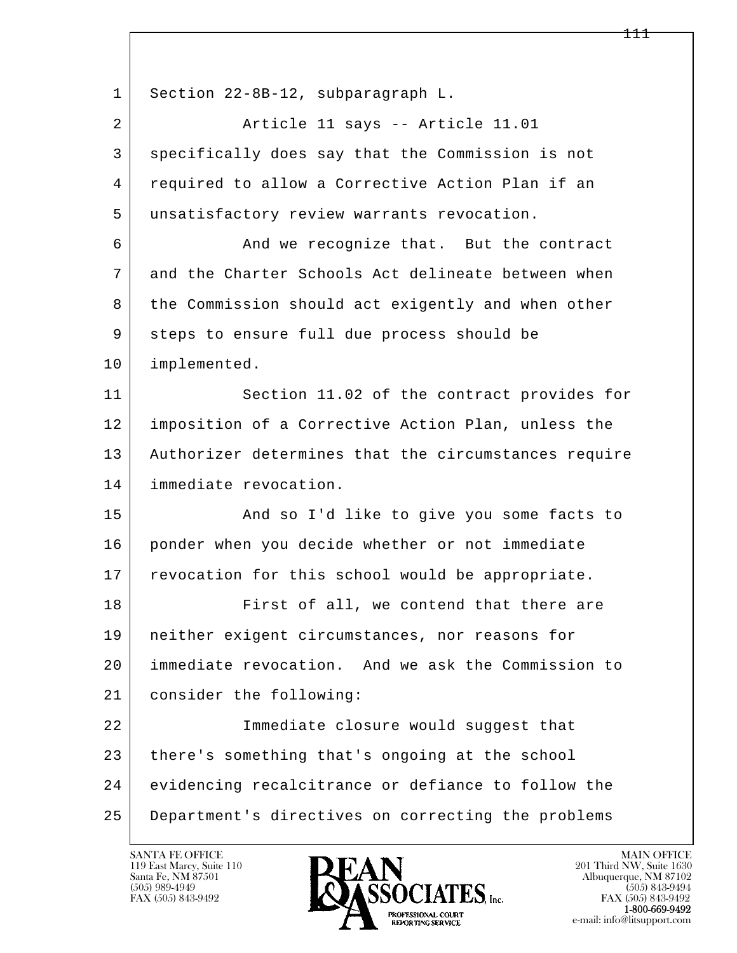l  $\overline{\phantom{a}}$ 1 Section 22-8B-12, subparagraph L. 2 | Riticle 11 says -- Article 11.01 3 specifically does say that the Commission is not 4 required to allow a Corrective Action Plan if an 5 unsatisfactory review warrants revocation. 6 And we recognize that. But the contract 7 and the Charter Schools Act delineate between when 8 the Commission should act exigently and when other 9 steps to ensure full due process should be 10 implemented. 11 Section 11.02 of the contract provides for 12 imposition of a Corrective Action Plan, unless the 13 Authorizer determines that the circumstances require 14 immediate revocation. 15 | The Sand so I'd like to give you some facts to 16 ponder when you decide whether or not immediate 17 revocation for this school would be appropriate. 18 First of all, we contend that there are 19 neither exigent circumstances, nor reasons for 20 immediate revocation. And we ask the Commission to 21 consider the following: 22 Immediate closure would suggest that 23 there's something that's ongoing at the school 24 evidencing recalcitrance or defiance to follow the 25 Department's directives on correcting the problems

119 East Marcy, Suite 110<br>Santa Fe, NM 87501

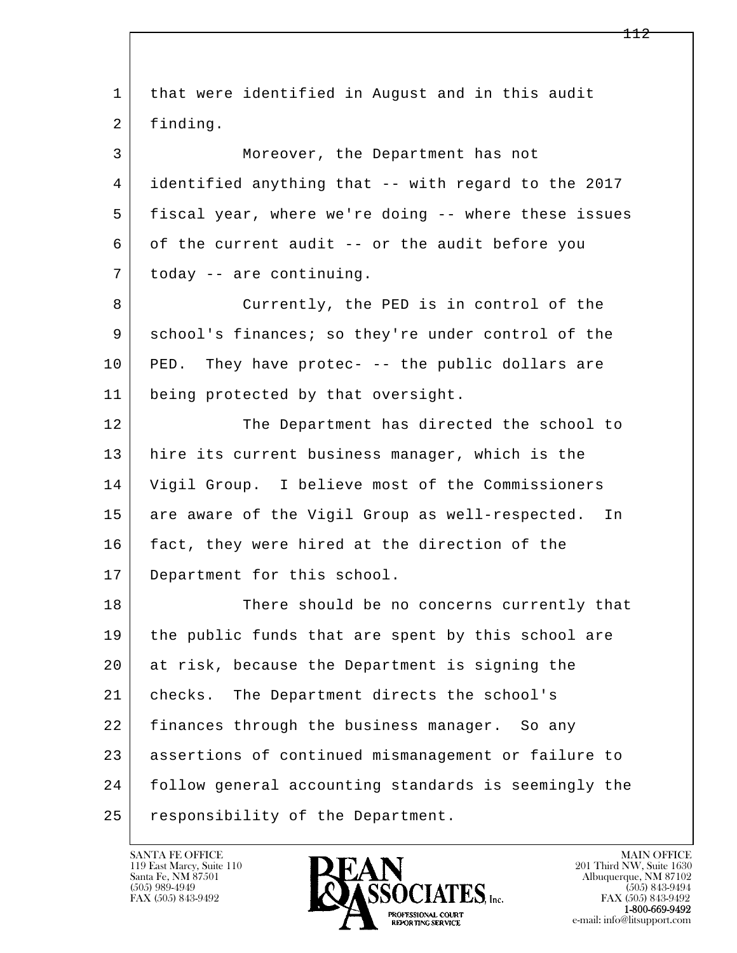l  $\overline{\phantom{a}}$  1 that were identified in August and in this audit 2 finding. 3 Moreover, the Department has not 4 identified anything that -- with regard to the 2017 5 fiscal year, where we're doing -- where these issues 6 of the current audit -- or the audit before you 7 today -- are continuing. 8 Currently, the PED is in control of the 9 school's finances; so they're under control of the 10 PED. They have protec- -- the public dollars are 11 being protected by that oversight. 12 The Department has directed the school to 13 hire its current business manager, which is the 14 Vigil Group. I believe most of the Commissioners 15 are aware of the Vigil Group as well-respected. In 16 fact, they were hired at the direction of the 17 Department for this school. 18 There should be no concerns currently that 19 the public funds that are spent by this school are 20 at risk, because the Department is signing the 21 checks. The Department directs the school's 22 finances through the business manager. So any 23 assertions of continued mismanagement or failure to 24 follow general accounting standards is seemingly the 25 responsibility of the Department.

119 East Marcy, Suite 110<br>Santa Fe, NM 87501

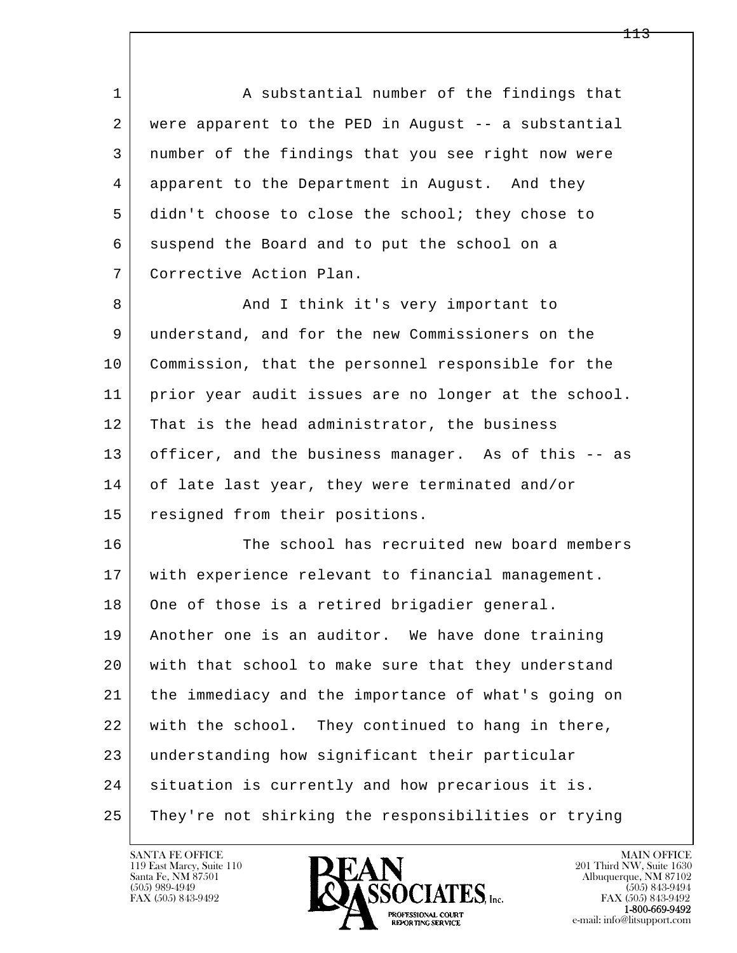1 A substantial number of the findings that 2 were apparent to the PED in August -- a substantial 3 number of the findings that you see right now were 4 apparent to the Department in August. And they 5 didn't choose to close the school; they chose to 6 suspend the Board and to put the school on a 7 Corrective Action Plan.

8 And I think it's very important to 9 understand, and for the new Commissioners on the 10 Commission, that the personnel responsible for the 11 prior year audit issues are no longer at the school. 12 | That is the head administrator, the business 13 officer, and the business manager. As of this -- as 14 of late last year, they were terminated and/or 15 resigned from their positions.

l  $\overline{\phantom{a}}$ 16 The school has recruited new board members 17 with experience relevant to financial management. 18 One of those is a retired brigadier general. 19 Another one is an auditor. We have done training 20 with that school to make sure that they understand 21 the immediacy and the importance of what's going on 22 with the school. They continued to hang in there, 23 understanding how significant their particular 24 situation is currently and how precarious it is. 25 They're not shirking the responsibilities or trying

119 East Marcy, Suite 110<br>Santa Fe, NM 87501

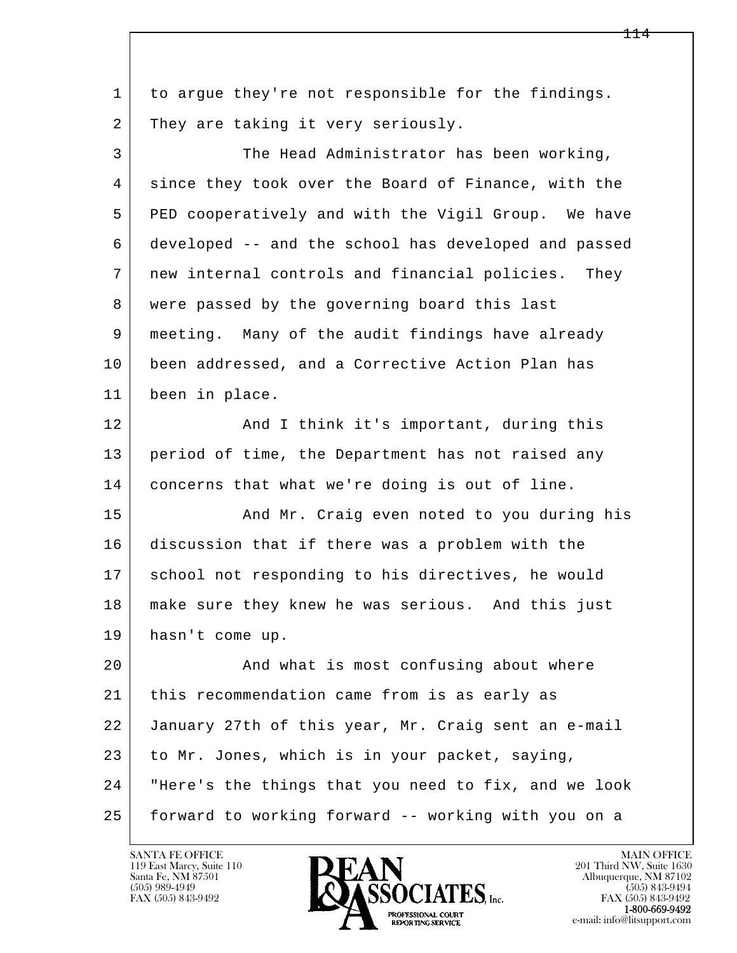| 1  | to argue they're not responsible for the findings.    |
|----|-------------------------------------------------------|
| 2  | They are taking it very seriously.                    |
| 3  | The Head Administrator has been working,              |
| 4  | since they took over the Board of Finance, with the   |
| 5  | PED cooperatively and with the Vigil Group. We have   |
| 6  | developed -- and the school has developed and passed  |
| 7  | new internal controls and financial policies.<br>They |
| 8  | were passed by the governing board this last          |
| 9  | meeting. Many of the audit findings have already      |
| 10 | been addressed, and a Corrective Action Plan has      |
| 11 | been in place.                                        |
| 12 | And I think it's important, during this               |
| 13 | period of time, the Department has not raised any     |
| 14 | concerns that what we're doing is out of line.        |
| 15 | And Mr. Craig even noted to you during his            |
| 16 | discussion that if there was a problem with the       |
| 17 | school not responding to his directives, he would     |
| 18 | make sure they knew he was serious. And this just     |
| 19 | hasn't come up.                                       |
| 20 | And what is most confusing about where                |
| 21 | this recommendation came from is as early as          |
| 22 | January 27th of this year, Mr. Craig sent an e-mail   |
| 23 | to Mr. Jones, which is in your packet, saying,        |
| 24 | "Here's the things that you need to fix, and we look  |
| 25 | forward to working forward -- working with you on a   |

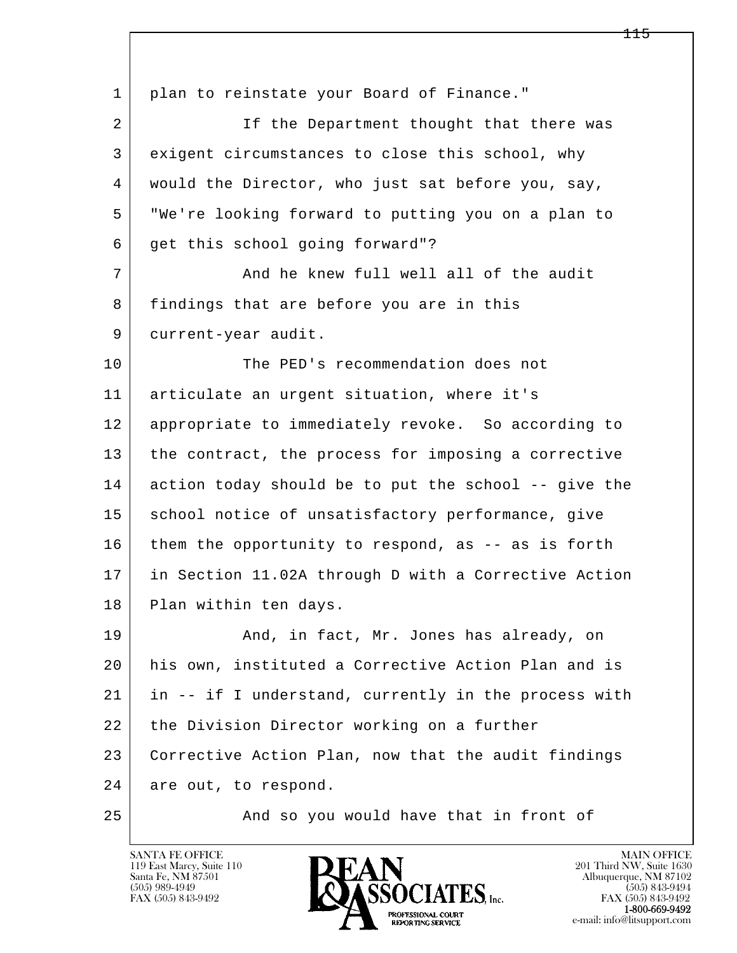l  $\overline{\phantom{a}}$ 1 | plan to reinstate your Board of Finance." 2 If the Department thought that there was 3 exigent circumstances to close this school, why 4 would the Director, who just sat before you, say, 5 "We're looking forward to putting you on a plan to 6 get this school going forward"? 7 And he knew full well all of the audit 8 | findings that are before you are in this 9 current-year audit. 10 The PED's recommendation does not 11 articulate an urgent situation, where it's 12 appropriate to immediately revoke. So according to 13 the contract, the process for imposing a corrective 14 action today should be to put the school -- give the 15 | school notice of unsatisfactory performance, give 16 them the opportunity to respond, as -- as is forth 17 | in Section 11.02A through D with a Corrective Action 18 Plan within ten days. 19 | And, in fact, Mr. Jones has already, on 20 his own, instituted a Corrective Action Plan and is 21 in -- if I understand, currently in the process with 22 the Division Director working on a further 23 Corrective Action Plan, now that the audit findings 24 are out, to respond. 25 And so you would have that in front of

119 East Marcy, Suite 110<br>Santa Fe, NM 87501

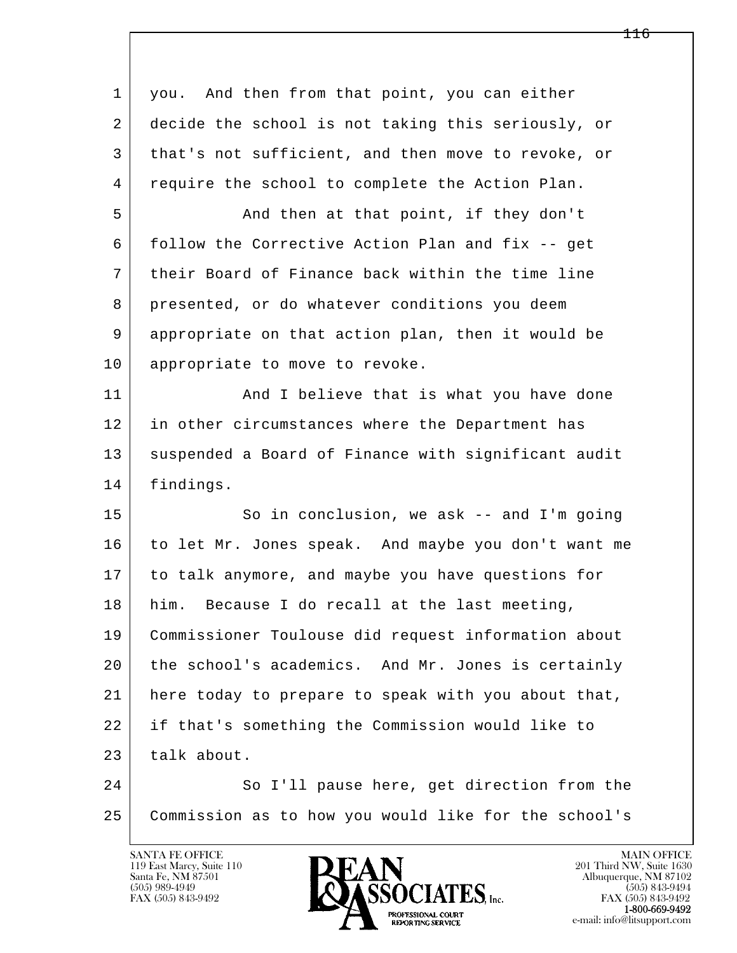| 1  | you. And then from that point, you can either        |
|----|------------------------------------------------------|
| 2  | decide the school is not taking this seriously, or   |
| 3  | that's not sufficient, and then move to revoke, or   |
| 4  | require the school to complete the Action Plan.      |
| 5  | And then at that point, if they don't                |
| 6  | follow the Corrective Action Plan and fix -- get     |
| 7  | their Board of Finance back within the time line     |
| 8  | presented, or do whatever conditions you deem        |
| 9  | appropriate on that action plan, then it would be    |
| 10 | appropriate to move to revoke.                       |
| 11 | And I believe that is what you have done             |
| 12 | in other circumstances where the Department has      |
| 13 | suspended a Board of Finance with significant audit  |
| 14 | findings.                                            |
| 15 | So in conclusion, we ask -- and I'm going            |
| 16 | to let Mr. Jones speak. And maybe you don't want me  |
| 17 | to talk anymore, and maybe you have questions for    |
| 18 | Because I do recall at the last meeting,<br>him.     |
| 19 | Commissioner Toulouse did request information about  |
| 20 | the school's academics. And Mr. Jones is certainly   |
| 21 | here today to prepare to speak with you about that,  |
| 22 | if that's something the Commission would like to     |
| 23 | talk about.                                          |
| 24 | So I'll pause here, get direction from the           |
| 25 | Commission as to how you would like for the school's |

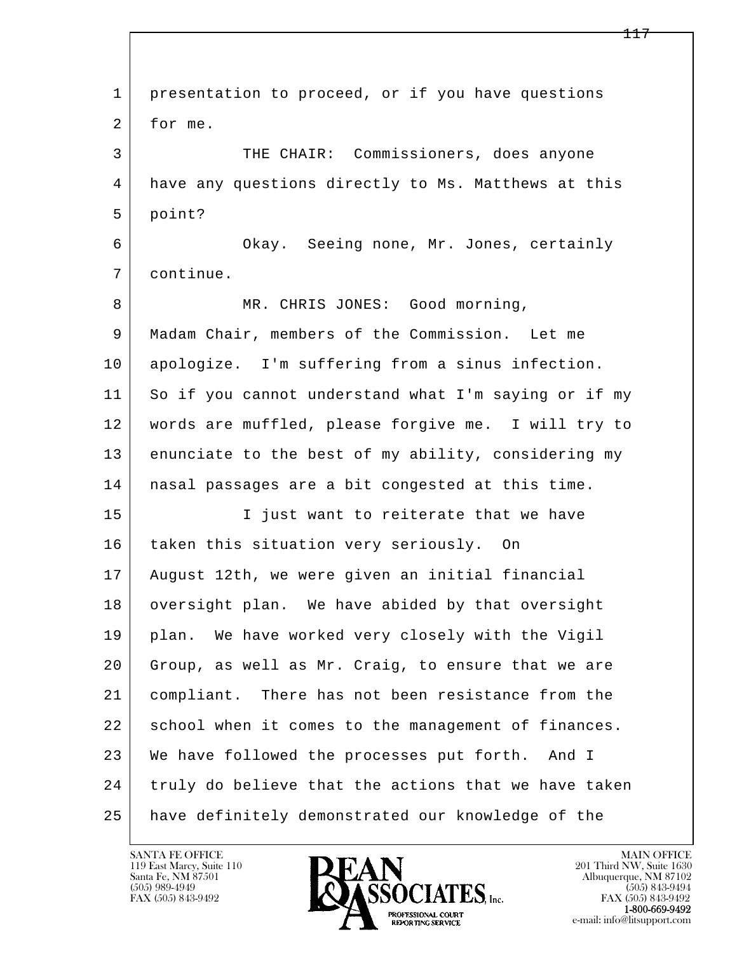| $\mathbf{1}$ | presentation to proceed, or if you have questions    |
|--------------|------------------------------------------------------|
| 2            | for me.                                              |
| 3            | THE CHAIR: Commissioners, does anyone                |
| 4            | have any questions directly to Ms. Matthews at this  |
| 5            | point?                                               |
| 6            | Okay. Seeing none, Mr. Jones, certainly              |
| 7            | continue.                                            |
| 8            | MR. CHRIS JONES: Good morning,                       |
| 9            | Madam Chair, members of the Commission. Let me       |
| 10           | apologize. I'm suffering from a sinus infection.     |
| 11           | So if you cannot understand what I'm saying or if my |
| 12           | words are muffled, please forgive me. I will try to  |
| 13           | enunciate to the best of my ability, considering my  |
| 14           | nasal passages are a bit congested at this time.     |
| 15           | I just want to reiterate that we have                |
| 16           | taken this situation very seriously. On              |
| 17           | August 12th, we were given an initial financial      |
| 18           | oversight plan. We have abided by that oversight     |
| 19           | plan. We have worked very closely with the Vigil     |
| 20           | Group, as well as Mr. Craig, to ensure that we are   |
| 21           | compliant. There has not been resistance from the    |
| 22           | school when it comes to the management of finances.  |
| 23           | We have followed the processes put forth.<br>And I   |
| 24           | truly do believe that the actions that we have taken |
| 25           | have definitely demonstrated our knowledge of the    |

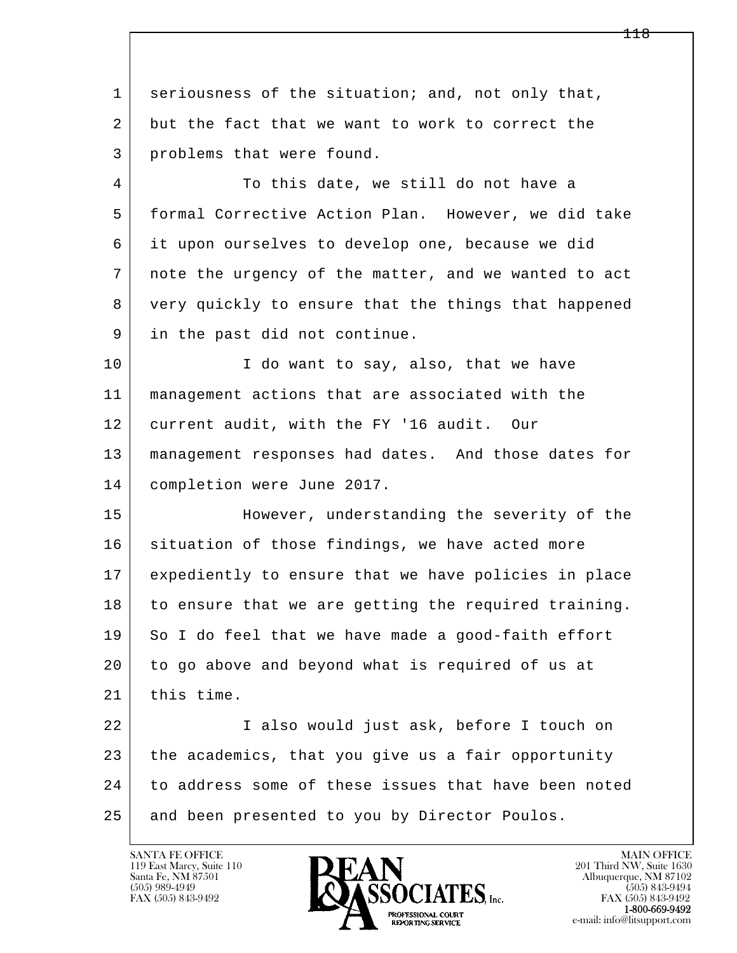l  $\overline{\phantom{a}}$ 1 seriousness of the situation; and, not only that, 2 but the fact that we want to work to correct the 3 problems that were found. 4 To this date, we still do not have a 5 formal Corrective Action Plan. However, we did take 6 it upon ourselves to develop one, because we did 7 note the urgency of the matter, and we wanted to act 8 very quickly to ensure that the things that happened 9 in the past did not continue. 10 | T do want to say, also, that we have 11 management actions that are associated with the 12 current audit, with the FY '16 audit. Our 13 management responses had dates. And those dates for 14 completion were June 2017. 15 However, understanding the severity of the 16 situation of those findings, we have acted more 17 expediently to ensure that we have policies in place 18 to ensure that we are getting the required training. 19 So I do feel that we have made a good-faith effort 20 to go above and beyond what is required of us at 21 this time. 22 I also would just ask, before I touch on 23 the academics, that you give us a fair opportunity 24 to address some of these issues that have been noted 25 and been presented to you by Director Poulos.

119 East Marcy, Suite 110<br>Santa Fe, NM 87501

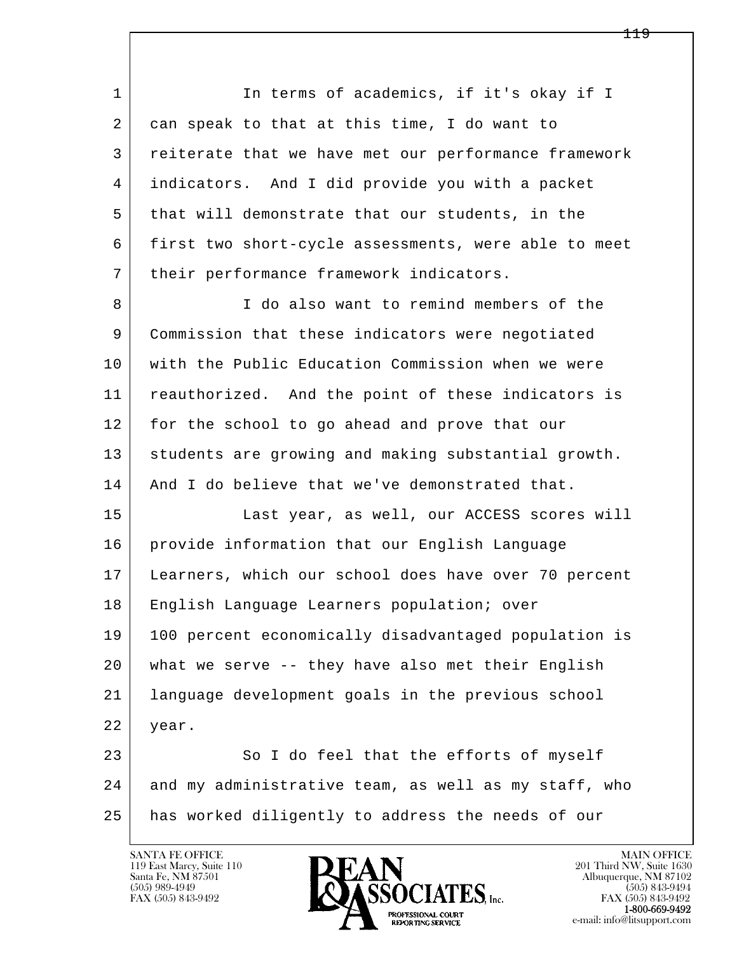l  $\overline{\phantom{a}}$ 1 In terms of academics, if it's okay if I 2 can speak to that at this time, I do want to 3 reiterate that we have met our performance framework 4 indicators. And I did provide you with a packet 5 that will demonstrate that our students, in the 6 first two short-cycle assessments, were able to meet 7 | their performance framework indicators. 8 I do also want to remind members of the 9 Commission that these indicators were negotiated 10 with the Public Education Commission when we were 11 reauthorized. And the point of these indicators is 12 for the school to go ahead and prove that our 13 | students are growing and making substantial growth. 14 And I do believe that we've demonstrated that. 15 Last year, as well, our ACCESS scores will 16 provide information that our English Language 17 Learners, which our school does have over 70 percent 18 English Language Learners population; over 19 100 percent economically disadvantaged population is 20 what we serve -- they have also met their English 21 language development goals in the previous school 22 year. 23 So I do feel that the efforts of myself 24 and my administrative team, as well as my staff, who 25 has worked diligently to address the needs of our

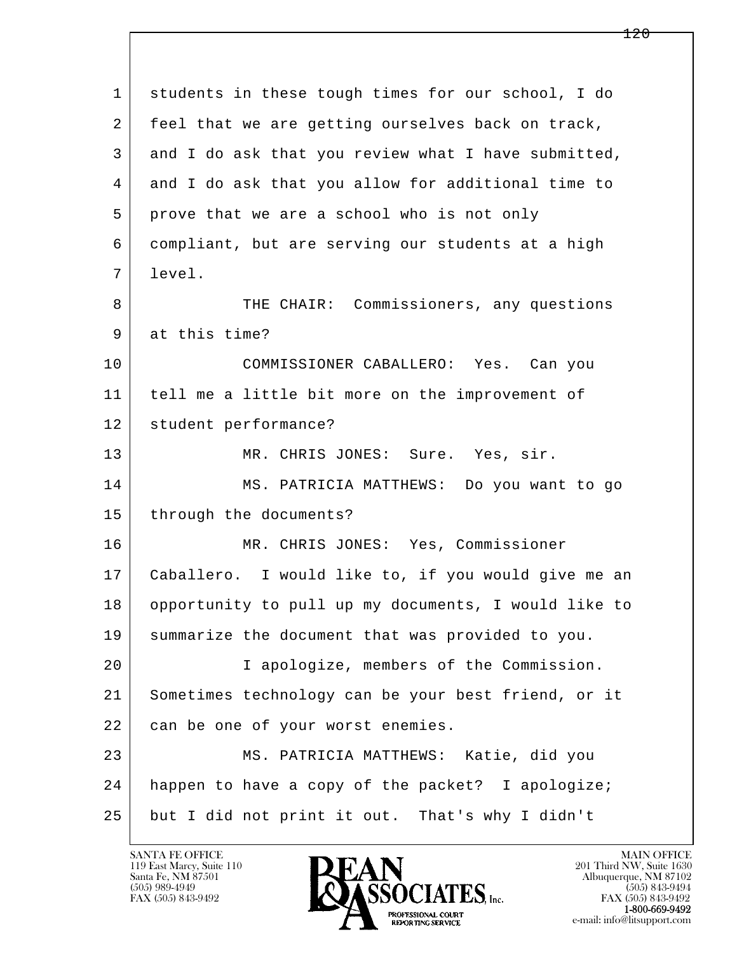| $\mathbf 1$ | students in these tough times for our school, I do   |
|-------------|------------------------------------------------------|
| 2           | feel that we are getting ourselves back on track,    |
| 3           | and I do ask that you review what I have submitted,  |
| 4           | and I do ask that you allow for additional time to   |
| 5           | prove that we are a school who is not only           |
| 6           | compliant, but are serving our students at a high    |
| 7           | level.                                               |
| 8           | THE CHAIR: Commissioners, any questions              |
| 9           | at this time?                                        |
| 10          | COMMISSIONER CABALLERO: Yes. Can you                 |
| 11          | tell me a little bit more on the improvement of      |
| 12          | student performance?                                 |
| 13          | MR. CHRIS JONES: Sure. Yes, sir.                     |
| 14          | MS. PATRICIA MATTHEWS: Do you want to go             |
| 15          | through the documents?                               |
| 16          | MR. CHRIS JONES: Yes, Commissioner                   |
| 17          | Caballero. I would like to, if you would give me an  |
| 18          | opportunity to pull up my documents, I would like to |
| 19          | summarize the document that was provided to you.     |
| 20          | I apologize, members of the Commission.              |
| 21          | Sometimes technology can be your best friend, or it  |
| 22          | can be one of your worst enemies.                    |
| 23          | MS. PATRICIA MATTHEWS: Katie, did you                |
| 24          | happen to have a copy of the packet? I apologize;    |
| 25          | but I did not print it out. That's why I didn't      |

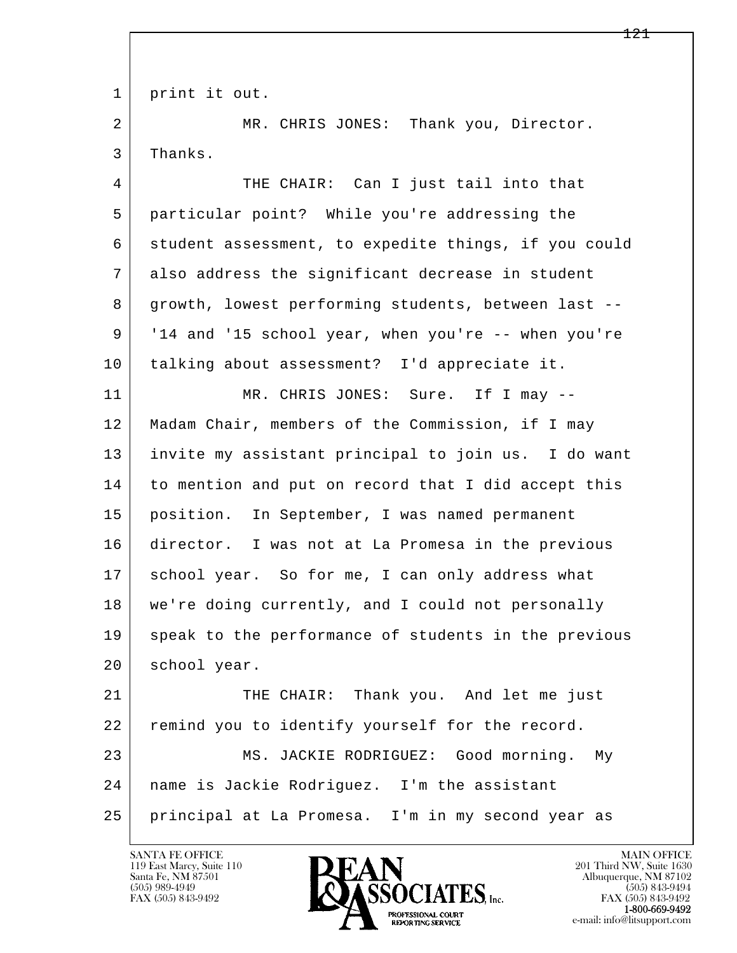1 print it out.

2 MR. CHRIS JONES: Thank you, Director. 3 Thanks.

 4 THE CHAIR: Can I just tail into that 5 particular point? While you're addressing the 6 student assessment, to expedite things, if you could 7 also address the significant decrease in student 8 growth, lowest performing students, between last -- 9 '14 and '15 school year, when you're -- when you're 10 talking about assessment? I'd appreciate it.

11 MR. CHRIS JONES: Sure. If I may -- 12 Madam Chair, members of the Commission, if I may 13 invite my assistant principal to join us. I do want 14 to mention and put on record that I did accept this 15 position. In September, I was named permanent 16 director. I was not at La Promesa in the previous 17 | school year. So for me, I can only address what 18 we're doing currently, and I could not personally 19 speak to the performance of students in the previous 20 school year.

l  $\overline{\phantom{a}}$ 21 THE CHAIR: Thank you. And let me just 22 remind you to identify yourself for the record. 23 MS. JACKIE RODRIGUEZ: Good morning. My 24 name is Jackie Rodriguez. I'm the assistant 25 principal at La Promesa. I'm in my second year as

119 East Marcy, Suite 110<br>Santa Fe, NM 87501

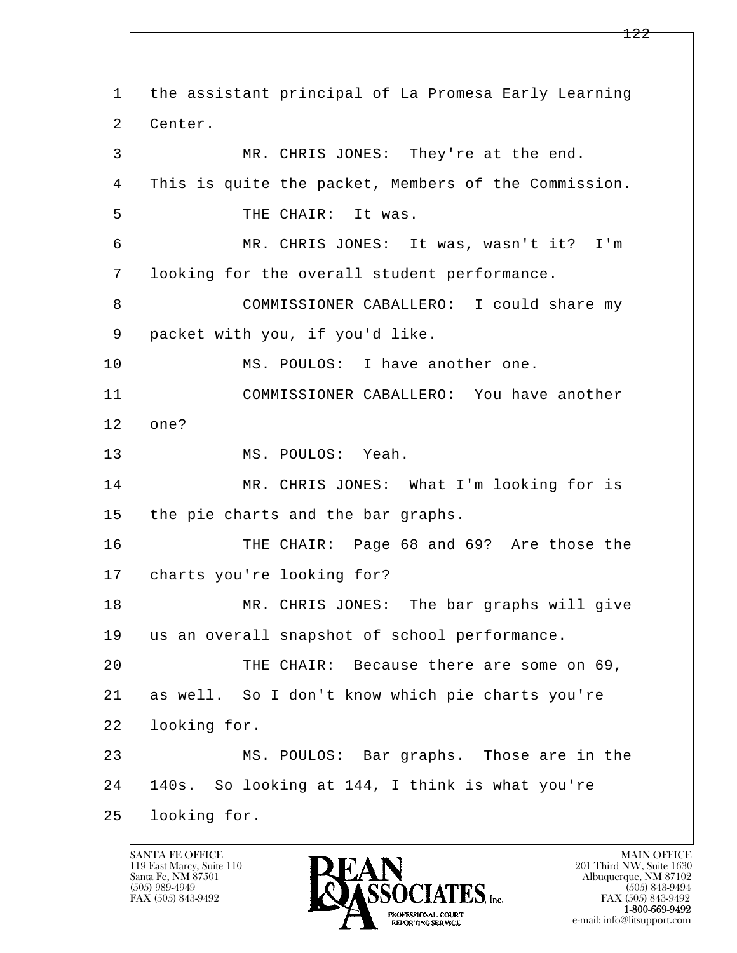l  $\overline{\phantom{a}}$  1 the assistant principal of La Promesa Early Learning 2 | Center. 3 MR. CHRIS JONES: They're at the end. 4 This is quite the packet, Members of the Commission. 5 THE CHAIR: It was. 6 MR. CHRIS JONES: It was, wasn't it? I'm 7 looking for the overall student performance. 8 COMMISSIONER CABALLERO: I could share my 9 packet with you, if you'd like. 10 MS. POULOS: I have another one. 11 COMMISSIONER CABALLERO: You have another 12 one? 13 MS. POULOS: Yeah. 14 MR. CHRIS JONES: What I'm looking for is 15 | the pie charts and the bar graphs. 16 THE CHAIR: Page 68 and 69? Are those the 17 charts you're looking for? 18 MR. CHRIS JONES: The bar graphs will give 19 us an overall snapshot of school performance. 20 THE CHAIR: Because there are some on 69, 21 as well. So I don't know which pie charts you're 22 looking for. 23 MS. POULOS: Bar graphs. Those are in the 24 140s. So looking at 144, I think is what you're 25 looking for.

119 East Marcy, Suite 110<br>Santa Fe, NM 87501

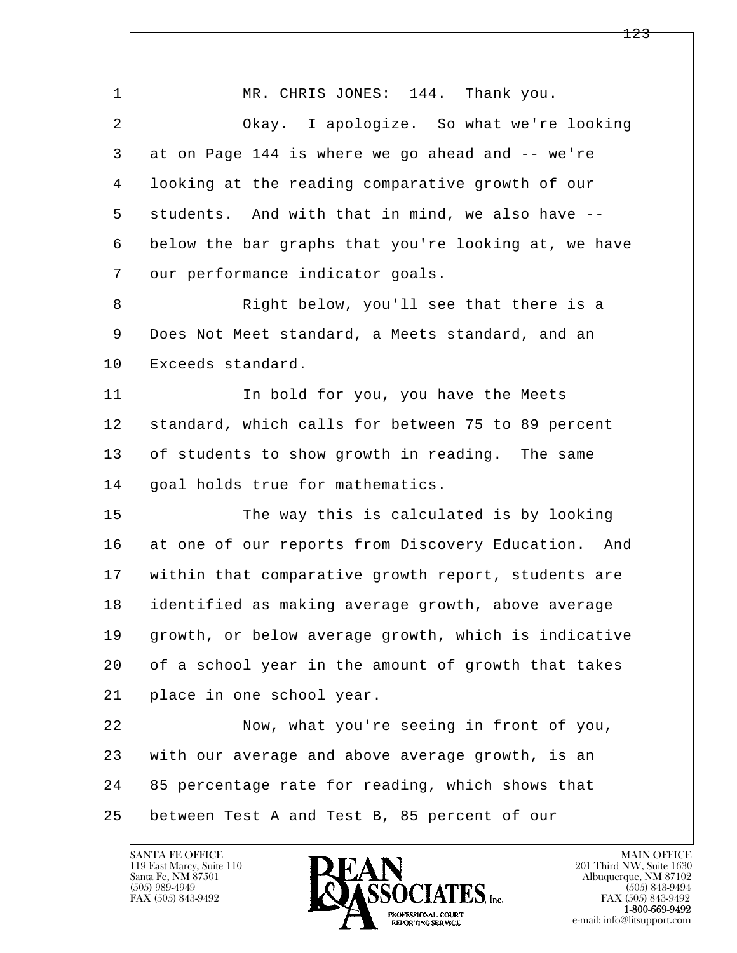| $\mathbf{1}$ | MR. CHRIS JONES: 144. Thank you.                     |
|--------------|------------------------------------------------------|
| 2            | Okay. I apologize. So what we're looking             |
| 3            | at on Page 144 is where we go ahead and -- we're     |
| 4            | looking at the reading comparative growth of our     |
| 5            | students. And with that in mind, we also have --     |
| 6            | below the bar graphs that you're looking at, we have |
| 7            | our performance indicator goals.                     |
| 8            | Right below, you'll see that there is a              |
| 9            | Does Not Meet standard, a Meets standard, and an     |
| 10           | Exceeds standard.                                    |
| 11           | In bold for you, you have the Meets                  |
| 12           | standard, which calls for between 75 to 89 percent   |
| 13           | of students to show growth in reading. The same      |
| 14           | goal holds true for mathematics.                     |
| 15           | The way this is calculated is by looking             |
| 16           | at one of our reports from Discovery Education. And  |
| 17           | within that comparative growth report, students are  |
| 18           | identified as making average growth, above average   |
| 19           | growth, or below average growth, which is indicative |
| 20           | of a school year in the amount of growth that takes  |
| 21           | place in one school year.                            |
| 22           | Now, what you're seeing in front of you,             |
| 23           | with our average and above average growth, is an     |
| 24           | 85 percentage rate for reading, which shows that     |
| 25           | between Test A and Test B, 85 percent of our         |

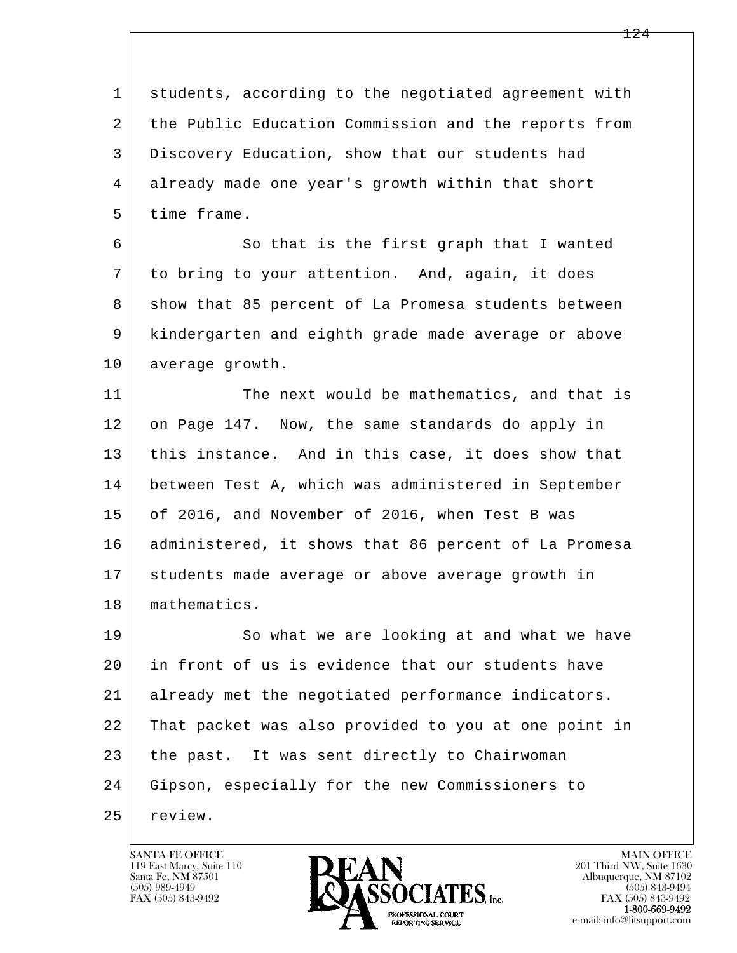l  $\overline{\phantom{a}}$  1 students, according to the negotiated agreement with 2 the Public Education Commission and the reports from 3 Discovery Education, show that our students had 4 already made one year's growth within that short 5 time frame. 6 So that is the first graph that I wanted 7 to bring to your attention. And, again, it does 8 show that 85 percent of La Promesa students between 9 kindergarten and eighth grade made average or above 10 average growth. 11 The next would be mathematics, and that is 12 on Page 147. Now, the same standards do apply in 13 | this instance. And in this case, it does show that 14 between Test A, which was administered in September 15 of 2016, and November of 2016, when Test B was 16 administered, it shows that 86 percent of La Promesa 17 students made average or above average growth in 18 mathematics. 19 So what we are looking at and what we have 20 in front of us is evidence that our students have 21 already met the negotiated performance indicators. 22 That packet was also provided to you at one point in 23 the past. It was sent directly to Chairwoman 24 Gipson, especially for the new Commissioners to 25 review.

119 East Marcy, Suite 110<br>Santa Fe, NM 87501

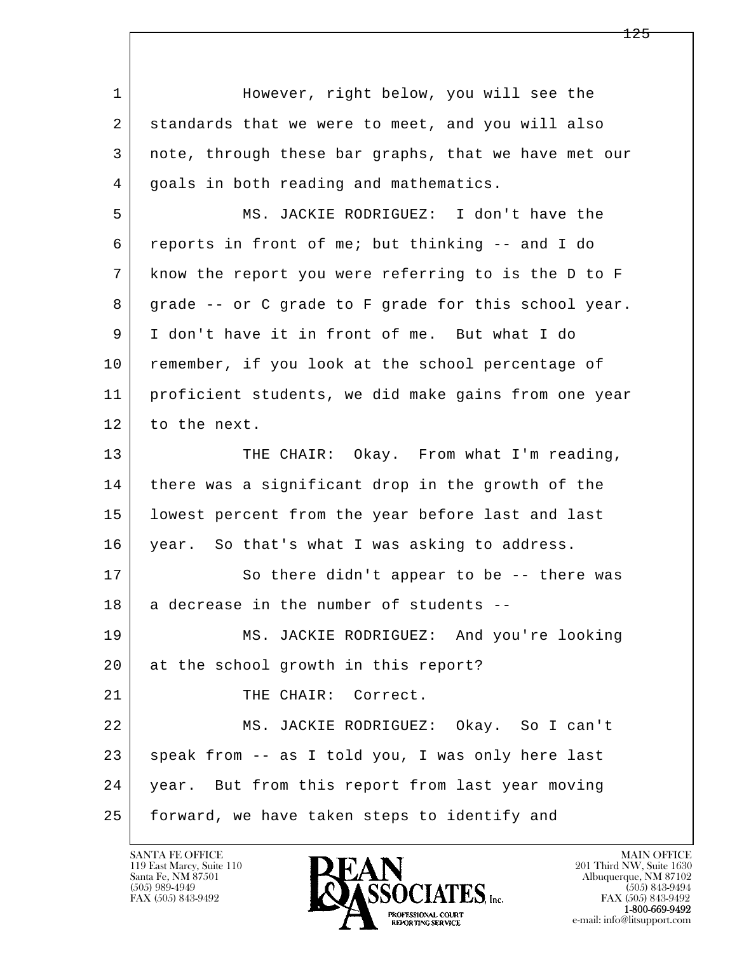l  $\overline{\phantom{a}}$ 1 However, right below, you will see the 2 standards that we were to meet, and you will also 3 note, through these bar graphs, that we have met our 4 goals in both reading and mathematics. 5 MS. JACKIE RODRIGUEZ: I don't have the 6 reports in front of me; but thinking -- and I do 7 know the report you were referring to is the D to F 8 grade -- or C grade to F grade for this school year. 9 I don't have it in front of me. But what I do 10 remember, if you look at the school percentage of 11 proficient students, we did make gains from one year 12 to the next. 13 THE CHAIR: Okay. From what I'm reading, 14 there was a significant drop in the growth of the 15 lowest percent from the year before last and last 16 year. So that's what I was asking to address. 17 So there didn't appear to be -- there was 18 a decrease in the number of students -- 19 MS. JACKIE RODRIGUEZ: And you're looking 20 at the school growth in this report? 21 THE CHAIR: Correct. 22 MS. JACKIE RODRIGUEZ: Okay. So I can't 23 | speak from -- as I told you, I was only here last 24 year. But from this report from last year moving 25 forward, we have taken steps to identify and

119 East Marcy, Suite 110<br>Santa Fe, NM 87501

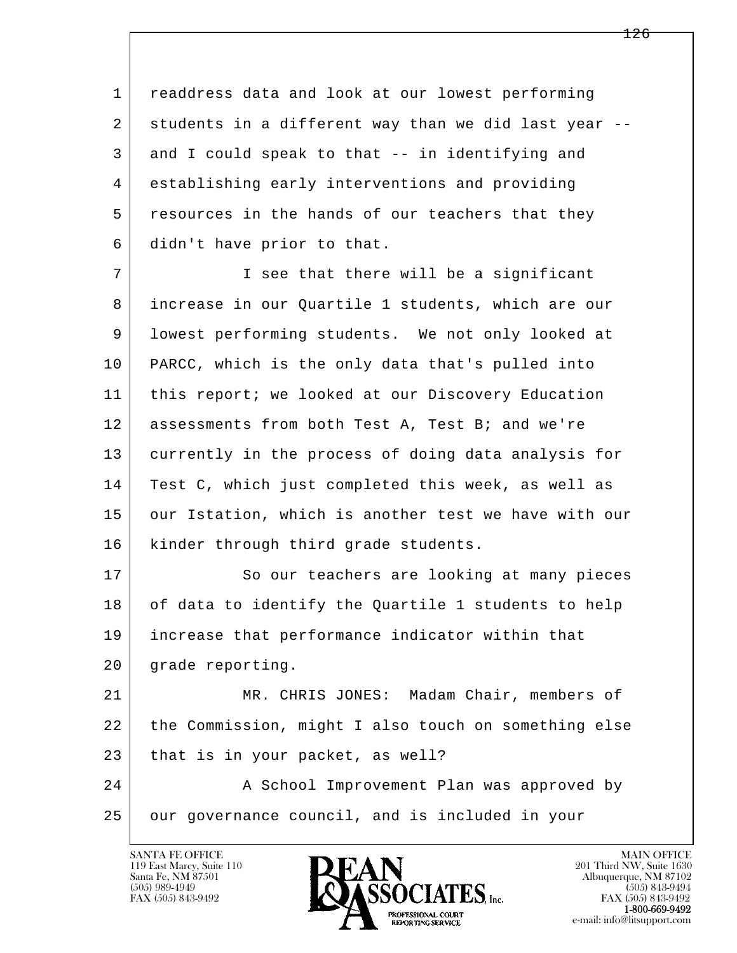1 readdress data and look at our lowest performing 2 students in a different way than we did last year -- 3 and I could speak to that -- in identifying and 4 establishing early interventions and providing 5 resources in the hands of our teachers that they 6 didn't have prior to that.

 7 I see that there will be a significant 8 increase in our Quartile 1 students, which are our 9 lowest performing students. We not only looked at 10 PARCC, which is the only data that's pulled into 11 this report; we looked at our Discovery Education 12 assessments from both Test A, Test B; and we're 13 currently in the process of doing data analysis for 14 Test C, which just completed this week, as well as 15 our Istation, which is another test we have with our 16 | kinder through third grade students.

17 So our teachers are looking at many pieces 18 of data to identify the Quartile 1 students to help 19 increase that performance indicator within that 20 grade reporting.

 21 MR. CHRIS JONES: Madam Chair, members of 22 the Commission, might I also touch on something else 23 that is in your packet, as well?

l  $\overline{\phantom{a}}$ 24 | A School Improvement Plan was approved by 25 | our governance council, and is included in your

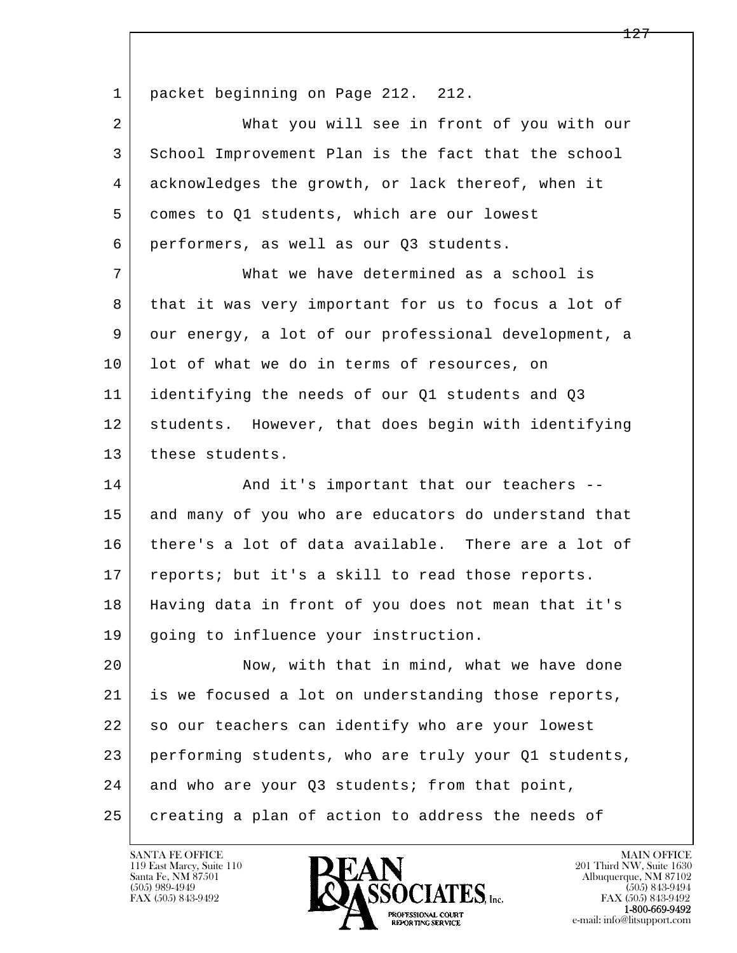1 | packet beginning on Page 212. 212. 2 What you will see in front of you with our 3 School Improvement Plan is the fact that the school 4 acknowledges the growth, or lack thereof, when it 5 comes to Q1 students, which are our lowest 6 performers, as well as our Q3 students. 7 What we have determined as a school is 8 that it was very important for us to focus a lot of 9 our energy, a lot of our professional development, a 10 | lot of what we do in terms of resources, on 11 identifying the needs of our Q1 students and Q3 12 students. However, that does begin with identifying 13 these students. 14 And it's important that our teachers --15 and many of you who are educators do understand that 16 there's a lot of data available. There are a lot of 17 reports; but it's a skill to read those reports. 18 Having data in front of you does not mean that it's 19 going to influence your instruction. 20 Now, with that in mind, what we have done 21 is we focused a lot on understanding those reports, 22 so our teachers can identify who are your lowest

23 performing students, who are truly your Q1 students,

l  $\overline{\phantom{a}}$ 24 and who are your Q3 students; from that point,

25 creating a plan of action to address the needs of

119 East Marcy, Suite 110<br>Santa Fe, NM 87501

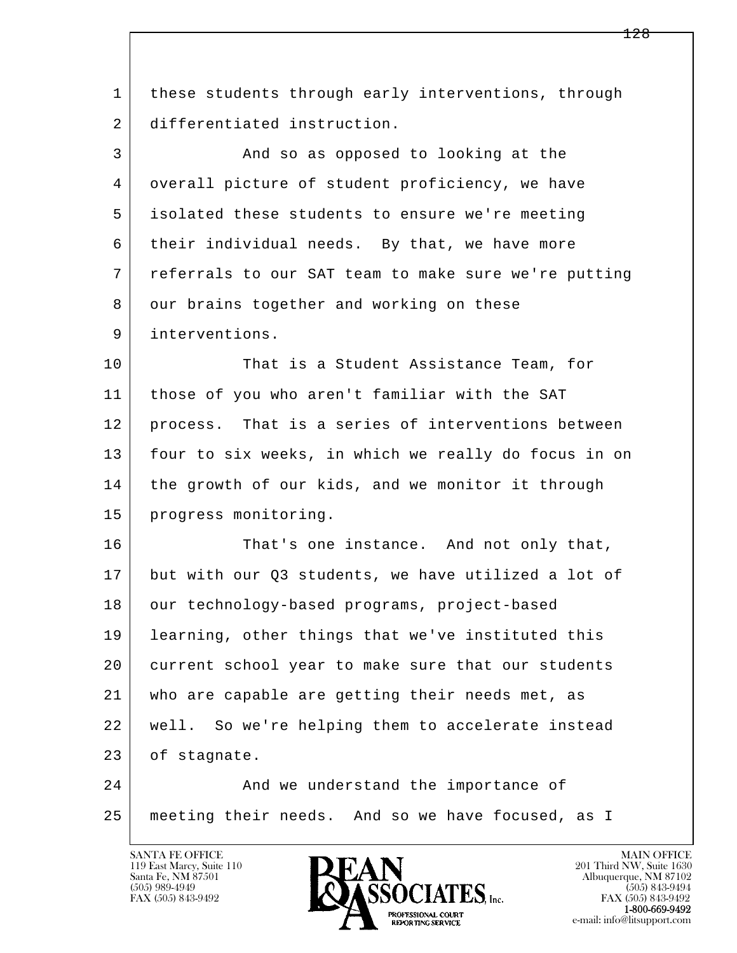| 1  | these students through early interventions, through  |
|----|------------------------------------------------------|
| 2  | differentiated instruction.                          |
| 3  | And so as opposed to looking at the                  |
| 4  | overall picture of student proficiency, we have      |
| 5  | isolated these students to ensure we're meeting      |
| 6  | their individual needs. By that, we have more        |
| 7  | referrals to our SAT team to make sure we're putting |
| 8  | our brains together and working on these             |
| 9  | interventions.                                       |
| 10 | That is a Student Assistance Team, for               |
| 11 | those of you who aren't familiar with the SAT        |
| 12 | process. That is a series of interventions between   |
| 13 | four to six weeks, in which we really do focus in on |
| 14 | the growth of our kids, and we monitor it through    |
| 15 | progress monitoring.                                 |
| 16 | That's one instance. And not only that,              |
| 17 | but with our Q3 students, we have utilized a lot of  |
| 18 | our technology-based programs, project-based         |
| 19 | learning, other things that we've instituted this    |
| 20 | current school year to make sure that our students   |
| 21 | who are capable are getting their needs met, as      |
| 22 | well. So we're helping them to accelerate instead    |
| 23 | of stagnate.                                         |
| 24 | And we understand the importance of                  |
| 25 | meeting their needs. And so we have focused, as I    |

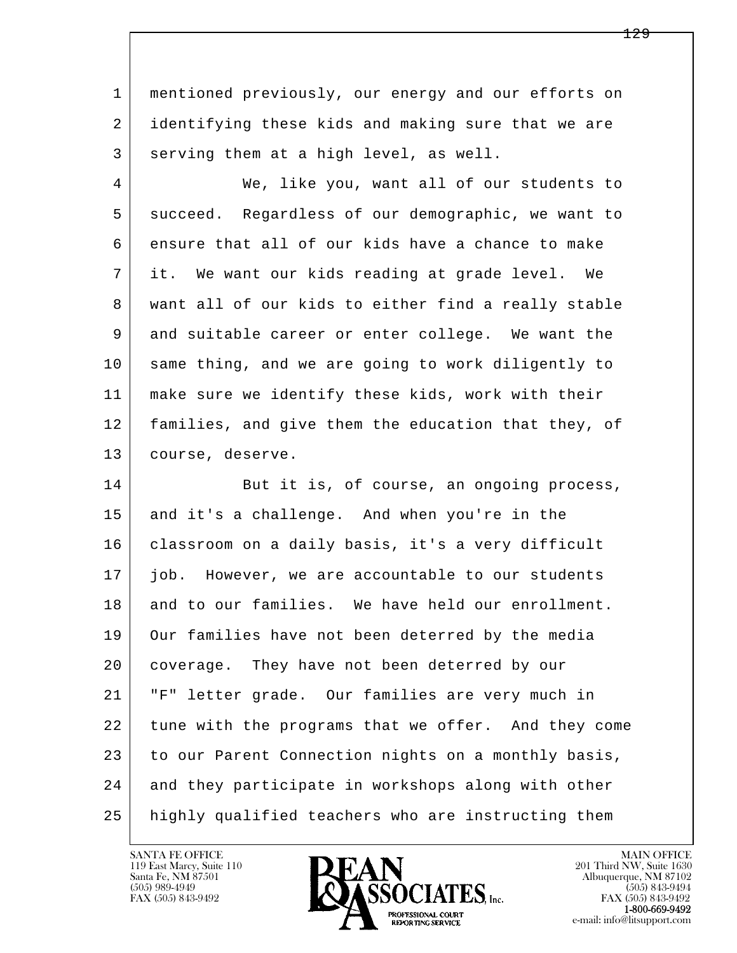1 mentioned previously, our energy and our efforts on 2 identifying these kids and making sure that we are 3 serving them at a high level, as well.

 4 We, like you, want all of our students to 5 succeed. Regardless of our demographic, we want to 6 ensure that all of our kids have a chance to make 7 it. We want our kids reading at grade level. We 8 want all of our kids to either find a really stable 9 and suitable career or enter college. We want the 10 same thing, and we are going to work diligently to 11 make sure we identify these kids, work with their 12 families, and give them the education that they, of 13 course, deserve.

l  $\overline{\phantom{a}}$ 14 But it is, of course, an ongoing process, 15 and it's a challenge. And when you're in the 16 classroom on a daily basis, it's a very difficult 17 job. However, we are accountable to our students 18 and to our families. We have held our enrollment. 19 Our families have not been deterred by the media 20 coverage. They have not been deterred by our 21 "F" letter grade. Our families are very much in 22 tune with the programs that we offer. And they come 23 to our Parent Connection nights on a monthly basis, 24 and they participate in workshops along with other 25 highly qualified teachers who are instructing them

119 East Marcy, Suite 110<br>Santa Fe, NM 87501

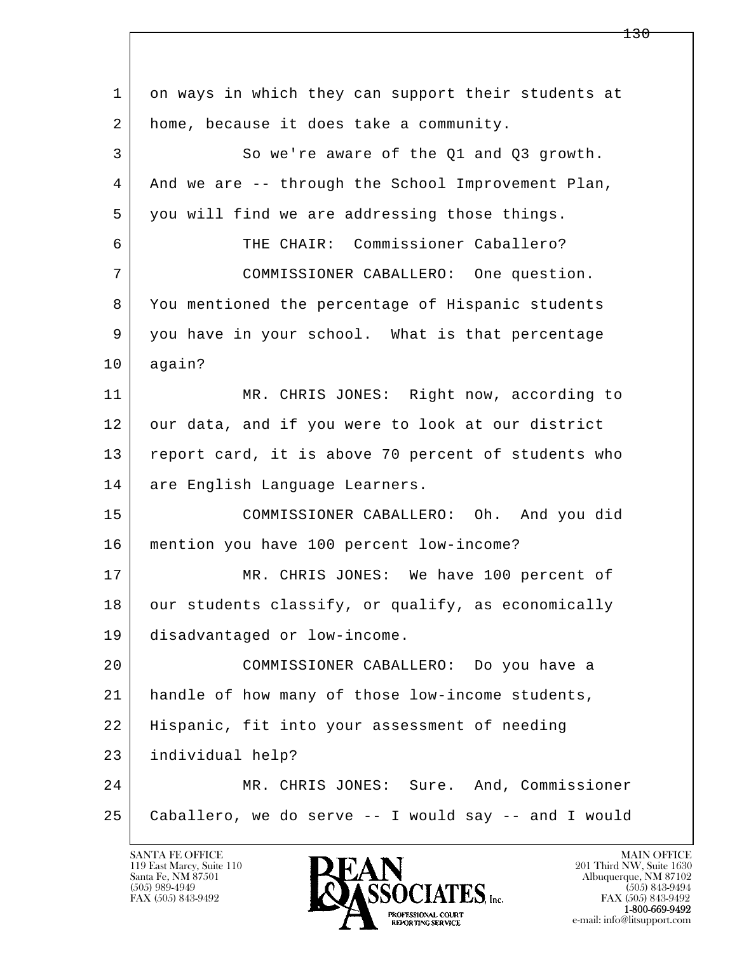| $\mathbf 1$ | on ways in which they can support their students at  |
|-------------|------------------------------------------------------|
| 2           | home, because it does take a community.              |
| 3           | So we're aware of the Q1 and Q3 growth.              |
| 4           | And we are -- through the School Improvement Plan,   |
| 5           | you will find we are addressing those things.        |
| 6           | THE CHAIR: Commissioner Caballero?                   |
| 7           | COMMISSIONER CABALLERO: One question.                |
| 8           | You mentioned the percentage of Hispanic students    |
| 9           | you have in your school. What is that percentage     |
| 10          | again?                                               |
| 11          | MR. CHRIS JONES: Right now, according to             |
| 12          | our data, and if you were to look at our district    |
| 13          | report card, it is above 70 percent of students who  |
| 14          | are English Language Learners.                       |
| 15          | COMMISSIONER CABALLERO: Oh. And you did              |
| 16          | mention you have 100 percent low-income?             |
| 17          | MR. CHRIS JONES: We have 100 percent of              |
| 18          | our students classify, or qualify, as economically   |
| 19          | disadvantaged or low-income.                         |
| 20          | COMMISSIONER CABALLERO: Do you have a                |
| 21          | handle of how many of those low-income students,     |
| 22          | Hispanic, fit into your assessment of needing        |
| 23          | individual help?                                     |
| 24          | MR. CHRIS JONES: Sure. And, Commissioner             |
| 25          | Caballero, we do serve -- I would say -- and I would |
|             |                                                      |

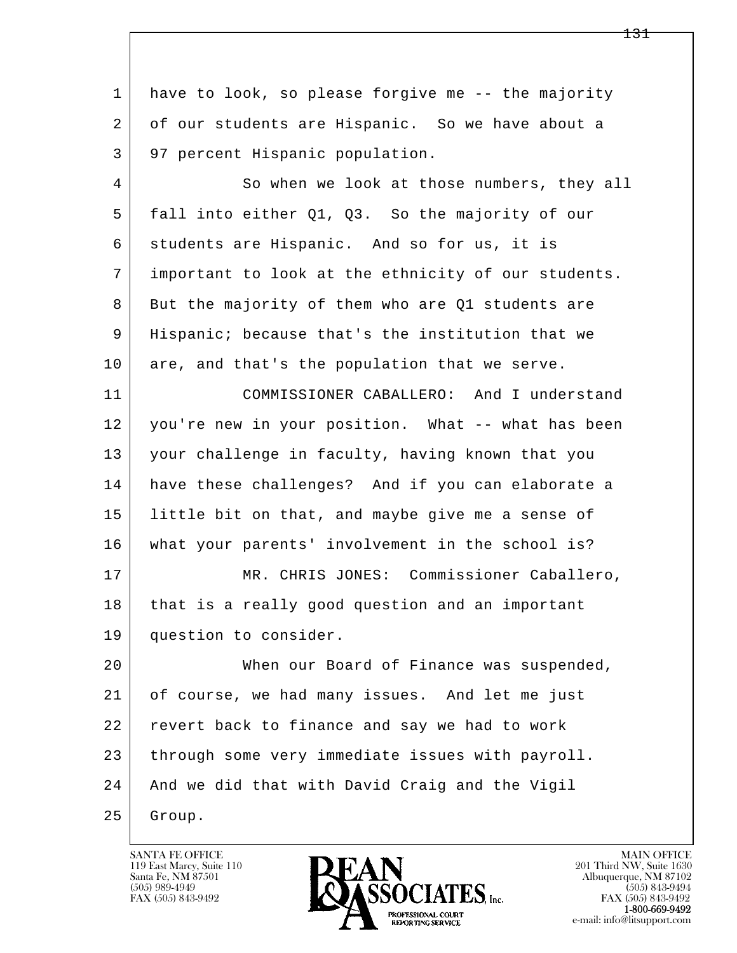l  $\overline{\phantom{a}}$ 1 have to look, so please forgive me -- the majority 2 of our students are Hispanic. So we have about a 3 97 percent Hispanic population. 4 So when we look at those numbers, they all 5 fall into either Q1, Q3. So the majority of our 6 students are Hispanic. And so for us, it is 7 important to look at the ethnicity of our students. 8 But the majority of them who are Q1 students are 9 Hispanic; because that's the institution that we 10 are, and that's the population that we serve. 11 COMMISSIONER CABALLERO: And I understand 12 you're new in your position. What -- what has been 13 your challenge in faculty, having known that you 14 have these challenges? And if you can elaborate a 15 | little bit on that, and maybe give me a sense of 16 what your parents' involvement in the school is? 17 | MR. CHRIS JONES: Commissioner Caballero, 18 that is a really good question and an important 19 question to consider. 20 When our Board of Finance was suspended, 21 of course, we had many issues. And let me just 22 revert back to finance and say we had to work 23 through some very immediate issues with payroll. 24 And we did that with David Craig and the Vigil 25 Group.

119 East Marcy, Suite 110<br>Santa Fe, NM 87501

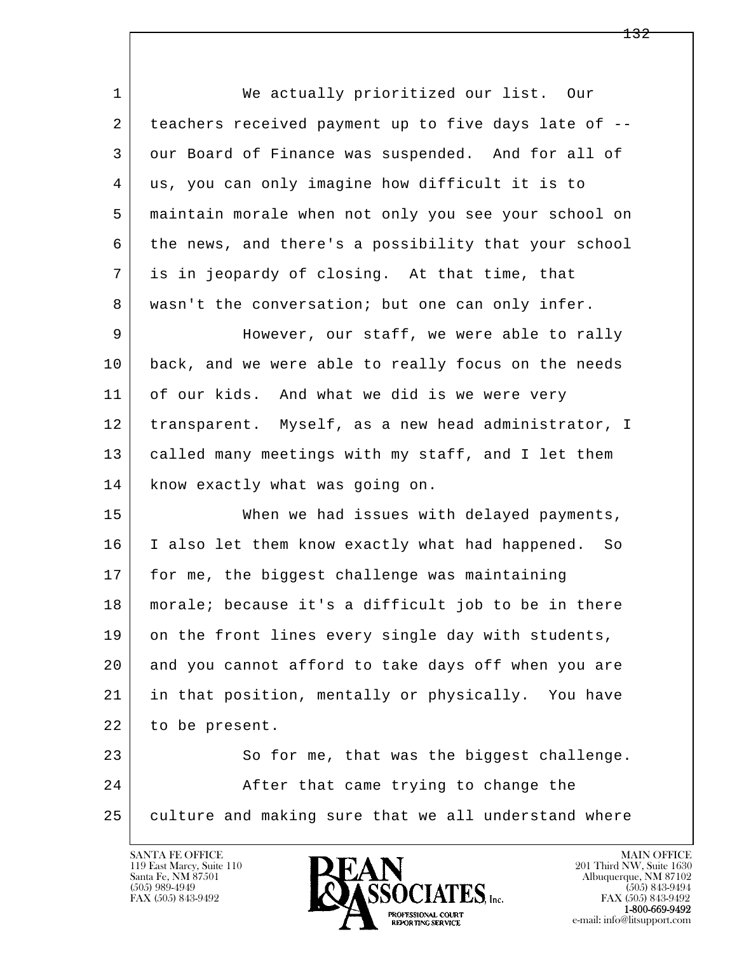l  $\overline{\phantom{a}}$  1 We actually prioritized our list. Our 2 teachers received payment up to five days late of -- 3 our Board of Finance was suspended. And for all of 4 us, you can only imagine how difficult it is to 5 maintain morale when not only you see your school on 6 the news, and there's a possibility that your school 7 is in jeopardy of closing. At that time, that 8 | wasn't the conversation; but one can only infer. 9 However, our staff, we were able to rally 10 back, and we were able to really focus on the needs 11 of our kids. And what we did is we were very 12 transparent. Myself, as a new head administrator, I 13 called many meetings with my staff, and I let them 14 know exactly what was going on. 15 When we had issues with delayed payments, 16 I also let them know exactly what had happened. So 17 | for me, the biggest challenge was maintaining 18 morale; because it's a difficult job to be in there 19 on the front lines every single day with students, 20 and you cannot afford to take days off when you are 21 in that position, mentally or physically. You have 22 to be present. 23 So for me, that was the biggest challenge. 24 After that came trying to change the 25 culture and making sure that we all understand where



FAX (505) 843-9492<br>1-800-669-9492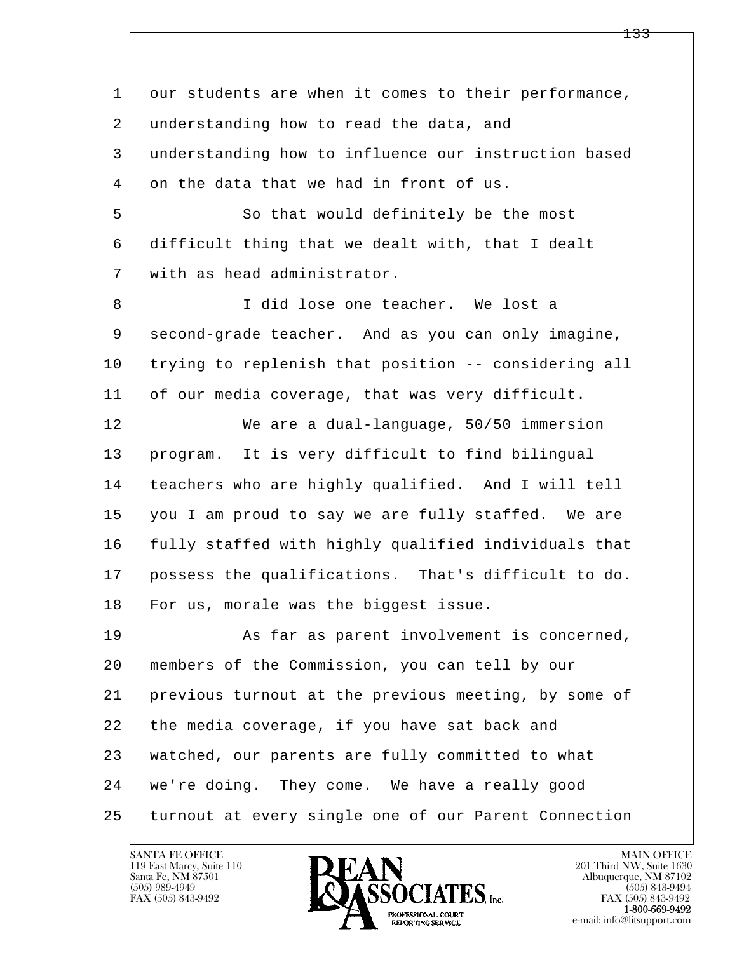l  $\overline{\phantom{a}}$ 1 our students are when it comes to their performance, 2 understanding how to read the data, and 3 understanding how to influence our instruction based 4 on the data that we had in front of us. 5 So that would definitely be the most 6 difficult thing that we dealt with, that I dealt 7 with as head administrator. 8 | I did lose one teacher. We lost a 9 second-grade teacher. And as you can only imagine, 10 trying to replenish that position -- considering all 11 of our media coverage, that was very difficult. 12 We are a dual-language, 50/50 immersion 13 program. It is very difficult to find bilingual 14 teachers who are highly qualified. And I will tell 15 you I am proud to say we are fully staffed. We are 16 fully staffed with highly qualified individuals that 17 possess the qualifications. That's difficult to do. 18 For us, morale was the biggest issue. 19 As far as parent involvement is concerned, 20 members of the Commission, you can tell by our 21 previous turnout at the previous meeting, by some of 22 the media coverage, if you have sat back and 23 watched, our parents are fully committed to what 24 we're doing. They come. We have a really good 25 turnout at every single one of our Parent Connection

119 East Marcy, Suite 110<br>Santa Fe, NM 87501

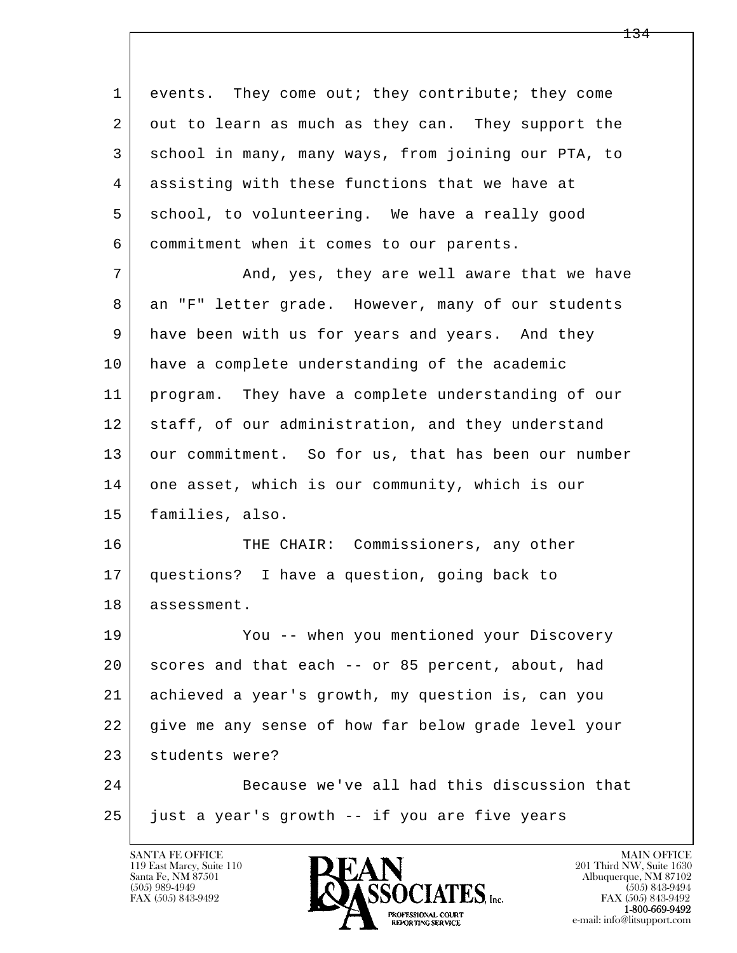l  $\overline{\phantom{a}}$ 1 events. They come out; they contribute; they come 2 out to learn as much as they can. They support the 3 school in many, many ways, from joining our PTA, to 4 assisting with these functions that we have at 5 school, to volunteering. We have a really good 6 commitment when it comes to our parents. 7 and, yes, they are well aware that we have 8 an "F" letter grade. However, many of our students 9 have been with us for years and years. And they 10 have a complete understanding of the academic 11 program. They have a complete understanding of our 12 staff, of our administration, and they understand 13 our commitment. So for us, that has been our number 14 one asset, which is our community, which is our 15 families, also. 16 THE CHAIR: Commissioners, any other 17 questions? I have a question, going back to 18 assessment. 19 You -- when you mentioned your Discovery 20 scores and that each -- or 85 percent, about, had 21 achieved a year's growth, my question is, can you 22 give me any sense of how far below grade level your 23 students were? 24 Because we've all had this discussion that  $25$  just a year's growth  $-$  if you are five years

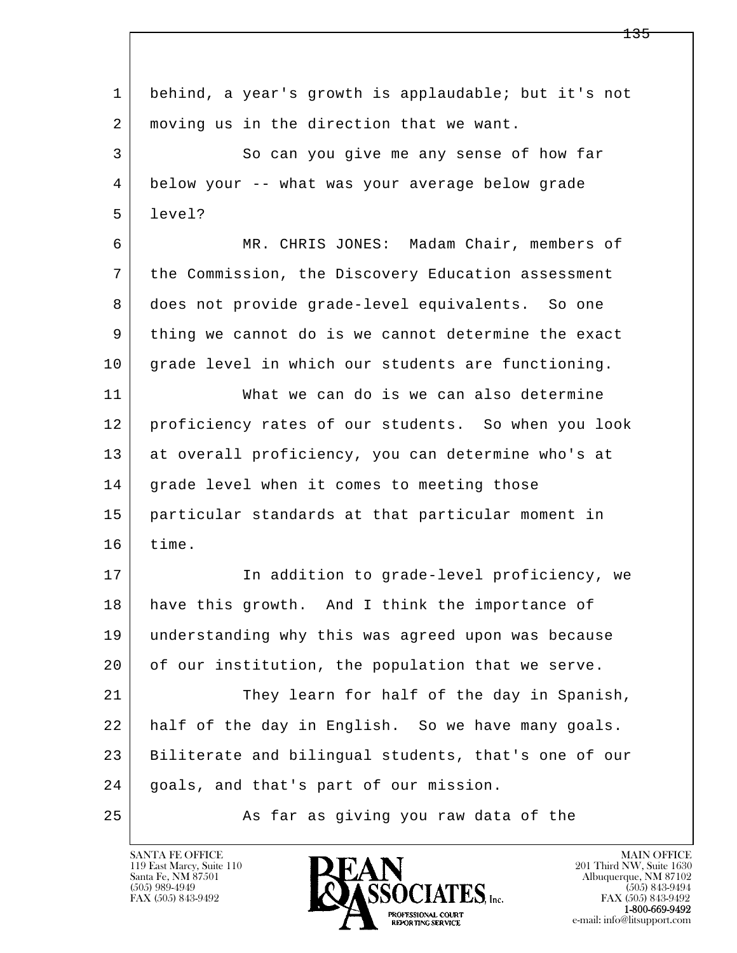| $\mathbf 1$ | behind, a year's growth is applaudable; but it's not |
|-------------|------------------------------------------------------|
| 2           | moving us in the direction that we want.             |
| 3           | So can you give me any sense of how far              |
| 4           | below your -- what was your average below grade      |
| 5           | level?                                               |
| 6           | MR. CHRIS JONES: Madam Chair, members of             |
| 7           | the Commission, the Discovery Education assessment   |
| 8           | does not provide grade-level equivalents. So one     |
| 9           | thing we cannot do is we cannot determine the exact  |
| 10          | grade level in which our students are functioning.   |
| 11          | What we can do is we can also determine              |
| 12          | proficiency rates of our students. So when you look  |
| 13          | at overall proficiency, you can determine who's at   |
| 14          | grade level when it comes to meeting those           |
| 15          | particular standards at that particular moment in    |
| 16          | time.                                                |
| 17          | In addition to grade-level proficiency, we           |
| 18          | have this growth. And I think the importance of      |
| 19          | understanding why this was agreed upon was because   |
| 20          | of our institution, the population that we serve.    |
| 21          | They learn for half of the day in Spanish,           |
| 22          | half of the day in English. So we have many goals.   |
| 23          | Biliterate and bilingual students, that's one of our |
| 24          | goals, and that's part of our mission.               |
| 25          | As far as giving you raw data of the                 |

 $\overline{\phantom{a}}$ 

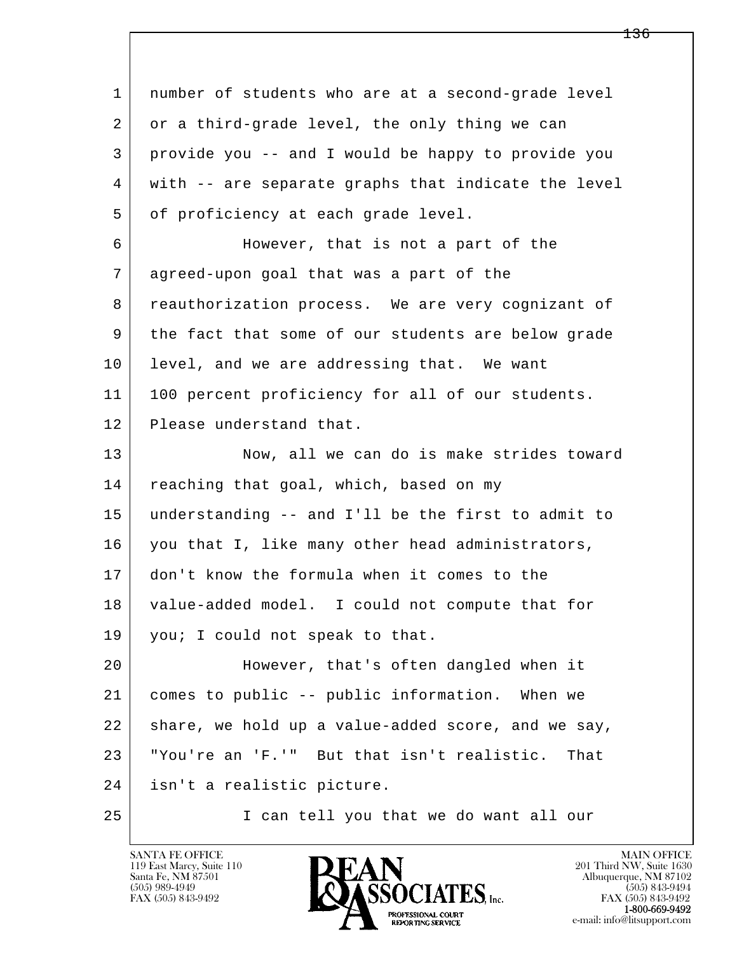| $\mathbf{1}$ | number of students who are at a second-grade level  |
|--------------|-----------------------------------------------------|
| 2            | or a third-grade level, the only thing we can       |
| 3            | provide you -- and I would be happy to provide you  |
| 4            | with -- are separate graphs that indicate the level |
| 5            | of proficiency at each grade level.                 |
| 6            | However, that is not a part of the                  |
| 7            | agreed-upon goal that was a part of the             |
| 8            | reauthorization process. We are very cognizant of   |
| 9            | the fact that some of our students are below grade  |
| 10           | level, and we are addressing that. We want          |
| 11           | 100 percent proficiency for all of our students.    |
| 12           | Please understand that.                             |
| 13           | Now, all we can do is make strides toward           |
| 14           | reaching that goal, which, based on my              |
| 15           | understanding -- and I'll be the first to admit to  |
| 16           | you that I, like many other head administrators,    |
| 17           | don't know the formula when it comes to the         |
| 18           | value-added model. I could not compute that for     |
| 19           | you; I could not speak to that.                     |
| 20           | However, that's often dangled when it               |
| 21           | comes to public -- public information. When we      |
| 22           | share, we hold up a value-added score, and we say,  |
| 23           | "You're an 'F.'" But that isn't realistic.<br>That  |
| 24           | isn't a realistic picture.                          |
| 25           | I can tell you that we do want all our              |

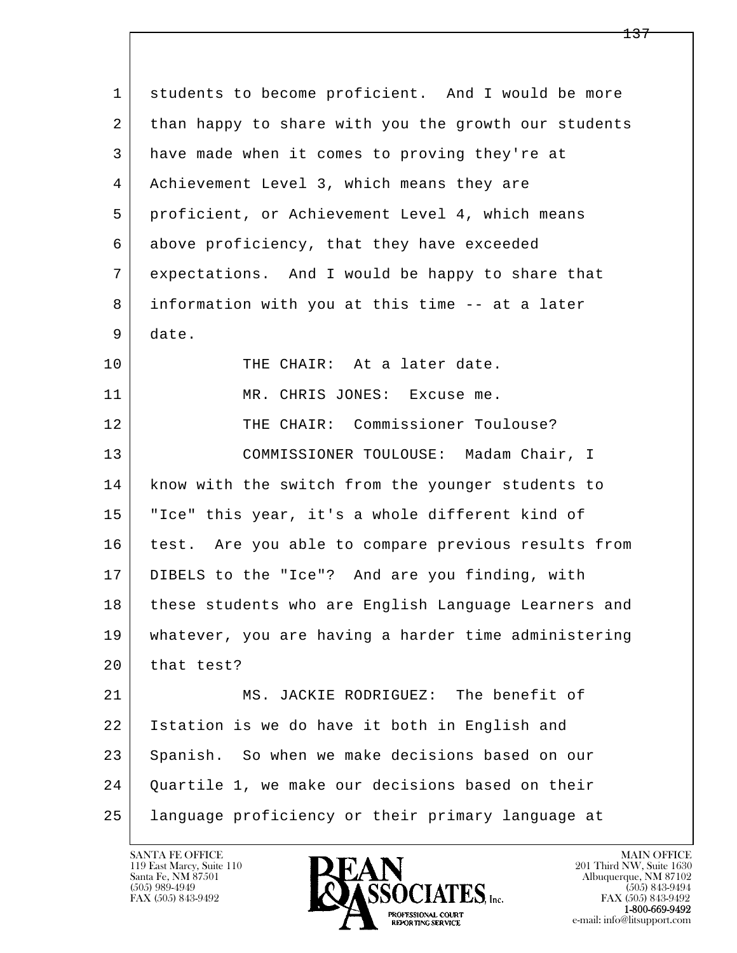l  $\overline{\phantom{a}}$  1 students to become proficient. And I would be more 2 than happy to share with you the growth our students 3 have made when it comes to proving they're at 4 Achievement Level 3, which means they are 5 proficient, or Achievement Level 4, which means 6 above proficiency, that they have exceeded 7 expectations. And I would be happy to share that 8 information with you at this time -- at a later 9 date. 10 THE CHAIR: At a later date. 11 MR. CHRIS JONES: Excuse me. 12 THE CHAIR: Commissioner Toulouse? 13 | COMMISSIONER TOULOUSE: Madam Chair, I 14 know with the switch from the younger students to 15 "Ice" this year, it's a whole different kind of 16 | test. Are you able to compare previous results from 17 DIBELS to the "Ice"? And are you finding, with 18 these students who are English Language Learners and 19 whatever, you are having a harder time administering 20 that test? 21 MS. JACKIE RODRIGUEZ: The benefit of 22 Istation is we do have it both in English and 23 Spanish. So when we make decisions based on our 24 Quartile 1, we make our decisions based on their 25 language proficiency or their primary language at

119 East Marcy, Suite 110<br>Santa Fe, NM 87501

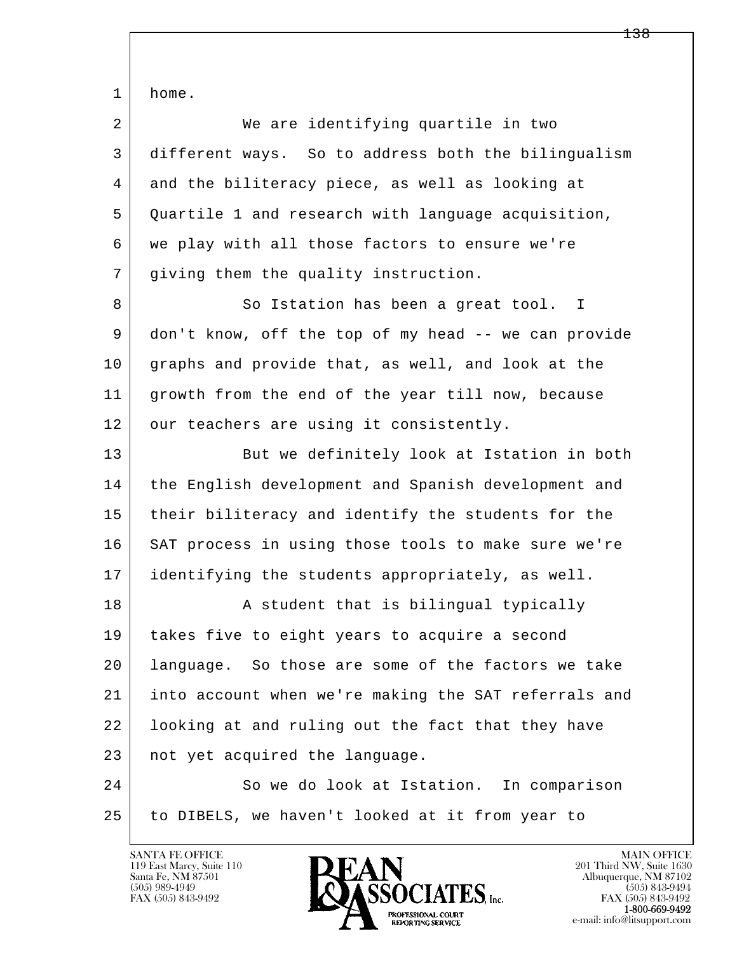l  $\overline{\phantom{a}}$  1 home. 2 | We are identifying quartile in two 3 different ways. So to address both the bilingualism 4 and the biliteracy piece, as well as looking at 5 Quartile 1 and research with language acquisition, 6 we play with all those factors to ensure we're 7 giving them the quality instruction. 8 So Istation has been a great tool. I 9 don't know, off the top of my head -- we can provide 10 graphs and provide that, as well, and look at the 11 growth from the end of the year till now, because 12 our teachers are using it consistently. 13 But we definitely look at Istation in both 14 the English development and Spanish development and 15 their biliteracy and identify the students for the 16 SAT process in using those tools to make sure we're 17 identifying the students appropriately, as well. 18 | A student that is bilingual typically 19 takes five to eight years to acquire a second 20 language. So those are some of the factors we take 21 into account when we're making the SAT referrals and 22 looking at and ruling out the fact that they have 23 | not yet acquired the language. 24 So we do look at Istation. In comparison 25 to DIBELS, we haven't looked at it from year to

119 East Marcy, Suite 110<br>Santa Fe, NM 87501

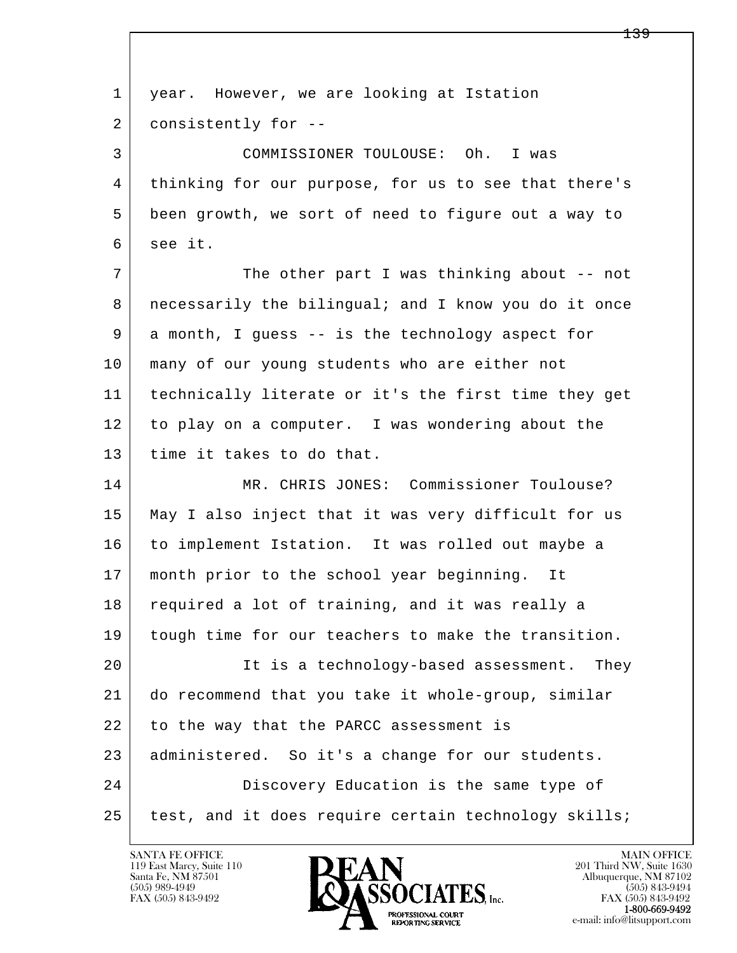| $\mathbf 1$ | year. However, we are looking at Istation            |
|-------------|------------------------------------------------------|
| 2           | consistently for --                                  |
| 3           | COMMISSIONER TOULOUSE: Oh. I was                     |
| 4           | thinking for our purpose, for us to see that there's |
| 5           | been growth, we sort of need to figure out a way to  |
| 6           | see it.                                              |
| 7           | The other part I was thinking about -- not           |
| 8           | necessarily the bilingual; and I know you do it once |
| 9           | a month, I guess -- is the technology aspect for     |
| 10          | many of our young students who are either not        |
| 11          | technically literate or it's the first time they get |
| 12          | to play on a computer. I was wondering about the     |
| 13          | time it takes to do that.                            |
| 14          | MR. CHRIS JONES: Commissioner Toulouse?              |
| 15          | May I also inject that it was very difficult for us  |
| 16          | to implement Istation. It was rolled out maybe a     |
| 17          | month prior to the school year beginning.<br>It      |
| 18          | required a lot of training, and it was really a      |
| 19          | tough time for our teachers to make the transition.  |
| 20          | It is a technology-based assessment. They            |
| 21          | do recommend that you take it whole-group, similar   |
| 22          | to the way that the PARCC assessment is              |
| 23          | administered. So it's a change for our students.     |
| 24          | Discovery Education is the same type of              |
| 25          | test, and it does require certain technology skills; |

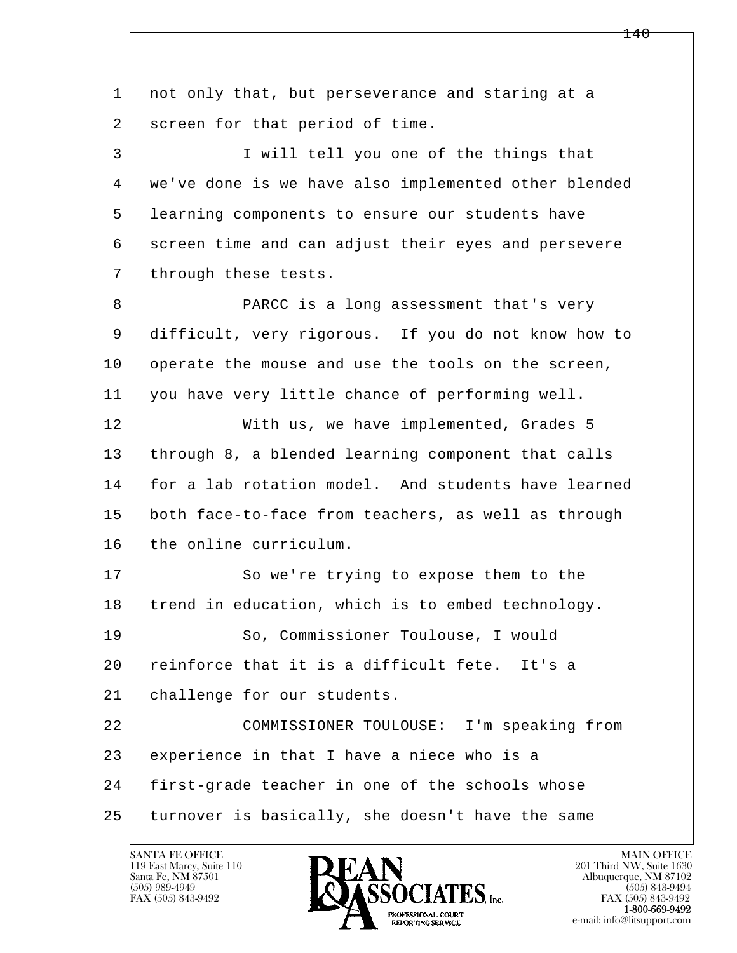l  $\overline{\phantom{a}}$ 1 not only that, but perseverance and staring at a 2 screen for that period of time. 3 I will tell you one of the things that 4 we've done is we have also implemented other blended 5 learning components to ensure our students have 6 screen time and can adjust their eyes and persevere 7 | through these tests. 8 PARCC is a long assessment that's very 9 difficult, very rigorous. If you do not know how to 10 operate the mouse and use the tools on the screen, 11 you have very little chance of performing well. 12 With us, we have implemented, Grades 5 13 through 8, a blended learning component that calls 14 for a lab rotation model. And students have learned 15 both face-to-face from teachers, as well as through 16 the online curriculum. 17 So we're trying to expose them to the 18 trend in education, which is to embed technology. 19 So, Commissioner Toulouse, I would 20 reinforce that it is a difficult fete. It's a 21 challenge for our students. 22 COMMISSIONER TOULOUSE: I'm speaking from 23 experience in that I have a niece who is a 24 first-grade teacher in one of the schools whose 25 turnover is basically, she doesn't have the same

119 East Marcy, Suite 110<br>Santa Fe, NM 87501



FAX (505) 843-9492<br>**1-800-669-9492** 

<u> 140</u>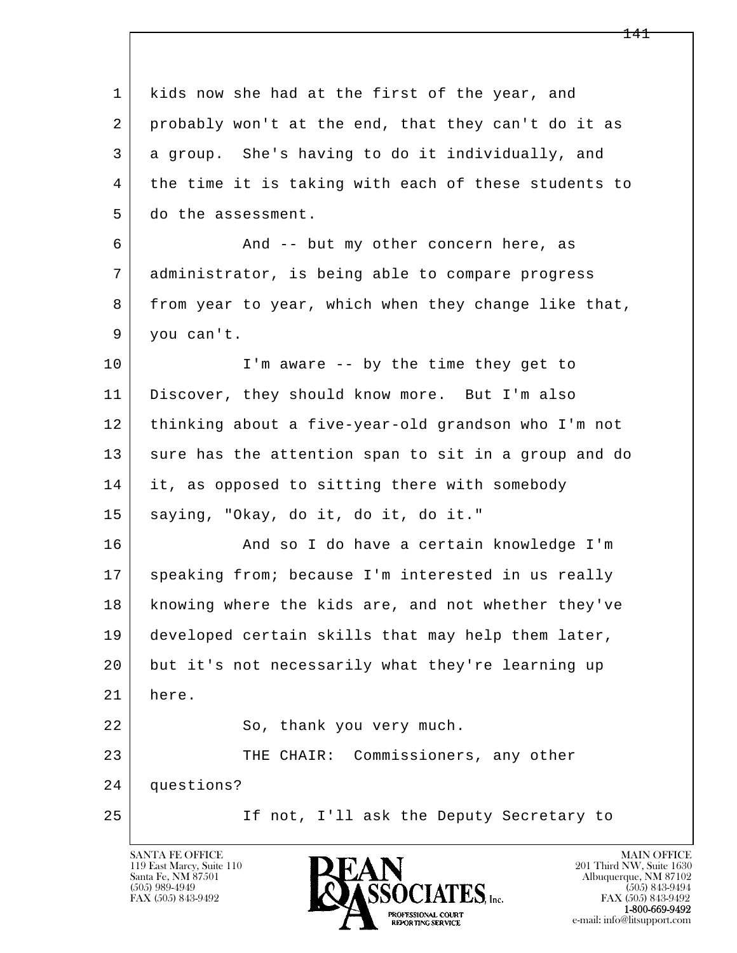l  $\overline{\phantom{a}}$ 1 kids now she had at the first of the year, and 2 probably won't at the end, that they can't do it as 3 a group. She's having to do it individually, and 4 the time it is taking with each of these students to 5 do the assessment. 6 And -- but my other concern here, as 7 administrator, is being able to compare progress 8 from year to year, which when they change like that, 9 you can't. 10 I'm aware -- by the time they get to 11 Discover, they should know more. But I'm also 12 thinking about a five-year-old grandson who I'm not 13 sure has the attention span to sit in a group and do 14 it, as opposed to sitting there with somebody 15 saying, "Okay, do it, do it, do it." 16 And so I do have a certain knowledge I'm 17 | speaking from; because I'm interested in us really 18 knowing where the kids are, and not whether they've 19 developed certain skills that may help them later, 20 but it's not necessarily what they're learning up 21 here. 22 So, thank you very much. 23 THE CHAIR: Commissioners, any other 24 questions? 25 If not, I'll ask the Deputy Secretary to

119 East Marcy, Suite 110<br>Santa Fe, NM 87501

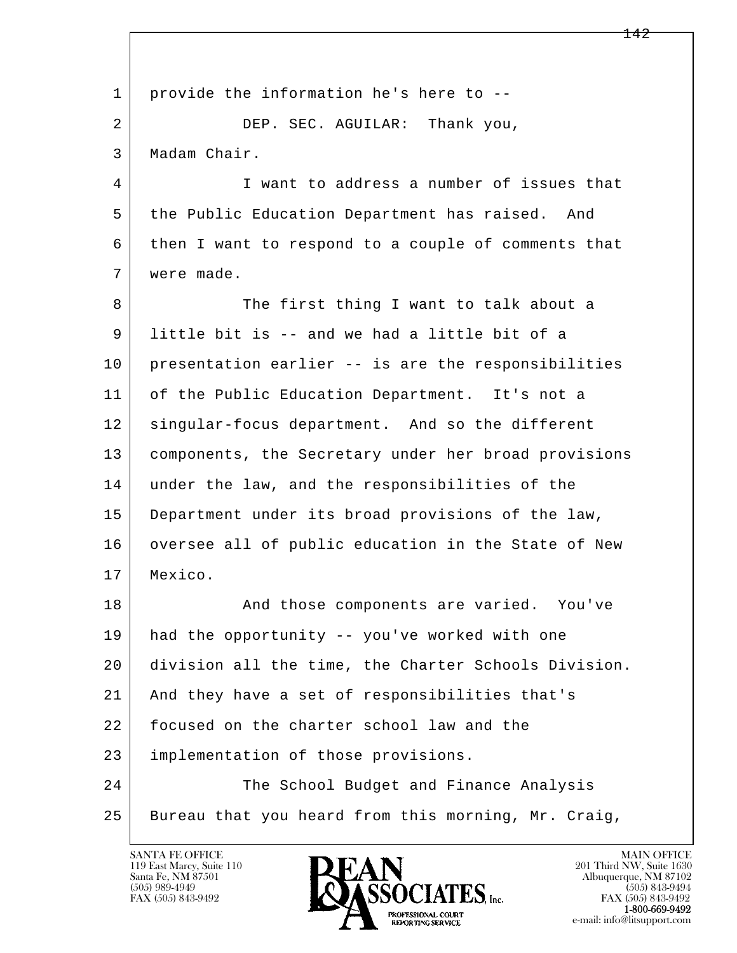l  $\overline{\phantom{a}}$  1 provide the information he's here to -- 2 DEP. SEC. AGUILAR: Thank you, 3 Madam Chair. 4 I want to address a number of issues that 5 the Public Education Department has raised. And 6 then I want to respond to a couple of comments that 7 were made. 8 The first thing I want to talk about a 9 little bit is -- and we had a little bit of a 10 presentation earlier -- is are the responsibilities 11 of the Public Education Department. It's not a 12 | singular-focus department. And so the different 13 components, the Secretary under her broad provisions 14 under the law, and the responsibilities of the 15 Department under its broad provisions of the law, 16 oversee all of public education in the State of New 17 Mexico. 18 | The Sand those components are varied. You've 19 had the opportunity -- you've worked with one 20 division all the time, the Charter Schools Division. 21 And they have a set of responsibilities that's 22 focused on the charter school law and the 23 implementation of those provisions. 24 The School Budget and Finance Analysis 25 | Bureau that you heard from this morning, Mr. Craig,

119 East Marcy, Suite 110<br>Santa Fe, NM 87501

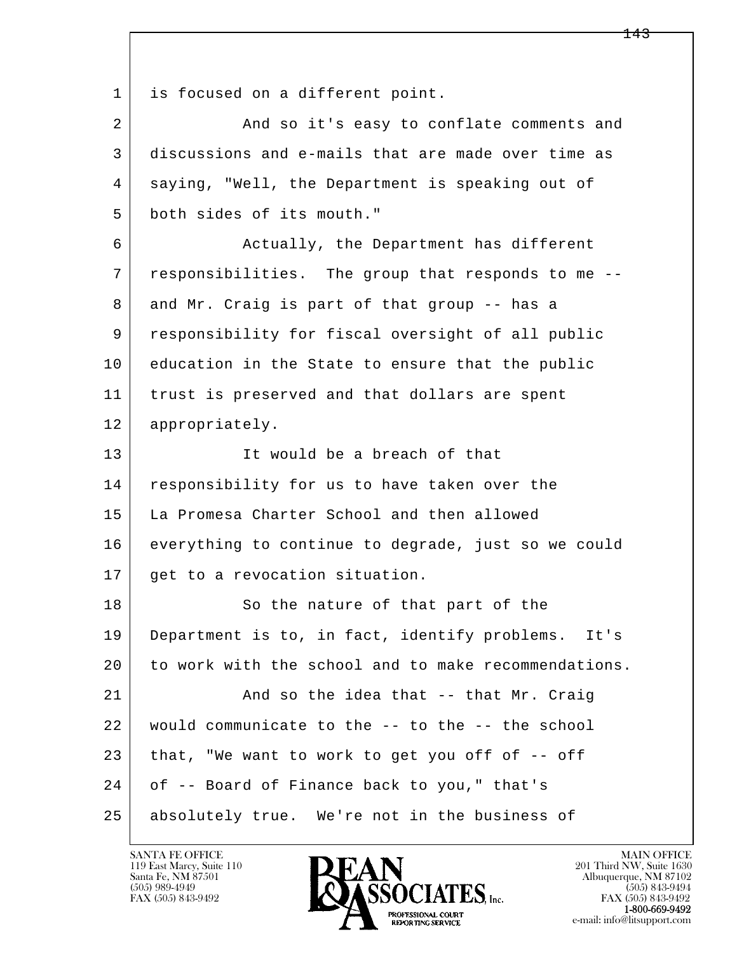1 is focused on a different point.

2 And so it's easy to conflate comments and 3 discussions and e-mails that are made over time as 4 saying, "Well, the Department is speaking out of 5 both sides of its mouth."

6 Actually, the Department has different 7 responsibilities. The group that responds to me -- 8 and Mr. Craig is part of that group -- has a 9 responsibility for fiscal oversight of all public 10 education in the State to ensure that the public 11 | trust is preserved and that dollars are spent 12 appropriately.

 13 It would be a breach of that 14 responsibility for us to have taken over the 15 La Promesa Charter School and then allowed 16 everything to continue to degrade, just so we could 17 | get to a revocation situation.

l  $\overline{\phantom{a}}$ 18 So the nature of that part of the 19 Department is to, in fact, identify problems. It's 20 to work with the school and to make recommendations. 21 And so the idea that -- that Mr. Craig 22 would communicate to the -- to the -- the school  $23$  that, "We want to work to get you off of  $-$  off 24 of -- Board of Finance back to you," that's 25 absolutely true. We're not in the business of

119 East Marcy, Suite 110<br>Santa Fe, NM 87501

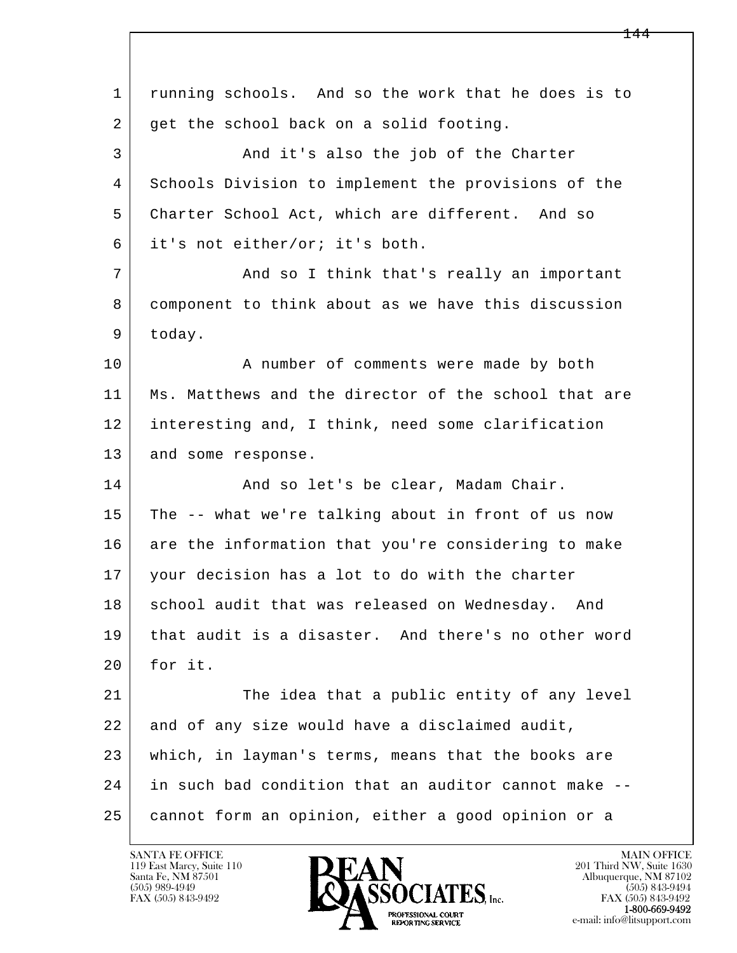l  $\overline{\phantom{a}}$  1 running schools. And so the work that he does is to 2 get the school back on a solid footing. 3 And it's also the job of the Charter 4 Schools Division to implement the provisions of the 5 Charter School Act, which are different. And so 6 it's not either/or; it's both. 7 | The Mand so I think that's really an important 8 component to think about as we have this discussion 9 today. 10 | A number of comments were made by both 11 Ms. Matthews and the director of the school that are 12 interesting and, I think, need some clarification 13 and some response. 14 And so let's be clear, Madam Chair. 15 The -- what we're talking about in front of us now 16 are the information that you're considering to make 17 your decision has a lot to do with the charter 18 school audit that was released on Wednesday. And 19 that audit is a disaster. And there's no other word  $20$  for it. 21 | The idea that a public entity of any level 22 and of any size would have a disclaimed audit, 23 which, in layman's terms, means that the books are 24 in such bad condition that an auditor cannot make -- 25 cannot form an opinion, either a good opinion or a

119 East Marcy, Suite 110<br>Santa Fe, NM 87501

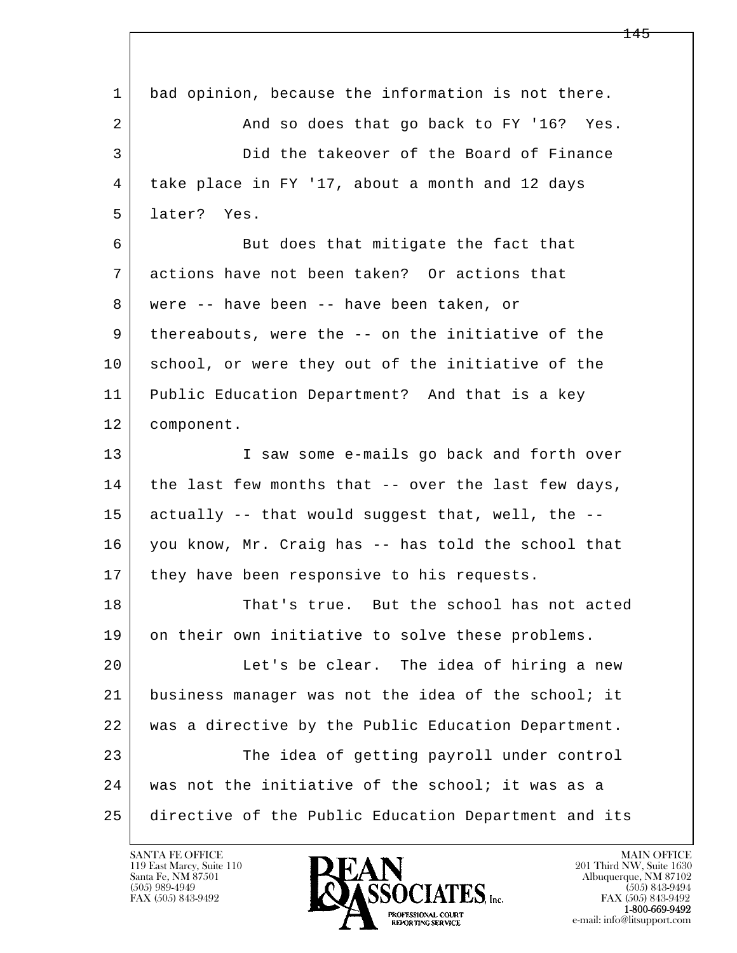| 1              | bad opinion, because the information is not there.  |
|----------------|-----------------------------------------------------|
| $\overline{a}$ | And so does that go back to FY '16? Yes.            |
| 3              | Did the takeover of the Board of Finance            |
| 4              | take place in FY '17, about a month and 12 days     |
| 5              | later? Yes.                                         |
| 6              | But does that mitigate the fact that                |
| 7              | actions have not been taken? Or actions that        |
| 8              | were -- have been -- have been taken, or            |
| 9              | thereabouts, were the -- on the initiative of the   |
| 10             | school, or were they out of the initiative of the   |
| 11             | Public Education Department? And that is a key      |
| 12             | component.                                          |
| 13             | I saw some e-mails go back and forth over           |
| 14             | the last few months that -- over the last few days, |
| 15             | actually -- that would suggest that, well, the --   |
| 16             | you know, Mr. Craig has -- has told the school that |
| 17             | they have been responsive to his requests.          |
| 18             | That's true. But the school has not acted           |
| 19             | on their own initiative to solve these problems.    |
| 20             | Let's be clear. The idea of hiring a new            |
| 21             | business manager was not the idea of the school; it |
| 22             | was a directive by the Public Education Department. |
| 23             | The idea of getting payroll under control           |
|                |                                                     |
| 24             | was not the initiative of the school; it was as a   |

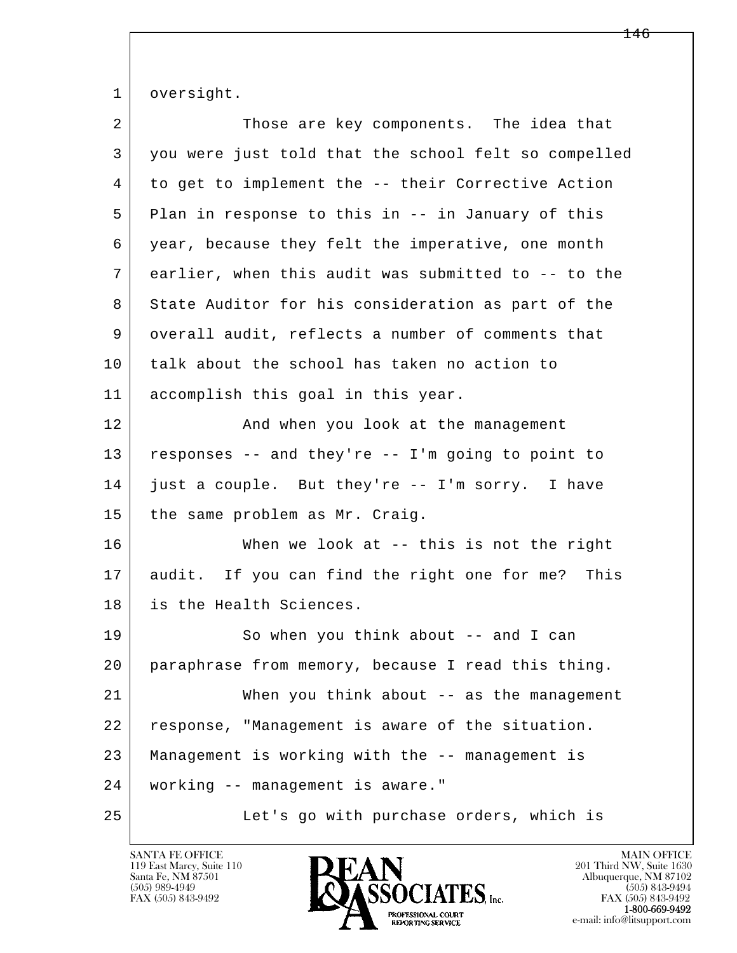1 oversight.

| $\overline{a}$ | Those are key components. The idea that              |
|----------------|------------------------------------------------------|
| 3              | you were just told that the school felt so compelled |
| 4              | to get to implement the -- their Corrective Action   |
| 5              | Plan in response to this in -- in January of this    |
| 6              | year, because they felt the imperative, one month    |
| 7              | earlier, when this audit was submitted to -- to the  |
| 8              | State Auditor for his consideration as part of the   |
| 9              | overall audit, reflects a number of comments that    |
| 10             | talk about the school has taken no action to         |
| 11             | accomplish this goal in this year.                   |
| 12             | And when you look at the management                  |
| 13             | responses -- and they're -- I'm going to point to    |
| 14             | just a couple. But they're -- I'm sorry. I have      |
| 15             | the same problem as Mr. Craig.                       |
| 16             | When we look at $--$ this is not the right           |
| 17             | audit. If you can find the right one for me? This    |
| 18             | is the Health Sciences.                              |
| 19             | So when you think about -- and I can                 |
| 20             | paraphrase from memory, because I read this thing.   |
| 21             | When you think about $--$ as the management          |
| 22             | response, "Management is aware of the situation.     |
| 23             | Management is working with the -- management is      |
| 24             | working -- management is aware."                     |
| 25             | Let's go with purchase orders, which is              |

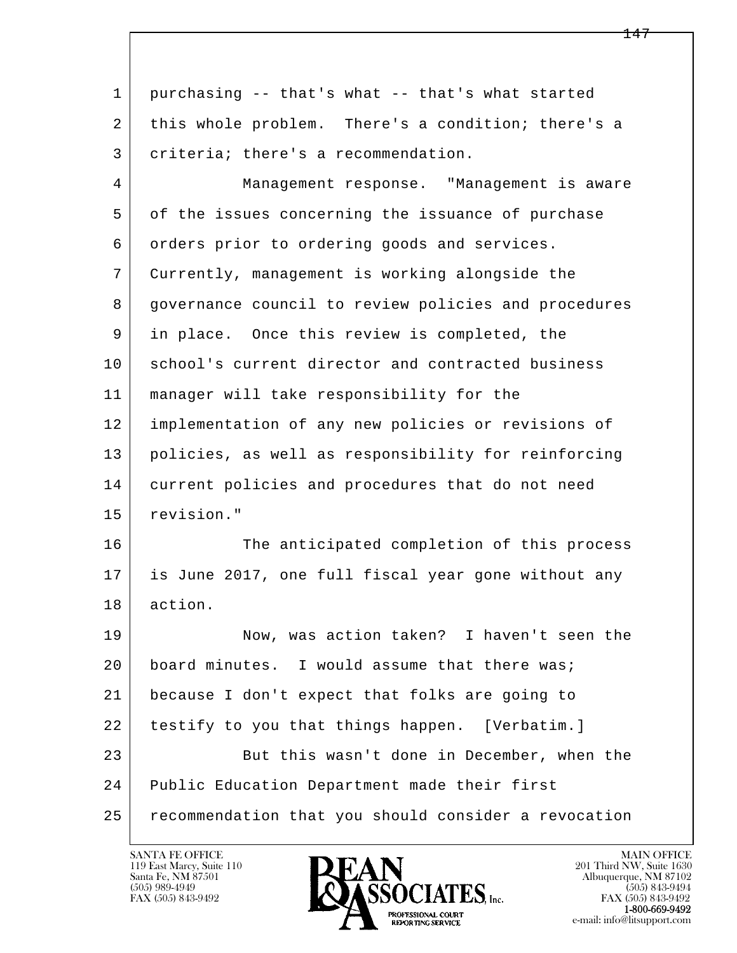| $\mathbf 1$ | purchasing -- that's what -- that's what started     |
|-------------|------------------------------------------------------|
| 2           | this whole problem. There's a condition; there's a   |
| 3           | criteria; there's a recommendation.                  |
| 4           | Management response. "Management is aware            |
| 5           | of the issues concerning the issuance of purchase    |
| 6           | orders prior to ordering goods and services.         |
| 7           | Currently, management is working alongside the       |
| 8           | governance council to review policies and procedures |
| 9           | in place. Once this review is completed, the         |
| 10          | school's current director and contracted business    |
| 11          | manager will take responsibility for the             |
| 12          | implementation of any new policies or revisions of   |
| 13          | policies, as well as responsibility for reinforcing  |
| 14          | current policies and procedures that do not need     |
| 15          | revision."                                           |
| 16          | The anticipated completion of this process           |
| 17          | is June 2017, one full fiscal year gone without any  |
| 18          | action.                                              |
| 19          | Now, was action taken? I haven't seen the            |
| 20          | board minutes. I would assume that there was;        |
| 21          | because I don't expect that folks are going to       |
| 22          | testify to you that things happen. [Verbatim.]       |
| 23          | But this wasn't done in December, when the           |
| 24          | Public Education Department made their first         |
| 25          | recommendation that you should consider a revocation |

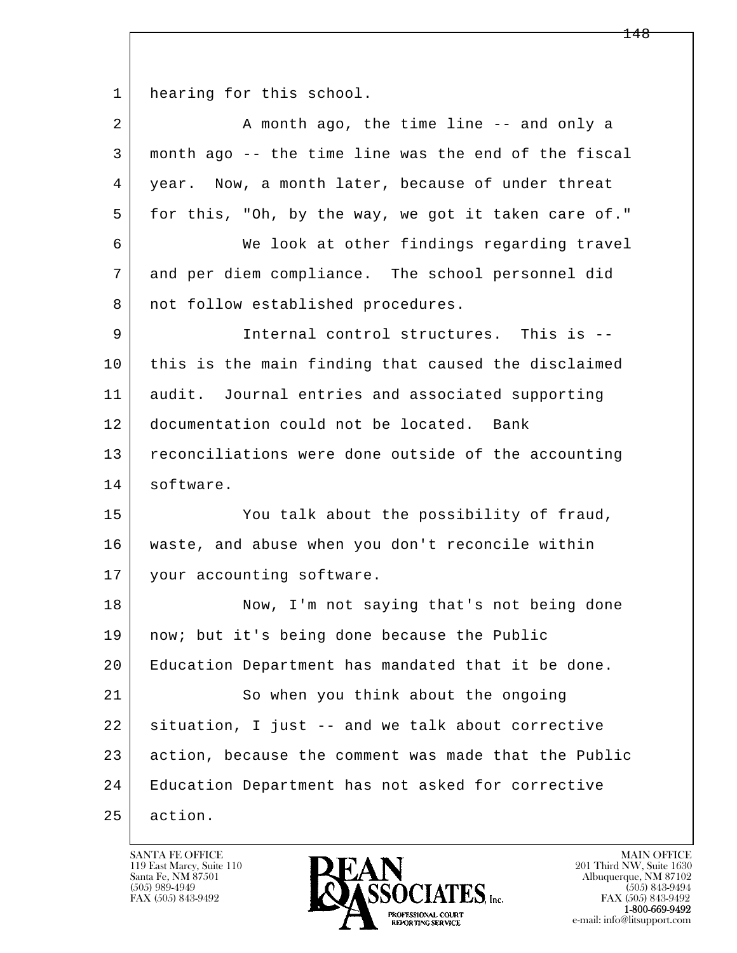1 hearing for this school.

| 2  | A month ago, the time line -- and only a             |
|----|------------------------------------------------------|
| 3  | month ago -- the time line was the end of the fiscal |
| 4  | year. Now, a month later, because of under threat    |
| 5  | for this, "Oh, by the way, we got it taken care of." |
| 6  | We look at other findings regarding travel           |
| 7  | and per diem compliance. The school personnel did    |
| 8  | not follow established procedures.                   |
| 9  | Internal control structures. This is --              |
| 10 | this is the main finding that caused the disclaimed  |
| 11 | audit. Journal entries and associated supporting     |
| 12 | documentation could not be located. Bank             |
| 13 | reconciliations were done outside of the accounting  |
| 14 | software.                                            |
| 15 | You talk about the possibility of fraud,             |
| 16 | waste, and abuse when you don't reconcile within     |
| 17 | your accounting software.                            |
| 18 | Now, I'm not saying that's not being done            |
| 19 | now; but it's being done because the Public          |
| 20 | Education Department has mandated that it be done.   |
| 21 | So when you think about the ongoing                  |
| 22 | situation, I just -- and we talk about corrective    |
| 23 | action, because the comment was made that the Public |
| 24 | Education Department has not asked for corrective    |
| 25 | action.                                              |

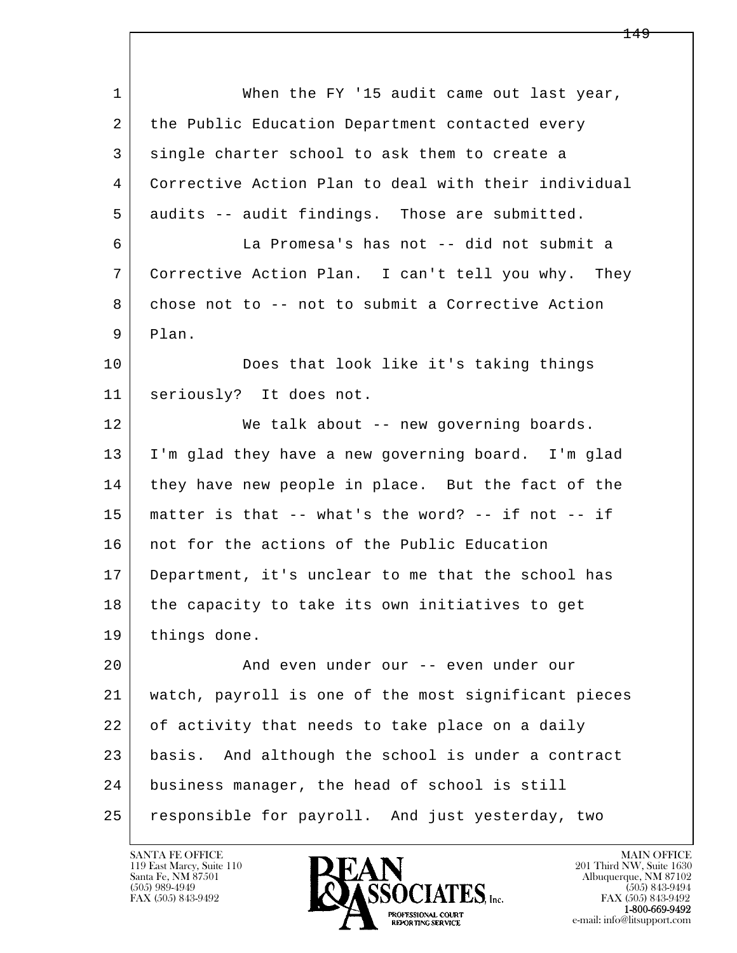| $\mathbf{1}$ | When the FY '15 audit came out last year,            |
|--------------|------------------------------------------------------|
| 2            | the Public Education Department contacted every      |
| 3            | single charter school to ask them to create a        |
| 4            | Corrective Action Plan to deal with their individual |
| 5            | audits -- audit findings. Those are submitted.       |
| 6            | La Promesa's has not -- did not submit a             |
| 7            | Corrective Action Plan. I can't tell you why. They   |
| 8            | chose not to -- not to submit a Corrective Action    |
| 9            | Plan.                                                |
| 10           | Does that look like it's taking things               |
| 11           | seriously? It does not.                              |
| 12           | We talk about -- new governing boards.               |
| 13           | I'm glad they have a new governing board. I'm glad   |
| 14           | they have new people in place. But the fact of the   |
| 15           | matter is that -- what's the word? -- if not -- if   |
| 16           | not for the actions of the Public Education          |
| 17           | Department, it's unclear to me that the school has   |
| 18           | the capacity to take its own initiatives to get      |
| 19           | things done.                                         |
| 20           | And even under our -- even under our                 |
| 21           | watch, payroll is one of the most significant pieces |
| 22           | of activity that needs to take place on a daily      |
| 23           | basis. And although the school is under a contract   |
| 24           | business manager, the head of school is still        |
| 25           | responsible for payroll. And just yesterday, two     |

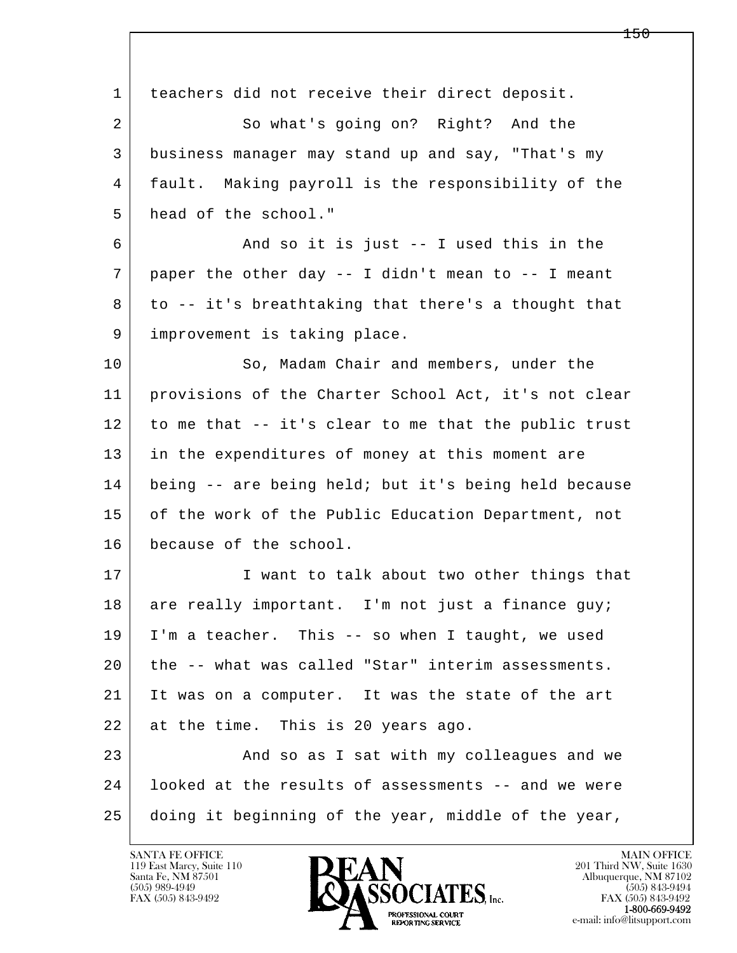l  $\overline{\phantom{a}}$  1 teachers did not receive their direct deposit. 2 So what's going on? Right? And the 3 business manager may stand up and say, "That's my 4 fault. Making payroll is the responsibility of the 5 head of the school." 6 And so it is just -- I used this in the  $7$  paper the other day  $-$ - I didn't mean to  $-$ - I meant 8 to -- it's breathtaking that there's a thought that 9 improvement is taking place. 10 So, Madam Chair and members, under the 11 provisions of the Charter School Act, it's not clear 12 to me that -- it's clear to me that the public trust 13 in the expenditures of money at this moment are 14 being -- are being held; but it's being held because 15 of the work of the Public Education Department, not 16 because of the school. 17 I want to talk about two other things that 18 are really important. I'm not just a finance guy; 19 I'm a teacher. This -- so when I taught, we used 20 the -- what was called "Star" interim assessments. 21 It was on a computer. It was the state of the art 22 at the time. This is 20 years ago. 23 | And so as I sat with my colleagues and we 24 looked at the results of assessments -- and we were 25 doing it beginning of the year, middle of the year,

119 East Marcy, Suite 110<br>Santa Fe, NM 87501



FAX (505) 843-9492<br>**1-800-669-9492**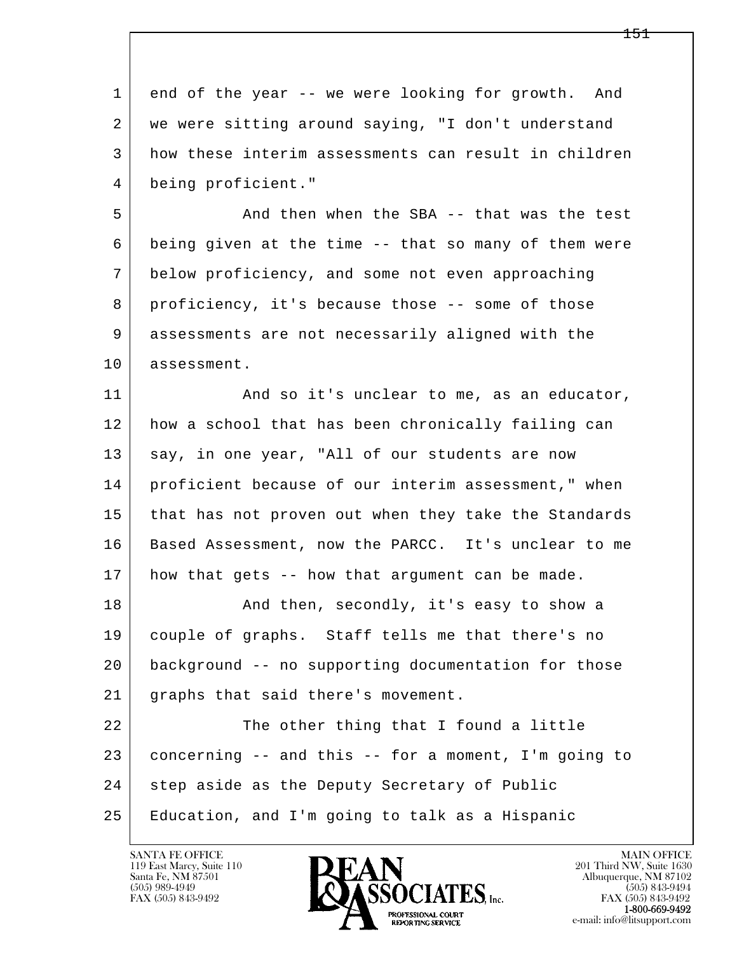| $\mathbf 1$ | end of the year -- we were looking for growth. And   |
|-------------|------------------------------------------------------|
| 2           | we were sitting around saying, "I don't understand   |
| 3           | how these interim assessments can result in children |
| 4           | being proficient."                                   |
| 5           | And then when the SBA -- that was the test           |
| 6           | being given at the time -- that so many of them were |
| 7           | below proficiency, and some not even approaching     |
| 8           | proficiency, it's because those -- some of those     |
| 9           | assessments are not necessarily aligned with the     |
| 10          | assessment.                                          |
| 11          | And so it's unclear to me, as an educator,           |
| 12          | how a school that has been chronically failing can   |
| 13          | say, in one year, "All of our students are now       |
| 14          | proficient because of our interim assessment," when  |
| 15          | that has not proven out when they take the Standards |
| 16          | Based Assessment, now the PARCC. It's unclear to me  |
| 17          | how that gets -- how that argument can be made.      |
| 18          | And then, secondly, it's easy to show a              |
| 19          | couple of graphs. Staff tells me that there's no     |
| 20          | background -- no supporting documentation for those  |
| 21          | graphs that said there's movement.                   |
| 22          | The other thing that I found a little                |
| 23          | concerning -- and this -- for a moment, I'm going to |
| 24          | step aside as the Deputy Secretary of Public         |
| 25          | Education, and I'm going to talk as a Hispanic       |

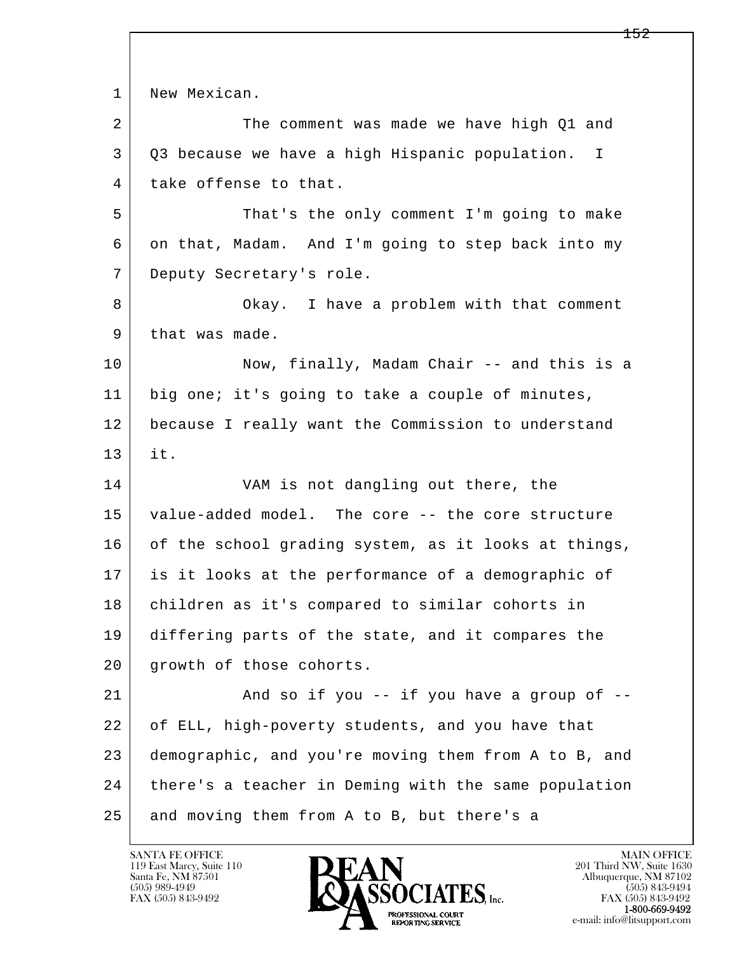l  $\overline{\phantom{a}}$ 1 New Mexican. 2 The comment was made we have high Q1 and 3 Q3 because we have a high Hispanic population. I 4 take offense to that. 5 That's the only comment I'm going to make 6 on that, Madam. And I'm going to step back into my 7 Deputy Secretary's role. 8 Okay. I have a problem with that comment 9 | that was made. 10 Now, finally, Madam Chair -- and this is a 11 big one; it's going to take a couple of minutes, 12 because I really want the Commission to understand 13 it. 14 VAM is not dangling out there, the 15 value-added model. The core -- the core structure 16 of the school grading system, as it looks at things, 17 is it looks at the performance of a demographic of 18 | children as it's compared to similar cohorts in 19 differing parts of the state, and it compares the 20 | growth of those cohorts. 21 And so if you -- if you have a group of -- 22 of ELL, high-poverty students, and you have that 23 demographic, and you're moving them from A to B, and 24 | there's a teacher in Deming with the same population  $25$  and moving them from A to B, but there's a

119 East Marcy, Suite 110<br>Santa Fe, NM 87501

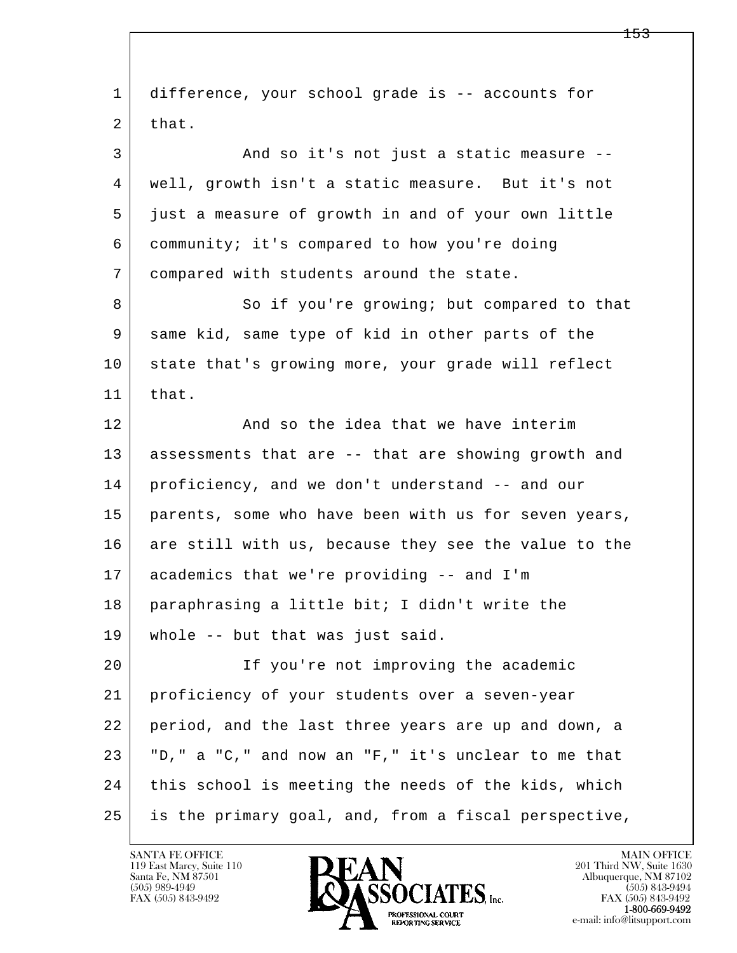| 1  | difference, your school grade is -- accounts for     |
|----|------------------------------------------------------|
| 2  | that.                                                |
| 3  | And so it's not just a static measure --             |
| 4  | well, growth isn't a static measure. But it's not    |
| 5  | just a measure of growth in and of your own little   |
| 6  | community; it's compared to how you're doing         |
| 7  | compared with students around the state.             |
| 8  | So if you're growing; but compared to that           |
| 9  | same kid, same type of kid in other parts of the     |
| 10 | state that's growing more, your grade will reflect   |
| 11 | that.                                                |
| 12 | And so the idea that we have interim                 |
| 13 | assessments that are -- that are showing growth and  |
| 14 | proficiency, and we don't understand -- and our      |
| 15 | parents, some who have been with us for seven years, |
| 16 | are still with us, because they see the value to the |
| 17 | academics that we're providing -- and I'm            |
| 18 | paraphrasing a little bit; I didn't write the        |
| 19 | whole -- but that was just said.                     |
| 20 | If you're not improving the academic                 |
| 21 | proficiency of your students over a seven-year       |
| 22 | period, and the last three years are up and down, a  |
| 23 | "D," a "C," and now an "F," it's unclear to me that  |
| 24 | this school is meeting the needs of the kids, which  |
| 25 | is the primary goal, and, from a fiscal perspective, |

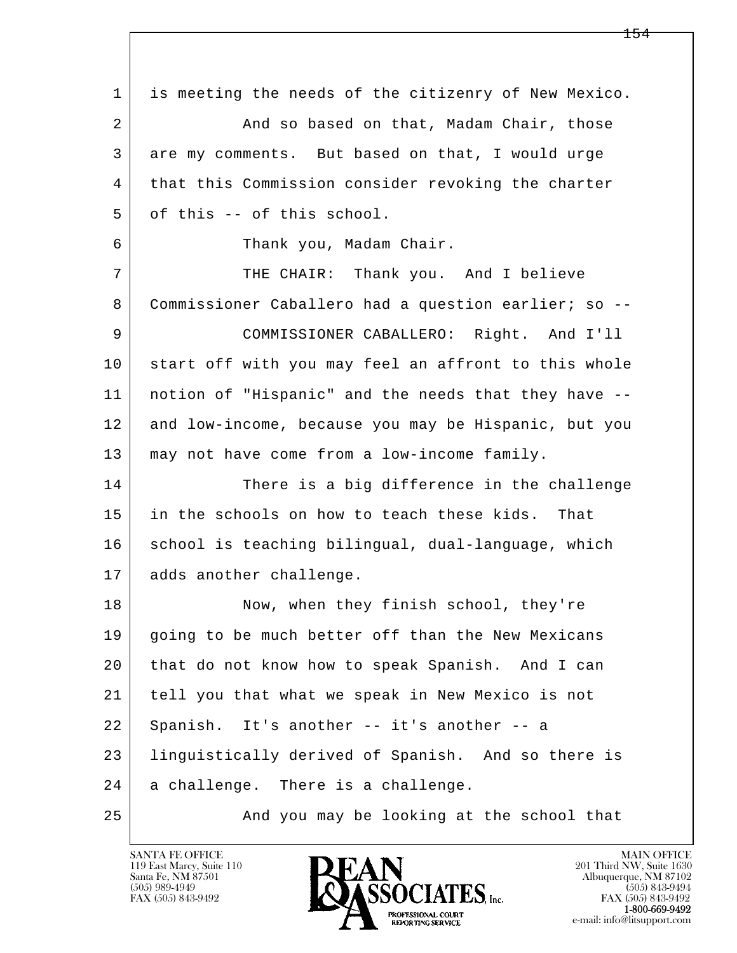l  $\overline{\phantom{a}}$  1 is meeting the needs of the citizenry of New Mexico. 2 | And so based on that, Madam Chair, those 3 are my comments. But based on that, I would urge 4 that this Commission consider revoking the charter  $5$  of this  $-$  of this school. 6 Thank you, Madam Chair. 7 | THE CHAIR: Thank you. And I believe 8 Commissioner Caballero had a question earlier; so -- 9 COMMISSIONER CABALLERO: Right. And I'll 10 start off with you may feel an affront to this whole 11 notion of "Hispanic" and the needs that they have -- 12 and low-income, because you may be Hispanic, but you 13 may not have come from a low-income family. 14 There is a big difference in the challenge 15 in the schools on how to teach these kids. That 16 school is teaching bilingual, dual-language, which 17 adds another challenge. 18 Now, when they finish school, they're 19 going to be much better off than the New Mexicans 20 that do not know how to speak Spanish. And I can 21 tell you that what we speak in New Mexico is not 22 Spanish. It's another -- it's another -- a 23 linguistically derived of Spanish. And so there is 24 a challenge. There is a challenge. 25 And you may be looking at the school that

119 East Marcy, Suite 110<br>Santa Fe, NM 87501

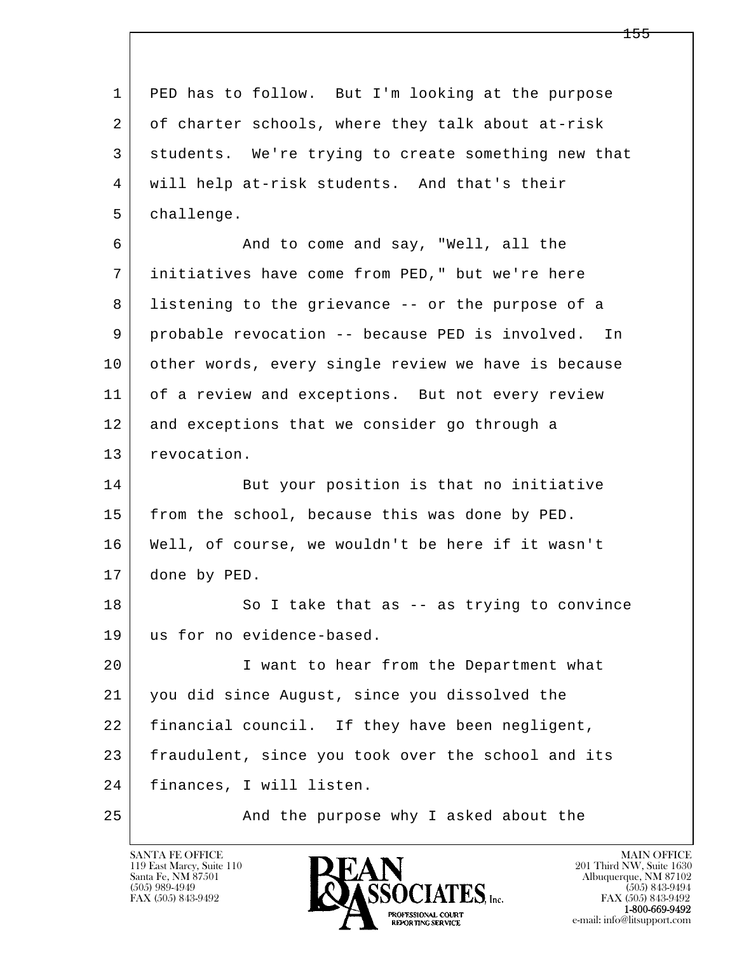l  $\overline{\phantom{a}}$  1 PED has to follow. But I'm looking at the purpose 2 of charter schools, where they talk about at-risk 3 students. We're trying to create something new that 4 will help at-risk students. And that's their 5 | challenge. 6 And to come and say, "Well, all the 7 initiatives have come from PED," but we're here 8 listening to the grievance -- or the purpose of a 9 probable revocation -- because PED is involved. In 10 other words, every single review we have is because 11 of a review and exceptions. But not every review 12 and exceptions that we consider go through a 13 revocation. 14 But your position is that no initiative 15 | from the school, because this was done by PED. 16 Well, of course, we wouldn't be here if it wasn't 17 done by PED. 18 So I take that as -- as trying to convince 19 us for no evidence-based. 20 | T want to hear from the Department what 21 you did since August, since you dissolved the 22 financial council. If they have been negligent, 23 fraudulent, since you took over the school and its 24 finances, I will listen. 25 | And the purpose why I asked about the

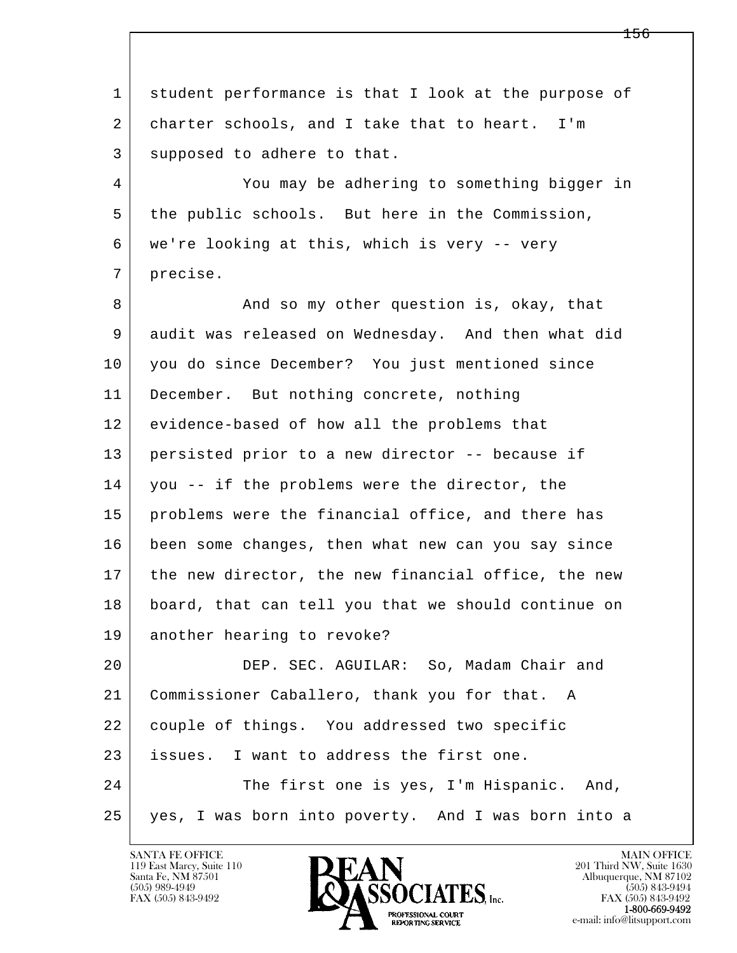l  $\overline{\phantom{a}}$  1 student performance is that I look at the purpose of 2 charter schools, and I take that to heart. I'm 3 supposed to adhere to that. 4 You may be adhering to something bigger in 5 the public schools. But here in the Commission, 6 we're looking at this, which is very -- very 7 precise. 8 | And so my other question is, okay, that 9 audit was released on Wednesday. And then what did 10 you do since December? You just mentioned since 11 | December. But nothing concrete, nothing 12 evidence-based of how all the problems that 13 persisted prior to a new director -- because if 14 you -- if the problems were the director, the 15 problems were the financial office, and there has 16 been some changes, then what new can you say since 17 | the new director, the new financial office, the new 18 board, that can tell you that we should continue on 19 another hearing to revoke? 20 DEP. SEC. AGUILAR: So, Madam Chair and 21 Commissioner Caballero, thank you for that. A 22 couple of things. You addressed two specific 23 issues. I want to address the first one. 24 The first one is yes, I'm Hispanic. And, 25 yes, I was born into poverty. And I was born into a

119 East Marcy, Suite 110<br>Santa Fe, NM 87501

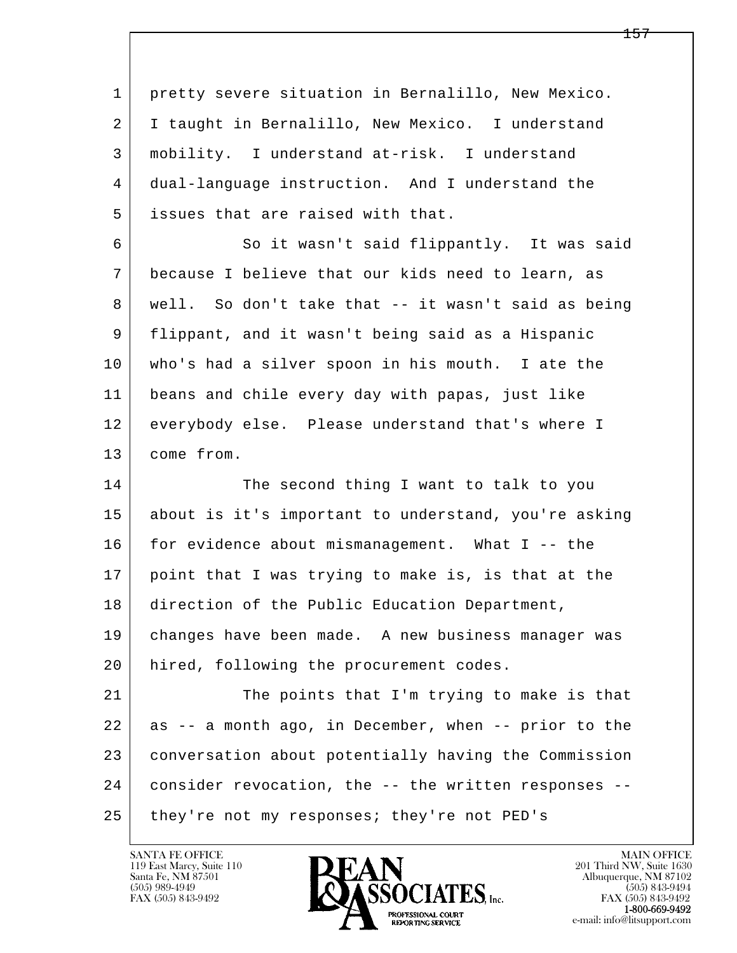l  $\overline{\phantom{a}}$  1 pretty severe situation in Bernalillo, New Mexico. 2 I taught in Bernalillo, New Mexico. I understand 3 mobility. I understand at-risk. I understand 4 dual-language instruction. And I understand the 5 issues that are raised with that. 6 | So it wasn't said flippantly. It was said 7 because I believe that our kids need to learn, as 8 | well. So don't take that -- it wasn't said as being 9 flippant, and it wasn't being said as a Hispanic 10 who's had a silver spoon in his mouth. I ate the 11 beans and chile every day with papas, just like 12 everybody else. Please understand that's where I 13 come from. 14 The second thing I want to talk to you 15 about is it's important to understand, you're asking 16 for evidence about mismanagement. What I -- the 17 point that I was trying to make is, is that at the 18 | direction of the Public Education Department, 19 changes have been made. A new business manager was 20 | hired, following the procurement codes. 21 The points that I'm trying to make is that 22 as -- a month ago, in December, when -- prior to the 23 conversation about potentially having the Commission 24 consider revocation, the -- the written responses -- 25 they're not my responses; they're not PED's

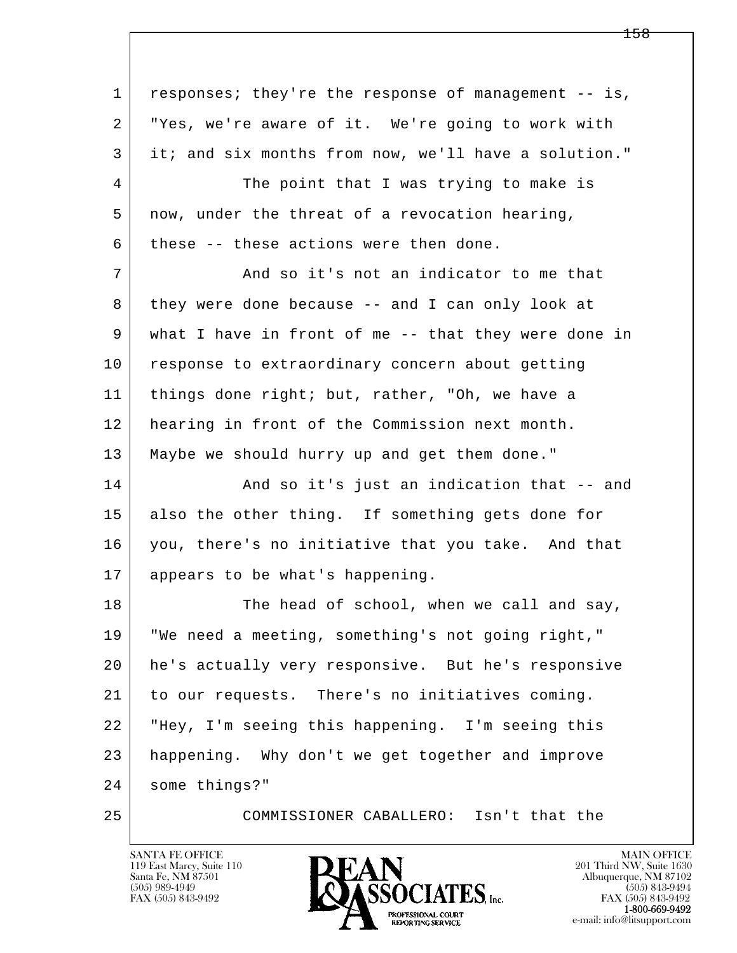l  $\overline{\phantom{a}}$  1 responses; they're the response of management -- is, 2 "Yes, we're aware of it. We're going to work with 3 it; and six months from now, we'll have a solution." 4 The point that I was trying to make is 5 now, under the threat of a revocation hearing,  $6$  these -- these actions were then done. 7 And so it's not an indicator to me that 8 they were done because -- and I can only look at 9 what I have in front of me -- that they were done in 10 response to extraordinary concern about getting 11 | things done right; but, rather, "Oh, we have a 12 hearing in front of the Commission next month. 13 Maybe we should hurry up and get them done." 14 And so it's just an indication that -- and 15 also the other thing. If something gets done for 16 you, there's no initiative that you take. And that 17 appears to be what's happening. 18 The head of school, when we call and say, 19 "We need a meeting, something's not going right," 20 he's actually very responsive. But he's responsive 21 to our requests. There's no initiatives coming. 22 "Hey, I'm seeing this happening. I'm seeing this 23 happening. Why don't we get together and improve 24 some things?" 25 COMMISSIONER CABALLERO: Isn't that the

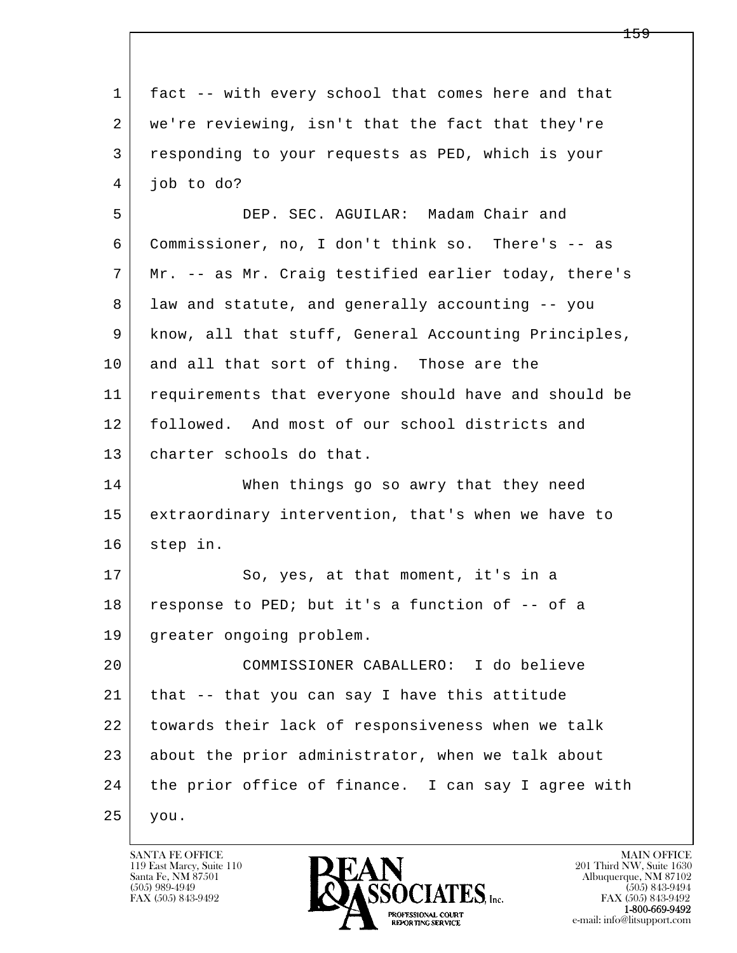| 1  | fact -- with every school that comes here and that   |
|----|------------------------------------------------------|
| 2  | we're reviewing, isn't that the fact that they're    |
| 3  | responding to your requests as PED, which is your    |
| 4  | job to do?                                           |
| 5  | DEP. SEC. AGUILAR: Madam Chair and                   |
| 6  | Commissioner, no, I don't think so. There's -- as    |
| 7  | Mr. -- as Mr. Craig testified earlier today, there's |
| 8  | law and statute, and generally accounting -- you     |
| 9  | know, all that stuff, General Accounting Principles, |
| 10 | and all that sort of thing. Those are the            |
| 11 | requirements that everyone should have and should be |
| 12 | followed. And most of our school districts and       |
| 13 | charter schools do that.                             |
| 14 | When things go so awry that they need                |
| 15 | extraordinary intervention, that's when we have to   |
| 16 | step in.                                             |
| 17 | So, yes, at that moment, it's in a                   |
| 18 | response to PED; but it's a function of -- of a      |
| 19 | greater ongoing problem.                             |
| 20 | COMMISSIONER CABALLERO: I do believe                 |
| 21 | that -- that you can say I have this attitude        |
| 22 | towards their lack of responsiveness when we talk    |
| 23 | about the prior administrator, when we talk about    |
| 24 | the prior office of finance. I can say I agree with  |
| 25 | you.                                                 |

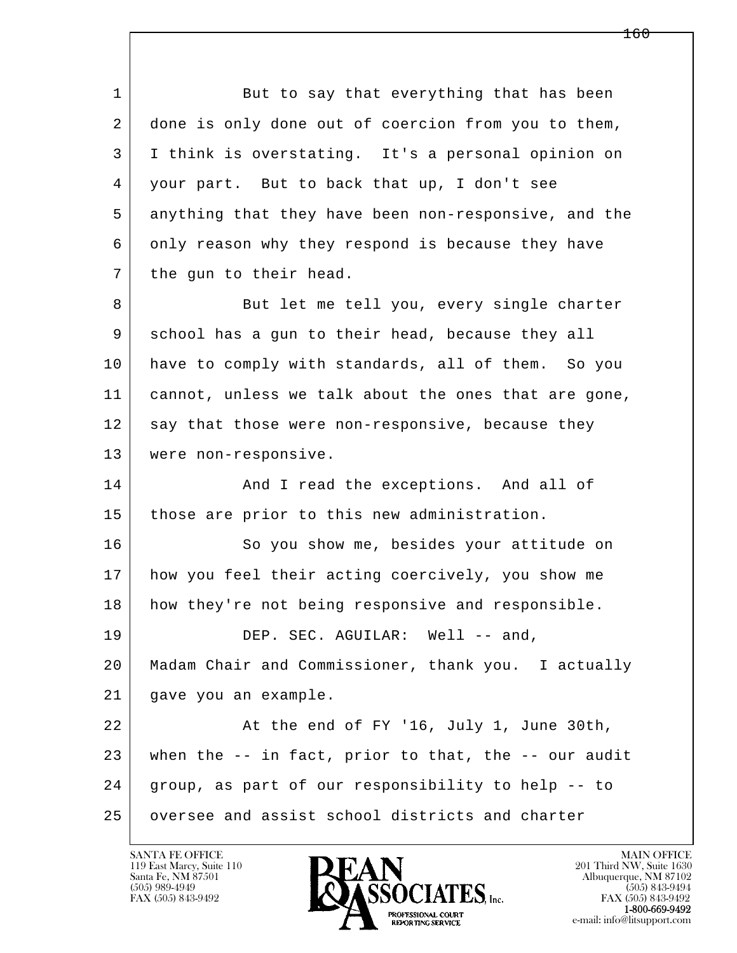l  $\overline{\phantom{a}}$ 1 But to say that everything that has been 2 done is only done out of coercion from you to them, 3 I think is overstating. It's a personal opinion on 4 your part. But to back that up, I don't see 5 anything that they have been non-responsive, and the 6 only reason why they respond is because they have 7 the gun to their head. 8 But let me tell you, every single charter 9 school has a gun to their head, because they all 10 have to comply with standards, all of them. So you 11 cannot, unless we talk about the ones that are gone, 12 say that those were non-responsive, because they 13 were non-responsive. 14 And I read the exceptions. And all of 15 those are prior to this new administration. 16 So you show me, besides your attitude on 17 how you feel their acting coercively, you show me 18 how they're not being responsive and responsible. 19 DEP. SEC. AGUILAR: Well -- and, 20 Madam Chair and Commissioner, thank you. I actually 21 gave you an example. 22 At the end of FY '16, July 1, June 30th, 23 when the  $-$  in fact, prior to that, the  $-$  our audit 24 group, as part of our responsibility to help -- to 25 oversee and assist school districts and charter

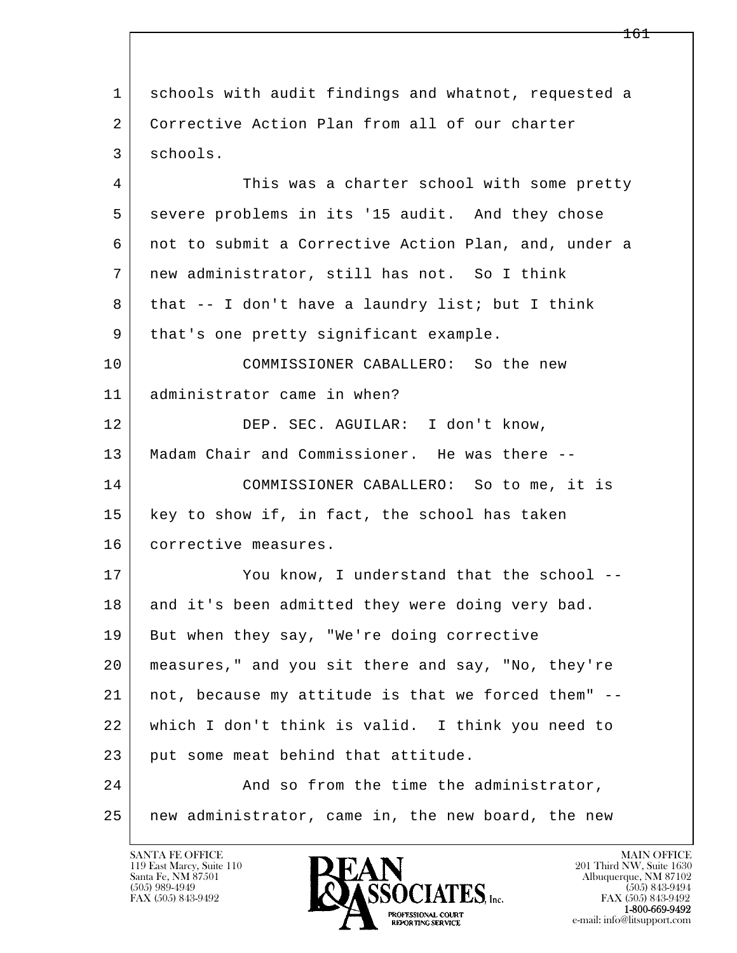l  $\overline{\phantom{a}}$  1 schools with audit findings and whatnot, requested a 2 Corrective Action Plan from all of our charter 3 schools. 4 This was a charter school with some pretty 5 severe problems in its '15 audit. And they chose 6 not to submit a Corrective Action Plan, and, under a 7 new administrator, still has not. So I think 8 | that -- I don't have a laundry list; but I think 9 | that's one pretty significant example. 10 COMMISSIONER CABALLERO: So the new 11 administrator came in when? 12 DEP. SEC. AGUILAR: I don't know, 13 Madam Chair and Commissioner. He was there -- 14 COMMISSIONER CABALLERO: So to me, it is 15 | key to show if, in fact, the school has taken 16 corrective measures. 17 You know, I understand that the school --18 and it's been admitted they were doing very bad. 19 | But when they say, "We're doing corrective 20 measures," and you sit there and say, "No, they're 21 not, because my attitude is that we forced them" -- 22 which I don't think is valid. I think you need to 23 put some meat behind that attitude. 24 And so from the time the administrator, 25 new administrator, came in, the new board, the new

119 East Marcy, Suite 110<br>Santa Fe, NM 87501



FAX (505) 843-9492 FAX (505) 843-9492 e-mail: info@litsupport.com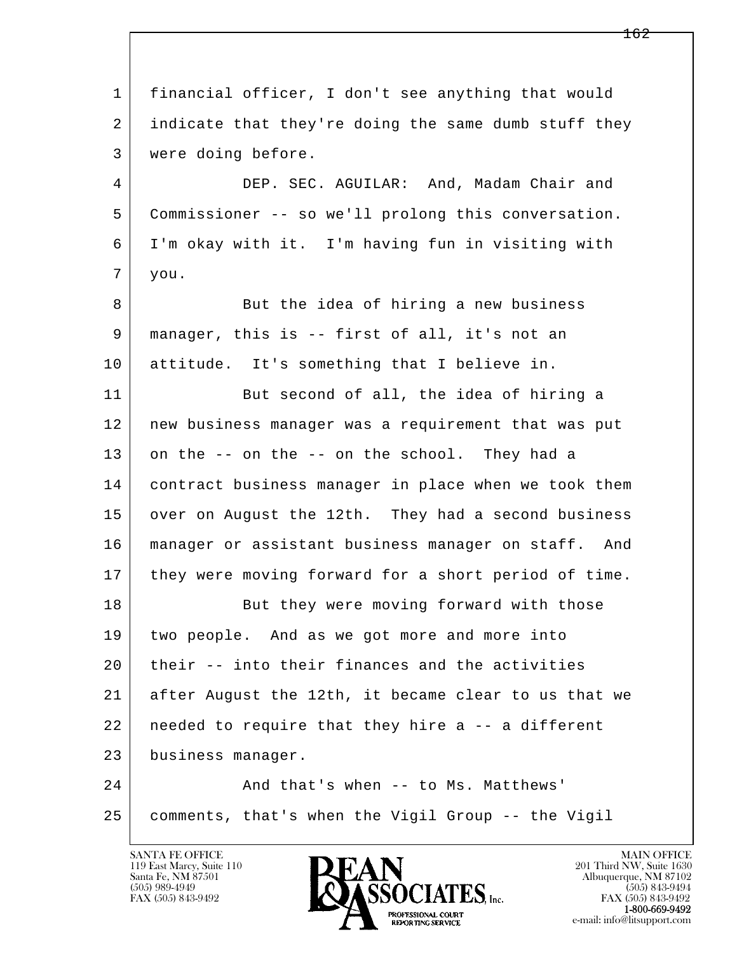l  $\overline{\phantom{a}}$  1 financial officer, I don't see anything that would 2 indicate that they're doing the same dumb stuff they 3 were doing before. 4 DEP. SEC. AGUILAR: And, Madam Chair and 5 Commissioner -- so we'll prolong this conversation. 6 I'm okay with it. I'm having fun in visiting with 7 you. 8 But the idea of hiring a new business 9 manager, this is -- first of all, it's not an 10 attitude. It's something that I believe in. 11 But second of all, the idea of hiring a 12 new business manager was a requirement that was put  $13$  on the  $-$  on the  $-$  on the school. They had a 14 contract business manager in place when we took them 15 over on August the 12th. They had a second business 16 manager or assistant business manager on staff. And 17 they were moving forward for a short period of time. 18 But they were moving forward with those 19 two people. And as we got more and more into  $20$  their -- into their finances and the activities 21 after August the 12th, it became clear to us that we 22 needed to require that they hire a -- a different 23 business manager. 24 And that's when -- to Ms. Matthews' 25 comments, that's when the Vigil Group -- the Vigil

119 East Marcy, Suite 110<br>Santa Fe, NM 87501



FAX (505) 843-9492<br>**1-800-669-9492**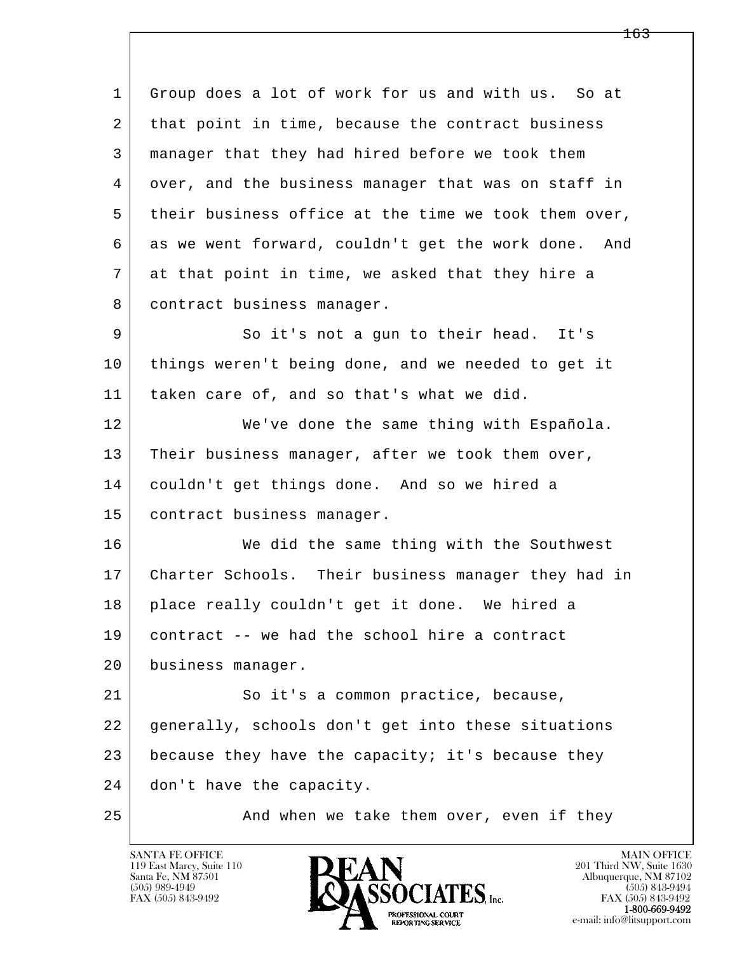l  $\overline{\phantom{a}}$  1 Group does a lot of work for us and with us. So at 2 that point in time, because the contract business 3 manager that they had hired before we took them 4 over, and the business manager that was on staff in 5 their business office at the time we took them over, 6 as we went forward, couldn't get the work done. And 7 at that point in time, we asked that they hire a 8 | contract business manager. 9 So it's not a gun to their head. It's 10 things weren't being done, and we needed to get it 11 taken care of, and so that's what we did. 12 We've done the same thing with Española. 13 Their business manager, after we took them over, 14 couldn't get things done. And so we hired a 15 contract business manager. 16 We did the same thing with the Southwest 17 Charter Schools. Their business manager they had in 18 place really couldn't get it done. We hired a 19 contract -- we had the school hire a contract 20 business manager. 21 So it's a common practice, because, 22 generally, schools don't get into these situations 23 because they have the capacity; it's because they 24 don't have the capacity. 25 And when we take them over, even if they

119 East Marcy, Suite 110<br>Santa Fe, NM 87501



<del>163</del>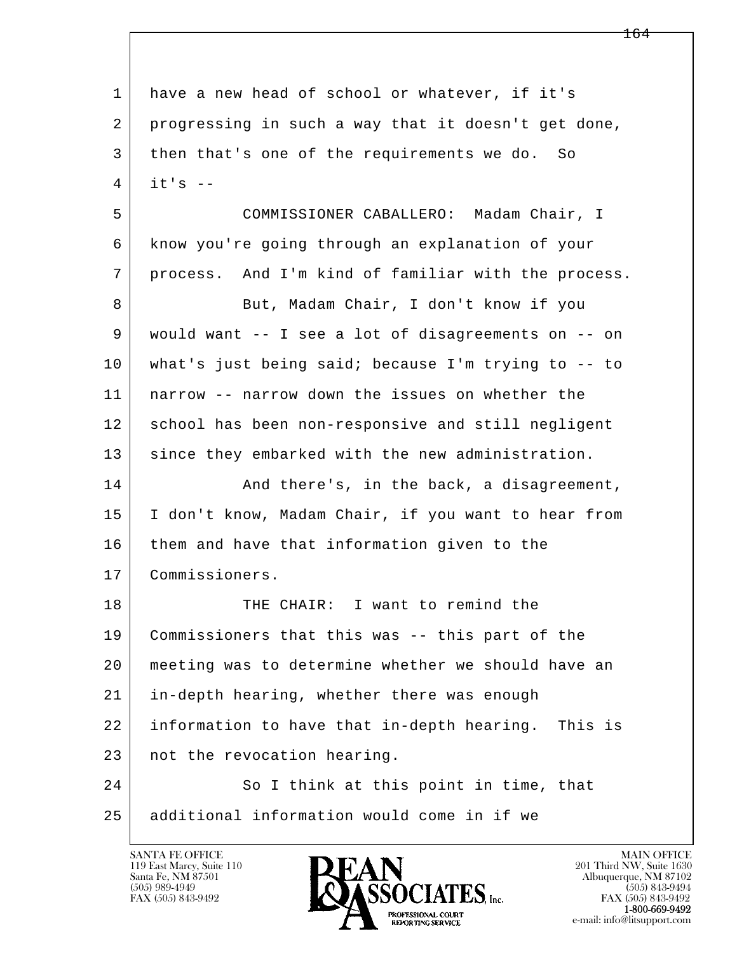| $\mathbf 1$ | have a new head of school or whatever, if it's      |
|-------------|-----------------------------------------------------|
| 2           | progressing in such a way that it doesn't get done, |
| 3           | then that's one of the requirements we do. So       |
| 4           | $it's$ --                                           |
| 5           | COMMISSIONER CABALLERO: Madam Chair, I              |
| 6           | know you're going through an explanation of your    |
| 7           | process. And I'm kind of familiar with the process. |
| 8           | But, Madam Chair, I don't know if you               |
| 9           | would want -- I see a lot of disagreements on -- on |
| 10          | what's just being said; because I'm trying to -- to |
| 11          | narrow -- narrow down the issues on whether the     |
| 12          | school has been non-responsive and still negligent  |
| 13          | since they embarked with the new administration.    |
| 14          | And there's, in the back, a disagreement,           |
| 15          | I don't know, Madam Chair, if you want to hear from |
| 16          | them and have that information given to the         |
| 17          | Commissioners.                                      |
| 18          | THE CHAIR: I want to remind the                     |
| 19          | Commissioners that this was -- this part of the     |
| 20          | meeting was to determine whether we should have an  |
| 21          | in-depth hearing, whether there was enough          |
| 22          | information to have that in-depth hearing. This is  |
| 23          | not the revocation hearing.                         |
| 24          | So I think at this point in time, that              |
| 25          | additional information would come in if we          |

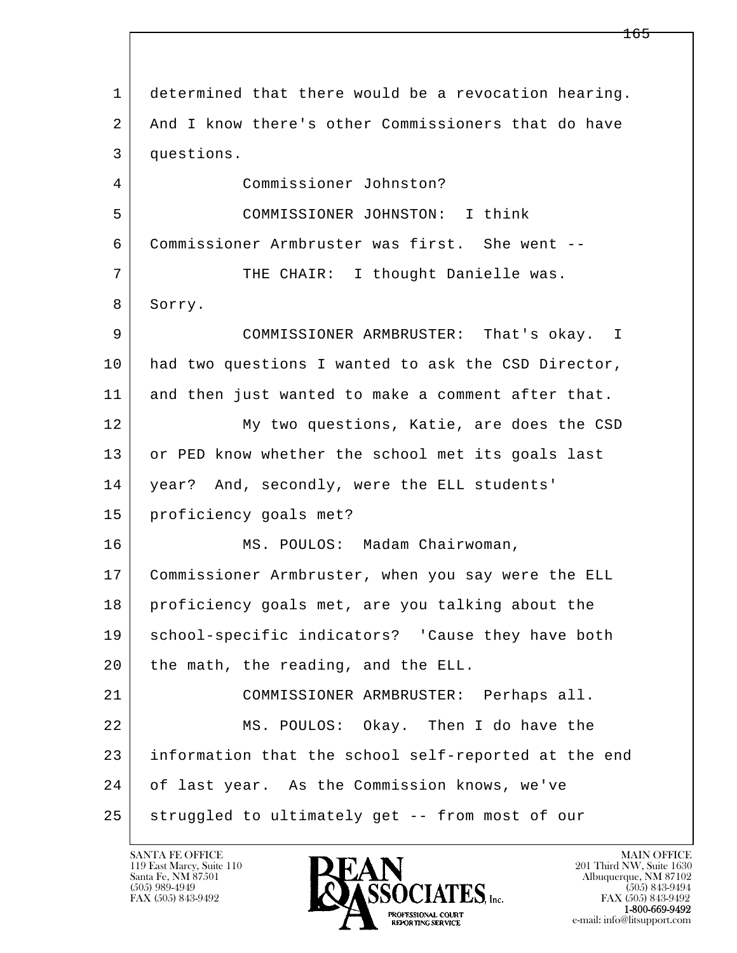l  $\overline{\phantom{a}}$ 1 determined that there would be a revocation hearing. 2 And I know there's other Commissioners that do have 3 questions. 4 Commissioner Johnston? 5 COMMISSIONER JOHNSTON: I think 6 Commissioner Armbruster was first. She went -- 7 THE CHAIR: I thought Danielle was. 8 Sorry. 9 COMMISSIONER ARMBRUSTER: That's okay. I 10 had two questions I wanted to ask the CSD Director, 11 and then just wanted to make a comment after that. 12 My two questions, Katie, are does the CSD 13 or PED know whether the school met its goals last 14 year? And, secondly, were the ELL students' 15 proficiency goals met? 16 | MS. POULOS: Madam Chairwoman, 17 Commissioner Armbruster, when you say were the ELL 18 proficiency goals met, are you talking about the 19 | school-specific indicators? 'Cause they have both 20 the math, the reading, and the ELL. 21 COMMISSIONER ARMBRUSTER: Perhaps all. 22 MS. POULOS: Okay. Then I do have the 23 information that the school self-reported at the end 24 of last year. As the Commission knows, we've 25 | struggled to ultimately get -- from most of our

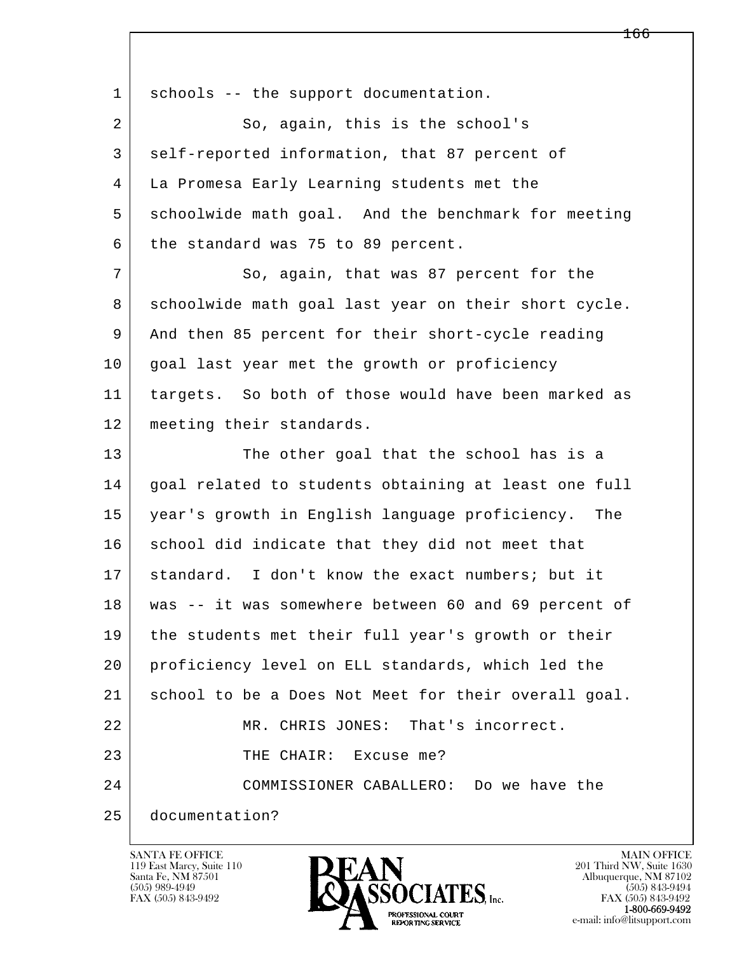| $\mathbf 1$ | schools -- the support documentation.                 |
|-------------|-------------------------------------------------------|
| 2           | So, again, this is the school's                       |
| 3           | self-reported information, that 87 percent of         |
| 4           | La Promesa Early Learning students met the            |
| 5           | schoolwide math goal. And the benchmark for meeting   |
| 6           | the standard was 75 to 89 percent.                    |
| 7           | So, again, that was 87 percent for the                |
| 8           | schoolwide math goal last year on their short cycle.  |
| 9           | And then 85 percent for their short-cycle reading     |
| 10          | goal last year met the growth or proficiency          |
| 11          | targets. So both of those would have been marked as   |
| 12          | meeting their standards.                              |
| 13          | The other goal that the school has is a               |
| 14          | goal related to students obtaining at least one full  |
| 15          | year's growth in English language proficiency.<br>The |
| 16          | school did indicate that they did not meet that       |
| 17          | standard. I don't know the exact numbers; but it      |
| 18          | was -- it was somewhere between 60 and 69 percent of  |
| 19          | the students met their full year's growth or their    |
| 20          | proficiency level on ELL standards, which led the     |
| 21          | school to be a Does Not Meet for their overall goal.  |
| 22          | MR. CHRIS JONES: That's incorrect.                    |
| 23          | THE CHAIR:<br>Excuse me?                              |
| 24          | COMMISSIONER CABALLERO: Do we have the                |
| 25          | documentation?                                        |

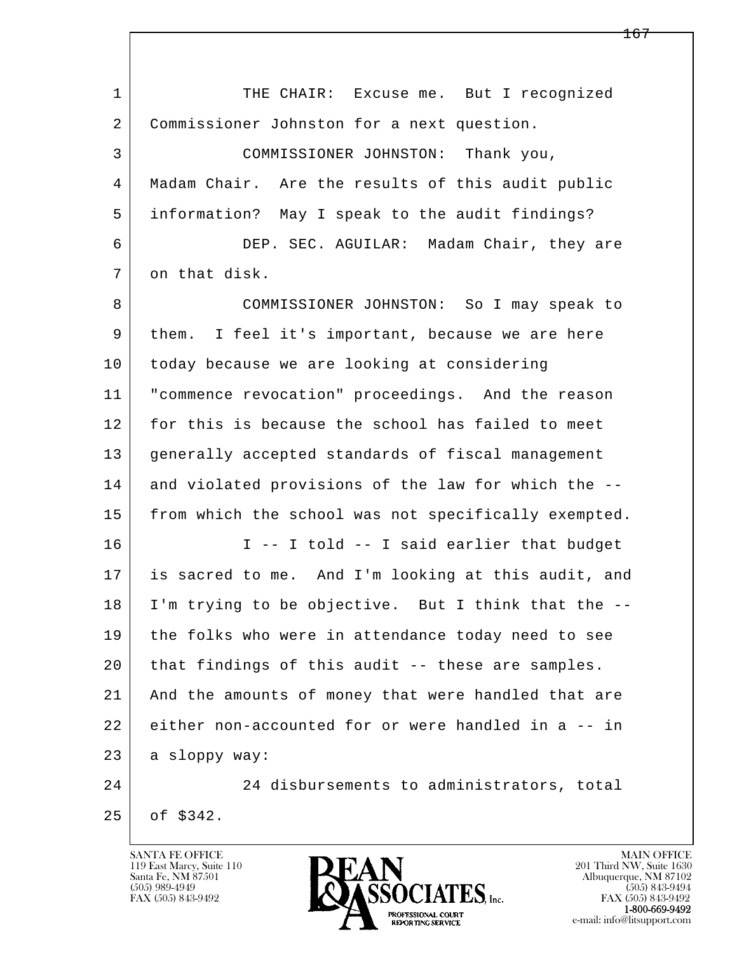l  $\overline{\phantom{a}}$ 1 THE CHAIR: Excuse me. But I recognized 2 Commissioner Johnston for a next question. 3 COMMISSIONER JOHNSTON: Thank you, 4 Madam Chair. Are the results of this audit public 5 information? May I speak to the audit findings? 6 DEP. SEC. AGUILAR: Madam Chair, they are 7 on that disk. 8 COMMISSIONER JOHNSTON: So I may speak to 9 them. I feel it's important, because we are here 10 today because we are looking at considering 11 "commence revocation" proceedings. And the reason 12 for this is because the school has failed to meet 13 generally accepted standards of fiscal management 14 and violated provisions of the law for which the --15 | from which the school was not specifically exempted.  $16$  I -- I told -- I said earlier that budget 17 is sacred to me. And I'm looking at this audit, and 18 I'm trying to be objective. But I think that the -- 19 the folks who were in attendance today need to see 20 that findings of this audit -- these are samples. 21 And the amounts of money that were handled that are 22 either non-accounted for or were handled in a -- in 23 a sloppy way: 24 24 disbursements to administrators, total 25 of \$342.

119 East Marcy, Suite 110<br>Santa Fe, NM 87501



FAX (505) 843-9492<br>**1-800-669-9492**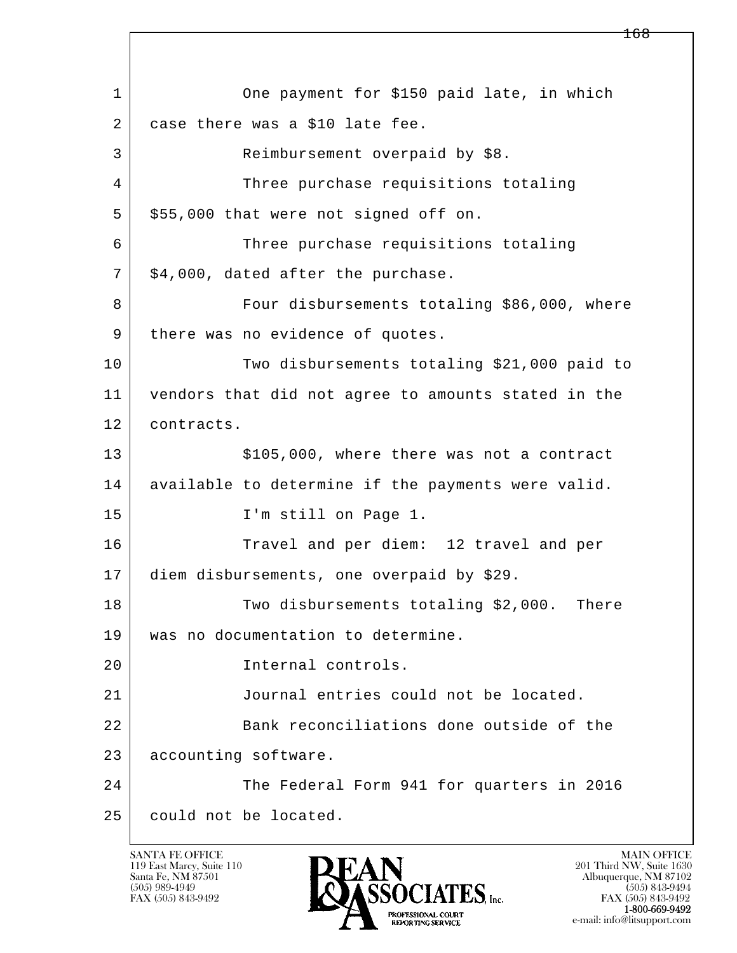l  $\overline{\phantom{a}}$ 1 One payment for \$150 paid late, in which 2 case there was a \$10 late fee. 3 Reimbursement overpaid by \$8. 4 Three purchase requisitions totaling  $5 \mid $55,000$  that were not signed off on. 6 Three purchase requisitions totaling  $7$   $\frac{1}{2}$  \$4,000, dated after the purchase. 8 Four disbursements totaling \$86,000, where 9 | there was no evidence of quotes. 10 | Two disbursements totaling \$21,000 paid to 11 vendors that did not agree to amounts stated in the 12 contracts. 13 | \$105,000, where there was not a contract 14 available to determine if the payments were valid. 15 I'm still on Page 1. 16 Travel and per diem: 12 travel and per 17 diem disbursements, one overpaid by \$29. 18 Two disbursements totaling \$2,000. There 19 was no documentation to determine. 20 Internal controls. 21 Journal entries could not be located. 22 Bank reconciliations done outside of the 23 accounting software. 24 The Federal Form 941 for quarters in 2016 25 could not be located.

119 East Marcy, Suite 110<br>Santa Fe, NM 87501



FAX (505) 843-9492 FAX (505) 843-9492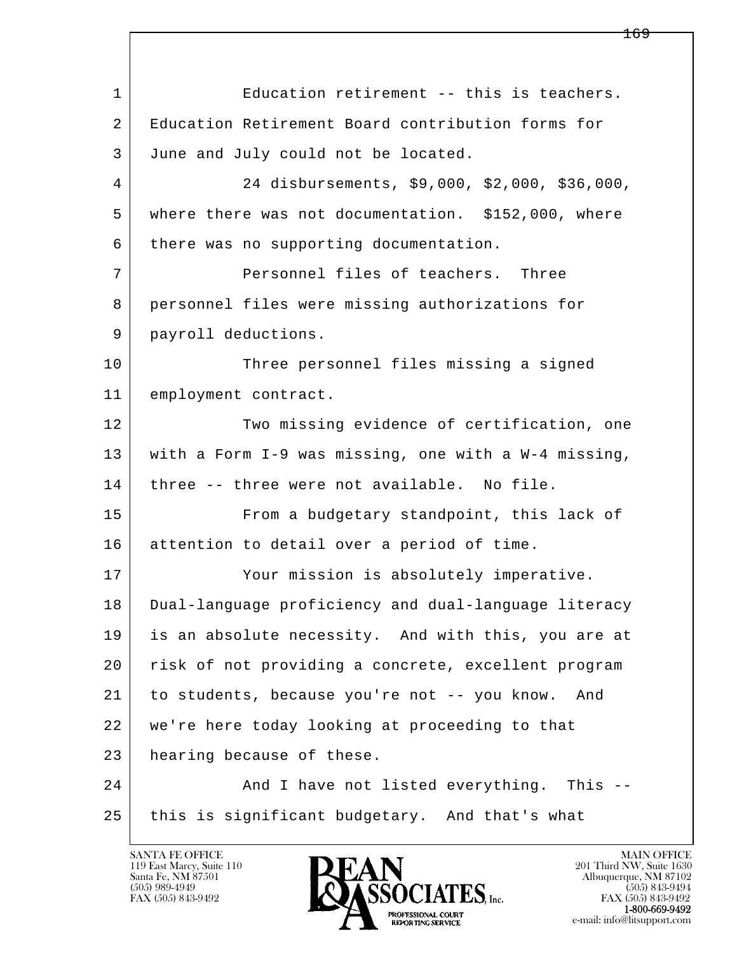l  $\overline{\phantom{a}}$ 1 | Education retirement -- this is teachers. 2 Education Retirement Board contribution forms for 3 June and July could not be located. 4 24 disbursements, \$9,000, \$2,000, \$36,000, 5 where there was not documentation. \$152,000, where 6 there was no supporting documentation. 7 Personnel files of teachers. Three 8 | personnel files were missing authorizations for 9 payroll deductions. 10 Three personnel files missing a signed 11 employment contract. 12 Two missing evidence of certification, one 13 with a Form I-9 was missing, one with a W-4 missing, 14 three -- three were not available. No file. 15 | From a budgetary standpoint, this lack of 16 attention to detail over a period of time. 17 Your mission is absolutely imperative. 18 Dual-language proficiency and dual-language literacy 19 is an absolute necessity. And with this, you are at 20 risk of not providing a concrete, excellent program 21 to students, because you're not -- you know. And 22 we're here today looking at proceeding to that 23 hearing because of these. 24 And I have not listed everything. This --25 this is significant budgetary. And that's what

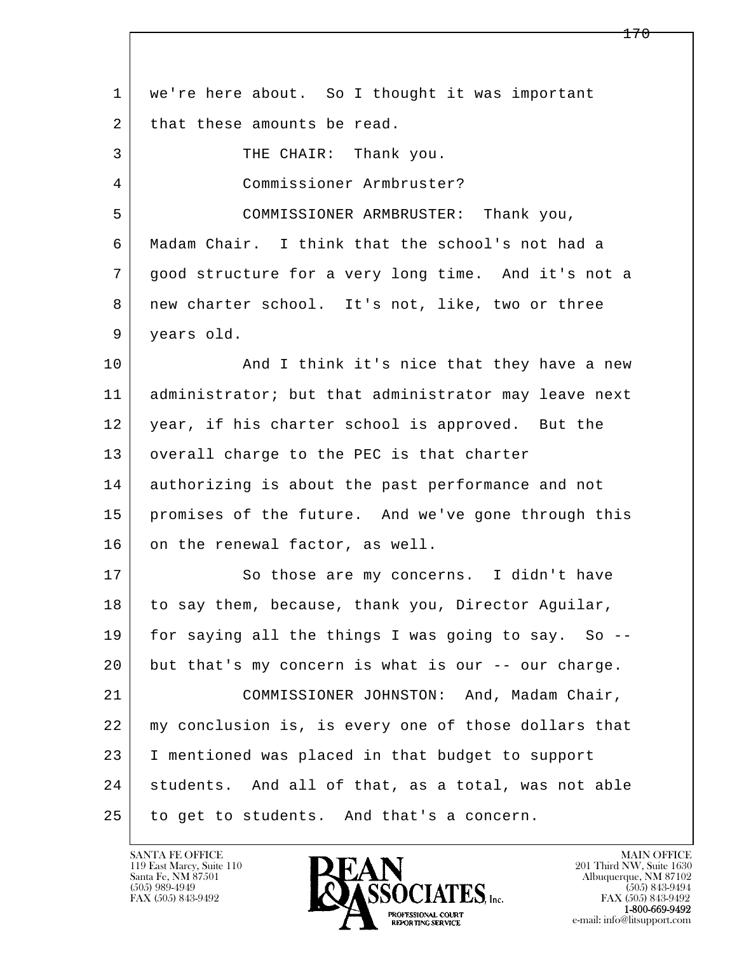| $\mathbf{1}$ | we're here about. So I thought it was important      |
|--------------|------------------------------------------------------|
| 2            | that these amounts be read.                          |
| 3            | THE CHAIR: Thank you.                                |
| 4            | Commissioner Armbruster?                             |
| 5            | COMMISSIONER ARMBRUSTER: Thank you,                  |
| 6            | Madam Chair. I think that the school's not had a     |
| 7            | good structure for a very long time. And it's not a  |
| 8            | new charter school. It's not, like, two or three     |
| 9            | years old.                                           |
| 10           | And I think it's nice that they have a new           |
| 11           | administrator; but that administrator may leave next |
| 12           | year, if his charter school is approved. But the     |
| 13           | overall charge to the PEC is that charter            |
| 14           | authorizing is about the past performance and not    |
| 15           | promises of the future. And we've gone through this  |
| 16           | on the renewal factor, as well.                      |
| 17           | So those are my concerns. I didn't have              |
| 18           | to say them, because, thank you, Director Aquilar,   |
| 19           | for saying all the things I was going to say. So --  |
| 20           | but that's my concern is what is our -- our charge.  |
| 21           | COMMISSIONER JOHNSTON: And, Madam Chair,             |
| 22           | my conclusion is, is every one of those dollars that |
| 23           | I mentioned was placed in that budget to support     |
| 24           | students. And all of that, as a total, was not able  |
| 25           | to get to students. And that's a concern.            |

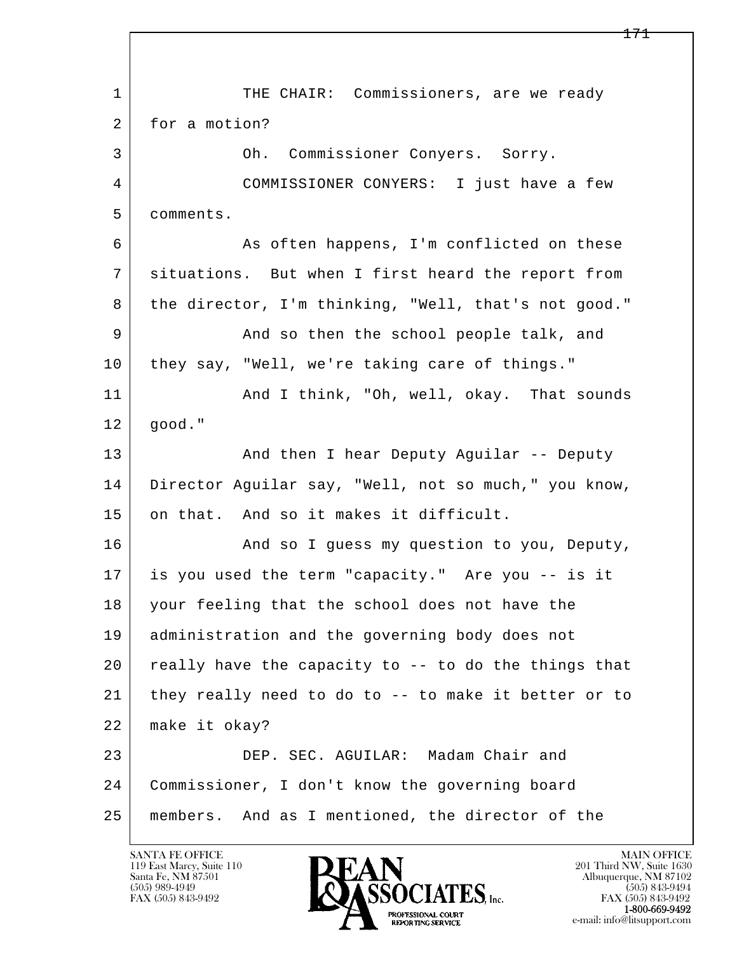l  $\overline{\phantom{a}}$ 1 THE CHAIR: Commissioners, are we ready 2 for a motion? 3 Oh. Commissioner Conyers. Sorry. 4 COMMISSIONER CONYERS: I just have a few 5 comments. 6 As often happens, I'm conflicted on these 7 situations. But when I first heard the report from 8 | the director, I'm thinking, "Well, that's not good." 9 And so then the school people talk, and 10 they say, "Well, we're taking care of things." 11 | And I think, "Oh, well, okay. That sounds 12 good." 13 | And then I hear Deputy Aguilar -- Deputy 14 Director Aguilar say, "Well, not so much," you know, 15 on that. And so it makes it difficult. 16 And so I guess my question to you, Deputy, 17 is you used the term "capacity." Are you -- is it 18 your feeling that the school does not have the 19 administration and the governing body does not  $20$  really have the capacity to  $-$  to do the things that 21 they really need to do to -- to make it better or to 22 make it okay? 23 DEP. SEC. AGUILAR: Madam Chair and 24 Commissioner, I don't know the governing board 25 members. And as I mentioned, the director of the

119 East Marcy, Suite 110<br>Santa Fe, NM 87501



FAX (505) 843-9492<br>1-800-669-9492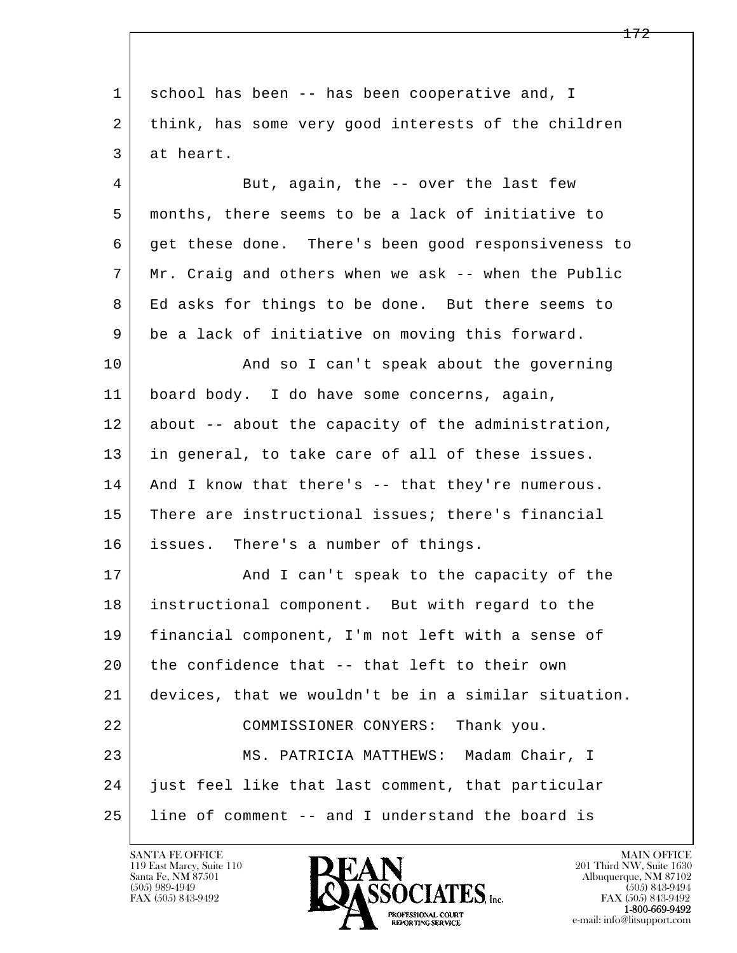l  $\overline{\phantom{a}}$  1 school has been -- has been cooperative and, I 2 think, has some very good interests of the children 3 at heart. 4 But, again, the -- over the last few 5 months, there seems to be a lack of initiative to 6 get these done. There's been good responsiveness to 7 Mr. Craig and others when we ask -- when the Public 8 | Ed asks for things to be done. But there seems to 9 be a lack of initiative on moving this forward. 10 | And so I can't speak about the governing 11 board body. I do have some concerns, again, 12 about -- about the capacity of the administration, 13 in general, to take care of all of these issues. 14 And I know that there's -- that they're numerous. 15 There are instructional issues; there's financial 16 issues. There's a number of things. 17 | The Mand I can't speak to the capacity of the 18 instructional component. But with regard to the 19 financial component, I'm not left with a sense of 20 the confidence that -- that left to their own 21 devices, that we wouldn't be in a similar situation. 22 COMMISSIONER CONYERS: Thank you. 23 MS. PATRICIA MATTHEWS: Madam Chair, I 24 just feel like that last comment, that particular 25 line of comment -- and I understand the board is

119 East Marcy, Suite 110<br>Santa Fe, NM 87501



FAX (505) 843-9492<br>**1-800-669-9492**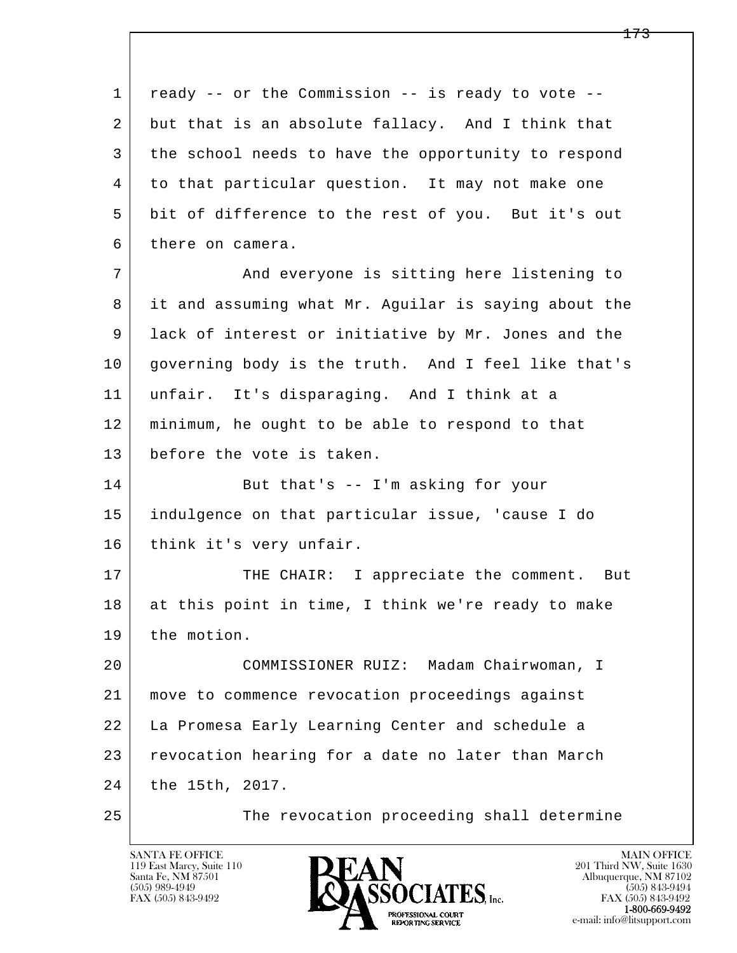l  $\overline{\phantom{a}}$  1 ready -- or the Commission -- is ready to vote -- 2 | but that is an absolute fallacy. And I think that 3 the school needs to have the opportunity to respond 4 to that particular question. It may not make one 5 bit of difference to the rest of you. But it's out 6 there on camera. 7 | The Mand everyone is sitting here listening to 8 it and assuming what Mr. Aguilar is saying about the 9 lack of interest or initiative by Mr. Jones and the 10 governing body is the truth. And I feel like that's 11 unfair. It's disparaging. And I think at a 12 minimum, he ought to be able to respond to that 13 before the vote is taken. 14 But that's -- I'm asking for your 15 indulgence on that particular issue, 'cause I do 16 | think it's very unfair. 17 THE CHAIR: I appreciate the comment. But 18 | at this point in time, I think we're ready to make 19 the motion. 20 COMMISSIONER RUIZ: Madam Chairwoman, I 21 move to commence revocation proceedings against 22 La Promesa Early Learning Center and schedule a 23 revocation hearing for a date no later than March 24 the 15th, 2017. 25 The revocation proceeding shall determine

119 East Marcy, Suite 110<br>Santa Fe, NM 87501

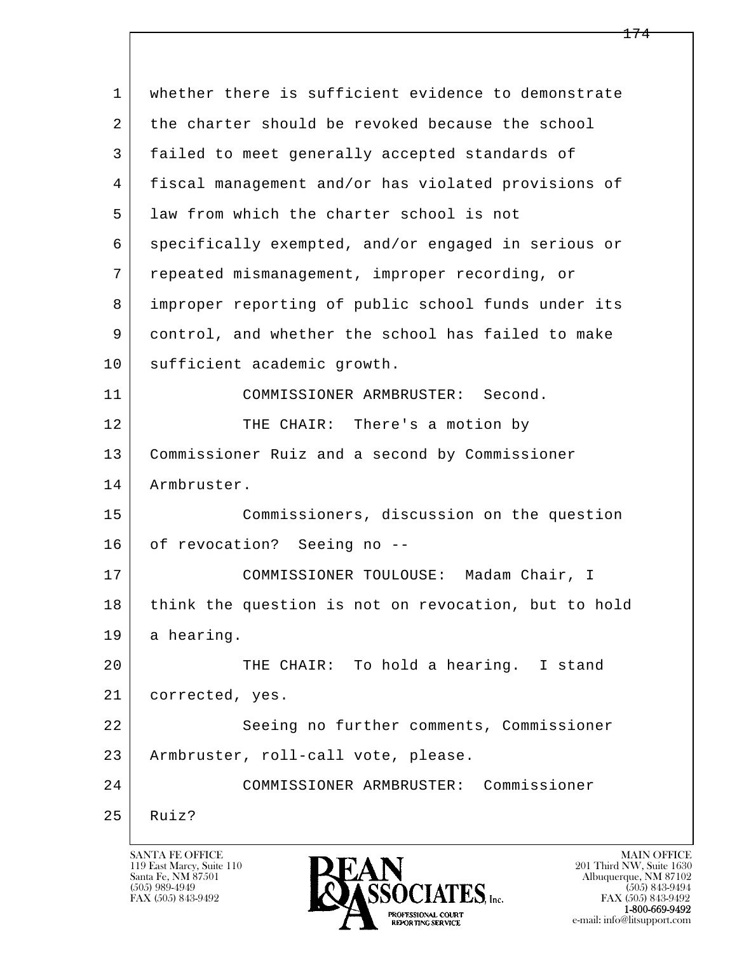l  $\overline{\phantom{a}}$ 1 whether there is sufficient evidence to demonstrate 2 the charter should be revoked because the school 3 failed to meet generally accepted standards of 4 fiscal management and/or has violated provisions of 5 law from which the charter school is not 6 specifically exempted, and/or engaged in serious or 7 repeated mismanagement, improper recording, or 8 improper reporting of public school funds under its 9 control, and whether the school has failed to make 10 sufficient academic growth. 11 COMMISSIONER ARMBRUSTER: Second. 12 THE CHAIR: There's a motion by 13 Commissioner Ruiz and a second by Commissioner 14 Armbruster. 15 Commissioners, discussion on the question 16 of revocation? Seeing no --17 | COMMISSIONER TOULOUSE: Madam Chair, I 18 think the question is not on revocation, but to hold 19 a hearing. 20 THE CHAIR: To hold a hearing. I stand 21 corrected, yes. 22 Seeing no further comments, Commissioner 23 Armbruster, roll-call vote, please. 24 COMMISSIONER ARMBRUSTER: Commissioner  $25$  Ruiz?

119 East Marcy, Suite 110<br>Santa Fe, NM 87501

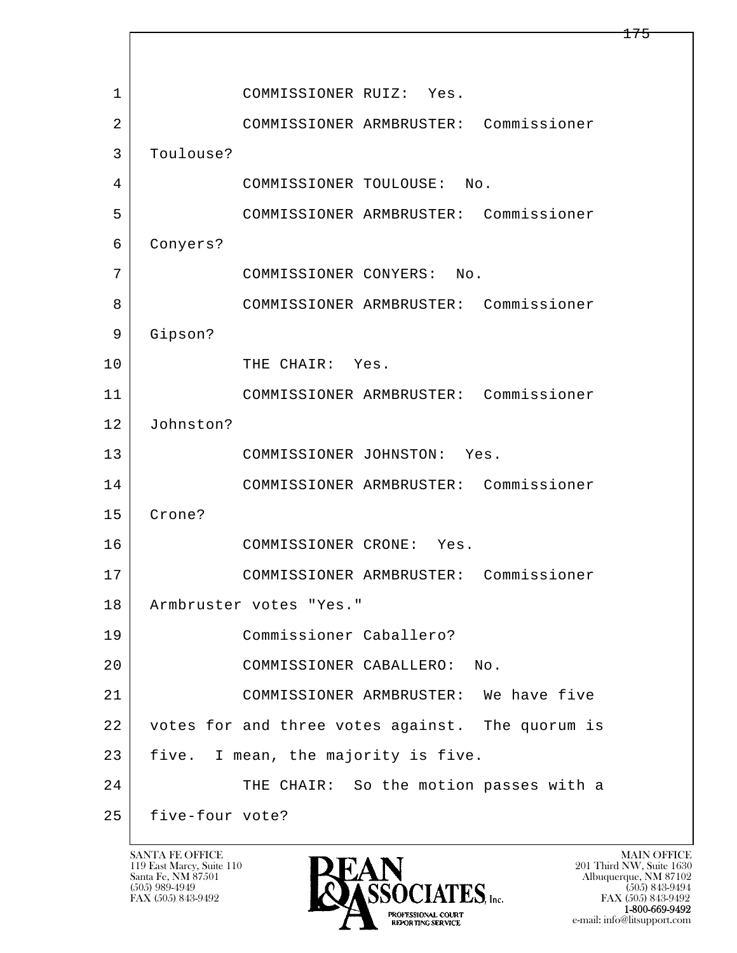l  $\overline{\phantom{a}}$ 1 COMMISSIONER RUIZ: Yes. 2 COMMISSIONER ARMBRUSTER: Commissioner 3 Toulouse? 4 COMMISSIONER TOULOUSE: No. 5 COMMISSIONER ARMBRUSTER: Commissioner 6 Conyers? 7 COMMISSIONER CONYERS: No. 8 COMMISSIONER ARMBRUSTER: Commissioner 9 Gipson? 10 THE CHAIR: Yes. 11 COMMISSIONER ARMBRUSTER: Commissioner 12 Johnston? 13 COMMISSIONER JOHNSTON: Yes. 14 COMMISSIONER ARMBRUSTER: Commissioner 15 Crone? 16 COMMISSIONER CRONE: Yes. 17 COMMISSIONER ARMBRUSTER: Commissioner 18 Armbruster votes "Yes." 19 Commissioner Caballero? 20 COMMISSIONER CABALLERO: No. 21 COMMISSIONER ARMBRUSTER: We have five 22 votes for and three votes against. The quorum is 23 | five. I mean, the majority is five. 24 THE CHAIR: So the motion passes with a 25 five-four vote?

119 East Marcy, Suite 110<br>Santa Fe, NM 87501



FAX (505) 843-9492<br>**1-800-669-9492** e-mail: info@litsupport.com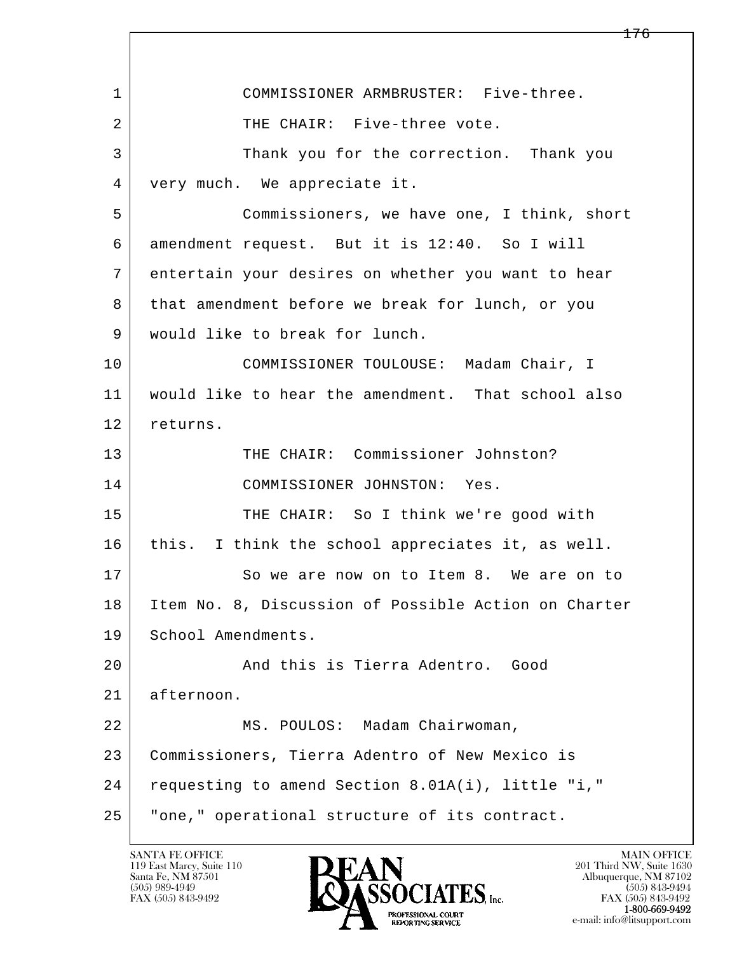l  $\overline{\phantom{a}}$  1 COMMISSIONER ARMBRUSTER: Five-three. 2 | THE CHAIR: Five-three vote. 3 Thank you for the correction. Thank you 4 very much. We appreciate it. 5 Commissioners, we have one, I think, short 6 amendment request. But it is 12:40. So I will 7 entertain your desires on whether you want to hear 8 that amendment before we break for lunch, or you 9 would like to break for lunch. 10 | COMMISSIONER TOULOUSE: Madam Chair, I 11 would like to hear the amendment. That school also 12 returns. 13 THE CHAIR: Commissioner Johnston? 14 COMMISSIONER JOHNSTON: Yes. 15 THE CHAIR: So I think we're good with 16 this. I think the school appreciates it, as well. 17 So we are now on to Item 8. We are on to 18 Item No. 8, Discussion of Possible Action on Charter 19 School Amendments. 20 And this is Tierra Adentro. Good 21 afternoon. 22 MS. POULOS: Madam Chairwoman, 23 Commissioners, Tierra Adentro of New Mexico is 24 requesting to amend Section 8.01A(i), little "i," 25 "one," operational structure of its contract.

119 East Marcy, Suite 110<br>Santa Fe, NM 87501



FAX (505) 843-9492<br>1-800-669-9492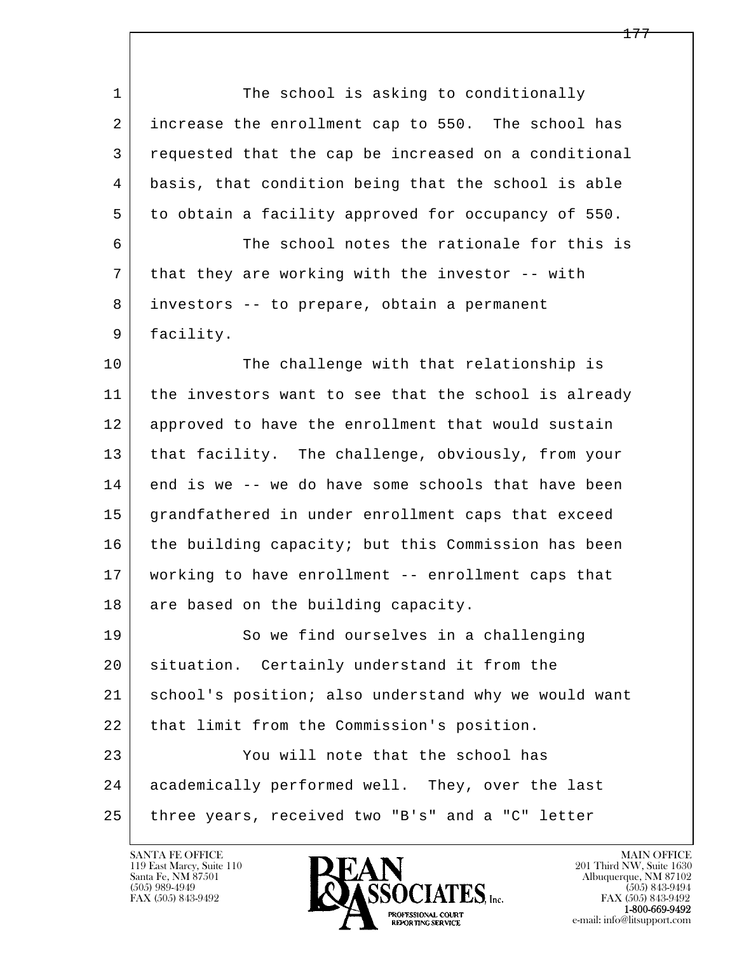l  $\overline{\phantom{a}}$ 1 The school is asking to conditionally 2 increase the enrollment cap to 550. The school has 3 requested that the cap be increased on a conditional 4 basis, that condition being that the school is able 5 to obtain a facility approved for occupancy of 550. 6 The school notes the rationale for this is 7 that they are working with the investor -- with 8 investors -- to prepare, obtain a permanent 9 | facility. 10 The challenge with that relationship is 11 the investors want to see that the school is already 12 approved to have the enrollment that would sustain 13 that facility. The challenge, obviously, from your 14 end is we -- we do have some schools that have been 15 grandfathered in under enrollment caps that exceed 16 the building capacity; but this Commission has been 17 working to have enrollment -- enrollment caps that 18 are based on the building capacity. 19 So we find ourselves in a challenging 20 situation. Certainly understand it from the 21 school's position; also understand why we would want 22 | that limit from the Commission's position. 23 You will note that the school has 24 academically performed well. They, over the last 25 three years, received two "B's" and a "C" letter

119 East Marcy, Suite 110<br>Santa Fe, NM 87501



FAX (505) 843-9492<br>**1-800-669-9492**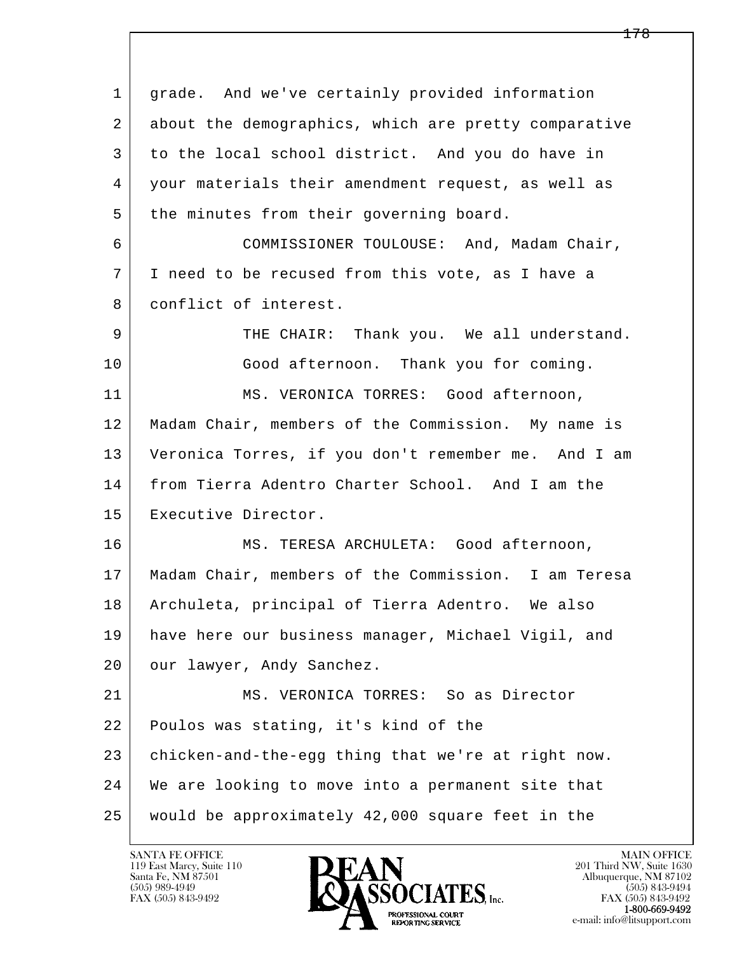| 1  | grade. And we've certainly provided information      |
|----|------------------------------------------------------|
| 2  | about the demographics, which are pretty comparative |
| 3  | to the local school district. And you do have in     |
| 4  | your materials their amendment request, as well as   |
| 5  | the minutes from their governing board.              |
| 6  | COMMISSIONER TOULOUSE: And, Madam Chair,             |
| 7  | I need to be recused from this vote, as I have a     |
| 8  | conflict of interest.                                |
| 9  | THE CHAIR: Thank you. We all understand.             |
| 10 | Good afternoon. Thank you for coming.                |
| 11 | MS. VERONICA TORRES: Good afternoon,                 |
| 12 | Madam Chair, members of the Commission. My name is   |
| 13 | Veronica Torres, if you don't remember me. And I am  |
| 14 | from Tierra Adentro Charter School. And I am the     |
| 15 | Executive Director.                                  |
| 16 | MS. TERESA ARCHULETA: Good afternoon,                |
| 17 | Madam Chair, members of the Commission. I am Teresa  |
| 18 | Archuleta, principal of Tierra Adentro. We also      |
| 19 | have here our business manager, Michael Vigil, and   |
| 20 | our lawyer, Andy Sanchez.                            |
| 21 | MS. VERONICA TORRES: So as Director                  |
| 22 | Poulos was stating, it's kind of the                 |
| 23 | chicken-and-the-egg thing that we're at right now.   |
| 24 | We are looking to move into a permanent site that    |
| 25 | would be approximately 42,000 square feet in the     |

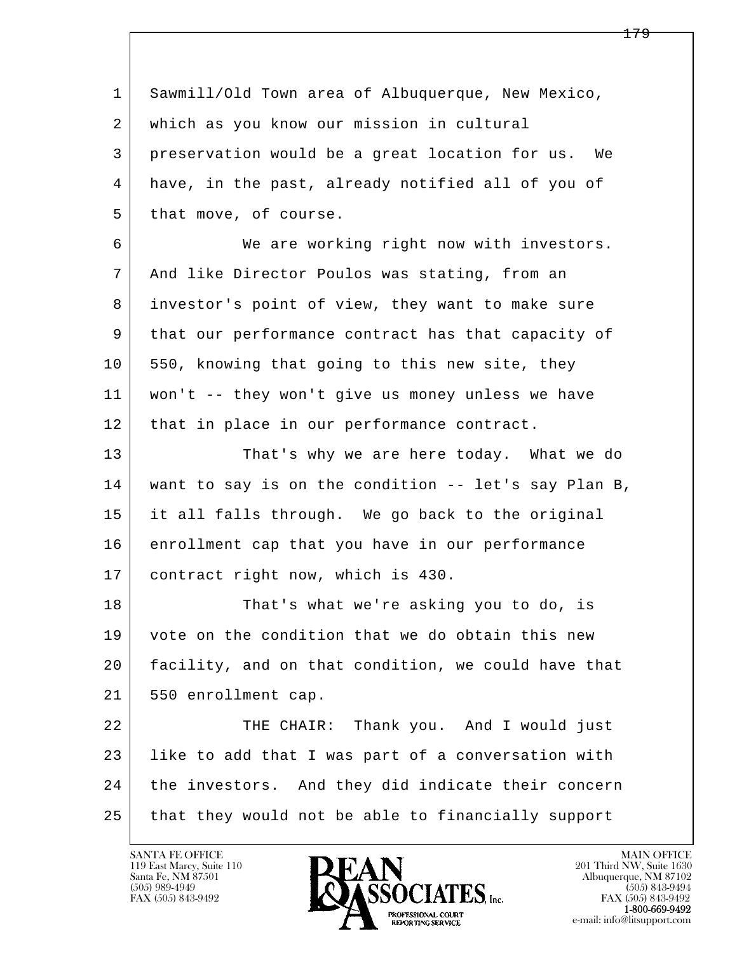l  $\overline{\phantom{a}}$  1 Sawmill/Old Town area of Albuquerque, New Mexico, 2 which as you know our mission in cultural 3 preservation would be a great location for us. We 4 have, in the past, already notified all of you of 5 that move, of course. 6 We are working right now with investors. 7 And like Director Poulos was stating, from an 8 investor's point of view, they want to make sure 9 that our performance contract has that capacity of 10 | 550, knowing that going to this new site, they 11 won't -- they won't give us money unless we have 12 | that in place in our performance contract. 13 That's why we are here today. What we do 14 want to say is on the condition -- let's say Plan B, 15 it all falls through. We go back to the original 16 enrollment cap that you have in our performance 17 contract right now, which is 430. 18 That's what we're asking you to do, is 19 vote on the condition that we do obtain this new 20 facility, and on that condition, we could have that 21 | 550 enrollment cap. 22 | THE CHAIR: Thank you. And I would just 23 like to add that I was part of a conversation with 24 the investors. And they did indicate their concern 25 that they would not be able to financially support

119 East Marcy, Suite 110<br>Santa Fe, NM 87501



FAX (505) 843-9492<br>1-800-669-9492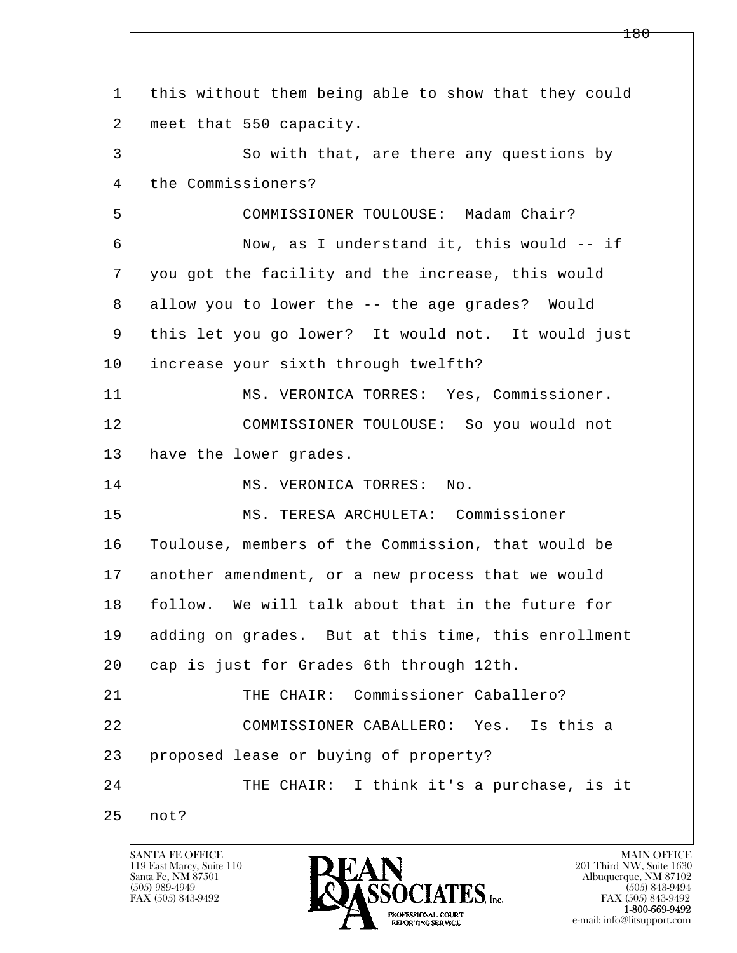l  $\overline{\phantom{a}}$  1 this without them being able to show that they could 2 | meet that 550 capacity. 3 So with that, are there any questions by 4 the Commissioners? 5 COMMISSIONER TOULOUSE: Madam Chair? 6 Now, as I understand it, this would -- if 7 you got the facility and the increase, this would 8 allow you to lower the -- the age grades? Would 9 this let you go lower? It would not. It would just 10 | increase your sixth through twelfth? 11 | MS. VERONICA TORRES: Yes, Commissioner. 12 COMMISSIONER TOULOUSE: So you would not 13 | have the lower grades. 14 MS. VERONICA TORRES: No. 15 MS. TERESA ARCHULETA: Commissioner 16 Toulouse, members of the Commission, that would be 17 another amendment, or a new process that we would 18 follow. We will talk about that in the future for 19 adding on grades. But at this time, this enrollment 20 cap is just for Grades 6th through 12th. 21 THE CHAIR: Commissioner Caballero? 22 COMMISSIONER CABALLERO: Yes. Is this a 23 proposed lease or buying of property? 24 THE CHAIR: I think it's a purchase, is it 25 not?

119 East Marcy, Suite 110<br>Santa Fe, NM 87501

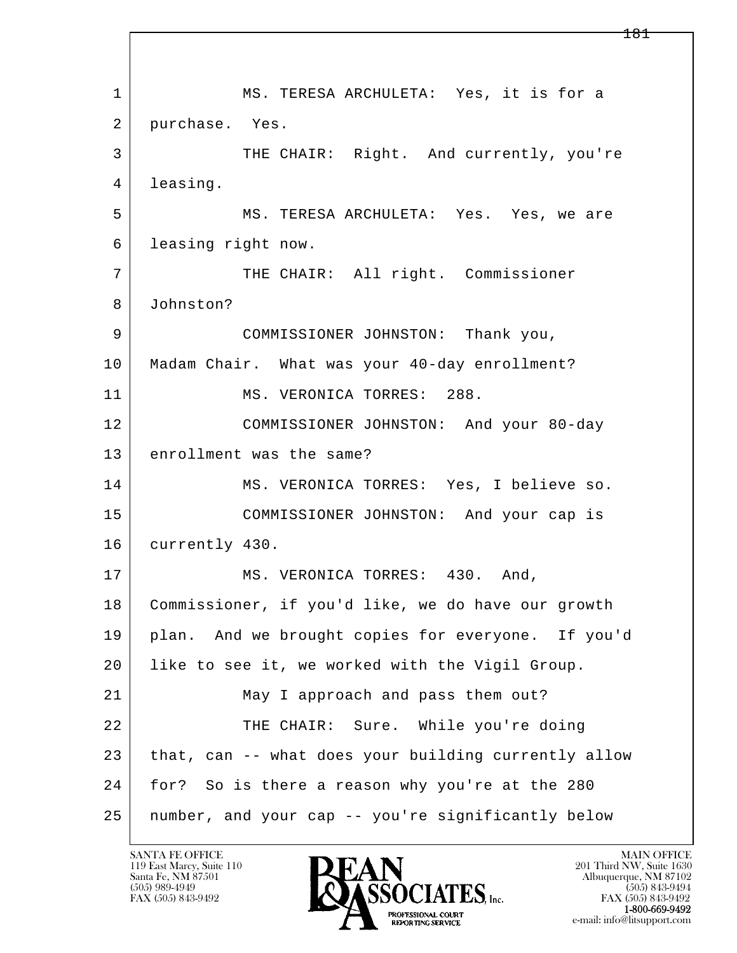l  $\overline{\phantom{a}}$  1 MS. TERESA ARCHULETA: Yes, it is for a 2 purchase. Yes. 3 THE CHAIR: Right. And currently, you're 4 leasing. 5 MS. TERESA ARCHULETA: Yes. Yes, we are 6 leasing right now. 7 THE CHAIR: All right. Commissioner 8 Johnston? 9 COMMISSIONER JOHNSTON: Thank you, 10 Madam Chair. What was your 40-day enrollment? 11 MS. VERONICA TORRES: 288. 12 COMMISSIONER JOHNSTON: And your 80-day 13 enrollment was the same? 14 MS. VERONICA TORRES: Yes, I believe so. 15 COMMISSIONER JOHNSTON: And your cap is 16 currently 430. 17 MS. VERONICA TORRES: 430. And, 18 | Commissioner, if you'd like, we do have our growth 19 plan. And we brought copies for everyone. If you'd 20 like to see it, we worked with the Vigil Group. 21 | May I approach and pass them out? 22 THE CHAIR: Sure. While you're doing 23 | that, can -- what does your building currently allow 24 for? So is there a reason why you're at the 280 25 number, and your cap -- you're significantly below

119 East Marcy, Suite 110<br>Santa Fe, NM 87501

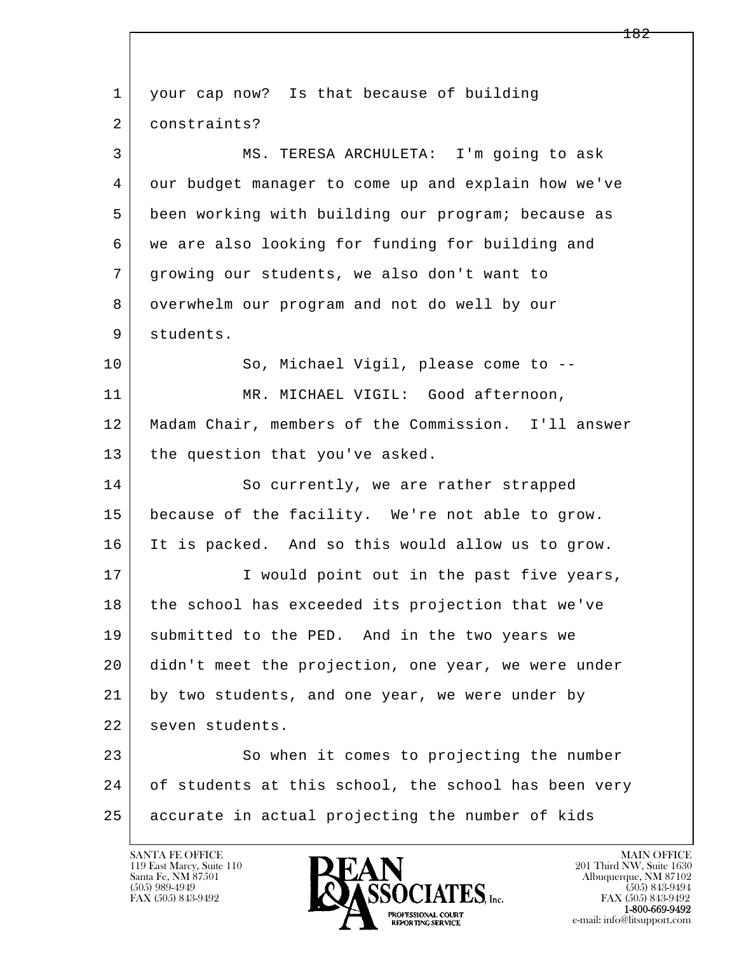l  $\overline{\phantom{a}}$  1 your cap now? Is that because of building 2 constraints? 3 MS. TERESA ARCHULETA: I'm going to ask 4 our budget manager to come up and explain how we've 5 been working with building our program; because as 6 we are also looking for funding for building and 7 growing our students, we also don't want to 8 overwhelm our program and not do well by our 9 students. 10 So, Michael Vigil, please come to --11 | MR. MICHAEL VIGIL: Good afternoon, 12 Madam Chair, members of the Commission. I'll answer 13 the question that you've asked. 14 So currently, we are rather strapped 15 because of the facility. We're not able to grow. 16 It is packed. And so this would allow us to grow. 17 | Twould point out in the past five years, 18 the school has exceeded its projection that we've 19 | submitted to the PED. And in the two years we 20 didn't meet the projection, one year, we were under 21 by two students, and one year, we were under by 22 seven students. 23 So when it comes to projecting the number 24 of students at this school, the school has been very 25 accurate in actual projecting the number of kids



FAX (505) 843-9492<br>1-800-669-9492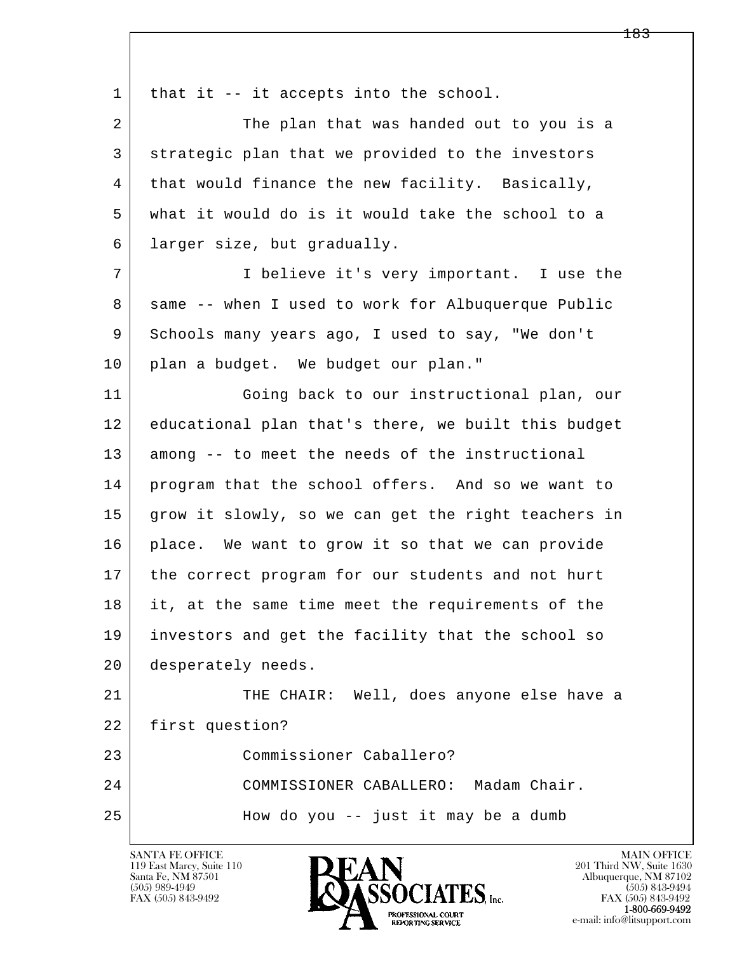l  $\overline{\phantom{a}}$ 1 | that it  $-$  it accepts into the school. 2 The plan that was handed out to you is a 3 strategic plan that we provided to the investors 4 that would finance the new facility. Basically, 5 what it would do is it would take the school to a 6 larger size, but gradually. 7 I believe it's very important. I use the 8 | same -- when I used to work for Albuquerque Public 9 Schools many years ago, I used to say, "We don't 10 plan a budget. We budget our plan." 11 Going back to our instructional plan, our 12 educational plan that's there, we built this budget 13 among -- to meet the needs of the instructional 14 program that the school offers. And so we want to 15 grow it slowly, so we can get the right teachers in 16 place. We want to grow it so that we can provide 17 the correct program for our students and not hurt 18 it, at the same time meet the requirements of the 19 investors and get the facility that the school so 20 desperately needs. 21 THE CHAIR: Well, does anyone else have a 22 first question? 23 Commissioner Caballero? 24 COMMISSIONER CABALLERO: Madam Chair. 25 How do you -- just it may be a dumb

119 East Marcy, Suite 110<br>Santa Fe, NM 87501



FAX (505) 843-9492<br>**1-800-669-9492**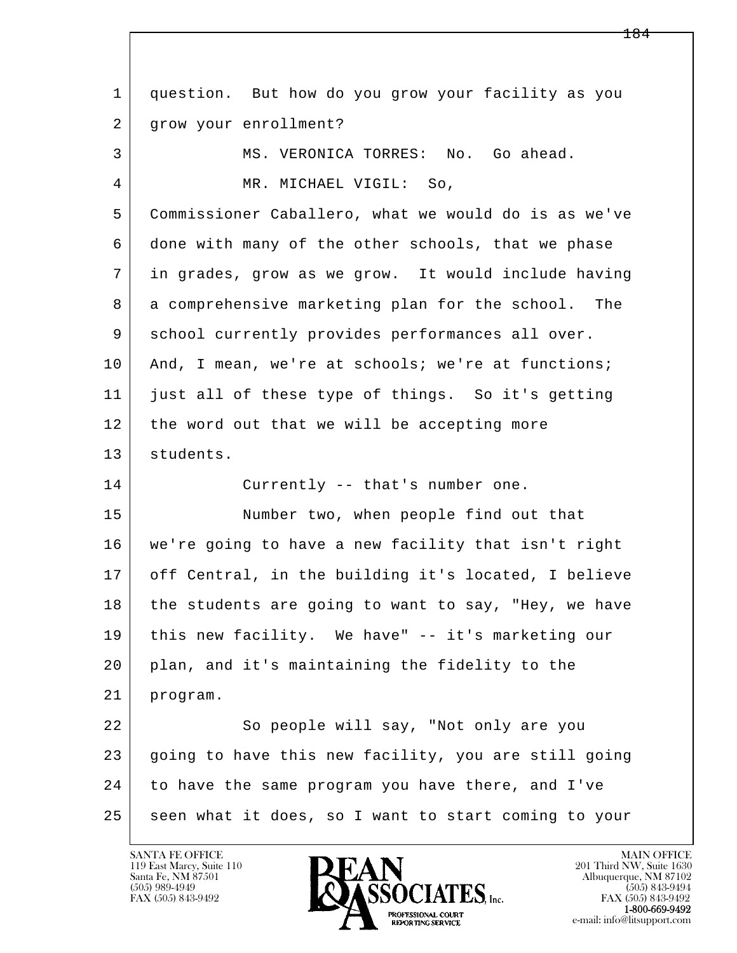l  $\overline{\phantom{a}}$  1 question. But how do you grow your facility as you 2 | grow your enrollment? 3 | MS. VERONICA TORRES: No. Go ahead. 4 MR. MICHAEL VIGIL: So, 5 Commissioner Caballero, what we would do is as we've 6 done with many of the other schools, that we phase 7 in grades, grow as we grow. It would include having 8 a comprehensive marketing plan for the school. The 9 school currently provides performances all over. 10 And, I mean, we're at schools; we're at functions; 11 just all of these type of things. So it's getting 12 the word out that we will be accepting more 13 students. 14 Currently -- that's number one. 15 | Number two, when people find out that 16 we're going to have a new facility that isn't right 17 off Central, in the building it's located, I believe 18 the students are going to want to say, "Hey, we have 19 this new facility. We have" -- it's marketing our 20 plan, and it's maintaining the fidelity to the 21 program. 22 So people will say, "Not only are you 23 going to have this new facility, you are still going 24 to have the same program you have there, and I've 25 seen what it does, so I want to start coming to your

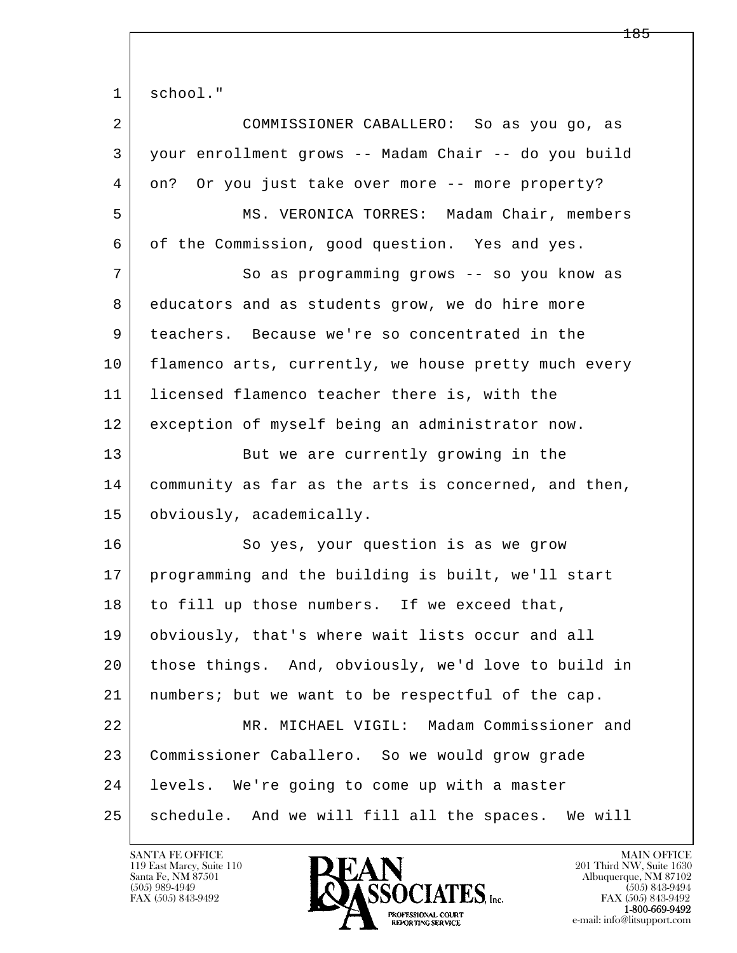1 school."

| $\overline{2}$ | COMMISSIONER CABALLERO: So as you go, as             |
|----------------|------------------------------------------------------|
| 3              | your enrollment grows -- Madam Chair -- do you build |
| 4              | on? Or you just take over more -- more property?     |
| 5              | MS. VERONICA TORRES: Madam Chair, members            |
| 6              | of the Commission, good question. Yes and yes.       |
| 7              | So as programming grows -- so you know as            |
| 8              | educators and as students grow, we do hire more      |
| 9              | teachers. Because we're so concentrated in the       |
| 10             | flamenco arts, currently, we house pretty much every |
| 11             | licensed flamenco teacher there is, with the         |
| 12             | exception of myself being an administrator now.      |
| 13             | But we are currently growing in the                  |
| 14             | community as far as the arts is concerned, and then, |
| 15             | obviously, academically.                             |
| 16             | So yes, your question is as we grow                  |
| 17             | programming and the building is built, we'll start   |
| 18             | to fill up those numbers. If we exceed that,         |
| 19             | obviously, that's where wait lists occur and all     |
| 20             | those things. And, obviously, we'd love to build in  |
| 21             | numbers; but we want to be respectful of the cap.    |
| 22             | MR. MICHAEL VIGIL: Madam Commissioner and            |
| 23             | Commissioner Caballero. So we would grow grade       |
| 24             | levels. We're going to come up with a master         |
| 25             | schedule. And we will fill all the spaces. We will   |

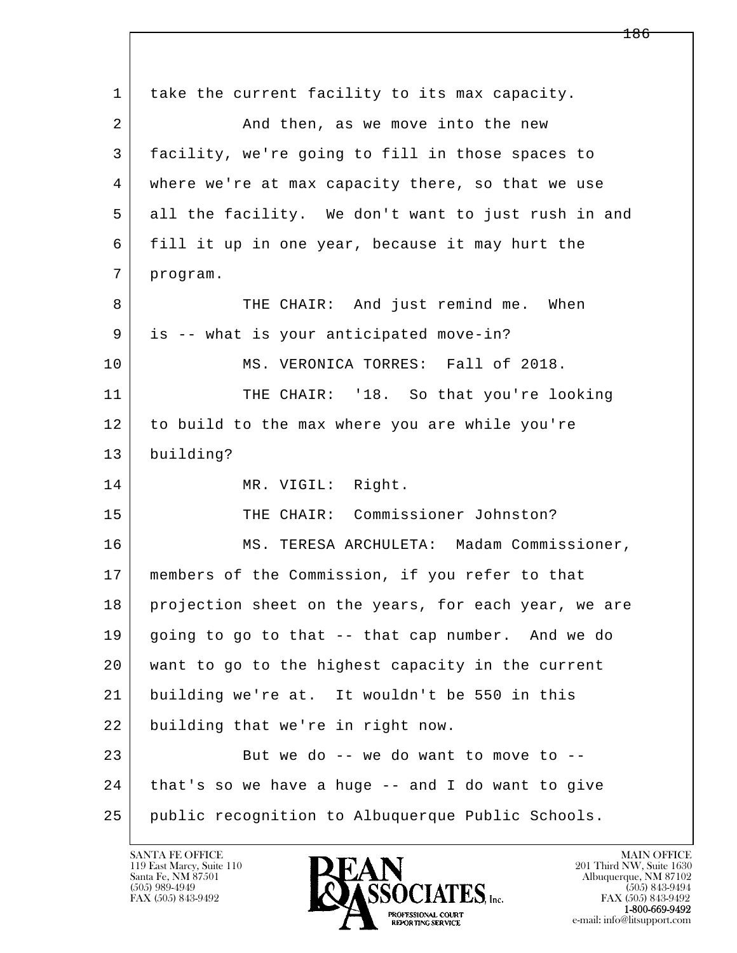l  $\overline{\phantom{a}}$  1 take the current facility to its max capacity. 2 And then, as we move into the new 3 facility, we're going to fill in those spaces to 4 where we're at max capacity there, so that we use 5 all the facility. We don't want to just rush in and 6 fill it up in one year, because it may hurt the 7 program. 8 | THE CHAIR: And just remind me. When 9 is -- what is your anticipated move-in? 10 | MS. VERONICA TORRES: Fall of 2018. 11 | THE CHAIR: '18. So that you're looking 12 to build to the max where you are while you're 13 building? 14 MR. VIGIL: Right. 15 THE CHAIR: Commissioner Johnston? 16 | MS. TERESA ARCHULETA: Madam Commissioner, 17 members of the Commission, if you refer to that 18 projection sheet on the years, for each year, we are 19 going to go to that -- that cap number. And we do 20 want to go to the highest capacity in the current 21 building we're at. It wouldn't be 550 in this 22 building that we're in right now.  $23$  But we do  $-$  we do want to move to  $-$  24 that's so we have a huge -- and I do want to give 25 public recognition to Albuquerque Public Schools.

119 East Marcy, Suite 110<br>Santa Fe, NM 87501

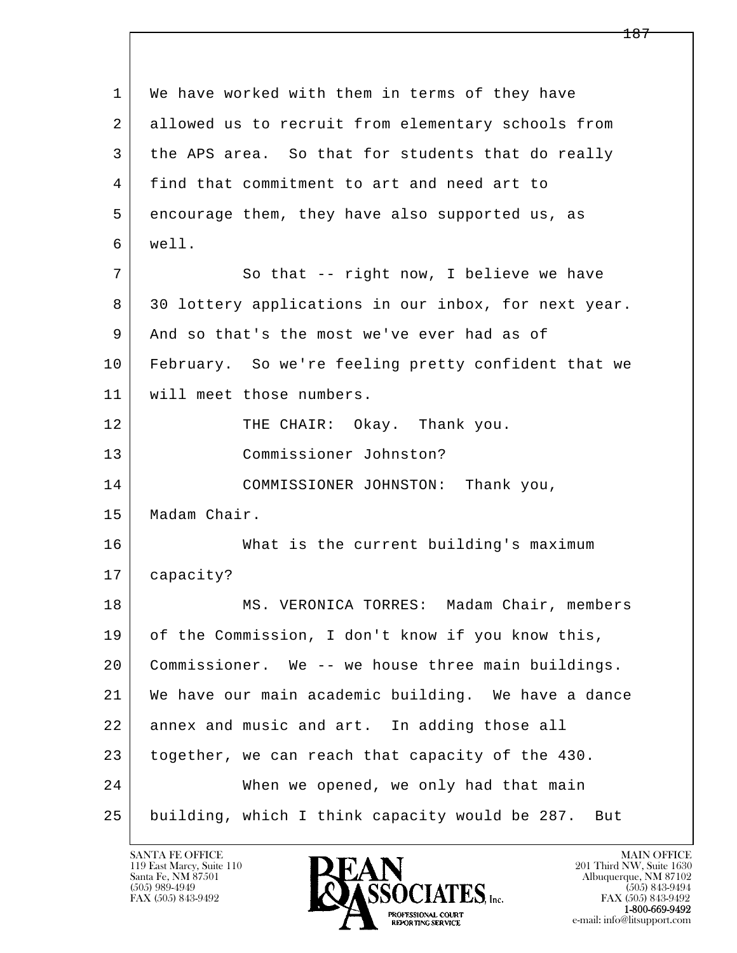| $\mathbf 1$ | We have worked with them in terms of they have        |
|-------------|-------------------------------------------------------|
| 2           | allowed us to recruit from elementary schools from    |
| 3           | the APS area. So that for students that do really     |
| 4           | find that commitment to art and need art to           |
| 5           | encourage them, they have also supported us, as       |
| 6           | well.                                                 |
| 7           | So that -- right now, I believe we have               |
| 8           | 30 lottery applications in our inbox, for next year.  |
| 9           | And so that's the most we've ever had as of           |
| 10          | February. So we're feeling pretty confident that we   |
| 11          | will meet those numbers.                              |
| 12          | THE CHAIR: Okay. Thank you.                           |
| 13          | Commissioner Johnston?                                |
| 14          | COMMISSIONER JOHNSTON: Thank you,                     |
| 15          | Madam Chair.                                          |
| 16          | What is the current building's maximum                |
| 17          | capacity?                                             |
| 18          | MS. VERONICA TORRES: Madam Chair, members             |
| 19          | of the Commission, I don't know if you know this,     |
| 20          | Commissioner. We -- we house three main buildings.    |
| 21          | We have our main academic building. We have a dance   |
| 22          | annex and music and art. In adding those all          |
| 23          | together, we can reach that capacity of the 430.      |
| 24          | When we opened, we only had that main                 |
| 25          | building, which I think capacity would be 287.<br>But |

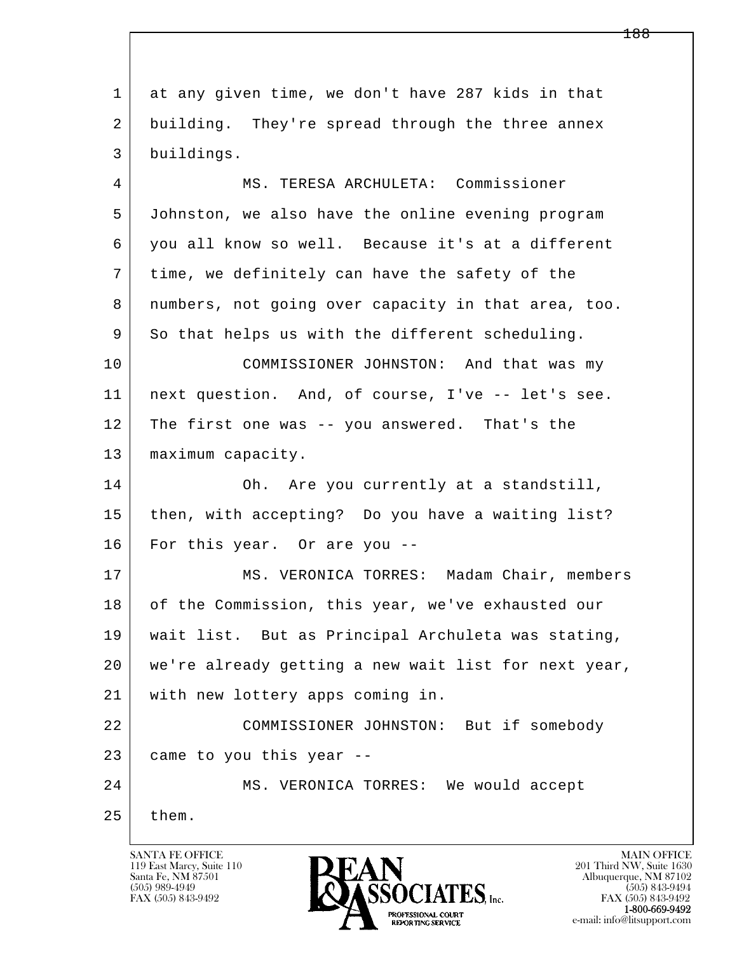l  $\overline{\phantom{a}}$  1 at any given time, we don't have 287 kids in that 2 building. They're spread through the three annex 3 buildings. 4 MS. TERESA ARCHULETA: Commissioner 5 Johnston, we also have the online evening program 6 you all know so well. Because it's at a different 7 time, we definitely can have the safety of the 8 numbers, not going over capacity in that area, too. 9 So that helps us with the different scheduling. 10 COMMISSIONER JOHNSTON: And that was my 11 next question. And, of course, I've -- let's see. 12 The first one was -- you answered. That's the 13 | maximum capacity. 14 Oh. Are you currently at a standstill, 15 | then, with accepting? Do you have a waiting list? 16 For this year. Or are you -- 17 | MS. VERONICA TORRES: Madam Chair, members 18 of the Commission, this year, we've exhausted our 19 wait list. But as Principal Archuleta was stating, 20 we're already getting a new wait list for next year, 21 with new lottery apps coming in. 22 COMMISSIONER JOHNSTON: But if somebody  $23$  came to you this year --24 | MS. VERONICA TORRES: We would accept  $25$  them.

119 East Marcy, Suite 110<br>Santa Fe, NM 87501

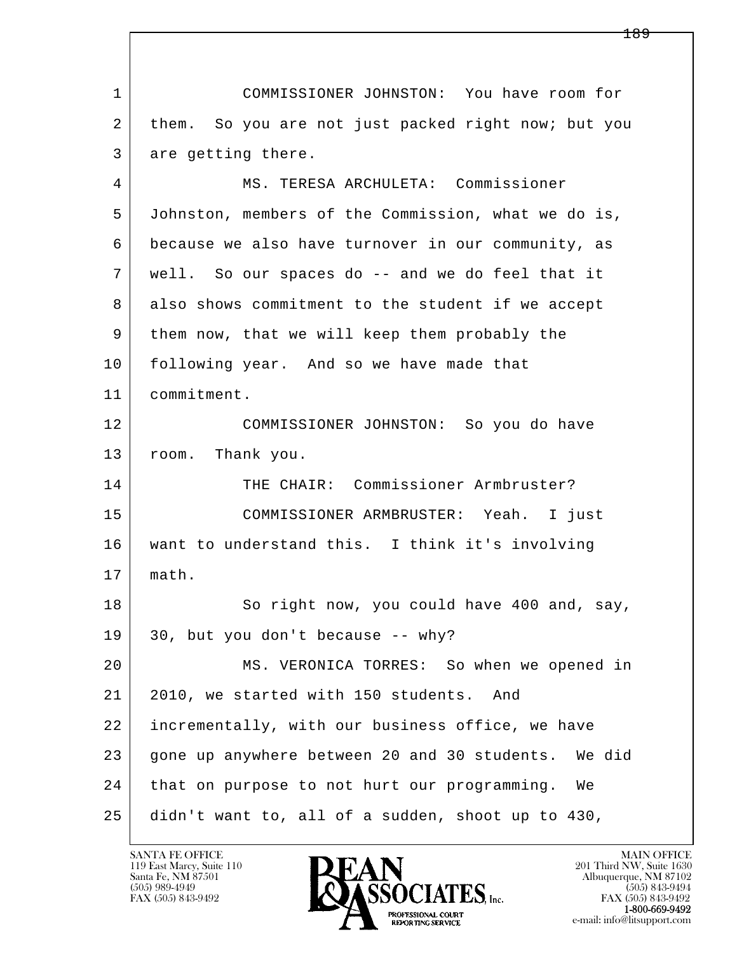l  $\overline{\phantom{a}}$  1 COMMISSIONER JOHNSTON: You have room for 2 them. So you are not just packed right now; but you 3 are getting there. 4 MS. TERESA ARCHULETA: Commissioner 5 Johnston, members of the Commission, what we do is, 6 because we also have turnover in our community, as 7 well. So our spaces do -- and we do feel that it 8 also shows commitment to the student if we accept 9 them now, that we will keep them probably the 10 following year. And so we have made that 11 commitment. 12 COMMISSIONER JOHNSTON: So you do have 13 room. Thank you. 14 THE CHAIR: Commissioner Armbruster? 15 COMMISSIONER ARMBRUSTER: Yeah. I just 16 want to understand this. I think it's involving 17 math. 18 So right now, you could have 400 and, say, 19 30, but you don't because -- why? 20 MS. VERONICA TORRES: So when we opened in 21 2010, we started with 150 students. And 22 incrementally, with our business office, we have 23 gone up anywhere between 20 and 30 students. We did 24 that on purpose to not hurt our programming. We 25 didn't want to, all of a sudden, shoot up to 430,

119 East Marcy, Suite 110<br>Santa Fe, NM 87501

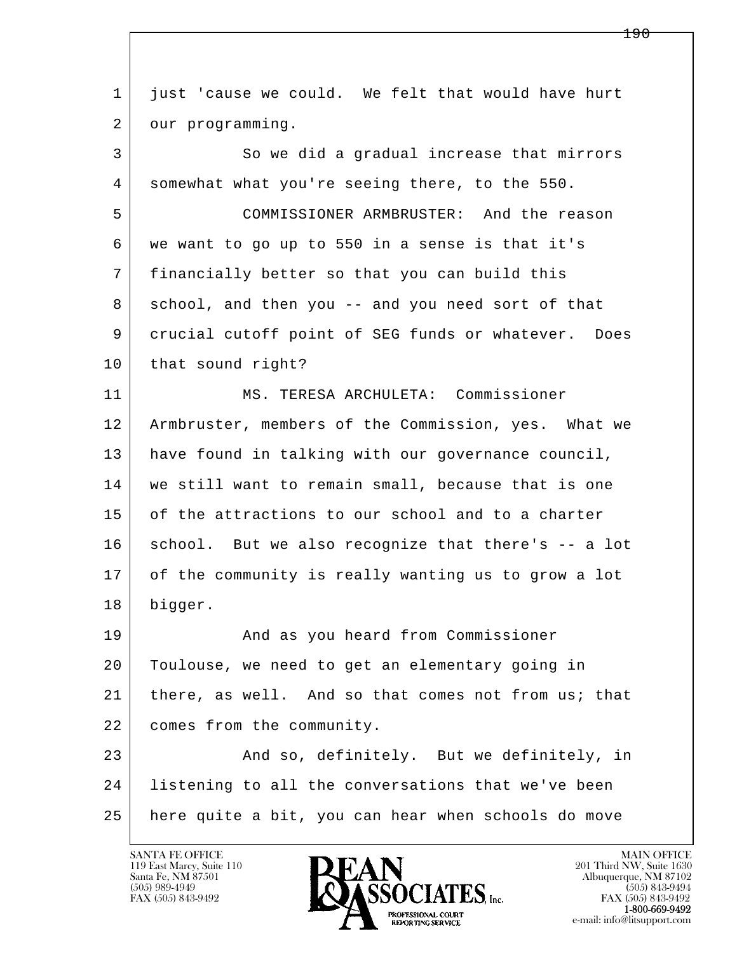l  $\overline{\phantom{a}}$  1 just 'cause we could. We felt that would have hurt 2 our programming. 3 So we did a gradual increase that mirrors 4 somewhat what you're seeing there, to the 550. 5 COMMISSIONER ARMBRUSTER: And the reason 6 we want to go up to 550 in a sense is that it's 7 financially better so that you can build this 8 school, and then you -- and you need sort of that 9 crucial cutoff point of SEG funds or whatever. Does 10 | that sound right? 11 MS. TERESA ARCHULETA: Commissioner 12 Armbruster, members of the Commission, yes. What we 13 have found in talking with our governance council, 14 | we still want to remain small, because that is one 15 of the attractions to our school and to a charter 16 school. But we also recognize that there's -- a lot 17 of the community is really wanting us to grow a lot 18 bigger. 19 | The Rand as you heard from Commissioner 20 Toulouse, we need to get an elementary going in 21 | there, as well. And so that comes not from us; that 22 comes from the community. 23 And so, definitely. But we definitely, in 24 listening to all the conversations that we've been 25 here quite a bit, you can hear when schools do move

119 East Marcy, Suite 110<br>Santa Fe, NM 87501

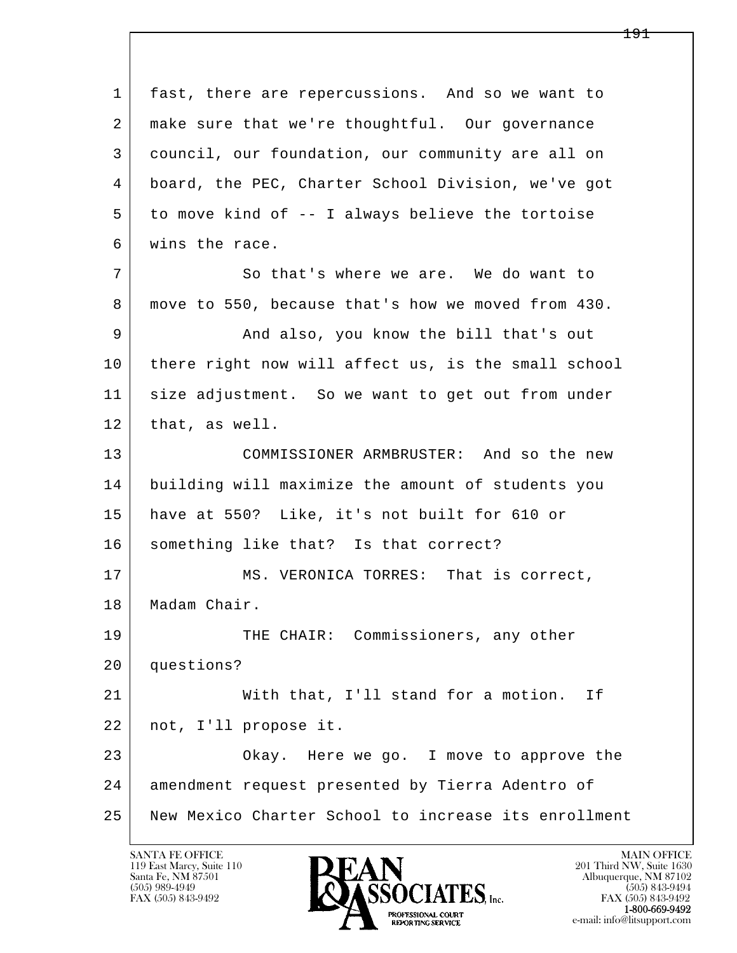l  $\overline{\phantom{a}}$  1 fast, there are repercussions. And so we want to 2 | make sure that we're thoughtful. Our governance 3 council, our foundation, our community are all on 4 board, the PEC, Charter School Division, we've got 5 to move kind of -- I always believe the tortoise 6 wins the race. 7 So that's where we are. We do want to 8 move to 550, because that's how we moved from 430. 9 And also, you know the bill that's out 10 there right now will affect us, is the small school 11 | size adjustment. So we want to get out from under 12 that, as well. 13 COMMISSIONER ARMBRUSTER: And so the new 14 building will maximize the amount of students you 15 have at 550? Like, it's not built for 610 or 16 something like that? Is that correct? 17 MS. VERONICA TORRES: That is correct, 18 | Madam Chair. 19 THE CHAIR: Commissioners, any other 20 questions? 21 | With that, I'll stand for a motion. If 22 not, I'll propose it. 23 Okay. Here we go. I move to approve the 24 amendment request presented by Tierra Adentro of 25 New Mexico Charter School to increase its enrollment

119 East Marcy, Suite 110<br>Santa Fe, NM 87501



e-mail: info@litsupport.com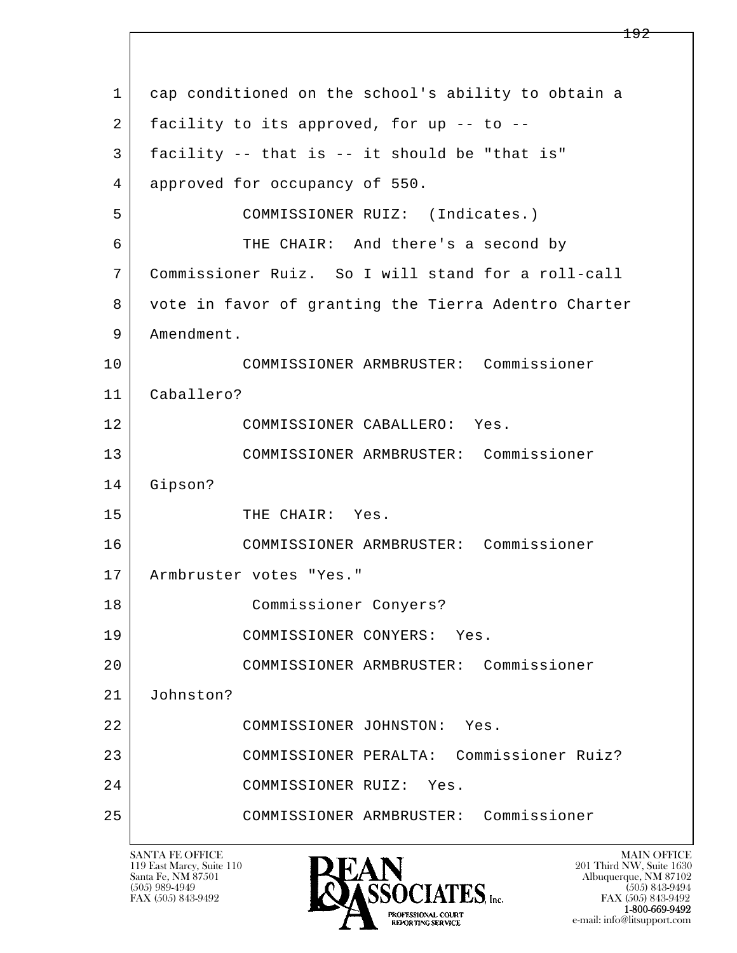| $\mathbf{1}$ | cap conditioned on the school's ability to obtain a  |
|--------------|------------------------------------------------------|
| 2            | facility to its approved, for up -- to --            |
| 3            | facility -- that is -- it should be "that is"        |
| 4            | approved for occupancy of 550.                       |
| 5            | COMMISSIONER RUIZ: (Indicates.)                      |
| 6            | THE CHAIR: And there's a second by                   |
| 7            | Commissioner Ruiz. So I will stand for a roll-call   |
| 8            | vote in favor of granting the Tierra Adentro Charter |
| 9            | Amendment.                                           |
| 10           | COMMISSIONER ARMBRUSTER: Commissioner                |
| 11           | Caballero?                                           |
| 12           | COMMISSIONER CABALLERO: Yes.                         |
| 13           | COMMISSIONER ARMBRUSTER: Commissioner                |
| 14           | Gipson?                                              |
| 15           | THE CHAIR: Yes.                                      |
| 16           | COMMISSIONER ARMBRUSTER: Commissioner                |
| 17           | Armbruster votes "Yes."                              |
| 18           | Commissioner Conyers?                                |
| 19           | COMMISSIONER CONYERS: Yes.                           |
| 20           | COMMISSIONER ARMBRUSTER: Commissioner                |
| 21           | Johnston?                                            |
| 22           | COMMISSIONER JOHNSTON:<br>Yes.                       |
| 23           | COMMISSIONER PERALTA: Commissioner Ruiz?             |
| 24           | COMMISSIONER RUIZ:<br>Yes.                           |
| 25           | Commissioner<br>COMMISSIONER ARMBRUSTER:             |
|              |                                                      |

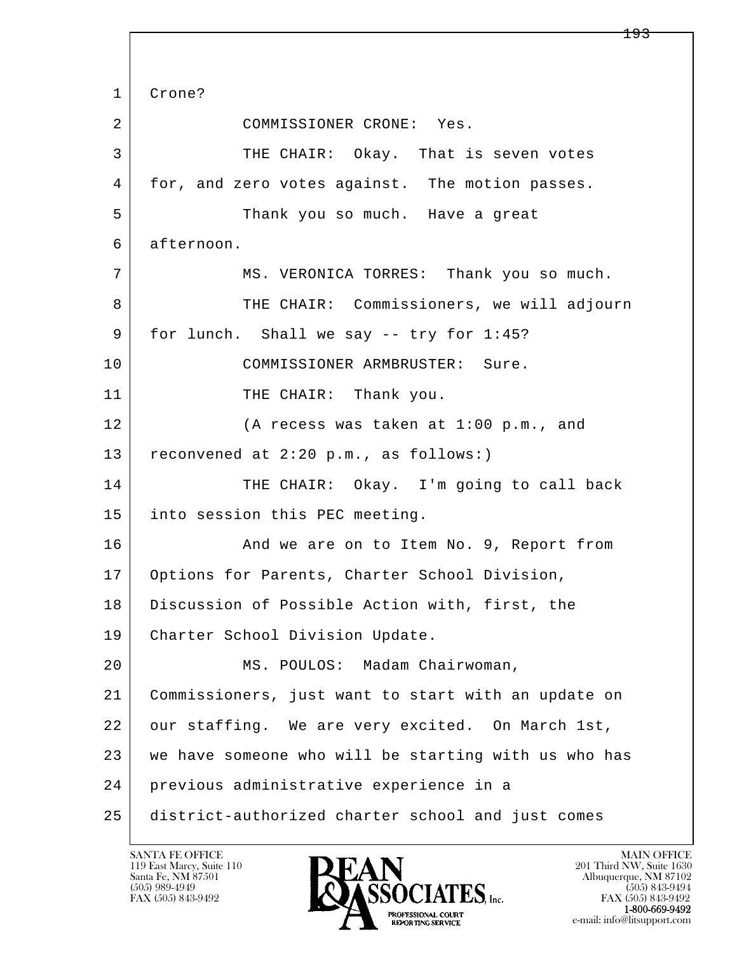l  $\overline{\phantom{a}}$  1 Crone? 2 COMMISSIONER CRONE: Yes. 3 THE CHAIR: Okay. That is seven votes 4 for, and zero votes against. The motion passes. 5 Thank you so much. Have a great 6 afternoon. 7 | MS. VERONICA TORRES: Thank you so much. 8 THE CHAIR: Commissioners, we will adjourn 9 | for lunch. Shall we say -- try for 1:45? 10 COMMISSIONER ARMBRUSTER: Sure. 11 THE CHAIR: Thank you. 12 (A recess was taken at 1:00 p.m., and 13 reconvened at 2:20 p.m., as follows:) 14 THE CHAIR: Okay. I'm going to call back 15 into session this PEC meeting. 16 And we are on to Item No. 9, Report from 17 Options for Parents, Charter School Division, 18 Discussion of Possible Action with, first, the 19 Charter School Division Update. 20 MS. POULOS: Madam Chairwoman, 21 Commissioners, just want to start with an update on 22 our staffing. We are very excited. On March 1st, 23 we have someone who will be starting with us who has 24 previous administrative experience in a 25 district-authorized charter school and just comes

119 East Marcy, Suite 110<br>Santa Fe, NM 87501

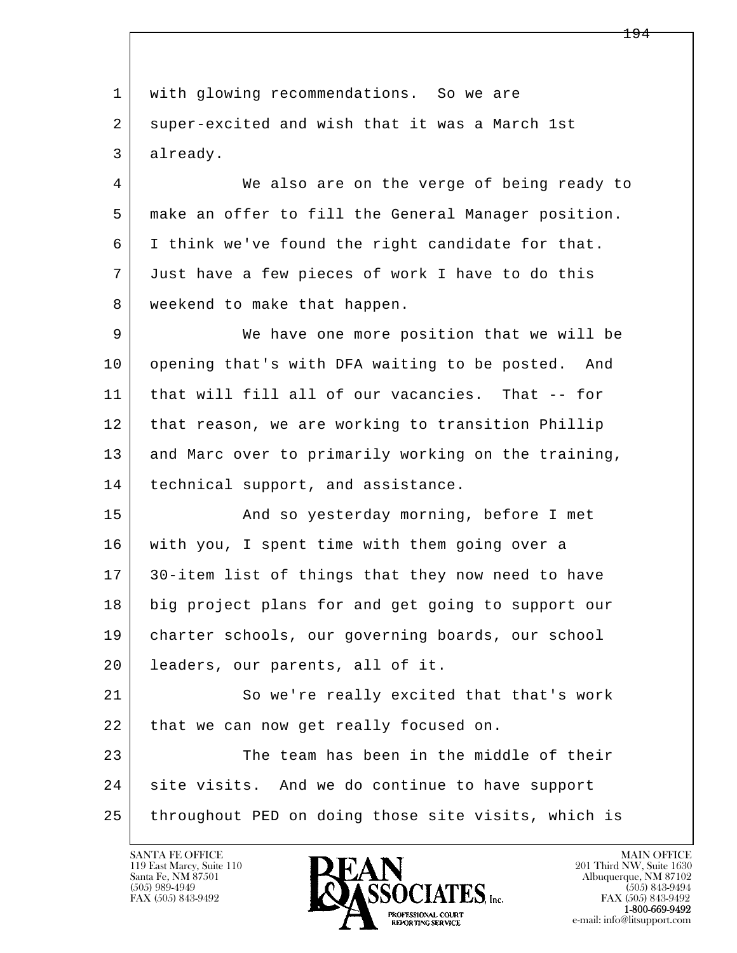l  $\overline{\phantom{a}}$  1 with glowing recommendations. So we are 2 super-excited and wish that it was a March 1st 3 already. 4 We also are on the verge of being ready to 5 make an offer to fill the General Manager position. 6 I think we've found the right candidate for that. 7 Just have a few pieces of work I have to do this 8 | weekend to make that happen. 9 We have one more position that we will be 10 opening that's with DFA waiting to be posted. And 11 that will fill all of our vacancies. That -- for 12 that reason, we are working to transition Phillip 13 and Marc over to primarily working on the training, 14 technical support, and assistance. 15 | The Mand so yesterday morning, before I met 16 with you, I spent time with them going over a 17 30-item list of things that they now need to have 18 big project plans for and get going to support our 19 charter schools, our governing boards, our school 20 leaders, our parents, all of it. 21 So we're really excited that that's work 22 | that we can now get really focused on. 23 The team has been in the middle of their 24 | site visits. And we do continue to have support 25 throughout PED on doing those site visits, which is

119 East Marcy, Suite 110<br>Santa Fe, NM 87501



FAX (505) 843-9492<br>**1-800-669-9492**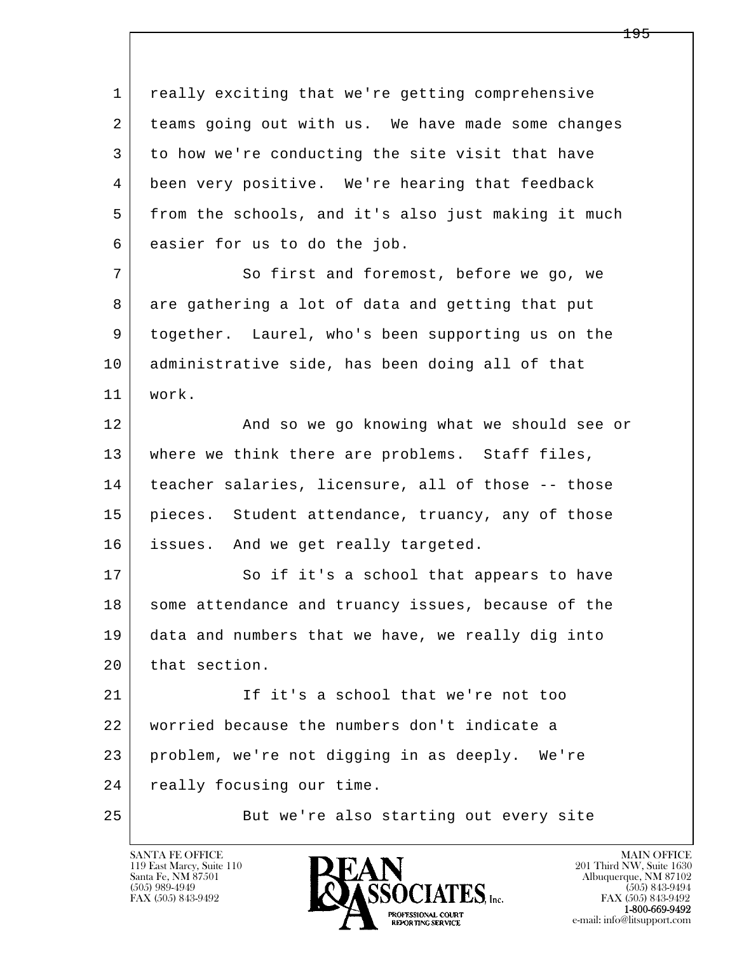l  $\overline{\phantom{a}}$  1 really exciting that we're getting comprehensive 2 teams going out with us. We have made some changes 3 to how we're conducting the site visit that have 4 been very positive. We're hearing that feedback 5 | from the schools, and it's also just making it much 6 easier for us to do the job. 7 So first and foremost, before we go, we 8 are gathering a lot of data and getting that put 9 together. Laurel, who's been supporting us on the 10 administrative side, has been doing all of that 11 work. 12 And so we go knowing what we should see or 13 | where we think there are problems. Staff files, 14 teacher salaries, licensure, all of those -- those 15 | pieces. Student attendance, truancy, any of those 16 issues. And we get really targeted. 17 So if it's a school that appears to have 18 some attendance and truancy issues, because of the 19 data and numbers that we have, we really dig into 20 that section. 21 If it's a school that we're not too 22 worried because the numbers don't indicate a 23 problem, we're not digging in as deeply. We're 24 | really focusing our time. 25 But we're also starting out every site

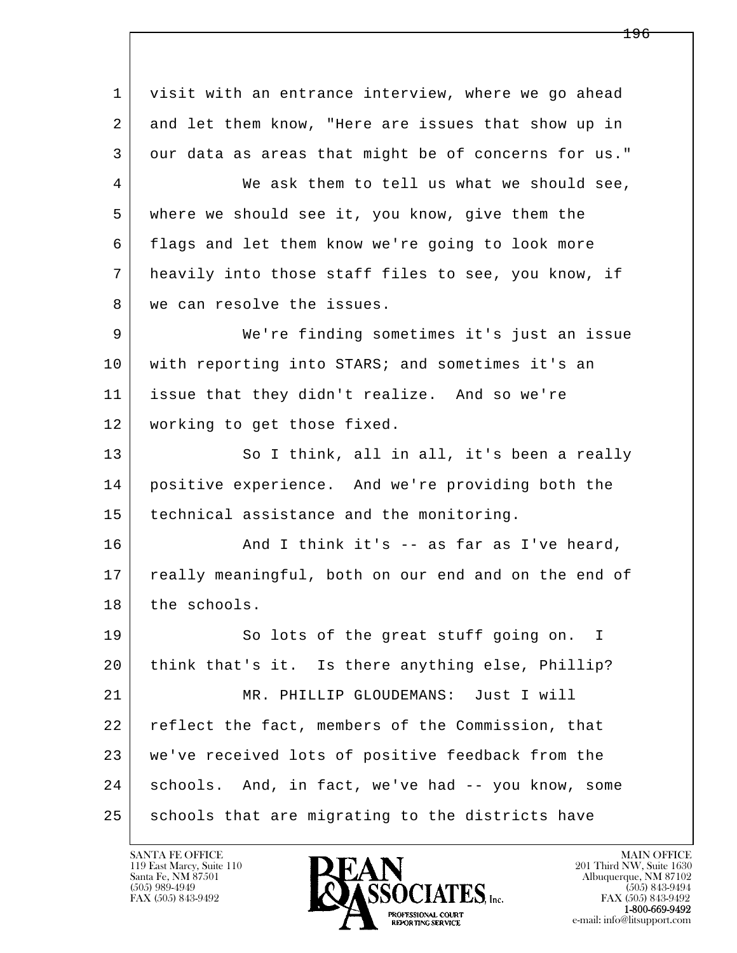l  $\overline{\phantom{a}}$  1 visit with an entrance interview, where we go ahead 2 and let them know, "Here are issues that show up in 3 our data as areas that might be of concerns for us." 4 We ask them to tell us what we should see, 5 where we should see it, you know, give them the 6 flags and let them know we're going to look more 7 heavily into those staff files to see, you know, if 8 | we can resolve the issues. 9 We're finding sometimes it's just an issue 10 with reporting into STARS; and sometimes it's an 11 issue that they didn't realize. And so we're 12 working to get those fixed. 13 So I think, all in all, it's been a really 14 positive experience. And we're providing both the 15 technical assistance and the monitoring. 16 And I think it's -- as far as I've heard, 17 really meaningful, both on our end and on the end of 18 the schools. 19 So lots of the great stuff going on. I 20 think that's it. Is there anything else, Phillip? 21 | MR. PHILLIP GLOUDEMANS: Just I will 22 reflect the fact, members of the Commission, that 23 we've received lots of positive feedback from the 24 schools. And, in fact, we've had -- you know, some 25 schools that are migrating to the districts have

119 East Marcy, Suite 110<br>Santa Fe, NM 87501

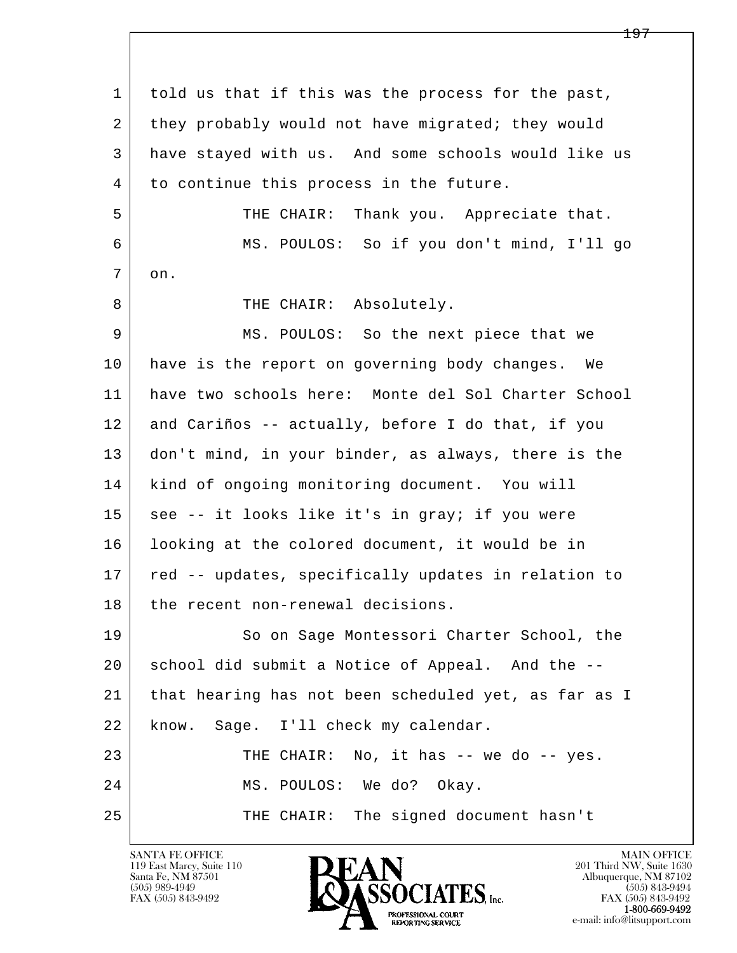l  $\overline{\phantom{a}}$  1 told us that if this was the process for the past, 2 they probably would not have migrated; they would 3 have stayed with us. And some schools would like us 4 to continue this process in the future. 5 THE CHAIR: Thank you. Appreciate that. 6 MS. POULOS: So if you don't mind, I'll go 7 on. 8 | THE CHAIR: Absolutely. 9 MS. POULOS: So the next piece that we 10 have is the report on governing body changes. We 11 have two schools here: Monte del Sol Charter School 12 and Cariños -- actually, before I do that, if you 13 don't mind, in your binder, as always, there is the 14 kind of ongoing monitoring document. You will 15 | see -- it looks like it's in gray; if you were 16 looking at the colored document, it would be in 17 | red -- updates, specifically updates in relation to 18 the recent non-renewal decisions. 19 So on Sage Montessori Charter School, the 20 school did submit a Notice of Appeal. And the -- 21 that hearing has not been scheduled yet, as far as I 22 | know. Sage. I'll check my calendar. 23 THE CHAIR: No, it has -- we do -- yes. 24 MS. POULOS: We do? Okay. 25 THE CHAIR: The signed document hasn't

119 East Marcy, Suite 110<br>Santa Fe, NM 87501



FAX (505) 843-9492<br>**1-800-669-9492**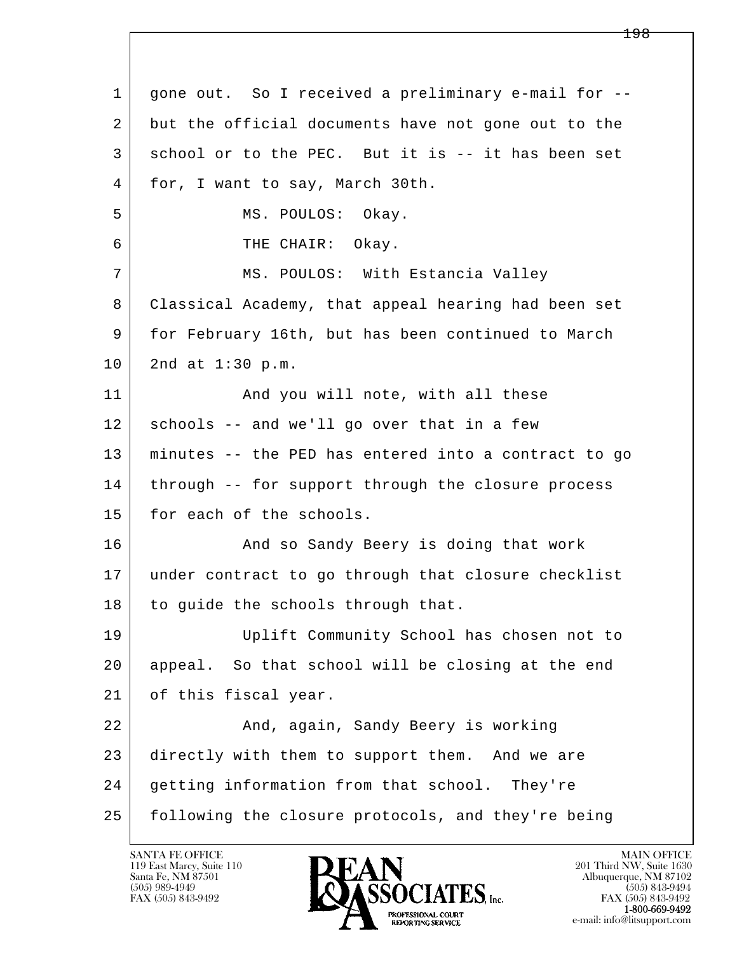| $\mathbf{1}$ | gone out. So I received a preliminary e-mail for --  |
|--------------|------------------------------------------------------|
| 2            | but the official documents have not gone out to the  |
| 3            | school or to the PEC. But it is -- it has been set   |
| 4            | for, I want to say, March 30th.                      |
| 5            | MS. POULOS: Okay.                                    |
| 6            | THE CHAIR: Okay.                                     |
| 7            | MS. POULOS: With Estancia Valley                     |
| 8            | Classical Academy, that appeal hearing had been set  |
| 9            | for February 16th, but has been continued to March   |
| 10           | 2nd at 1:30 p.m.                                     |
| 11           | And you will note, with all these                    |
| 12           | schools -- and we'll go over that in a few           |
| 13           | minutes -- the PED has entered into a contract to go |
| 14           | through -- for support through the closure process   |
| 15           | for each of the schools.                             |
| 16           | And so Sandy Beery is doing that work                |
| 17           | under contract to go through that closure checklist  |
| 18           | to guide the schools through that.                   |
| 19           | Uplift Community School has chosen not to            |
| 20           | appeal. So that school will be closing at the end    |
| 21           | of this fiscal year.                                 |
| 22           | And, again, Sandy Beery is working                   |
| 23           | directly with them to support them. And we are       |
| 24           | getting information from that school.<br>They're     |
| 25           | following the closure protocols, and they're being   |

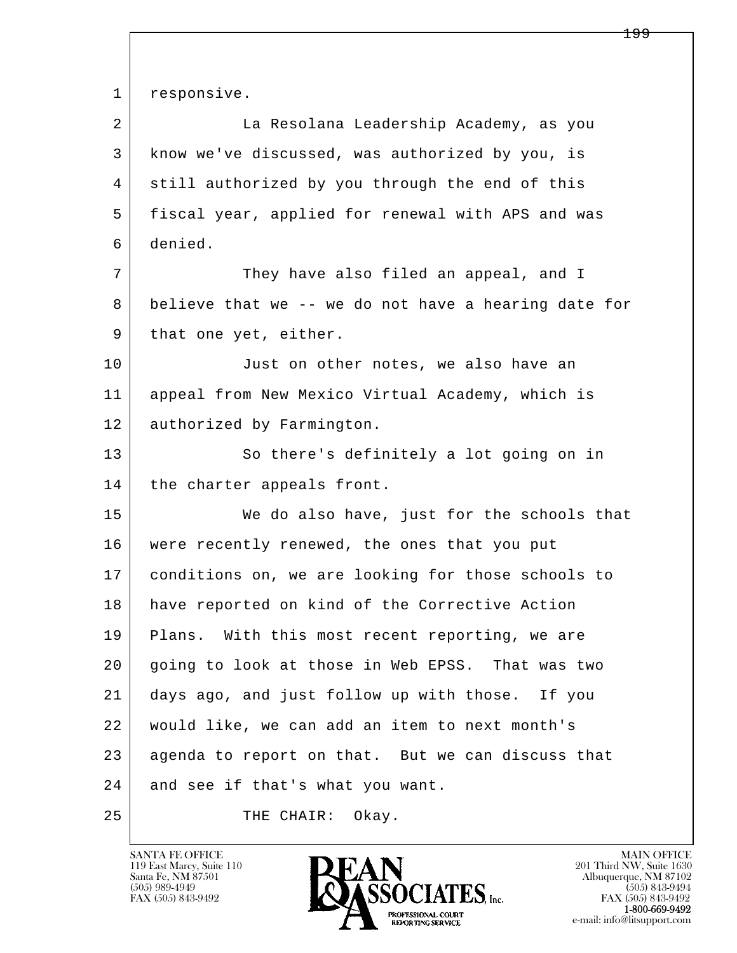l  $\overline{\phantom{a}}$ 1 responsive. 2 La Resolana Leadership Academy, as you 3 know we've discussed, was authorized by you, is 4 still authorized by you through the end of this 5 fiscal year, applied for renewal with APS and was 6 denied. 7 They have also filed an appeal, and I 8 believe that we -- we do not have a hearing date for 9 | that one yet, either. 10 Just on other notes, we also have an 11 appeal from New Mexico Virtual Academy, which is 12 | authorized by Farmington. 13 So there's definitely a lot going on in 14 | the charter appeals front. 15 We do also have, just for the schools that 16 were recently renewed, the ones that you put 17 conditions on, we are looking for those schools to 18 have reported on kind of the Corrective Action 19 | Plans. With this most recent reporting, we are 20 going to look at those in Web EPSS. That was two 21 days ago, and just follow up with those. If you 22 would like, we can add an item to next month's 23 agenda to report on that. But we can discuss that 24 and see if that's what you want. 25 THE CHAIR: Okay.

119 East Marcy, Suite 110<br>Santa Fe, NM 87501



FAX (505) 843-9492<br>**1-800-669-9492**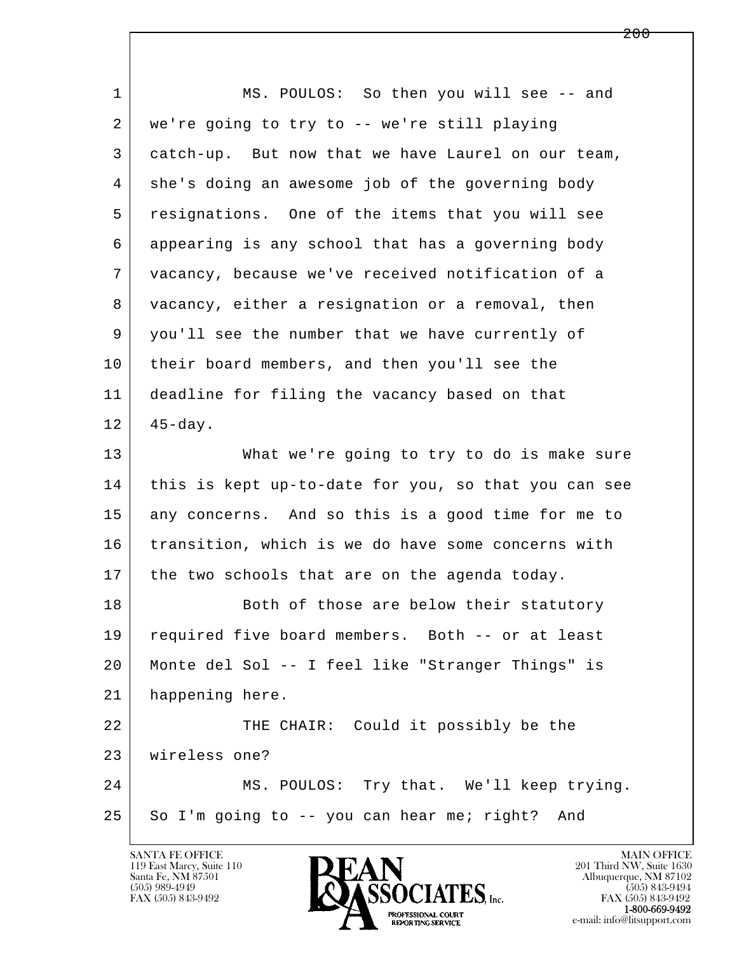l  $\overline{\phantom{a}}$ 1 MS. POULOS: So then you will see -- and 2 we're going to try to -- we're still playing 3 catch-up. But now that we have Laurel on our team, 4 she's doing an awesome job of the governing body 5 resignations. One of the items that you will see 6 appearing is any school that has a governing body 7 vacancy, because we've received notification of a 8 vacancy, either a resignation or a removal, then 9 you'll see the number that we have currently of 10 their board members, and then you'll see the 11 deadline for filing the vacancy based on that  $12$  45-day. 13 What we're going to try to do is make sure 14 this is kept up-to-date for you, so that you can see 15 any concerns. And so this is a good time for me to 16 transition, which is we do have some concerns with  $17$  the two schools that are on the agenda today. 18 Both of those are below their statutory 19 required five board members. Both -- or at least 20 Monte del Sol -- I feel like "Stranger Things" is 21 happening here. 22 THE CHAIR: Could it possibly be the 23 wireless one? 24 MS. POULOS: Try that. We'll keep trying.  $25$  So I'm going to  $-$ - you can hear me; right? And



FAX (505) 843-9492<br>**1-800-669-9492**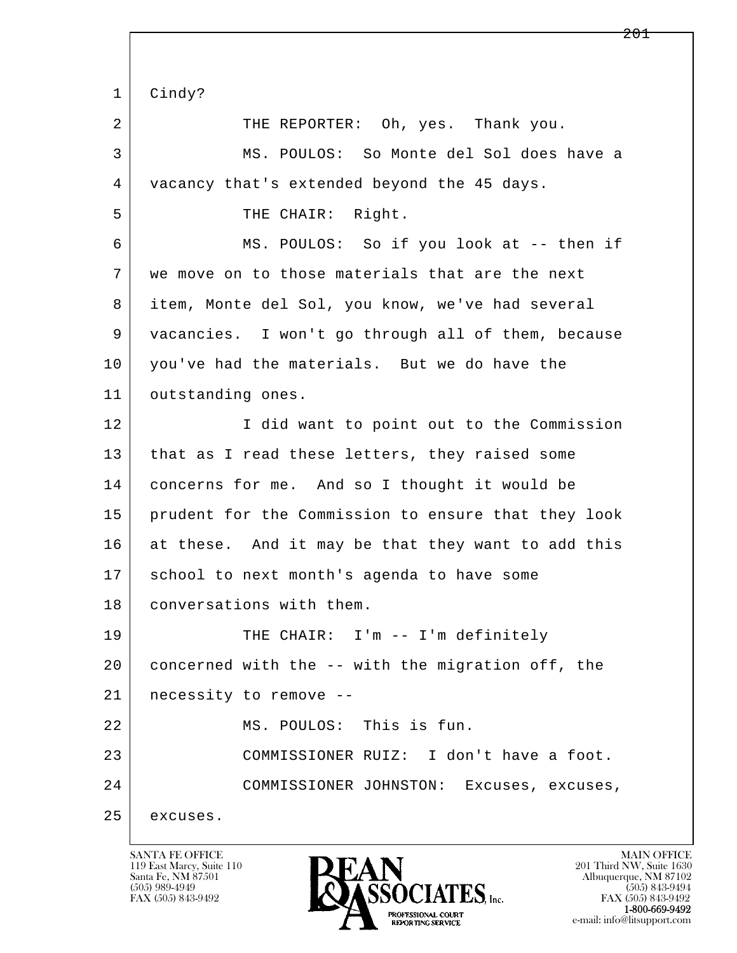l  $\overline{\phantom{a}}$  1 Cindy? 2 THE REPORTER: Oh, yes. Thank you. 3 MS. POULOS: So Monte del Sol does have a 4 vacancy that's extended beyond the 45 days. 5 | THE CHAIR: Right. 6 MS. POULOS: So if you look at -- then if 7 we move on to those materials that are the next 8 item, Monte del Sol, you know, we've had several 9 vacancies. I won't go through all of them, because 10 you've had the materials. But we do have the 11 outstanding ones. 12 I did want to point out to the Commission 13 that as I read these letters, they raised some 14 concerns for me. And so I thought it would be 15 prudent for the Commission to ensure that they look 16 at these. And it may be that they want to add this 17 | school to next month's agenda to have some 18 conversations with them. 19 | THE CHAIR: I'm -- I'm definitely 20 concerned with the -- with the migration off, the 21 necessity to remove -- 22 MS. POULOS: This is fun. 23 COMMISSIONER RUIZ: I don't have a foot. 24 COMMISSIONER JOHNSTON: Excuses, excuses, 25 excuses.

119 East Marcy, Suite 110<br>Santa Fe, NM 87501

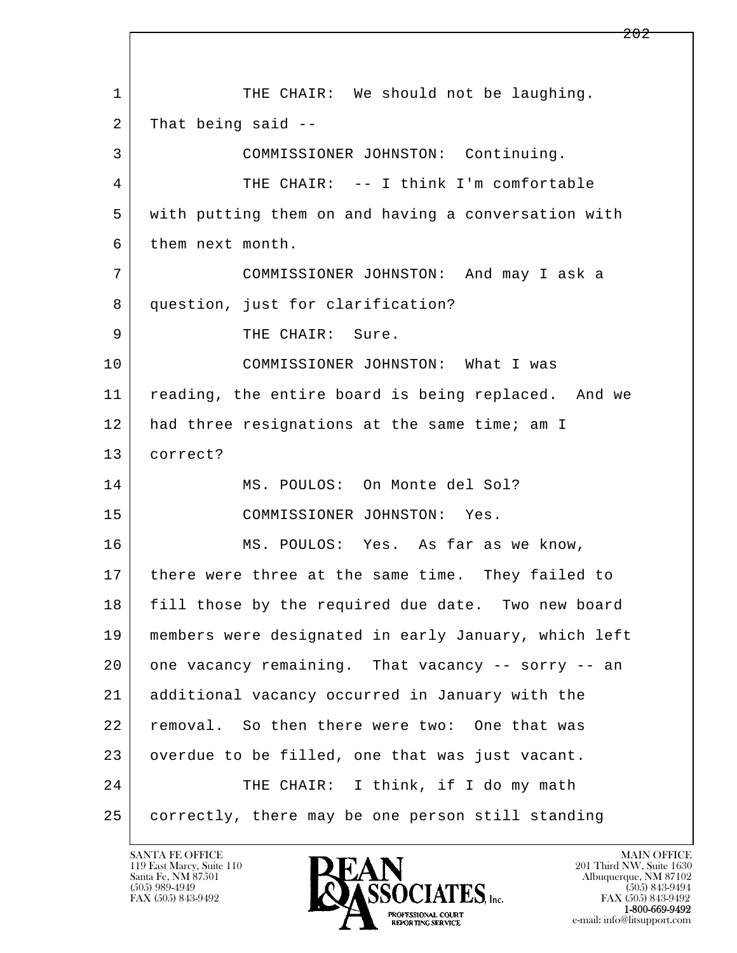l  $\overline{\phantom{a}}$ 1 THE CHAIR: We should not be laughing.  $2$  That being said  $-$  3 COMMISSIONER JOHNSTON: Continuing. 4 THE CHAIR: -- I think I'm comfortable 5 with putting them on and having a conversation with 6 them next month. 7 COMMISSIONER JOHNSTON: And may I ask a 8 question, just for clarification? 9 | THE CHAIR: Sure. 10 COMMISSIONER JOHNSTON: What I was 11 | reading, the entire board is being replaced. And we 12 had three resignations at the same time; am I 13 correct? 14 MS. POULOS: On Monte del Sol? 15 COMMISSIONER JOHNSTON: Yes. 16 MS. POULOS: Yes. As far as we know, 17 there were three at the same time. They failed to 18 fill those by the required due date. Two new board 19 members were designated in early January, which left 20 one vacancy remaining. That vacancy -- sorry -- an 21 additional vacancy occurred in January with the 22 removal. So then there were two: One that was 23 overdue to be filled, one that was just vacant. 24 THE CHAIR: I think, if I do my math 25 correctly, there may be one person still standing

119 East Marcy, Suite 110<br>Santa Fe, NM 87501



FAX (505) 843-9492<br>1-800-669-9492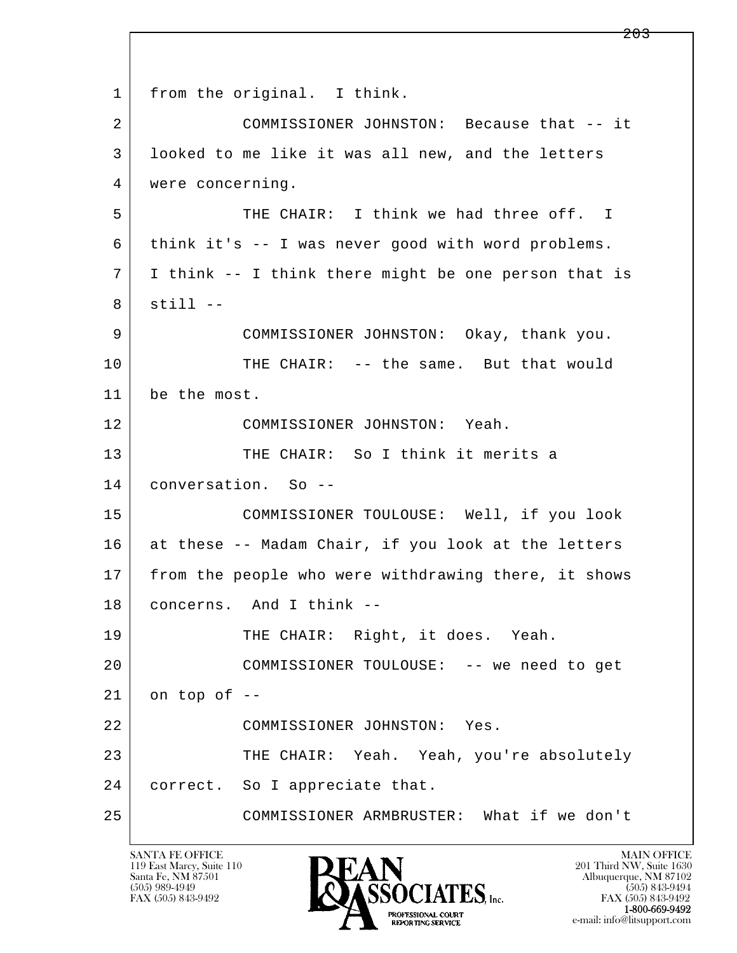l  $\overline{\phantom{a}}$  1 from the original. I think. 2 COMMISSIONER JOHNSTON: Because that -- it 3 looked to me like it was all new, and the letters 4 | were concerning. 5 THE CHAIR: I think we had three off. I 6 think it's -- I was never good with word problems. 7 I think -- I think there might be one person that is  $8$  still  $-$  9 COMMISSIONER JOHNSTON: Okay, thank you. 10 THE CHAIR: -- the same. But that would 11 be the most. 12 COMMISSIONER JOHNSTON: Yeah. 13 THE CHAIR: So I think it merits a 14 conversation. So -- 15 COMMISSIONER TOULOUSE: Well, if you look 16 at these -- Madam Chair, if you look at the letters 17 from the people who were withdrawing there, it shows 18 concerns. And I think -- 19 THE CHAIR: Right, it does. Yeah. 20 COMMISSIONER TOULOUSE: -- we need to get  $21$  on top of  $-$  22 COMMISSIONER JOHNSTON: Yes. 23 THE CHAIR: Yeah. Yeah, you're absolutely 24 | correct. So I appreciate that. 25 COMMISSIONER ARMBRUSTER: What if we don't

119 East Marcy, Suite 110<br>Santa Fe, NM 87501

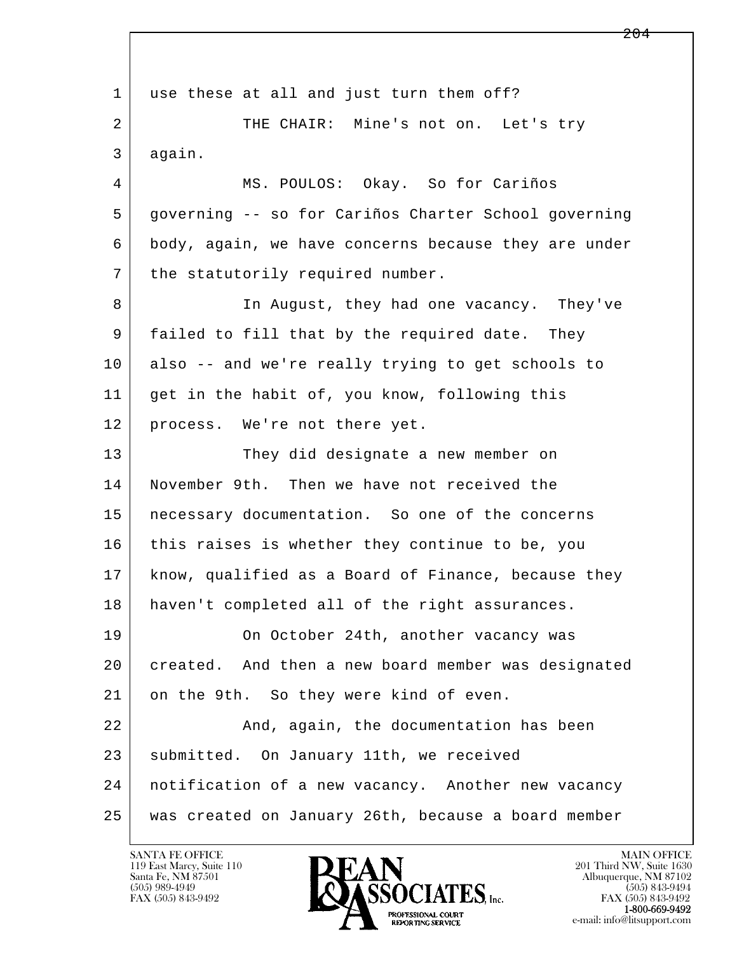l  $\overline{\phantom{a}}$ 1 use these at all and just turn them off? 2 THE CHAIR: Mine's not on. Let's try 3 again. 4 MS. POULOS: Okay. So for Cariños 5 governing -- so for Cariños Charter School governing 6 body, again, we have concerns because they are under 7 | the statutorily required number. 8 In August, they had one vacancy. They've 9 failed to fill that by the required date. They 10 also -- and we're really trying to get schools to 11 get in the habit of, you know, following this 12 | process. We're not there yet. 13 They did designate a new member on 14 November 9th. Then we have not received the 15 | necessary documentation. So one of the concerns 16 this raises is whether they continue to be, you 17 know, qualified as a Board of Finance, because they 18 | haven't completed all of the right assurances. 19 On October 24th, another vacancy was 20 created. And then a new board member was designated 21 on the 9th. So they were kind of even. 22 And, again, the documentation has been 23 | submitted. On January 11th, we received 24 notification of a new vacancy. Another new vacancy 25 was created on January 26th, because a board member

119 East Marcy, Suite 110<br>Santa Fe, NM 87501

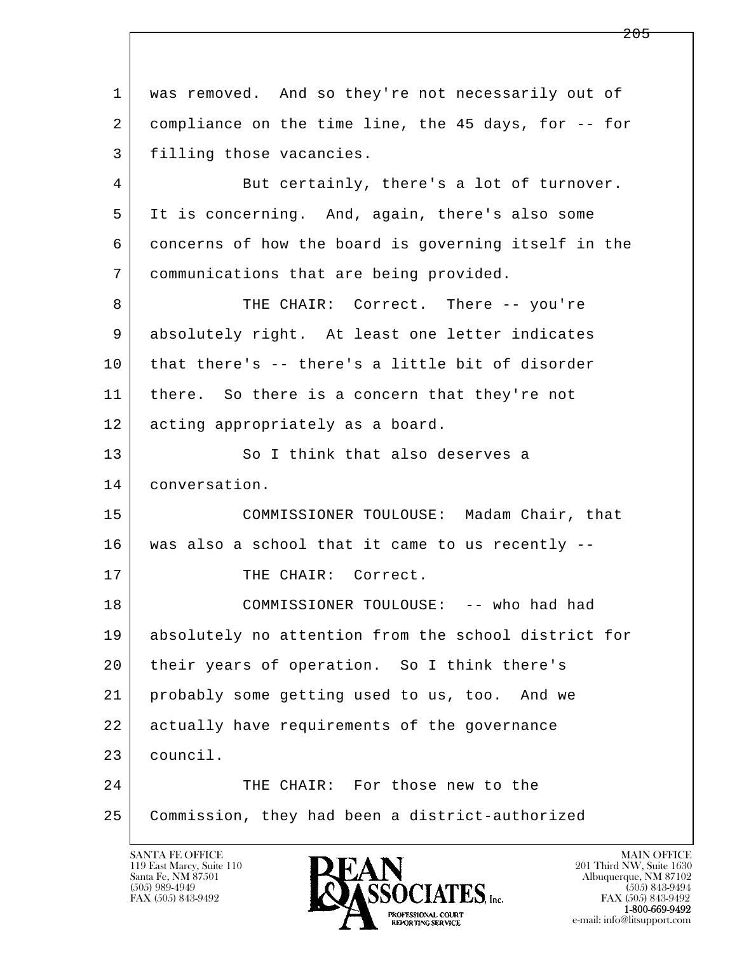l  $\overline{\phantom{a}}$  1 was removed. And so they're not necessarily out of 2 compliance on the time line, the 45 days, for -- for 3 filling those vacancies. 4 But certainly, there's a lot of turnover. 5 It is concerning. And, again, there's also some 6 concerns of how the board is governing itself in the 7 communications that are being provided. 8 THE CHAIR: Correct. There -- you're 9 absolutely right. At least one letter indicates 10 that there's -- there's a little bit of disorder 11 | there. So there is a concern that they're not 12 | acting appropriately as a board. 13 So I think that also deserves a 14 conversation. 15 COMMISSIONER TOULOUSE: Madam Chair, that 16 was also a school that it came to us recently -- 17 THE CHAIR: Correct. 18 COMMISSIONER TOULOUSE: -- who had had 19 absolutely no attention from the school district for 20 their years of operation. So I think there's 21 probably some getting used to us, too. And we 22 actually have requirements of the governance 23 council. 24 THE CHAIR: For those new to the 25 Commission, they had been a district-authorized

119 East Marcy, Suite 110<br>Santa Fe, NM 87501



FAX (505) 843-9492<br>1-800-669-9492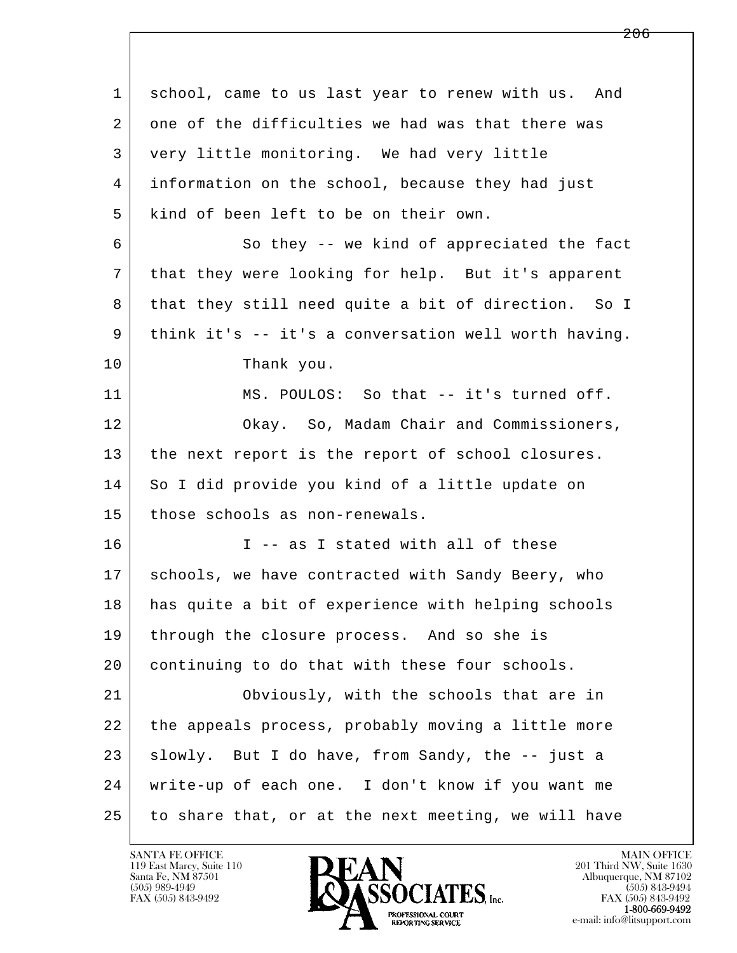l  $\overline{\phantom{a}}$  1 school, came to us last year to renew with us. And 2 one of the difficulties we had was that there was 3 very little monitoring. We had very little 4 information on the school, because they had just 5 kind of been left to be on their own. 6 So they -- we kind of appreciated the fact 7 that they were looking for help. But it's apparent 8 that they still need quite a bit of direction. So I 9 think it's -- it's a conversation well worth having. 10 Thank you. 11 MS. POULOS: So that -- it's turned off. 12 Okay. So, Madam Chair and Commissioners, 13 the next report is the report of school closures. 14 So I did provide you kind of a little update on 15 those schools as non-renewals.  $16$  I -- as I stated with all of these 17 | schools, we have contracted with Sandy Beery, who 18 has quite a bit of experience with helping schools 19 | through the closure process. And so she is 20 continuing to do that with these four schools. 21 Obviously, with the schools that are in 22 the appeals process, probably moving a little more 23 Slowly. But I do have, from Sandy, the -- just a 24 write-up of each one. I don't know if you want me 25 to share that, or at the next meeting, we will have

119 East Marcy, Suite 110<br>Santa Fe, NM 87501



FAX (505) 843-9492<br>**1-800-669-9492**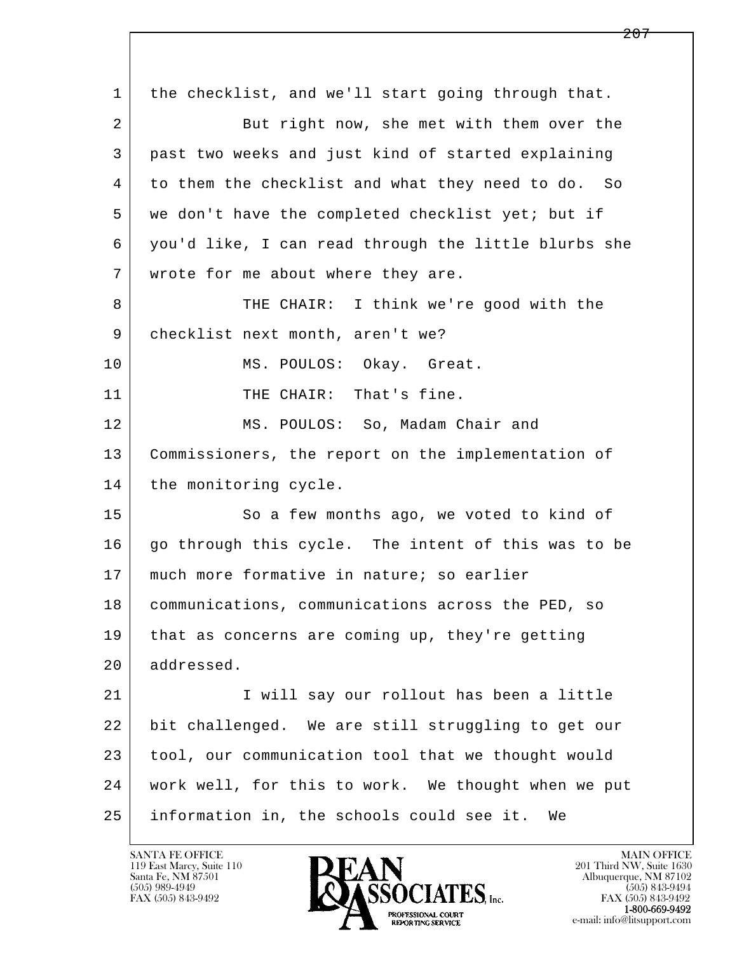l  $\overline{\phantom{a}}$  1 the checklist, and we'll start going through that. 2 But right now, she met with them over the 3 past two weeks and just kind of started explaining 4 to them the checklist and what they need to do. So 5 we don't have the completed checklist yet; but if 6 you'd like, I can read through the little blurbs she 7 wrote for me about where they are. 8 THE CHAIR: I think we're good with the 9 checklist next month, aren't we? 10 MS. POULOS: Okay. Great. 11 | THE CHAIR: That's fine. 12 MS. POULOS: So, Madam Chair and 13 Commissioners, the report on the implementation of 14 the monitoring cycle. 15 | So a few months ago, we voted to kind of 16 | go through this cycle. The intent of this was to be 17 | much more formative in nature; so earlier 18 communications, communications across the PED, so 19 | that as concerns are coming up, they're getting 20 addressed. 21 I will say our rollout has been a little 22 bit challenged. We are still struggling to get our 23 tool, our communication tool that we thought would 24 work well, for this to work. We thought when we put 25 information in, the schools could see it. We

119 East Marcy, Suite 110<br>Santa Fe, NM 87501

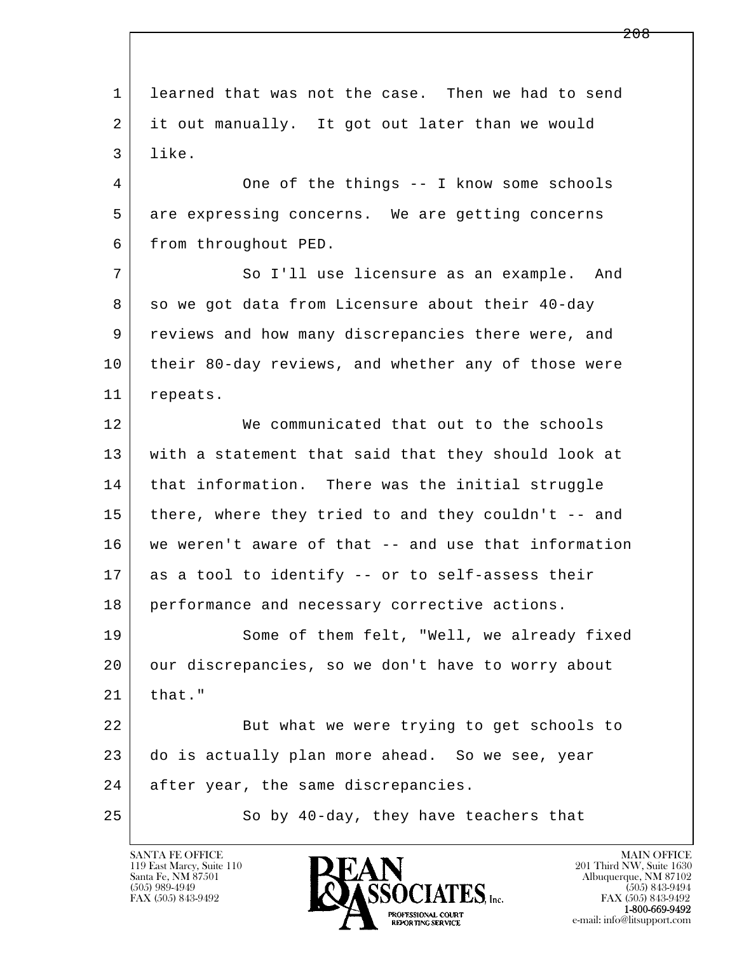l  $\overline{\phantom{a}}$  1 learned that was not the case. Then we had to send 2 it out manually. It got out later than we would 3 like. 4 One of the things -- I know some schools 5 are expressing concerns. We are getting concerns 6 from throughout PED. 7 So I'll use licensure as an example. And 8 so we got data from Licensure about their 40-day 9 reviews and how many discrepancies there were, and 10 their 80-day reviews, and whether any of those were 11 repeats. 12 We communicated that out to the schools 13 with a statement that said that they should look at 14 | that information. There was the initial struggle 15 there, where they tried to and they couldn't -- and 16 we weren't aware of that -- and use that information 17 as a tool to identify -- or to self-assess their 18 performance and necessary corrective actions. 19 Some of them felt, "Well, we already fixed 20 our discrepancies, so we don't have to worry about  $21$  that." 22 But what we were trying to get schools to 23 do is actually plan more ahead. So we see, year 24 after year, the same discrepancies. 25 So by 40-day, they have teachers that

119 East Marcy, Suite 110<br>Santa Fe, NM 87501



FAX (505) 843-9492<br>1-800-669-9492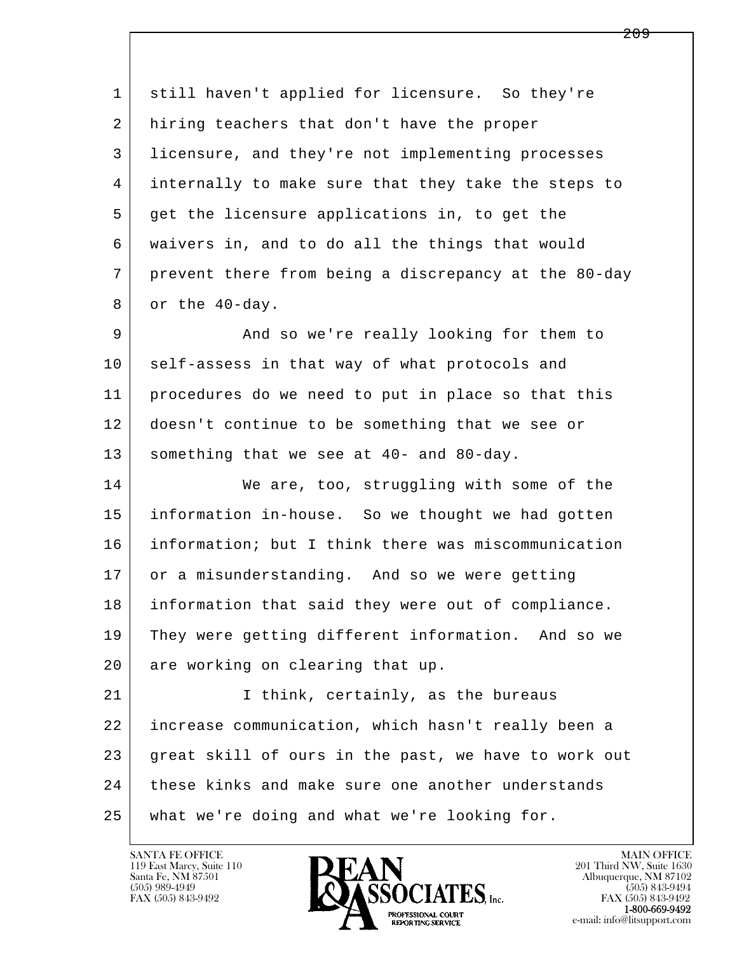l  $\overline{\phantom{a}}$  1 still haven't applied for licensure. So they're 2 hiring teachers that don't have the proper 3 licensure, and they're not implementing processes 4 internally to make sure that they take the steps to 5 get the licensure applications in, to get the 6 waivers in, and to do all the things that would 7 prevent there from being a discrepancy at the 80-day 8 or the 40-day. 9 And so we're really looking for them to 10 self-assess in that way of what protocols and 11 procedures do we need to put in place so that this 12 doesn't continue to be something that we see or 13 something that we see at 40- and 80-day. 14 We are, too, struggling with some of the 15 information in-house. So we thought we had gotten 16 information; but I think there was miscommunication 17 or a misunderstanding. And so we were getting 18 information that said they were out of compliance. 19 They were getting different information. And so we 20 are working on clearing that up. 21 | Think, certainly, as the bureaus 22 increase communication, which hasn't really been a 23 great skill of ours in the past, we have to work out 24 these kinks and make sure one another understands 25 what we're doing and what we're looking for.

119 East Marcy, Suite 110<br>Santa Fe, NM 87501

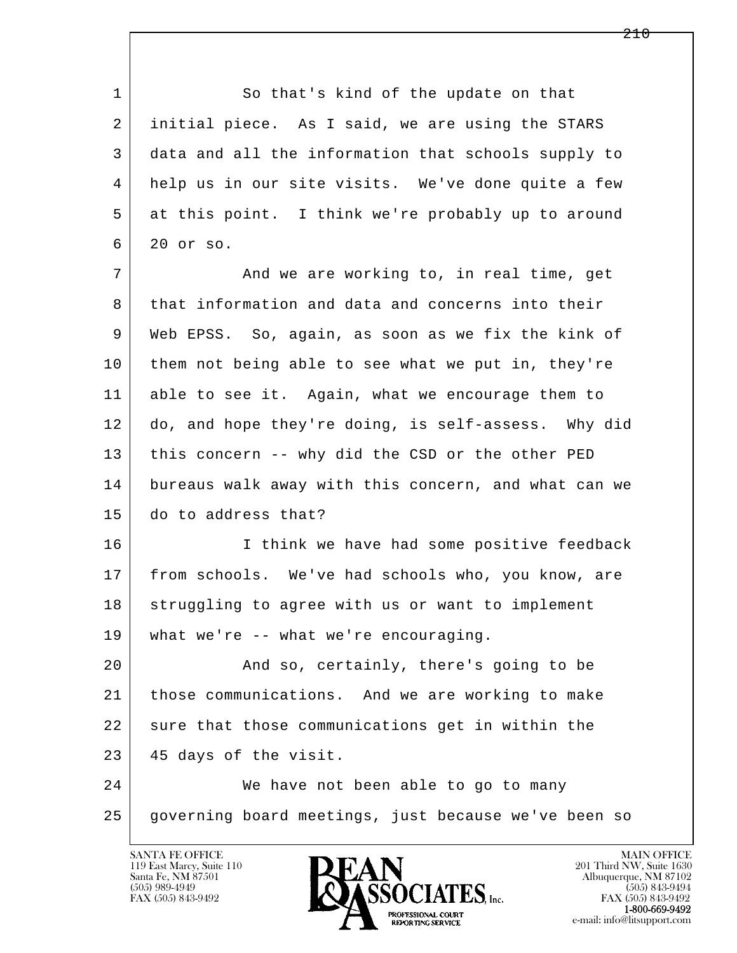1 So that's kind of the update on that 2 initial piece. As I said, we are using the STARS 3 data and all the information that schools supply to 4 help us in our site visits. We've done quite a few 5 at this point. I think we're probably up to around 6 20 or so.

7 And we are working to, in real time, get 8 that information and data and concerns into their 9 Web EPSS. So, again, as soon as we fix the kink of 10 them not being able to see what we put in, they're 11 able to see it. Again, what we encourage them to 12 do, and hope they're doing, is self-assess. Why did 13 this concern -- why did the CSD or the other PED 14 bureaus walk away with this concern, and what can we 15 do to address that?

16 I think we have had some positive feedback 17 from schools. We've had schools who, you know, are 18 struggling to agree with us or want to implement 19 what we're -- what we're encouraging.

 20 And so, certainly, there's going to be 21 those communications. And we are working to make 22 sure that those communications get in within the 23 45 days of the visit.

l  $\overline{\phantom{a}}$ 24 We have not been able to go to many 25 governing board meetings, just because we've been so

119 East Marcy, Suite 110<br>Santa Fe, NM 87501



FAX (505) 843-9492<br>1-800-669-9492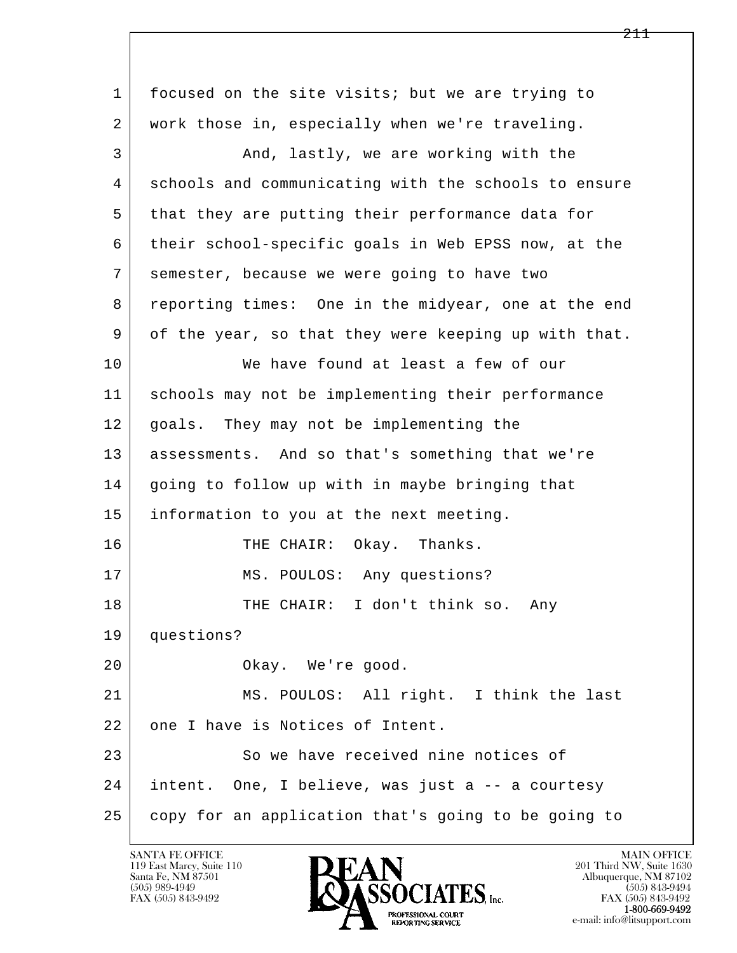l  $\overline{\phantom{a}}$  1 focused on the site visits; but we are trying to 2 work those in, especially when we're traveling. 3 And, lastly, we are working with the 4 schools and communicating with the schools to ensure 5 that they are putting their performance data for 6 their school-specific goals in Web EPSS now, at the 7 semester, because we were going to have two 8 reporting times: One in the midyear, one at the end 9 of the year, so that they were keeping up with that. 10 We have found at least a few of our 11 schools may not be implementing their performance 12 goals. They may not be implementing the 13 assessments. And so that's something that we're 14 | going to follow up with in maybe bringing that 15 information to you at the next meeting. 16 THE CHAIR: Okay. Thanks. 17 | MS. POULOS: Any questions? 18 THE CHAIR: I don't think so. Any 19 questions? 20 Okay. We're good. 21 MS. POULOS: All right. I think the last 22 one I have is Notices of Intent. 23 So we have received nine notices of 24 intent. One, I believe, was just a -- a courtesy 25 copy for an application that's going to be going to

119 East Marcy, Suite 110<br>Santa Fe, NM 87501



FAX (505) 843-9492<br>**1-800-669-9492**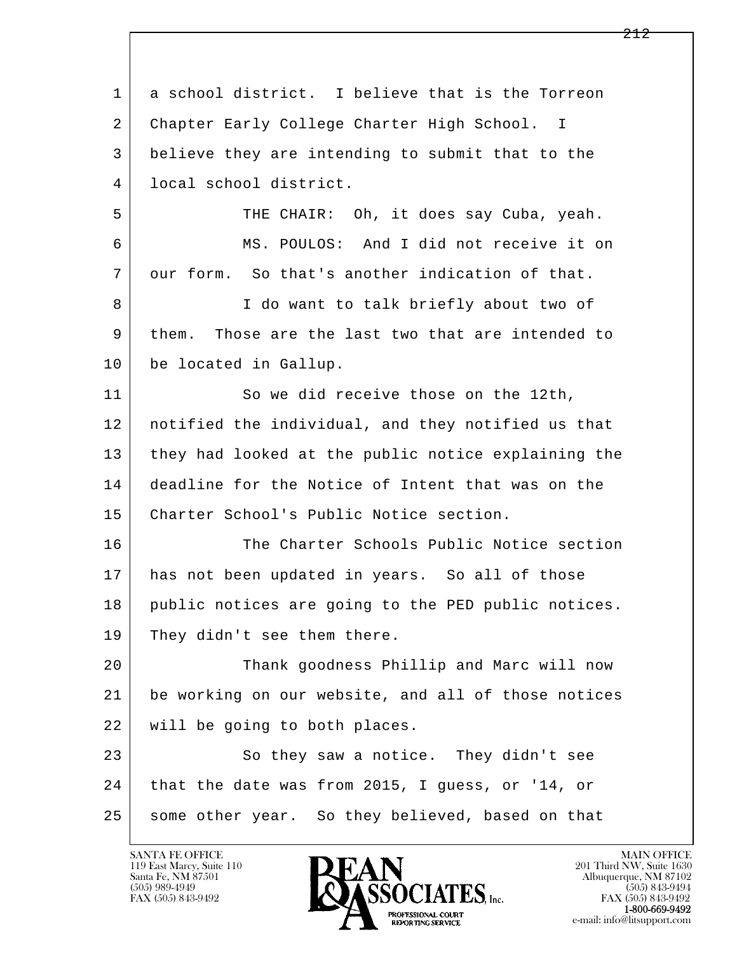l  $\overline{\phantom{a}}$  1 a school district. I believe that is the Torreon 2 Chapter Early College Charter High School. I 3 believe they are intending to submit that to the 4 local school district. 5 THE CHAIR: Oh, it does say Cuba, yeah. 6 MS. POULOS: And I did not receive it on 7 our form. So that's another indication of that. 8 | T do want to talk briefly about two of 9 them. Those are the last two that are intended to 10 be located in Gallup. 11 So we did receive those on the 12th, 12 notified the individual, and they notified us that 13 they had looked at the public notice explaining the 14 deadline for the Notice of Intent that was on the 15 Charter School's Public Notice section. 16 The Charter Schools Public Notice section 17 has not been updated in years. So all of those 18 public notices are going to the PED public notices. 19 They didn't see them there. 20 Thank goodness Phillip and Marc will now 21 be working on our website, and all of those notices 22 will be going to both places. 23 So they saw a notice. They didn't see 24 that the date was from 2015, I guess, or '14, or 25 some other year. So they believed, based on that

119 East Marcy, Suite 110<br>Santa Fe, NM 87501



FAX (505) 843-9492<br>1-800-669-9492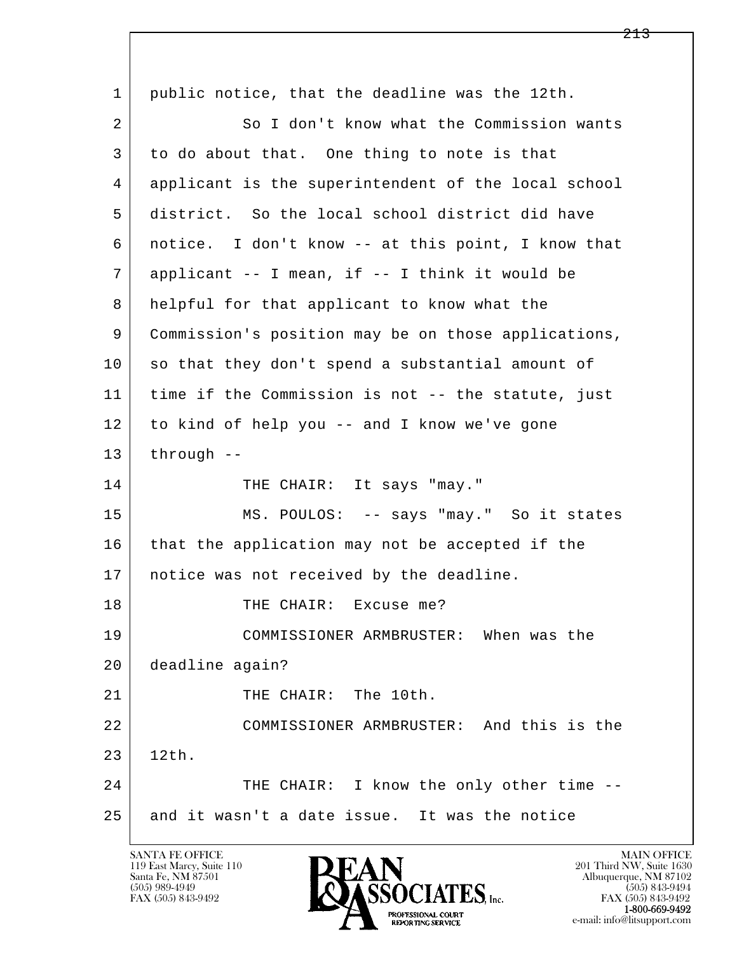| 1  | public notice, that the deadline was the 12th.      |
|----|-----------------------------------------------------|
| 2  | So I don't know what the Commission wants           |
| 3  | to do about that. One thing to note is that         |
| 4  | applicant is the superintendent of the local school |
| 5  | district. So the local school district did have     |
| 6  | notice. I don't know -- at this point, I know that  |
| 7  | applicant -- I mean, if -- I think it would be      |
| 8  | helpful for that applicant to know what the         |
| 9  | Commission's position may be on those applications, |
| 10 | so that they don't spend a substantial amount of    |
| 11 | time if the Commission is not -- the statute, just  |
| 12 | to kind of help you -- and I know we've gone        |
| 13 | through $--$                                        |
| 14 | THE CHAIR: It says "may."                           |
| 15 | MS. POULOS: -- says "may." So it states             |
| 16 | that the application may not be accepted if the     |
| 17 | notice was not received by the deadline.            |
| 18 | THE CHAIR: Excuse me?                               |
| 19 | COMMISSIONER ARMBRUSTER: When was the               |
| 20 | deadline again?                                     |
| 21 | THE CHAIR: The 10th.                                |
| 22 | COMMISSIONER ARMBRUSTER: And this is the            |
| 23 | 12th.                                               |
| 24 | THE CHAIR: I know the only other time --            |
| 25 | and it wasn't a date issue. It was the notice       |

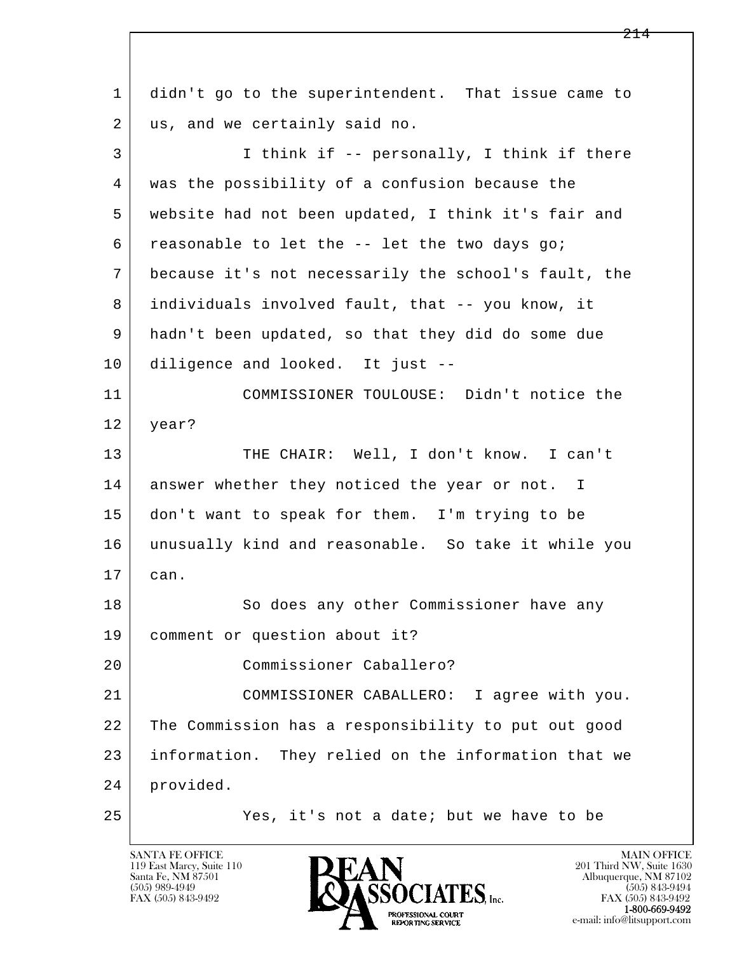l  $\overline{\phantom{a}}$  1 didn't go to the superintendent. That issue came to 2 | us, and we certainly said no. 3 I think if -- personally, I think if there 4 was the possibility of a confusion because the 5 website had not been updated, I think it's fair and  $6$  reasonable to let the  $-$ - let the two days go; 7 because it's not necessarily the school's fault, the 8 individuals involved fault, that -- you know, it 9 hadn't been updated, so that they did do some due 10 diligence and looked. It just -- 11 COMMISSIONER TOULOUSE: Didn't notice the 12 year? 13 THE CHAIR: Well, I don't know. I can't 14 | answer whether they noticed the year or not. I 15 don't want to speak for them. I'm trying to be 16 unusually kind and reasonable. So take it while you 17 can. 18 So does any other Commissioner have any 19 comment or question about it? 20 Commissioner Caballero? 21 COMMISSIONER CABALLERO: I agree with you. 22 The Commission has a responsibility to put out good 23 information. They relied on the information that we 24 provided. 25 Yes, it's not a date; but we have to be

119 East Marcy, Suite 110<br>Santa Fe, NM 87501

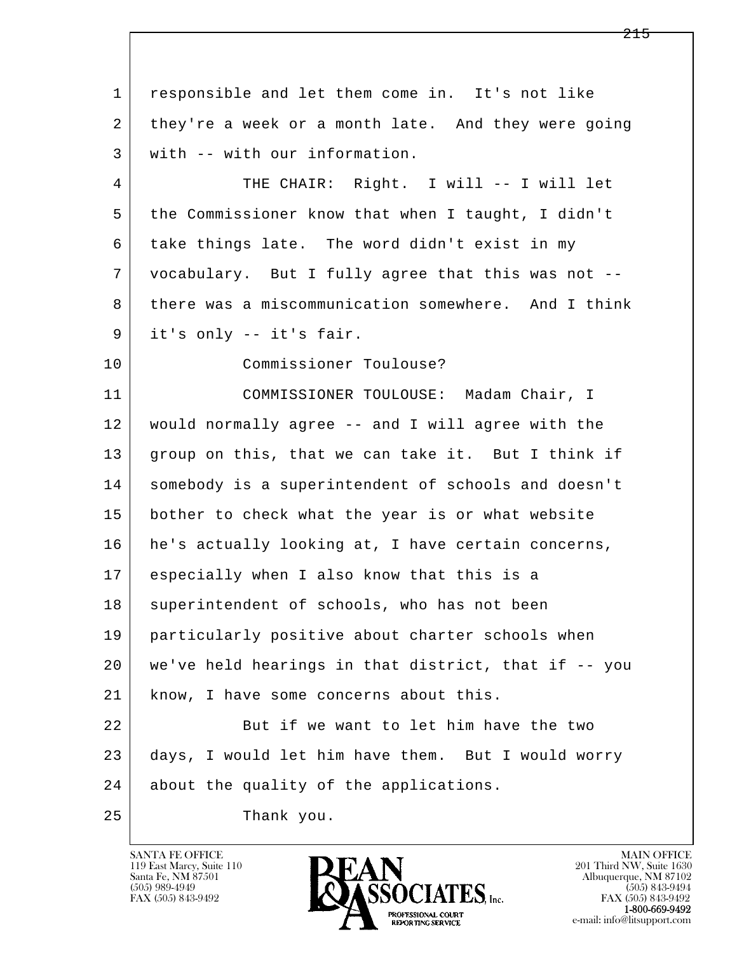l  $\overline{\phantom{a}}$  1 responsible and let them come in. It's not like 2 they're a week or a month late. And they were going 3 with -- with our information. 4 THE CHAIR: Right. I will -- I will let 5 the Commissioner know that when I taught, I didn't 6 take things late. The word didn't exist in my 7 vocabulary. But I fully agree that this was not -- 8 there was a miscommunication somewhere. And I think 9 it's only -- it's fair. 10 Commissioner Toulouse? 11 COMMISSIONER TOULOUSE: Madam Chair, I 12 would normally agree -- and I will agree with the 13 group on this, that we can take it. But I think if 14 somebody is a superintendent of schools and doesn't 15 bother to check what the year is or what website  $16$  he's actually looking at, I have certain concerns, 17 especially when I also know that this is a 18 superintendent of schools, who has not been 19 particularly positive about charter schools when 20 we've held hearings in that district, that if -- you 21 | know, I have some concerns about this. 22 But if we want to let him have the two 23 days, I would let him have them. But I would worry 24 about the quality of the applications. 25 Thank you.

119 East Marcy, Suite 110<br>Santa Fe, NM 87501

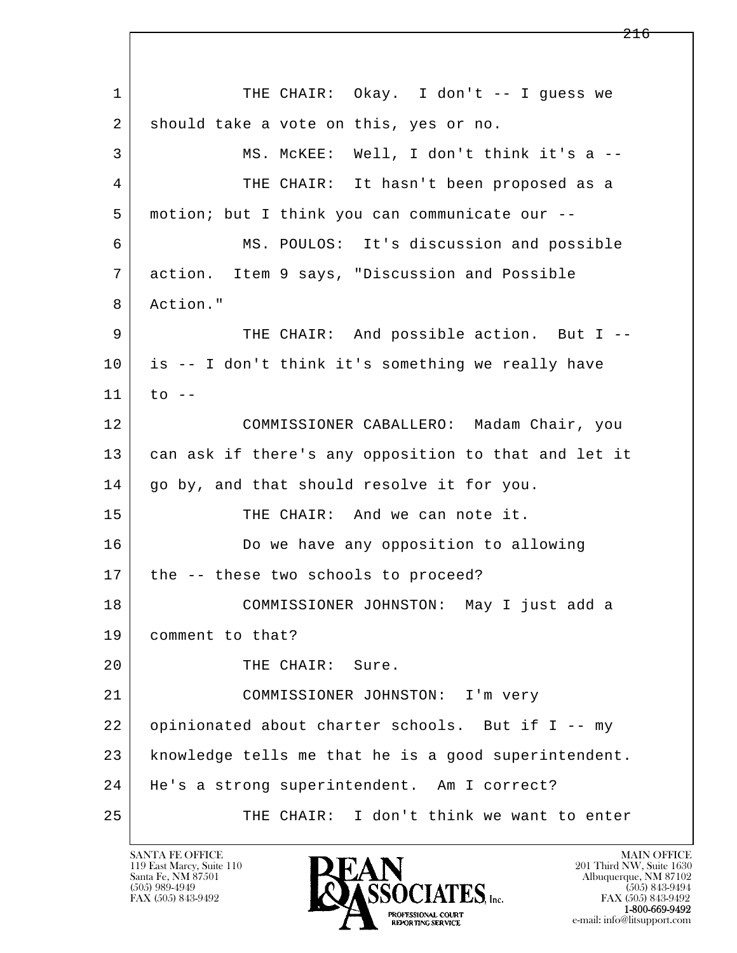l  $\overline{\phantom{a}}$ 1 THE CHAIR: Okay. I don't -- I quess we 2 should take a vote on this, yes or no. 3 MS. McKEE: Well, I don't think it's a -- 4 THE CHAIR: It hasn't been proposed as a 5 motion; but I think you can communicate our -- 6 MS. POULOS: It's discussion and possible 7 action. Item 9 says, "Discussion and Possible 8 Action." 9 THE CHAIR: And possible action. But I -- 10 is -- I don't think it's something we really have  $11$  to  $-$  12 COMMISSIONER CABALLERO: Madam Chair, you 13 can ask if there's any opposition to that and let it 14 | go by, and that should resolve it for you. 15 THE CHAIR: And we can note it. 16 Do we have any opposition to allowing 17 | the -- these two schools to proceed? 18 COMMISSIONER JOHNSTON: May I just add a 19 comment to that? 20 THE CHAIR: Sure. 21 COMMISSIONER JOHNSTON: I'm very 22 opinionated about charter schools. But if I -- my 23 knowledge tells me that he is a good superintendent. 24 He's a strong superintendent. Am I correct? 25 THE CHAIR: I don't think we want to enter

119 East Marcy, Suite 110<br>Santa Fe, NM 87501

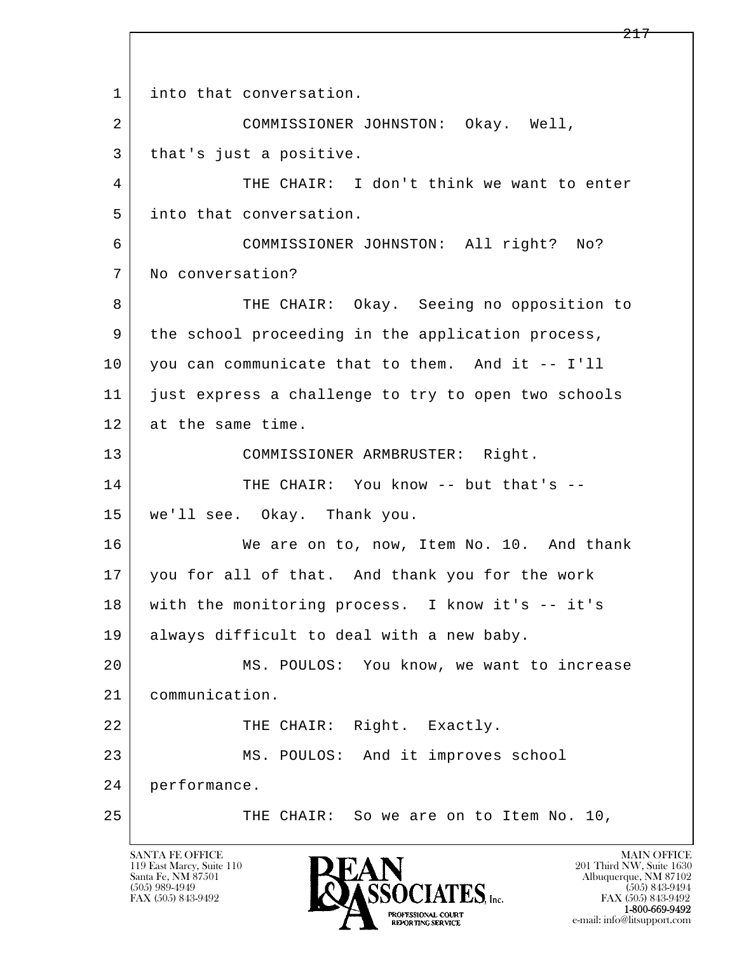l  $\overline{\phantom{a}}$ 1 | into that conversation. 2 COMMISSIONER JOHNSTON: Okay. Well, 3 | that's just a positive. 4 THE CHAIR: I don't think we want to enter 5 into that conversation. 6 COMMISSIONER JOHNSTON: All right? No? 7 No conversation? 8 THE CHAIR: Okay. Seeing no opposition to 9 the school proceeding in the application process, 10 you can communicate that to them. And it -- I'll 11 just express a challenge to try to open two schools 12 at the same time. 13 | COMMISSIONER ARMBRUSTER: Right. 14 THE CHAIR: You know -- but that's -- 15 we'll see. Okay. Thank you. 16 We are on to, now, Item No. 10. And thank 17 you for all of that. And thank you for the work 18 with the monitoring process. I know it's -- it's 19 | always difficult to deal with a new baby. 20 MS. POULOS: You know, we want to increase 21 communication. 22 | THE CHAIR: Right. Exactly. 23 MS. POULOS: And it improves school 24 performance. 25 THE CHAIR: So we are on to Item No. 10,

119 East Marcy, Suite 110<br>Santa Fe, NM 87501

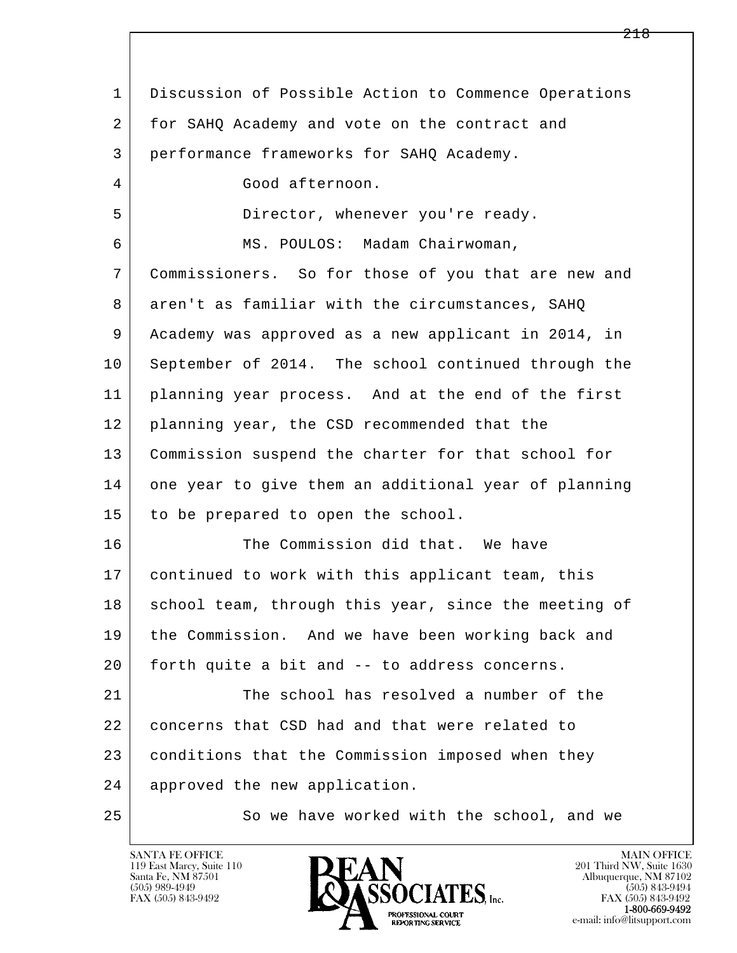l  $\overline{\phantom{a}}$  1 Discussion of Possible Action to Commence Operations 2 for SAHQ Academy and vote on the contract and 3 performance frameworks for SAHQ Academy. 4 Good afternoon. 5 Director, whenever you're ready. 6 MS. POULOS: Madam Chairwoman, 7 Commissioners. So for those of you that are new and 8 aren't as familiar with the circumstances, SAHQ 9 Academy was approved as a new applicant in 2014, in 10 September of 2014. The school continued through the 11 planning year process. And at the end of the first 12 planning year, the CSD recommended that the 13 Commission suspend the charter for that school for 14 one year to give them an additional year of planning 15 to be prepared to open the school. 16 The Commission did that. We have 17 continued to work with this applicant team, this 18 school team, through this year, since the meeting of 19 the Commission. And we have been working back and 20 forth quite a bit and -- to address concerns. 21 The school has resolved a number of the 22 concerns that CSD had and that were related to 23 conditions that the Commission imposed when they 24 approved the new application. 25 So we have worked with the school, and we

119 East Marcy, Suite 110<br>Santa Fe, NM 87501

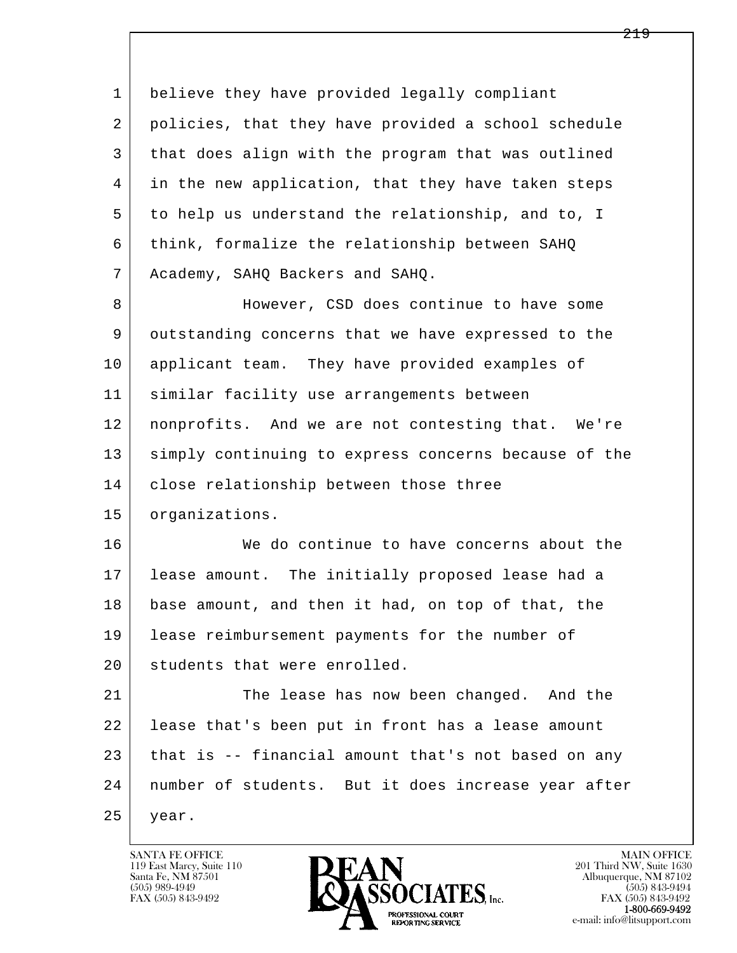l  $\overline{\phantom{a}}$ 1 believe they have provided legally compliant 2 policies, that they have provided a school schedule 3 that does align with the program that was outlined 4 in the new application, that they have taken steps 5 to help us understand the relationship, and to, I 6 think, formalize the relationship between SAHQ 7 Academy, SAHQ Backers and SAHQ. 8 However, CSD does continue to have some 9 outstanding concerns that we have expressed to the 10 applicant team. They have provided examples of 11 similar facility use arrangements between 12 nonprofits. And we are not contesting that. We're 13 | simply continuing to express concerns because of the 14 | close relationship between those three 15 organizations. 16 We do continue to have concerns about the 17 lease amount. The initially proposed lease had a 18 base amount, and then it had, on top of that, the 19 | lease reimbursement payments for the number of 20 students that were enrolled. 21 The lease has now been changed. And the 22 lease that's been put in front has a lease amount 23 that is -- financial amount that's not based on any 24 number of students. But it does increase year after 25 year.

119 East Marcy, Suite 110<br>Santa Fe, NM 87501



FAX (505) 843-9492<br>1-800-669-9492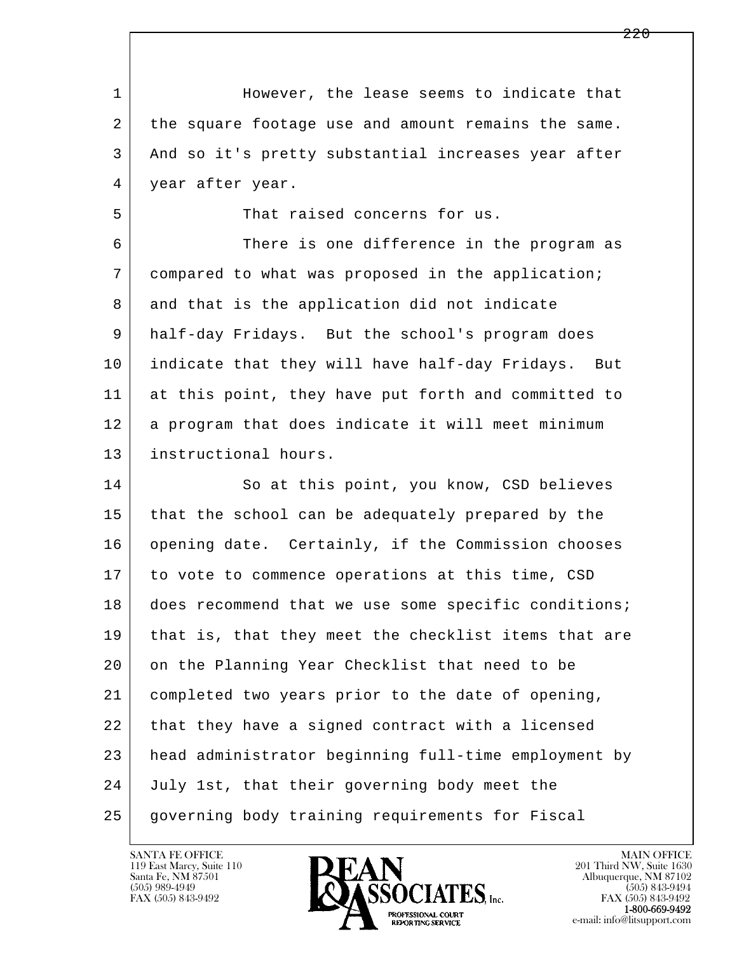l  $\overline{\phantom{a}}$ 1 However, the lease seems to indicate that 2 the square footage use and amount remains the same. 3 And so it's pretty substantial increases year after 4 year after year. 5 Subsequent That raised concerns for us. 6 There is one difference in the program as 7 compared to what was proposed in the application; 8 and that is the application did not indicate 9 half-day Fridays. But the school's program does 10 indicate that they will have half-day Fridays. But 11 at this point, they have put forth and committed to 12 a program that does indicate it will meet minimum 13 instructional hours. 14 So at this point, you know, CSD believes 15 that the school can be adequately prepared by the 16 opening date. Certainly, if the Commission chooses 17 to vote to commence operations at this time, CSD 18 does recommend that we use some specific conditions; 19 that is, that they meet the checklist items that are 20 on the Planning Year Checklist that need to be 21 completed two years prior to the date of opening, 22 that they have a signed contract with a licensed 23 head administrator beginning full-time employment by 24 July 1st, that their governing body meet the 25 governing body training requirements for Fiscal

119 East Marcy, Suite 110<br>Santa Fe, NM 87501

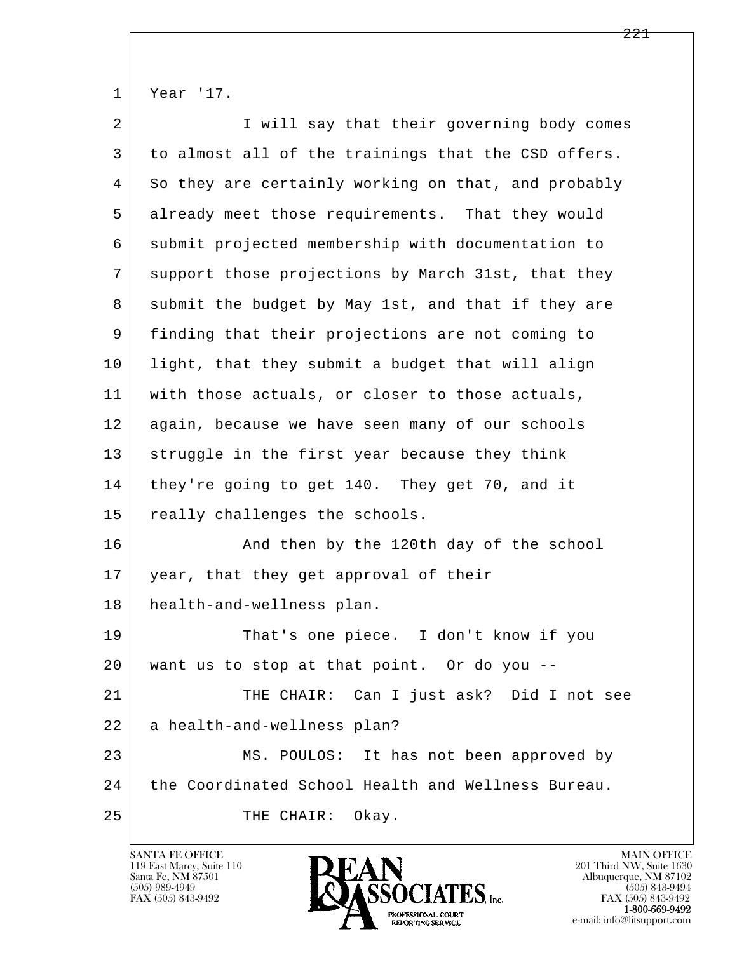|  | v<br>'ear<br>-<br>$ -$ | ٦ |
|--|------------------------|---|
|--|------------------------|---|

| $\overline{2}$ | I will say that their governing body comes          |
|----------------|-----------------------------------------------------|
| 3              | to almost all of the trainings that the CSD offers. |
| 4              | So they are certainly working on that, and probably |
| 5              | already meet those requirements. That they would    |
| 6              | submit projected membership with documentation to   |
| 7              | support those projections by March 31st, that they  |
| 8              | submit the budget by May 1st, and that if they are  |
| 9              | finding that their projections are not coming to    |
| 10             | light, that they submit a budget that will align    |
| 11             | with those actuals, or closer to those actuals,     |
| 12             | again, because we have seen many of our schools     |
| 13             | struggle in the first year because they think       |
| 14             | they're going to get 140. They get 70, and it       |
| 15             | really challenges the schools.                      |
| 16             | And then by the 120th day of the school             |
| 17             | year, that they get approval of their               |
| 18             | health-and-wellness plan.                           |
| 19             | That's one piece. I don't know if you               |
| 20             | want us to stop at that point. Or do you --         |
| 21             | THE CHAIR: Can I just ask? Did I not see            |
| 22             | a health-and-wellness plan?                         |
| 23             | MS. POULOS: It has not been approved by             |
| 24             | the Coordinated School Health and Wellness Bureau.  |
| 25             | Okay.<br>THE CHAIR:                                 |

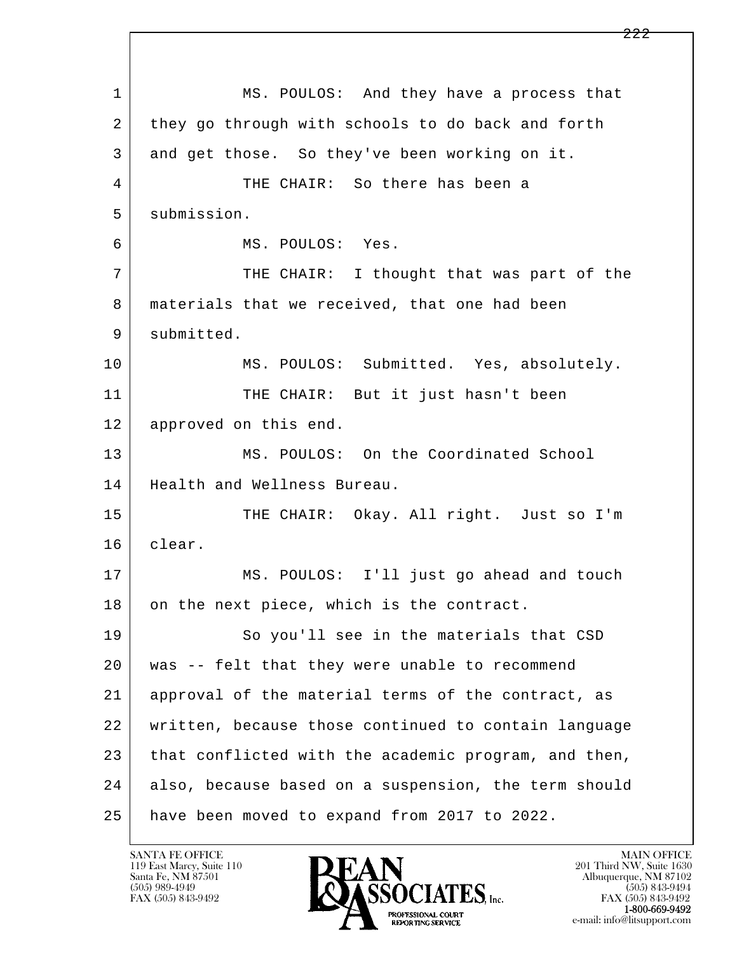l  $\overline{\phantom{a}}$  1 MS. POULOS: And they have a process that 2 they go through with schools to do back and forth 3 and get those. So they've been working on it. 4 THE CHAIR: So there has been a 5 submission. 6 MS. POULOS: Yes. 7 THE CHAIR: I thought that was part of the 8 materials that we received, that one had been 9 submitted. 10 | MS. POULOS: Submitted. Yes, absolutely. 11 | THE CHAIR: But it just hasn't been 12 approved on this end. 13 MS. POULOS: On the Coordinated School 14 | Health and Wellness Bureau. 15 | THE CHAIR: Okay. All right. Just so I'm 16 clear. 17 MS. POULOS: I'll just go ahead and touch 18 on the next piece, which is the contract. 19 So you'll see in the materials that CSD 20 was -- felt that they were unable to recommend 21 approval of the material terms of the contract, as 22 written, because those continued to contain language 23 that conflicted with the academic program, and then, 24 also, because based on a suspension, the term should 25 have been moved to expand from 2017 to 2022.

119 East Marcy, Suite 110<br>Santa Fe, NM 87501

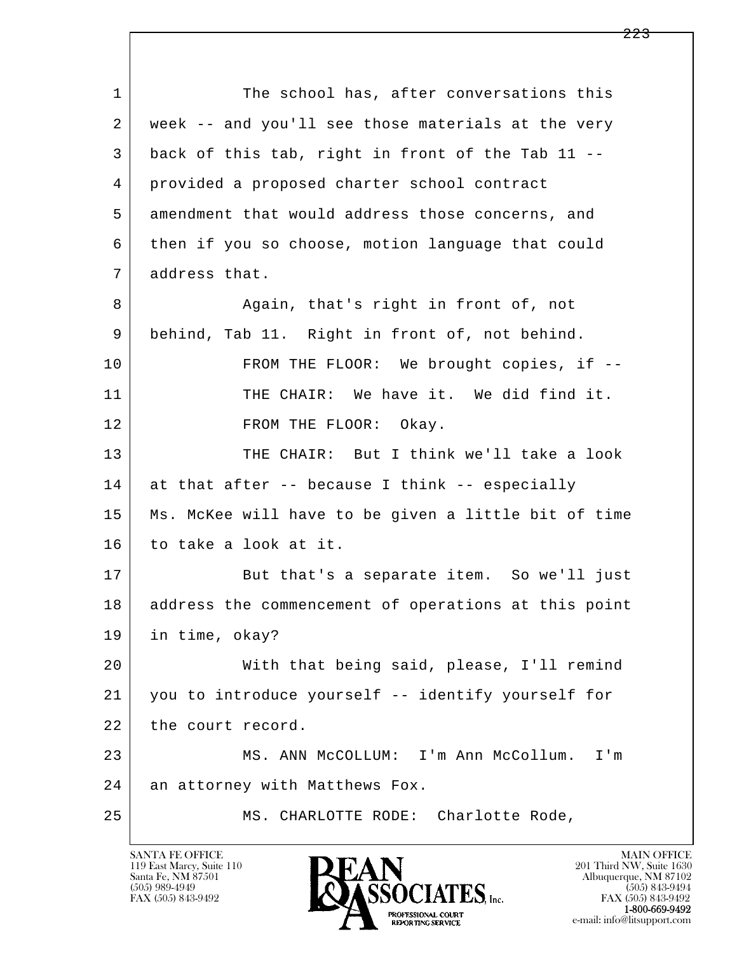| $\mathbf{1}$ | The school has, after conversations this             |
|--------------|------------------------------------------------------|
| 2            | week -- and you'll see those materials at the very   |
| 3            | back of this tab, right in front of the Tab 11 --    |
| 4            | provided a proposed charter school contract          |
| 5            | amendment that would address those concerns, and     |
| 6            | then if you so choose, motion language that could    |
| 7            | address that.                                        |
| 8            | Again, that's right in front of, not                 |
| 9            | behind, Tab 11. Right in front of, not behind.       |
| 10           | FROM THE FLOOR: We brought copies, if --             |
| 11           | THE CHAIR: We have it. We did find it.               |
| 12           | FROM THE FLOOR: Okay.                                |
| 13           | THE CHAIR: But I think we'll take a look             |
| 14           | at that after -- because I think -- especially       |
| 15           | Ms. McKee will have to be given a little bit of time |
| 16           | to take a look at it.                                |
| 17           | But that's a separate item. So we'll just            |
| 18           | address the commencement of operations at this point |
| 19           | in time, okay?                                       |
| 20           | With that being said, please, I'll remind            |
| 21           | you to introduce yourself -- identify yourself for   |
| 22           | the court record.                                    |
| 23           | MS. ANN MCCOLLUM: I'm Ann McCollum.<br>I'm           |
| 24           | an attorney with Matthews Fox.                       |
| 25           | MS. CHARLOTTE RODE: Charlotte Rode,                  |

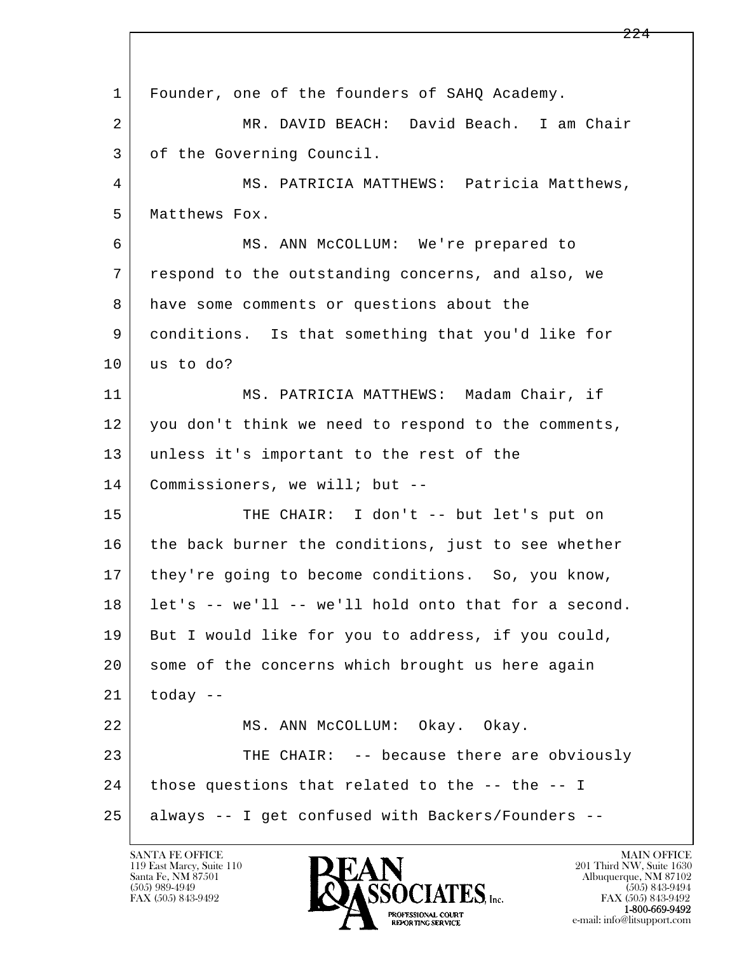l  $\overline{\phantom{a}}$  1 Founder, one of the founders of SAHQ Academy. 2 MR. DAVID BEACH: David Beach. I am Chair 3 of the Governing Council. 4 | MS. PATRICIA MATTHEWS: Patricia Matthews, 5 Matthews Fox. 6 MS. ANN McCOLLUM: We're prepared to 7 respond to the outstanding concerns, and also, we 8 | have some comments or questions about the 9 conditions. Is that something that you'd like for 10 us to do? 11 MS. PATRICIA MATTHEWS: Madam Chair, if 12 you don't think we need to respond to the comments, 13 unless it's important to the rest of the 14 Commissioners, we will; but --15 | THE CHAIR: I don't -- but let's put on 16 the back burner the conditions, just to see whether 17 | they're going to become conditions. So, you know, 18 let's -- we'll -- we'll hold onto that for a second. 19 But I would like for you to address, if you could, 20 some of the concerns which brought us here again  $21$  today  $-$ 22 | MS. ANN McCOLLUM: Okay. Okay. 23 THE CHAIR: -- because there are obviously  $24$  | those questions that related to the -- the -- I 25 always -- I get confused with Backers/Founders --

119 East Marcy, Suite 110<br>Santa Fe, NM 87501

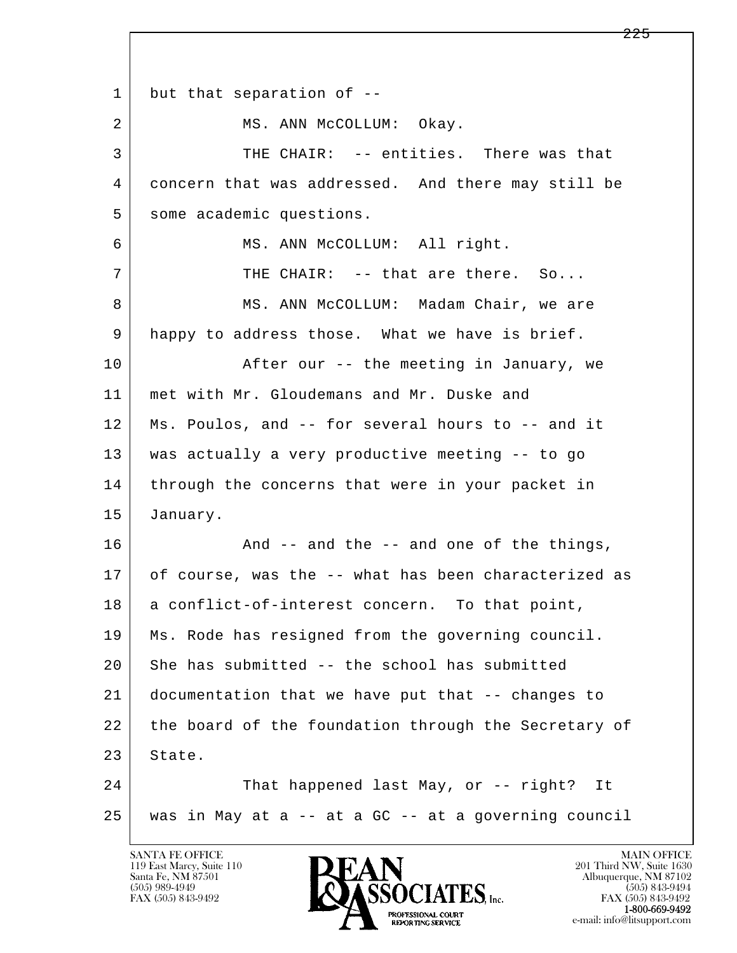l  $\overline{\phantom{a}}$ 1 but that separation of --2 MS. ANN McCOLLUM: Okay. 3 THE CHAIR: -- entities. There was that 4 concern that was addressed. And there may still be 5 some academic questions. 6 MS. ANN McCOLLUM: All right. 7 THE CHAIR: -- that are there. So... 8 MS. ANN McCOLLUM: Madam Chair, we are 9 | happy to address those. What we have is brief. 10 | The Movid Cherton Control over the meeting in January, we 11 met with Mr. Gloudemans and Mr. Duske and 12 Ms. Poulos, and -- for several hours to -- and it 13 was actually a very productive meeting -- to go 14 through the concerns that were in your packet in 15 January. 16 And -- and the -- and one of the things, 17 of course, was the -- what has been characterized as 18 a conflict-of-interest concern. To that point, 19 Ms. Rode has resigned from the governing council.  $20$  | She has submitted -- the school has submitted 21 documentation that we have put that -- changes to 22 the board of the foundation through the Secretary of 23 State. 24 That happened last May, or -- right? It 25 was in May at a -- at a GC -- at a governing council

119 East Marcy, Suite 110<br>Santa Fe, NM 87501

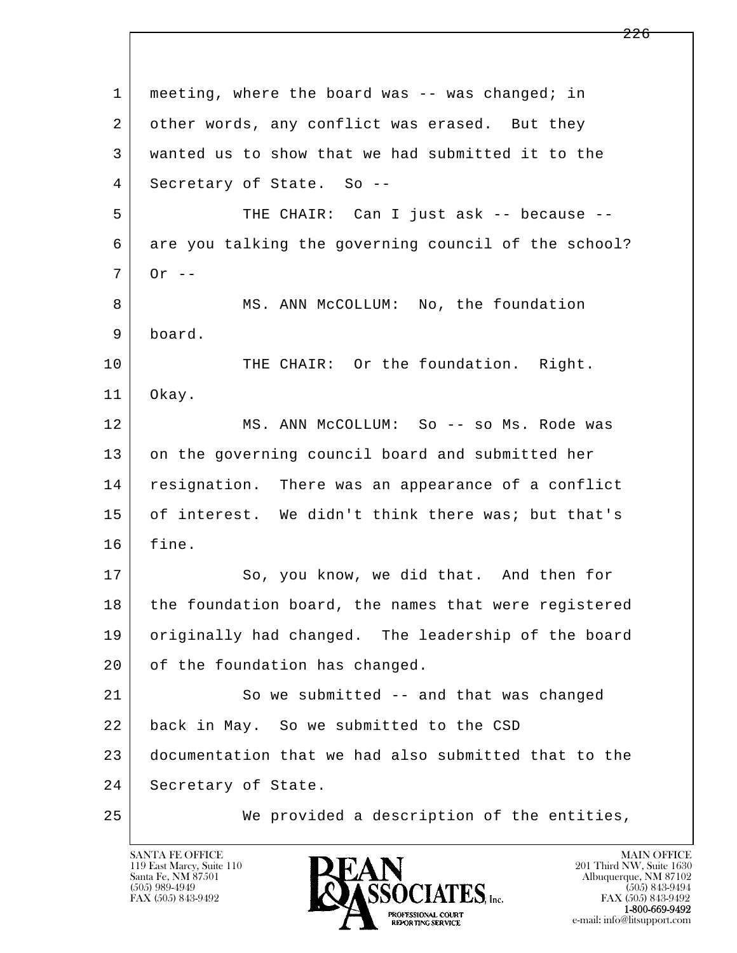l  $\overline{\phantom{a}}$  1 meeting, where the board was -- was changed; in 2 other words, any conflict was erased. But they 3 wanted us to show that we had submitted it to the 4 Secretary of State. So -- 5 THE CHAIR: Can I just ask -- because -- 6 are you talking the governing council of the school?  $7 \text{ Or } -$ 8 MS. ANN McCOLLUM: No, the foundation 9 board. 10 THE CHAIR: Or the foundation. Right. 11 Okay. 12 MS. ANN McCOLLUM: So -- so Ms. Rode was 13 on the governing council board and submitted her 14 resignation. There was an appearance of a conflict 15 of interest. We didn't think there was; but that's 16 fine. 17 So, you know, we did that. And then for 18 the foundation board, the names that were registered 19 originally had changed. The leadership of the board 20 of the foundation has changed. 21 So we submitted -- and that was changed 22 back in May. So we submitted to the CSD 23 documentation that we had also submitted that to the 24 Secretary of State. 25 We provided a description of the entities,

119 East Marcy, Suite 110<br>Santa Fe, NM 87501

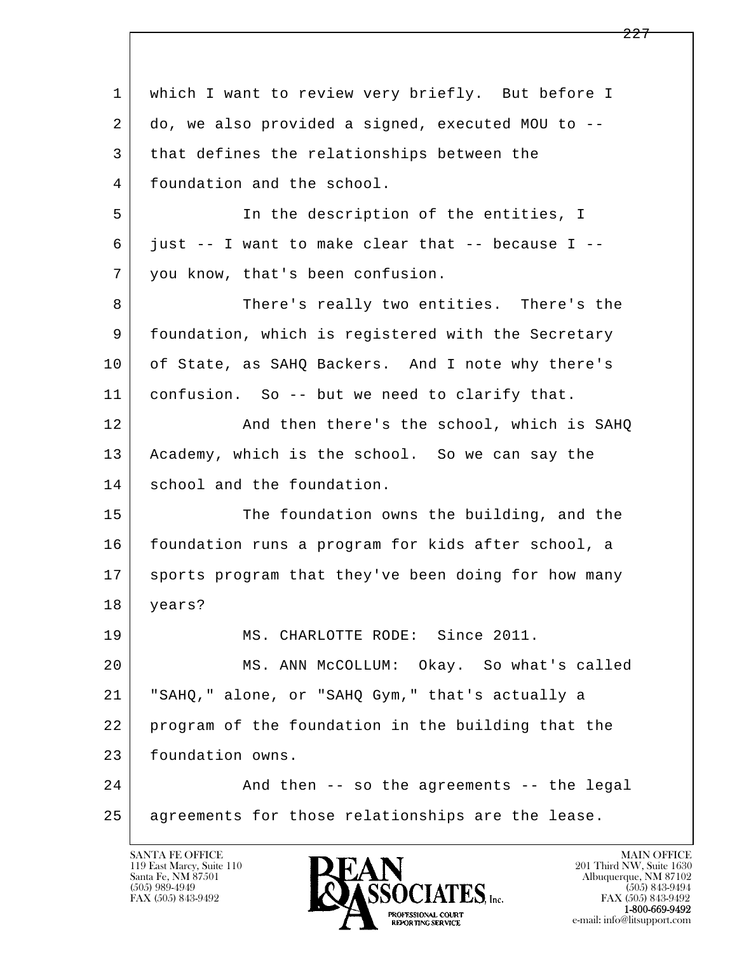l  $\overline{\phantom{a}}$ 1 which I want to review very briefly. But before I 2 do, we also provided a signed, executed MOU to -- 3 that defines the relationships between the 4 foundation and the school. 5 In the description of the entities, I  $6$  just  $-$  I want to make clear that  $-$  because I  $-$  7 you know, that's been confusion. 8 There's really two entities. There's the 9 foundation, which is registered with the Secretary 10 of State, as SAHQ Backers. And I note why there's 11 confusion. So -- but we need to clarify that. 12 And then there's the school, which is SAHQ 13 Academy, which is the school. So we can say the 14 school and the foundation. 15 The foundation owns the building, and the 16 foundation runs a program for kids after school, a 17 sports program that they've been doing for how many 18 years? 19 MS. CHARLOTTE RODE: Since 2011. 20 MS. ANN McCOLLUM: Okay. So what's called 21 "SAHQ," alone, or "SAHQ Gym," that's actually a 22 program of the foundation in the building that the 23 foundation owns. 24 And then -- so the agreements -- the legal 25 agreements for those relationships are the lease.

119 East Marcy, Suite 110<br>Santa Fe, NM 87501

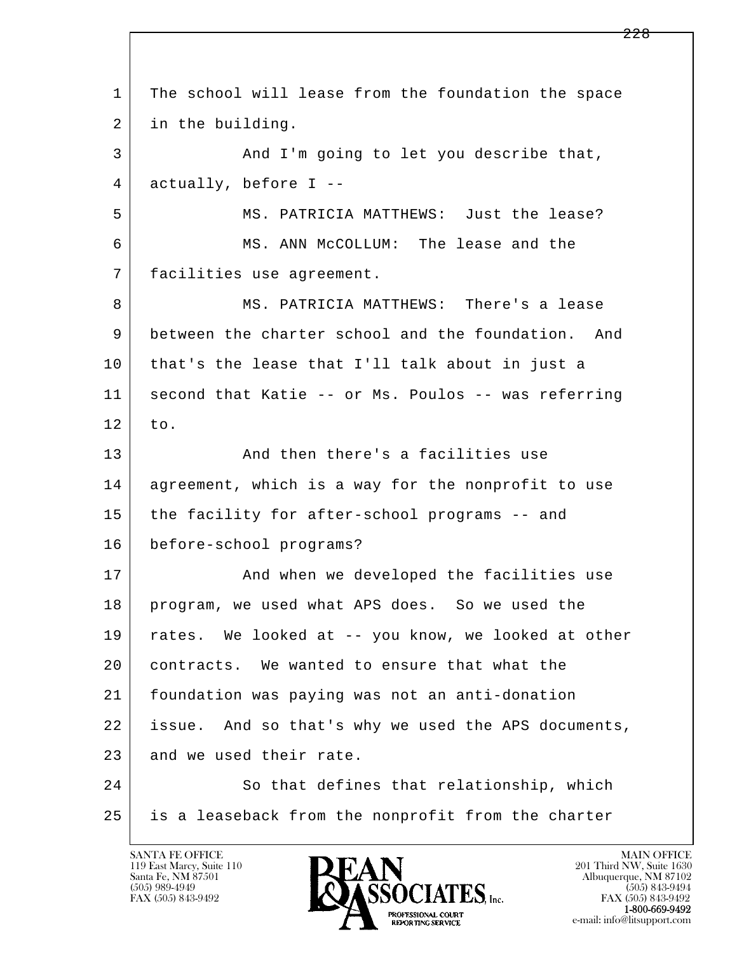l  $\overline{\phantom{a}}$  1 The school will lease from the foundation the space 2 in the building. 3 And I'm going to let you describe that, 4 actually, before I -- 5 MS. PATRICIA MATTHEWS: Just the lease? 6 MS. ANN McCOLLUM: The lease and the 7 facilities use agreement. 8 MS. PATRICIA MATTHEWS: There's a lease 9 between the charter school and the foundation. And 10 that's the lease that I'll talk about in just a 11 second that Katie -- or Ms. Poulos -- was referring  $12$  to. 13 And then there's a facilities use 14 agreement, which is a way for the nonprofit to use 15 the facility for after-school programs -- and 16 before-school programs? 17 | The Mondu when we developed the facilities use 18 program, we used what APS does. So we used the 19 rates. We looked at -- you know, we looked at other 20 contracts. We wanted to ensure that what the 21 foundation was paying was not an anti-donation 22 issue. And so that's why we used the APS documents, 23 and we used their rate. 24 So that defines that relationship, which 25 is a leaseback from the nonprofit from the charter

119 East Marcy, Suite 110<br>Santa Fe, NM 87501

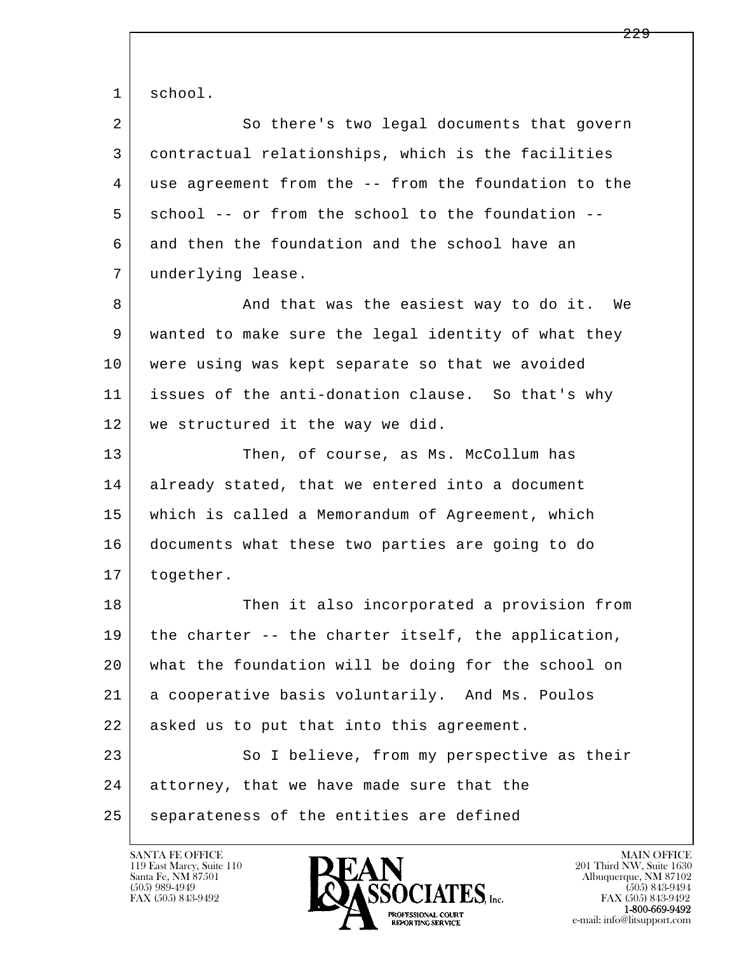1 school.

2 So there's two legal documents that govern 3 contractual relationships, which is the facilities 4 use agreement from the -- from the foundation to the 5 school -- or from the school to the foundation -- 6 and then the foundation and the school have an 7 underlying lease.

8 and that was the easiest way to do it. We 9 wanted to make sure the legal identity of what they 10 were using was kept separate so that we avoided 11 issues of the anti-donation clause. So that's why 12 we structured it the way we did.

13 Then, of course, as Ms. McCollum has 14 already stated, that we entered into a document 15 which is called a Memorandum of Agreement, which 16 documents what these two parties are going to do 17 | together.

l  $\overline{\phantom{a}}$ 18 Then it also incorporated a provision from 19 | the charter -- the charter itself, the application, 20 what the foundation will be doing for the school on 21 a cooperative basis voluntarily. And Ms. Poulos 22 asked us to put that into this agreement. 23 So I believe, from my perspective as their 24 attorney, that we have made sure that the 25 separateness of the entities are defined

119 East Marcy, Suite 110<br>Santa Fe, NM 87501

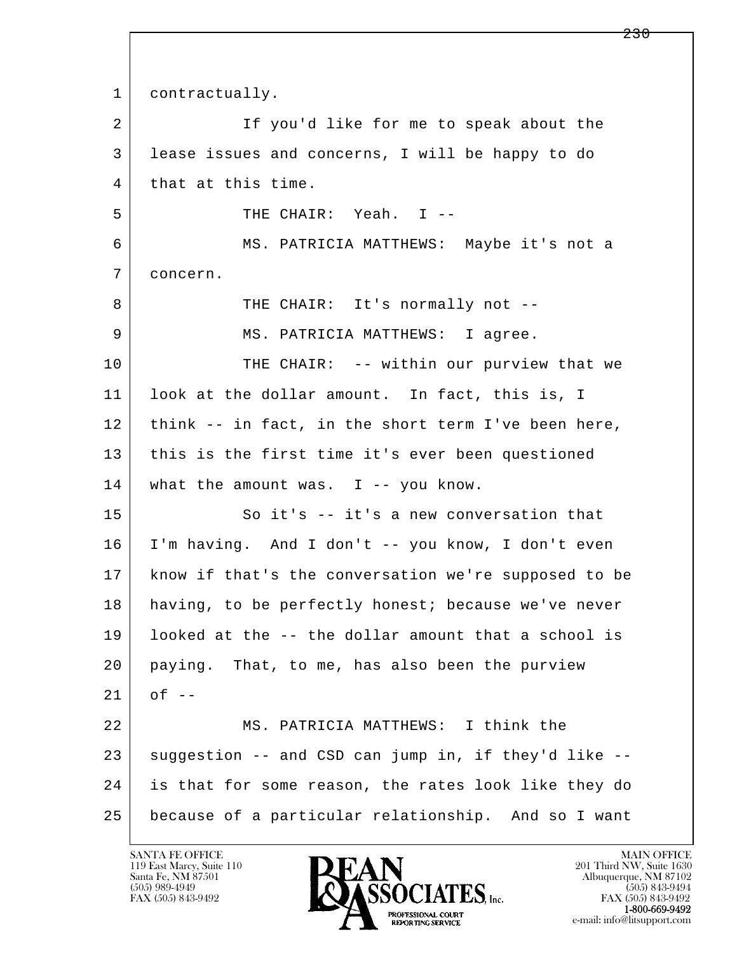l  $\overline{\phantom{a}}$ 1 contractually. 2 If you'd like for me to speak about the 3 lease issues and concerns, I will be happy to do 4 that at this time. 5 THE CHAIR: Yeah. I -- 6 MS. PATRICIA MATTHEWS: Maybe it's not a 7 concern. 8 | THE CHAIR: It's normally not --9 MS. PATRICIA MATTHEWS: I agree. 10 THE CHAIR: -- within our purview that we 11 look at the dollar amount. In fact, this is, I 12 | think -- in fact, in the short term I've been here, 13 this is the first time it's ever been questioned 14 what the amount was. I -- you know. 15 So it's -- it's a new conversation that 16 I'm having. And I don't -- you know, I don't even 17 know if that's the conversation we're supposed to be 18 having, to be perfectly honest; because we've never 19 looked at the -- the dollar amount that a school is 20 paying. That, to me, has also been the purview  $21$  of  $-$  22 MS. PATRICIA MATTHEWS: I think the  $23$  suggestion  $-$  and CSD can jump in, if they'd like  $-$  24 is that for some reason, the rates look like they do 25 because of a particular relationship. And so I want

119 East Marcy, Suite 110<br>Santa Fe, NM 87501

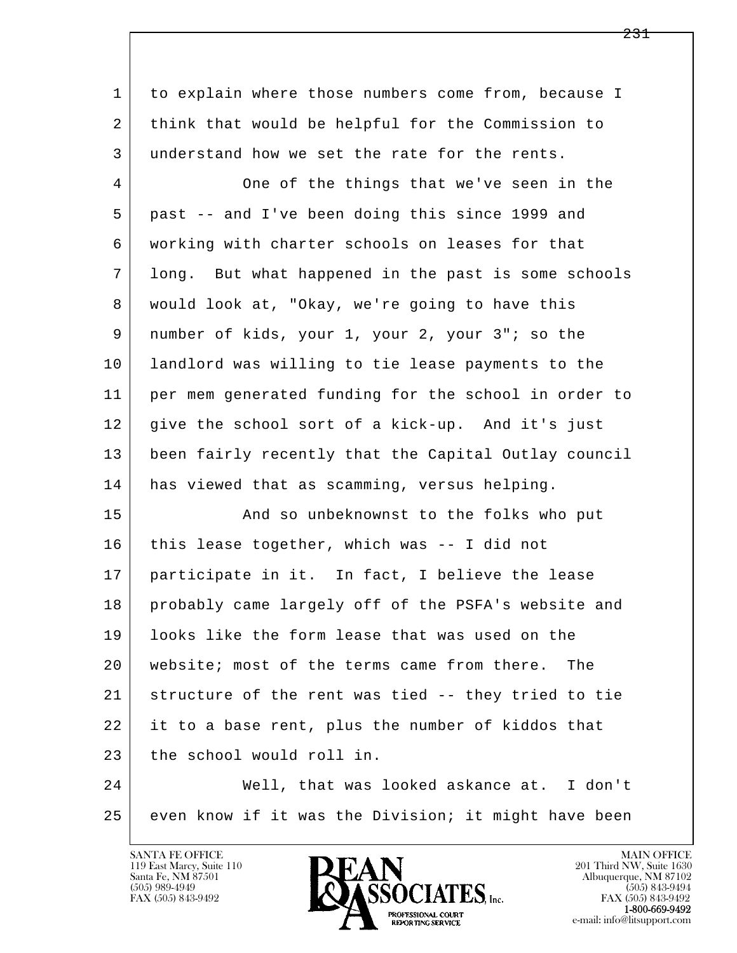| 1  | to explain where those numbers come from, because I  |
|----|------------------------------------------------------|
| 2  | think that would be helpful for the Commission to    |
| 3  | understand how we set the rate for the rents.        |
| 4  | One of the things that we've seen in the             |
| 5  | past -- and I've been doing this since 1999 and      |
| 6  | working with charter schools on leases for that      |
| 7  | long. But what happened in the past is some schools  |
| 8  | would look at, "Okay, we're going to have this       |
| 9  | number of kids, your 1, your 2, your 3"; so the      |
| 10 | landlord was willing to tie lease payments to the    |
| 11 | per mem generated funding for the school in order to |
| 12 | give the school sort of a kick-up. And it's just     |
| 13 | been fairly recently that the Capital Outlay council |
| 14 | has viewed that as scamming, versus helping.         |
| 15 | And so unbeknownst to the folks who put              |
| 16 | this lease together, which was -- I did not          |
| 17 | participate in it. In fact, I believe the lease      |
| 18 | probably came largely off of the PSFA's website and  |
| 19 | looks like the form lease that was used on the       |
| 20 | website; most of the terms came from there.<br>The   |
| 21 | structure of the rent was tied -- they tried to tie  |
| 22 | it to a base rent, plus the number of kiddos that    |
| 23 | the school would roll in.                            |
| 24 | Well, that was looked askance at. I don't            |

25 even know if it was the Division; it might have been

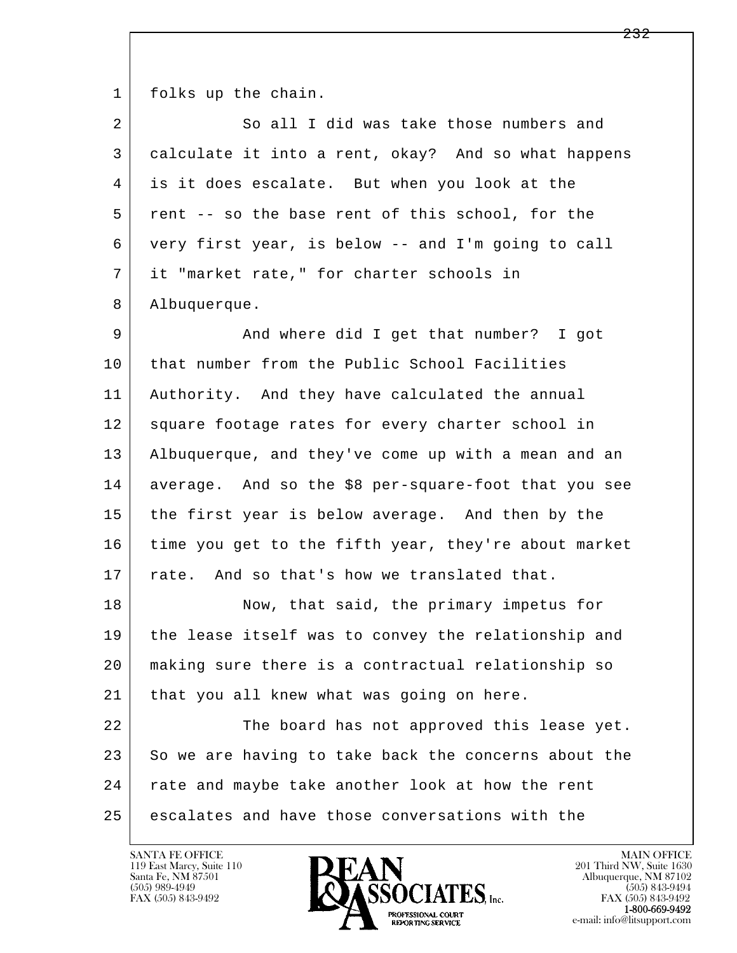1 folks up the chain.

| 2  | So all I did was take those numbers and              |
|----|------------------------------------------------------|
| 3  | calculate it into a rent, okay? And so what happens  |
| 4  | is it does escalate. But when you look at the        |
| 5  | rent -- so the base rent of this school, for the     |
| 6  | very first year, is below -- and I'm going to call   |
| 7  | it "market rate," for charter schools in             |
| 8  | Albuquerque.                                         |
| 9  | And where did I get that number? I got               |
| 10 | that number from the Public School Facilities        |
| 11 | Authority. And they have calculated the annual       |
| 12 | square footage rates for every charter school in     |
| 13 | Albuquerque, and they've come up with a mean and an  |
| 14 | average. And so the \$8 per-square-foot that you see |
| 15 | the first year is below average. And then by the     |
| 16 | time you get to the fifth year, they're about market |
| 17 | rate. And so that's how we translated that.          |
| 18 | Now, that said, the primary impetus for              |
| 19 | the lease itself was to convey the relationship and  |
| 20 | making sure there is a contractual relationship so   |
| 21 | that you all knew what was going on here.            |
| 22 | The board has not approved this lease yet.           |
| 23 | So we are having to take back the concerns about the |
| 24 | rate and maybe take another look at how the rent     |
| 25 | escalates and have those conversations with the      |

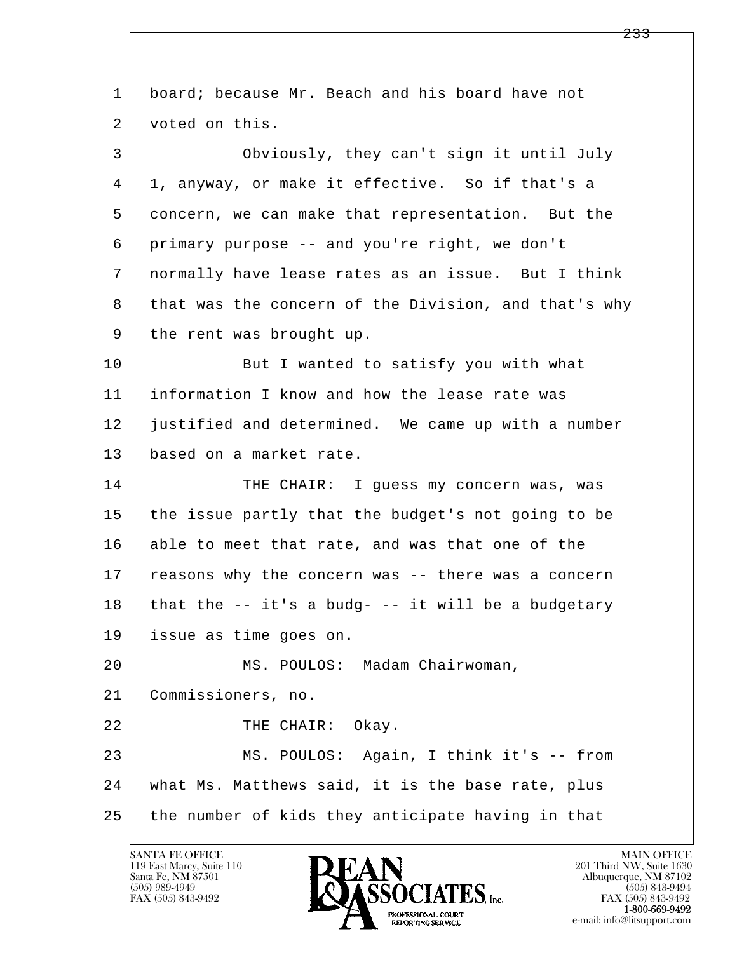l  $\overline{\phantom{a}}$ 1 board; because Mr. Beach and his board have not 2 voted on this. 3 Obviously, they can't sign it until July 4 1, anyway, or make it effective. So if that's a 5 concern, we can make that representation. But the 6 primary purpose -- and you're right, we don't 7 normally have lease rates as an issue. But I think 8 that was the concern of the Division, and that's why 9 | the rent was brought up. 10 But I wanted to satisfy you with what 11 information I know and how the lease rate was 12 justified and determined. We came up with a number 13 based on a market rate. 14 THE CHAIR: I quess my concern was, was 15 the issue partly that the budget's not going to be 16 able to meet that rate, and was that one of the 17 | reasons why the concern was -- there was a concern  $18$  that the  $-$  it's a budg-  $-$  it will be a budgetary 19 issue as time goes on. 20 MS. POULOS: Madam Chairwoman, 21 Commissioners, no. 22 THE CHAIR: Okay. 23 MS. POULOS: Again, I think it's -- from 24 what Ms. Matthews said, it is the base rate, plus 25 the number of kids they anticipate having in that

119 East Marcy, Suite 110<br>Santa Fe, NM 87501

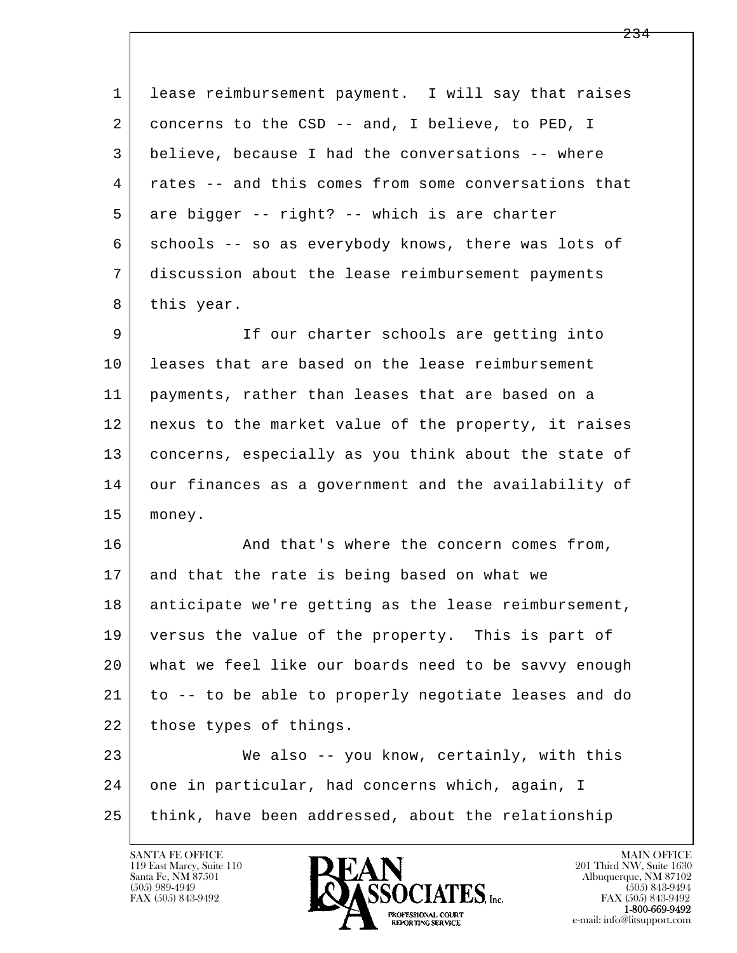| $\mathbf{1}$ | lease reimbursement payment. I will say that raises  |
|--------------|------------------------------------------------------|
| 2            | concerns to the CSD -- and, I believe, to PED, I     |
| 3            | believe, because I had the conversations -- where    |
| 4            | rates -- and this comes from some conversations that |
| 5            | are bigger -- right? -- which is are charter         |
| 6            | schools -- so as everybody knows, there was lots of  |
| 7            | discussion about the lease reimbursement payments    |
| 8            | this year.                                           |
| 9            | If our charter schools are getting into              |
| 10           | leases that are based on the lease reimbursement     |
| 11           | payments, rather than leases that are based on a     |
| 12           | nexus to the market value of the property, it raises |
| 13           | concerns, especially as you think about the state of |
| 14           | our finances as a government and the availability of |
| 15           | money.                                               |
| 16           | And that's where the concern comes from,             |
| 17           | and that the rate is being based on what we          |
| 18           | anticipate we're getting as the lease reimbursement, |
| 19           | versus the value of the property. This is part of    |
| 20           | what we feel like our boards need to be savvy enough |
| 21           | to -- to be able to properly negotiate leases and do |
| 22           | those types of things.                               |
| 23           | We also -- you know, certainly, with this            |
| 24           | one in particular, had concerns which, again, I      |
| 25           | think, have been addressed, about the relationship   |
|              |                                                      |

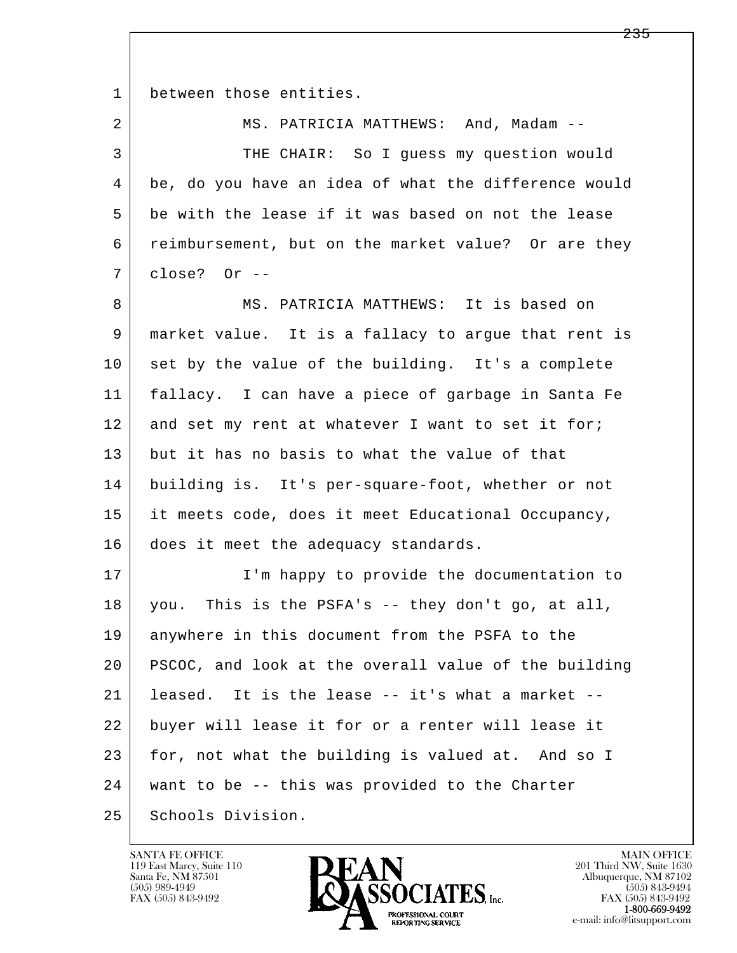1 between those entities.

| 2  | MS. PATRICIA MATTHEWS: And, Madam --                 |
|----|------------------------------------------------------|
| 3  | THE CHAIR: So I guess my question would              |
| 4  | be, do you have an idea of what the difference would |
| 5  | be with the lease if it was based on not the lease   |
| 6  | reimbursement, but on the market value? Or are they  |
| 7  | close? Or --                                         |
| 8  | MS. PATRICIA MATTHEWS: It is based on                |
| 9  | market value. It is a fallacy to argue that rent is  |
| 10 | set by the value of the building. It's a complete    |
| 11 | fallacy. I can have a piece of garbage in Santa Fe   |
| 12 | and set my rent at whatever I want to set it for;    |
| 13 | but it has no basis to what the value of that        |
| 14 | building is. It's per-square-foot, whether or not    |
| 15 | it meets code, does it meet Educational Occupancy,   |
| 16 | does it meet the adequacy standards.                 |
| 17 | I'm happy to provide the documentation to            |
| 18 | you. This is the PSFA's -- they don't go, at all,    |
| 19 | anywhere in this document from the PSFA to the       |
| 20 | PSCOC, and look at the overall value of the building |
| 21 | It is the lease -- it's what a market --<br>leased.  |
| 22 | buyer will lease it for or a renter will lease it    |
| 23 | for, not what the building is valued at. And so I    |
| 24 | want to be -- this was provided to the Charter       |
| 25 | Schools Division.                                    |

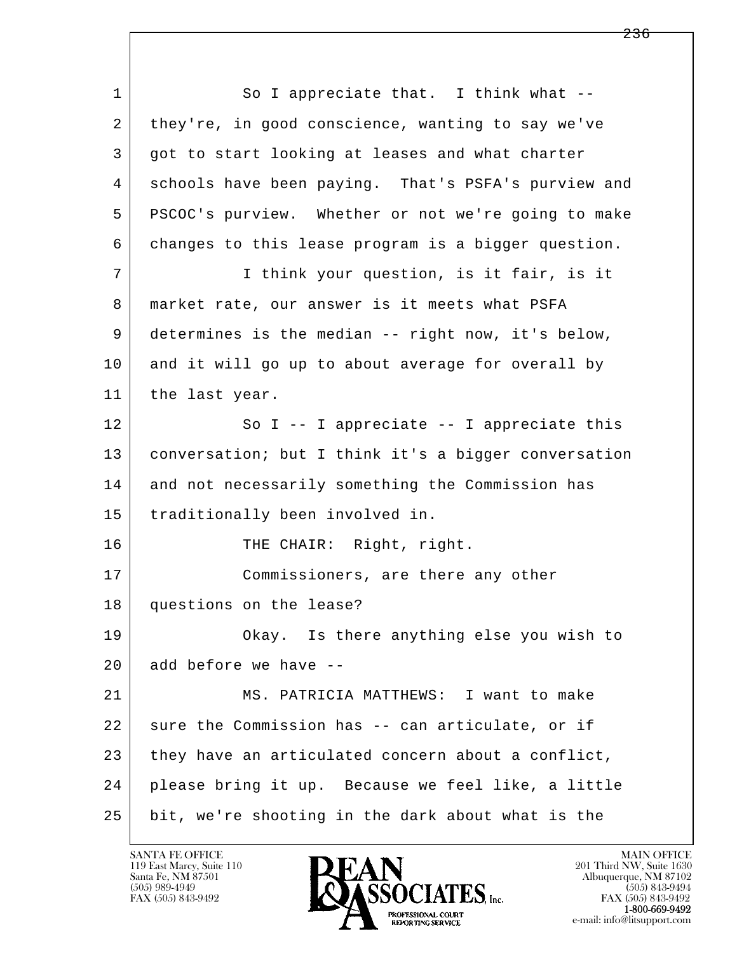l  $\overline{\phantom{a}}$ 1 So I appreciate that. I think what --2 they're, in good conscience, wanting to say we've 3 got to start looking at leases and what charter 4 schools have been paying. That's PSFA's purview and 5 PSCOC's purview. Whether or not we're going to make 6 changes to this lease program is a bigger question. 7 I think your question, is it fair, is it 8 | market rate, our answer is it meets what PSFA 9 determines is the median -- right now, it's below, 10 and it will go up to about average for overall by 11 | the last year. 12 So I -- I appreciate -- I appreciate this 13 conversation; but I think it's a bigger conversation 14 and not necessarily something the Commission has 15 traditionally been involved in. 16 THE CHAIR: Right, right. 17 Commissioners, are there any other 18 questions on the lease? 19 Okay. Is there anything else you wish to  $20$  add before we have  $-$ 21 | MS. PATRICIA MATTHEWS: I want to make  $22$  sure the Commission has -- can articulate, or if 23 they have an articulated concern about a conflict, 24 please bring it up. Because we feel like, a little 25 bit, we're shooting in the dark about what is the

119 East Marcy, Suite 110<br>Santa Fe, NM 87501

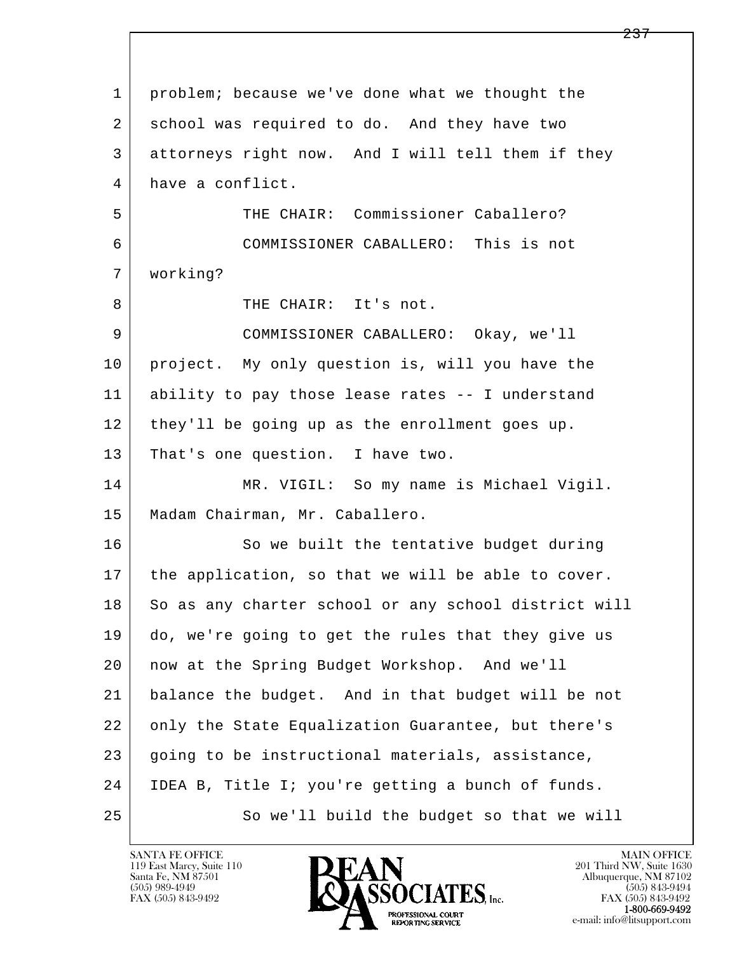| 1  | problem; because we've done what we thought the      |
|----|------------------------------------------------------|
| 2  | school was required to do. And they have two         |
| 3  | attorneys right now. And I will tell them if they    |
| 4  | have a conflict.                                     |
| 5  | THE CHAIR: Commissioner Caballero?                   |
| 6  | COMMISSIONER CABALLERO: This is not                  |
| 7  | working?                                             |
| 8  | THE CHAIR: It's not.                                 |
| 9  | COMMISSIONER CABALLERO: Okay, we'll                  |
| 10 | project. My only question is, will you have the      |
| 11 | ability to pay those lease rates -- I understand     |
| 12 | they'll be going up as the enrollment goes up.       |
| 13 | That's one question. I have two.                     |
| 14 | MR. VIGIL: So my name is Michael Vigil.              |
| 15 | Madam Chairman, Mr. Caballero.                       |
| 16 | So we built the tentative budget during              |
| 17 | the application, so that we will be able to cover.   |
| 18 | So as any charter school or any school district will |
| 19 | do, we're going to get the rules that they give us   |
| 20 | now at the Spring Budget Workshop. And we'll         |
| 21 | balance the budget. And in that budget will be not   |
| 22 | only the State Equalization Guarantee, but there's   |
| 23 | going to be instructional materials, assistance,     |
| 24 | IDEA B, Title I; you're getting a bunch of funds.    |
| 25 | So we'll build the budget so that we will            |

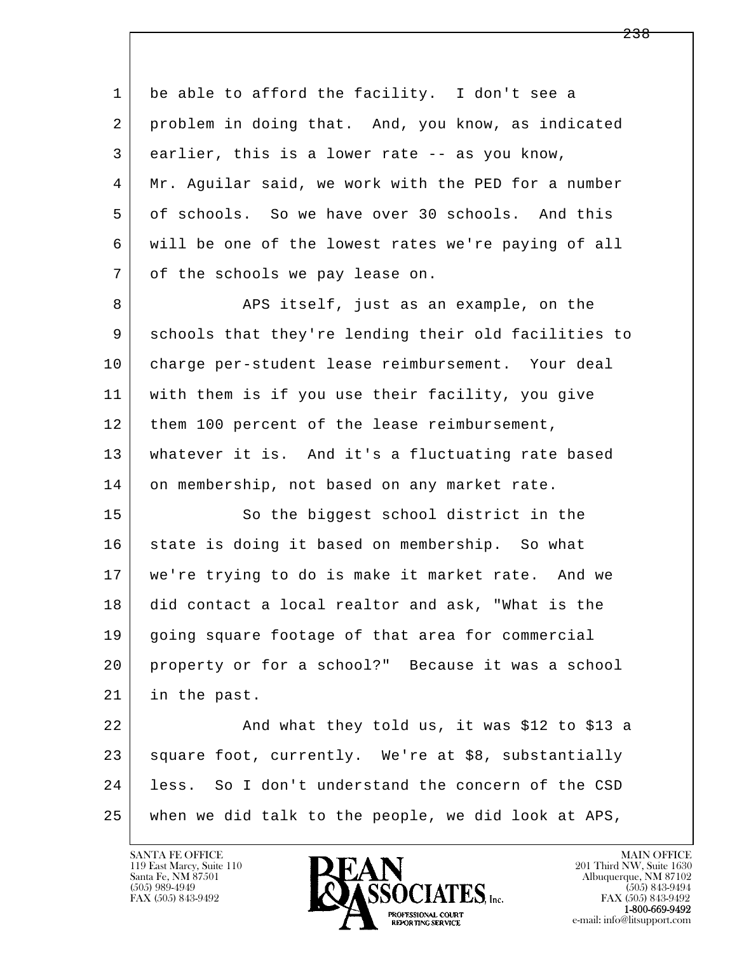l  $\overline{\phantom{a}}$ 1 be able to afford the facility. I don't see a 2 problem in doing that. And, you know, as indicated 3 earlier, this is a lower rate -- as you know, 4 Mr. Aguilar said, we work with the PED for a number 5 of schools. So we have over 30 schools. And this 6 will be one of the lowest rates we're paying of all 7 of the schools we pay lease on. 8 | Res itself, just as an example, on the 9 schools that they're lending their old facilities to 10 charge per-student lease reimbursement. Your deal 11 with them is if you use their facility, you give 12 | them 100 percent of the lease reimbursement, 13 whatever it is. And it's a fluctuating rate based 14 on membership, not based on any market rate. 15 So the biggest school district in the 16 state is doing it based on membership. So what 17 we're trying to do is make it market rate. And we 18 did contact a local realtor and ask, "What is the 19 going square footage of that area for commercial 20 property or for a school?" Because it was a school 21 in the past. 22 And what they told us, it was \$12 to \$13 a 23 square foot, currently. We're at \$8, substantially 24 less. So I don't understand the concern of the CSD 25 when we did talk to the people, we did look at APS,

119 East Marcy, Suite 110<br>Santa Fe, NM 87501

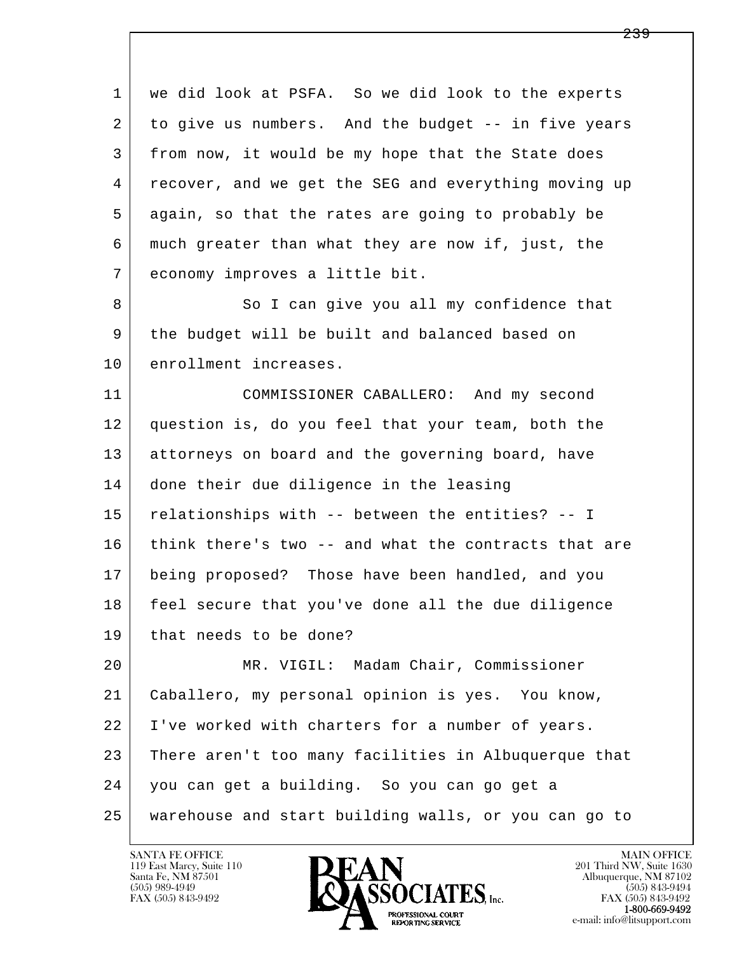l  $\overline{\phantom{a}}$  1 we did look at PSFA. So we did look to the experts 2 to give us numbers. And the budget -- in five years 3 from now, it would be my hope that the State does 4 recover, and we get the SEG and everything moving up 5 again, so that the rates are going to probably be 6 much greater than what they are now if, just, the 7 economy improves a little bit. 8 So I can give you all my confidence that 9 the budget will be built and balanced based on 10 enrollment increases. 11 COMMISSIONER CABALLERO: And my second 12 question is, do you feel that your team, both the 13 attorneys on board and the governing board, have 14 done their due diligence in the leasing 15 relationships with -- between the entities? -- I 16 | think there's two -- and what the contracts that are 17 being proposed? Those have been handled, and you 18 feel secure that you've done all the due diligence 19 | that needs to be done? 20 MR. VIGIL: Madam Chair, Commissioner 21 Caballero, my personal opinion is yes. You know, 22 I've worked with charters for a number of years. 23 There aren't too many facilities in Albuquerque that 24 you can get a building. So you can go get a 25 warehouse and start building walls, or you can go to

119 East Marcy, Suite 110<br>Santa Fe, NM 87501



FAX (505) 843-9492<br>1-800-669-9492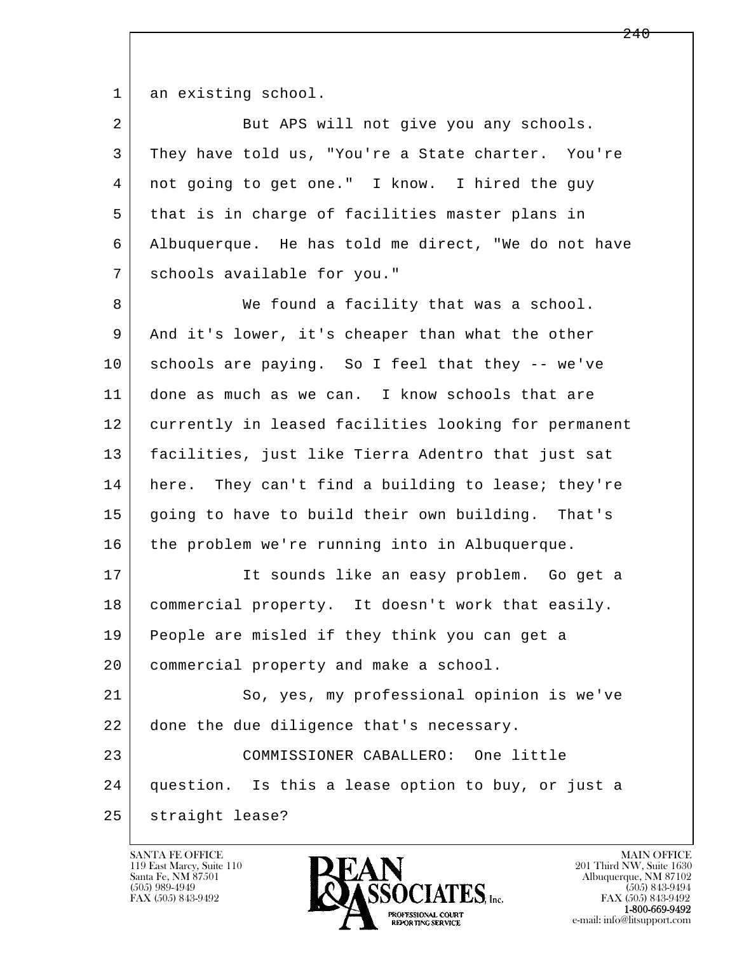1 an existing school.

2 But APS will not give you any schools. 3 They have told us, "You're a State charter. You're 4 not going to get one." I know. I hired the guy 5 that is in charge of facilities master plans in 6 Albuquerque. He has told me direct, "We do not have 7 schools available for you." 8 We found a facility that was a school. 9 And it's lower, it's cheaper than what the other 10 schools are paying. So I feel that they -- we've 11 done as much as we can. I know schools that are 12 currently in leased facilities looking for permanent 13 facilities, just like Tierra Adentro that just sat 14 here. They can't find a building to lease; they're 15 going to have to build their own building. That's 16 the problem we're running into in Albuquerque. 17 | The sounds like an easy problem. Go get a 18 commercial property. It doesn't work that easily. 19 People are misled if they think you can get a 20 commercial property and make a school. 21 So, yes, my professional opinion is we've 22 done the due diligence that's necessary. 23 COMMISSIONER CABALLERO: One little

l  $\overline{\phantom{a}}$ 

25 straight lease?

119 East Marcy, Suite 110<br>Santa Fe, NM 87501



24 question. Is this a lease option to buy, or just a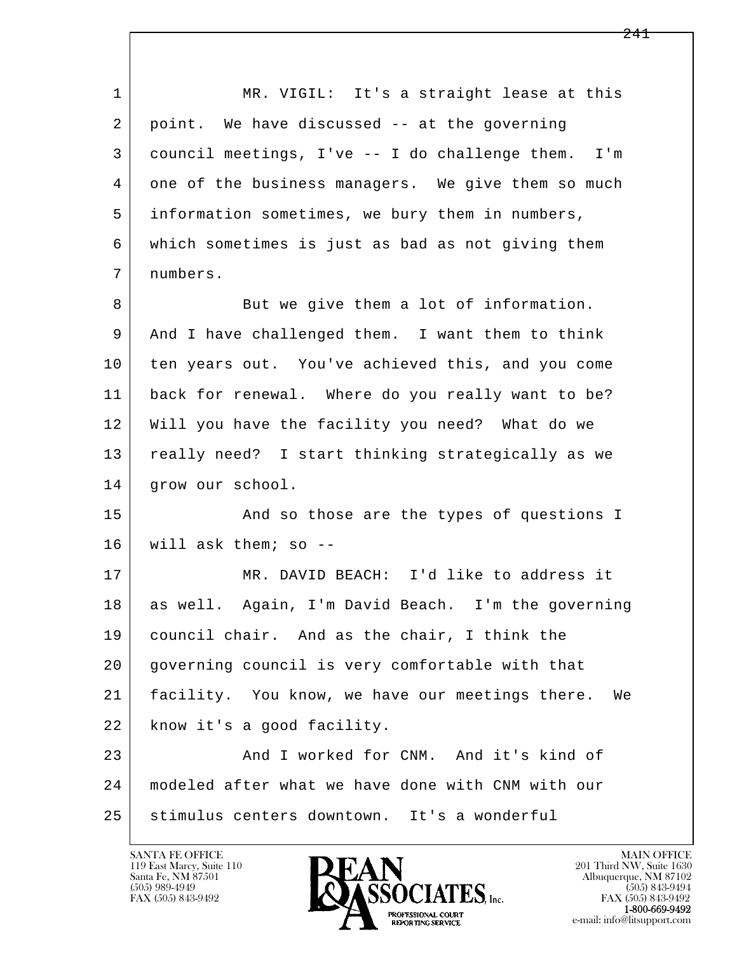l  $\overline{\phantom{a}}$ 1 MR. VIGIL: It's a straight lease at this 2 point. We have discussed -- at the governing 3 council meetings, I've -- I do challenge them. I'm 4 one of the business managers. We give them so much 5 information sometimes, we bury them in numbers, 6 which sometimes is just as bad as not giving them 7 numbers. 8 But we give them a lot of information. 9 And I have challenged them. I want them to think 10 ten years out. You've achieved this, and you come 11 back for renewal. Where do you really want to be? 12 Will you have the facility you need? What do we 13 really need? I start thinking strategically as we 14 | grow our school. 15 | The Sand so those are the types of questions I 16 will ask them; so -- 17 MR. DAVID BEACH: I'd like to address it 18 as well. Again, I'm David Beach. I'm the governing 19 council chair. And as the chair, I think the 20 governing council is very comfortable with that 21 facility. You know, we have our meetings there. We 22 know it's a good facility. 23 And I worked for CNM. And it's kind of 24 modeled after what we have done with CNM with our 25 stimulus centers downtown. It's a wonderful

119 East Marcy, Suite 110<br>Santa Fe, NM 87501

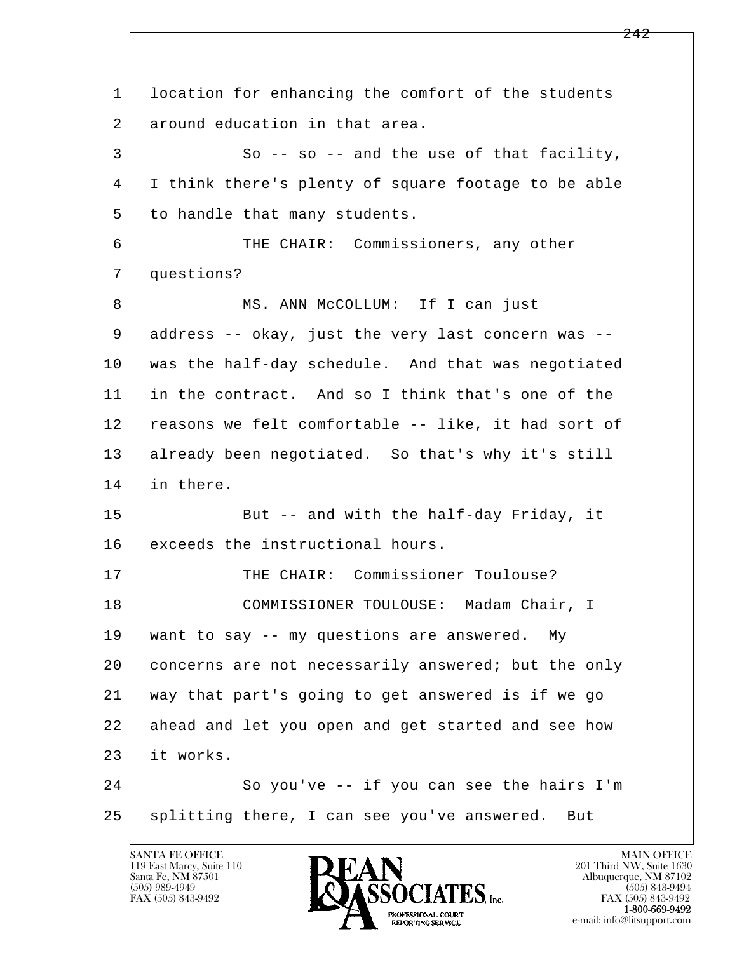l  $\overline{\phantom{a}}$  1 location for enhancing the comfort of the students 2 around education in that area. 3 So -- so -- and the use of that facility, 4 I think there's plenty of square footage to be able 5 to handle that many students. 6 THE CHAIR: Commissioners, any other 7 questions? 8 | MS. ANN McCOLLUM: If I can just 9 address -- okay, just the very last concern was -- 10 was the half-day schedule. And that was negotiated 11 in the contract. And so I think that's one of the 12 reasons we felt comfortable -- like, it had sort of 13 already been negotiated. So that's why it's still 14 in there. 15 | But -- and with the half-day Friday, it 16 exceeds the instructional hours. 17 THE CHAIR: Commissioner Toulouse? 18 COMMISSIONER TOULOUSE: Madam Chair, I 19 want to say -- my questions are answered. My 20 concerns are not necessarily answered; but the only 21 way that part's going to get answered is if we go 22 ahead and let you open and get started and see how 23 it works. 24 So you've -- if you can see the hairs I'm 25 splitting there, I can see you've answered. But

119 East Marcy, Suite 110<br>Santa Fe, NM 87501



FAX (505) 843-9492<br>1-800-669-9492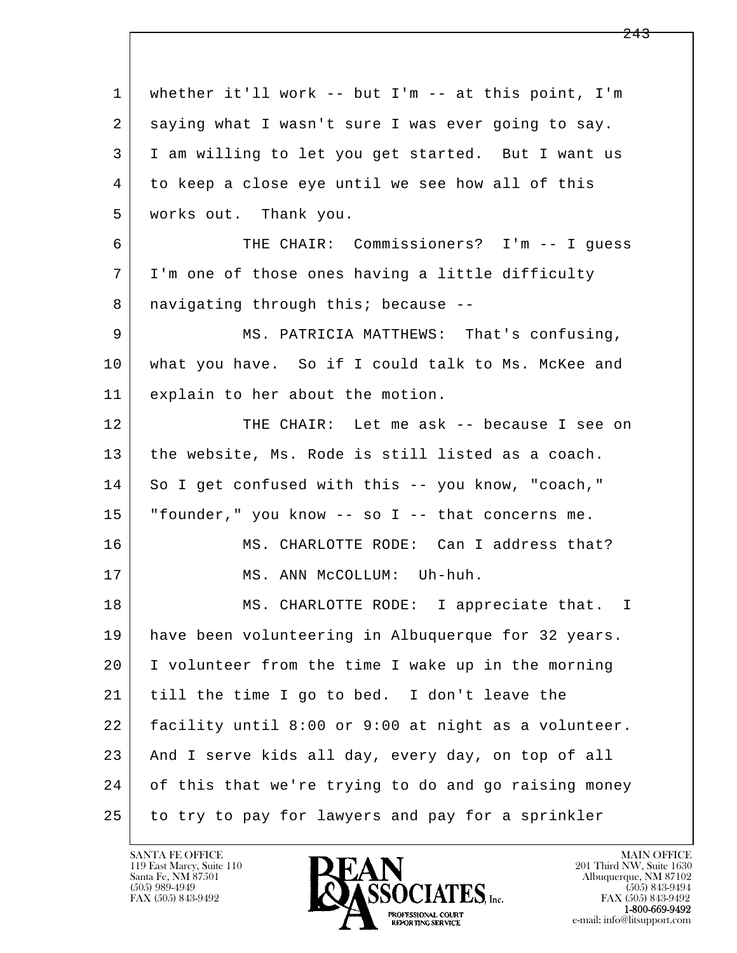l  $\overline{\phantom{a}}$  1 whether it'll work -- but I'm -- at this point, I'm 2 saying what I wasn't sure I was ever going to say. 3 I am willing to let you get started. But I want us 4 to keep a close eye until we see how all of this 5 works out. Thank you. 6 THE CHAIR: Commissioners? I'm -- I guess 7 I'm one of those ones having a little difficulty 8 | navigating through this; because --9 MS. PATRICIA MATTHEWS: That's confusing, 10 what you have. So if I could talk to Ms. McKee and 11 explain to her about the motion. 12 THE CHAIR: Let me ask -- because I see on 13 the website, Ms. Rode is still listed as a coach. 14 So I get confused with this -- you know, "coach," 15 "founder," you know -- so I -- that concerns me. 16 MS. CHARLOTTE RODE: Can I address that? 17 | MS. ANN McCOLLUM: Uh-huh. 18 | MS. CHARLOTTE RODE: I appreciate that. I 19 have been volunteering in Albuquerque for 32 years. 20 I volunteer from the time I wake up in the morning 21 till the time I go to bed. I don't leave the 22 facility until 8:00 or 9:00 at night as a volunteer. 23 And I serve kids all day, every day, on top of all 24 of this that we're trying to do and go raising money 25 to try to pay for lawyers and pay for a sprinkler

119 East Marcy, Suite 110<br>Santa Fe, NM 87501



FAX (505) 843-9492<br>**1-800-669-9492**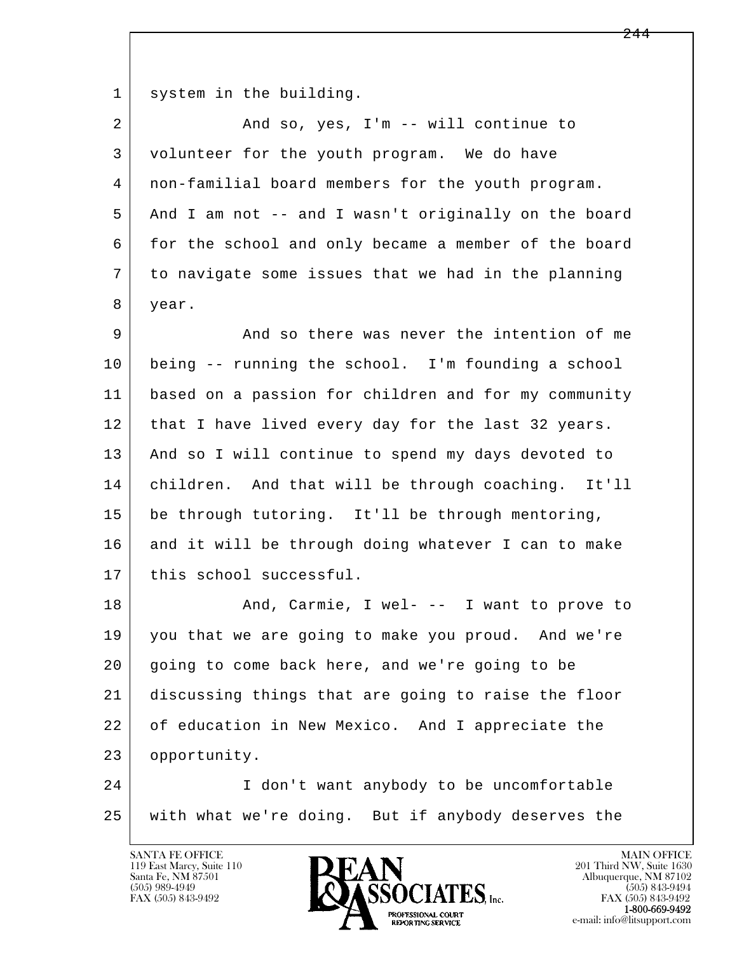1 system in the building.

| $\overline{a}$ | And so, yes, I'm -- will continue to                 |
|----------------|------------------------------------------------------|
| 3              | volunteer for the youth program. We do have          |
| 4              | non-familial board members for the youth program.    |
| 5              | And I am not -- and I wasn't originally on the board |
| 6              | for the school and only became a member of the board |
| 7              | to navigate some issues that we had in the planning  |
| 8              | year.                                                |
| 9              | And so there was never the intention of me           |
| 10             | being -- running the school. I'm founding a school   |
| 11             | based on a passion for children and for my community |
| 12             | that I have lived every day for the last 32 years.   |
| 13             | And so I will continue to spend my days devoted to   |
| 14             | children. And that will be through coaching. It'll   |
| 15             | be through tutoring. It'll be through mentoring,     |
| 16             | and it will be through doing whatever I can to make  |
| 17             | this school successful.                              |
| 18             | And, Carmie, I wel- -- I want to prove to            |
| 19             | you that we are going to make you proud. And we're   |
| 20             | going to come back here, and we're going to be       |
| 21             | discussing things that are going to raise the floor  |
| 22             | of education in New Mexico. And I appreciate the     |
| 23             | opportunity.                                         |
| 24             | I don't want anybody to be uncomfortable             |
| 25             | with what we're doing. But if anybody deserves the   |

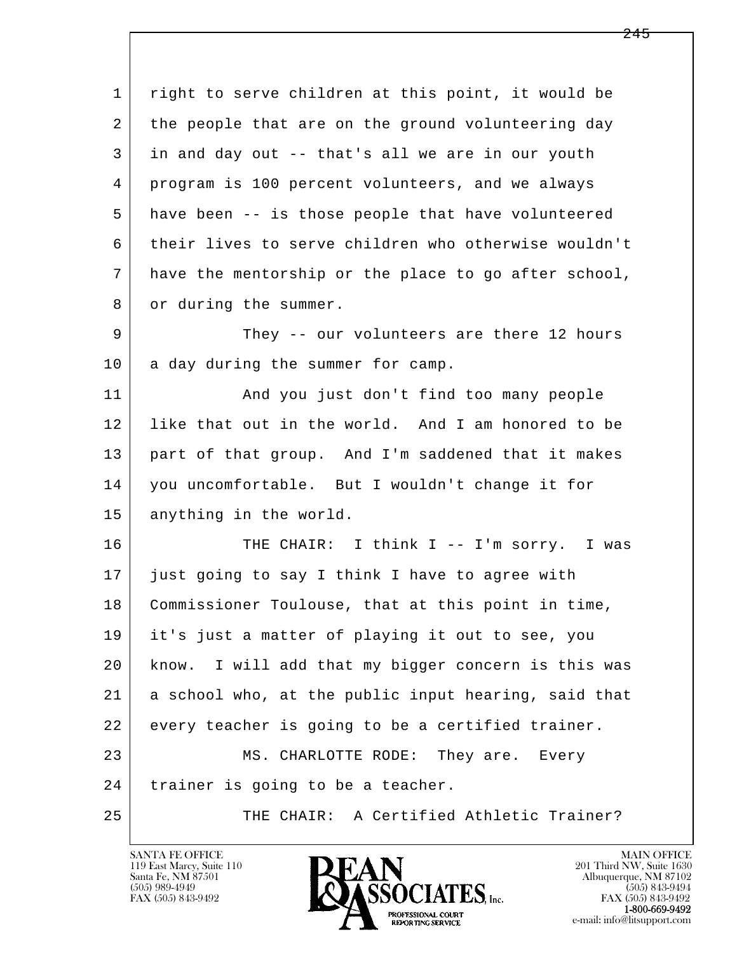l  $\overline{\phantom{a}}$  1 right to serve children at this point, it would be 2 the people that are on the ground volunteering day 3 in and day out -- that's all we are in our youth 4 program is 100 percent volunteers, and we always 5 have been -- is those people that have volunteered 6 their lives to serve children who otherwise wouldn't 7 have the mentorship or the place to go after school, 8 or during the summer. 9 They -- our volunteers are there 12 hours 10 a day during the summer for camp. 11 | And you just don't find too many people 12 like that out in the world. And I am honored to be 13 part of that group. And I'm saddened that it makes 14 you uncomfortable. But I wouldn't change it for 15 anything in the world. 16 THE CHAIR: I think I -- I'm sorry. I was 17 just going to say I think I have to agree with 18 Commissioner Toulouse, that at this point in time, 19 it's just a matter of playing it out to see, you 20 know. I will add that my bigger concern is this was 21 a school who, at the public input hearing, said that 22 every teacher is going to be a certified trainer. 23 MS. CHARLOTTE RODE: They are. Every 24 | trainer is going to be a teacher. 25 THE CHAIR: A Certified Athletic Trainer?

119 East Marcy, Suite 110<br>Santa Fe, NM 87501

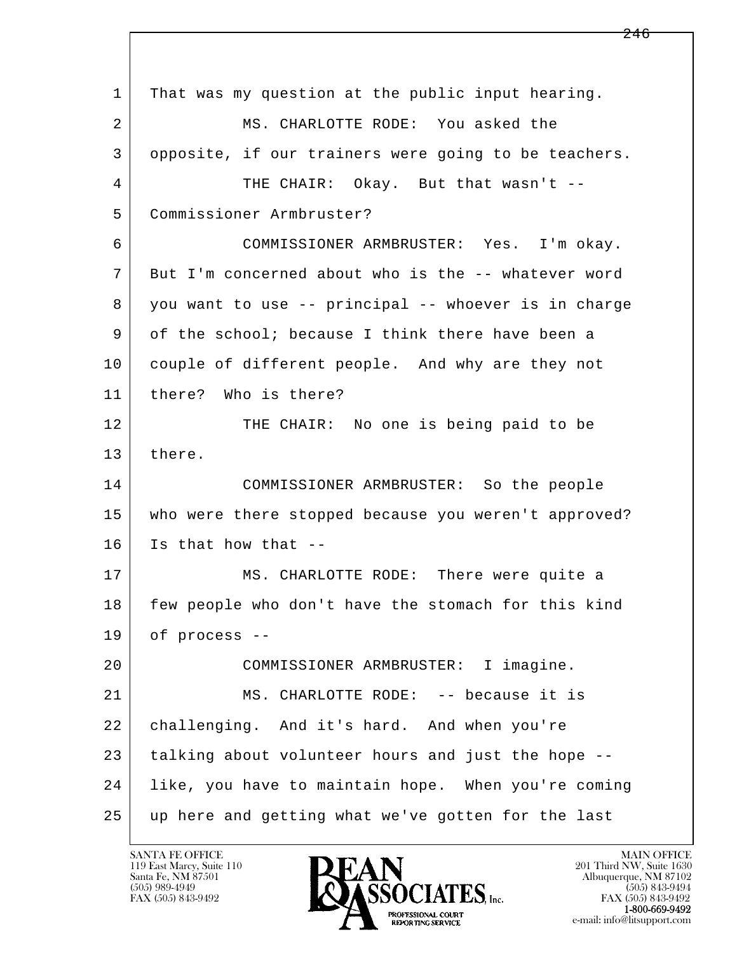l  $\overline{\phantom{a}}$  1 That was my question at the public input hearing. 2 MS. CHARLOTTE RODE: You asked the 3 opposite, if our trainers were going to be teachers. 4 THE CHAIR: Okay. But that wasn't -- 5 Commissioner Armbruster? 6 COMMISSIONER ARMBRUSTER: Yes. I'm okay. 7 But I'm concerned about who is the -- whatever word 8 you want to use -- principal -- whoever is in charge 9 of the school; because I think there have been a 10 couple of different people. And why are they not 11 there? Who is there? 12 THE CHAIR: No one is being paid to be 13 there. 14 COMMISSIONER ARMBRUSTER: So the people 15 who were there stopped because you weren't approved? 16 Is that how that -- 17 MS. CHARLOTTE RODE: There were quite a 18 few people who don't have the stomach for this kind 19 of process -- 20 COMMISSIONER ARMBRUSTER: I imagine. 21 MS. CHARLOTTE RODE: -- because it is 22 challenging. And it's hard. And when you're 23 talking about volunteer hours and just the hope -- 24 like, you have to maintain hope. When you're coming 25 up here and getting what we've gotten for the last

119 East Marcy, Suite 110<br>Santa Fe, NM 87501



FAX (505) 843-9492<br>1-800-669-9492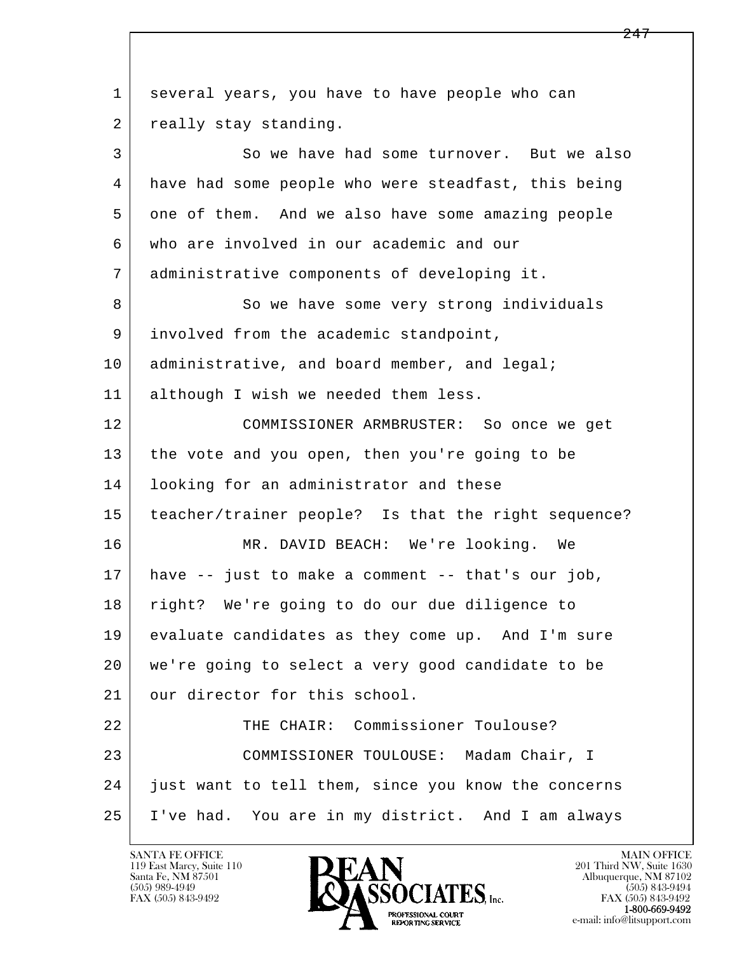l  $\overline{\phantom{a}}$  1 several years, you have to have people who can 2 really stay standing. 3 So we have had some turnover. But we also 4 have had some people who were steadfast, this being 5 one of them. And we also have some amazing people 6 who are involved in our academic and our 7 administrative components of developing it. 8 So we have some very strong individuals 9 involved from the academic standpoint, 10 administrative, and board member, and legal; 11 although I wish we needed them less. 12 COMMISSIONER ARMBRUSTER: So once we get 13 the vote and you open, then you're going to be 14 looking for an administrator and these 15 teacher/trainer people? Is that the right sequence? 16 MR. DAVID BEACH: We're looking. We 17 have -- just to make a comment -- that's our job, 18 right? We're going to do our due diligence to 19 evaluate candidates as they come up. And I'm sure 20 we're going to select a very good candidate to be 21 | our director for this school. 22 THE CHAIR: Commissioner Toulouse? 23 COMMISSIONER TOULOUSE: Madam Chair, I 24 just want to tell them, since you know the concerns 25 I've had. You are in my district. And I am always

119 East Marcy, Suite 110<br>Santa Fe, NM 87501

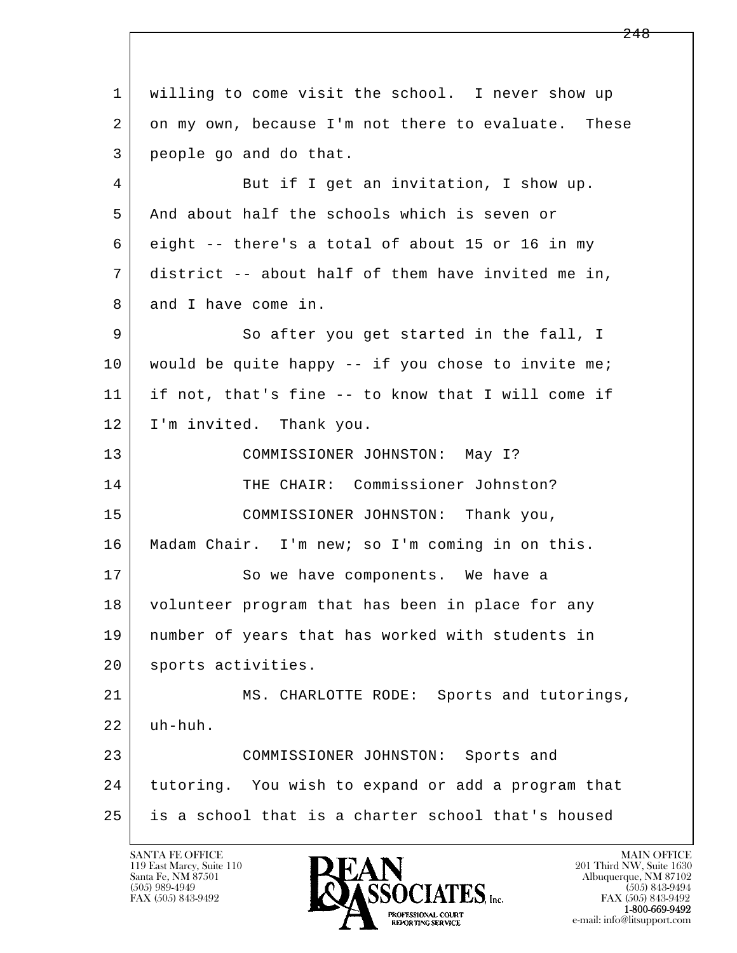l  $\overline{\phantom{a}}$  1 willing to come visit the school. I never show up 2 on my own, because I'm not there to evaluate. These 3 people go and do that. 4 But if I get an invitation, I show up. 5 And about half the schools which is seven or 6 eight -- there's a total of about 15 or 16 in my 7 district -- about half of them have invited me in, 8 and I have come in. 9 So after you get started in the fall, I 10 | would be quite happy -- if you chose to invite me; 11 if not, that's fine -- to know that I will come if 12 | I'm invited. Thank you. 13 COMMISSIONER JOHNSTON: May I? 14 THE CHAIR: Commissioner Johnston? 15 | COMMISSIONER JOHNSTON: Thank you, 16 Madam Chair. I'm new; so I'm coming in on this. 17 So we have components. We have a 18 | volunteer program that has been in place for any 19 number of years that has worked with students in 20 | sports activities. 21 MS. CHARLOTTE RODE: Sports and tutorings,  $22$  uh-huh. 23 COMMISSIONER JOHNSTON: Sports and 24 tutoring. You wish to expand or add a program that 25 is a school that is a charter school that's housed

119 East Marcy, Suite 110<br>Santa Fe, NM 87501



FAX (505) 843-9492<br>1-800-669-9492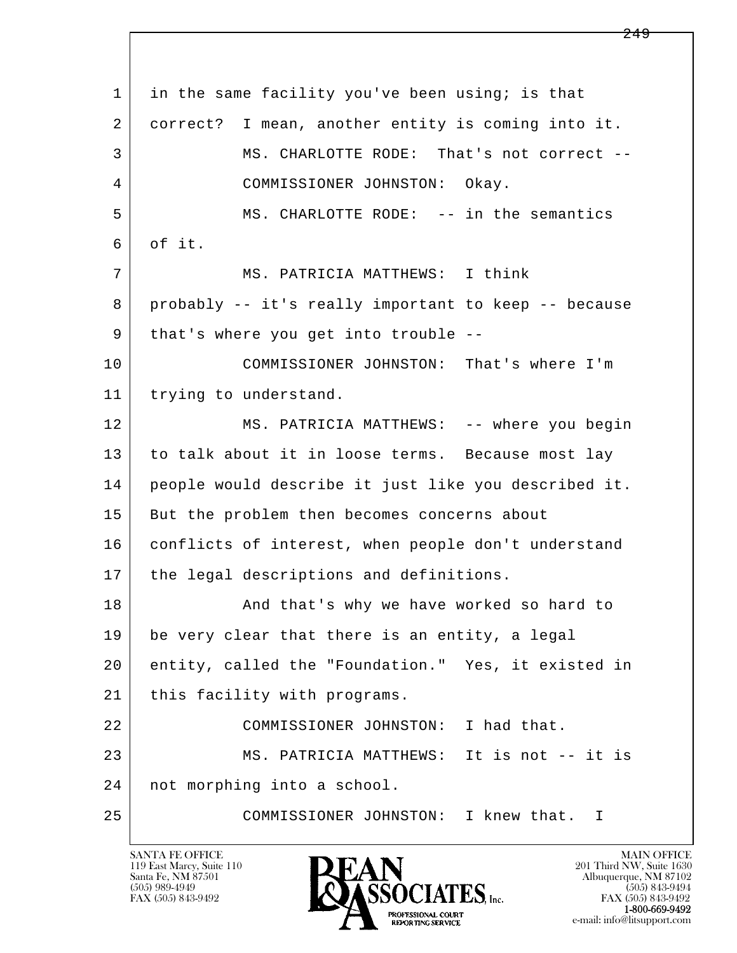l  $\overline{\phantom{a}}$ 1 in the same facility you've been using; is that 2 correct? I mean, another entity is coming into it. 3 MS. CHARLOTTE RODE: That's not correct -- 4 COMMISSIONER JOHNSTON: Okay. 5 MS. CHARLOTTE RODE: -- in the semantics  $6$  of it. 7 MS. PATRICIA MATTHEWS: I think 8 probably -- it's really important to keep -- because 9 | that's where you get into trouble -- 10 COMMISSIONER JOHNSTON: That's where I'm 11 | trying to understand. 12 MS. PATRICIA MATTHEWS: -- where you begin 13 to talk about it in loose terms. Because most lay 14 people would describe it just like you described it. 15 | But the problem then becomes concerns about 16 | conflicts of interest, when people don't understand 17 | the legal descriptions and definitions. 18 | The Sand that's why we have worked so hard to 19 be very clear that there is an entity, a legal 20 entity, called the "Foundation." Yes, it existed in 21 | this facility with programs. 22 COMMISSIONER JOHNSTON: I had that. 23 MS. PATRICIA MATTHEWS: It is not -- it is 24 not morphing into a school. 25 COMMISSIONER JOHNSTON: I knew that. I

119 East Marcy, Suite 110<br>Santa Fe, NM 87501

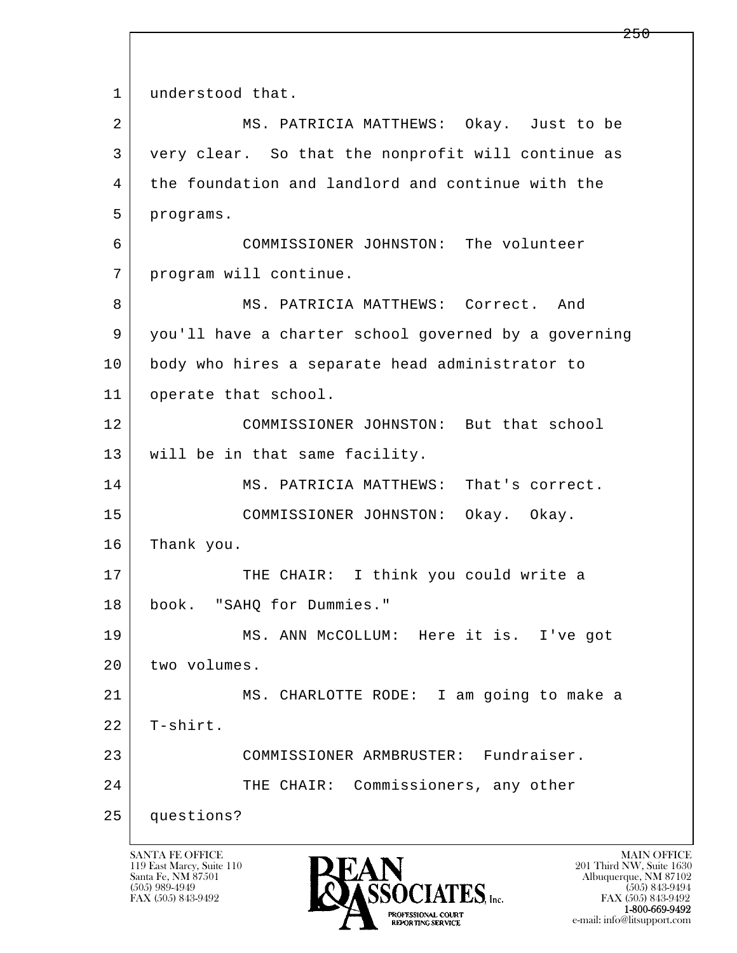l  $\overline{\phantom{a}}$ 1 understood that. 2 MS. PATRICIA MATTHEWS: Okay. Just to be 3 very clear. So that the nonprofit will continue as 4 the foundation and landlord and continue with the 5 programs. 6 COMMISSIONER JOHNSTON: The volunteer 7 program will continue. 8 | MS. PATRICIA MATTHEWS: Correct. And 9 you'll have a charter school governed by a governing 10 body who hires a separate head administrator to 11 | operate that school. 12 COMMISSIONER JOHNSTON: But that school 13 will be in that same facility. 14 MS. PATRICIA MATTHEWS: That's correct. 15 COMMISSIONER JOHNSTON: Okay. Okay. 16 Thank you. 17 THE CHAIR: I think you could write a 18 book. "SAHQ for Dummies." 19 MS. ANN McCOLLUM: Here it is. I've got 20 two volumes. 21 MS. CHARLOTTE RODE: I am going to make a 22 T-shirt. 23 COMMISSIONER ARMBRUSTER: Fundraiser. 24 THE CHAIR: Commissioners, any other 25 questions?

119 East Marcy, Suite 110<br>Santa Fe, NM 87501

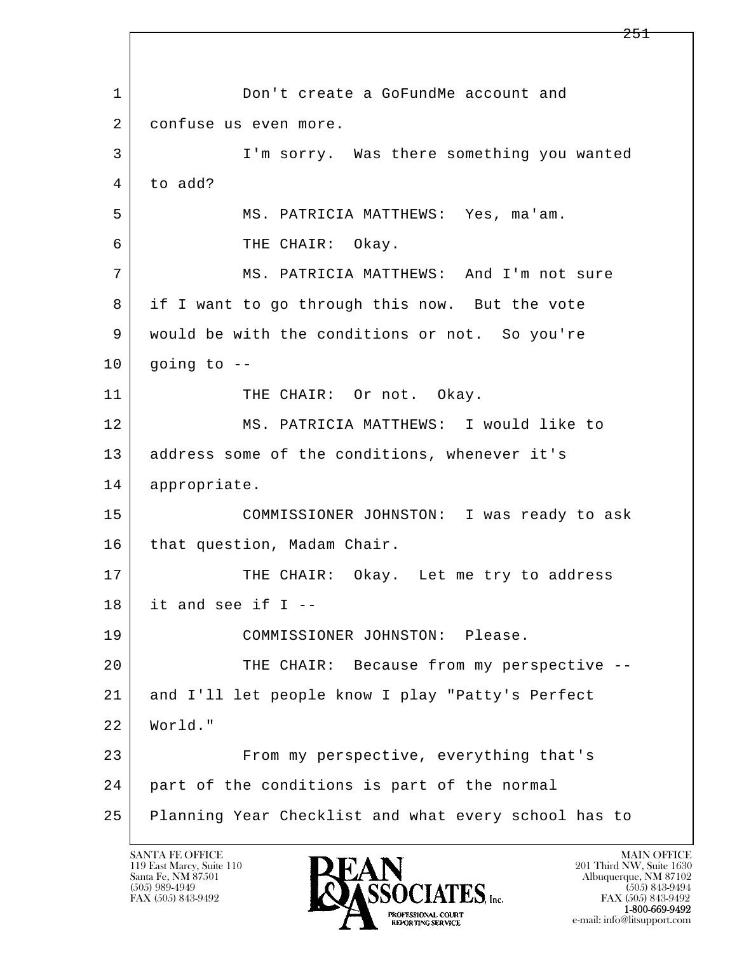l  $\overline{\phantom{a}}$ 1 Don't create a GoFundMe account and 2 confuse us even more. 3 I'm sorry. Was there something you wanted 4 to add? 5 MS. PATRICIA MATTHEWS: Yes, ma'am. 6 THE CHAIR: Okay. 7 MS. PATRICIA MATTHEWS: And I'm not sure 8 if I want to go through this now. But the vote 9 would be with the conditions or not. So you're  $10$  going to  $-$ 11 THE CHAIR: Or not. Okay. 12 MS. PATRICIA MATTHEWS: I would like to 13 address some of the conditions, whenever it's 14 appropriate. 15 COMMISSIONER JOHNSTON: I was ready to ask 16 | that question, Madam Chair. 17 THE CHAIR: Okay. Let me try to address  $18$  it and see if I -- 19 COMMISSIONER JOHNSTON: Please. 20 THE CHAIR: Because from my perspective -- 21 and I'll let people know I play "Patty's Perfect 22 World." 23 From my perspective, everything that's 24 part of the conditions is part of the normal 25 Planning Year Checklist and what every school has to

119 East Marcy, Suite 110<br>Santa Fe, NM 87501

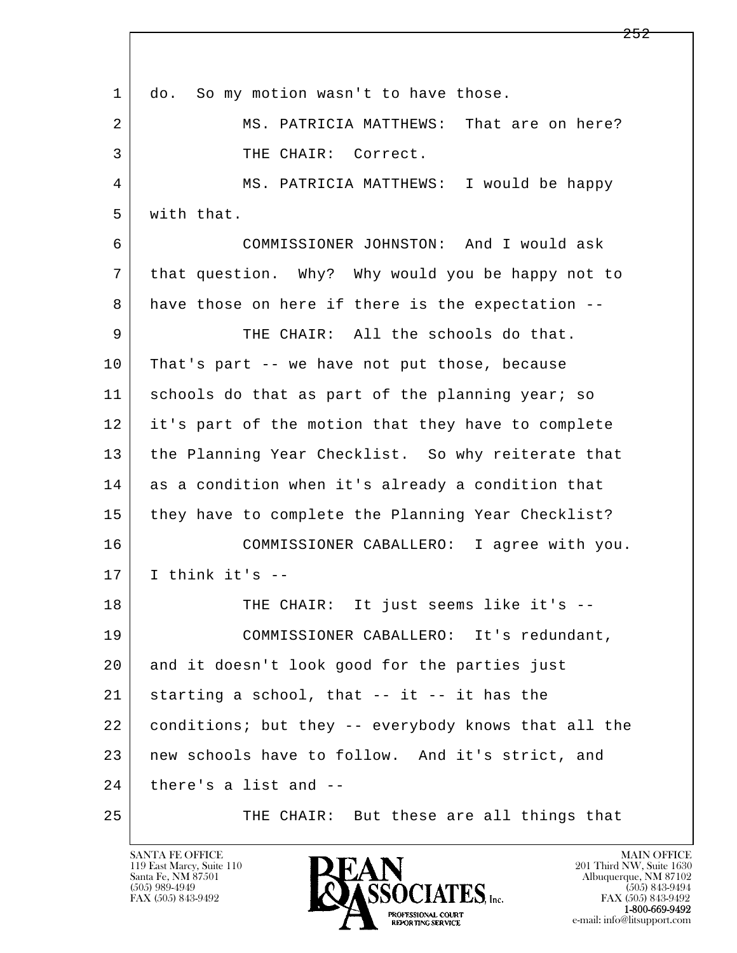l  $\overline{\phantom{a}}$ 1 do. So my motion wasn't to have those. 2 MS. PATRICIA MATTHEWS: That are on here? 3 | THE CHAIR: Correct. 4 MS. PATRICIA MATTHEWS: I would be happy 5 with that. 6 COMMISSIONER JOHNSTON: And I would ask 7 that question. Why? Why would you be happy not to 8 have those on here if there is the expectation -- 9 THE CHAIR: All the schools do that. 10 That's part -- we have not put those, because 11 schools do that as part of the planning year; so 12 it's part of the motion that they have to complete 13 the Planning Year Checklist. So why reiterate that 14 as a condition when it's already a condition that 15 they have to complete the Planning Year Checklist? 16 COMMISSIONER CABALLERO: I agree with you.  $17$  I think it's  $-$ 18 | THE CHAIR: It just seems like it's -- 19 COMMISSIONER CABALLERO: It's redundant, 20 and it doesn't look good for the parties just  $21$  starting a school, that  $-$  it  $-$  it has the 22 conditions; but they -- everybody knows that all the 23 new schools have to follow. And it's strict, and  $24$  there's a list and  $-$ 25 THE CHAIR: But these are all things that

119 East Marcy, Suite 110<br>Santa Fe, NM 87501

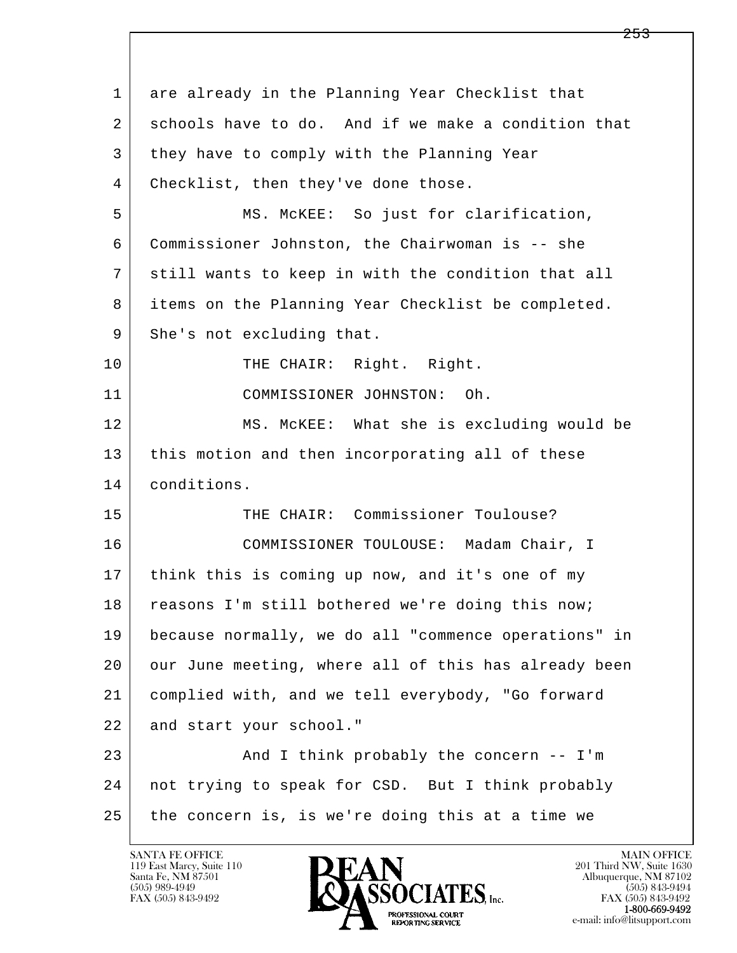l  $\overline{\phantom{a}}$  1 are already in the Planning Year Checklist that 2 schools have to do. And if we make a condition that 3 they have to comply with the Planning Year 4 | Checklist, then they've done those. 5 MS. McKEE: So just for clarification, 6 Commissioner Johnston, the Chairwoman is -- she 7 still wants to keep in with the condition that all 8 items on the Planning Year Checklist be completed. 9 She's not excluding that. 10 | THE CHAIR: Right. Right. 11 COMMISSIONER JOHNSTON: Oh. 12 MS. McKEE: What she is excluding would be 13 this motion and then incorporating all of these 14 conditions. 15 THE CHAIR: Commissioner Toulouse? 16 COMMISSIONER TOULOUSE: Madam Chair, I 17 think this is coming up now, and it's one of my 18 reasons I'm still bothered we're doing this now; 19 because normally, we do all "commence operations" in 20 our June meeting, where all of this has already been 21 complied with, and we tell everybody, "Go forward 22 and start your school." 23 | And I think probably the concern -- I'm 24 not trying to speak for CSD. But I think probably 25 the concern is, is we're doing this at a time we

119 East Marcy, Suite 110<br>Santa Fe, NM 87501



FAX (505) 843-9492<br>**1-800-669-9492**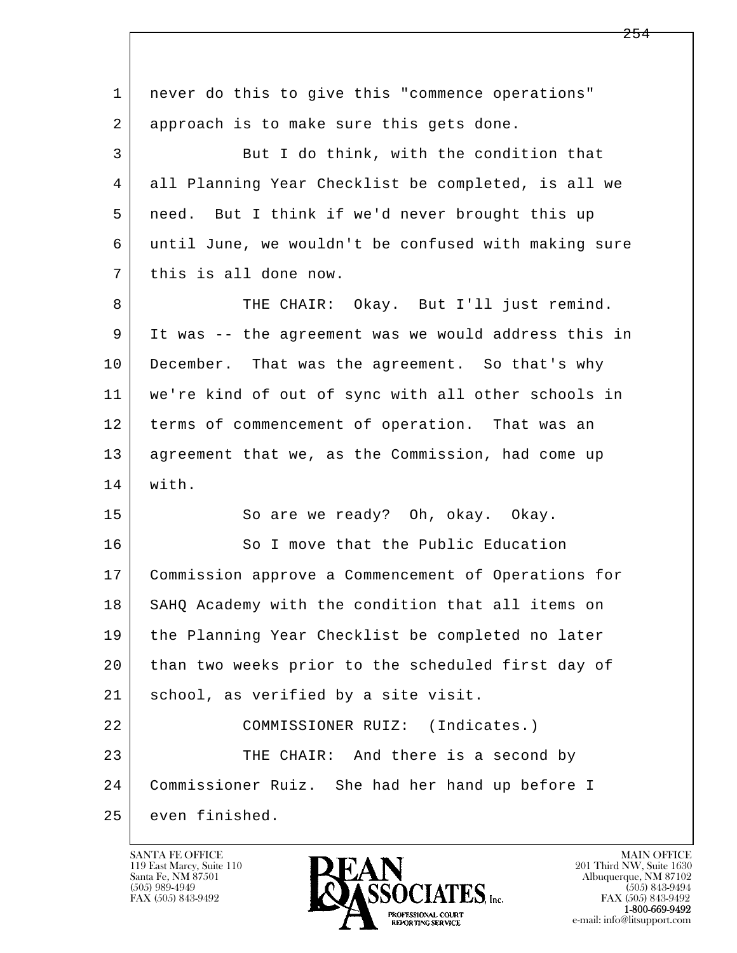| 1  | never do this to give this "commence operations"     |
|----|------------------------------------------------------|
| 2  | approach is to make sure this gets done.             |
| 3  | But I do think, with the condition that              |
| 4  | all Planning Year Checklist be completed, is all we  |
| 5  | need. But I think if we'd never brought this up      |
| 6  | until June, we wouldn't be confused with making sure |
| 7  | this is all done now.                                |
| 8  | THE CHAIR: Okay. But I'll just remind.               |
| 9  | It was -- the agreement was we would address this in |
| 10 | December. That was the agreement. So that's why      |
| 11 | we're kind of out of sync with all other schools in  |
| 12 | terms of commencement of operation. That was an      |
| 13 | agreement that we, as the Commission, had come up    |
| 14 | with.                                                |
| 15 | So are we ready? Oh, okay. Okay.                     |
| 16 | So I move that the Public Education                  |
| 17 | Commission approve a Commencement of Operations for  |
| 18 | SAHQ Academy with the condition that all items on    |
| 19 | the Planning Year Checklist be completed no later    |
| 20 | than two weeks prior to the scheduled first day of   |
| 21 | school, as verified by a site visit.                 |
| 22 | (Indicates.)<br>COMMISSIONER RUIZ:                   |
| 23 | THE CHAIR: And there is a second by                  |
| 24 | Commissioner Ruiz. She had her hand up before I      |
| 25 | even finished.                                       |

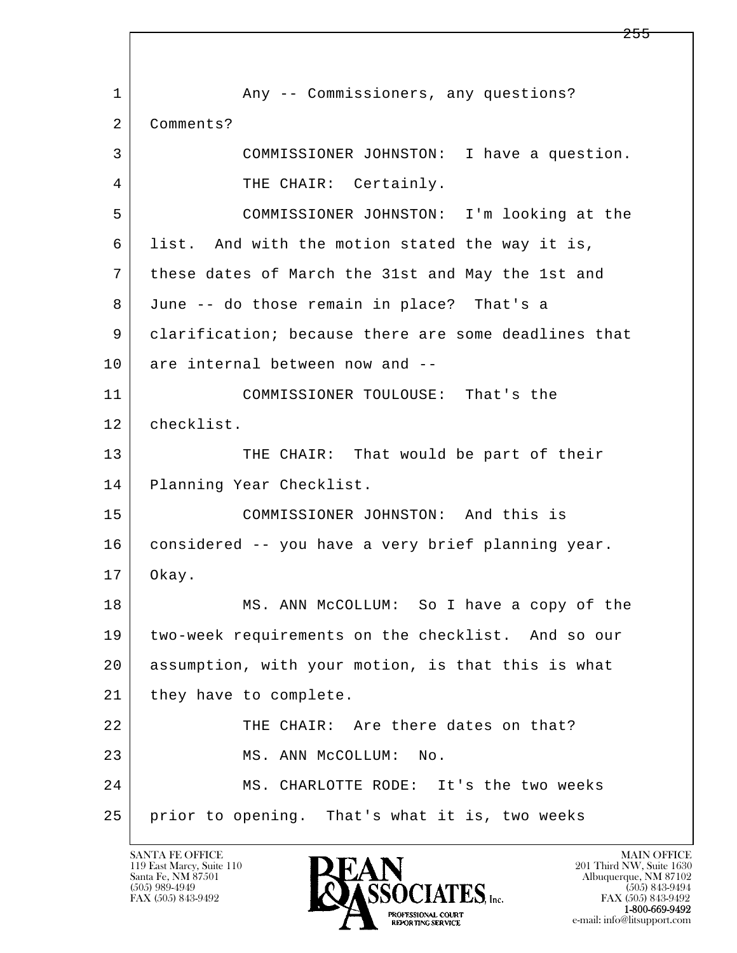l  $\overline{\phantom{a}}$ 1 Any -- Commissioners, any questions? 2 | Comments? 3 COMMISSIONER JOHNSTON: I have a question. 4 THE CHAIR: Certainly. 5 COMMISSIONER JOHNSTON: I'm looking at the 6 list. And with the motion stated the way it is, 7 these dates of March the 31st and May the 1st and 8 June -- do those remain in place? That's a 9 clarification; because there are some deadlines that 10 are internal between now and -- 11 COMMISSIONER TOULOUSE: That's the 12 checklist. 13 THE CHAIR: That would be part of their 14 Planning Year Checklist. 15 COMMISSIONER JOHNSTON: And this is 16 | considered -- you have a very brief planning year. 17 Okay. 18 | MS. ANN McCOLLUM: So I have a copy of the 19 two-week requirements on the checklist. And so our 20 assumption, with your motion, is that this is what 21 | they have to complete. 22 THE CHAIR: Are there dates on that? 23 MS. ANN McCOLLUM: No. 24 MS. CHARLOTTE RODE: It's the two weeks 25 prior to opening. That's what it is, two weeks

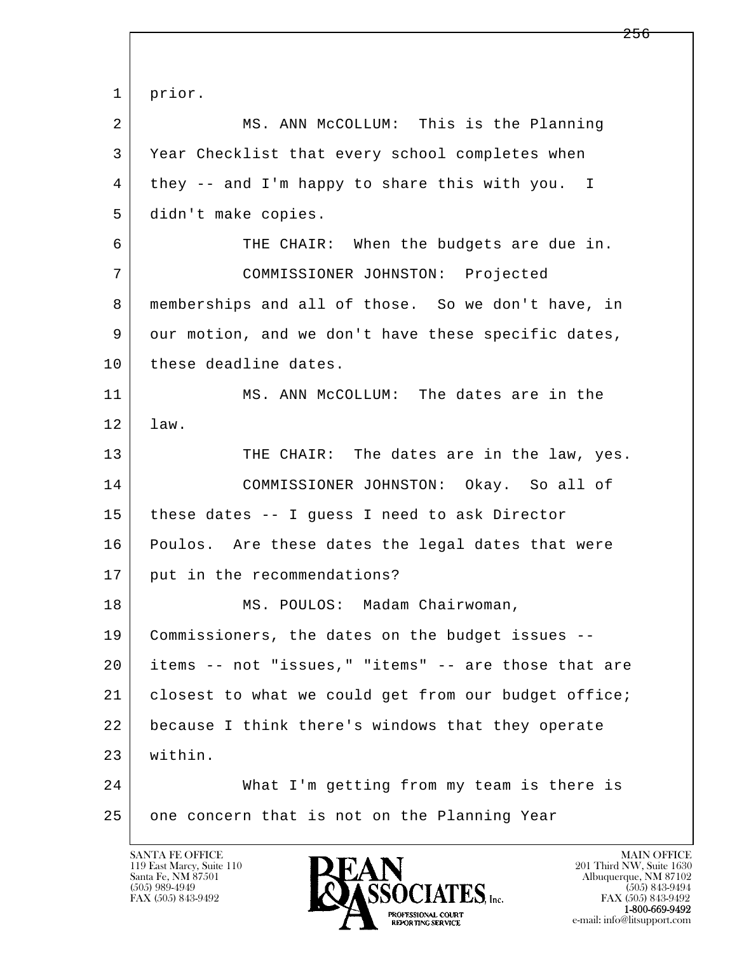l  $\overline{\phantom{a}}$  1 prior. 2 MS. ANN McCOLLUM: This is the Planning 3 Year Checklist that every school completes when 4 they -- and I'm happy to share this with you. I 5 didn't make copies. 6 THE CHAIR: When the budgets are due in. 7 COMMISSIONER JOHNSTON: Projected 8 memberships and all of those. So we don't have, in 9 our motion, and we don't have these specific dates, 10 these deadline dates. 11 MS. ANN McCOLLUM: The dates are in the 12 law. 13 THE CHAIR: The dates are in the law, yes. 14 COMMISSIONER JOHNSTON: Okay. So all of 15 these dates -- I guess I need to ask Director 16 Poulos. Are these dates the legal dates that were 17 put in the recommendations? 18 | MS. POULOS: Madam Chairwoman, 19 Commissioners, the dates on the budget issues -- 20 items -- not "issues," "items" -- are those that are 21 closest to what we could get from our budget office; 22 because I think there's windows that they operate 23 within. 24 What I'm getting from my team is there is 25 one concern that is not on the Planning Year

119 East Marcy, Suite 110<br>Santa Fe, NM 87501

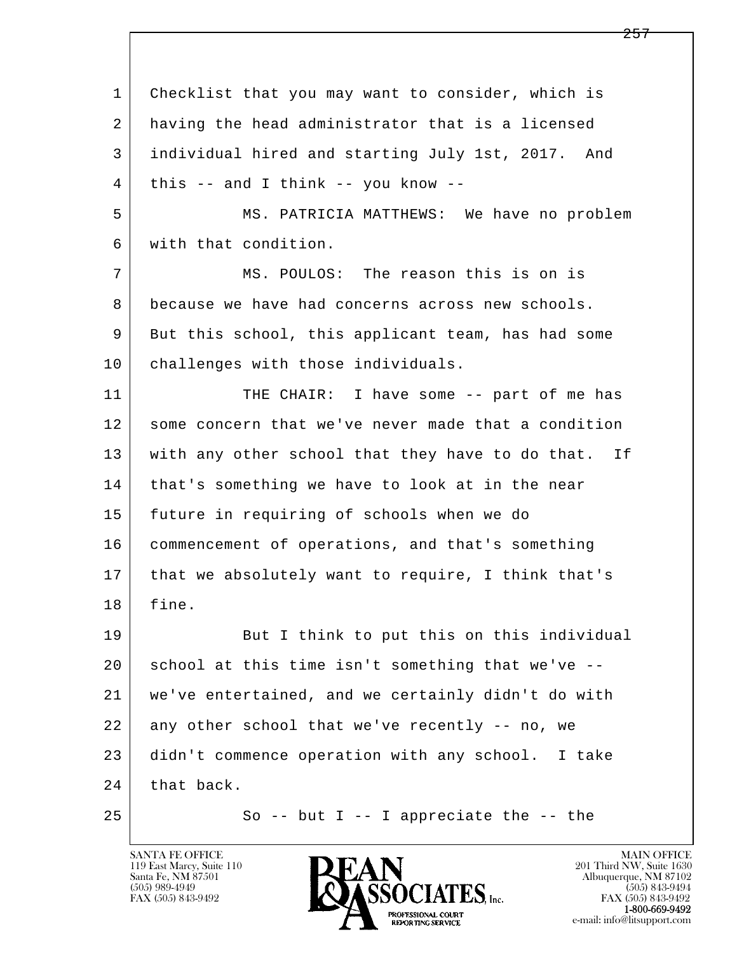l  $\overline{\phantom{a}}$  1 Checklist that you may want to consider, which is 2 having the head administrator that is a licensed 3 individual hired and starting July 1st, 2017. And  $4$  this -- and I think -- you know -- 5 MS. PATRICIA MATTHEWS: We have no problem 6 with that condition. 7 MS. POULOS: The reason this is on is 8 because we have had concerns across new schools. 9 But this school, this applicant team, has had some 10 | challenges with those individuals. 11 | THE CHAIR: I have some -- part of me has 12 some concern that we've never made that a condition 13 with any other school that they have to do that. If 14 | that's something we have to look at in the near 15 future in requiring of schools when we do 16 commencement of operations, and that's something 17 that we absolutely want to require, I think that's 18 fine. 19 But I think to put this on this individual 20 school at this time isn't something that we've -- 21 we've entertained, and we certainly didn't do with 22 any other school that we've recently -- no, we 23 didn't commence operation with any school. I take  $24$  that back.  $25$  So -- but I -- I appreciate the -- the

119 East Marcy, Suite 110<br>Santa Fe, NM 87501



FAX (505) 843-9492<br>1-800-669-9492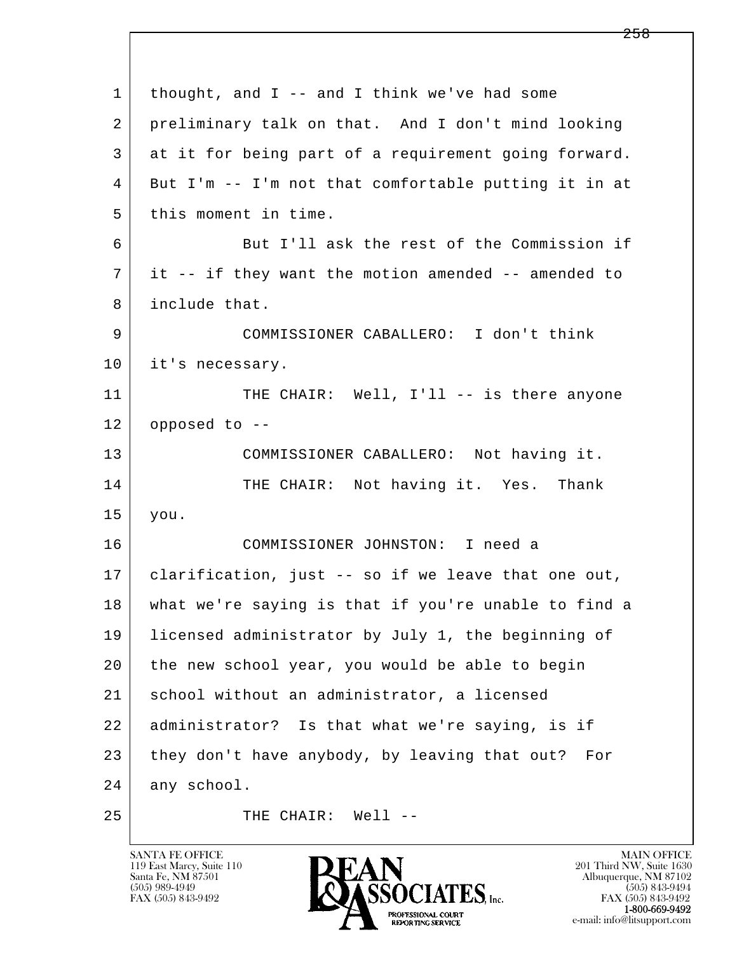| $\mathbf{1}$ | thought, and $I$ -- and $I$ think we've had some     |
|--------------|------------------------------------------------------|
| 2            | preliminary talk on that. And I don't mind looking   |
| 3            | at it for being part of a requirement going forward. |
| 4            | But I'm -- I'm not that comfortable putting it in at |
| 5            | this moment in time.                                 |
| 6            | But I'll ask the rest of the Commission if           |
| 7            | it -- if they want the motion amended -- amended to  |
| 8            | include that.                                        |
| 9            | COMMISSIONER CABALLERO: I don't think                |
| 10           | it's necessary.                                      |
| 11           | THE CHAIR: Well, I'll -- is there anyone             |
| 12           | opposed to --                                        |
| 13           | COMMISSIONER CABALLERO: Not having it.               |
| 14           | THE CHAIR: Not having it. Yes. Thank                 |
| 15           | you.                                                 |
| 16           | COMMISSIONER JOHNSTON: I need a                      |
| 17           | clarification, just -- so if we leave that one out,  |
| 18           | what we're saying is that if you're unable to find a |
| 19           | licensed administrator by July 1, the beginning of   |
| 20           | the new school year, you would be able to begin      |
| 21           | school without an administrator, a licensed          |
| 22           | administrator? Is that what we're saying, is if      |
| 23           | they don't have anybody, by leaving that out?<br>For |
| 24           | any school.                                          |
| 25           | $Well1$ --<br>THE CHAIR:                             |

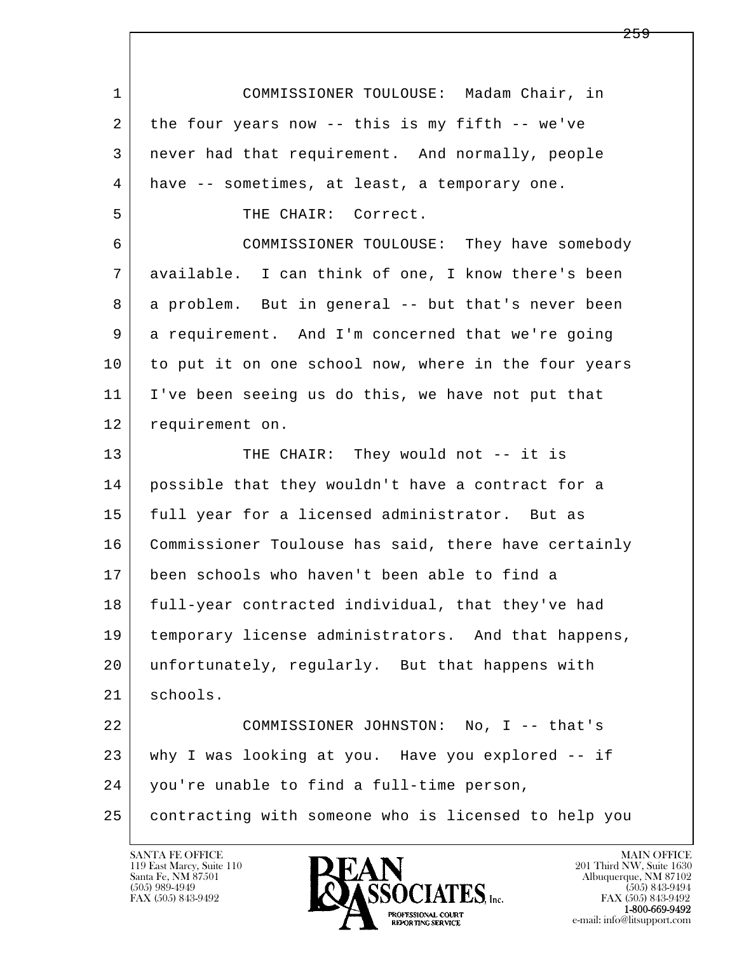l  $\overline{\phantom{a}}$  1 COMMISSIONER TOULOUSE: Madam Chair, in 2 the four years now -- this is my fifth -- we've 3 never had that requirement. And normally, people 4 have -- sometimes, at least, a temporary one. 5 THE CHAIR: Correct. 6 COMMISSIONER TOULOUSE: They have somebody 7 available. I can think of one, I know there's been 8 a problem. But in general -- but that's never been 9 a requirement. And I'm concerned that we're going 10 to put it on one school now, where in the four years 11 I've been seeing us do this, we have not put that 12 requirement on. 13 THE CHAIR: They would not -- it is 14 possible that they wouldn't have a contract for a 15 | full year for a licensed administrator. But as 16 Commissioner Toulouse has said, there have certainly 17 been schools who haven't been able to find a 18 full-year contracted individual, that they've had 19 temporary license administrators. And that happens, 20 unfortunately, regularly. But that happens with 21 schools. 22 COMMISSIONER JOHNSTON: No, I -- that's 23 why I was looking at you. Have you explored -- if 24 you're unable to find a full-time person, 25 contracting with someone who is licensed to help you

119 East Marcy, Suite 110<br>Santa Fe, NM 87501

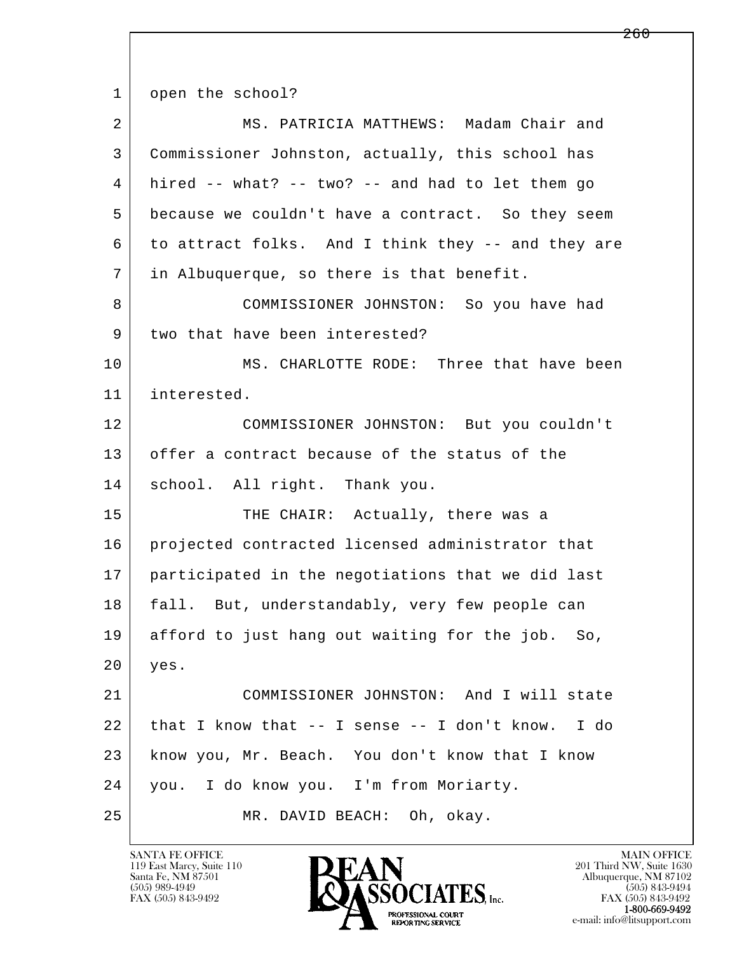l  $\overline{\phantom{a}}$ 1 open the school? 2 MS. PATRICIA MATTHEWS: Madam Chair and 3 Commissioner Johnston, actually, this school has  $4$  hired  $-$  what?  $-$  two?  $-$  and had to let them go 5 because we couldn't have a contract. So they seem 6 to attract folks. And I think they -- and they are 7 in Albuquerque, so there is that benefit. 8 COMMISSIONER JOHNSTON: So you have had 9 two that have been interested? 10 MS. CHARLOTTE RODE: Three that have been 11 interested. 12 COMMISSIONER JOHNSTON: But you couldn't 13 offer a contract because of the status of the 14 school. All right. Thank you. 15 THE CHAIR: Actually, there was a 16 | projected contracted licensed administrator that 17 participated in the negotiations that we did last 18 fall. But, understandably, very few people can 19 afford to just hang out waiting for the job. So, 20 yes. 21 COMMISSIONER JOHNSTON: And I will state 22 that I know that  $-$  I sense  $-$  I don't know. I do 23 know you, Mr. Beach. You don't know that I know 24 you. I do know you. I'm from Moriarty. 25 MR. DAVID BEACH: Oh, okay.

119 East Marcy, Suite 110<br>Santa Fe, NM 87501



FAX (505) 843-9492<br>1-800-669-9492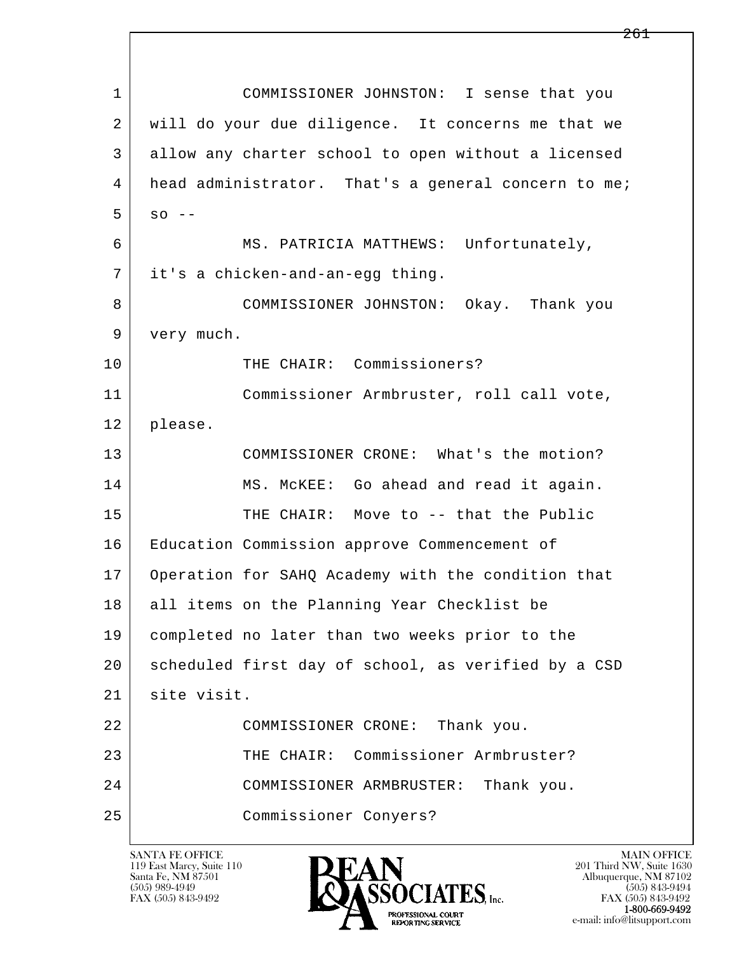l  $\overline{\phantom{a}}$  1 COMMISSIONER JOHNSTON: I sense that you 2 will do your due diligence. It concerns me that we 3 allow any charter school to open without a licensed 4 head administrator. That's a general concern to me;  $5 \text{ so } -$  6 MS. PATRICIA MATTHEWS: Unfortunately, 7 it's a chicken-and-an-egg thing. 8 COMMISSIONER JOHNSTON: Okay. Thank you 9 very much. 10 THE CHAIR: Commissioners? 11 | Commissioner Armbruster, roll call vote, 12 please. 13 COMMISSIONER CRONE: What's the motion? 14 MS. McKEE: Go ahead and read it again. 15 THE CHAIR: Move to -- that the Public 16 Education Commission approve Commencement of 17 Operation for SAHQ Academy with the condition that 18 all items on the Planning Year Checklist be 19 completed no later than two weeks prior to the 20 scheduled first day of school, as verified by a CSD 21 | site visit. 22 COMMISSIONER CRONE: Thank you. 23 THE CHAIR: Commissioner Armbruster? 24 COMMISSIONER ARMBRUSTER: Thank you. 25 Commissioner Conyers?

119 East Marcy, Suite 110<br>Santa Fe, NM 87501



FAX (505) 843-9492<br>1-800-669-9492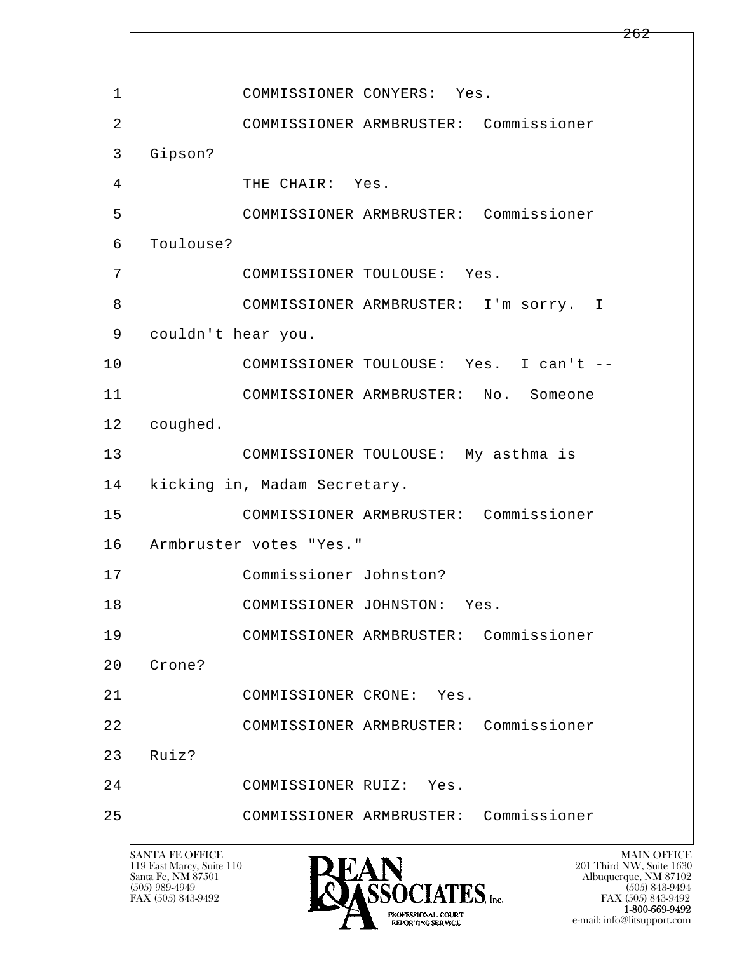l  $\overline{\phantom{a}}$ 1 COMMISSIONER CONYERS: Yes. 2 COMMISSIONER ARMBRUSTER: Commissioner 3 Gipson? 4 THE CHAIR: Yes. 5 COMMISSIONER ARMBRUSTER: Commissioner 6 Toulouse? 7 COMMISSIONER TOULOUSE: Yes. 8 COMMISSIONER ARMBRUSTER: I'm sorry. I 9 | couldn't hear you. 10 COMMISSIONER TOULOUSE: Yes. I can't -- 11 COMMISSIONER ARMBRUSTER: No. Someone 12 coughed. 13 COMMISSIONER TOULOUSE: My asthma is 14 | kicking in, Madam Secretary. 15 COMMISSIONER ARMBRUSTER: Commissioner 16 Armbruster votes "Yes." 17 Commissioner Johnston? 18 COMMISSIONER JOHNSTON: Yes. 19 COMMISSIONER ARMBRUSTER: Commissioner 20 Crone? 21 | COMMISSIONER CRONE: Yes. 22 COMMISSIONER ARMBRUSTER: Commissioner 23 Ruiz? 24 COMMISSIONER RUIZ: Yes. 25 COMMISSIONER ARMBRUSTER: Commissioner

119 East Marcy, Suite 110<br>Santa Fe, NM 87501



FAX (505) 843-9492<br>**1-800-669-9492** e-mail: info@litsupport.com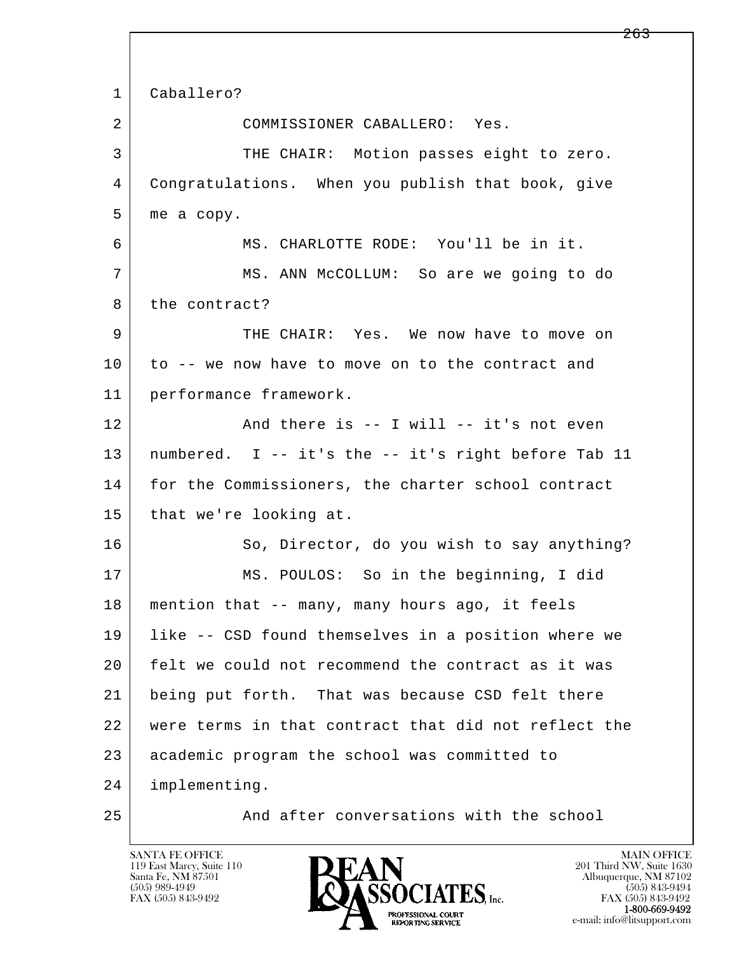l  $\overline{\phantom{a}}$  1 Caballero? 2 COMMISSIONER CABALLERO: Yes. 3 THE CHAIR: Motion passes eight to zero. 4 Congratulations. When you publish that book, give 5 me a copy. 6 MS. CHARLOTTE RODE: You'll be in it. 7 MS. ANN McCOLLUM: So are we going to do 8 the contract? 9 THE CHAIR: Yes. We now have to move on 10 to -- we now have to move on to the contract and 11 performance framework. 12 And there is -- I will -- it's not even 13 numbered. I -- it's the -- it's right before Tab 11 14 for the Commissioners, the charter school contract 15 | that we're looking at. 16 So, Director, do you wish to say anything? 17 MS. POULOS: So in the beginning, I did 18 mention that -- many, many hours ago, it feels 19 like -- CSD found themselves in a position where we 20 felt we could not recommend the contract as it was 21 being put forth. That was because CSD felt there 22 were terms in that contract that did not reflect the 23 academic program the school was committed to 24 implementing. 25 And after conversations with the school

119 East Marcy, Suite 110<br>Santa Fe, NM 87501



<del>263</del>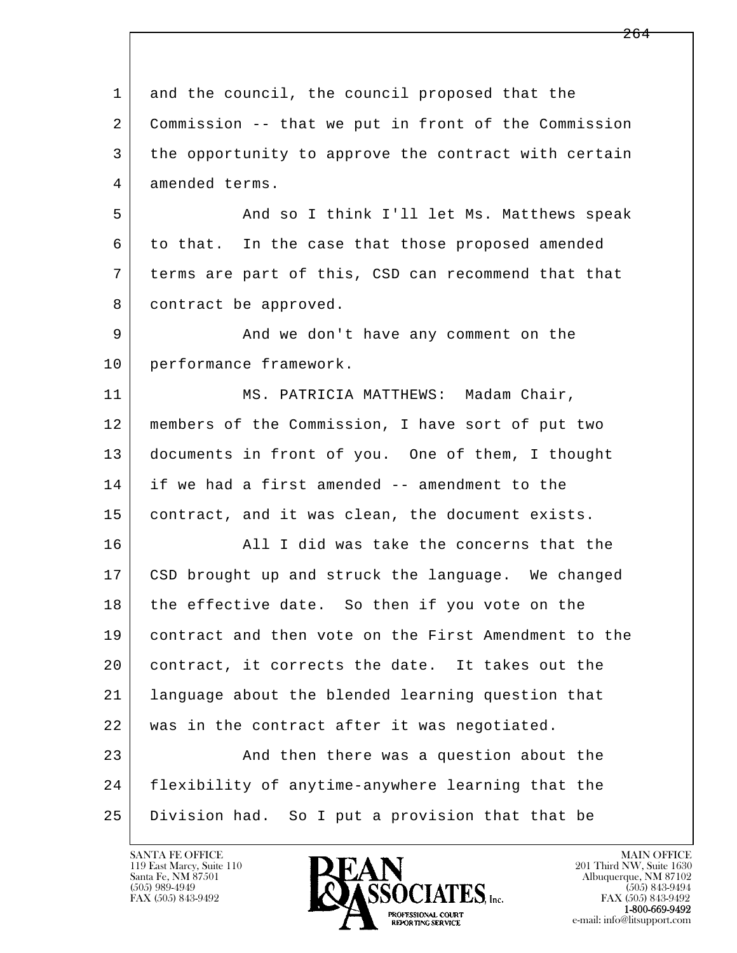l  $\overline{\phantom{a}}$ 1 and the council, the council proposed that the 2 Commission -- that we put in front of the Commission 3 the opportunity to approve the contract with certain 4 amended terms. 5 And so I think I'll let Ms. Matthews speak 6 to that. In the case that those proposed amended 7 terms are part of this, CSD can recommend that that 8 contract be approved. 9 and we don't have any comment on the 10 performance framework. 11 | MS. PATRICIA MATTHEWS: Madam Chair, 12 members of the Commission, I have sort of put two 13 documents in front of you. One of them, I thought 14 if we had a first amended -- amendment to the 15 | contract, and it was clean, the document exists. 16 All I did was take the concerns that the 17 CSD brought up and struck the language. We changed 18 the effective date. So then if you vote on the 19 contract and then vote on the First Amendment to the 20 | contract, it corrects the date. It takes out the 21 language about the blended learning question that 22 | was in the contract after it was negotiated. 23 | And then there was a question about the 24 flexibility of anytime-anywhere learning that the 25 Division had. So I put a provision that that be

119 East Marcy, Suite 110<br>Santa Fe, NM 87501

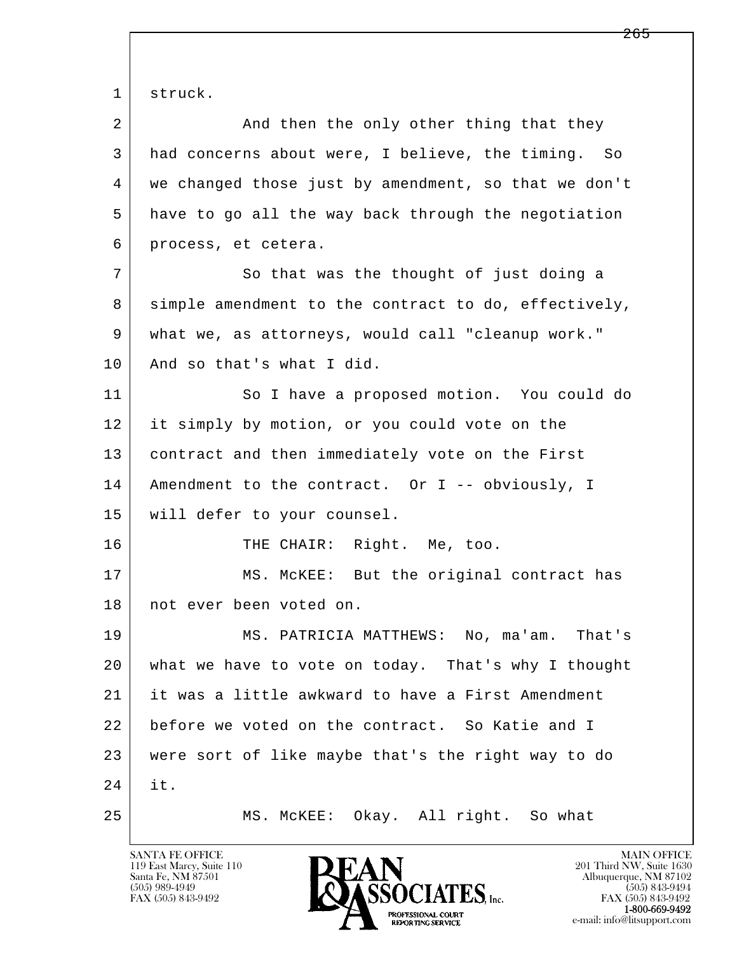l  $\overline{\phantom{a}}$ 1 struck. 2 And then the only other thing that they 3 had concerns about were, I believe, the timing. So 4 we changed those just by amendment, so that we don't 5 have to go all the way back through the negotiation 6 process, et cetera. 7 So that was the thought of just doing a 8 simple amendment to the contract to do, effectively, 9 what we, as attorneys, would call "cleanup work." 10 | And so that's what I did. 11 So I have a proposed motion. You could do 12 it simply by motion, or you could vote on the 13 contract and then immediately vote on the First 14 | Amendment to the contract. Or I -- obviously, I 15 will defer to your counsel. 16 THE CHAIR: Right. Me, too. 17 | MS. McKEE: But the original contract has 18 | not ever been voted on. 19 MS. PATRICIA MATTHEWS: No, ma'am. That's 20 what we have to vote on today. That's why I thought 21 it was a little awkward to have a First Amendment 22 before we voted on the contract. So Katie and I 23 were sort of like maybe that's the right way to do 24 it. 25 MS. McKEE: Okay. All right. So what

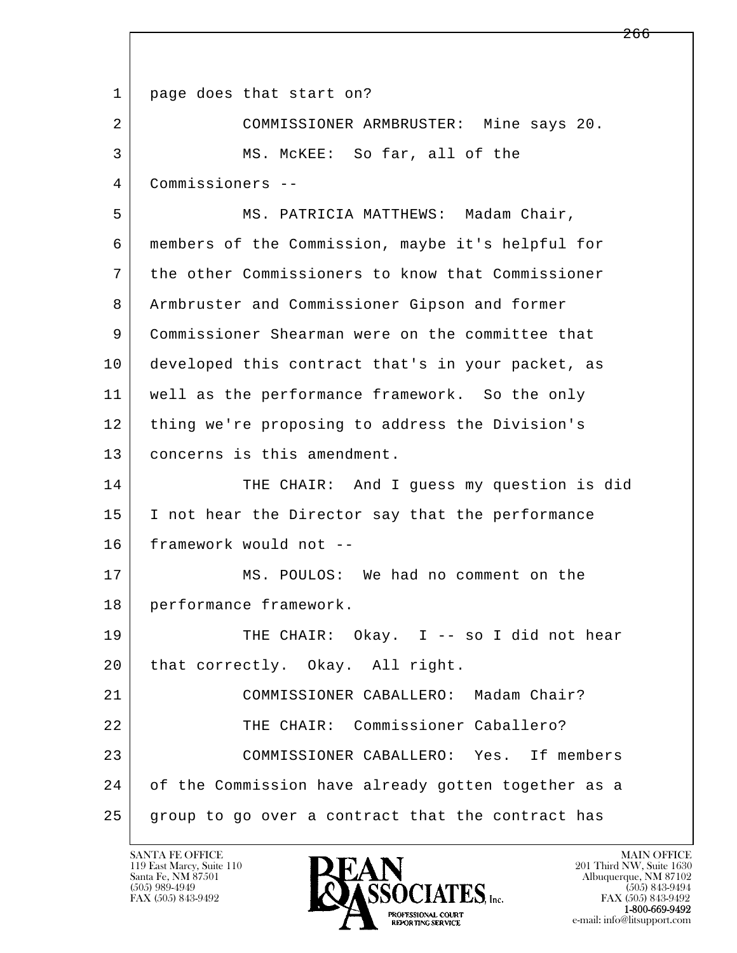l  $\overline{\phantom{a}}$ 1 | page does that start on? 2 COMMISSIONER ARMBRUSTER: Mine says 20. 3 MS. McKEE: So far, all of the 4 Commissioners -- 5 MS. PATRICIA MATTHEWS: Madam Chair, 6 members of the Commission, maybe it's helpful for 7 the other Commissioners to know that Commissioner 8 Armbruster and Commissioner Gipson and former 9 Commissioner Shearman were on the committee that 10 developed this contract that's in your packet, as 11 well as the performance framework. So the only 12 thing we're proposing to address the Division's 13 concerns is this amendment. 14 THE CHAIR: And I quess my question is did 15 I not hear the Director say that the performance 16 framework would not -- 17 MS. POULOS: We had no comment on the 18 performance framework. 19 THE CHAIR: Okay. I -- so I did not hear 20 | that correctly. Okay. All right. 21 COMMISSIONER CABALLERO: Madam Chair? 22 THE CHAIR: Commissioner Caballero? 23 COMMISSIONER CABALLERO: Yes. If members 24 of the Commission have already gotten together as a 25 group to go over a contract that the contract has

119 East Marcy, Suite 110<br>Santa Fe, NM 87501

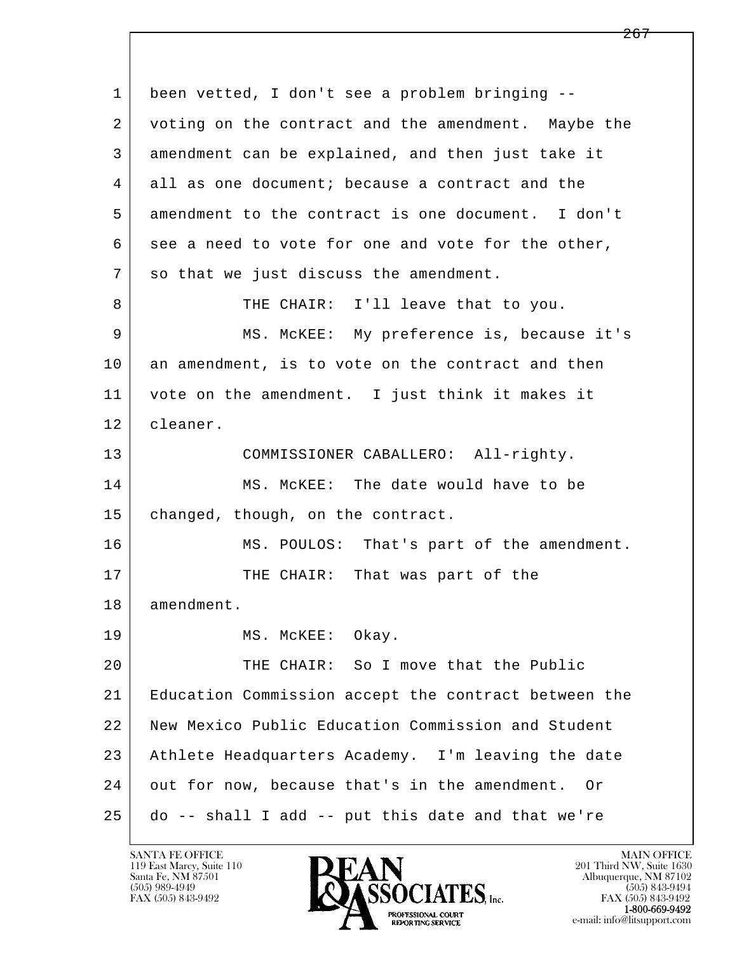l  $\overline{\phantom{a}}$  1 been vetted, I don't see a problem bringing -- 2 voting on the contract and the amendment. Maybe the 3 amendment can be explained, and then just take it 4 all as one document; because a contract and the 5 amendment to the contract is one document. I don't 6 see a need to vote for one and vote for the other, 7 so that we just discuss the amendment. 8 | THE CHAIR: I'll leave that to you. 9 | MS. McKEE: My preference is, because it's 10 an amendment, is to vote on the contract and then 11 vote on the amendment. I just think it makes it 12 cleaner. 13 | COMMISSIONER CABALLERO: All-righty. 14 MS. McKEE: The date would have to be 15 | changed, though, on the contract. 16 MS. POULOS: That's part of the amendment. 17 THE CHAIR: That was part of the 18 amendment. 19 MS. McKEE: Okay. 20 THE CHAIR: So I move that the Public 21 Education Commission accept the contract between the 22 New Mexico Public Education Commission and Student 23 Athlete Headquarters Academy. I'm leaving the date 24 out for now, because that's in the amendment. Or 25 do -- shall I add -- put this date and that we're

119 East Marcy, Suite 110<br>Santa Fe, NM 87501

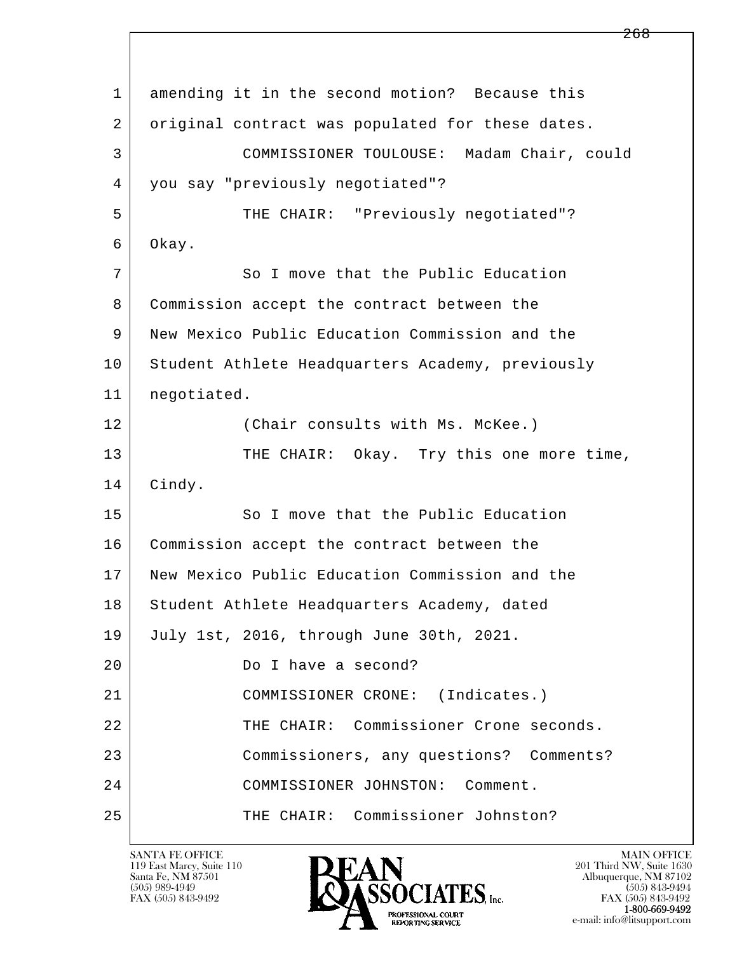l  $\overline{\phantom{a}}$  1 amending it in the second motion? Because this 2 original contract was populated for these dates. 3 COMMISSIONER TOULOUSE: Madam Chair, could 4 you say "previously negotiated"? 5 THE CHAIR: "Previously negotiated"? 6 Okay. 7 So I move that the Public Education 8 Commission accept the contract between the 9 New Mexico Public Education Commission and the 10 Student Athlete Headquarters Academy, previously 11 negotiated. 12 (Chair consults with Ms. McKee.) 13 THE CHAIR: Okay. Try this one more time, 14 Cindy. 15 So I move that the Public Education 16 Commission accept the contract between the 17 New Mexico Public Education Commission and the 18 Student Athlete Headquarters Academy, dated 19 July 1st, 2016, through June 30th, 2021. 20 Do I have a second? 21 COMMISSIONER CRONE: (Indicates.) 22 THE CHAIR: Commissioner Crone seconds. 23 Commissioners, any questions? Comments? 24 COMMISSIONER JOHNSTON: Comment. 25 THE CHAIR: Commissioner Johnston?

119 East Marcy, Suite 110<br>Santa Fe, NM 87501

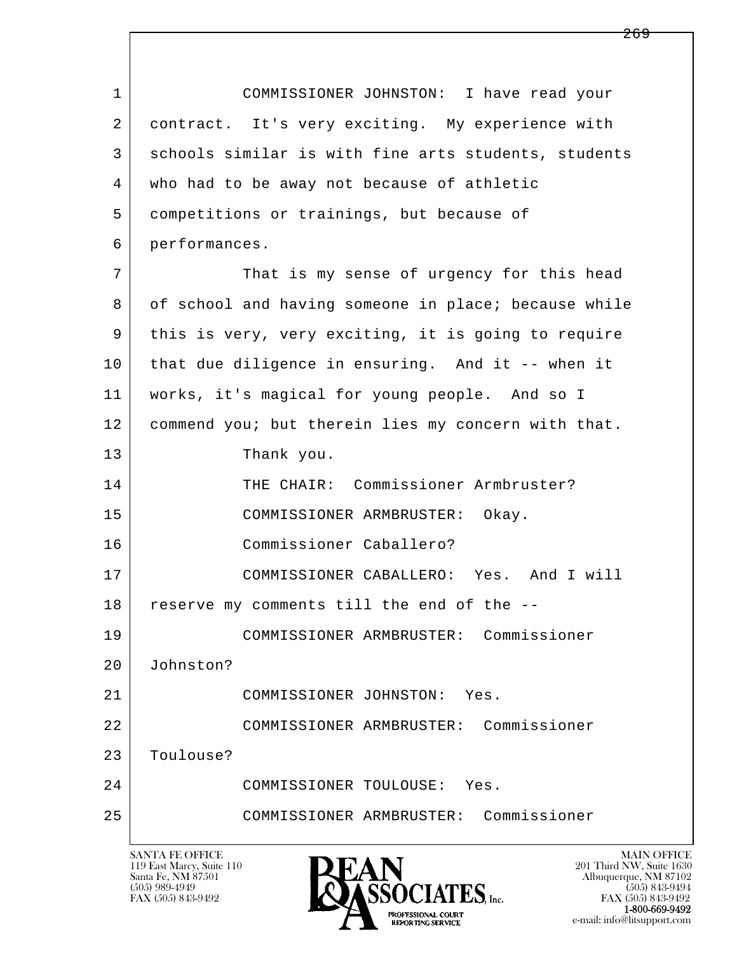l  $\overline{\phantom{a}}$  1 COMMISSIONER JOHNSTON: I have read your 2 contract. It's very exciting. My experience with 3 schools similar is with fine arts students, students 4 who had to be away not because of athletic 5 competitions or trainings, but because of 6 performances. 7 That is my sense of urgency for this head 8 of school and having someone in place; because while 9 this is very, very exciting, it is going to require 10 that due diligence in ensuring. And it -- when it 11 works, it's magical for young people. And so I 12 commend you; but therein lies my concern with that. 13 Thank you. 14 THE CHAIR: Commissioner Armbruster? 15 COMMISSIONER ARMBRUSTER: Okay. 16 Commissioner Caballero? 17 COMMISSIONER CABALLERO: Yes. And I will 18 reserve my comments till the end of the -- 19 COMMISSIONER ARMBRUSTER: Commissioner 20 Johnston? 21 COMMISSIONER JOHNSTON: Yes. 22 COMMISSIONER ARMBRUSTER: Commissioner 23 Toulouse? 24 COMMISSIONER TOULOUSE: Yes. 25 COMMISSIONER ARMBRUSTER: Commissioner

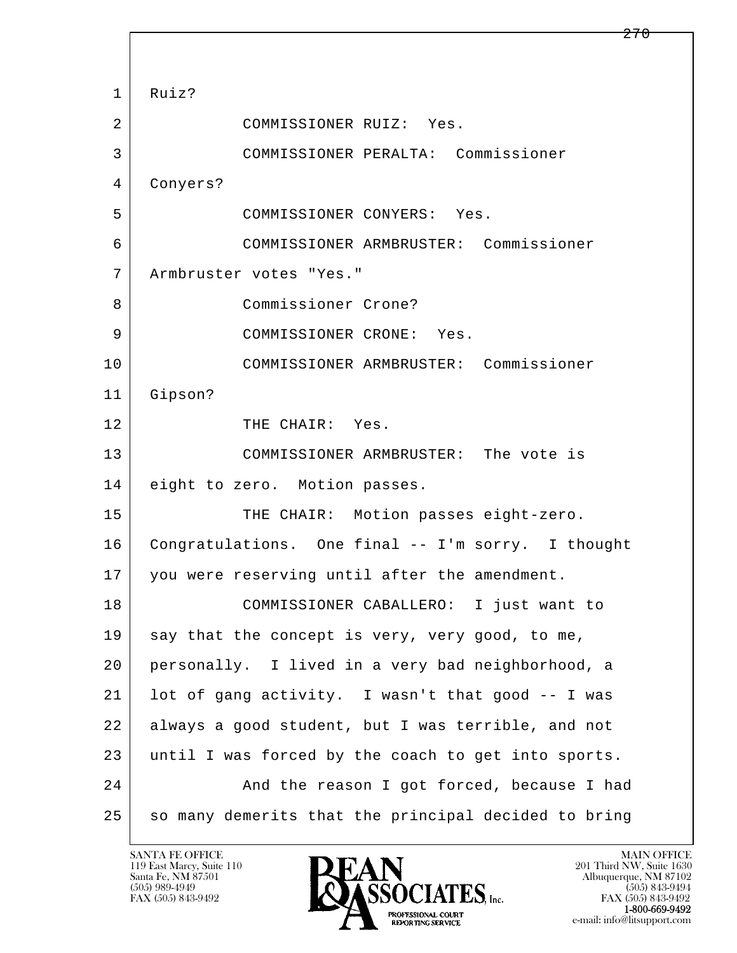l  $\overline{\phantom{a}}$  1 Ruiz? 2 COMMISSIONER RUIZ: Yes. 3 COMMISSIONER PERALTA: Commissioner 4 Conyers? 5 COMMISSIONER CONYERS: Yes. 6 COMMISSIONER ARMBRUSTER: Commissioner 7 Armbruster votes "Yes." 8 Commissioner Crone? 9 COMMISSIONER CRONE: Yes. 10 COMMISSIONER ARMBRUSTER: Commissioner 11 Gipson? 12 THE CHAIR: Yes. 13 COMMISSIONER ARMBRUSTER: The vote is 14 eight to zero. Motion passes. 15 | THE CHAIR: Motion passes eight-zero. 16 Congratulations. One final -- I'm sorry. I thought 17 you were reserving until after the amendment. 18 COMMISSIONER CABALLERO: I just want to 19 say that the concept is very, very good, to me, 20 personally. I lived in a very bad neighborhood, a 21 lot of gang activity. I wasn't that good -- I was 22 always a good student, but I was terrible, and not 23 until I was forced by the coach to get into sports. 24 And the reason I got forced, because I had 25 | so many demerits that the principal decided to bring

119 East Marcy, Suite 110<br>Santa Fe, NM 87501

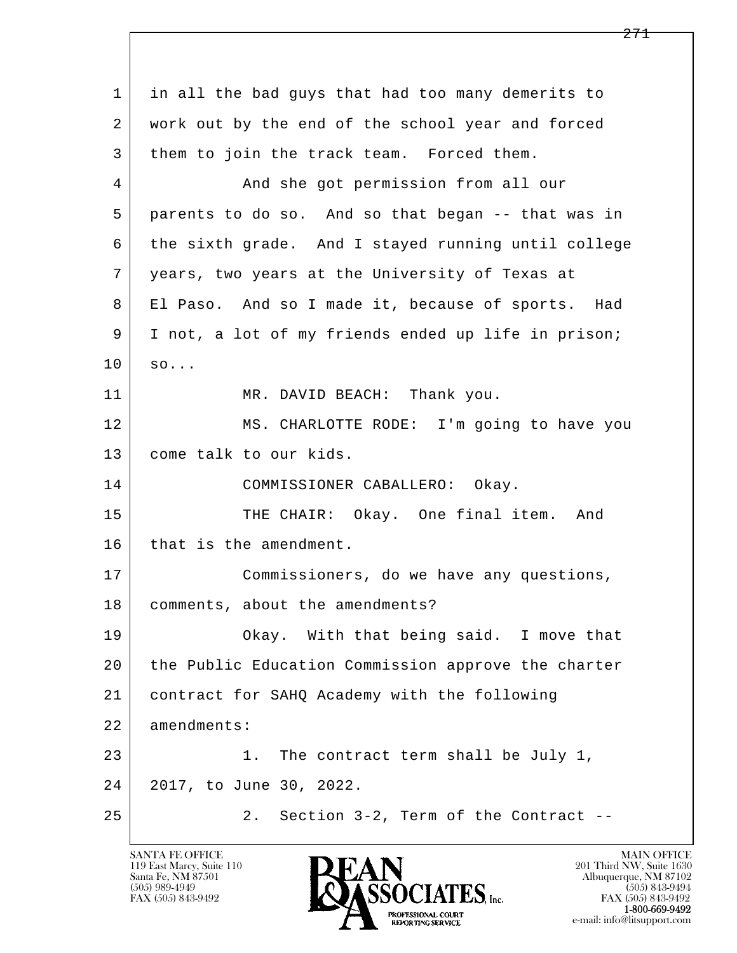l  $\overline{\phantom{a}}$  1 in all the bad guys that had too many demerits to 2 work out by the end of the school year and forced 3 them to join the track team. Forced them. 4 And she got permission from all our 5 parents to do so. And so that began -- that was in 6 the sixth grade. And I stayed running until college 7 years, two years at the University of Texas at 8 El Paso. And so I made it, because of sports. Had 9 I not, a lot of my friends ended up life in prison;  $10 \mid \text{so...}$ 11 | MR. DAVID BEACH: Thank you. 12 MS. CHARLOTTE RODE: I'm going to have you 13 come talk to our kids. 14 COMMISSIONER CABALLERO: Okay. 15 THE CHAIR: Okay. One final item. And 16 that is the amendment. 17 | Commissioners, do we have any questions, 18 comments, about the amendments? 19 Okay. With that being said. I move that 20 the Public Education Commission approve the charter 21 contract for SAHQ Academy with the following 22 amendments: 23 | 23 | 23 | 1. The contract term shall be July 1, 24 2017, to June 30, 2022. 25 2. Section 3-2, Term of the Contract --

119 East Marcy, Suite 110<br>Santa Fe, NM 87501

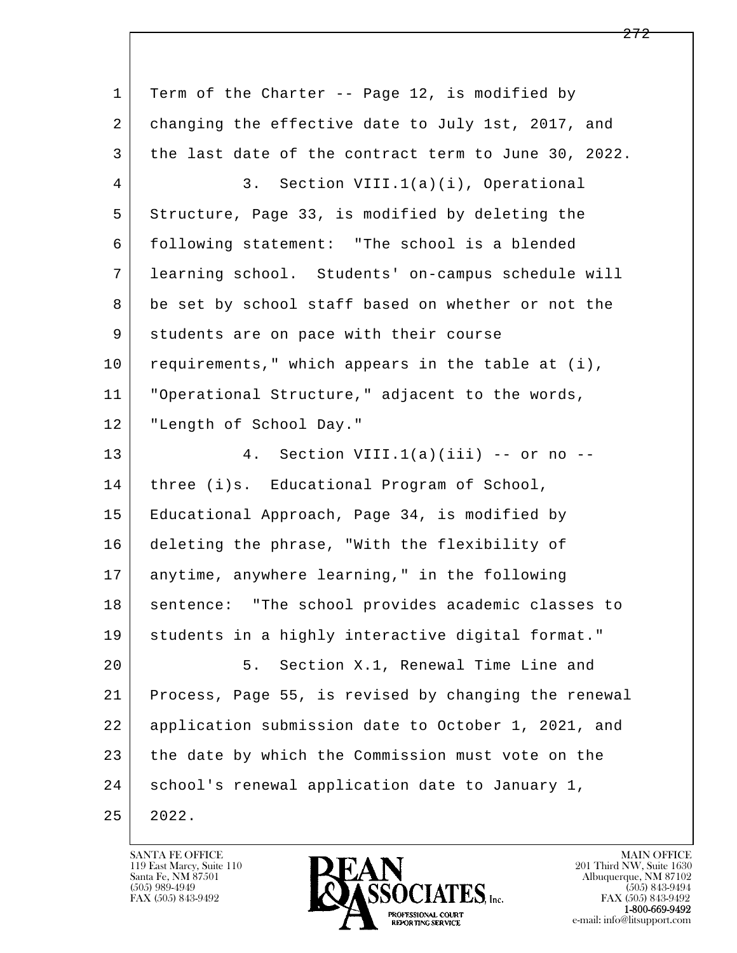l  $\overline{\phantom{a}}$ 1 Term of the Charter -- Page 12, is modified by 2 changing the effective date to July 1st, 2017, and 3 the last date of the contract term to June 30, 2022. 4 3. Section VIII.1(a)(i), Operational 5 Structure, Page 33, is modified by deleting the 6 following statement: "The school is a blended 7 learning school. Students' on-campus schedule will 8 be set by school staff based on whether or not the 9 students are on pace with their course  $10$  requirements," which appears in the table at (i), 11 "Operational Structure," adjacent to the words, 12 | "Length of School Day." 13 4. Section VIII.1(a)(iii) -- or no -- 14 | three (i)s. Educational Program of School, 15 Educational Approach, Page 34, is modified by 16 deleting the phrase, "With the flexibility of 17 anytime, anywhere learning," in the following 18 | sentence: "The school provides academic classes to 19 students in a highly interactive digital format." 20 5. Section X.1, Renewal Time Line and 21 Process, Page 55, is revised by changing the renewal 22 application submission date to October 1, 2021, and 23 the date by which the Commission must vote on the 24 | school's renewal application date to January 1, 25 2022.

119 East Marcy, Suite 110<br>Santa Fe, NM 87501

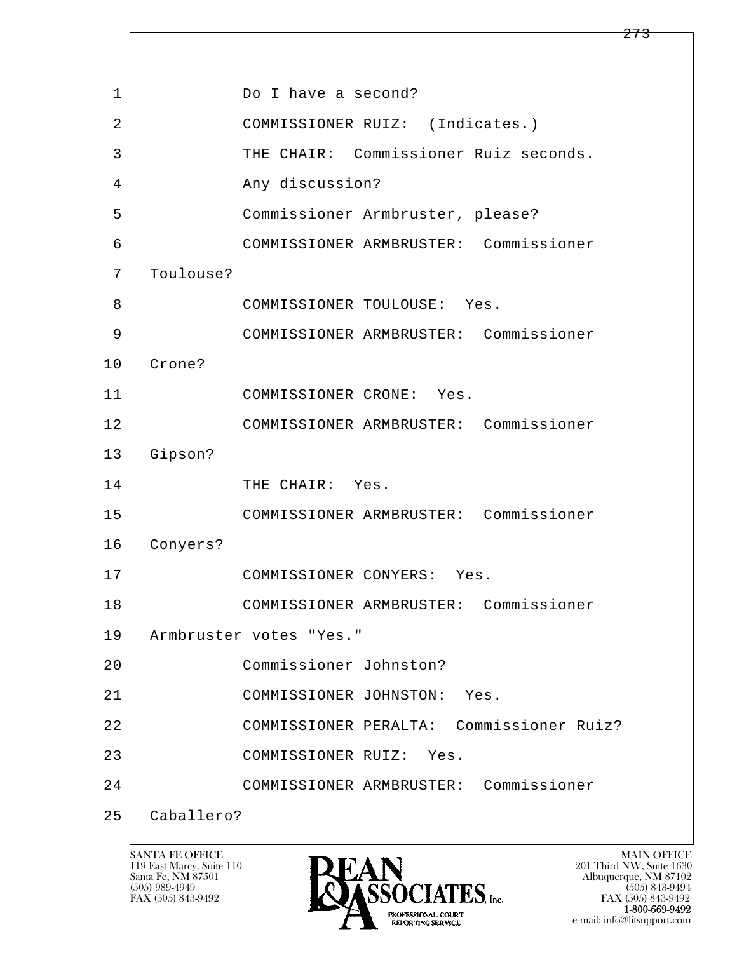| $\mathbf 1$    | Do I have a second?                      |
|----------------|------------------------------------------|
| $\overline{2}$ | COMMISSIONER RUIZ: (Indicates.)          |
| 3              | THE CHAIR: Commissioner Ruiz seconds.    |
| 4              | Any discussion?                          |
| 5              | Commissioner Armbruster, please?         |
| 6              | COMMISSIONER ARMBRUSTER: Commissioner    |
| 7              | Toulouse?                                |
| 8              | COMMISSIONER TOULOUSE: Yes.              |
| 9              | COMMISSIONER ARMBRUSTER: Commissioner    |
| 10             | Crone?                                   |
| 11             | COMMISSIONER CRONE: Yes.                 |
| 12             | COMMISSIONER ARMBRUSTER: Commissioner    |
| 13             | Gipson?                                  |
| 14             | THE CHAIR: Yes.                          |
| 15             | COMMISSIONER ARMBRUSTER: Commissioner    |
| 16             | Conyers?                                 |
| 17             | COMMISSIONER CONYERS: Yes.               |
| 18             | COMMISSIONER ARMBRUSTER: Commissioner    |
| 19             | Armbruster votes "Yes."                  |
| 20             | Commissioner Johnston?                   |
| 21             | COMMISSIONER JOHNSTON:<br>Yes.           |
| 22             | COMMISSIONER PERALTA: Commissioner Ruiz? |
| 23             | COMMISSIONER RUIZ:<br>Yes.               |
| 24             | COMMISSIONER ARMBRUSTER: Commissioner    |
| 25             | Caballero?                               |

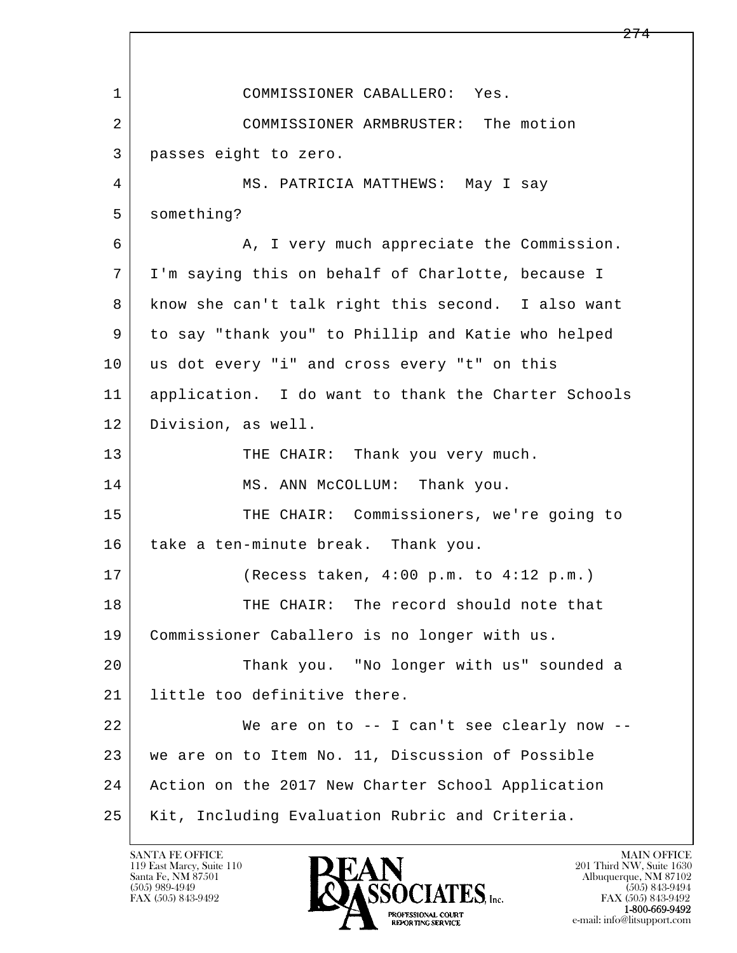l  $\overline{\phantom{a}}$ 1 COMMISSIONER CABALLERO: Yes. 2 COMMISSIONER ARMBRUSTER: The motion 3 passes eight to zero. 4 MS. PATRICIA MATTHEWS: May I say 5 something? 6 A, I very much appreciate the Commission. 7 I'm saying this on behalf of Charlotte, because I 8 know she can't talk right this second. I also want 9 to say "thank you" to Phillip and Katie who helped 10 us dot every "i" and cross every "t" on this 11 application. I do want to thank the Charter Schools 12 Division, as well. 13 THE CHAIR: Thank you very much. 14 MS. ANN McCOLLUM: Thank you. 15 | THE CHAIR: Commissioners, we're going to 16 take a ten-minute break. Thank you. 17 (Recess taken, 4:00 p.m. to 4:12 p.m.) 18 THE CHAIR: The record should note that 19 Commissioner Caballero is no longer with us. 20 Thank you. "No longer with us" sounded a 21 | little too definitive there. 22 We are on to -- I can't see clearly now -- 23 we are on to Item No. 11, Discussion of Possible 24 Action on the 2017 New Charter School Application 25 Kit, Including Evaluation Rubric and Criteria.

119 East Marcy, Suite 110<br>Santa Fe, NM 87501

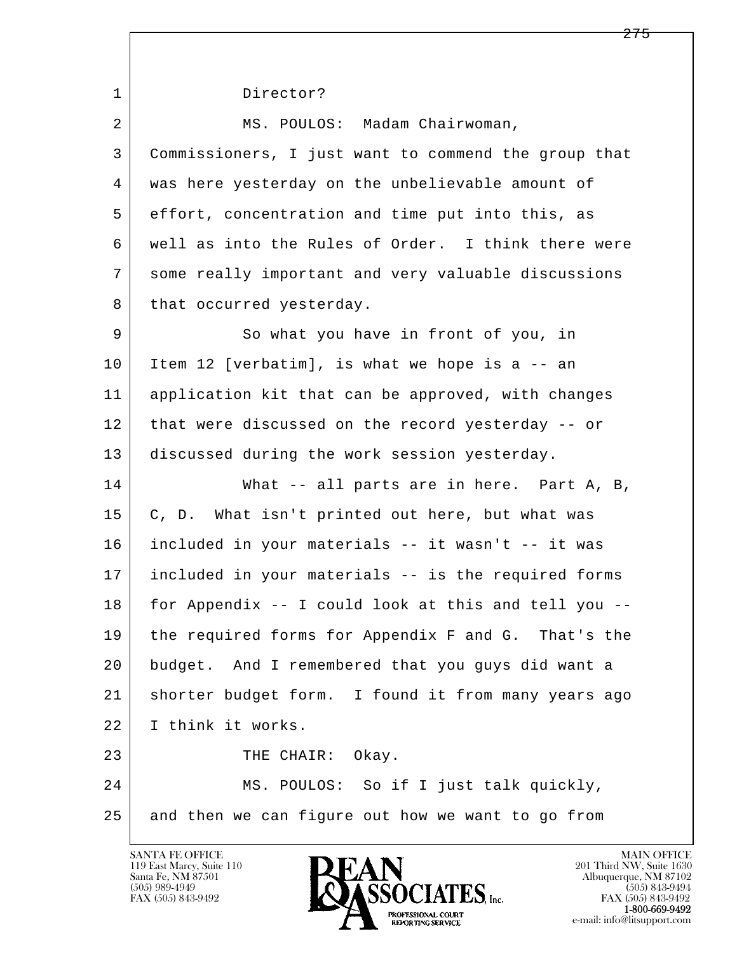l  $\overline{\phantom{a}}$ 1 Director? 2 MS. POULOS: Madam Chairwoman, 3 Commissioners, I just want to commend the group that 4 was here yesterday on the unbelievable amount of 5 effort, concentration and time put into this, as 6 well as into the Rules of Order. I think there were 7 some really important and very valuable discussions 8 that occurred yesterday. 9 So what you have in front of you, in 10 Item 12 [verbatim], is what we hope is a -- an 11 application kit that can be approved, with changes 12 that were discussed on the record yesterday -- or 13 discussed during the work session yesterday. 14 What -- all parts are in here. Part A, B, 15 | C, D. What isn't printed out here, but what was 16 included in your materials -- it wasn't -- it was 17 included in your materials -- is the required forms 18 for Appendix -- I could look at this and tell you -- 19 the required forms for Appendix F and G. That's the 20 budget. And I remembered that you guys did want a 21 shorter budget form. I found it from many years ago 22 I think it works. 23 THE CHAIR: Okay. 24 MS. POULOS: So if I just talk quickly, 25 and then we can figure out how we want to go from

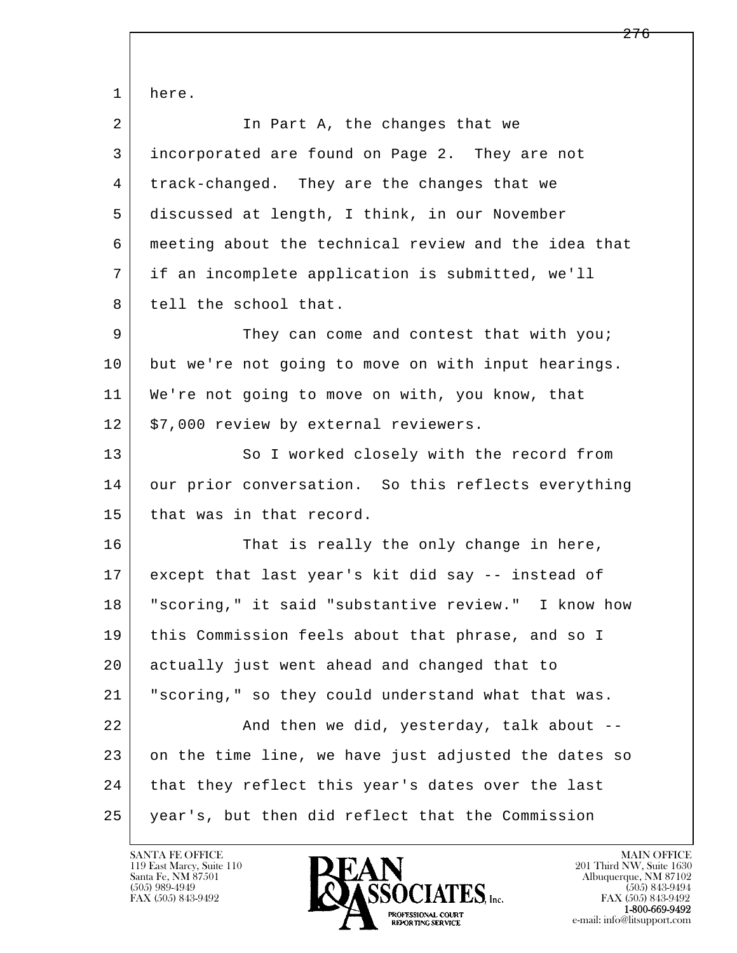l  $\overline{\phantom{a}}$  1 here. 2 | The Part A, the changes that we 3 incorporated are found on Page 2. They are not 4 track-changed. They are the changes that we 5 discussed at length, I think, in our November 6 meeting about the technical review and the idea that 7 if an incomplete application is submitted, we'll 8 tell the school that. 9 They can come and contest that with you; 10 but we're not going to move on with input hearings. 11 We're not going to move on with, you know, that 12 | \$7,000 review by external reviewers. 13 So I worked closely with the record from 14 our prior conversation. So this reflects everything 15 that was in that record. 16 That is really the only change in here, 17 except that last year's kit did say -- instead of 18 "scoring," it said "substantive review." I know how 19 this Commission feels about that phrase, and so I 20 actually just went ahead and changed that to 21 "scoring," so they could understand what that was. 22 And then we did, yesterday, talk about -- 23 on the time line, we have just adjusted the dates so 24 that they reflect this year's dates over the last 25 year's, but then did reflect that the Commission

119 East Marcy, Suite 110<br>Santa Fe, NM 87501

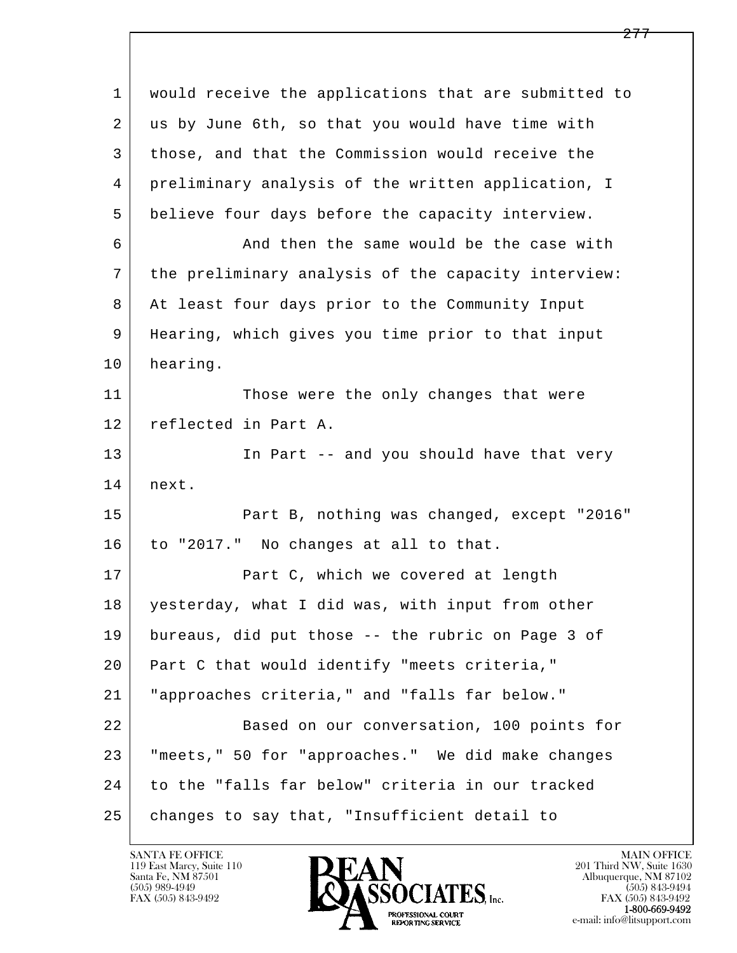| $\mathbf{1}$ | would receive the applications that are submitted to |
|--------------|------------------------------------------------------|
| 2            | us by June 6th, so that you would have time with     |
| 3            | those, and that the Commission would receive the     |
| 4            | preliminary analysis of the written application, I   |
| 5            | believe four days before the capacity interview.     |
| 6            | And then the same would be the case with             |
| 7            | the preliminary analysis of the capacity interview:  |
| 8            | At least four days prior to the Community Input      |
| 9            | Hearing, which gives you time prior to that input    |
| 10           | hearing.                                             |
| 11           | Those were the only changes that were                |
| 12           | reflected in Part A.                                 |
| 13           | In Part -- and you should have that very             |
| 14           | next.                                                |
| 15           | Part B, nothing was changed, except "2016"           |
| 16           | to "2017." No changes at all to that.                |
| 17           | Part C, which we covered at length                   |
| 18           | yesterday, what I did was, with input from other     |
| 19           | bureaus, did put those -- the rubric on Page 3 of    |
| 20           | Part C that would identify "meets criteria,"         |
| 21           | "approaches criteria," and "falls far below."        |
| 22           | Based on our conversation, 100 points for            |
| 23           | "meets," 50 for "approaches." We did make changes    |
| 24           | to the "falls far below" criteria in our tracked     |
| 25           | changes to say that, "Insufficient detail to         |

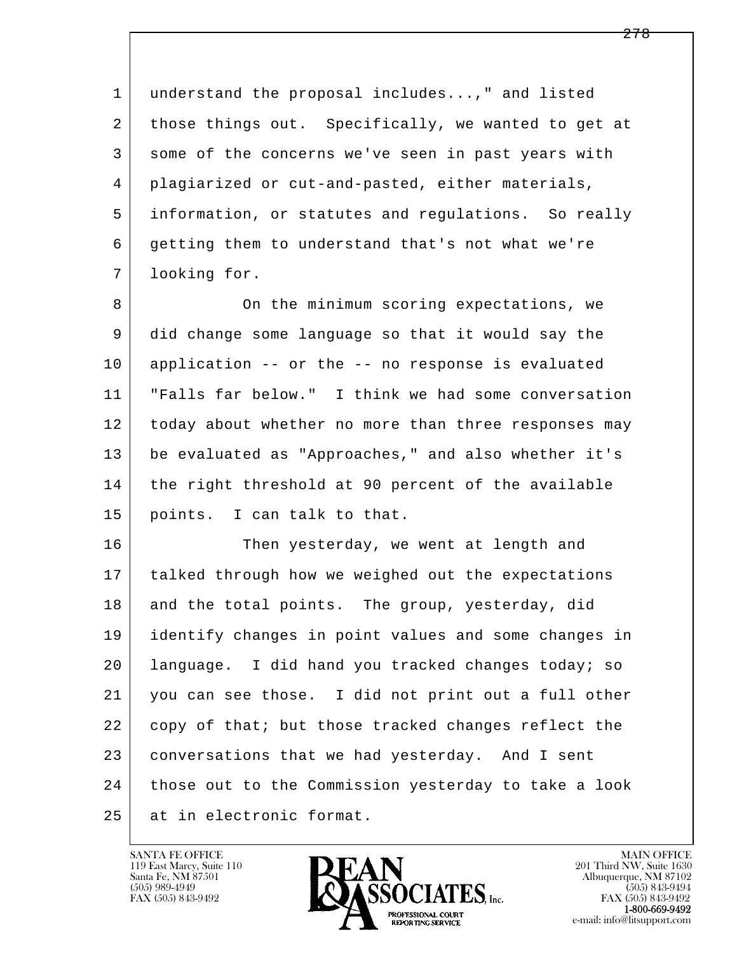1 understand the proposal includes...," and listed 2 those things out. Specifically, we wanted to get at 3 some of the concerns we've seen in past years with 4 plagiarized or cut-and-pasted, either materials, 5 information, or statutes and regulations. So really 6 getting them to understand that's not what we're 7 looking for.

8 | Conthe minimum scoring expectations, we 9 did change some language so that it would say the 10 application -- or the -- no response is evaluated 11 "Falls far below." I think we had some conversation 12 today about whether no more than three responses may 13 be evaluated as "Approaches," and also whether it's 14 the right threshold at 90 percent of the available 15 points. I can talk to that.

l  $\overline{\phantom{a}}$ 16 Then yesterday, we went at length and 17 | talked through how we weighed out the expectations 18 and the total points. The group, yesterday, did 19 identify changes in point values and some changes in 20 language. I did hand you tracked changes today; so 21 you can see those. I did not print out a full other 22 copy of that; but those tracked changes reflect the 23 conversations that we had yesterday. And I sent 24 | those out to the Commission yesterday to take a look 25 at in electronic format.

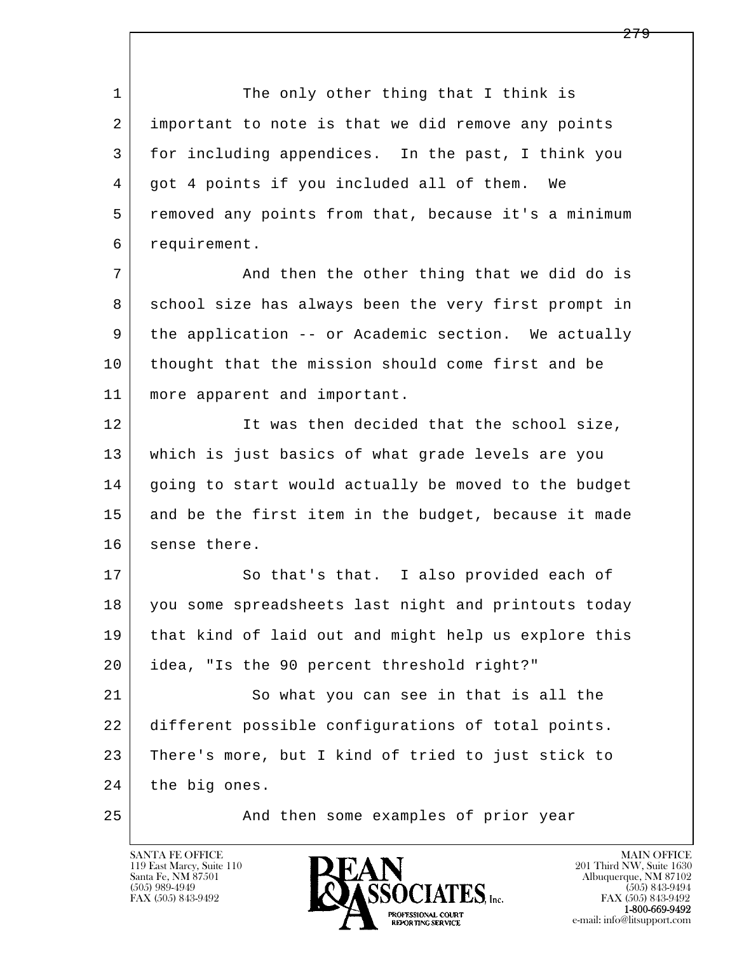1 The only other thing that I think is 2 important to note is that we did remove any points 3 for including appendices. In the past, I think you 4 | got 4 points if you included all of them. We 5 removed any points from that, because it's a minimum 6 requirement.

7 And then the other thing that we did do is 8 school size has always been the very first prompt in 9 the application -- or Academic section. We actually 10 thought that the mission should come first and be 11 more apparent and important.

12 It was then decided that the school size, 13 which is just basics of what grade levels are you 14 going to start would actually be moved to the budget 15 and be the first item in the budget, because it made 16 sense there.

17 So that's that. I also provided each of 18 you some spreadsheets last night and printouts today 19 that kind of laid out and might help us explore this 20 idea, "Is the 90 percent threshold right?"

l  $\overline{\phantom{a}}$ 21 So what you can see in that is all the 22 different possible configurations of total points. 23 | There's more, but I kind of tried to just stick to 24 | the big ones.

25 And then some examples of prior year

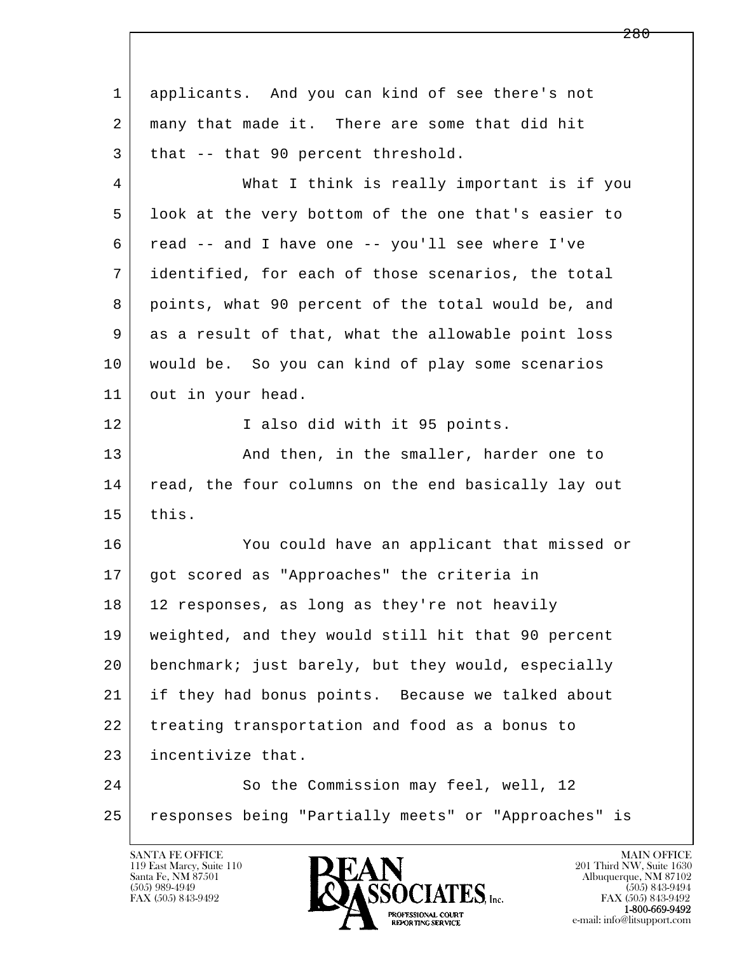l  $\overline{\phantom{a}}$  1 applicants. And you can kind of see there's not 2 many that made it. There are some that did hit  $3$  that  $-$  that 90 percent threshold. 4 What I think is really important is if you 5 look at the very bottom of the one that's easier to 6 read -- and I have one -- you'll see where I've 7 identified, for each of those scenarios, the total 8 points, what 90 percent of the total would be, and 9 as a result of that, what the allowable point loss 10 would be. So you can kind of play some scenarios 11 out in your head. 12 I also did with it 95 points. 13 And then, in the smaller, harder one to 14 read, the four columns on the end basically lay out 15 this. 16 You could have an applicant that missed or 17 got scored as "Approaches" the criteria in 18 | 12 responses, as long as they're not heavily 19 weighted, and they would still hit that 90 percent 20 benchmark; just barely, but they would, especially 21 if they had bonus points. Because we talked about 22 treating transportation and food as a bonus to 23 incentivize that. 24 So the Commission may feel, well, 12 25 | responses being "Partially meets" or "Approaches" is

119 East Marcy, Suite 110<br>Santa Fe, NM 87501



FAX (505) 843-9492<br>1-800-669-9492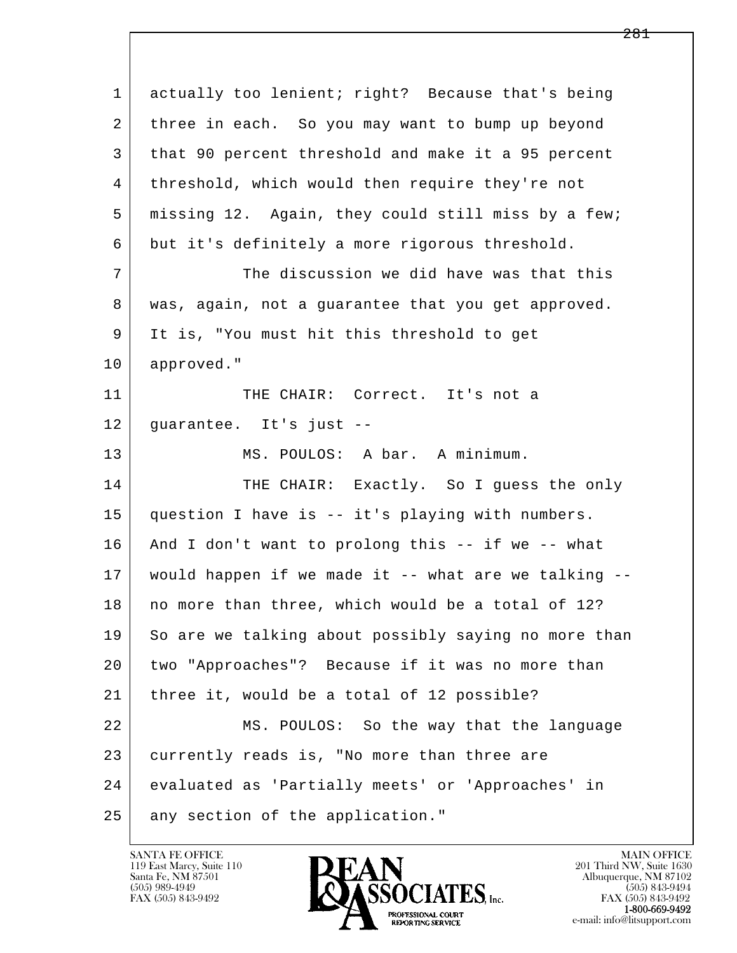l  $\overline{\phantom{a}}$ 1 actually too lenient; right? Because that's being 2 | three in each. So you may want to bump up beyond 3 that 90 percent threshold and make it a 95 percent 4 | threshold, which would then require they're not 5 missing 12. Again, they could still miss by a few; 6 but it's definitely a more rigorous threshold. 7 The discussion we did have was that this 8 was, again, not a guarantee that you get approved. 9 It is, "You must hit this threshold to get 10 approved." 11 THE CHAIR: Correct. It's not a 12 guarantee. It's just -- 13 MS. POULOS: A bar. A minimum. 14 THE CHAIR: Exactly. So I quess the only 15 question I have is -- it's playing with numbers. 16 And I don't want to prolong this -- if we -- what 17 | would happen if we made it -- what are we talking --18 | no more than three, which would be a total of 12? 19 So are we talking about possibly saying no more than 20 two "Approaches"? Because if it was no more than 21 | three it, would be a total of 12 possible? 22 MS. POULOS: So the way that the language 23 currently reads is, "No more than three are 24 evaluated as 'Partially meets' or 'Approaches' in 25 | any section of the application."

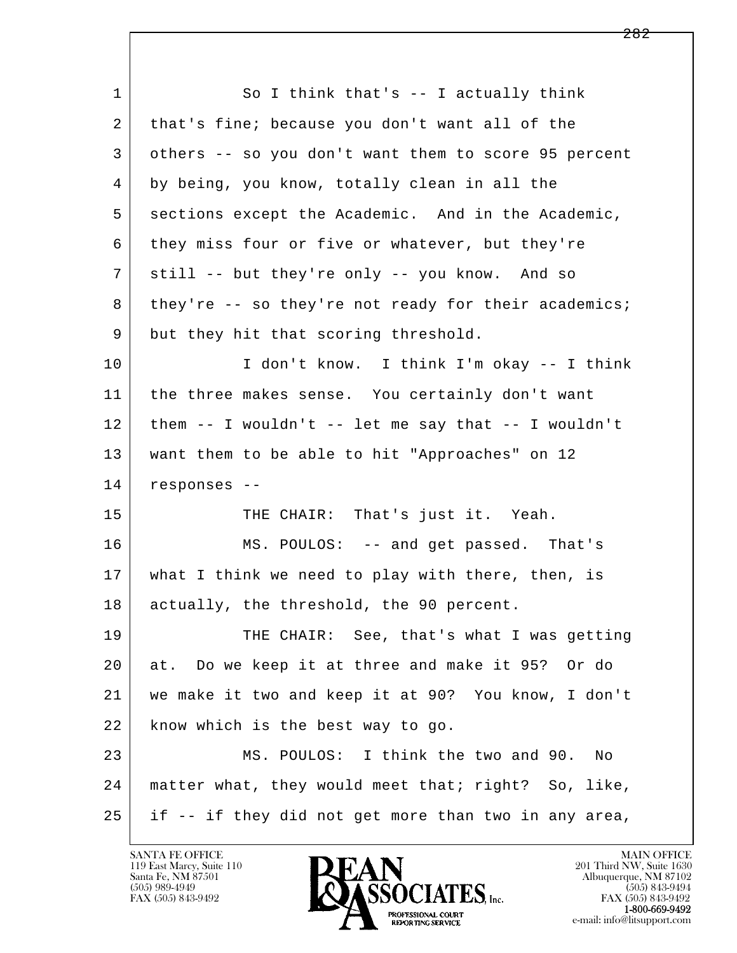l  $\overline{\phantom{a}}$ 1 So I think that's -- I actually think 2 that's fine; because you don't want all of the 3 others -- so you don't want them to score 95 percent 4 by being, you know, totally clean in all the 5 sections except the Academic. And in the Academic, 6 they miss four or five or whatever, but they're 7 still -- but they're only -- you know. And so 8 they're -- so they're not ready for their academics; 9 but they hit that scoring threshold. 10 I don't know. I think I'm okay -- I think 11 | the three makes sense. You certainly don't want  $12$  them  $-$  I wouldn't  $-$  let me say that  $-$  I wouldn't 13 want them to be able to hit "Approaches" on 12 14 responses -- 15 | THE CHAIR: That's just it. Yeah. 16 MS. POULOS: -- and get passed. That's 17 what I think we need to play with there, then, is 18 | actually, the threshold, the 90 percent. 19 THE CHAIR: See, that's what I was getting 20 at. Do we keep it at three and make it 95? Or do 21 we make it two and keep it at 90? You know, I don't 22 know which is the best way to go. 23 MS. POULOS: I think the two and 90. No 24 matter what, they would meet that; right? So, like,  $25$  if  $-$  if they did not get more than two in any area,

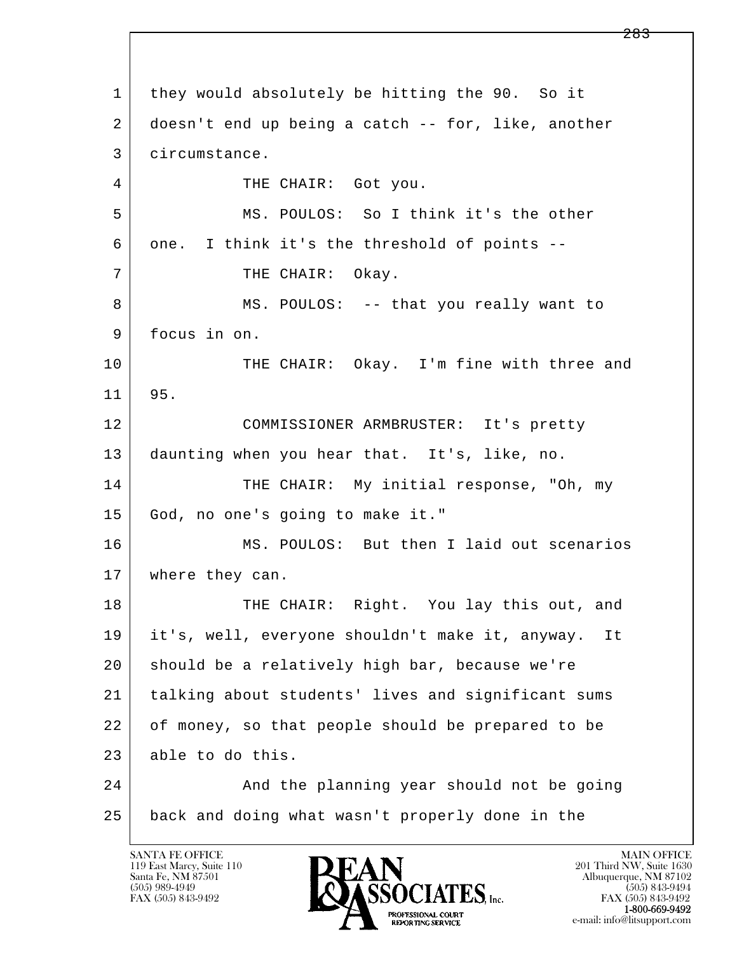l  $\overline{\phantom{a}}$  1 they would absolutely be hitting the 90. So it 2 doesn't end up being a catch -- for, like, another 3 circumstance. 4 THE CHAIR: Got you. 5 MS. POULOS: So I think it's the other 6 one. I think it's the threshold of points -- 7 | THE CHAIR: Okay. 8 MS. POULOS: -- that you really want to 9 focus in on. 10 THE CHAIR: Okay. I'm fine with three and 11 95. 12 COMMISSIONER ARMBRUSTER: It's pretty 13 daunting when you hear that. It's, like, no. 14 THE CHAIR: My initial response, "Oh, my 15 God, no one's going to make it." 16 | MS. POULOS: But then I laid out scenarios 17 | where they can. 18 THE CHAIR: Right. You lay this out, and 19 it's, well, everyone shouldn't make it, anyway. It 20 should be a relatively high bar, because we're 21 talking about students' lives and significant sums 22 of money, so that people should be prepared to be 23 able to do this. 24 And the planning year should not be going 25 back and doing what wasn't properly done in the

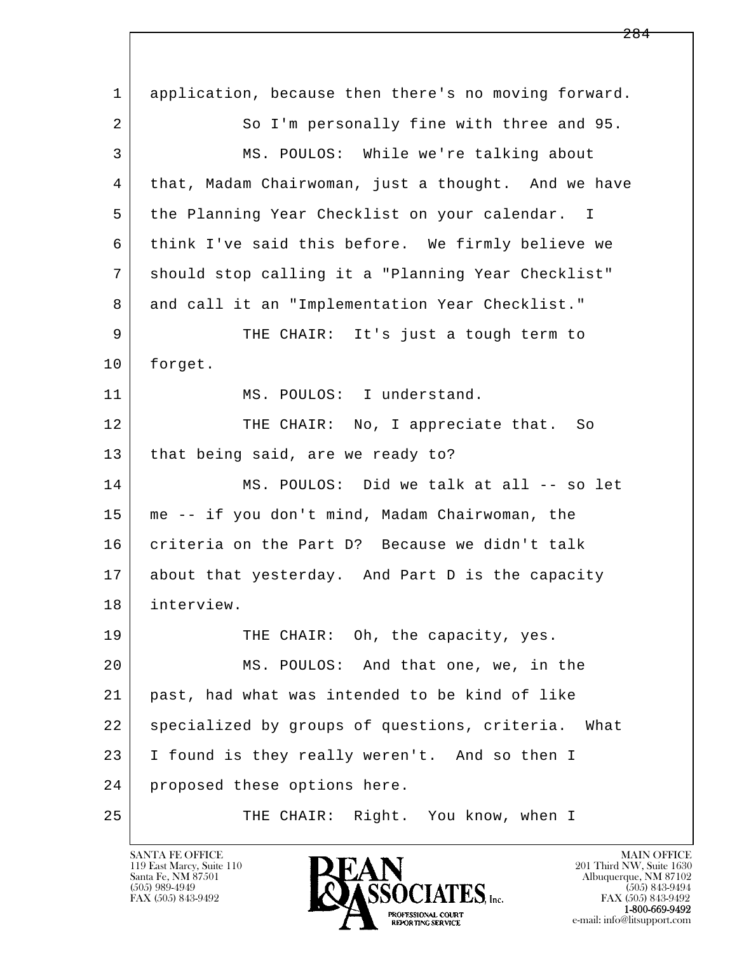l  $\overline{\phantom{a}}$  1 application, because then there's no moving forward. 2 So I'm personally fine with three and 95. 3 MS. POULOS: While we're talking about 4 that, Madam Chairwoman, just a thought. And we have 5 the Planning Year Checklist on your calendar. I 6 think I've said this before. We firmly believe we 7 should stop calling it a "Planning Year Checklist" 8 and call it an "Implementation Year Checklist." 9 THE CHAIR: It's just a tough term to 10 forget. 11 MS. POULOS: I understand. 12 THE CHAIR: No, I appreciate that. So 13 | that being said, are we ready to? 14 MS. POULOS: Did we talk at all -- so let 15 me -- if you don't mind, Madam Chairwoman, the 16 criteria on the Part D? Because we didn't talk 17 about that yesterday. And Part D is the capacity 18 interview. 19 THE CHAIR: Oh, the capacity, yes. 20 MS. POULOS: And that one, we, in the 21 past, had what was intended to be kind of like 22 | specialized by groups of questions, criteria. What 23 I found is they really weren't. And so then I 24 | proposed these options here. 25 THE CHAIR: Right. You know, when I

119 East Marcy, Suite 110<br>Santa Fe, NM 87501

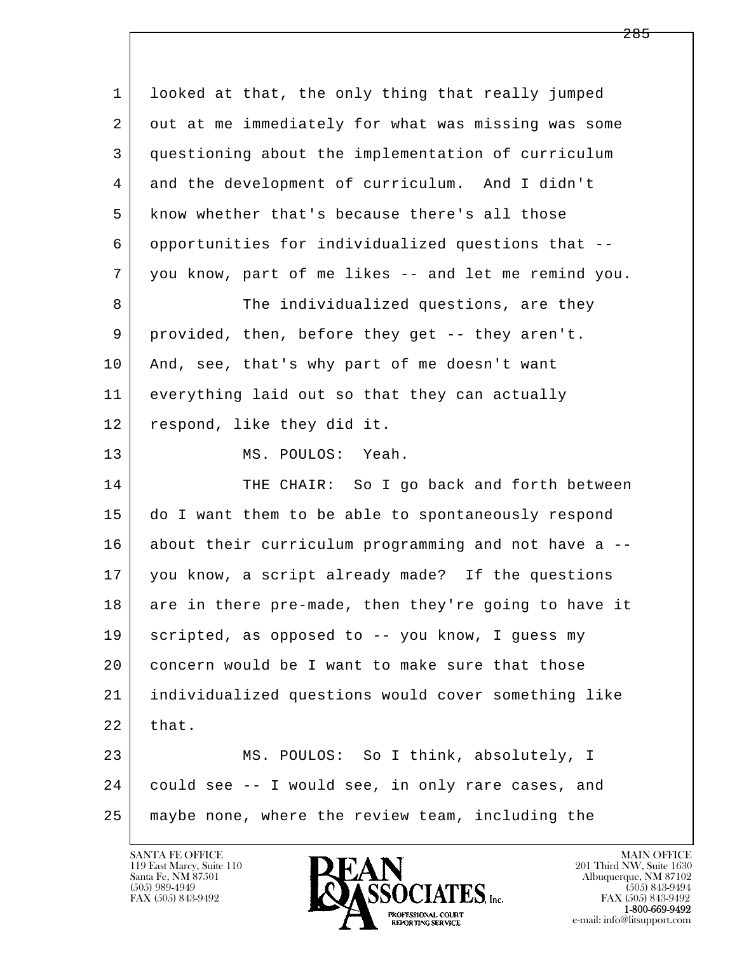| $\mathbf{1}$ | looked at that, the only thing that really jumped    |
|--------------|------------------------------------------------------|
| 2            | out at me immediately for what was missing was some  |
| 3            | questioning about the implementation of curriculum   |
| 4            | and the development of curriculum. And I didn't      |
| 5            | know whether that's because there's all those        |
| 6            | opportunities for individualized questions that --   |
| 7            | you know, part of me likes -- and let me remind you. |
| 8            | The individualized questions, are they               |
| 9            | provided, then, before they get -- they aren't.      |
| 10           | And, see, that's why part of me doesn't want         |
| 11           | everything laid out so that they can actually        |
| 12           | respond, like they did it.                           |
| 13           | MS. POULOS: Yeah.                                    |
| 14           | THE CHAIR: So I go back and forth between            |
| 15           | do I want them to be able to spontaneously respond   |
| 16           | about their curriculum programming and not have a -- |
| 17           | you know, a script already made? If the questions    |
| 18           | are in there pre-made, then they're going to have it |
| 19           | scripted, as opposed to -- you know, I guess my      |
| 20           | concern would be I want to make sure that those      |
| 21           | individualized questions would cover something like  |
| 22           | that.                                                |
| 23           | MS. POULOS: So I think, absolutely, I                |
| 24           | could see -- I would see, in only rare cases, and    |
| 25           | maybe none, where the review team, including the     |
|              |                                                      |

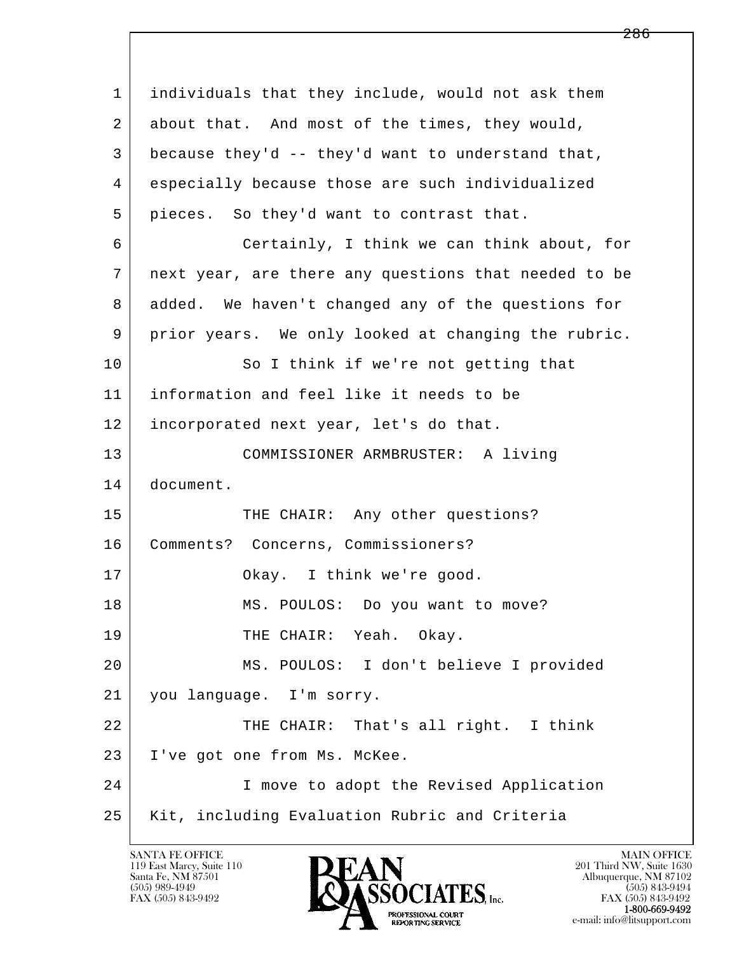l  $\overline{\phantom{a}}$  1 individuals that they include, would not ask them 2 | about that. And most of the times, they would, 3 because they'd -- they'd want to understand that, 4 especially because those are such individualized 5 pieces. So they'd want to contrast that. 6 Certainly, I think we can think about, for 7 next year, are there any questions that needed to be 8 added. We haven't changed any of the questions for 9 prior years. We only looked at changing the rubric. 10 So I think if we're not getting that 11 information and feel like it needs to be 12 incorporated next year, let's do that. 13 COMMISSIONER ARMBRUSTER: A living 14 document. 15 THE CHAIR: Any other questions? 16 Comments? Concerns, Commissioners? 17 | Okay. I think we're good. 18 | MS. POULOS: Do you want to move? 19 THE CHAIR: Yeah. Okay. 20 MS. POULOS: I don't believe I provided 21 you language. I'm sorry. 22 THE CHAIR: That's all right. I think 23 I've got one from Ms. McKee. 24 I move to adopt the Revised Application 25 Kit, including Evaluation Rubric and Criteria

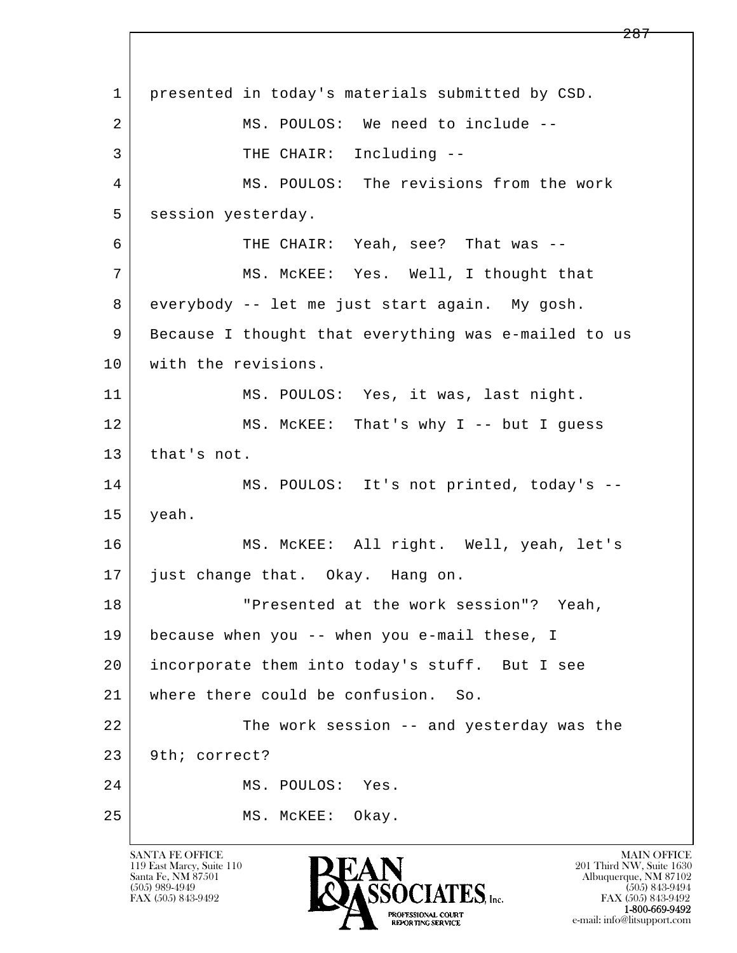l  $\overline{\phantom{a}}$  1 presented in today's materials submitted by CSD. 2 MS. POULOS: We need to include --3 | THE CHAIR: Including -- 4 MS. POULOS: The revisions from the work 5 session yesterday. 6 THE CHAIR: Yeah, see? That was -- 7 MS. McKEE: Yes. Well, I thought that 8 everybody -- let me just start again. My gosh. 9 Because I thought that everything was e-mailed to us 10 with the revisions. 11 MS. POULOS: Yes, it was, last night. 12 MS. McKEE: That's why I -- but I guess 13 that's not. 14 MS. POULOS: It's not printed, today's -- 15 yeah. 16 MS. McKEE: All right. Well, yeah, let's 17 just change that. Okay. Hang on. 18 | The Presented at the work session"? Yeah, 19 because when you -- when you e-mail these, I 20 incorporate them into today's stuff. But I see 21 where there could be confusion. So. 22 The work session -- and yesterday was the 23 9th; correct? 24 MS. POULOS: Yes. 25 MS. McKEE: Okay.

119 East Marcy, Suite 110<br>Santa Fe, NM 87501



FAX (505) 843-9492 FAX (505) 843-9492 e-mail: info@litsupport.com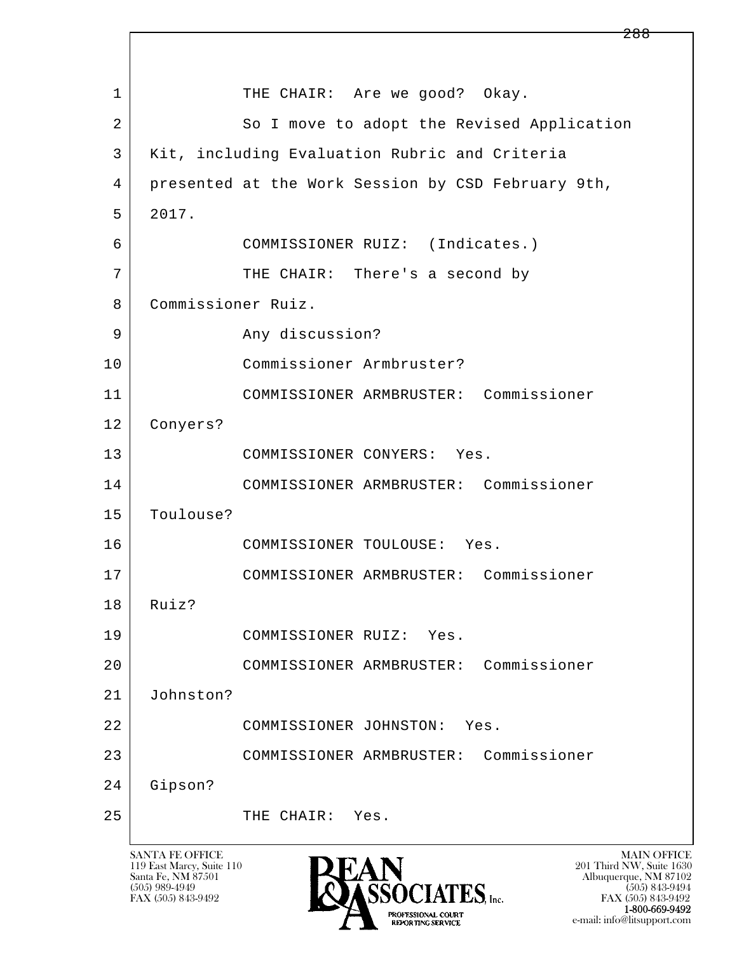l  $\overline{\phantom{a}}$ 1 THE CHAIR: Are we good? Okay. 2 So I move to adopt the Revised Application 3 Kit, including Evaluation Rubric and Criteria 4 presented at the Work Session by CSD February 9th, 5 2017. 6 COMMISSIONER RUIZ: (Indicates.) 7 | THE CHAIR: There's a second by 8 Commissioner Ruiz. 9 Any discussion? 10 Commissioner Armbruster? 11 COMMISSIONER ARMBRUSTER: Commissioner 12 Conyers? 13 COMMISSIONER CONYERS: Yes. 14 COMMISSIONER ARMBRUSTER: Commissioner 15 Toulouse? 16 COMMISSIONER TOULOUSE: Yes. 17 COMMISSIONER ARMBRUSTER: Commissioner 18 Ruiz? 19 COMMISSIONER RUIZ: Yes. 20 COMMISSIONER ARMBRUSTER: Commissioner 21 Johnston? 22 COMMISSIONER JOHNSTON: Yes. 23 COMMISSIONER ARMBRUSTER: Commissioner 24 Gipson? 25 THE CHAIR: Yes.

119 East Marcy, Suite 110<br>Santa Fe, NM 87501



FAX (505) 843-9492 FAX (505) 843-9492 e-mail: info@litsupport.com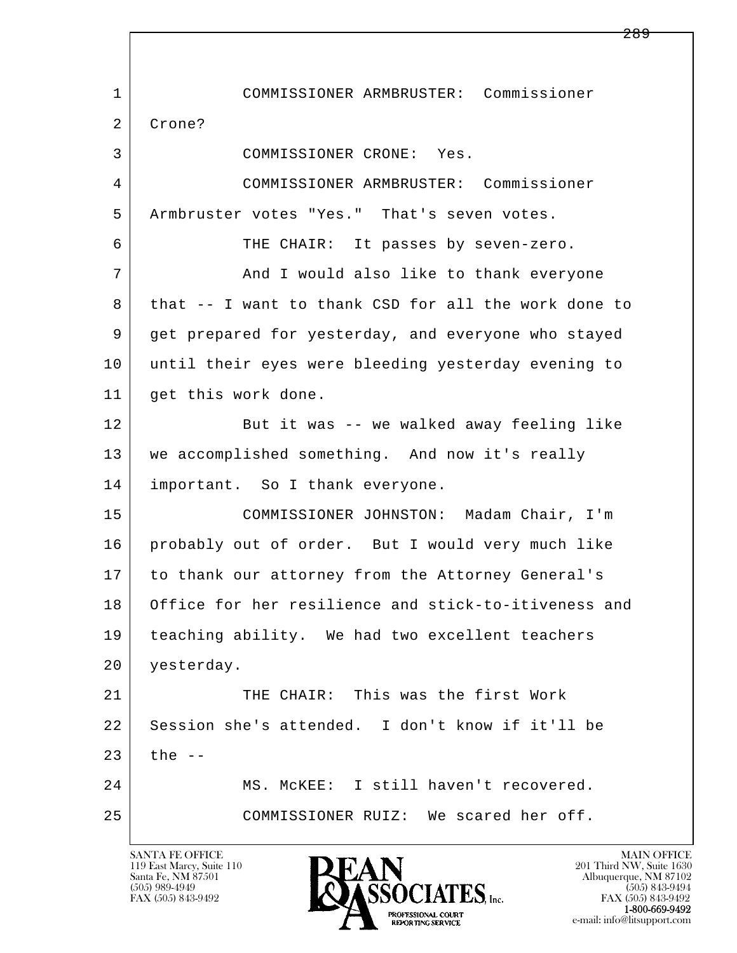l  $\overline{\phantom{a}}$  1 COMMISSIONER ARMBRUSTER: Commissioner 2 Crone? 3 COMMISSIONER CRONE: Yes. 4 COMMISSIONER ARMBRUSTER: Commissioner 5 Armbruster votes "Yes." That's seven votes. 6 THE CHAIR: It passes by seven-zero. 7 And I would also like to thank everyone 8 that -- I want to thank CSD for all the work done to 9 get prepared for yesterday, and everyone who stayed 10 until their eyes were bleeding yesterday evening to 11 | get this work done. 12 But it was -- we walked away feeling like 13 we accomplished something. And now it's really 14 | important. So I thank everyone. 15 COMMISSIONER JOHNSTON: Madam Chair, I'm 16 probably out of order. But I would very much like 17 to thank our attorney from the Attorney General's 18 Office for her resilience and stick-to-itiveness and 19 teaching ability. We had two excellent teachers 20 yesterday. 21 THE CHAIR: This was the first Work 22 Session she's attended. I don't know if it'll be  $23$  the  $-$  24 MS. McKEE: I still haven't recovered. 25 COMMISSIONER RUIZ: We scared her off.

119 East Marcy, Suite 110<br>Santa Fe, NM 87501

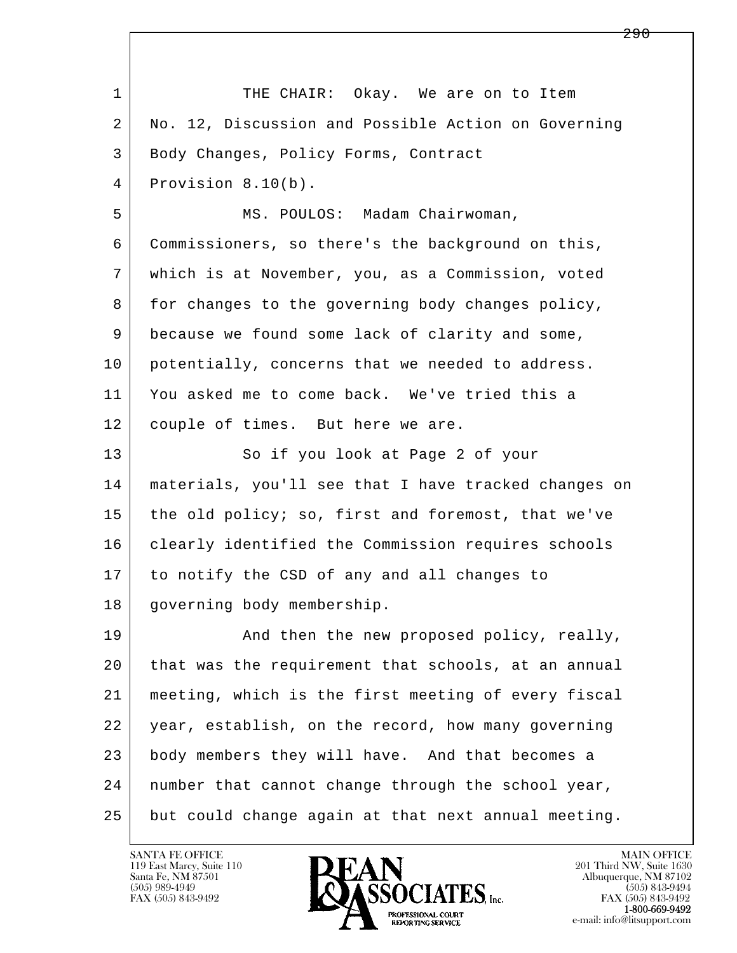l  $\overline{\phantom{a}}$ 1 THE CHAIR: Okay. We are on to Item 2 No. 12, Discussion and Possible Action on Governing 3 | Body Changes, Policy Forms, Contract 4 Provision 8.10(b). 5 | MS. POULOS: Madam Chairwoman, 6 Commissioners, so there's the background on this, 7 which is at November, you, as a Commission, voted 8 for changes to the governing body changes policy, 9 because we found some lack of clarity and some, 10 potentially, concerns that we needed to address. 11 You asked me to come back. We've tried this a 12 | couple of times. But here we are. 13 So if you look at Page 2 of your 14 materials, you'll see that I have tracked changes on 15 the old policy; so, first and foremost, that we've 16 | clearly identified the Commission requires schools 17 to notify the CSD of any and all changes to 18 governing body membership. 19 | And then the new proposed policy, really, 20 that was the requirement that schools, at an annual 21 meeting, which is the first meeting of every fiscal 22 year, establish, on the record, how many governing 23 body members they will have. And that becomes a 24 number that cannot change through the school year, 25 but could change again at that next annual meeting.

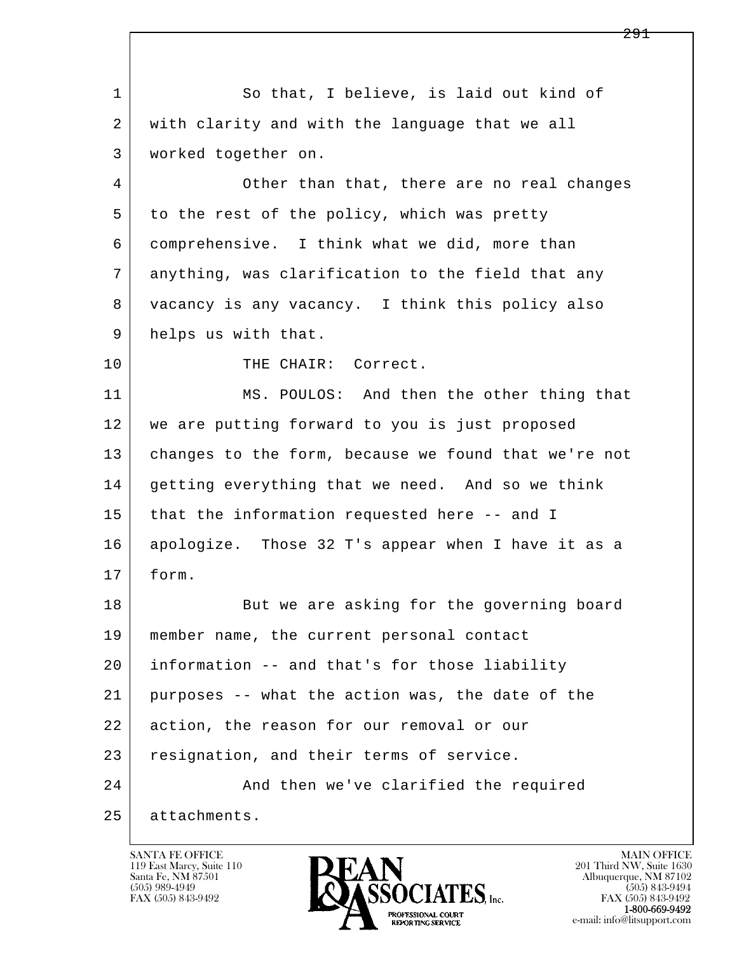l  $\overline{\phantom{a}}$ 1 So that, I believe, is laid out kind of 2 with clarity and with the language that we all 3 worked together on. 4 Other than that, there are no real changes 5 | to the rest of the policy, which was pretty 6 comprehensive. I think what we did, more than 7 anything, was clarification to the field that any 8 vacancy is any vacancy. I think this policy also 9 helps us with that. 10 THE CHAIR: Correct. 11 MS. POULOS: And then the other thing that 12 we are putting forward to you is just proposed 13 changes to the form, because we found that we're not 14 getting everything that we need. And so we think 15 that the information requested here -- and I 16 apologize. Those 32 T's appear when I have it as a 17 form. 18 But we are asking for the governing board 19 member name, the current personal contact 20 information -- and that's for those liability 21 purposes -- what the action was, the date of the 22 action, the reason for our removal or our 23 resignation, and their terms of service. 24 And then we've clarified the required 25 attachments.

119 East Marcy, Suite 110<br>Santa Fe, NM 87501



FAX (505) 843-9492 FAX (505) 843-9492 e-mail: info@litsupport.com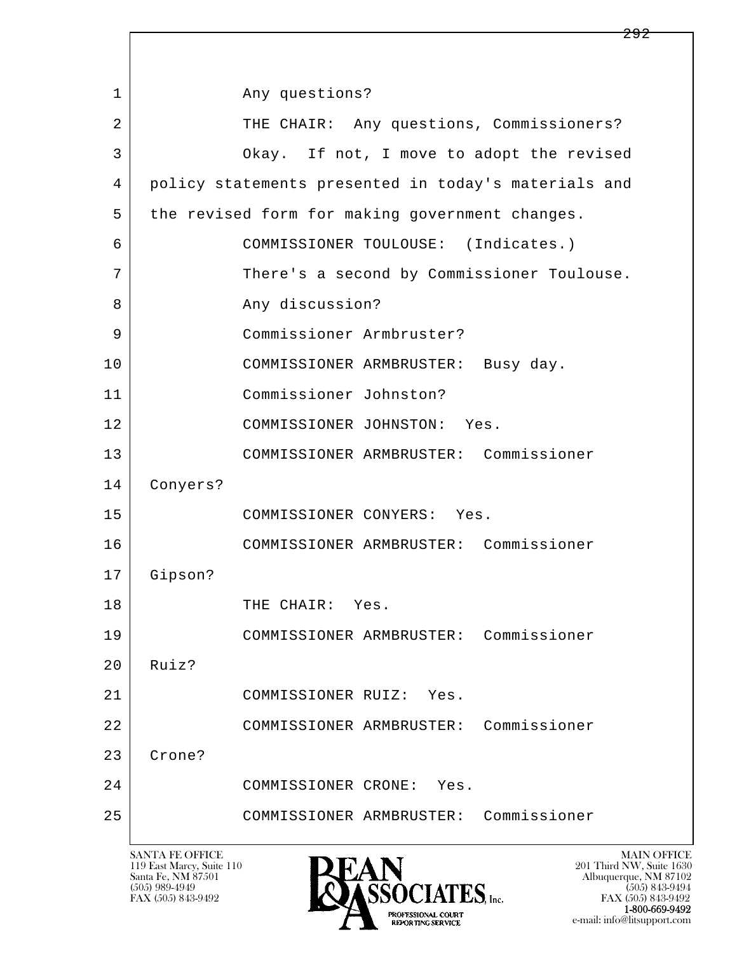l  $\overline{\phantom{a}}$ 1 any questions? 2 THE CHAIR: Any questions, Commissioners? 3 Okay. If not, I move to adopt the revised 4 policy statements presented in today's materials and 5 the revised form for making government changes. 6 COMMISSIONER TOULOUSE: (Indicates.) 7 There's a second by Commissioner Toulouse. 8 Any discussion? 9 Commissioner Armbruster? 10 COMMISSIONER ARMBRUSTER: Busy day. 11 Commissioner Johnston? 12 COMMISSIONER JOHNSTON: Yes. 13 COMMISSIONER ARMBRUSTER: Commissioner 14 Conyers? 15 COMMISSIONER CONYERS: Yes. 16 COMMISSIONER ARMBRUSTER: Commissioner 17 Gipson? 18 THE CHAIR: Yes. 19 COMMISSIONER ARMBRUSTER: Commissioner  $20$  Ruiz? 21 COMMISSIONER RUIZ: Yes. 22 COMMISSIONER ARMBRUSTER: Commissioner 23 Crone? 24 COMMISSIONER CRONE: Yes. 25 COMMISSIONER ARMBRUSTER: Commissioner

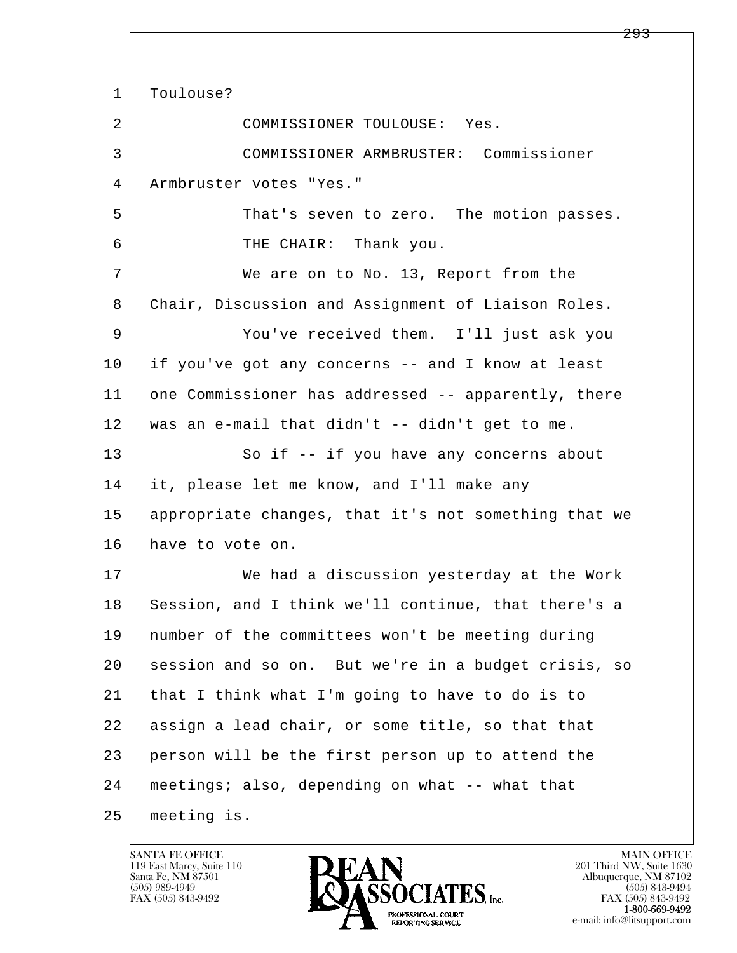l  $\overline{\phantom{a}}$ 1 | Toulouse? 2 COMMISSIONER TOULOUSE: Yes. 3 COMMISSIONER ARMBRUSTER: Commissioner 4 Armbruster votes "Yes." 5 That's seven to zero. The motion passes. 6 THE CHAIR: Thank you. 7 | We are on to No. 13, Report from the 8 Chair, Discussion and Assignment of Liaison Roles. 9 You've received them. I'll just ask you 10 if you've got any concerns -- and I know at least 11 one Commissioner has addressed -- apparently, there 12 was an e-mail that didn't -- didn't get to me. 13 So if -- if you have any concerns about 14 it, please let me know, and I'll make any 15 appropriate changes, that it's not something that we 16 have to vote on. 17 We had a discussion yesterday at the Work 18 Session, and I think we'll continue, that there's a 19 number of the committees won't be meeting during 20 session and so on. But we're in a budget crisis, so 21 that I think what I'm going to have to do is to 22 assign a lead chair, or some title, so that that 23 person will be the first person up to attend the 24 meetings; also, depending on what -- what that 25 meeting is.

119 East Marcy, Suite 110<br>Santa Fe, NM 87501



FAX (505) 843-9492<br>1-800-669-9492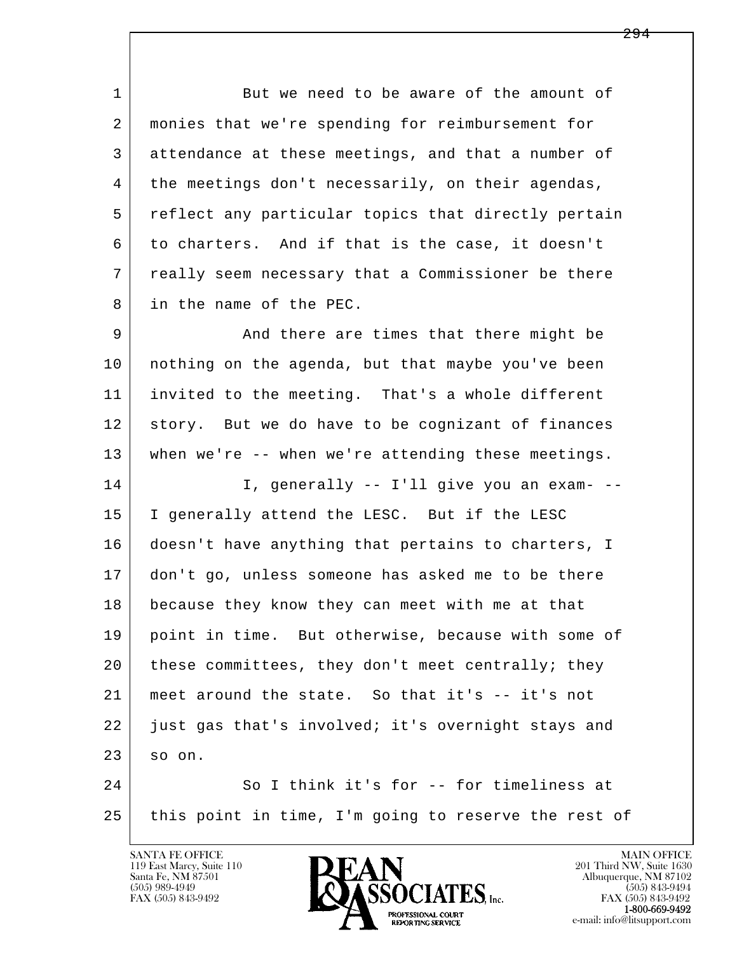1 But we need to be aware of the amount of 2 monies that we're spending for reimbursement for 3 attendance at these meetings, and that a number of 4 the meetings don't necessarily, on their agendas, 5 reflect any particular topics that directly pertain 6 to charters. And if that is the case, it doesn't 7 really seem necessary that a Commissioner be there 8 in the name of the PEC.

9 And there are times that there might be 10 nothing on the agenda, but that maybe you've been 11 invited to the meeting. That's a whole different 12 story. But we do have to be cognizant of finances 13 when we're -- when we're attending these meetings. 14 I, generally -- I'll give you an exam- -- 15 I generally attend the LESC. But if the LESC 16 doesn't have anything that pertains to charters, I

 17 don't go, unless someone has asked me to be there 18 because they know they can meet with me at that 19 point in time. But otherwise, because with some of 20 these committees, they don't meet centrally; they 21 meet around the state. So that it's -- it's not 22 just gas that's involved; it's overnight stays and  $23$  so on.

l  $\overline{\phantom{a}}$ 24 | So I think it's for -- for timeliness at 25 this point in time, I'm going to reserve the rest of



FAX (505) 843-9492<br>1-800-669-9492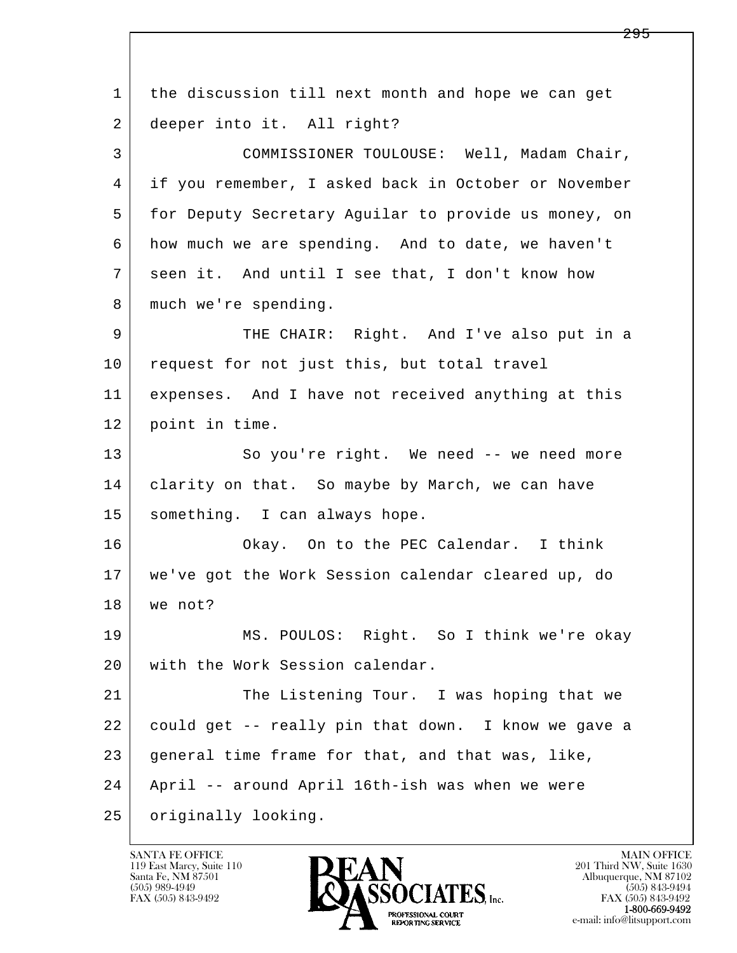l  $\overline{\phantom{a}}$  1 the discussion till next month and hope we can get 2 deeper into it. All right? 3 COMMISSIONER TOULOUSE: Well, Madam Chair, 4 if you remember, I asked back in October or November 5 | for Deputy Secretary Aguilar to provide us money, on 6 how much we are spending. And to date, we haven't 7 seen it. And until I see that, I don't know how 8 | much we're spending. 9 THE CHAIR: Right. And I've also put in a 10 request for not just this, but total travel 11 expenses. And I have not received anything at this 12 point in time. 13 So you're right. We need -- we need more 14 clarity on that. So maybe by March, we can have 15 | something. I can always hope. 16 | Okay. On to the PEC Calendar. I think 17 we've got the Work Session calendar cleared up, do 18 we not? 19 MS. POULOS: Right. So I think we're okay 20 with the Work Session calendar. 21 The Listening Tour. I was hoping that we 22 could get -- really pin that down. I know we gave a 23 general time frame for that, and that was, like, 24 April -- around April 16th-ish was when we were 25 | originally looking.

119 East Marcy, Suite 110<br>Santa Fe, NM 87501



FAX (505) 843-9492 FAX (505) 843-9492 e-mail: info@litsupport.com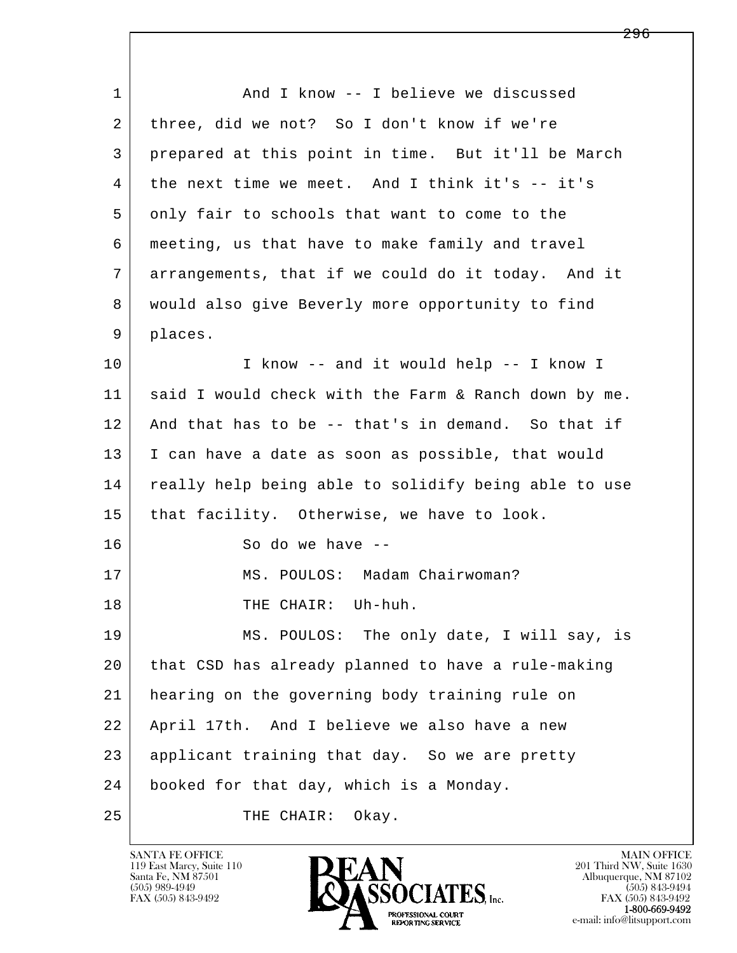| $\mathbf 1$ | And I know -- I believe we discussed                 |
|-------------|------------------------------------------------------|
| 2           | three, did we not? So I don't know if we're          |
| 3           | prepared at this point in time. But it'll be March   |
| 4           | the next time we meet. And I think it's -- it's      |
| 5           | only fair to schools that want to come to the        |
| 6           | meeting, us that have to make family and travel      |
| 7           | arrangements, that if we could do it today. And it   |
| 8           | would also give Beverly more opportunity to find     |
| 9           | places.                                              |
| 10          | I know -- and it would help -- I know I              |
| 11          | said I would check with the Farm & Ranch down by me. |
| 12          | And that has to be -- that's in demand. So that if   |
| 13          | I can have a date as soon as possible, that would    |
| 14          | really help being able to solidify being able to use |
| 15          | that facility. Otherwise, we have to look.           |
| 16          | So do we have --                                     |
| 17          | MS. POULOS: Madam Chairwoman?                        |
| 18          | THE CHAIR: Uh-huh.                                   |
| 19          | MS. POULOS: The only date, I will say, is            |
| 20          | that CSD has already planned to have a rule-making   |
| 21          | hearing on the governing body training rule on       |
| 22          | April 17th. And I believe we also have a new         |
| 23          | applicant training that day. So we are pretty        |
| 24          | booked for that day, which is a Monday.              |
| 25          | THE CHAIR:<br>Okay.                                  |

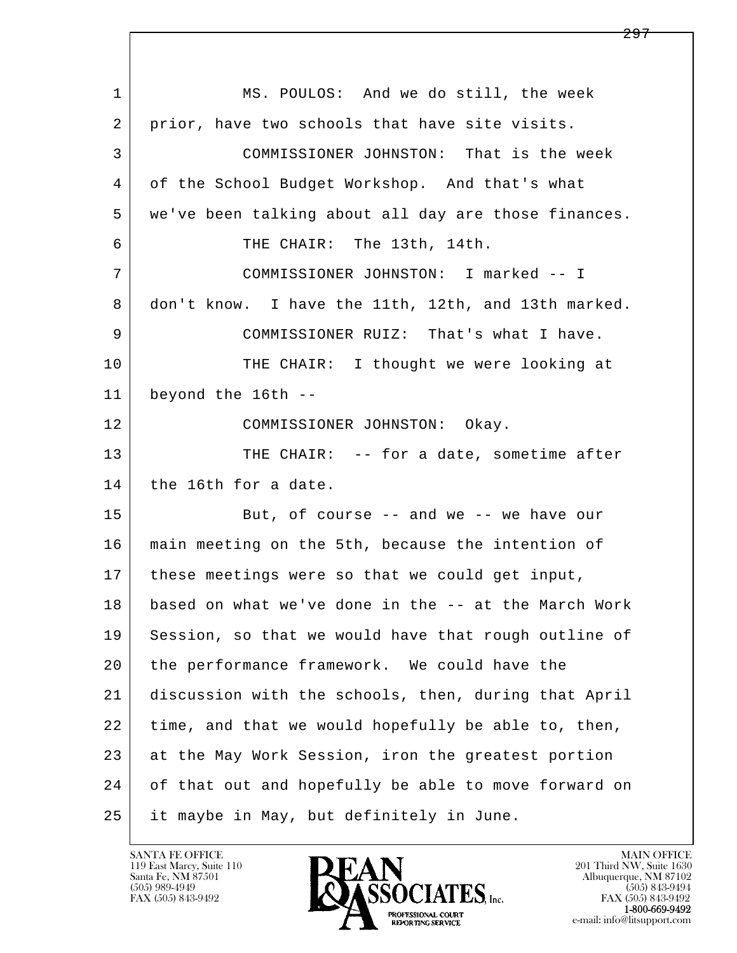l  $\overline{\phantom{a}}$ 1 | MS. POULOS: And we do still, the week 2 prior, have two schools that have site visits. 3 COMMISSIONER JOHNSTON: That is the week 4 of the School Budget Workshop. And that's what 5 we've been talking about all day are those finances. 6 THE CHAIR: The 13th, 14th. 7 COMMISSIONER JOHNSTON: I marked -- I 8 don't know. I have the 11th, 12th, and 13th marked. 9 COMMISSIONER RUIZ: That's what I have. 10 THE CHAIR: I thought we were looking at 11 beyond the 16th -- 12 COMMISSIONER JOHNSTON: Okay. 13 THE CHAIR: -- for a date, sometime after 14 the 16th for a date. 15 | But, of course -- and we -- we have our 16 main meeting on the 5th, because the intention of 17 these meetings were so that we could get input, 18 based on what we've done in the -- at the March Work 19 Session, so that we would have that rough outline of 20 the performance framework. We could have the 21 discussion with the schools, then, during that April 22 time, and that we would hopefully be able to, then, 23 at the May Work Session, iron the greatest portion 24 of that out and hopefully be able to move forward on 25 it maybe in May, but definitely in June.

119 East Marcy, Suite 110<br>Santa Fe, NM 87501

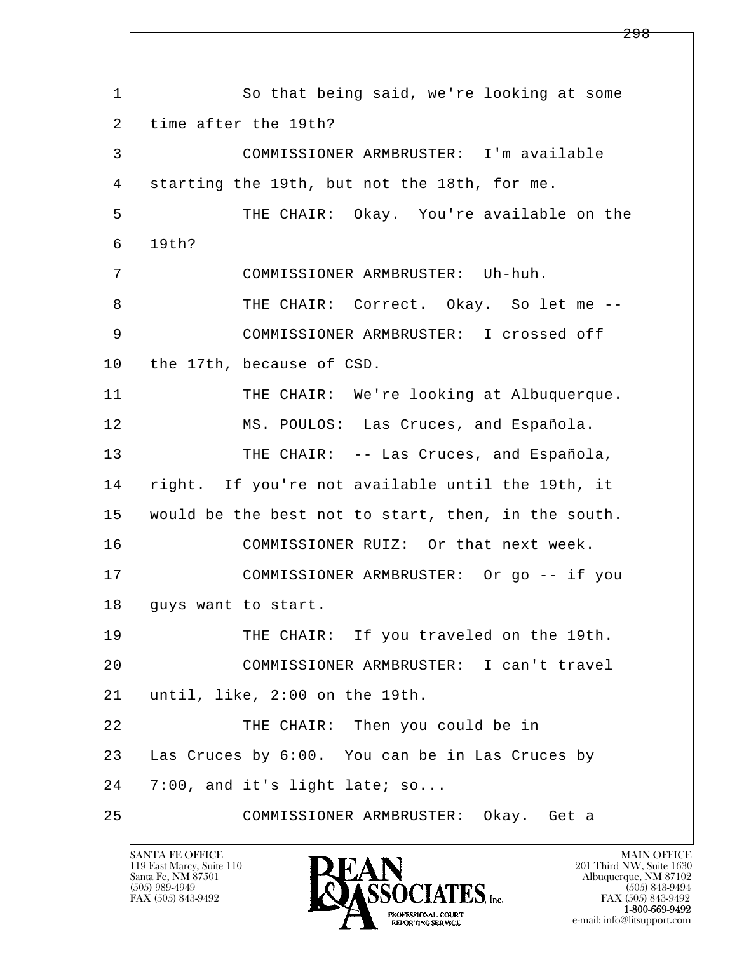l  $\overline{\phantom{a}}$ 1 So that being said, we're looking at some 2 time after the 19th? 3 COMMISSIONER ARMBRUSTER: I'm available 4 starting the 19th, but not the 18th, for me. 5 THE CHAIR: Okay. You're available on the 6 19th? 7 COMMISSIONER ARMBRUSTER: Uh-huh. 8 THE CHAIR: Correct. Okay. So let me -- 9 COMMISSIONER ARMBRUSTER: I crossed off 10 the 17th, because of CSD. 11 THE CHAIR: We're looking at Albuquerque. 12 MS. POULOS: Las Cruces, and Española. 13 THE CHAIR: -- Las Cruces, and Española, 14 right. If you're not available until the 19th, it 15 would be the best not to start, then, in the south. 16 COMMISSIONER RUIZ: Or that next week. 17 COMMISSIONER ARMBRUSTER: Or go -- if you 18 | guys want to start. 19 THE CHAIR: If you traveled on the 19th. 20 COMMISSIONER ARMBRUSTER: I can't travel 21 until, like, 2:00 on the 19th. 22 THE CHAIR: Then you could be in 23 Las Cruces by 6:00. You can be in Las Cruces by  $24$  7:00, and it's light late; so... 25 COMMISSIONER ARMBRUSTER: Okay. Get a

119 East Marcy, Suite 110<br>Santa Fe, NM 87501

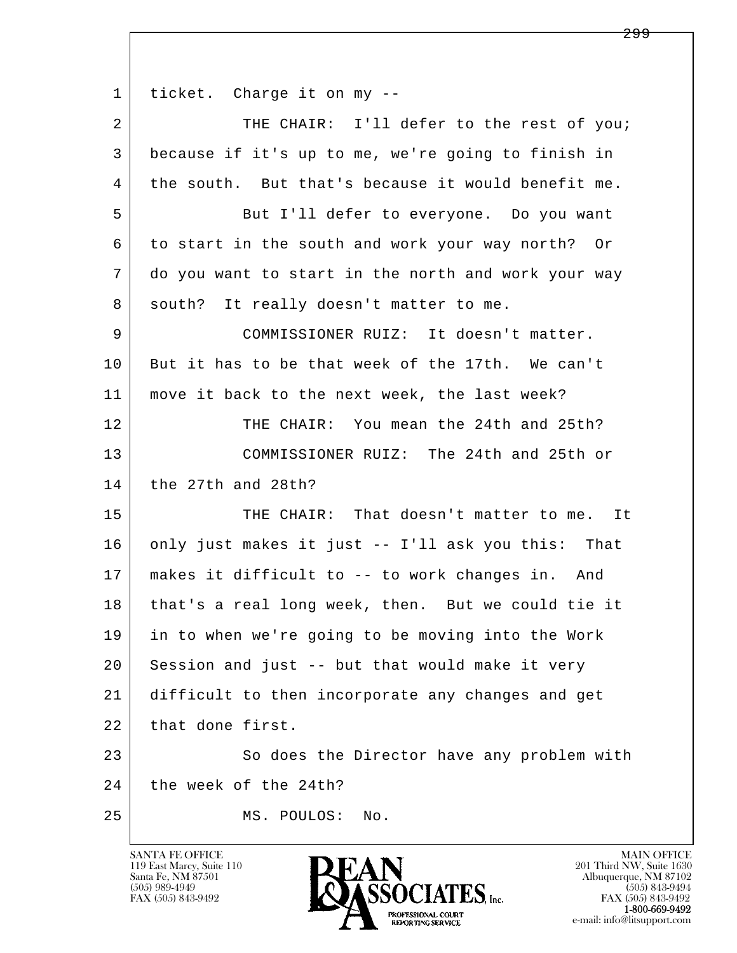l  $\overline{\phantom{a}}$  1 ticket. Charge it on my -- 2 | THE CHAIR: I'll defer to the rest of you; 3 because if it's up to me, we're going to finish in 4 the south. But that's because it would benefit me. 5 But I'll defer to everyone. Do you want 6 to start in the south and work your way north? Or 7 do you want to start in the north and work your way 8 south? It really doesn't matter to me. 9 COMMISSIONER RUIZ: It doesn't matter. 10 But it has to be that week of the 17th. We can't 11 move it back to the next week, the last week? 12 THE CHAIR: You mean the 24th and 25th? 13 COMMISSIONER RUIZ: The 24th and 25th or 14 the 27th and 28th? 15 THE CHAIR: That doesn't matter to me. It 16 only just makes it just -- I'll ask you this: That 17 makes it difficult to -- to work changes in. And 18 that's a real long week, then. But we could tie it 19 in to when we're going to be moving into the Work 20 Session and just -- but that would make it very 21 difficult to then incorporate any changes and get 22 that done first. 23 So does the Director have any problem with 24 the week of the 24th? 25 MS. POULOS: No.

119 East Marcy, Suite 110<br>Santa Fe, NM 87501



FAX (505) 843-9492<br>**1-800-669-9492**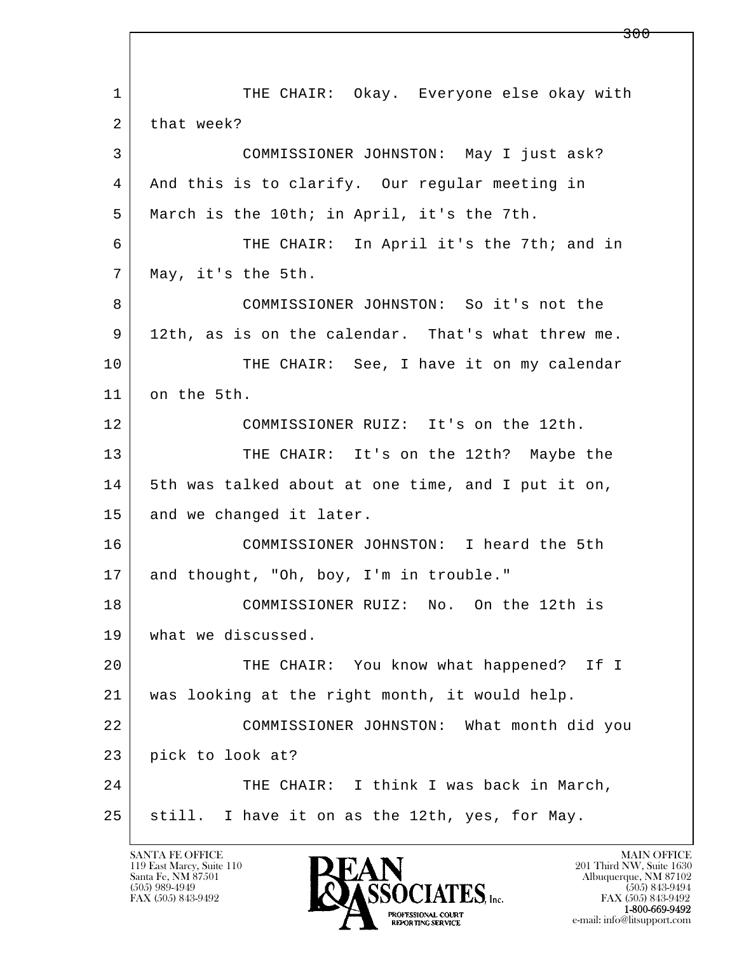l  $\overline{\phantom{a}}$ 1 THE CHAIR: Okay. Everyone else okay with 2 that week? 3 COMMISSIONER JOHNSTON: May I just ask? 4 And this is to clarify. Our regular meeting in 5 March is the 10th; in April, it's the 7th. 6 THE CHAIR: In April it's the 7th; and in 7 | May, it's the 5th. 8 COMMISSIONER JOHNSTON: So it's not the 9 12th, as is on the calendar. That's what threw me. 10 THE CHAIR: See, I have it on my calendar 11 on the 5th. 12 COMMISSIONER RUIZ: It's on the 12th. 13 THE CHAIR: It's on the 12th? Maybe the 14 | 5th was talked about at one time, and I put it on, 15 and we changed it later. 16 COMMISSIONER JOHNSTON: I heard the 5th 17 and thought, "Oh, boy, I'm in trouble." 18 COMMISSIONER RUIZ: No. On the 12th is 19 what we discussed. 20 THE CHAIR: You know what happened? If I 21 was looking at the right month, it would help. 22 COMMISSIONER JOHNSTON: What month did you 23 pick to look at? 24 THE CHAIR: I think I was back in March, 25 still. I have it on as the 12th, yes, for May.

119 East Marcy, Suite 110<br>Santa Fe, NM 87501

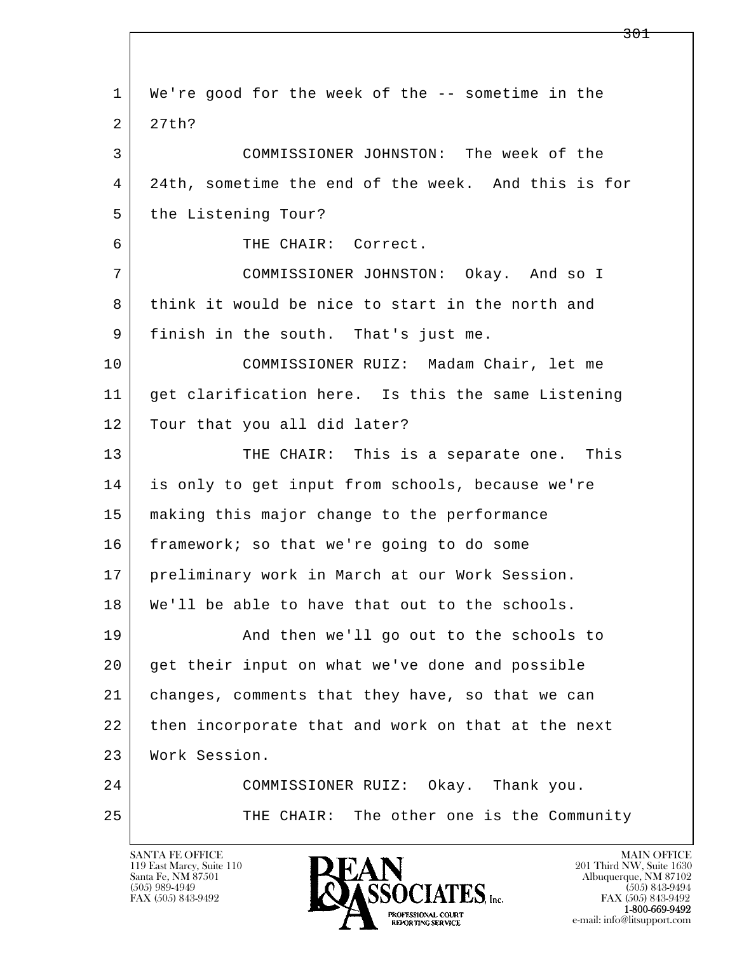l  $\overline{\phantom{a}}$  1 We're good for the week of the -- sometime in the 2 27th? 3 COMMISSIONER JOHNSTON: The week of the 4 24th, sometime the end of the week. And this is for 5 the Listening Tour? 6 THE CHAIR: Correct. 7 COMMISSIONER JOHNSTON: Okay. And so I 8 think it would be nice to start in the north and 9 finish in the south. That's just me. 10 COMMISSIONER RUIZ: Madam Chair, let me 11 get clarification here. Is this the same Listening 12 | Tour that you all did later? 13 THE CHAIR: This is a separate one. This 14 is only to get input from schools, because we're 15 making this major change to the performance 16 framework; so that we're going to do some 17 preliminary work in March at our Work Session. 18 We'll be able to have that out to the schools. 19 | And then we'll go out to the schools to 20 get their input on what we've done and possible 21 changes, comments that they have, so that we can 22 then incorporate that and work on that at the next 23 Work Session. 24 COMMISSIONER RUIZ: Okay. Thank you. 25 THE CHAIR: The other one is the Community

119 East Marcy, Suite 110<br>Santa Fe, NM 87501

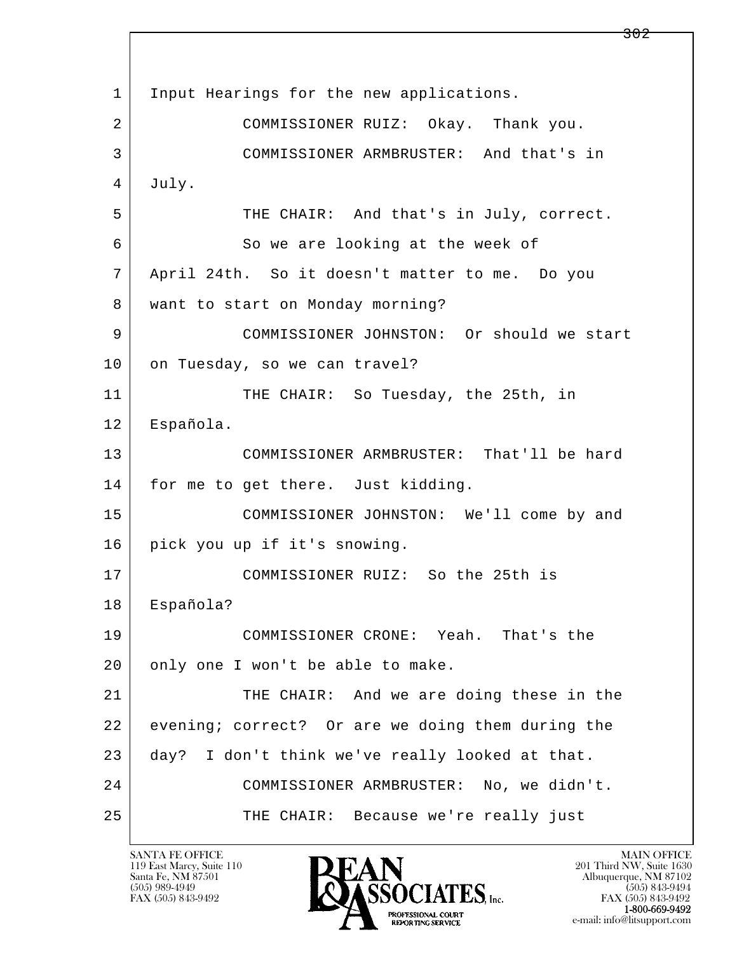l  $\overline{\phantom{a}}$ 1 | Input Hearings for the new applications. 2 COMMISSIONER RUIZ: Okay. Thank you. 3 COMMISSIONER ARMBRUSTER: And that's in 4 July. 5 THE CHAIR: And that's in July, correct. 6 So we are looking at the week of 7 April 24th. So it doesn't matter to me. Do you 8 | want to start on Monday morning? 9 COMMISSIONER JOHNSTON: Or should we start 10 on Tuesday, so we can travel? 11 THE CHAIR: So Tuesday, the 25th, in 12 Española. 13 COMMISSIONER ARMBRUSTER: That'll be hard 14 for me to get there. Just kidding. 15 COMMISSIONER JOHNSTON: We'll come by and 16 pick you up if it's snowing. 17 COMMISSIONER RUIZ: So the 25th is 18 Española? 19 COMMISSIONER CRONE: Yeah. That's the 20 only one I won't be able to make. 21 THE CHAIR: And we are doing these in the 22 evening; correct? Or are we doing them during the 23 day? I don't think we've really looked at that. 24 COMMISSIONER ARMBRUSTER: No, we didn't. 25 THE CHAIR: Because we're really just

119 East Marcy, Suite 110<br>Santa Fe, NM 87501

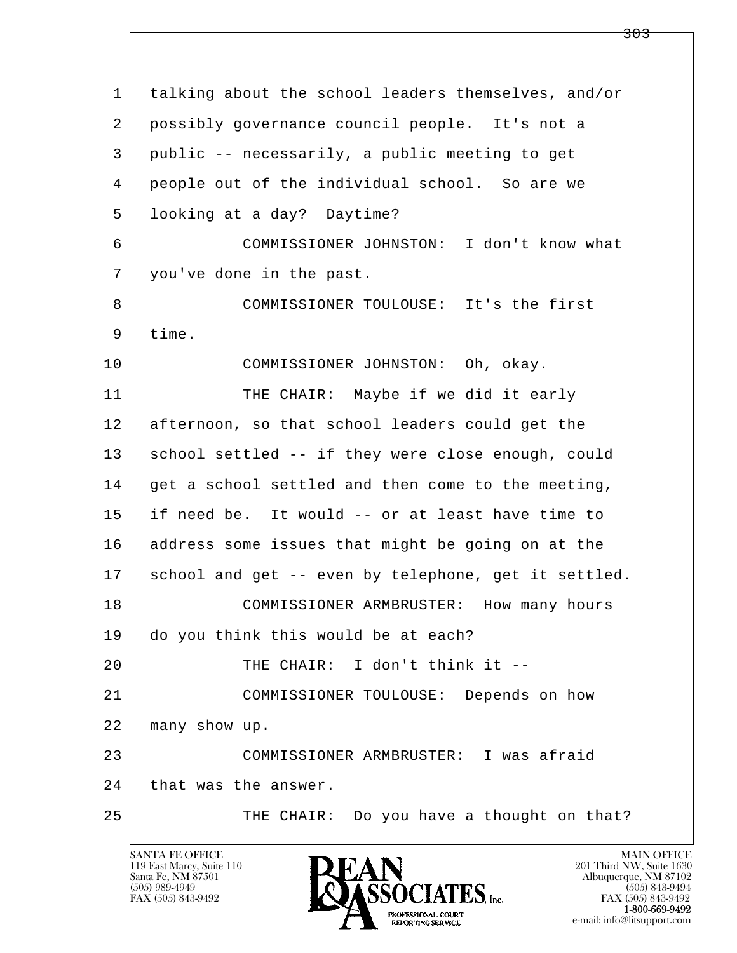l  $\overline{\phantom{a}}$  1 talking about the school leaders themselves, and/or 2 possibly governance council people. It's not a 3 public -- necessarily, a public meeting to get 4 people out of the individual school. So are we 5 looking at a day? Daytime? 6 COMMISSIONER JOHNSTON: I don't know what 7 you've done in the past. 8 COMMISSIONER TOULOUSE: It's the first 9 time. 10 COMMISSIONER JOHNSTON: Oh, okay. 11 THE CHAIR: Maybe if we did it early 12 afternoon, so that school leaders could get the 13 | school settled -- if they were close enough, could  $14$  get a school settled and then come to the meeting, 15 if need be. It would -- or at least have time to 16 address some issues that might be going on at the 17 school and get -- even by telephone, get it settled. 18 COMMISSIONER ARMBRUSTER: How many hours 19 do you think this would be at each? 20 THE CHAIR: I don't think it -- 21 COMMISSIONER TOULOUSE: Depends on how 22 many show up. 23 COMMISSIONER ARMBRUSTER: I was afraid 24 that was the answer. 25 THE CHAIR: Do you have a thought on that?

119 East Marcy, Suite 110<br>Santa Fe, NM 87501



<del>303</del>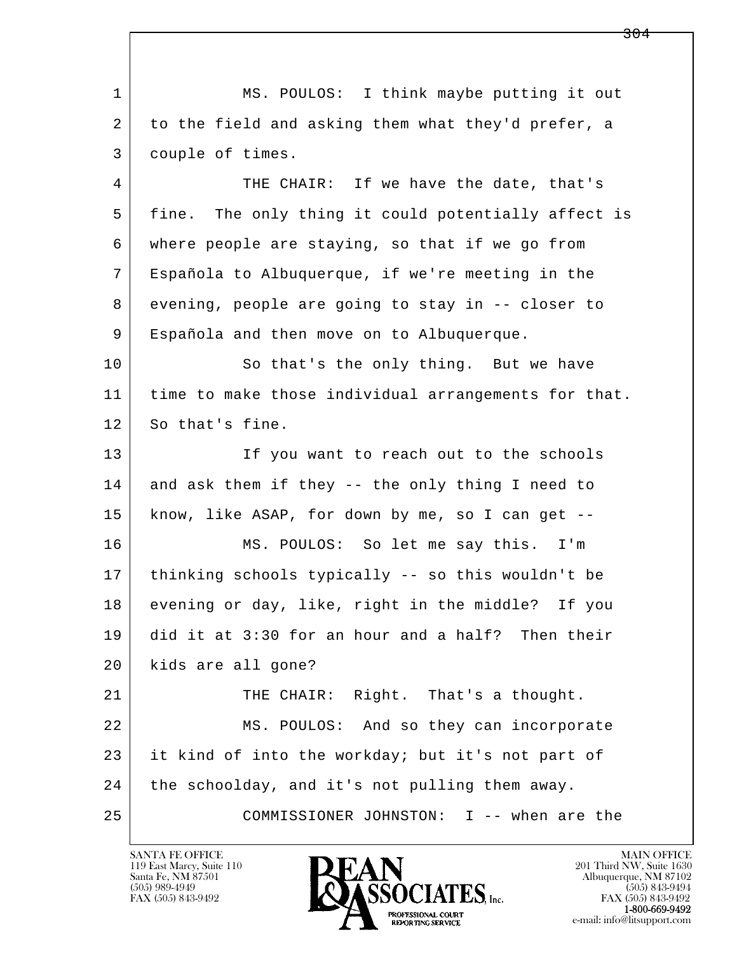l  $\overline{\phantom{a}}$  1 MS. POULOS: I think maybe putting it out 2 to the field and asking them what they'd prefer, a 3 couple of times. 4 THE CHAIR: If we have the date, that's 5 | fine. The only thing it could potentially affect is 6 where people are staying, so that if we go from 7 Española to Albuquerque, if we're meeting in the 8 evening, people are going to stay in -- closer to 9 Española and then move on to Albuquerque. 10 So that's the only thing. But we have 11 time to make those individual arrangements for that. 12 So that's fine. 13 If you want to reach out to the schools 14 and ask them if they -- the only thing I need to 15 know, like ASAP, for down by me, so I can get -- 16 MS. POULOS: So let me say this. I'm 17 thinking schools typically -- so this wouldn't be 18 evening or day, like, right in the middle? If you 19 did it at 3:30 for an hour and a half? Then their 20 kids are all gone? 21 THE CHAIR: Right. That's a thought. 22 MS. POULOS: And so they can incorporate 23 it kind of into the workday; but it's not part of 24 the schoolday, and it's not pulling them away. 25 COMMISSIONER JOHNSTON: I -- when are the

119 East Marcy, Suite 110<br>Santa Fe, NM 87501

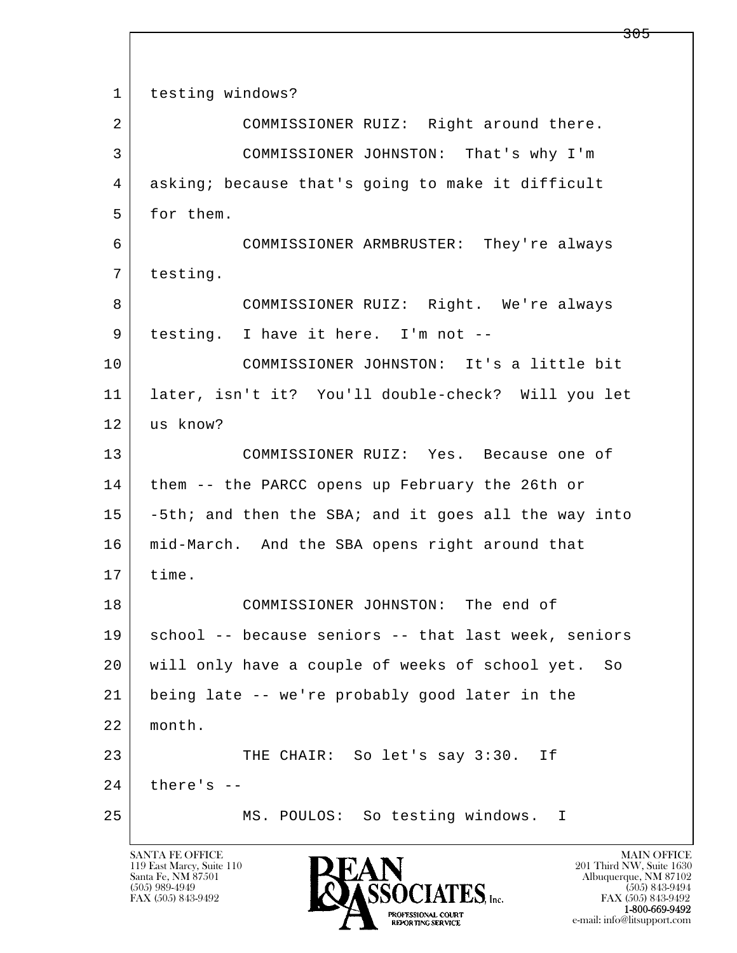l  $\overline{\phantom{a}}$ 1 testing windows? 2 COMMISSIONER RUIZ: Right around there. 3 COMMISSIONER JOHNSTON: That's why I'm 4 asking; because that's going to make it difficult 5 for them. 6 COMMISSIONER ARMBRUSTER: They're always 7 testing. 8 COMMISSIONER RUIZ: Right. We're always 9 | testing. I have it here. I'm not -- 10 COMMISSIONER JOHNSTON: It's a little bit 11 later, isn't it? You'll double-check? Will you let 12 us know? 13 COMMISSIONER RUIZ: Yes. Because one of 14 | them -- the PARCC opens up February the 26th or 15 -5th; and then the SBA; and it goes all the way into 16 mid-March. And the SBA opens right around that 17 time. 18 COMMISSIONER JOHNSTON: The end of 19 | school -- because seniors -- that last week, seniors 20 will only have a couple of weeks of school yet. So 21 being late -- we're probably good later in the 22 month. 23 THE CHAIR: So let's say 3:30. If  $24$  there's  $-$ 25 MS. POULOS: So testing windows. I

119 East Marcy, Suite 110<br>Santa Fe, NM 87501

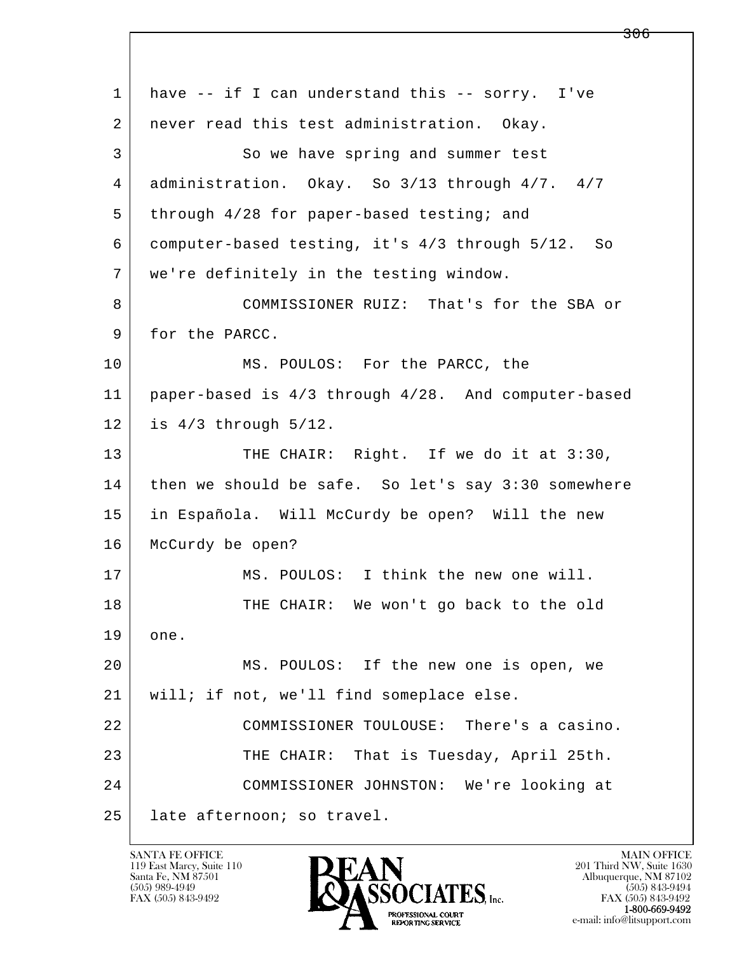l  $\overline{\phantom{a}}$ 1 have -- if I can understand this -- sorry. I've 2 never read this test administration. Okay. 3 So we have spring and summer test 4 administration. Okay. So 3/13 through 4/7. 4/7 5 through 4/28 for paper-based testing; and 6 computer-based testing, it's 4/3 through 5/12. So 7 we're definitely in the testing window. 8 COMMISSIONER RUIZ: That's for the SBA or 9 for the PARCC. 10 MS. POULOS: For the PARCC, the 11 paper-based is 4/3 through 4/28. And computer-based 12 is 4/3 through 5/12. 13 THE CHAIR: Right. If we do it at 3:30, 14 then we should be safe. So let's say 3:30 somewhere 15 in Española. Will McCurdy be open? Will the new 16 McCurdy be open? 17 | MS. POULOS: I think the new one will. 18 THE CHAIR: We won't go back to the old 19 one. 20 MS. POULOS: If the new one is open, we 21 | will; if not, we'll find someplace else. 22 COMMISSIONER TOULOUSE: There's a casino. 23 THE CHAIR: That is Tuesday, April 25th. 24 COMMISSIONER JOHNSTON: We're looking at 25 late afternoon; so travel.

119 East Marcy, Suite 110<br>Santa Fe, NM 87501

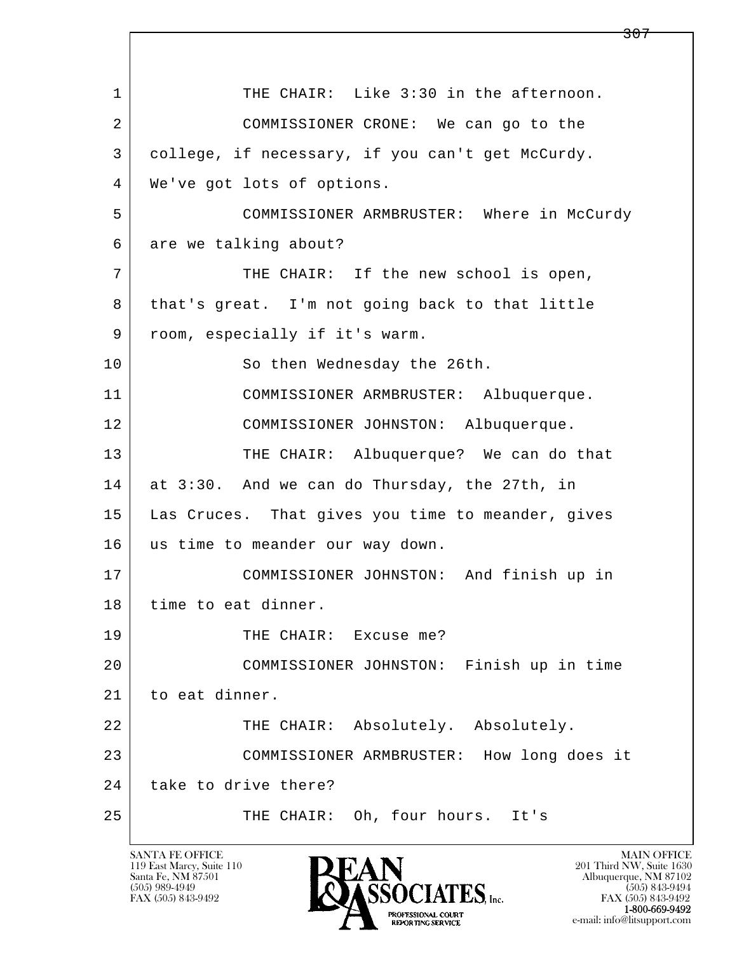l  $\overline{\phantom{a}}$ 1 THE CHAIR: Like 3:30 in the afternoon. 2 COMMISSIONER CRONE: We can go to the 3 college, if necessary, if you can't get McCurdy. 4 We've got lots of options. 5 COMMISSIONER ARMBRUSTER: Where in McCurdy 6 are we talking about? 7 THE CHAIR: If the new school is open, 8 that's great. I'm not going back to that little 9 | room, especially if it's warm. 10 So then Wednesday the 26th. 11 COMMISSIONER ARMBRUSTER: Albuquerque. 12 COMMISSIONER JOHNSTON: Albuquerque. 13 THE CHAIR: Albuquerque? We can do that 14 at 3:30. And we can do Thursday, the 27th, in 15 Las Cruces. That gives you time to meander, gives 16 us time to meander our way down. 17 COMMISSIONER JOHNSTON: And finish up in 18 | time to eat dinner. 19 THE CHAIR: Excuse me? 20 COMMISSIONER JOHNSTON: Finish up in time 21 | to eat dinner. 22 THE CHAIR: Absolutely. Absolutely. 23 COMMISSIONER ARMBRUSTER: How long does it 24 take to drive there? 25 THE CHAIR: Oh, four hours. It's

119 East Marcy, Suite 110<br>Santa Fe, NM 87501

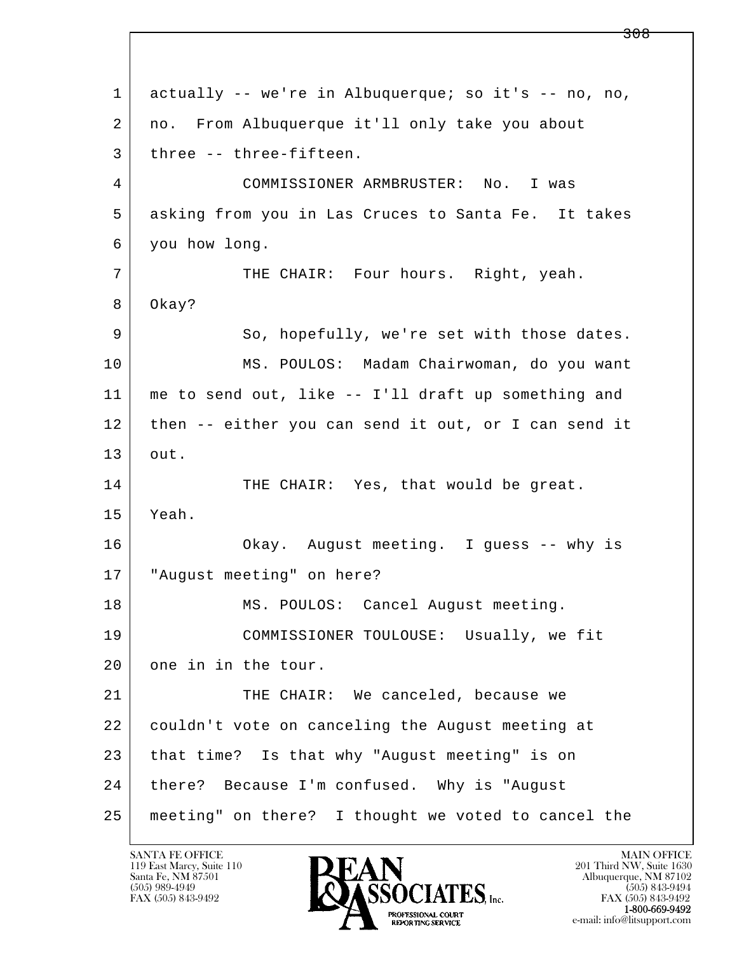l  $\overline{\phantom{a}}$ 1 actually -- we're in Albuquerque; so it's -- no, no, 2 no. From Albuquerque it'll only take you about 3 | three -- three-fifteen. 4 COMMISSIONER ARMBRUSTER: No. I was 5 asking from you in Las Cruces to Santa Fe. It takes 6 you how long. 7 THE CHAIR: Four hours. Right, yeah. 8 Okay? 9 So, hopefully, we're set with those dates. 10 MS. POULOS: Madam Chairwoman, do you want 11 me to send out, like -- I'll draft up something and 12 then -- either you can send it out, or I can send it 13 out. 14 THE CHAIR: Yes, that would be great. 15 Yeah. 16 Okay. August meeting. I guess -- why is 17 "August meeting" on here? 18 | MS. POULOS: Cancel August meeting. 19 COMMISSIONER TOULOUSE: Usually, we fit 20 one in in the tour. 21 THE CHAIR: We canceled, because we 22 couldn't vote on canceling the August meeting at 23 that time? Is that why "August meeting" is on 24 there? Because I'm confused. Why is "August 25 meeting" on there? I thought we voted to cancel the

119 East Marcy, Suite 110<br>Santa Fe, NM 87501



FAX (505) 843-9492 FAX (505) 843-9492

<del>308</del>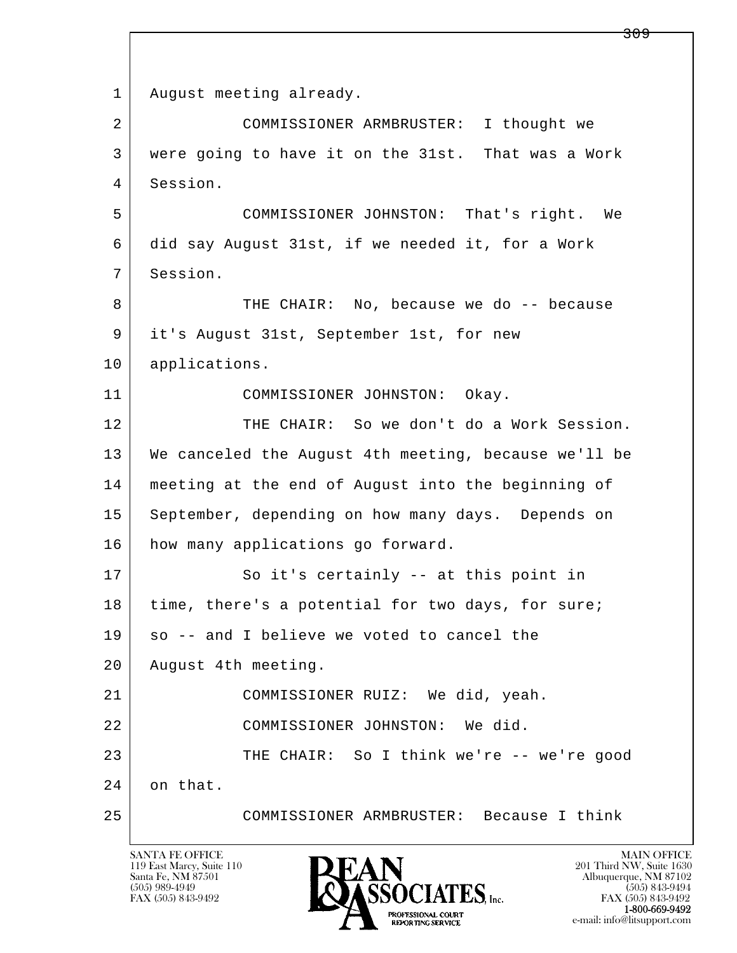l  $\overline{\phantom{a}}$ 1 | August meeting already. 2 COMMISSIONER ARMBRUSTER: I thought we 3 were going to have it on the 31st. That was a Work 4 Session. 5 COMMISSIONER JOHNSTON: That's right. We 6 did say August 31st, if we needed it, for a Work 7 Session. 8 THE CHAIR: No, because we do -- because 9 it's August 31st, September 1st, for new 10 applications. 11 COMMISSIONER JOHNSTON: Okay. 12 THE CHAIR: So we don't do a Work Session. 13 We canceled the August 4th meeting, because we'll be 14 meeting at the end of August into the beginning of 15 | September, depending on how many days. Depends on 16 how many applications go forward. 17 So it's certainly -- at this point in 18 | time, there's a potential for two days, for sure;  $19$  so -- and I believe we voted to cancel the 20 | August 4th meeting. 21 COMMISSIONER RUIZ: We did, yeah. 22 COMMISSIONER JOHNSTON: We did. 23 THE CHAIR: So I think we're -- we're good 24 on that. 25 COMMISSIONER ARMBRUSTER: Because I think

119 East Marcy, Suite 110<br>Santa Fe, NM 87501

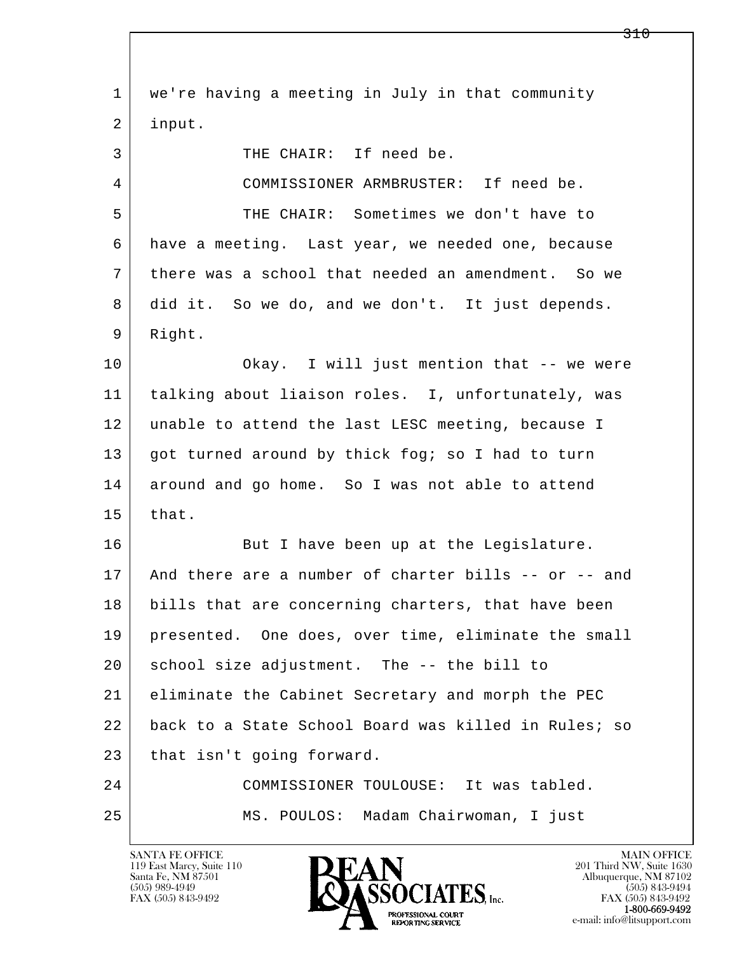l  $\overline{\phantom{a}}$  1 we're having a meeting in July in that community 2 input. 3 THE CHAIR: If need be. 4 COMMISSIONER ARMBRUSTER: If need be. 5 THE CHAIR: Sometimes we don't have to 6 have a meeting. Last year, we needed one, because 7 there was a school that needed an amendment. So we 8 did it. So we do, and we don't. It just depends. 9 Right. 10 Okay. I will just mention that -- we were 11 talking about liaison roles. I, unfortunately, was 12 unable to attend the last LESC meeting, because I 13 got turned around by thick fog; so I had to turn 14 around and go home. So I was not able to attend  $15$  that. 16 But I have been up at the Legislature. 17 And there are a number of charter bills -- or -- and 18 bills that are concerning charters, that have been 19 presented. One does, over time, eliminate the small 20 school size adjustment. The -- the bill to 21 eliminate the Cabinet Secretary and morph the PEC 22 back to a State School Board was killed in Rules; so 23 that isn't going forward. 24 COMMISSIONER TOULOUSE: It was tabled. 25 MS. POULOS: Madam Chairwoman, I just

119 East Marcy, Suite 110<br>Santa Fe, NM 87501



FAX (505) 843-9492<br>1-800-669-9492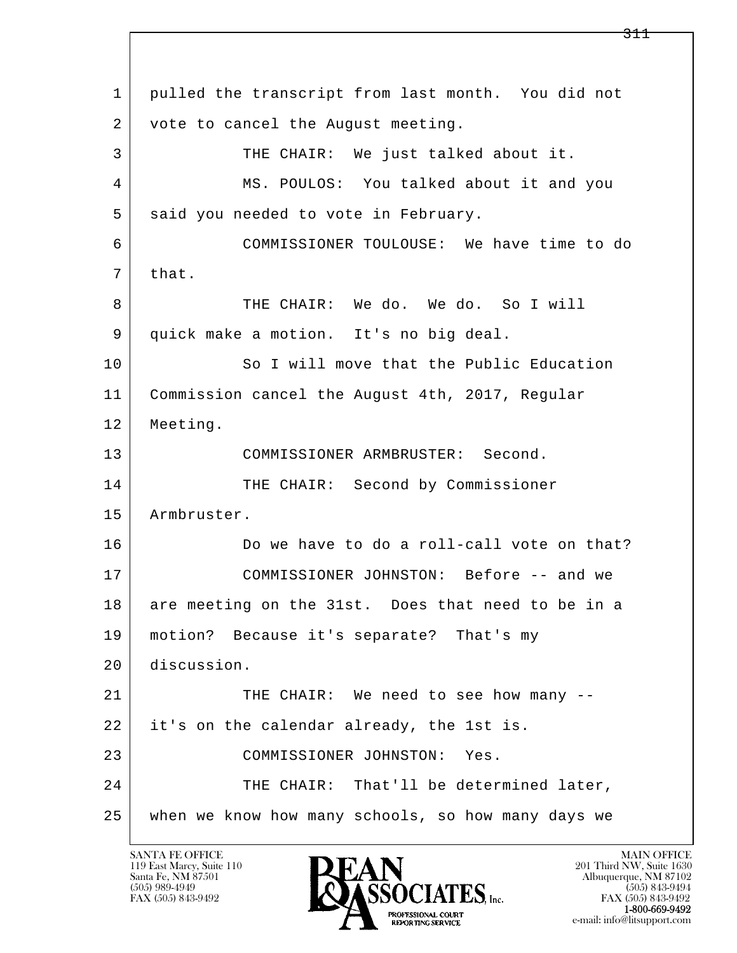l  $\overline{\phantom{a}}$  1 pulled the transcript from last month. You did not 2 vote to cancel the August meeting. 3 THE CHAIR: We just talked about it. 4 MS. POULOS: You talked about it and you 5 said you needed to vote in February. 6 COMMISSIONER TOULOUSE: We have time to do 7 that. 8 THE CHAIR: We do. We do. So I will 9 quick make a motion. It's no big deal. 10 So I will move that the Public Education 11 Commission cancel the August 4th, 2017, Regular 12 Meeting. 13 COMMISSIONER ARMBRUSTER: Second. 14 THE CHAIR: Second by Commissioner 15 | Armbruster. 16 Do we have to do a roll-call vote on that? 17 COMMISSIONER JOHNSTON: Before -- and we 18 are meeting on the 31st. Does that need to be in a 19 motion? Because it's separate? That's my 20 discussion. 21 THE CHAIR: We need to see how many --22 it's on the calendar already, the 1st is. 23 COMMISSIONER JOHNSTON: Yes. 24 THE CHAIR: That'll be determined later, 25 when we know how many schools, so how many days we

119 East Marcy, Suite 110<br>Santa Fe, NM 87501



FAX (505) 843-9492 FAX (505) 843-9492 e-mail: info@litsupport.com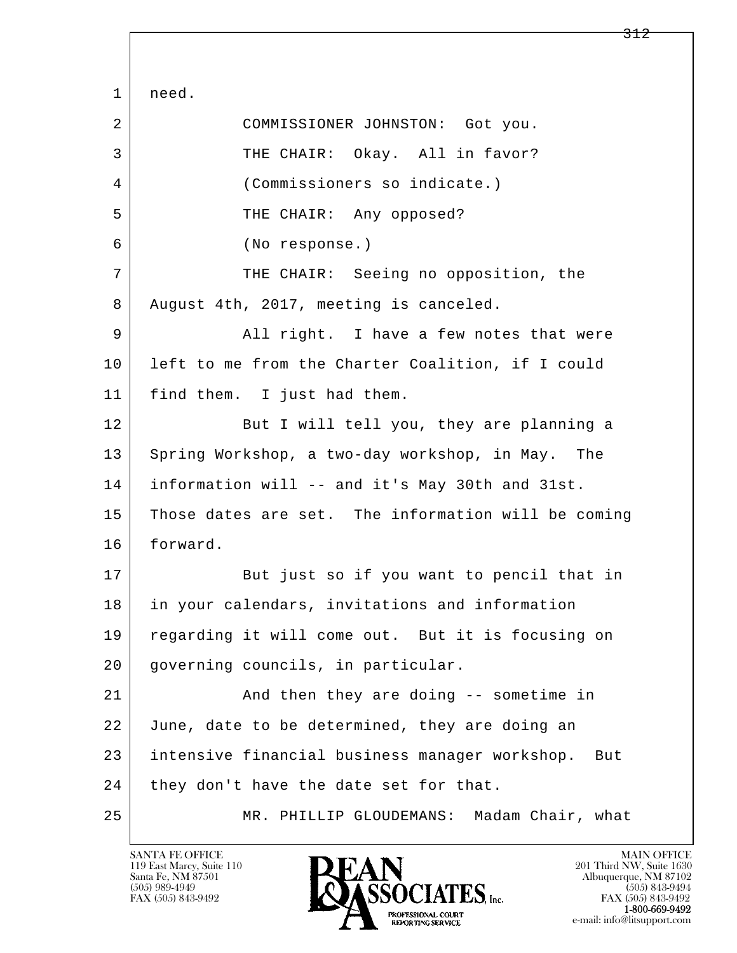l  $\overline{\phantom{a}}$  1 need. 2 COMMISSIONER JOHNSTON: Got you. 3 THE CHAIR: Okay. All in favor? 4 (Commissioners so indicate.) 5 | THE CHAIR: Any opposed? 6 (No response.) 7 | THE CHAIR: Seeing no opposition, the 8 August 4th, 2017, meeting is canceled. 9 All right. I have a few notes that were 10 left to me from the Charter Coalition, if I could 11 find them. I just had them. 12 But I will tell you, they are planning a 13 Spring Workshop, a two-day workshop, in May. The 14 information will -- and it's May 30th and 31st. 15 Those dates are set. The information will be coming 16 forward. 17 But just so if you want to pencil that in 18 in your calendars, invitations and information 19 regarding it will come out. But it is focusing on 20 governing councils, in particular. 21 | And then they are doing -- sometime in 22 June, date to be determined, they are doing an 23 intensive financial business manager workshop. But  $24$  they don't have the date set for that. 25 MR. PHILLIP GLOUDEMANS: Madam Chair, what

119 East Marcy, Suite 110<br>Santa Fe, NM 87501

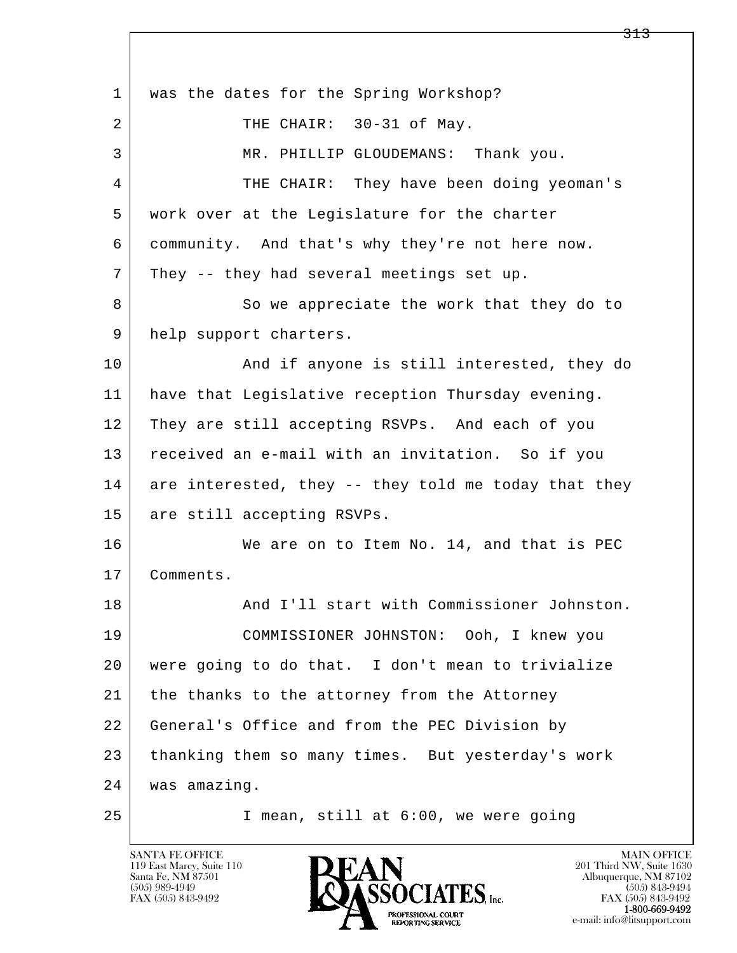l  $\overline{\phantom{a}}$ 1 | was the dates for the Spring Workshop? 2 THE CHAIR: 30-31 of May. 3 MR. PHILLIP GLOUDEMANS: Thank you. 4 THE CHAIR: They have been doing yeoman's 5 work over at the Legislature for the charter 6 community. And that's why they're not here now. 7 They -- they had several meetings set up. 8 So we appreciate the work that they do to 9 | help support charters. 10 | And if anyone is still interested, they do 11 have that Legislative reception Thursday evening. 12 They are still accepting RSVPs. And each of you 13 received an e-mail with an invitation. So if you  $14$  are interested, they  $-$  they told me today that they 15 are still accepting RSVPs. 16 We are on to Item No. 14, and that is PEC 17 Comments. 18 | Rand I'll start with Commissioner Johnston. 19 COMMISSIONER JOHNSTON: Ooh, I knew you 20 were going to do that. I don't mean to trivialize 21 the thanks to the attorney from the Attorney 22 General's Office and from the PEC Division by 23 thanking them so many times. But yesterday's work 24 was amazing. 25 I mean, still at 6:00, we were going

119 East Marcy, Suite 110<br>Santa Fe, NM 87501

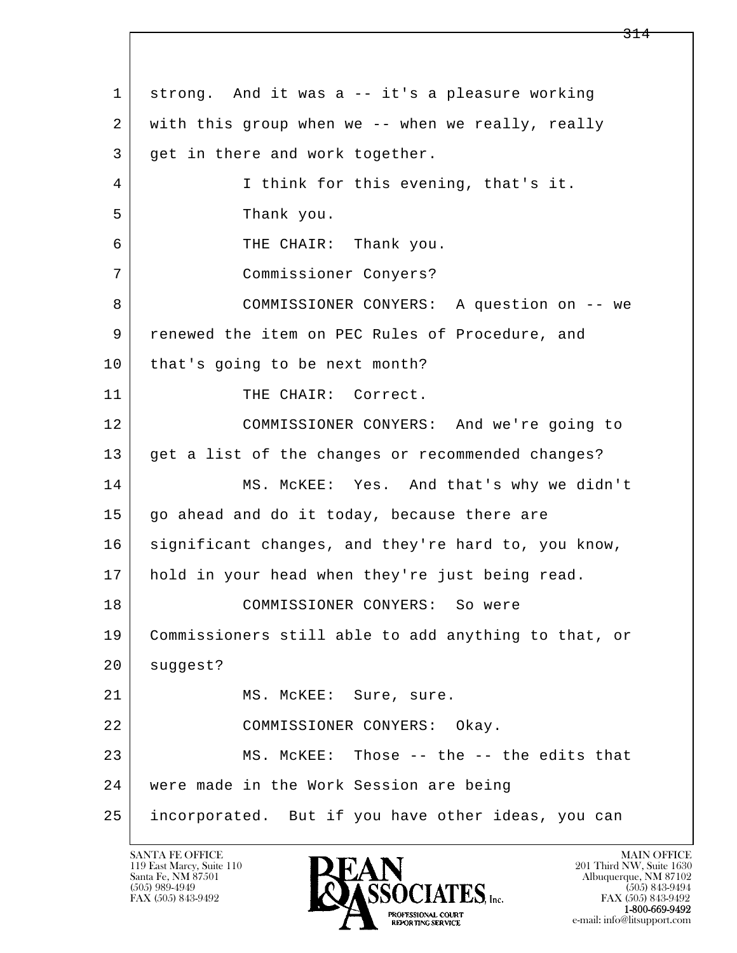l  $\overline{\phantom{a}}$  1 strong. And it was a -- it's a pleasure working 2 with this group when we -- when we really, really 3 get in there and work together. 4 I think for this evening, that's it. 5 Thank you. 6 THE CHAIR: Thank you. 7 Commissioner Conyers? 8 | COMMISSIONER CONYERS: A question on -- we 9 | renewed the item on PEC Rules of Procedure, and 10 | that's going to be next month? 11 THE CHAIR: Correct. 12 COMMISSIONER CONYERS: And we're going to 13 get a list of the changes or recommended changes? 14 MS. McKEE: Yes. And that's why we didn't 15 go ahead and do it today, because there are 16 significant changes, and they're hard to, you know, 17 hold in your head when they're just being read. 18 COMMISSIONER CONYERS: So were 19 Commissioners still able to add anything to that, or 20 | suggest? 21 | MS. McKEE: Sure, sure. 22 COMMISSIONER CONYERS: Okay. 23 MS. McKEE: Those -- the -- the edits that 24 were made in the Work Session are being 25 incorporated. But if you have other ideas, you can

119 East Marcy, Suite 110<br>Santa Fe, NM 87501

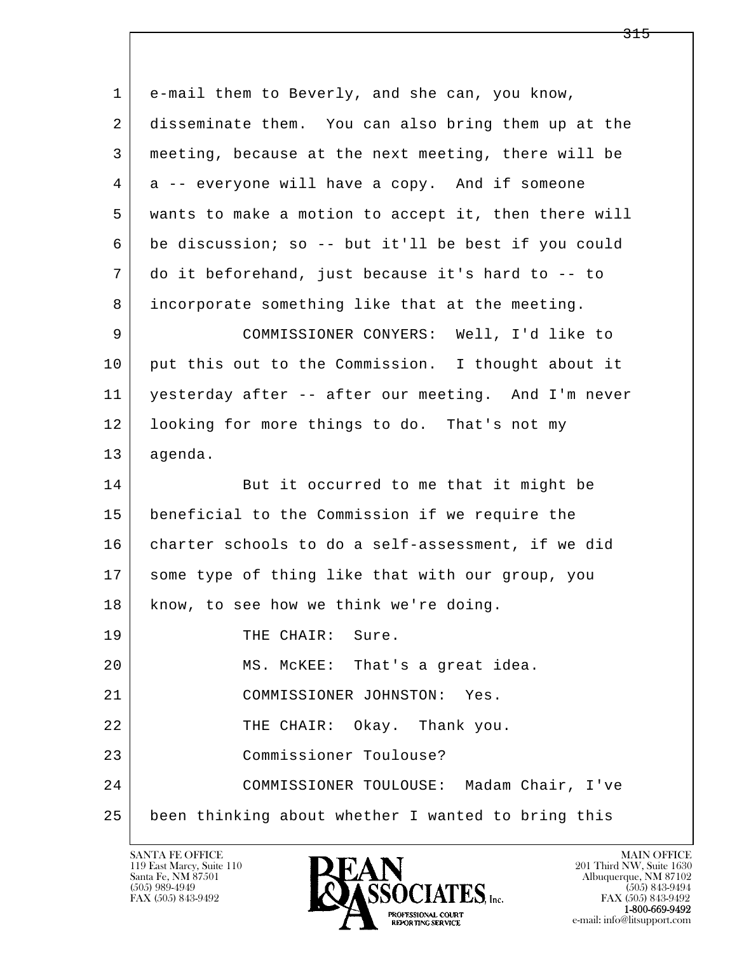l  $\overline{\phantom{a}}$  1 e-mail them to Beverly, and she can, you know, 2 disseminate them. You can also bring them up at the 3 meeting, because at the next meeting, there will be 4 a -- everyone will have a copy. And if someone 5 wants to make a motion to accept it, then there will 6 be discussion; so -- but it'll be best if you could 7 do it beforehand, just because it's hard to -- to 8 incorporate something like that at the meeting. 9 COMMISSIONER CONYERS: Well, I'd like to 10 put this out to the Commission. I thought about it 11 yesterday after -- after our meeting. And I'm never 12 | looking for more things to do. That's not my 13 agenda. 14 But it occurred to me that it might be 15 beneficial to the Commission if we require the 16 charter schools to do a self-assessment, if we did 17 some type of thing like that with our group, you 18 | know, to see how we think we're doing. 19 THE CHAIR: Sure. 20 MS. McKEE: That's a great idea. 21 COMMISSIONER JOHNSTON: Yes. 22 THE CHAIR: Okay. Thank you. 23 Commissioner Toulouse? 24 COMMISSIONER TOULOUSE: Madam Chair, I've 25 been thinking about whether I wanted to bring this

119 East Marcy, Suite 110<br>Santa Fe, NM 87501

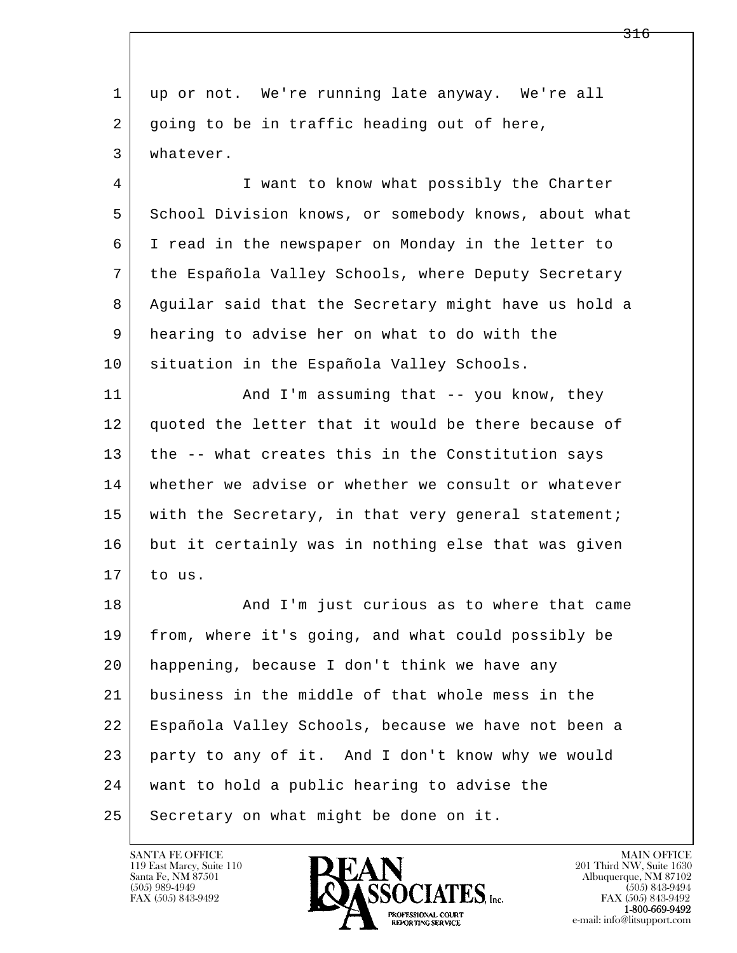| 1  | up or not. We're running late anyway. We're all      |
|----|------------------------------------------------------|
| 2  | going to be in traffic heading out of here,          |
| 3  | whatever.                                            |
| 4  | I want to know what possibly the Charter             |
| 5  | School Division knows, or somebody knows, about what |
| 6  | I read in the newspaper on Monday in the letter to   |
| 7  | the Española Valley Schools, where Deputy Secretary  |
| 8  | Aguilar said that the Secretary might have us hold a |
| 9  | hearing to advise her on what to do with the         |
| 10 | situation in the Española Valley Schools.            |
| 11 | And I'm assuming that -- you know, they              |
| 12 | quoted the letter that it would be there because of  |
| 13 | the -- what creates this in the Constitution says    |
| 14 | whether we advise or whether we consult or whatever  |
| 15 | with the Secretary, in that very general statement;  |
| 16 | but it certainly was in nothing else that was given  |
| 17 | to us.                                               |
| 18 | And I'm just curious as to where that came           |
| 19 | from, where it's going, and what could possibly be   |
| 20 | happening, because I don't think we have any         |
| 21 | business in the middle of that whole mess in the     |
| 22 | Española Valley Schools, because we have not been a  |
| 23 | party to any of it. And I don't know why we would    |
| 24 | want to hold a public hearing to advise the          |
| 25 | Secretary on what might be done on it.               |

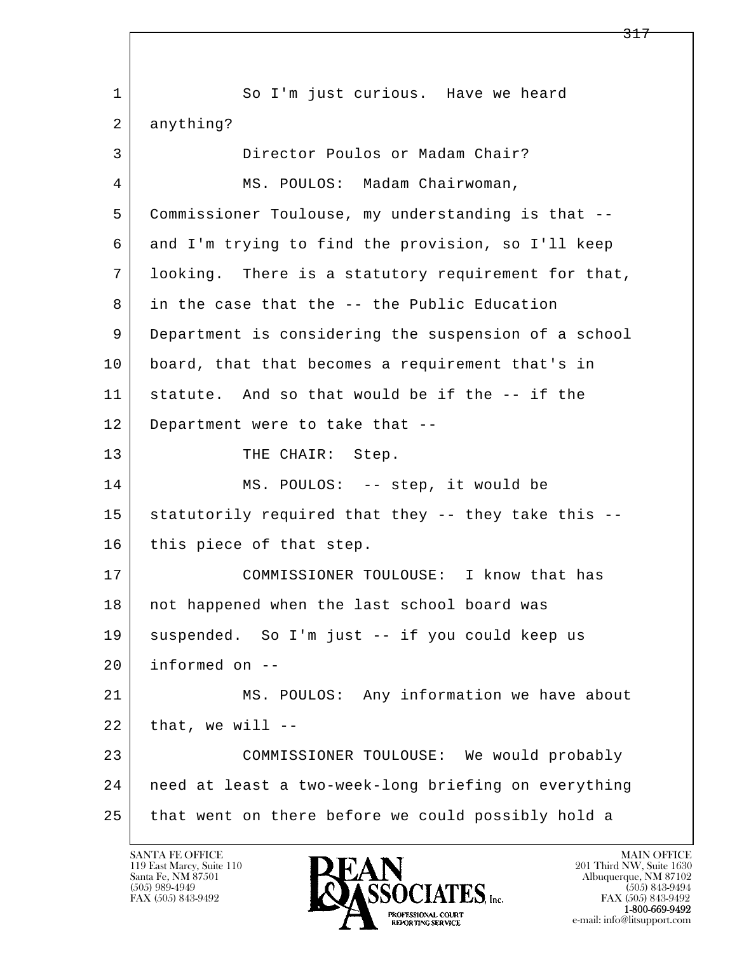l  $\overline{\phantom{a}}$ 1 So I'm just curious. Have we heard 2 anything? 3 Director Poulos or Madam Chair? 4 MS. POULOS: Madam Chairwoman, 5 Commissioner Toulouse, my understanding is that -- 6 and I'm trying to find the provision, so I'll keep 7 looking. There is a statutory requirement for that, 8 in the case that the -- the Public Education 9 Department is considering the suspension of a school 10 | board, that that becomes a requirement that's in 11 statute. And so that would be if the -- if the 12 Department were to take that -- 13 THE CHAIR: Step. 14 MS. POULOS: -- step, it would be 15 statutorily required that they -- they take this --16 this piece of that step. 17 COMMISSIONER TOULOUSE: I know that has 18 | not happened when the last school board was 19 suspended. So I'm just -- if you could keep us 20 informed on -- 21 MS. POULOS: Any information we have about  $22$  that, we will  $-$  23 COMMISSIONER TOULOUSE: We would probably 24 need at least a two-week-long briefing on everything 25 that went on there before we could possibly hold a

119 East Marcy, Suite 110<br>Santa Fe, NM 87501

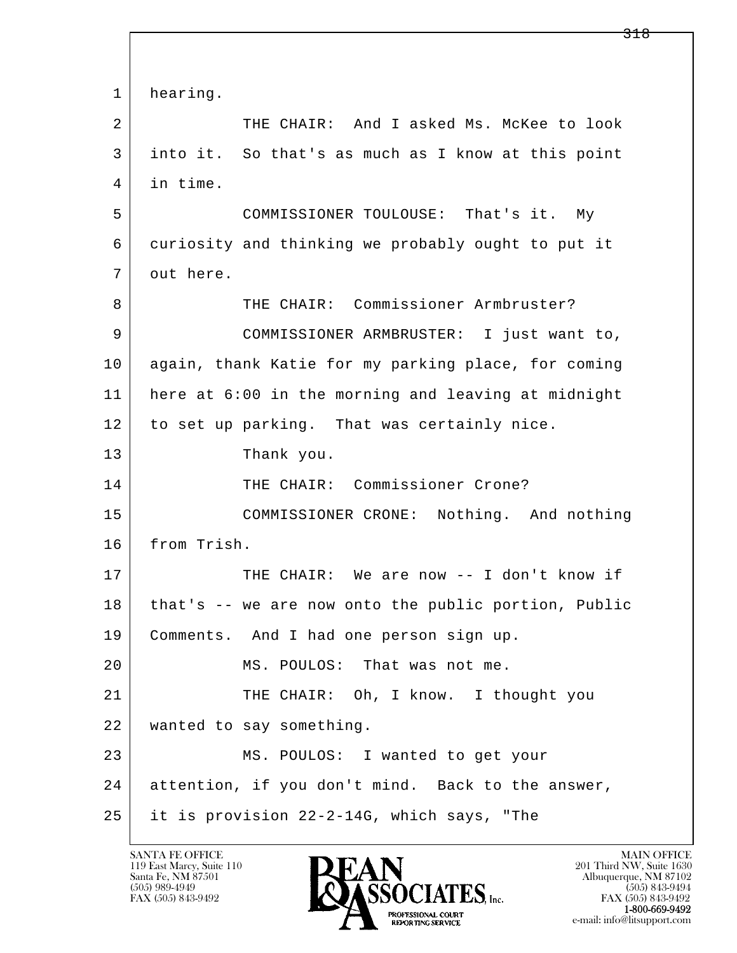l  $\overline{\phantom{a}}$ 1 hearing. 2 THE CHAIR: And I asked Ms. McKee to look 3 into it. So that's as much as I know at this point 4 in time. 5 COMMISSIONER TOULOUSE: That's it. My 6 curiosity and thinking we probably ought to put it 7 out here. 8 THE CHAIR: Commissioner Armbruster? 9 COMMISSIONER ARMBRUSTER: I just want to, 10 again, thank Katie for my parking place, for coming 11 here at 6:00 in the morning and leaving at midnight 12 to set up parking. That was certainly nice. 13 Thank you. 14 | THE CHAIR: Commissioner Crone? 15 COMMISSIONER CRONE: Nothing. And nothing 16 from Trish. 17 | THE CHAIR: We are now -- I don't know if 18 that's -- we are now onto the public portion, Public 19 | Comments. And I had one person sign up. 20 MS. POULOS: That was not me. 21 THE CHAIR: Oh, I know. I thought you 22 wanted to say something. 23 | MS. POULOS: I wanted to get your 24 attention, if you don't mind. Back to the answer, 25 it is provision 22-2-14G, which says, "The

119 East Marcy, Suite 110<br>Santa Fe, NM 87501

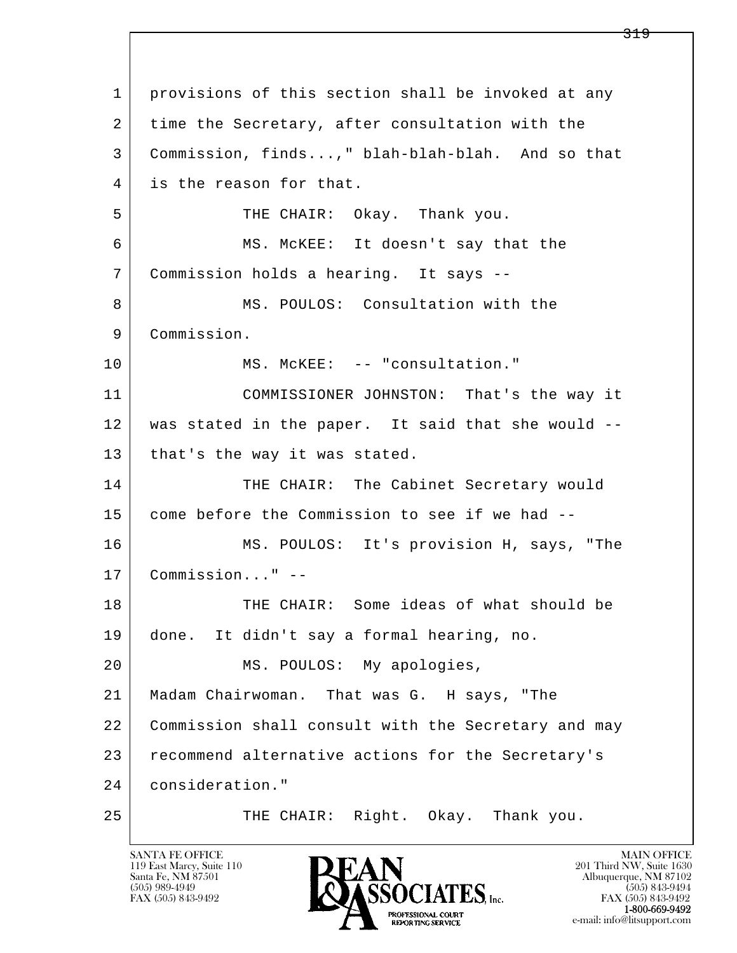l  $\overline{\phantom{a}}$  1 provisions of this section shall be invoked at any 2 time the Secretary, after consultation with the 3 Commission, finds...," blah-blah-blah. And so that 4 is the reason for that. 5 SURIGALL THE CHAIR: Okay. Thank you. 6 MS. McKEE: It doesn't say that the 7 Commission holds a hearing. It says -- 8 | MS. POULOS: Consultation with the 9 Commission. 10 | MS. McKEE: -- "consultation." 11 COMMISSIONER JOHNSTON: That's the way it 12 was stated in the paper. It said that she would -- 13 | that's the way it was stated. 14 THE CHAIR: The Cabinet Secretary would 15 come before the Commission to see if we had -- 16 MS. POULOS: It's provision H, says, "The 17 Commission..." -- 18 THE CHAIR: Some ideas of what should be 19 done. It didn't say a formal hearing, no. 20 | MS. POULOS: My apologies, 21 Madam Chairwoman. That was G. H says, "The 22 Commission shall consult with the Secretary and may 23 recommend alternative actions for the Secretary's 24 consideration." 25 THE CHAIR: Right. Okay. Thank you.

119 East Marcy, Suite 110<br>Santa Fe, NM 87501

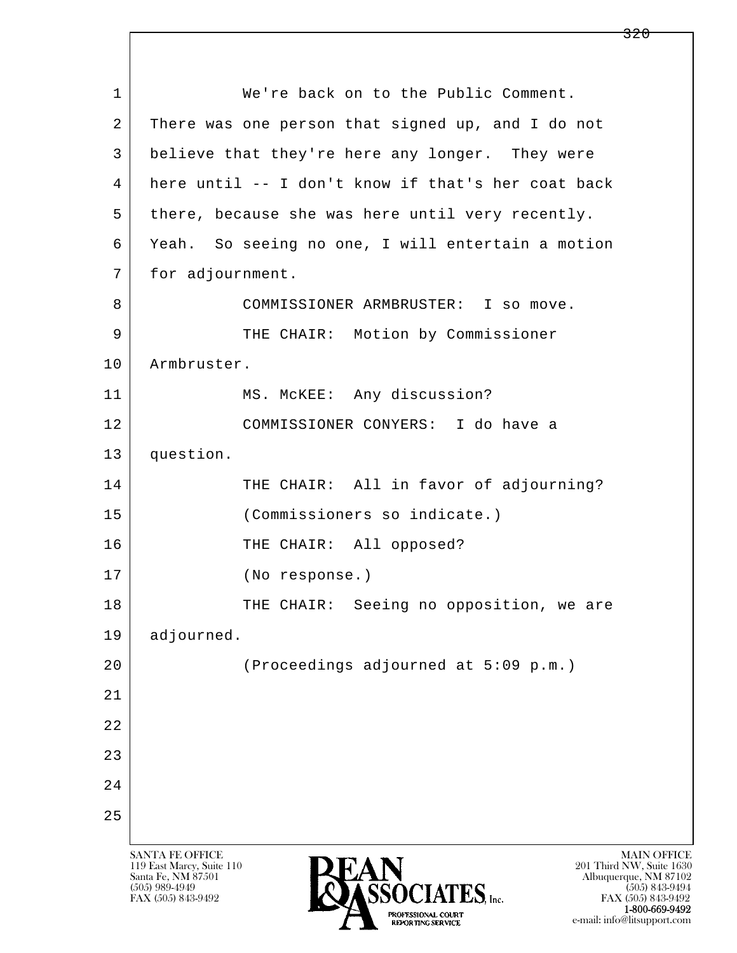l  $\overline{\phantom{a}}$ SANTA FE OFFICE MAIN OFFICE MAIN OFFICE MAIN OFFICE MAIN OFFICE 119 East Marcy, Suite 110<br>Santa Fe, NM 87501 Santa Fe, NM 87501 Albuquerque, NM 87102 1 We're back on to the Public Comment. 2 There was one person that signed up, and I do not 3 believe that they're here any longer. They were 4 here until -- I don't know if that's her coat back 5 there, because she was here until very recently. 6 Yeah. So seeing no one, I will entertain a motion 7 | for adjournment. 8 COMMISSIONER ARMBRUSTER: I so move. 9 | THE CHAIR: Motion by Commissioner 10 | Armbruster. 11 | MS. McKEE: Any discussion? 12 COMMISSIONER CONYERS: I do have a 13 question. 14 THE CHAIR: All in favor of adjourning? 15 (Commissioners so indicate.) 16 THE CHAIR: All opposed? 17 (No response.) 18 | THE CHAIR: Seeing no opposition, we are 19 adjourned. 20 (Proceedings adjourned at 5:09 p.m.) 21 22 23 24 25

320

 $\overline{\text{SSOCIATES}}_{\text{Lnc}}$  (505) 989-4949 (505) 843-9492 (505) 843-9492 (505) 843-9492 FAX (505) 843-9492 FAX (505) 843-9492  $P_{\text{A}}$  1-800-669-9492<br>
REPORTING SERVICE<br>
REPORTING SERVICE e-mail: info@litsupport.com